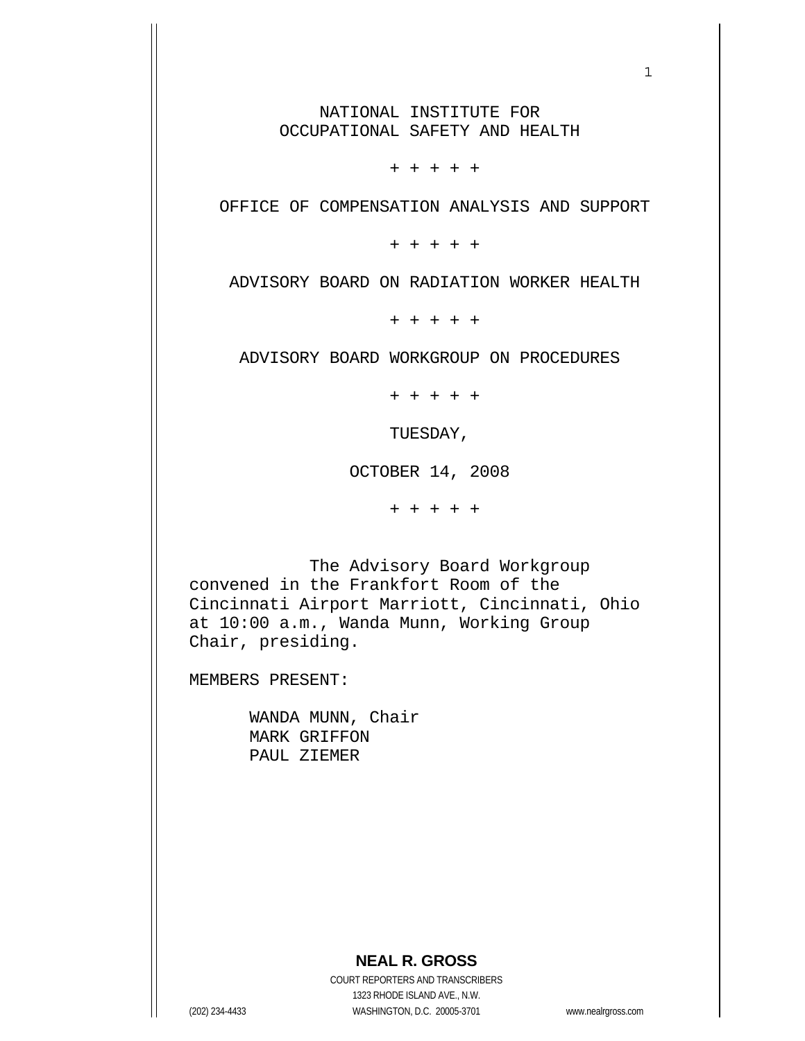NATIONAL INSTITUTE FOR OCCUPATIONAL SAFETY AND HEALTH

 $1$ 

+ + + + +

OFFICE OF COMPENSATION ANALYSIS AND SUPPORT

+ + + + +

ADVISORY BOARD ON RADIATION WORKER HEALTH

+ + + + +

ADVISORY BOARD WORKGROUP ON PROCEDURES

+ + + + +

TUESDAY,

OCTOBER 14, 2008

+ + + + +

 The Advisory Board Workgroup convened in the Frankfort Room of the Cincinnati Airport Marriott, Cincinnati, Ohio at 10:00 a.m., Wanda Munn, Working Group Chair, presiding.

MEMBERS PRESENT:

 WANDA MUNN, Chair MARK GRIFFON PAUL ZIEMER

## **NEAL R. GROSS**

 COURT REPORTERS AND TRANSCRIBERS 1323 RHODE ISLAND AVE., N.W. (202) 234-4433 WASHINGTON, D.C. 20005-3701 www.nealrgross.com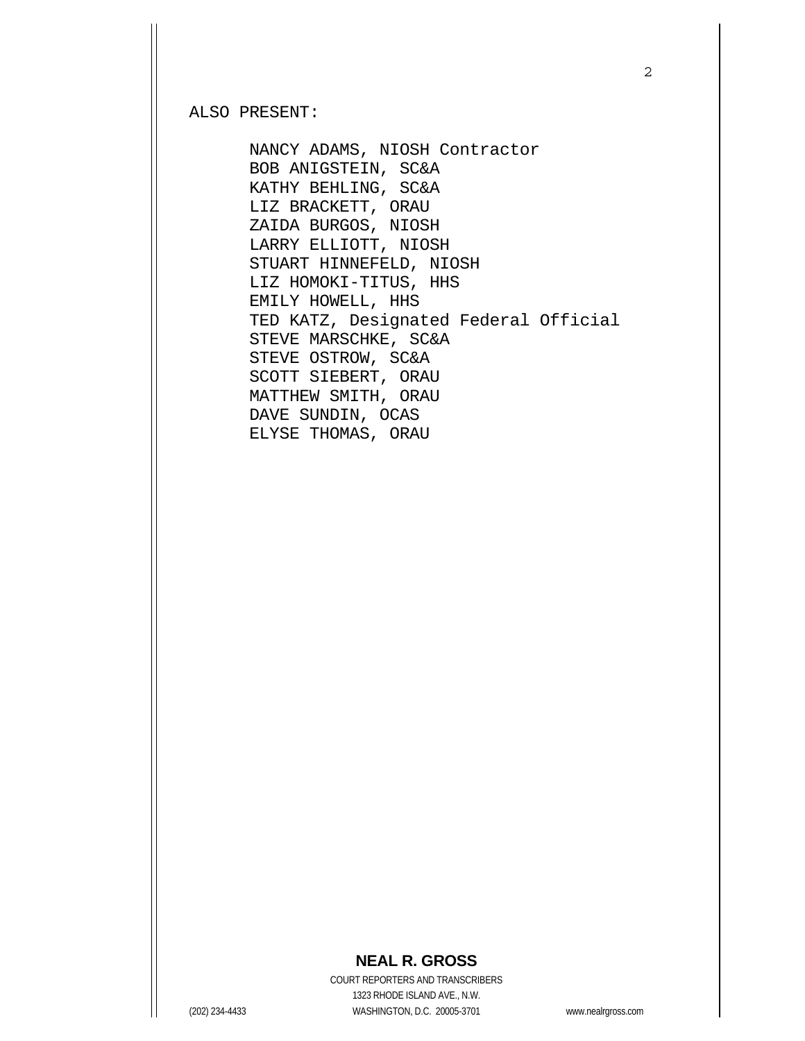## ALSO PRESENT:

 NANCY ADAMS, NIOSH Contractor BOB ANIGSTEIN, SC&A KATHY BEHLING, SC&A LIZ BRACKETT, ORAU ZAIDA BURGOS, NIOSH LARRY ELLIOTT, NIOSH STUART HINNEFELD, NIOSH LIZ HOMOKI-TITUS, HHS EMILY HOWELL, HHS TED KATZ, Designated Federal Official STEVE MARSCHKE, SC&A STEVE OSTROW, SC&A SCOTT SIEBERT, ORAU MATTHEW SMITH, ORAU DAVE SUNDIN, OCAS ELYSE THOMAS, ORAU

## **NEAL R. GROSS**

 COURT REPORTERS AND TRANSCRIBERS 1323 RHODE ISLAND AVE., N.W. (202) 234-4433 WASHINGTON, D.C. 20005-3701 www.nealrgross.com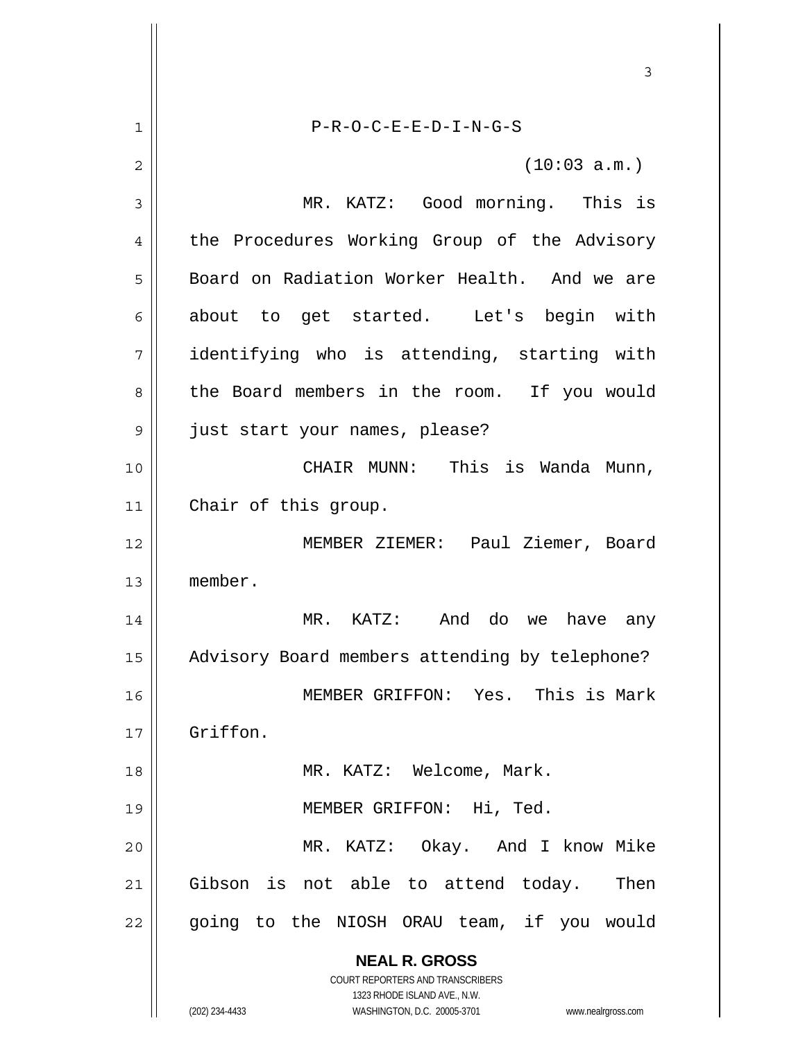**NEAL R. GROSS** COURT REPORTERS AND TRANSCRIBERS 1323 RHODE ISLAND AVE., N.W. (202) 234-4433 WASHINGTON, D.C. 20005-3701 www.nealrgross.com 3 1 P-R-O-C-E-E-D-I-N-G-S  $2 \parallel$  (10:03 a.m.) 3 MR. KATZ: Good morning. This is 4 | the Procedures Working Group of the Advisory 5 Board on Radiation Worker Health. And we are 6 about to get started. Let's begin with 7 identifying who is attending, starting with 8 || the Board members in the room. If you would 9 || just start your names, please? 10 CHAIR MUNN: This is Wanda Munn, 11 | Chair of this group. 12 MEMBER ZIEMER: Paul Ziemer, Board 13 member. 14 MR. KATZ: And do we have any 15 | Advisory Board members attending by telephone? 16 MEMBER GRIFFON: Yes. This is Mark 17 Griffon. 18 || MR. KATZ: Welcome, Mark. 19 MEMBER GRIFFON: Hi, Ted. 20 MR. KATZ: Okay. And I know Mike 21 Gibson is not able to attend today. Then 22 || going to the NIOSH ORAU team, if you would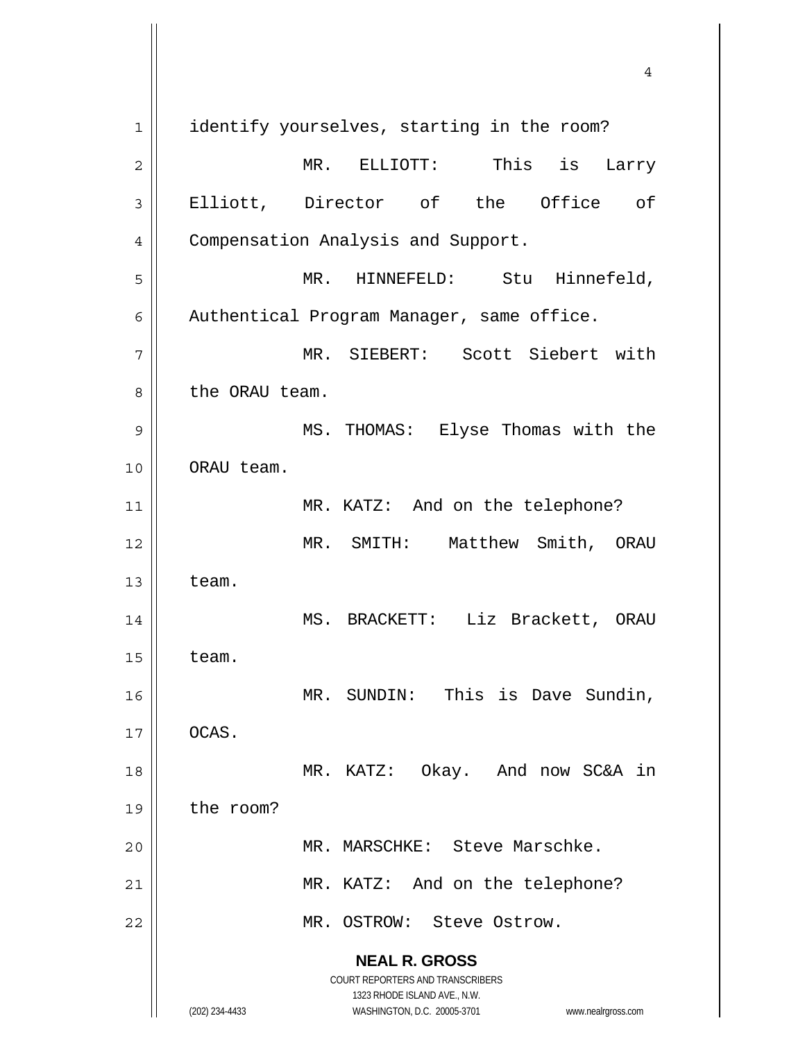**NEAL R. GROSS** COURT REPORTERS AND TRANSCRIBERS 1323 RHODE ISLAND AVE., N.W. (202) 234-4433 WASHINGTON, D.C. 20005-3701 www.nealrgross.com 1 | identify yourselves, starting in the room? 2 MR. ELLIOTT: This is Larry 3 Elliott, Director of the Office of 4 | Compensation Analysis and Support. 5 MR. HINNEFELD: Stu Hinnefeld, 6 | Authentical Program Manager, same office. 7 MR. SIEBERT: Scott Siebert with 8 | the ORAU team. 9 MS. THOMAS: Elyse Thomas with the 10 | ORAU team. 11 || MR. KATZ: And on the telephone? 12 MR. SMITH: Matthew Smith, ORAU  $13 \parallel$  team. 14 MS. BRACKETT: Liz Brackett, ORAU  $15$   $\parallel$  team. 16 MR. SUNDIN: This is Dave Sundin,  $17 \parallel$  OCAS. 18 MR. KATZ: Okay. And now SC&A in 19 the room? 20 || MR. MARSCHKE: Steve Marschke. 21 || MR. KATZ: And on the telephone? 22 MR. OSTROW: Steve Ostrow.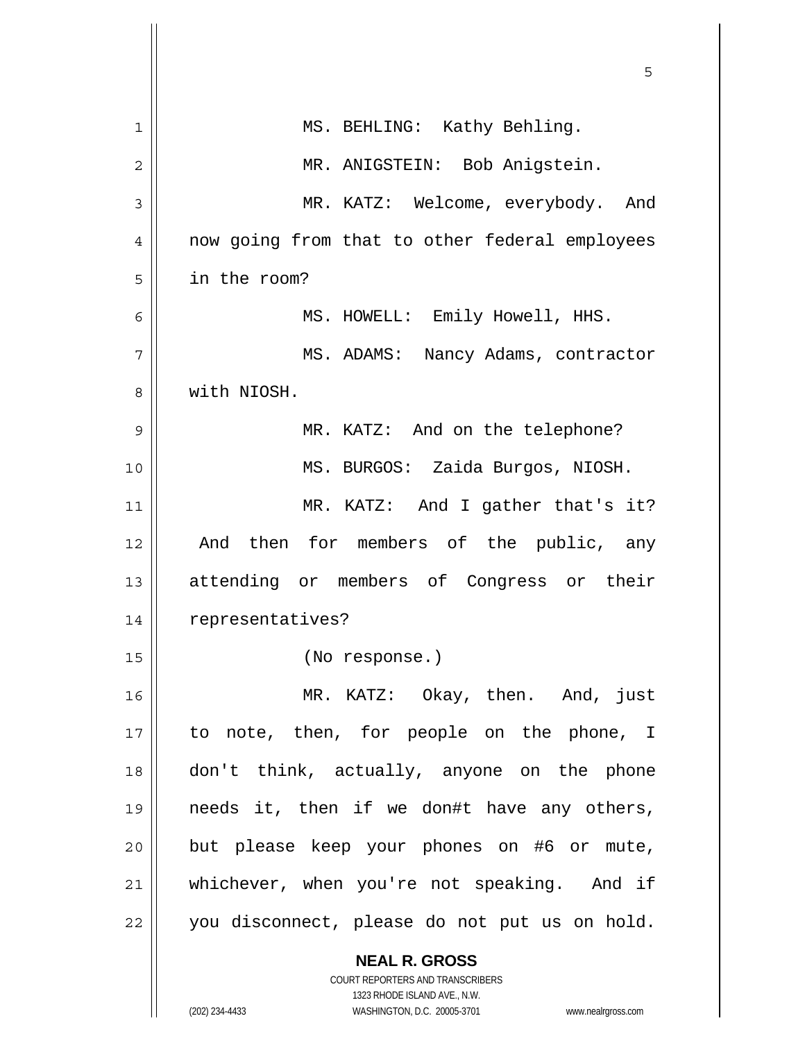|    | 5                                                                                                   |
|----|-----------------------------------------------------------------------------------------------------|
| 1  | MS. BEHLING: Kathy Behling.                                                                         |
| 2  | MR. ANIGSTEIN: Bob Anigstein.                                                                       |
| 3  | MR. KATZ: Welcome, everybody. And                                                                   |
| 4  | now going from that to other federal employees                                                      |
| 5  | in the room?                                                                                        |
| 6  | MS. HOWELL: Emily Howell, HHS.                                                                      |
| 7  | MS. ADAMS: Nancy Adams, contractor                                                                  |
| 8  | with NIOSH.                                                                                         |
| 9  | MR. KATZ: And on the telephone?                                                                     |
| 10 | MS. BURGOS: Zaida Burgos, NIOSH.                                                                    |
| 11 | MR. KATZ: And I gather that's it?                                                                   |
| 12 | And then for members of the public, any                                                             |
| 13 | attending or members of Congress or their                                                           |
| 14 | representatives?                                                                                    |
| 15 | (No response.)                                                                                      |
| 16 | MR. KATZ: Okay, then. And, just                                                                     |
| 17 | to note, then, for people on the phone, I                                                           |
| 18 | don't think, actually, anyone on the phone                                                          |
| 19 | needs it, then if we don#t have any others,                                                         |
| 20 | but please keep your phones on #6 or mute,                                                          |
| 21 | whichever, when you're not speaking. And if                                                         |
| 22 | you disconnect, please do not put us on hold.                                                       |
|    | <b>NEAL R. GROSS</b>                                                                                |
|    | COURT REPORTERS AND TRANSCRIBERS                                                                    |
|    | 1323 RHODE ISLAND AVE., N.W.<br>(202) 234-4433<br>WASHINGTON, D.C. 20005-3701<br>www.nealrgross.com |

 $\overline{\phantom{a}}$ 

 $\mathsf{l}$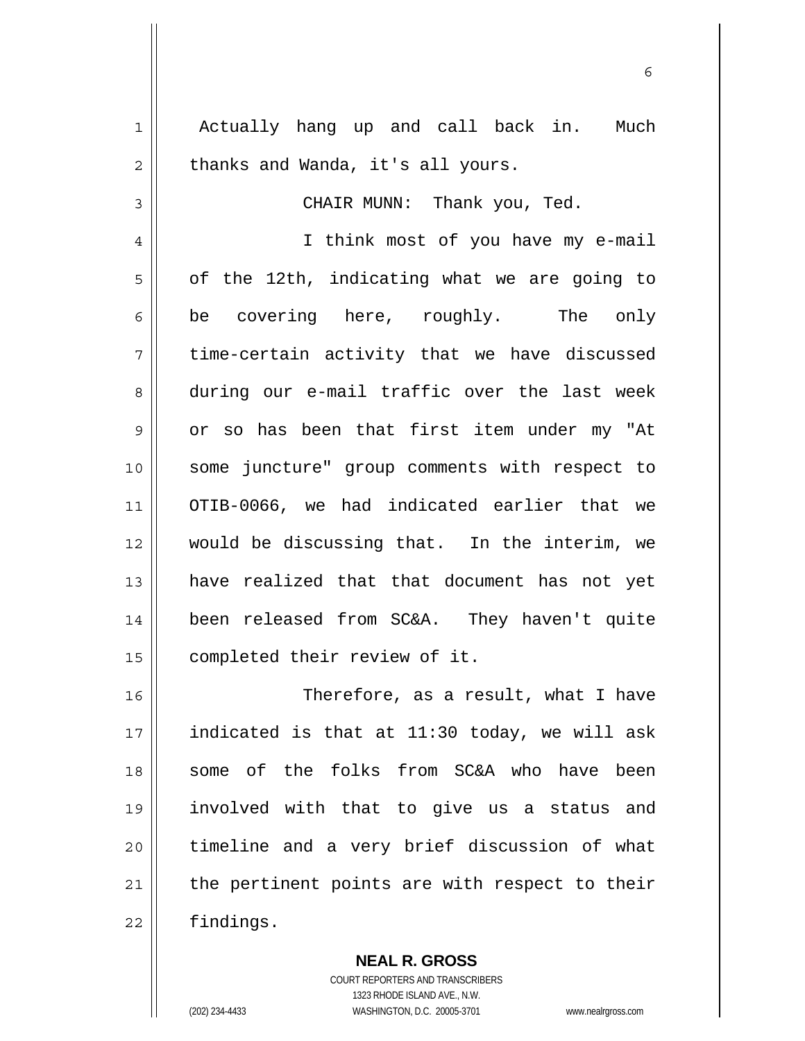1 || Actually hang up and call back in. Much  $2 \parallel$  thanks and Wanda, it's all yours. 3 CHAIR MUNN: Thank you, Ted. 4 || I think most of you have my e-mail  $5 \parallel$  of the 12th, indicating what we are going to  $6 \parallel$  be covering here, roughly. The only  $7 \parallel$  time-certain activity that we have discussed 8 during our e-mail traffic over the last week  $9 \parallel$  or so has been that first item under my "At 10 some juncture" group comments with respect to 11 OTIB-0066, we had indicated earlier that we 12 would be discussing that. In the interim, we 13 || have realized that that document has not yet 14 been released from SC&A. They haven't quite 15 | completed their review of it. 16 Therefore, as a result, what I have 17 indicated is that at 11:30 today, we will ask 18 some of the folks from SC&A who have been 19 involved with that to give us a status and 20 timeline and a very brief discussion of what

 $21$  | the pertinent points are with respect to their 22 findings.

> **NEAL R. GROSS** COURT REPORTERS AND TRANSCRIBERS 1323 RHODE ISLAND AVE., N.W. (202) 234-4433 WASHINGTON, D.C. 20005-3701 www.nealrgross.com

 $\sim$  6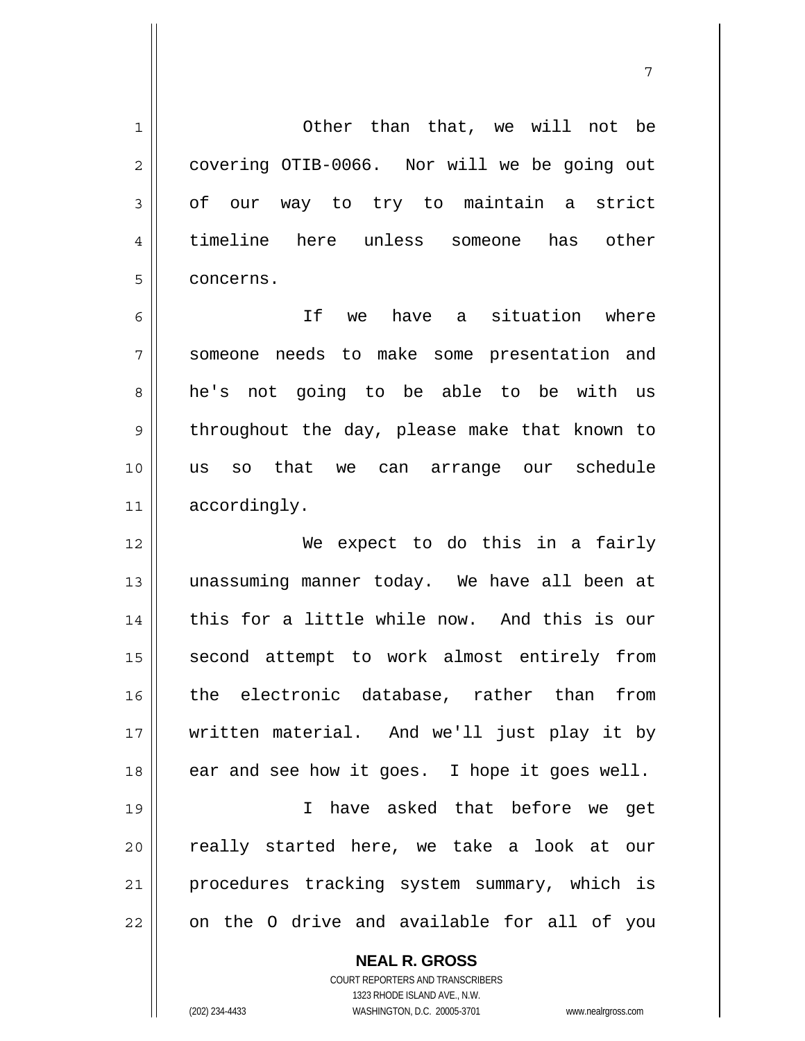1 Other than that, we will not be 2 | covering OTIB-0066. Nor will we be going out 3 of our way to try to maintain a strict 4 timeline here unless someone has other 5 concerns.

7

6 **If we have a situation where** 7 someone needs to make some presentation and 8 || he's not going to be able to be with us  $9 \parallel$  throughout the day, please make that known to 10 us so that we can arrange our schedule 11 accordingly.

12 We expect to do this in a fairly 13 unassuming manner today. We have all been at 14 || this for a little while now. And this is our 15 || second attempt to work almost entirely from 16 the electronic database, rather than from 17 written material. And we'll just play it by 18 || ear and see how it goes. I hope it goes well.

I have asked that before we get 20 || really started here, we take a look at our procedures tracking system summary, which is || on the O drive and available for all of you

> COURT REPORTERS AND TRANSCRIBERS 1323 RHODE ISLAND AVE., N.W. (202) 234-4433 WASHINGTON, D.C. 20005-3701 www.nealrgross.com

 **NEAL R. GROSS**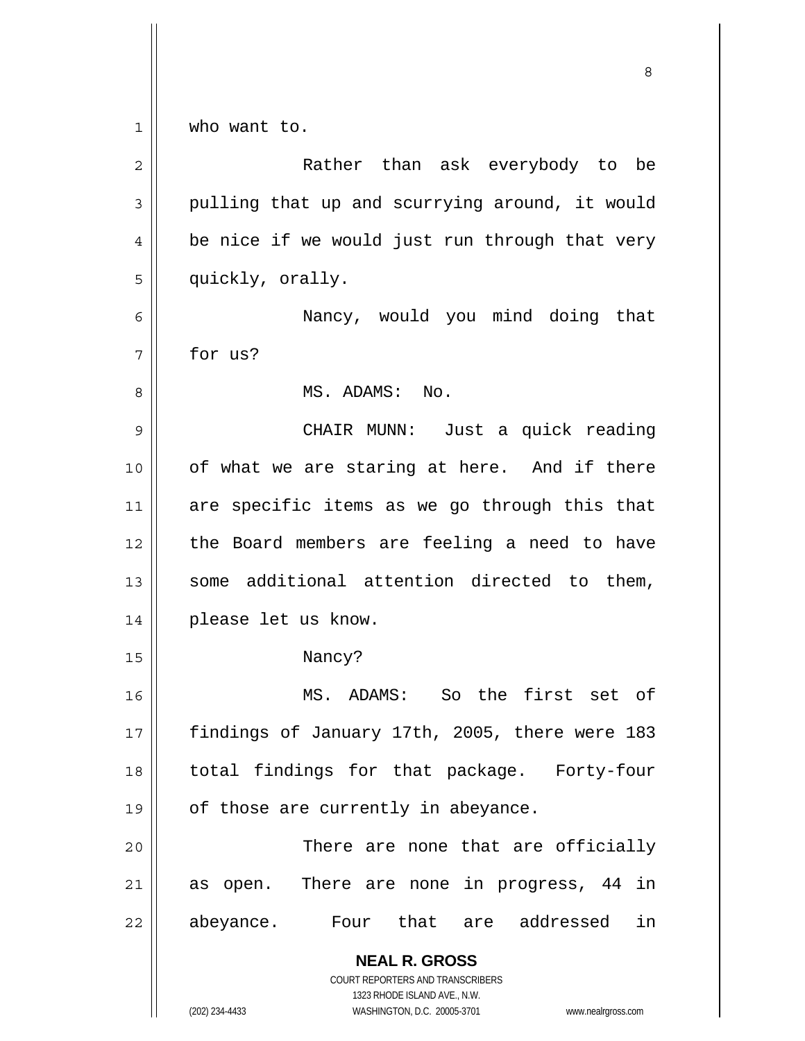$1 \parallel$  who want to.

| $\overline{2}$ | Rather than ask everybody to be                                                                                                                                 |
|----------------|-----------------------------------------------------------------------------------------------------------------------------------------------------------------|
| 3              | pulling that up and scurrying around, it would                                                                                                                  |
| $\overline{4}$ | be nice if we would just run through that very                                                                                                                  |
| 5              | quickly, orally.                                                                                                                                                |
| 6              | Nancy, would you mind doing that                                                                                                                                |
| 7              | for us?                                                                                                                                                         |
| 8              | MS. ADAMS: No.                                                                                                                                                  |
| 9              | CHAIR MUNN: Just a quick reading                                                                                                                                |
| 10             | of what we are staring at here. And if there                                                                                                                    |
| 11             | are specific items as we go through this that                                                                                                                   |
| 12             | the Board members are feeling a need to have                                                                                                                    |
| 13             | some additional attention directed to them,                                                                                                                     |
| 14             | please let us know.                                                                                                                                             |
| 15             | Nancy?                                                                                                                                                          |
| 16             | So the first set of<br>MS. ADAMS:                                                                                                                               |
| 17             | findings of January 17th, 2005, there were 183                                                                                                                  |
| 18             | total findings for that package. Forty-four                                                                                                                     |
| 19             | of those are currently in abeyance.                                                                                                                             |
| 20             | There are none that are officially                                                                                                                              |
| 21             | as open. There are none in progress, 44 in                                                                                                                      |
| 22             | Four that are addressed<br>in<br>abeyance.                                                                                                                      |
|                | <b>NEAL R. GROSS</b><br>COURT REPORTERS AND TRANSCRIBERS<br>1323 RHODE ISLAND AVE., N.W.<br>(202) 234-4433<br>WASHINGTON, D.C. 20005-3701<br>www.nealrgross.com |

<u>83 - Santa Carlos de Santa Carlos de Santa Carlos de Santa Carlos de Santa Carlos de Santa Carlos de Santa Ca</u>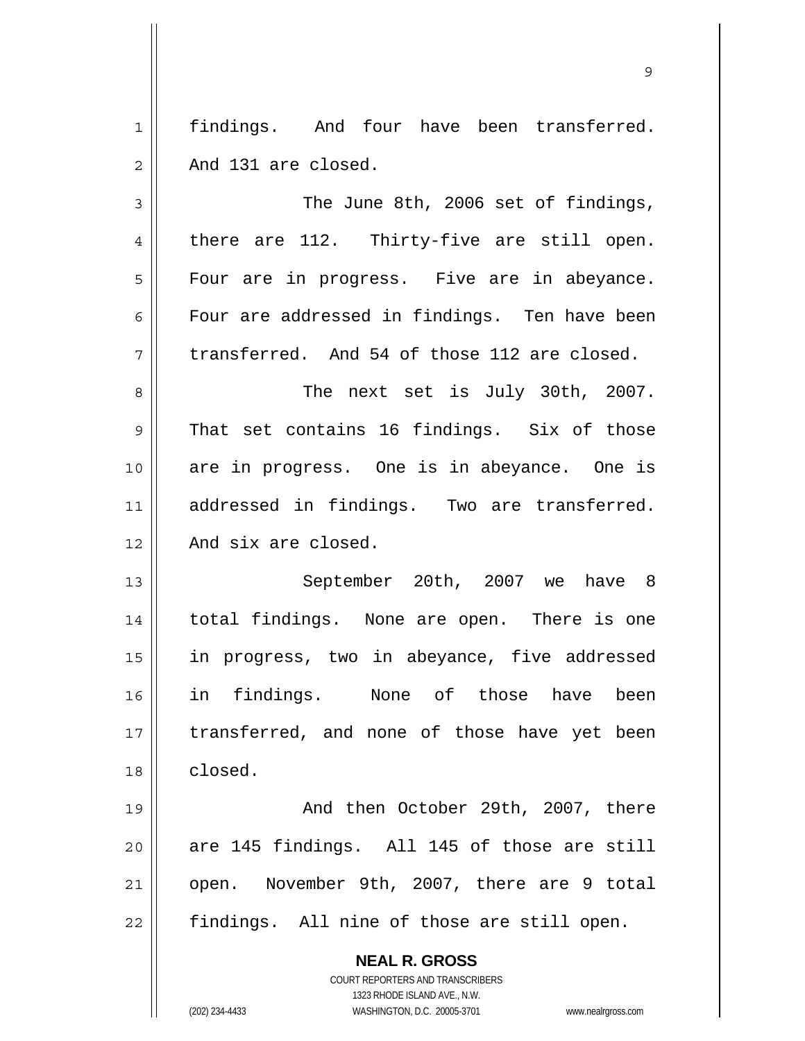1 || findings. And four have been transferred.  $2 \parallel$  And 131 are closed.

9

3 || The June 8th, 2006 set of findings, 4 || there are 112. Thirty-five are still open. 5 || Four are in progress. Five are in abeyance. 6 Four are addressed in findings. Ten have been  $7 \parallel$  transferred. And 54 of those 112 are closed. 8 || The next set is July 30th, 2007.  $9 \parallel$  That set contains 16 findings. Six of those 10 are in progress. One is in abeyance. One is 11 || addressed in findings. Two are transferred. 12 And six are closed. 13 || September 20th, 2007 we have 8 14 total findings. None are open. There is one 15 in progress, two in abeyance, five addressed 16 in findings. None of those have been

17 || transferred, and none of those have yet been 18 closed.

And then October 29th, 2007, there || are 145 findings. All 145 of those are still 21 || open. November 9th, 2007, there are 9 total || findings. All nine of those are still open.

> **NEAL R. GROSS** COURT REPORTERS AND TRANSCRIBERS 1323 RHODE ISLAND AVE., N.W. (202) 234-4433 WASHINGTON, D.C. 20005-3701 www.nealrgross.com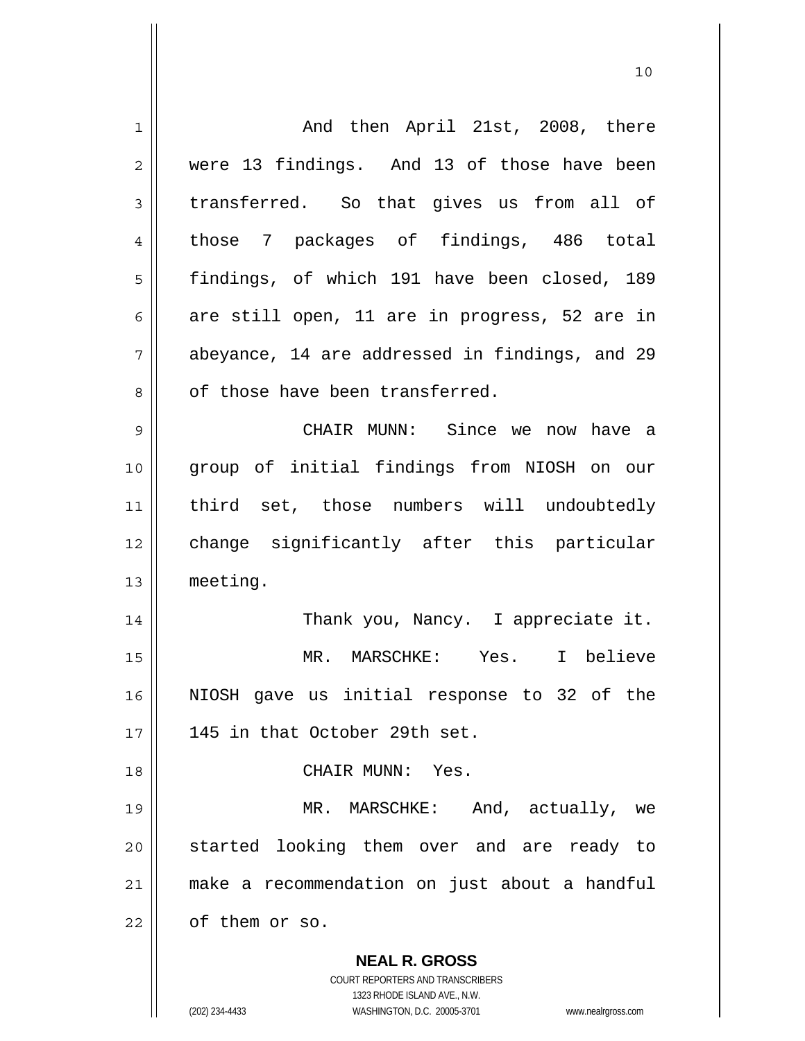| $\mathbf 1$ | And then April 21st, 2008, there                         |
|-------------|----------------------------------------------------------|
| 2           | were 13 findings. And 13 of those have been              |
| 3           | transferred. So that gives us from all of                |
| 4           | those 7 packages of findings, 486 total                  |
| 5           | findings, of which 191 have been closed, 189             |
| 6           | are still open, 11 are in progress, 52 are in            |
| 7           | abeyance, 14 are addressed in findings, and 29           |
| 8           | of those have been transferred.                          |
| 9           | CHAIR MUNN: Since we now have a                          |
| 10          | group of initial findings from NIOSH on our              |
| 11          | third set, those numbers will undoubtedly                |
| 12          | change significantly after this particular               |
| 13          | meeting.                                                 |
| 14          | Thank you, Nancy. I appreciate it.                       |
| 15          | MR. MARSCHKE: Yes. I believe                             |
| 16          | NIOSH gave us initial response to 32 of the              |
| 17          | 145 in that October 29th set.                            |
| 18          | CHAIR MUNN: Yes.                                         |
| 19          | MR. MARSCHKE: And, actually, we                          |
| 20          | started looking them over and are ready to               |
| 21          | make a recommendation on just about a handful            |
| 22          | of them or so.                                           |
|             | <b>NEAL R. GROSS</b><br>COURT REPORTERS AND TRANSCRIBERS |

1323 RHODE ISLAND AVE., N.W.

 $\prod$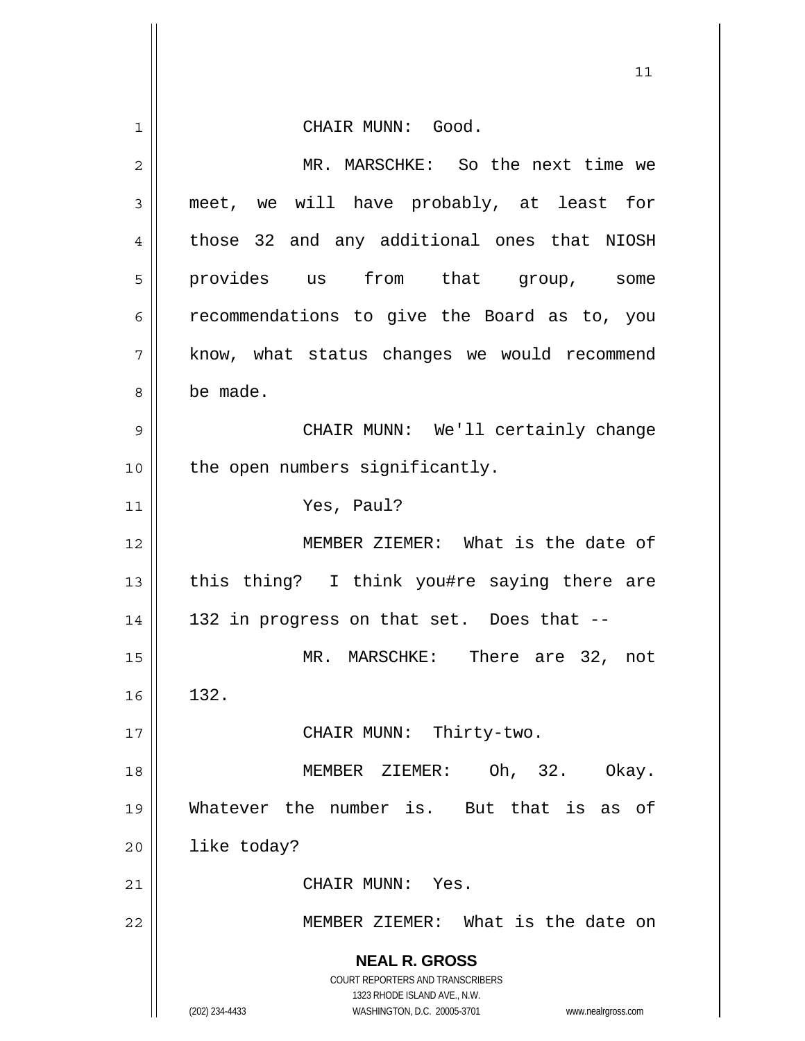|                | 11                                                                                              |
|----------------|-------------------------------------------------------------------------------------------------|
| 1              | CHAIR MUNN: Good.                                                                               |
| $\overline{2}$ | MR. MARSCHKE: So the next time we                                                               |
| 3              | meet, we will have probably, at least for                                                       |
| 4              | those 32 and any additional ones that NIOSH                                                     |
|                |                                                                                                 |
| 5              | provides us from that group, some                                                               |
| 6              | recommendations to give the Board as to, you                                                    |
| 7              | know, what status changes we would recommend                                                    |
| 8              | be made.                                                                                        |
| 9              | CHAIR MUNN: We'll certainly change                                                              |
| 10             | the open numbers significantly.                                                                 |
| 11             | Yes, Paul?                                                                                      |
| 12             | MEMBER ZIEMER: What is the date of                                                              |
| 13             | this thing? I think you#re saying there are                                                     |
| 14             | 132 in progress on that set. Does that --                                                       |
| 15             | MR. MARSCHKE: There are 32, not                                                                 |
| 16             | 132.                                                                                            |
| 17             | CHAIR MUNN: Thirty-two.                                                                         |
|                |                                                                                                 |
| 18             | MEMBER ZIEMER: Oh, 32. Okay.                                                                    |
| 19             | Whatever the number is. But that is as of                                                       |
| 20             | like today?                                                                                     |
| 21             | CHAIR MUNN: Yes.                                                                                |
| 22             | MEMBER ZIEMER: What is the date on                                                              |
|                | <b>NEAL R. GROSS</b><br><b>COURT REPORTERS AND TRANSCRIBERS</b><br>1323 RHODE ISLAND AVE., N.W. |
|                | (202) 234-4433<br>WASHINGTON, D.C. 20005-3701<br>www.nealrgross.com                             |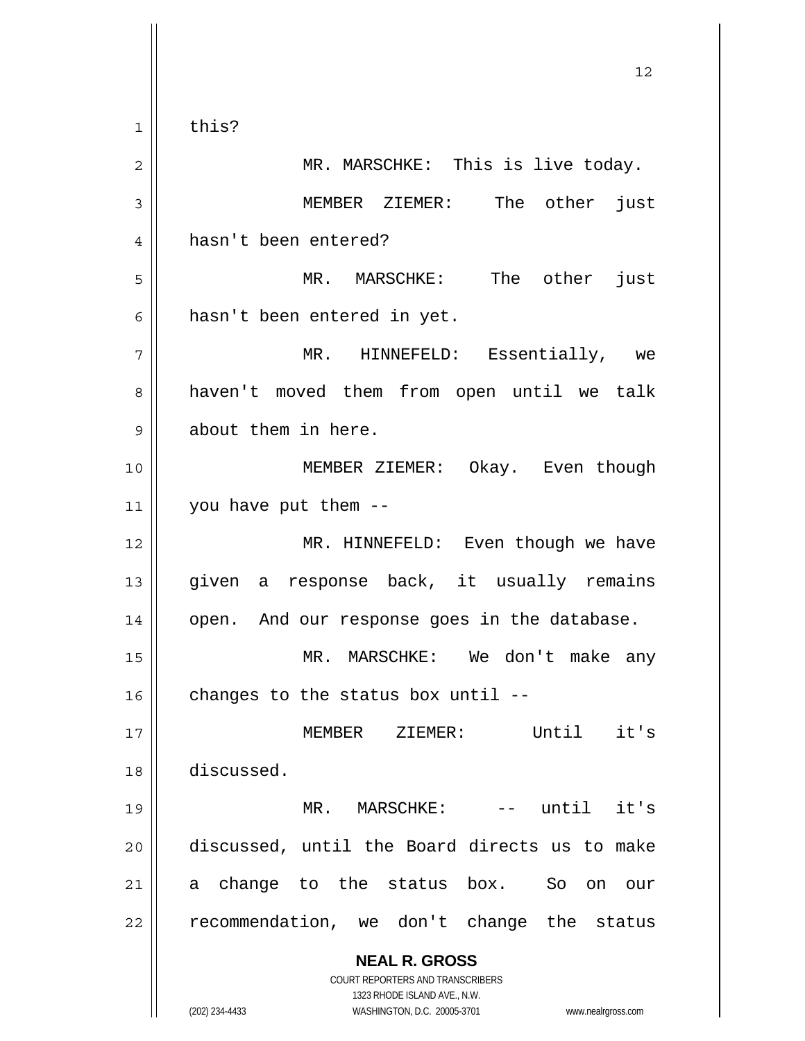**NEAL R. GROSS** COURT REPORTERS AND TRANSCRIBERS 1323 RHODE ISLAND AVE., N.W.  $1 \parallel$  this? 2 MR. MARSCHKE: This is live today. 3 MEMBER ZIEMER: The other just 4 hasn't been entered? 5 MR. MARSCHKE: The other just  $6 \parallel$  hasn't been entered in yet. 7 MR. HINNEFELD: Essentially, we 8 || haven't moved them from open until we talk 9 about them in here. 10 MEMBER ZIEMER: Okay. Even though 11 | you have put them  $-$ 12 MR. HINNEFELD: Even though we have 13 given a response back, it usually remains 14 | open. And our response goes in the database. 15 MR. MARSCHKE: We don't make any  $16$  changes to the status box until --17 MEMBER ZIEMER: Until it's 18 discussed. 19 MR. MARSCHKE: -- until it's 20 discussed, until the Board directs us to make 21 a change to the status box. So on our  $22$  | recommendation, we don't change the status

12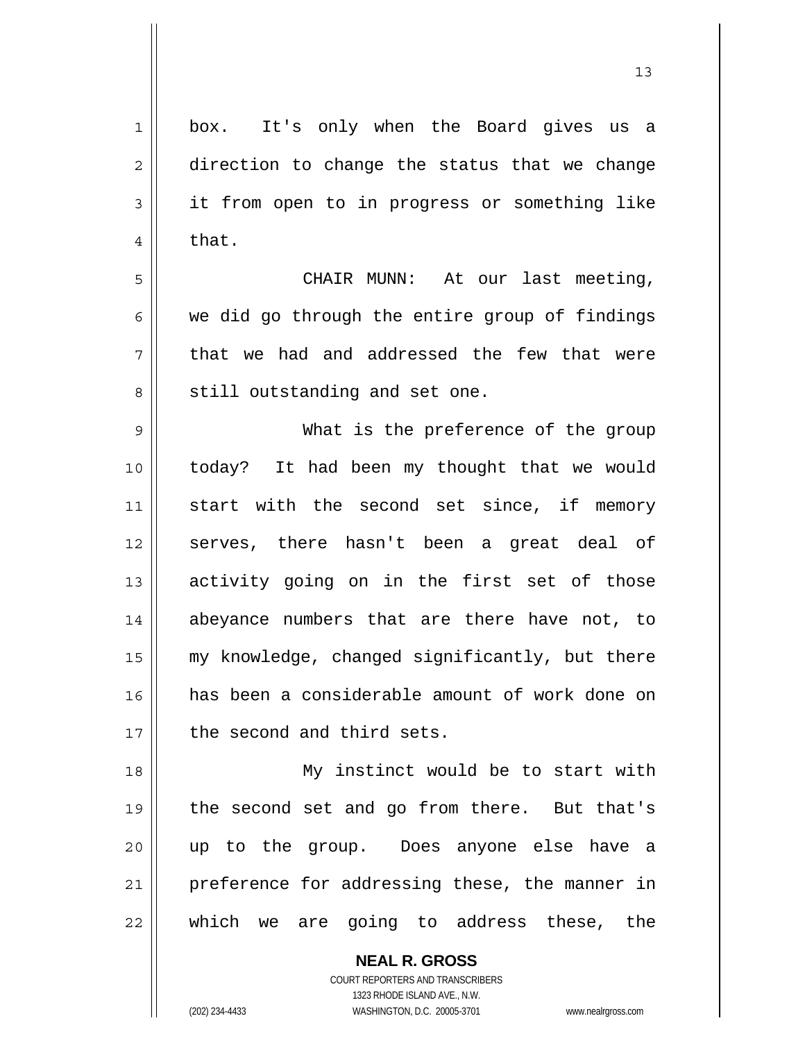| 1           | box. It's only when the Board gives us a       |
|-------------|------------------------------------------------|
| 2           | direction to change the status that we change  |
| 3           | it from open to in progress or something like  |
| 4           | that.                                          |
| 5           | CHAIR MUNN: At our last meeting,               |
| 6           | we did go through the entire group of findings |
| 7           | that we had and addressed the few that were    |
| 8           | still outstanding and set one.                 |
| $\mathsf 9$ | What is the preference of the group            |
| 10          | today? It had been my thought that we would    |
| 11          | start with the second set since, if memory     |
| 12          | serves, there hasn't been a great deal of      |
| 13          | activity going on in the first set of those    |
| 14          | abeyance numbers that are there have not, to   |
| 15          | my knowledge, changed significantly, but there |
| 16          | has been a considerable amount of work done on |
| 17          | the second and third sets.                     |
| 18          | My instinct would be to start with             |
| 19          | the second set and go from there. But that's   |
| 20          | up to the group. Does anyone else have a       |
| 21          | preference for addressing these, the manner in |
| 22          | which we are going to address these, the       |
|             |                                                |

 COURT REPORTERS AND TRANSCRIBERS 1323 RHODE ISLAND AVE., N.W. (202) 234-4433 WASHINGTON, D.C. 20005-3701 www.nealrgross.com

 **NEAL R. GROSS**

 $\mathsf{I}$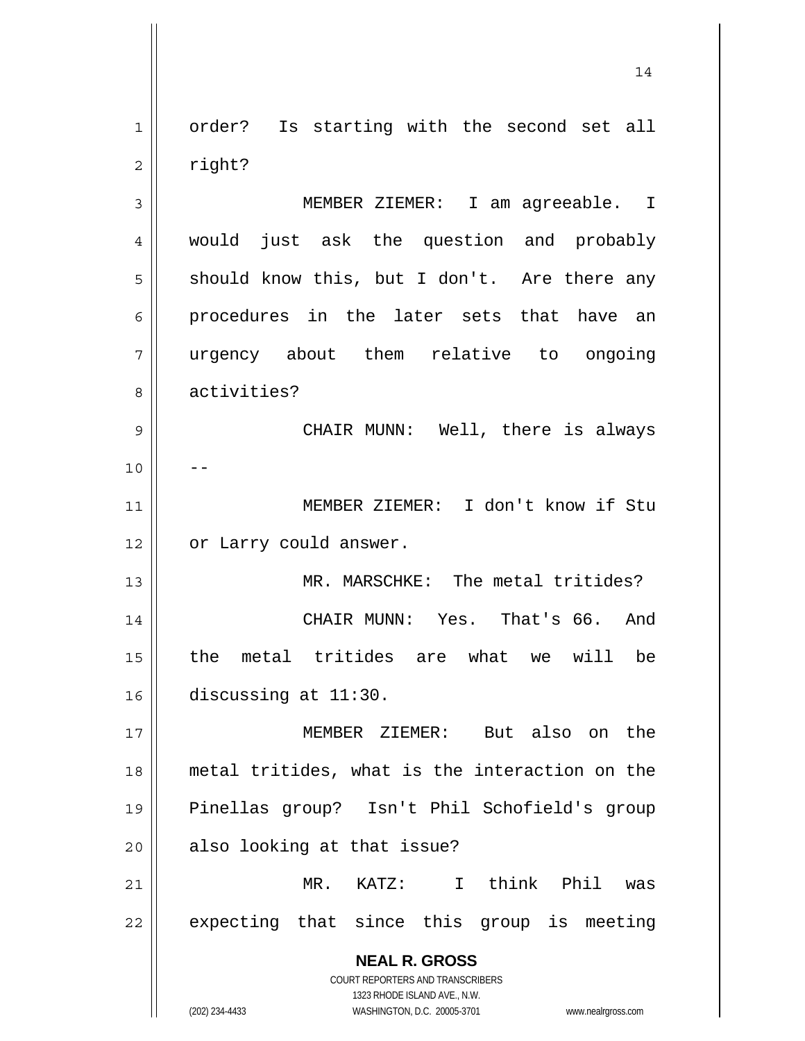1 || order? Is starting with the second set all 2 right?

3 MEMBER ZIEMER: I am agreeable. I 4 || would just ask the question and probably  $5 \parallel$  should know this, but I don't. Are there any 6 procedures in the later sets that have an 7 urgency about them relative to ongoing 8 activities? 9 CHAIR MUNN: Well, there is always  $10$  ||  $-$ 11 MEMBER ZIEMER: I don't know if Stu 12 | or Larry could answer. 13 MR. MARSCHKE: The metal tritides? 14 CHAIR MUNN: Yes. That's 66. And 15 the metal tritides are what we will be 16 discussing at 11:30.

MEMBER ZIEMER: But also on the metal tritides, what is the interaction on the Pinellas group? Isn't Phil Schofield's group 20 also looking at that issue? MR. KATZ: I think Phil was

 $22$  || expecting that since this group is meeting

 **NEAL R. GROSS**

 COURT REPORTERS AND TRANSCRIBERS 1323 RHODE ISLAND AVE., N.W.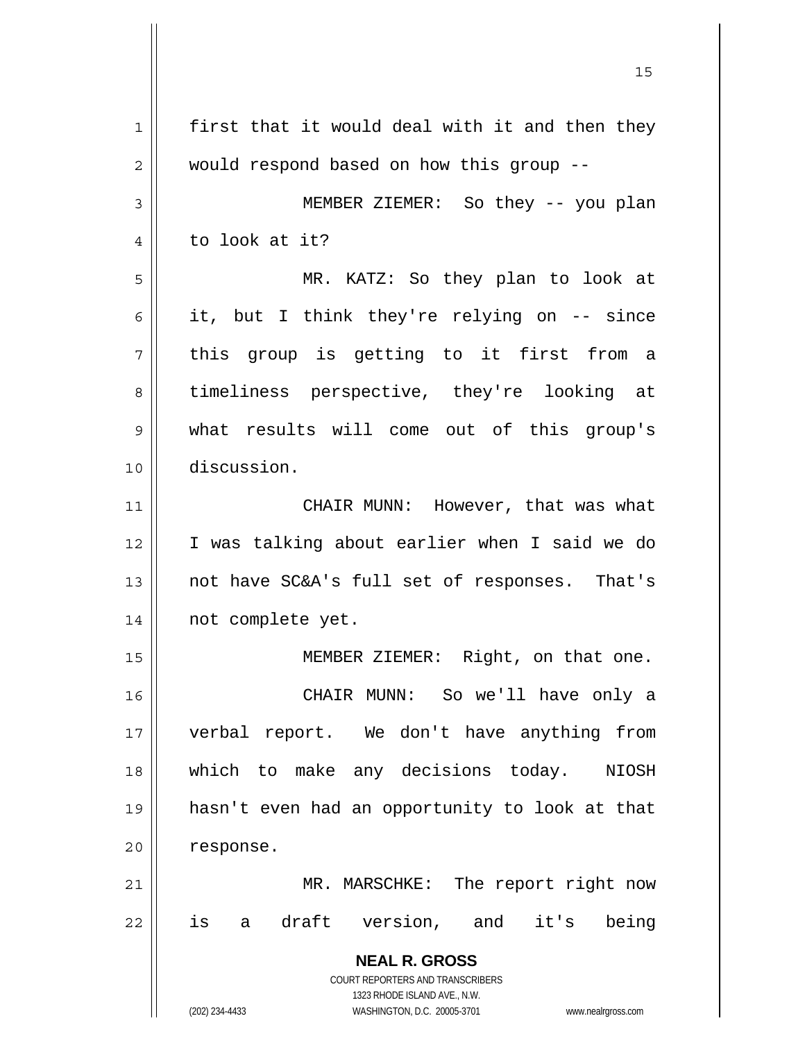**NEAL R. GROSS** COURT REPORTERS AND TRANSCRIBERS 1323 RHODE ISLAND AVE., N.W. (202) 234-4433 WASHINGTON, D.C. 20005-3701 www.nealrgross.com  $1 \parallel$  first that it would deal with it and then they 2 | would respond based on how this group --3 MEMBER ZIEMER: So they -- you plan 4 || to look at it? 5 MR. KATZ: So they plan to look at  $6 \parallel$  it, but I think they're relying on -- since  $7 \parallel$  this group is getting to it first from a 8 timeliness perspective, they're looking at 9 what results will come out of this group's 10 discussion. 11 CHAIR MUNN: However, that was what 12 I was talking about earlier when I said we do 13 || not have SC&A's full set of responses. That's 14 not complete yet. 15 || MEMBER ZIEMER: Right, on that one. 16 CHAIR MUNN: So we'll have only a 17 verbal report. We don't have anything from 18 which to make any decisions today. NIOSH 19 hasn't even had an opportunity to look at that 20 | response. 21 || MR. MARSCHKE: The report right now 22 || is a draft version, and it's being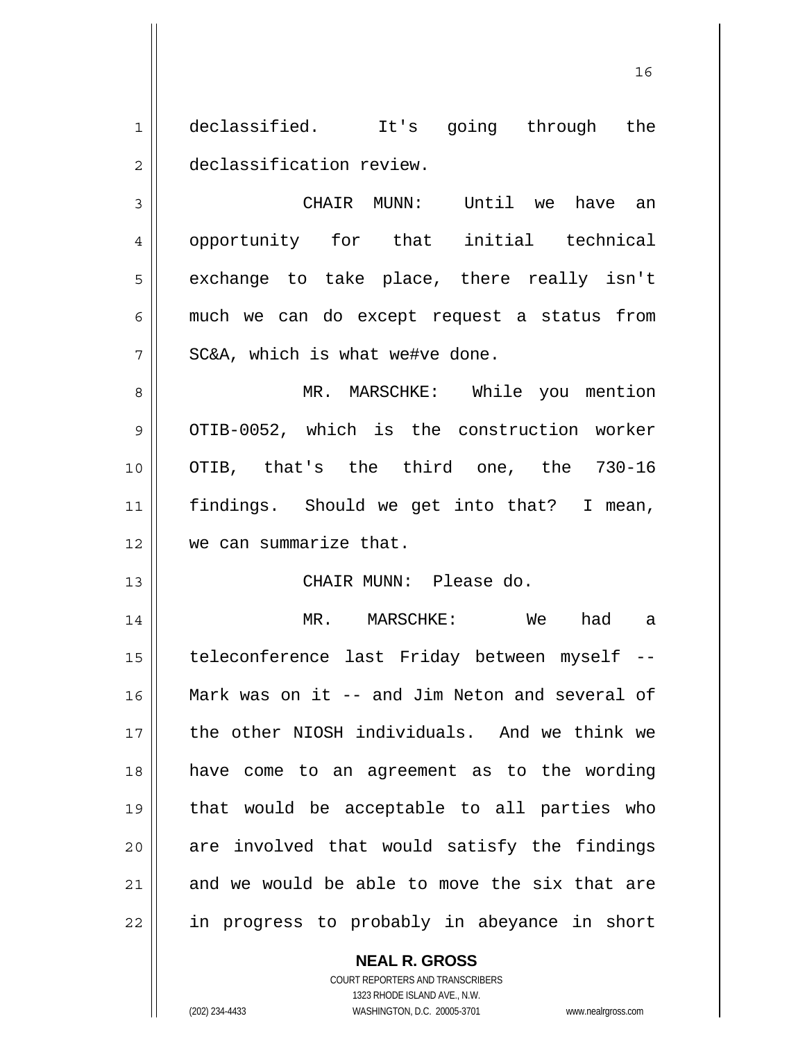1 declassified. It's going through the declassification review.

CHAIR MUNN: Until we have an 4 || opportunity for that initial technical 5 || exchange to take place, there really isn't much we can do except request a status from || SC&A, which is what we#ve done.

MR. MARSCHKE: While you mention  $9 \parallel$  OTIB-0052, which is the construction worker OTIB, that's the third one, the 730-16 findings. Should we get into that? I mean, we can summarize that.

CHAIR MUNN: Please do.

MR. MARSCHKE: We had a 15 || teleconference last Friday between myself --Mark was on it -- and Jim Neton and several of the other NIOSH individuals. And we think we have come to an agreement as to the wording that would be acceptable to all parties who are involved that would satisfy the findings  $\parallel$  and we would be able to move the six that are 22 || in progress to probably in abeyance in short

 **NEAL R. GROSS**

 COURT REPORTERS AND TRANSCRIBERS 1323 RHODE ISLAND AVE., N.W. (202) 234-4433 WASHINGTON, D.C. 20005-3701 www.nealrgross.com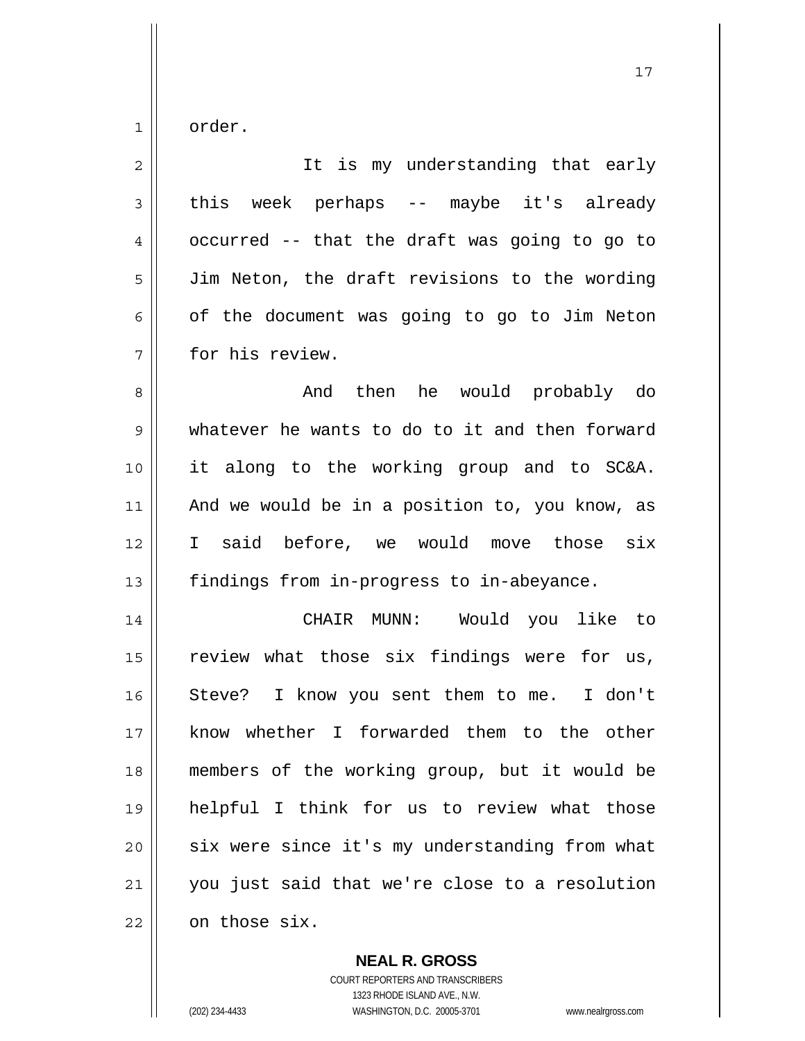$1 \parallel$  order.

| $\overline{2}$ | It is my understanding that early              |
|----------------|------------------------------------------------|
| 3              | week perhaps -- maybe it's already<br>this     |
| 4              | occurred -- that the draft was going to go to  |
| 5              | Jim Neton, the draft revisions to the wording  |
| 6              | of the document was going to go to Jim Neton   |
| 7              | for his review.                                |
| 8              | And then he would probably do                  |
| 9              | whatever he wants to do to it and then forward |
| 10             | it along to the working group and to SC&A.     |
| 11             | And we would be in a position to, you know, as |
| 12             | I said before, we would move those six         |
| 13             | findings from in-progress to in-abeyance.      |
| 14             | CHAIR MUNN: Would you like to                  |
| 15             | review what those six findings were for us,    |
| 16             | Steve? I know you sent them to me. I don't     |
| 17             | know whether I forwarded them to the other     |
| 18             | members of the working group, but it would be  |
| 19             | helpful I think for us to review what those    |
| 20             | six were since it's my understanding from what |
| 21             | you just said that we're close to a resolution |
| 22             | on those six.                                  |

 **NEAL R. GROSS** COURT REPORTERS AND TRANSCRIBERS 1323 RHODE ISLAND AVE., N.W. (202) 234-4433 WASHINGTON, D.C. 20005-3701 www.nealrgross.com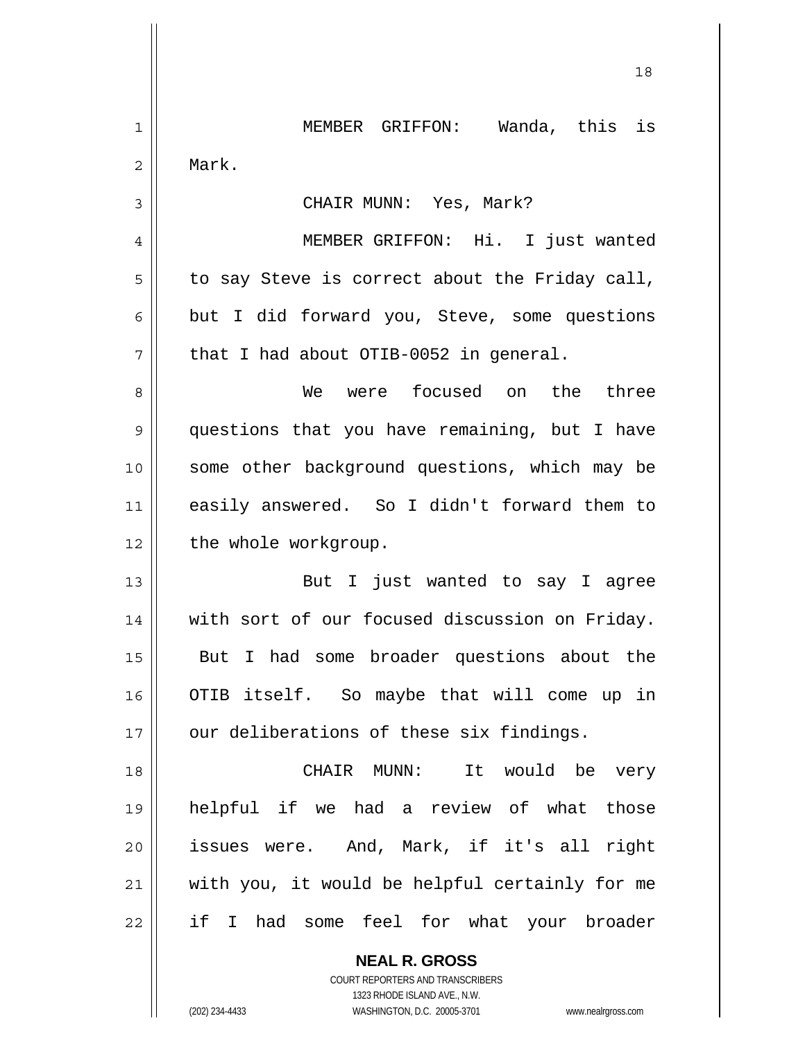| $\mathbf 1$ | MEMBER GRIFFON: Wanda, this is                 |
|-------------|------------------------------------------------|
| 2           | Mark.                                          |
| 3           | CHAIR MUNN: Yes, Mark?                         |
| 4           | MEMBER GRIFFON: Hi. I just wanted              |
| 5           | to say Steve is correct about the Friday call, |
| 6           | but I did forward you, Steve, some questions   |
| 7           | that I had about OTIB-0052 in general.         |
| 8           | We were focused on the three                   |
| 9           | questions that you have remaining, but I have  |
| 10          | some other background questions, which may be  |
| 11          | easily answered. So I didn't forward them to   |
| 12          | the whole workgroup.                           |
| 13          | But I just wanted to say I agree               |
| 14          | with sort of our focused discussion on Friday. |
| 15          | But I had some broader questions about the     |
| 16          | OTIB itself. So maybe that will come up in     |
| 17          | our deliberations of these six findings.       |
| 18          | CHAIR MUNN: It would be very                   |
| 19          | helpful if we had a review of what those       |
| 20          | issues were. And, Mark, if it's all right      |
| 21          | with you, it would be helpful certainly for me |
| 22          | if I had some feel for what your broader       |
|             | <b>NEAL R. GROSS</b>                           |

 COURT REPORTERS AND TRANSCRIBERS 1323 RHODE ISLAND AVE., N.W.

 $\mathsf{II}$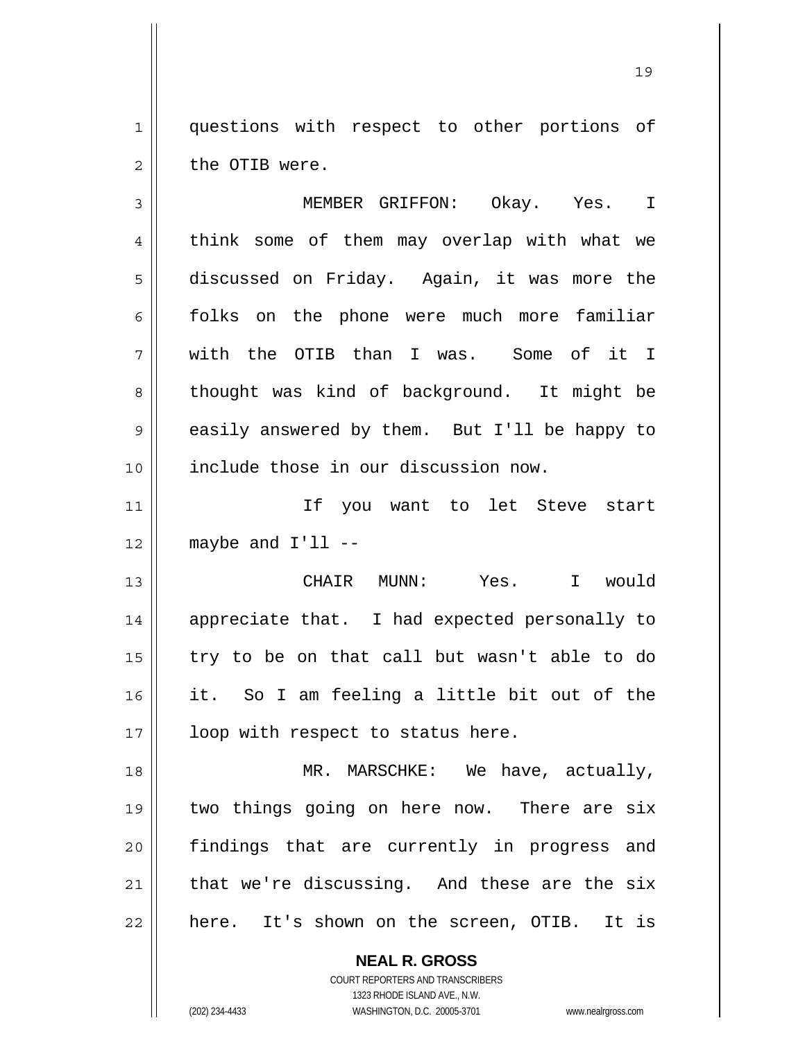1 || questions with respect to other portions of  $2 \parallel$  the OTIB were.

3 MEMBER GRIFFON: Okay. Yes. I 4 || think some of them may overlap with what we 5 discussed on Friday. Again, it was more the 6 folks on the phone were much more familiar 7 with the OTIB than I was. Some of it I 8 || thought was kind of background. It might be  $9 \parallel$  easily answered by them. But I'll be happy to 10 include those in our discussion now. 11 If you want to let Steve start 12  $\parallel$  maybe and I'll --13 CHAIR MUNN: Yes. I would 14 || appreciate that. I had expected personally to  $15$  try to be on that call but wasn't able to do 16 it. So I am feeling a little bit out of the 17 || loop with respect to status here. 18 || MR. MARSCHKE: We have, actually, 19 two things going on here now. There are six 20 || findings that are currently in progress and

22 || here. It's shown on the screen, OTIB. It is

 **NEAL R. GROSS**

21  $\parallel$  that we're discussing. And these are the six

 COURT REPORTERS AND TRANSCRIBERS 1323 RHODE ISLAND AVE., N.W. (202) 234-4433 WASHINGTON, D.C. 20005-3701 www.nealrgross.com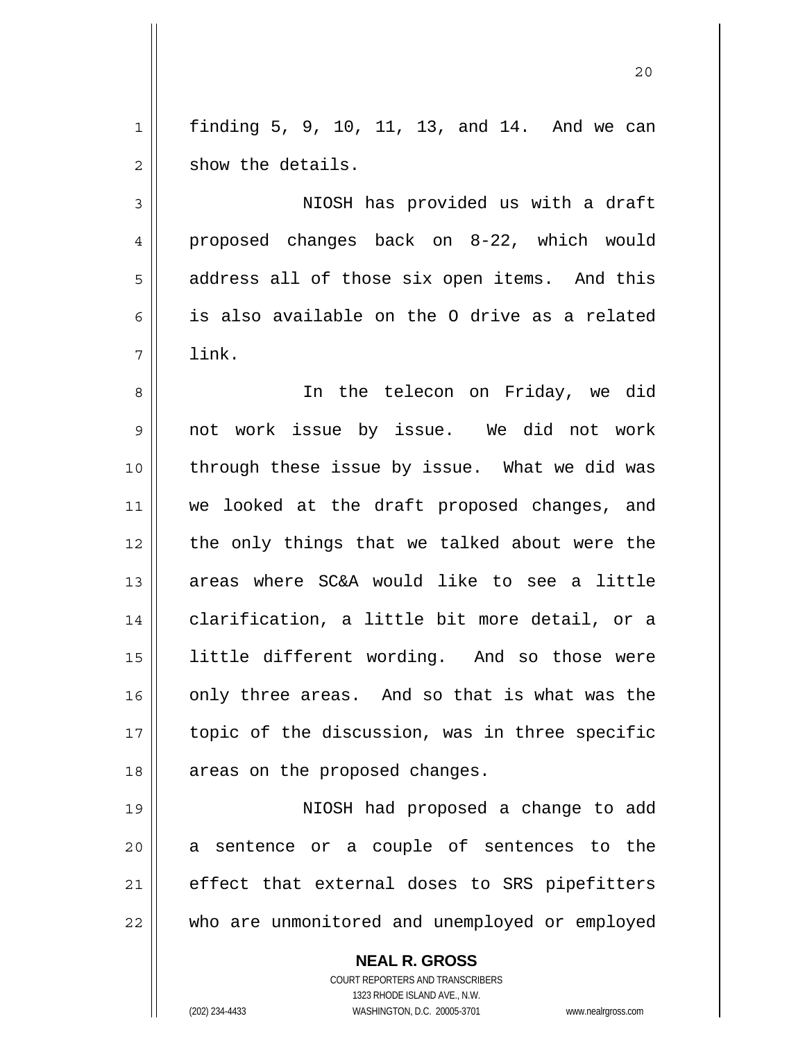1 finding 5, 9, 10, 11, 13, and 14. And we can  $2 \parallel$  show the details.

3 NIOSH has provided us with a draft 4 || proposed changes back on 8-22, which would 5 || address all of those six open items. And this 6 is also available on the O drive as a related  $7 \parallel$  link.

8 || In the telecon on Friday, we did 9 not work issue by issue. We did not work 10 through these issue by issue. What we did was 11 we looked at the draft proposed changes, and 12 || the only things that we talked about were the 13 areas where SC&A would like to see a little 14 || clarification, a little bit more detail, or a 15 little different wording. And so those were 16 || only three areas. And so that is what was the 17 || topic of the discussion, was in three specific 18 || areas on the proposed changes.

19 || NIOSH had proposed a change to add 20 || a sentence or a couple of sentences to the  $21$  || effect that external doses to SRS pipefitters 22 who are unmonitored and unemployed or employed

> **NEAL R. GROSS** COURT REPORTERS AND TRANSCRIBERS 1323 RHODE ISLAND AVE., N.W. (202) 234-4433 WASHINGTON, D.C. 20005-3701 www.nealrgross.com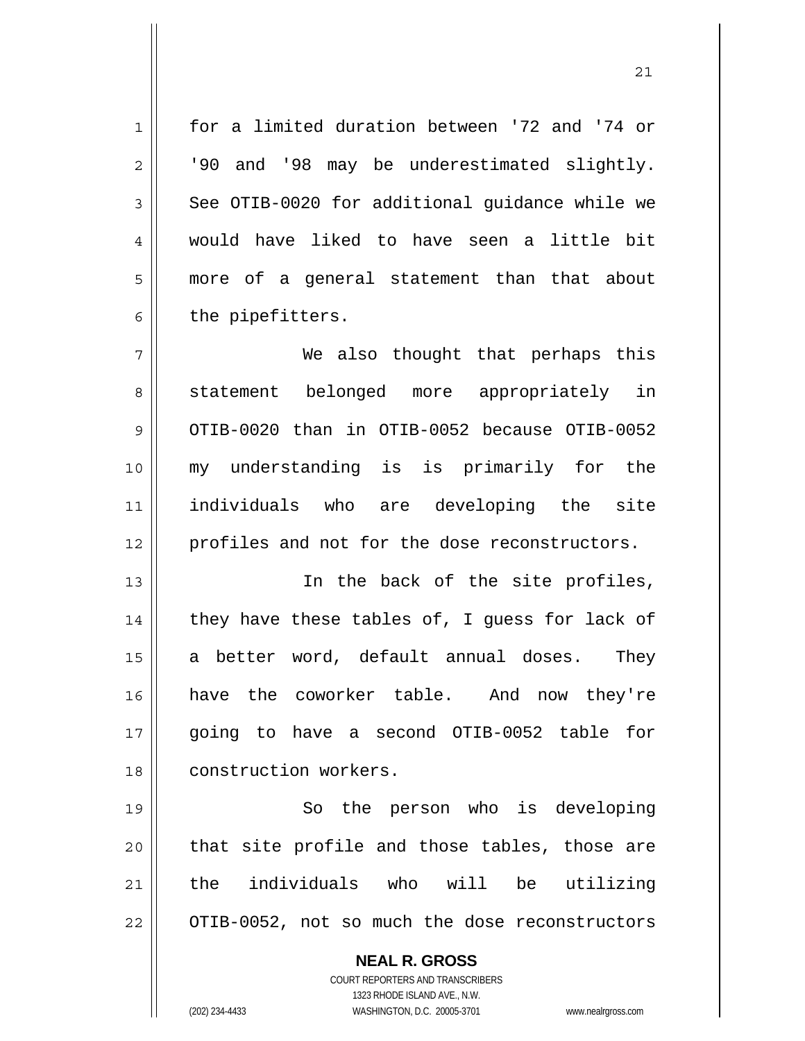for a limited duration between '72 and '74 or  $2 \parallel$  '90 and '98 may be underestimated slightly.  $3 \parallel$  See OTIB-0020 for additional quidance while we would have liked to have seen a little bit more of a general statement than that about || the pipefitters.

We also thought that perhaps this 8 || statement belonged more appropriately in OTIB-0020 than in OTIB-0052 because OTIB-0052 my understanding is is primarily for the individuals who are developing the site 12 profiles and not for the dose reconstructors.

13 || The back of the site profiles, || they have these tables of, I guess for lack of a better word, default annual doses. They have the coworker table. And now they're going to have a second OTIB-0052 table for 18 || construction workers.

19 || So the person who is developing 20 || that site profile and those tables, those are 21 the individuals who will be utilizing 22 || OTIB-0052, not so much the dose reconstructors

> **NEAL R. GROSS** COURT REPORTERS AND TRANSCRIBERS 1323 RHODE ISLAND AVE., N.W. (202) 234-4433 WASHINGTON, D.C. 20005-3701 www.nealrgross.com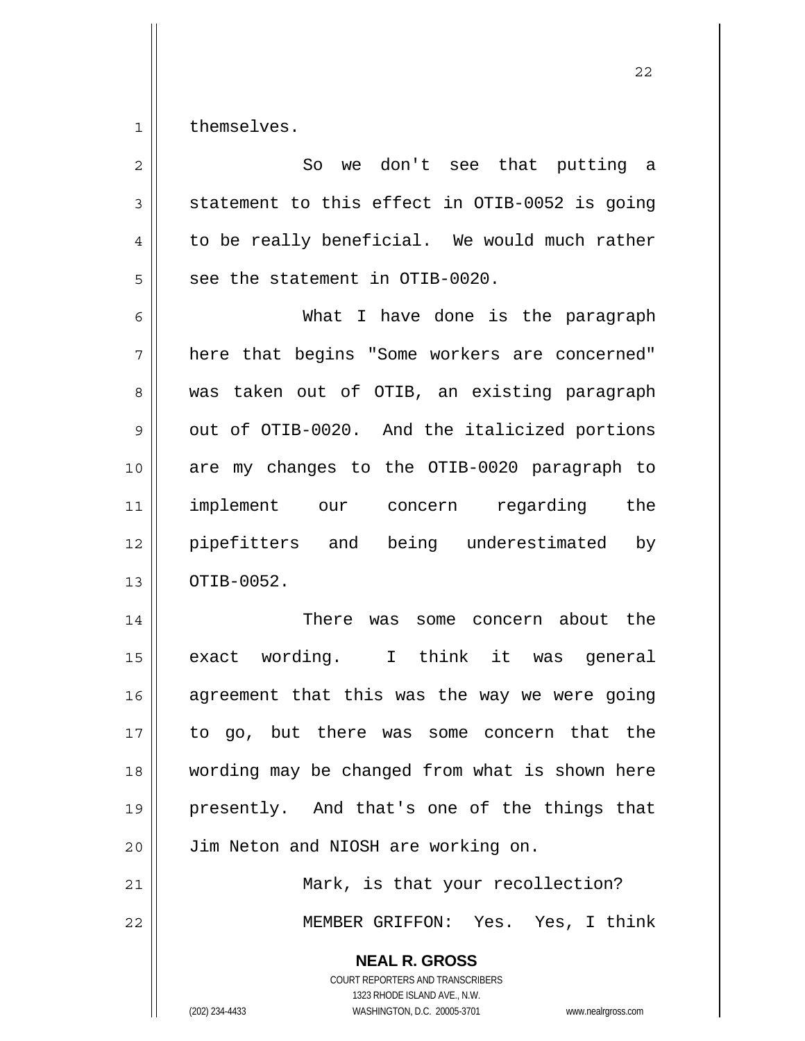themselves.

| $\overline{2}$ | we don't see that putting a<br>So                                                                                                                               |
|----------------|-----------------------------------------------------------------------------------------------------------------------------------------------------------------|
| $\mathfrak{Z}$ | statement to this effect in OTIB-0052 is going                                                                                                                  |
| 4              | to be really beneficial. We would much rather                                                                                                                   |
| 5              | see the statement in OTIB-0020.                                                                                                                                 |
| 6              | What I have done is the paragraph                                                                                                                               |
| 7              | here that begins "Some workers are concerned"                                                                                                                   |
| 8              | was taken out of OTIB, an existing paragraph                                                                                                                    |
| 9              | out of OTIB-0020. And the italicized portions                                                                                                                   |
| 10             | are my changes to the OTIB-0020 paragraph to                                                                                                                    |
| 11             | implement our concern<br>regarding the                                                                                                                          |
| 12             | pipefitters and being underestimated by                                                                                                                         |
| 13             | OTIB-0052.                                                                                                                                                      |
| 14             | There<br>was some concern about the                                                                                                                             |
| 15             | exact wording. I think it was general                                                                                                                           |
| 16             | agreement that this was the way we were going                                                                                                                   |
| 17             | to go, but there was some concern that the                                                                                                                      |
| 18             | wording may be changed from what is shown here                                                                                                                  |
| 19             | presently. And that's one of the things that                                                                                                                    |
| 20             | Jim Neton and NIOSH are working on.                                                                                                                             |
| 21             | Mark, is that your recollection?                                                                                                                                |
| 22             | MEMBER GRIFFON: Yes. Yes, I think                                                                                                                               |
|                | <b>NEAL R. GROSS</b><br>COURT REPORTERS AND TRANSCRIBERS<br>1323 RHODE ISLAND AVE., N.W.<br>(202) 234-4433<br>WASHINGTON, D.C. 20005-3701<br>www.nealrgross.com |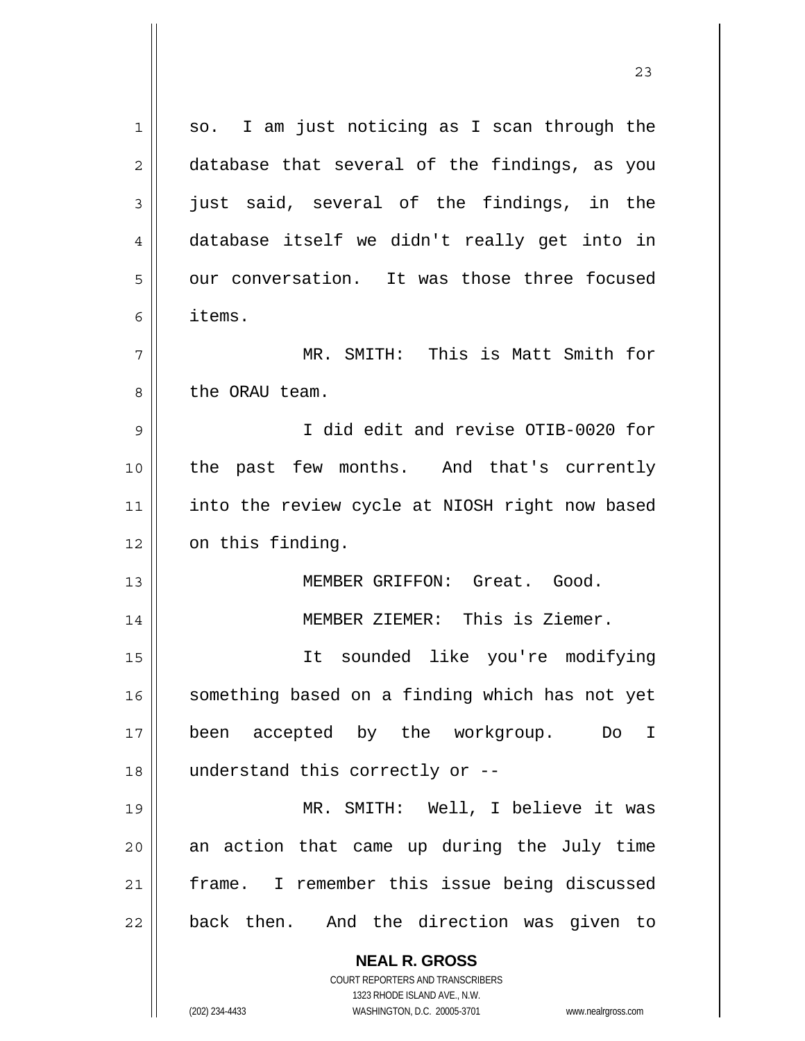| $\mathbf 1$    | so. I am just noticing as I scan through the                     |
|----------------|------------------------------------------------------------------|
| $\overline{2}$ | database that several of the findings, as you                    |
| 3              | just said, several of the findings, in the                       |
| 4              | database itself we didn't really get into in                     |
| 5              | our conversation. It was those three focused                     |
| 6              | items.                                                           |
| 7              | MR. SMITH: This is Matt Smith for                                |
| 8              | the ORAU team.                                                   |
| 9              | I did edit and revise OTIB-0020 for                              |
| 10             | past few months. And that's currently<br>the                     |
| 11             | into the review cycle at NIOSH right now based                   |
| 12             | on this finding.                                                 |
| 13             | MEMBER GRIFFON: Great. Good.                                     |
| 14             | MEMBER ZIEMER: This is Ziemer.                                   |
| 15             | It sounded like you're modifying                                 |
| 16             | something based on a finding which has not yet                   |
| 17             | been accepted by the workgroup.<br>Do<br>T.                      |
|                |                                                                  |
| 18             | understand this correctly or --                                  |
| 19             | MR. SMITH: Well, I believe it was                                |
| 20             | an action that came up during the July time                      |
| 21             | frame. I remember this issue being discussed                     |
| 22             | back then. And the direction was given to                        |
|                |                                                                  |
|                | <b>NEAL R. GROSS</b>                                             |
|                | COURT REPORTERS AND TRANSCRIBERS<br>1323 RHODE ISLAND AVE., N.W. |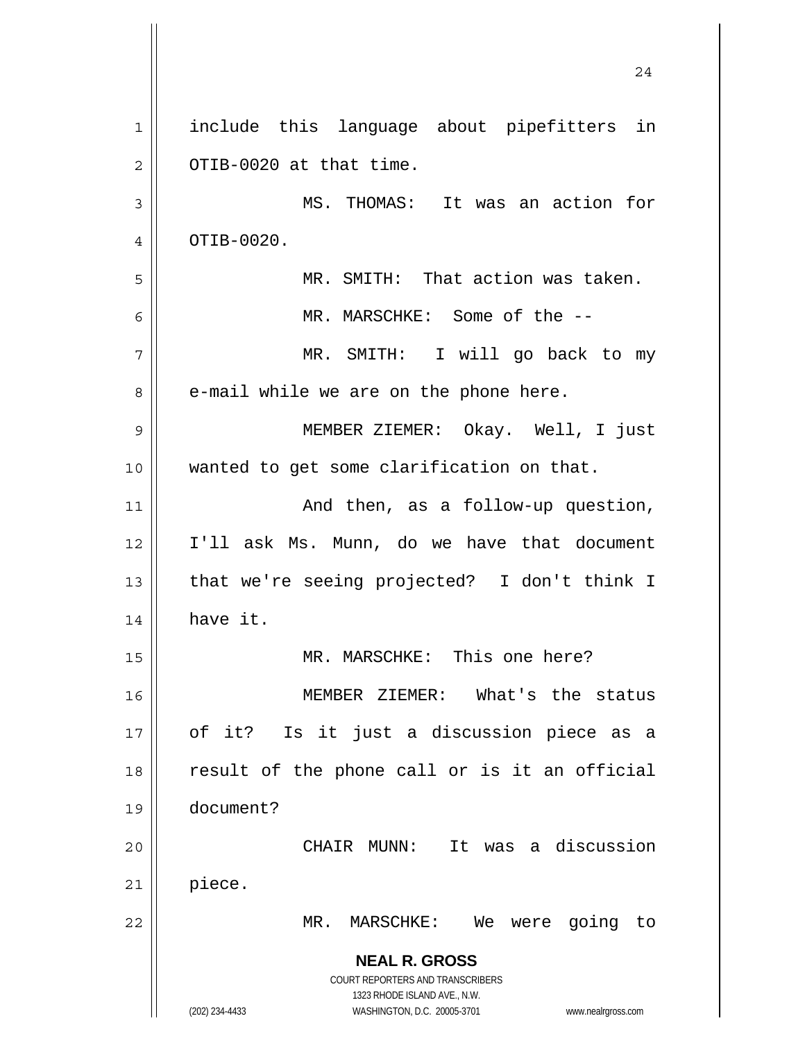|                | 24                                                                      |
|----------------|-------------------------------------------------------------------------|
|                |                                                                         |
| 1              | include this language about pipefitters in                              |
| $\overline{2}$ | OTIB-0020 at that time.                                                 |
| 3              | MS. THOMAS: It was an action for                                        |
| 4              | OTIB-0020.                                                              |
| 5              | MR. SMITH: That action was taken.                                       |
| 6              | MR. MARSCHKE: Some of the --                                            |
| 7              | MR. SMITH: I will go back to my                                         |
| 8              | e-mail while we are on the phone here.                                  |
| 9              | MEMBER ZIEMER: Okay. Well, I just                                       |
| 10             | wanted to get some clarification on that.                               |
| 11             | And then, as a follow-up question,                                      |
| 12             | I'll ask Ms. Munn, do we have that document                             |
| 13             | that we're seeing projected? I don't think I                            |
| 14             | have it.                                                                |
| 15             | MR. MARSCHKE: This one here?                                            |
| 16             | What's the status<br>MEMBER ZIEMER:                                     |
| 17             | of it?<br>Is it just a discussion piece as a                            |
| 18             | result of the phone call or is it an official                           |
| 19             | document?                                                               |
| 20             | It was a discussion<br>CHAIR MUNN:                                      |
| 21             | piece.                                                                  |
| 22             | MR.<br>MARSCHKE:<br>We<br>were going<br>to                              |
|                | <b>NEAL R. GROSS</b>                                                    |
|                | <b>COURT REPORTERS AND TRANSCRIBERS</b><br>1323 RHODE ISLAND AVE., N.W. |
|                | (202) 234-4433<br>WASHINGTON, D.C. 20005-3701<br>www.nealrgross.com     |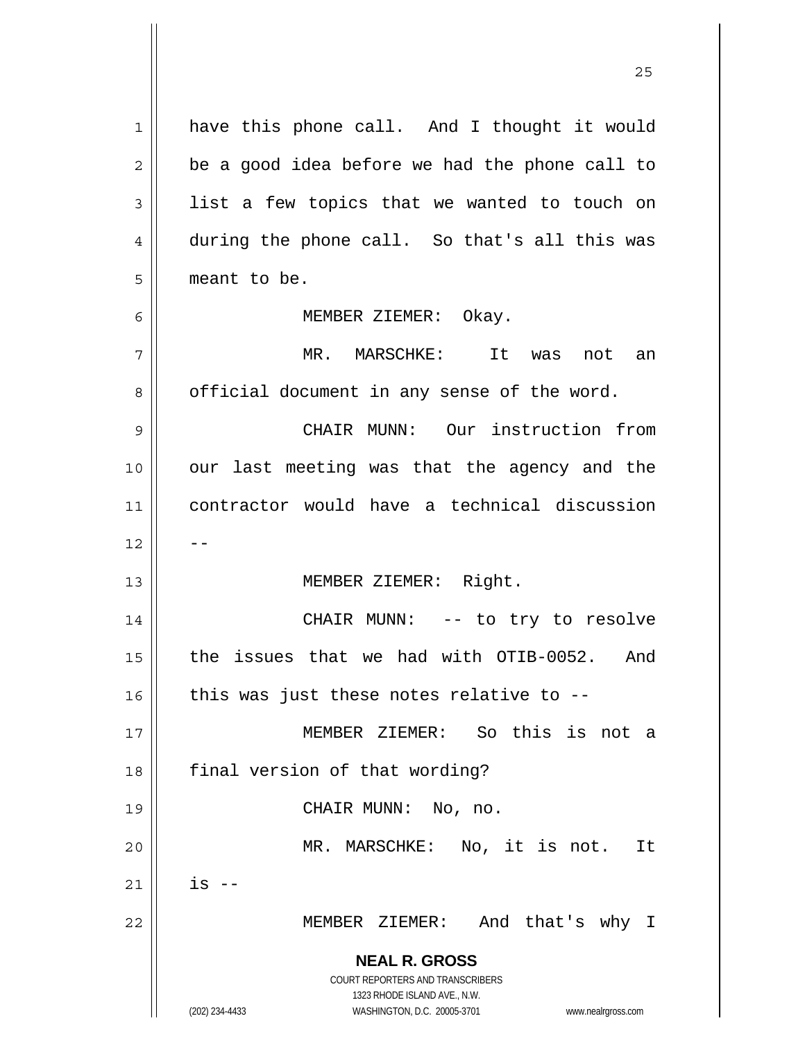**NEAL R. GROSS** COURT REPORTERS AND TRANSCRIBERS 1323 RHODE ISLAND AVE., N.W. (202) 234-4433 WASHINGTON, D.C. 20005-3701 www.nealrgross.com 1 | have this phone call. And I thought it would  $2 \parallel$  be a good idea before we had the phone call to  $3 \parallel$  list a few topics that we wanted to touch on 4 during the phone call. So that's all this was 5 | meant to be. 6 || MEMBER ZIEMER: Okay. 7 MR. MARSCHKE: It was not an 8 | official document in any sense of the word. 9 CHAIR MUNN: Our instruction from 10 our last meeting was that the agency and the 11 contractor would have a technical discussion  $12$ 13 || MEMBER ZIEMER: Right. 14 CHAIR MUNN: -- to try to resolve 15 || the issues that we had with OTIB-0052. And  $16$  | this was just these notes relative to --17 MEMBER ZIEMER: So this is not a 18 || final version of that wording? 19 || CHAIR MUNN: No, no. 20 MR. MARSCHKE: No, it is not. It  $21$  || is --22 || MEMBER ZIEMER: And that's why I

<u>25</u>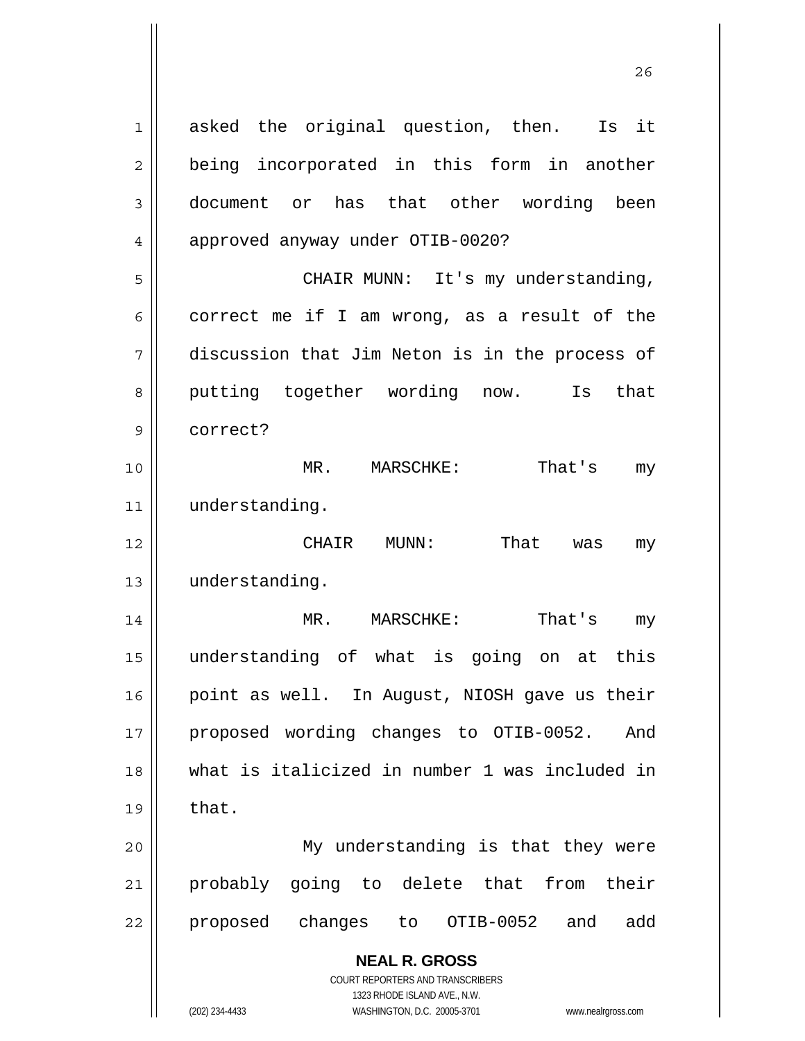**NEAL R. GROSS** COURT REPORTERS AND TRANSCRIBERS 1 asked the original question, then. Is it 2 || being incorporated in this form in another 3 document or has that other wording been 4 | approved anyway under OTIB-0020? 5 || CHAIR MUNN: It's my understanding,  $6 \parallel$  correct me if I am wrong, as a result of the 7 discussion that Jim Neton is in the process of 8 || putting together wording now. Is that 9 correct? 10 MR. MARSCHKE: That's my 11 | understanding. 12 CHAIR MUNN: That was my 13 | understanding. 14 || MR. MARSCHKE: That's my 15 understanding of what is going on at this 16 || point as well. In August, NIOSH gave us their 17 || proposed wording changes to OTIB-0052. And 18 what is italicized in number 1 was included in  $19 \parallel$  that. 20 || My understanding is that they were 21 probably going to delete that from their 22 || proposed changes to OTIB-0052 and add

<u>26</u>

1323 RHODE ISLAND AVE., N.W.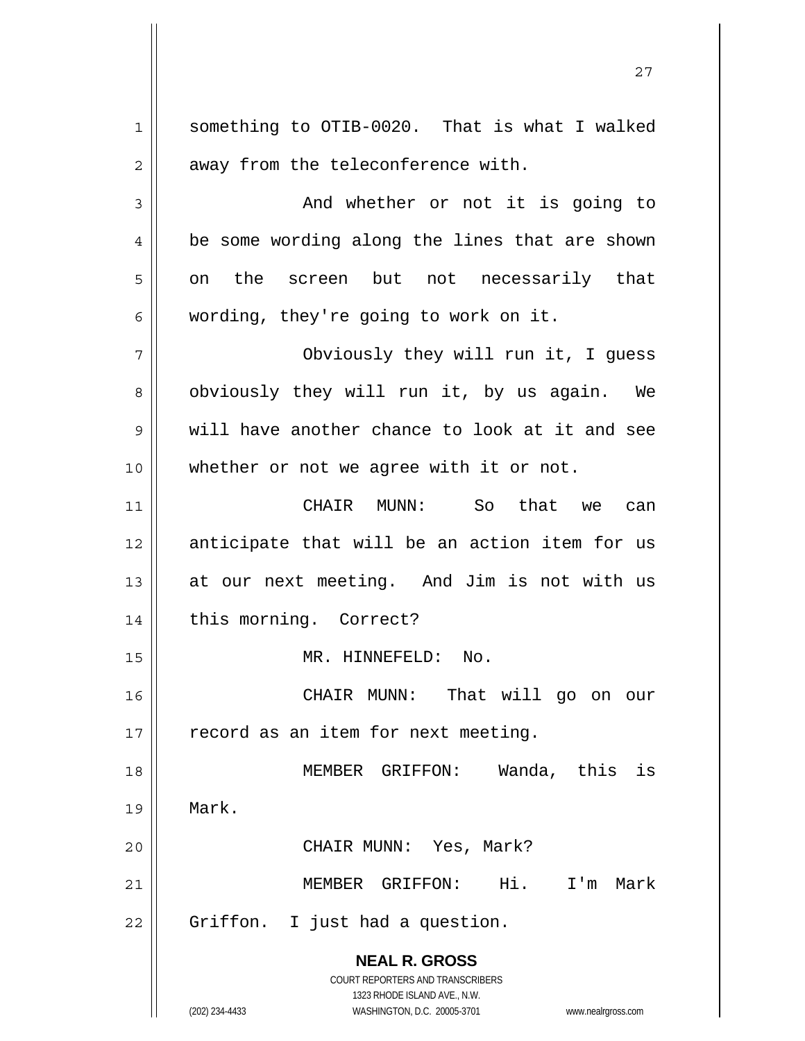**NEAL R. GROSS** COURT REPORTERS AND TRANSCRIBERS 1323 RHODE ISLAND AVE., N.W. (202) 234-4433 WASHINGTON, D.C. 20005-3701 www.nealrgross.com 1 Something to OTIB-0020. That is what I walked  $2 \parallel$  away from the teleconference with. 3 And whether or not it is going to 4 | be some wording along the lines that are shown  $5 \parallel$  on the screen but not necessarily that  $6 \parallel$  wording, they're going to work on it. 7 Obviously they will run it, I guess 8 || obviously they will run it, by us again. We  $9 \parallel$  will have another chance to look at it and see 10 || whether or not we agree with it or not. 11 CHAIR MUNN: So that we can  $12$  anticipate that will be an action item for us 13 || at our next meeting. And Jim is not with us 14 | this morning. Correct? 15 || MR. HINNEFELD: No. 16 CHAIR MUNN: That will go on our  $17$  | record as an item for next meeting. 18 MEMBER GRIFFON: Wanda, this is 19 Mark. 20 CHAIR MUNN: Yes, Mark? 21 MEMBER GRIFFON: Hi. I'm Mark  $22$  | Griffon. I just had a question.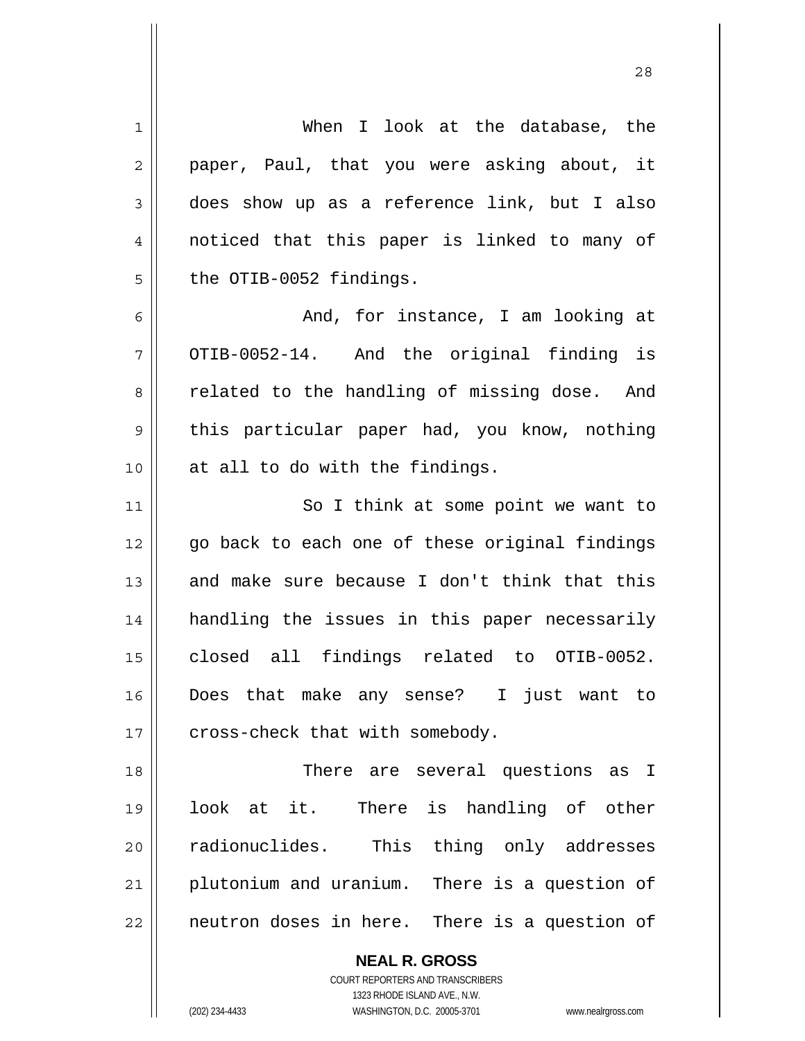**NEAL R. GROSS** COURT REPORTERS AND TRANSCRIBERS 1 When I look at the database, the 2 || paper, Paul, that you were asking about, it 3 does show up as a reference link, but I also 4 || noticed that this paper is linked to many of  $5$  | the OTIB-0052 findings. 6 And, for instance, I am looking at  $7 \parallel$  OTIB-0052-14. And the original finding is 8 || related to the handling of missing dose. And 9 || this particular paper had, you know, nothing  $10$  || at all to do with the findings. 11 || So I think at some point we want to 12 || qo back to each one of these original findings 13 and make sure because I don't think that this 14 handling the issues in this paper necessarily 15 closed all findings related to OTIB-0052. 16 Does that make any sense? I just want to  $17$  | cross-check that with somebody. 18 There are several questions as I 19 look at it. There is handling of other 20 || radionuclides. This thing only addresses 21 plutonium and uranium. There is a question of 22 || neutron doses in here. There is a question of

1323 RHODE ISLAND AVE., N.W.

(202) 234-4433 WASHINGTON, D.C. 20005-3701 www.nealrgross.com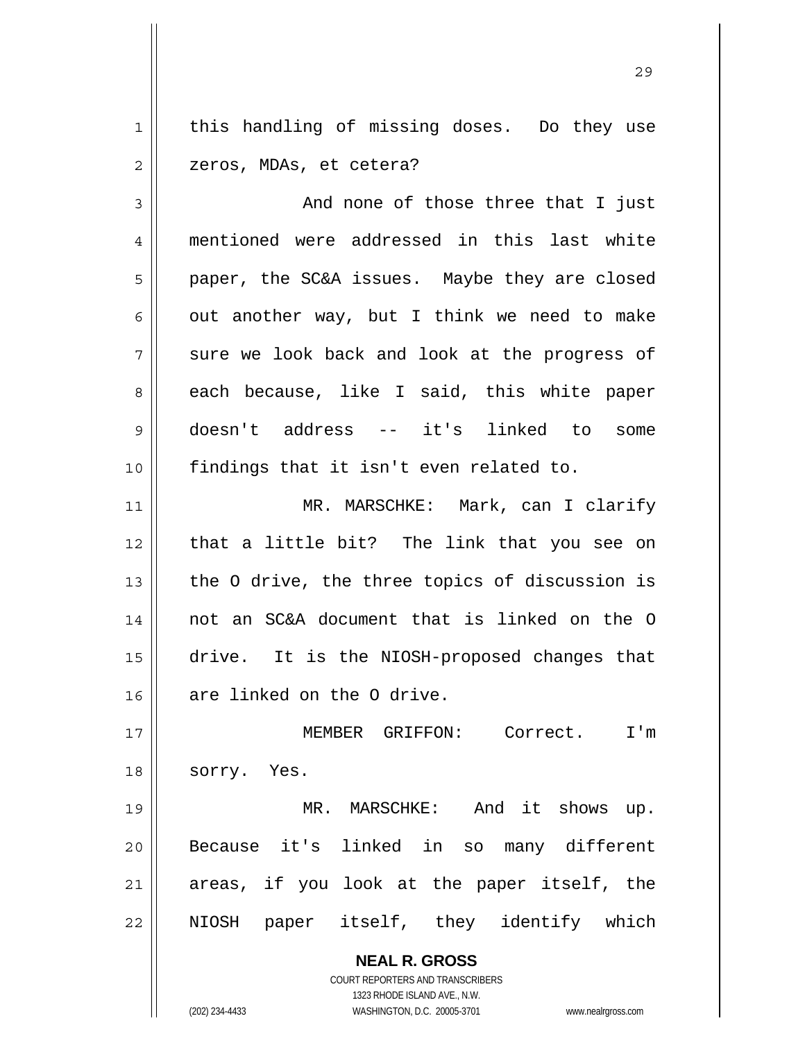1 || this handling of missing doses. Do they use 2 | zeros, MDAs, et cetera?

<u>29</u>

 **NEAL R. GROSS** 3 And none of those three that I just 4 mentioned were addressed in this last white  $5 \parallel$  paper, the SC&A issues. Maybe they are closed 6  $\vert$  out another way, but I think we need to make  $7 \parallel$  sure we look back and look at the progress of 8 each because, like I said, this white paper 9 doesn't address -- it's linked to some 10 || findings that it isn't even related to. 11 || MR. MARSCHKE: Mark, can I clarify 12 || that a little bit? The link that you see on  $13$  | the O drive, the three topics of discussion is 14 not an SC&A document that is linked on the O 15 drive. It is the NIOSH-proposed changes that 16 are linked on the 0 drive. 17 MEMBER GRIFFON: Correct. I'm 18 | sorry. Yes. 19 || MR. MARSCHKE: And it shows up. 20 || Because it's linked in so many different 21 || areas, if you look at the paper itself, the 22 || NIOSH paper itself, they identify which

1323 RHODE ISLAND AVE., N.W.

COURT REPORTERS AND TRANSCRIBERS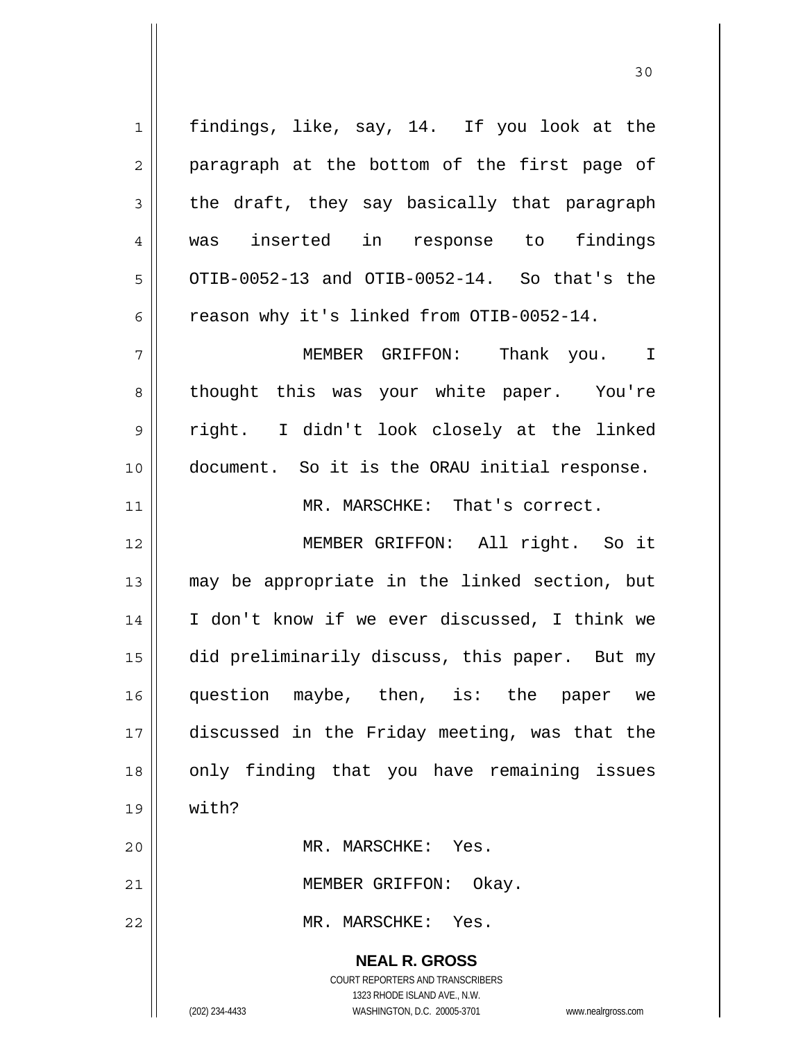**NEAL R. GROSS** COURT REPORTERS AND TRANSCRIBERS 1323 RHODE ISLAND AVE., N.W. (202) 234-4433 WASHINGTON, D.C. 20005-3701 www.nealrgross.com 1 || findings, like, say, 14. If you look at the 2 || paragraph at the bottom of the first page of  $3 \parallel$  the draft, they say basically that paragraph 4 was inserted in response to findings  $5 \parallel$  OTIB-0052-13 and OTIB-0052-14. So that's the 6  $\parallel$  reason why it's linked from OTIB-0052-14. 7 MEMBER GRIFFON: Thank you. I 8 || thought this was your white paper. You're 9 || right. I didn't look closely at the linked 10 || document. So it is the ORAU initial response. 11 || MR. MARSCHKE: That's correct. 12 MEMBER GRIFFON: All right. So it 13 may be appropriate in the linked section, but 14 I don't know if we ever discussed, I think we 15 did preliminarily discuss, this paper. But my 16 question maybe, then, is: the paper we 17 discussed in the Friday meeting, was that the 18 || only finding that you have remaining issues  $19 \parallel$  with? 20 MR. MARSCHKE: Yes. 21 || MEMBER GRIFFON: Okay. 22 MR. MARSCHKE: Yes.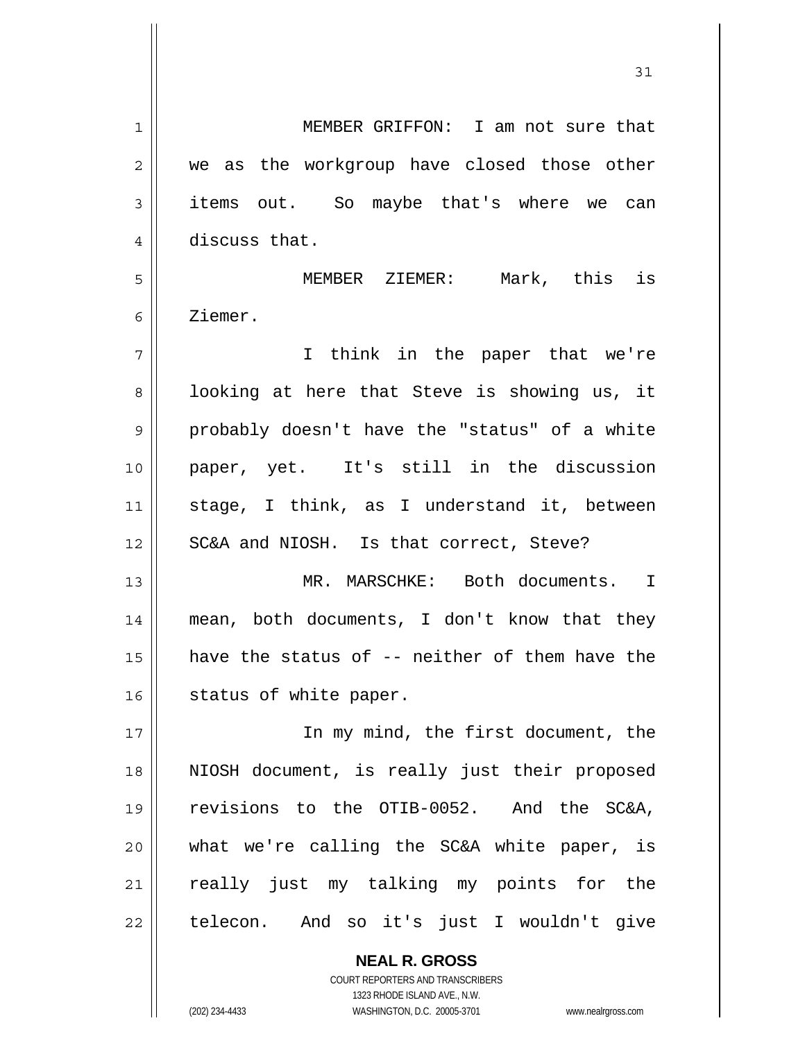1 MEMBER GRIFFON: I am not sure that 2 we as the workgroup have closed those other 3 items out. So maybe that's where we can 4 discuss that. 5 MEMBER ZIEMER: Mark, this is 6 Ziemer. 7 I think in the paper that we're 8 || looking at here that Steve is showing us, it 9 probably doesn't have the "status" of a white 10 paper, yet. It's still in the discussion 11 stage, I think, as I understand it, between 12 || SC&A and NIOSH. Is that correct, Steve? 13 MR. MARSCHKE: Both documents. I 14 mean, both documents, I don't know that they 15  $\parallel$  have the status of -- neither of them have the 16 | status of white paper. 17 || The my mind, the first document, the 18 NIOSH document, is really just their proposed 19 revisions to the OTIB-0052. And the SC&A, 20 what we're calling the SC&A white paper, is 21 || really just my talking my points for the 22 || telecon. And so it's just I wouldn't give

31

 COURT REPORTERS AND TRANSCRIBERS 1323 RHODE ISLAND AVE., N.W. (202) 234-4433 WASHINGTON, D.C. 20005-3701 www.nealrgross.com

 **NEAL R. GROSS**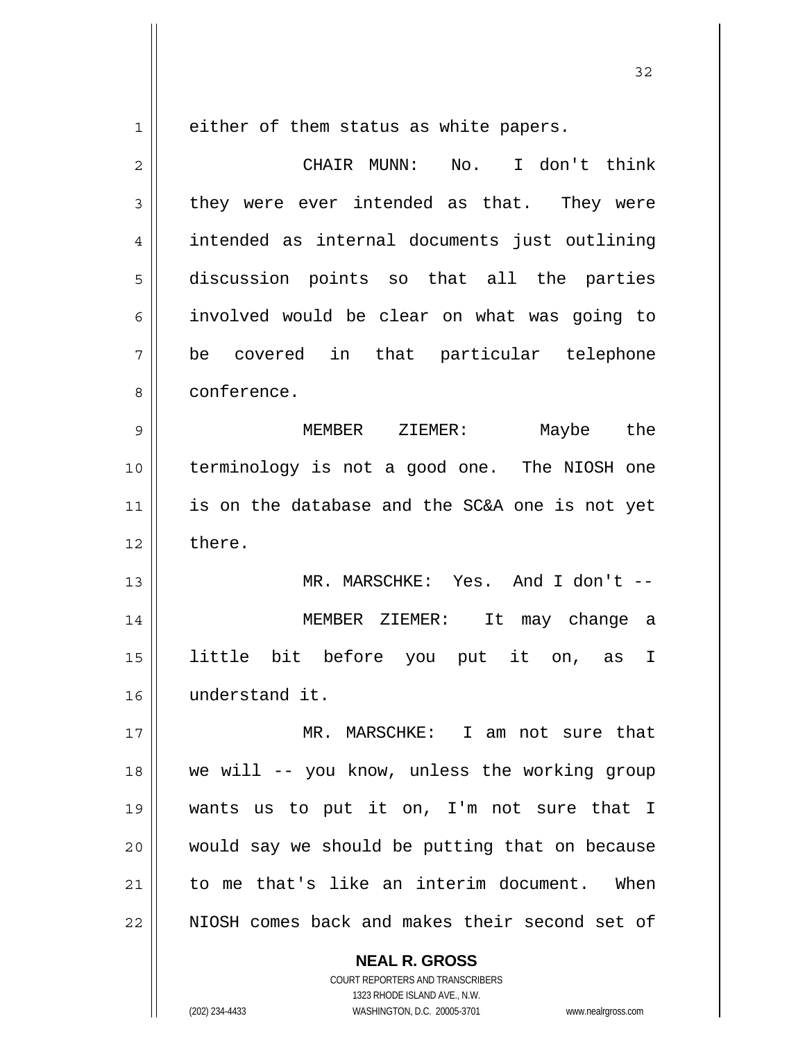$1 \parallel$  either of them status as white papers.

| 2  | No. I don't think<br>CHAIR MUNN:               |
|----|------------------------------------------------|
| 3  | they were ever intended as that. They were     |
| 4  | intended as internal documents just outlining  |
| 5  | discussion points so that all the parties      |
| 6  | involved would be clear on what was going to   |
| 7  | covered in that particular telephone<br>be     |
| 8  | conference.                                    |
| 9  | MEMBER ZIEMER:<br>Maybe the                    |
| 10 | terminology is not a good one. The NIOSH one   |
| 11 | is on the database and the SC&A one is not yet |
| 12 | there.                                         |
| 13 | MR. MARSCHKE: Yes. And I don't --              |
| 14 | MEMBER ZIEMER:<br>It may change a              |
| 15 | little bit before you put it on, as I          |
| 16 | understand it.                                 |
| 17 | MR. MARSCHKE: I am not sure that               |
| 18 | we will -- you know, unless the working group  |
| 19 | wants us to put it on, I'm not sure that I     |
| 20 | would say we should be putting that on because |
| 21 | to me that's like an interim document. When    |
| 22 | NIOSH comes back and makes their second set of |
|    |                                                |

 **NEAL R. GROSS**

 COURT REPORTERS AND TRANSCRIBERS 1323 RHODE ISLAND AVE., N.W. (202) 234-4433 WASHINGTON, D.C. 20005-3701 www.nealrgross.com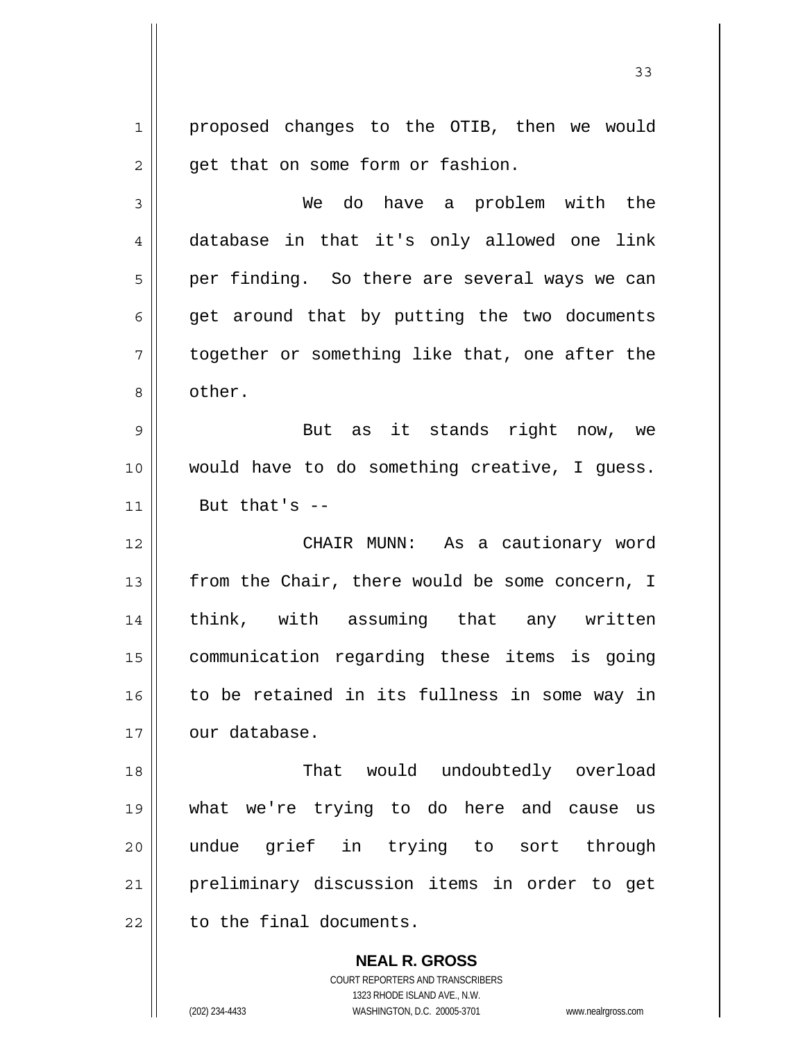1 || proposed changes to the OTIB, then we would  $2 \parallel$  qet that on some form or fashion.

33

3 We do have a problem with the 4 database in that it's only allowed one link  $5 \parallel$  per finding. So there are several ways we can  $6 \parallel$  get around that by putting the two documents  $7 \parallel$  together or something like that, one after the 8 b other.

9 || But as it stands right now, we 10 || would have to do something creative, I guess.  $11$  | But that's  $-$ 

CHAIR MUNN: As a cautionary word  $\parallel$  from the Chair, there would be some concern, I 14 || think, with assuming that any written communication regarding these items is going to be retained in its fullness in some way in 17 | our database.

That would undoubtedly overload what we're trying to do here and cause us 20 || undue grief in trying to sort through preliminary discussion items in order to get  $\parallel$  to the final documents.

> **NEAL R. GROSS** COURT REPORTERS AND TRANSCRIBERS 1323 RHODE ISLAND AVE., N.W. (202) 234-4433 WASHINGTON, D.C. 20005-3701 www.nealrgross.com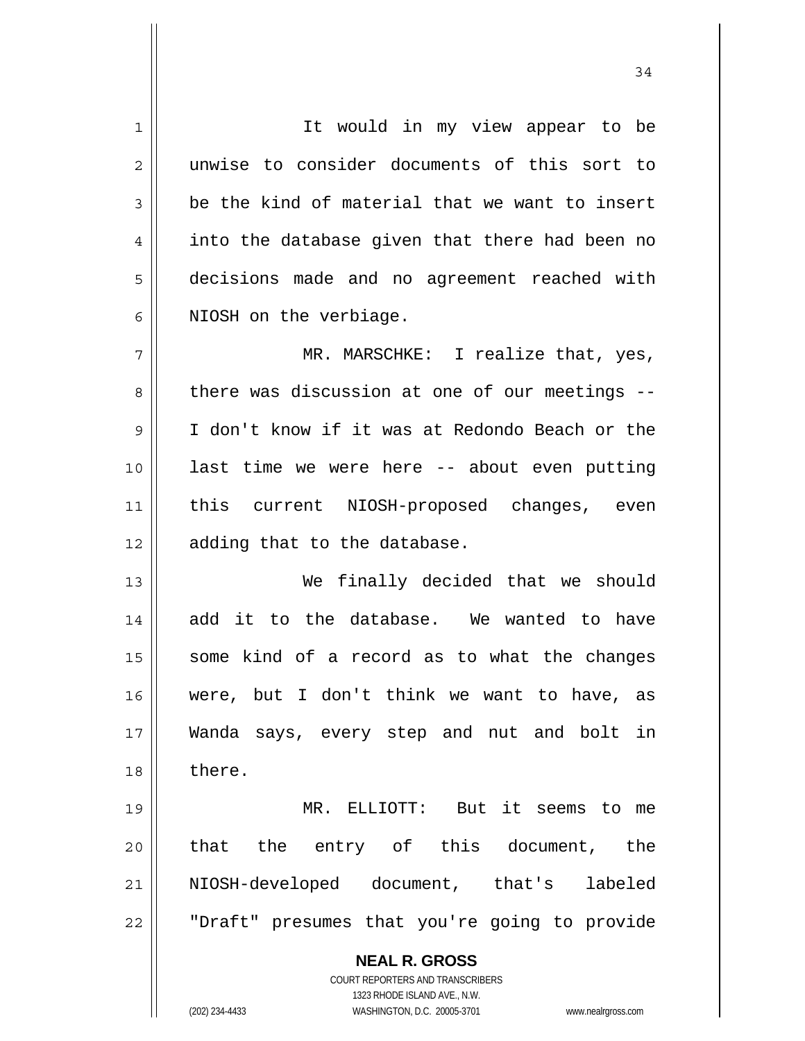**NEAL R. GROSS** COURT REPORTERS AND TRANSCRIBERS 1323 RHODE ISLAND AVE., N.W. 1 || It would in my view appear to be 2 unwise to consider documents of this sort to  $3 \parallel$  be the kind of material that we want to insert 4 || into the database given that there had been no 5 decisions made and no agreement reached with  $6$  || NIOSH on the verbiage. 7 MR. MARSCHKE: I realize that, yes, 8 there was discussion at one of our meetings --9 I don't know if it was at Redondo Beach or the 10 last time we were here -- about even putting 11 || this current NIOSH-proposed changes, even 12 || adding that to the database. 13 We finally decided that we should 14 || add it to the database. We wanted to have  $15$  some kind of a record as to what the changes 16 were, but I don't think we want to have, as 17 Wanda says, every step and nut and bolt in 18 l there. 19 MR. ELLIOTT: But it seems to me 20 || that the entry of this document, the 21 NIOSH-developed document, that's labeled 22 "Draft" presumes that you're going to provide

(202) 234-4433 WASHINGTON, D.C. 20005-3701 www.nealrgross.com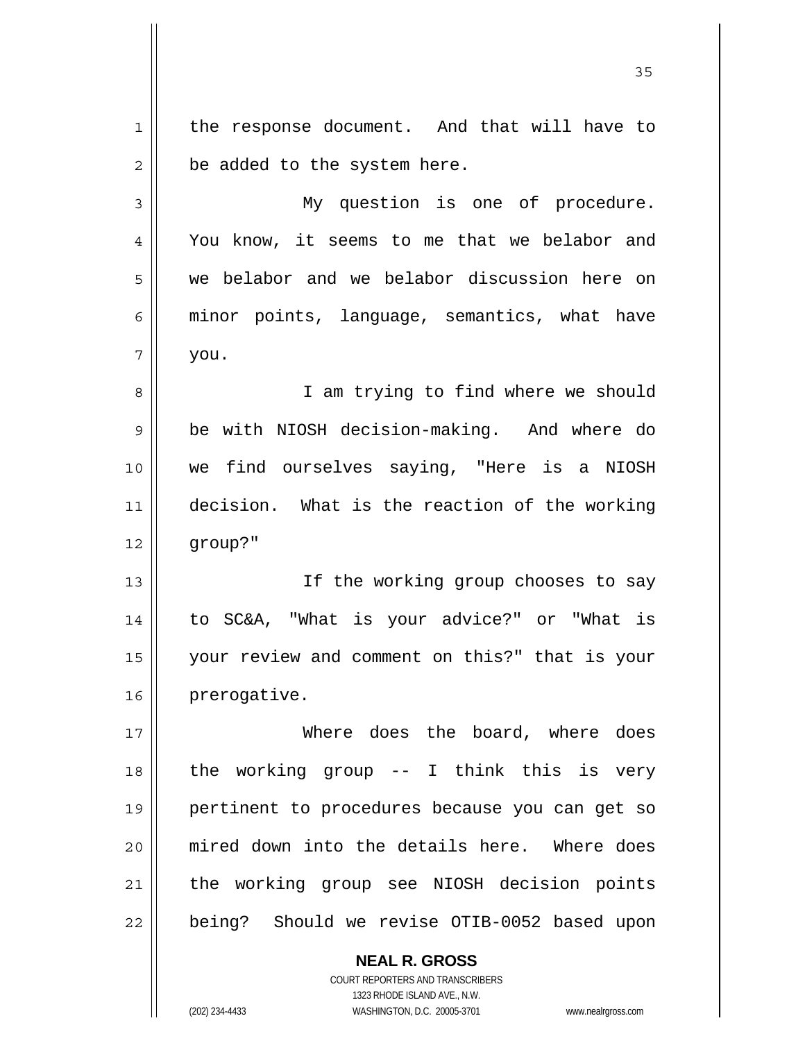**NEAL R. GROSS** 1 | the response document. And that will have to  $2 \parallel$  be added to the system here. 3 My question is one of procedure. 4 You know, it seems to me that we belabor and 5 we belabor and we belabor discussion here on 6 minor points, language, semantics, what have  $7 \parallel$  you. 8 || I am trying to find where we should 9 be with NIOSH decision-making. And where do 10 we find ourselves saying, "Here is a NIOSH 11 decision. What is the reaction of the working  $12 \parallel \quad$  group?" 13 || If the working group chooses to say 14 to SC&A, "What is your advice?" or "What is 15 your review and comment on this?" that is your 16 prerogative. 17 Where does the board, where does  $18$  || the working group -- I think this is very 19 pertinent to procedures because you can get so 20 || mired down into the details here. Where does 21 || the working group see NIOSH decision points 22 || being? Should we revise OTIB-0052 based upon

<u>35</u>

 COURT REPORTERS AND TRANSCRIBERS 1323 RHODE ISLAND AVE., N.W.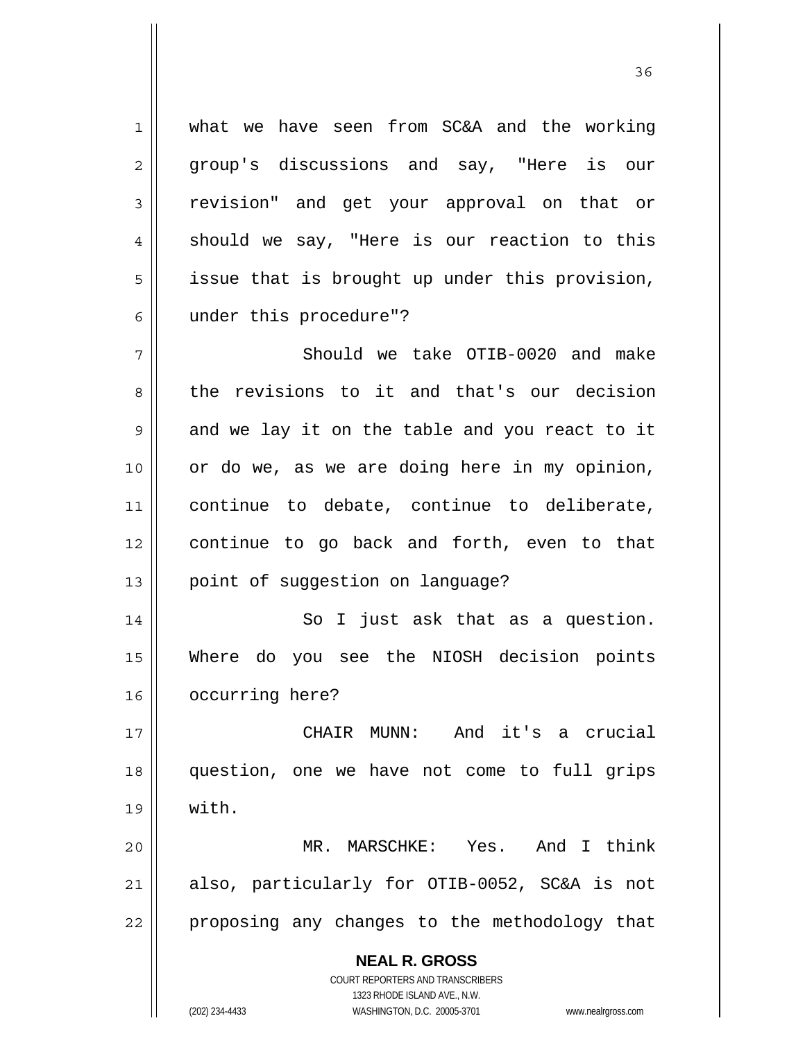1 what we have seen from SC&A and the working 2 group's discussions and say, "Here is our 3 revision" and get your approval on that or  $4 \parallel$  should we say, "Here is our reaction to this  $5 \parallel$  issue that is brought up under this provision, 6 under this procedure"? 7 Should we take OTIB-0020 and make

8 the revisions to it and that's our decision  $9 \parallel$  and we lay it on the table and you react to it 10 or do we, as we are doing here in my opinion, 11 continue to debate, continue to deliberate, 12 continue to go back and forth, even to that 13 || point of suggestion on language?

14 || So I just ask that as a question. 15 Where do you see the NIOSH decision points 16 | occurring here?

17 CHAIR MUNN: And it's a crucial 18 question, one we have not come to full grips 19 with.

20 MR. MARSCHKE: Yes. And I think 21 || also, particularly for OTIB-0052, SC&A is not  $22$  | proposing any changes to the methodology that

> **NEAL R. GROSS** COURT REPORTERS AND TRANSCRIBERS 1323 RHODE ISLAND AVE., N.W.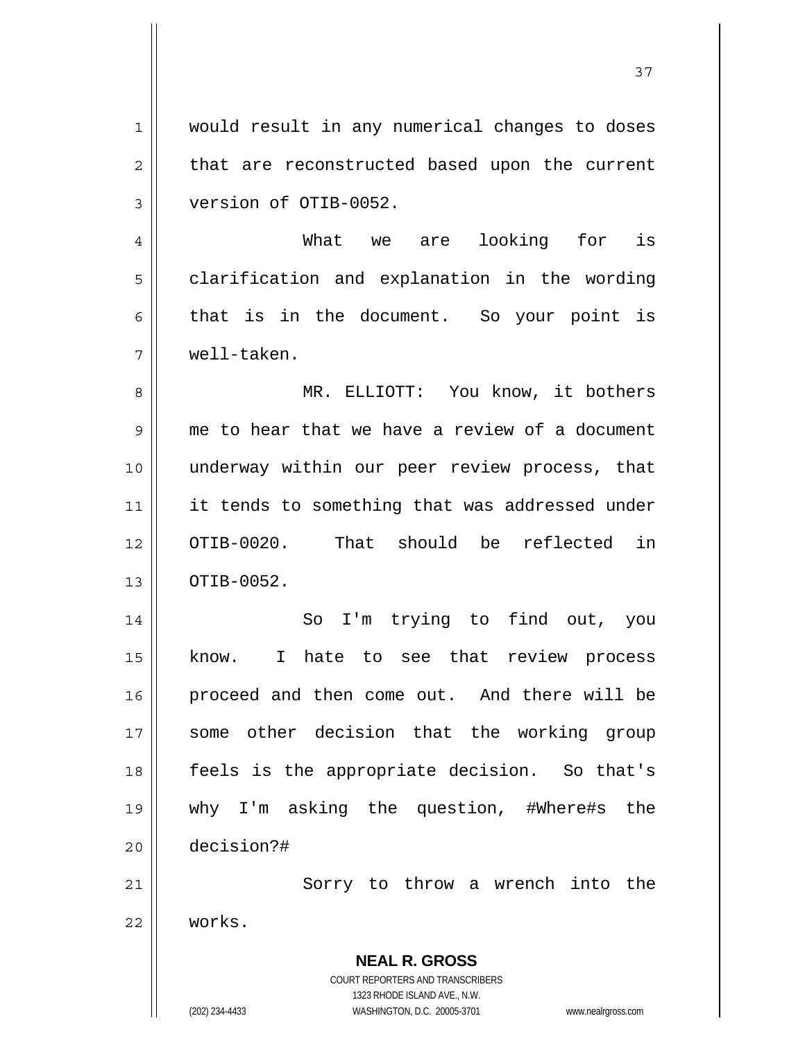1 || would result in any numerical changes to doses  $2 \parallel$  that are reconstructed based upon the current version of OTIB-0052.

What we are looking for is 5 | clarification and explanation in the wording  $6 \parallel$  that is in the document. So your point is well-taken.

MR. ELLIOTT: You know, it bothers me to hear that we have a review of a document underway within our peer review process, that 11 || it tends to something that was addressed under OTIB-0020. That should be reflected in |  $OTIB-0052$ .

So I'm trying to find out, you 15 || know. I hate to see that review process proceed and then come out. And there will be some other decision that the working group feels is the appropriate decision. So that's why I'm asking the question, #Where#s the decision?#

Sorry to throw a wrench into the works.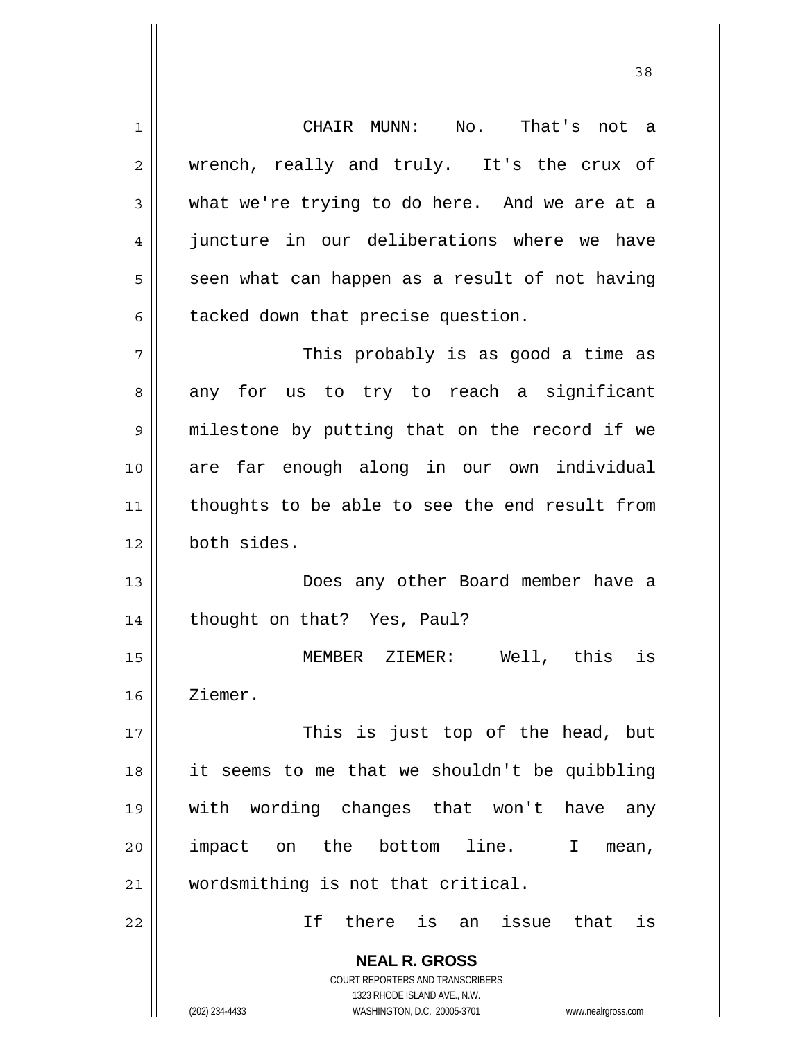**NEAL R. GROSS** COURT REPORTERS AND TRANSCRIBERS 1 CHAIR MUNN: No. That's not a 2 wrench, really and truly. It's the crux of  $3 \parallel$  what we're trying to do here. And we are at a 4 juncture in our deliberations where we have  $5 \parallel$  seen what can happen as a result of not having  $6$  tacked down that precise question. 7 This probably is as good a time as 8 || any for us to try to reach a significant 9 || milestone by putting that on the record if we 10 are far enough along in our own individual 11 || thoughts to be able to see the end result from 12 both sides. 13 Does any other Board member have a 14 | thought on that? Yes, Paul? 15 MEMBER ZIEMER: Well, this is 16 Ziemer. 17 || This is just top of the head, but 18 it seems to me that we shouldn't be quibbling 19 with wording changes that won't have any 20 impact on the bottom line. I mean, 21 || wordsmithing is not that critical. 22 If there is an issue that is

<u>38</u>

1323 RHODE ISLAND AVE., N.W.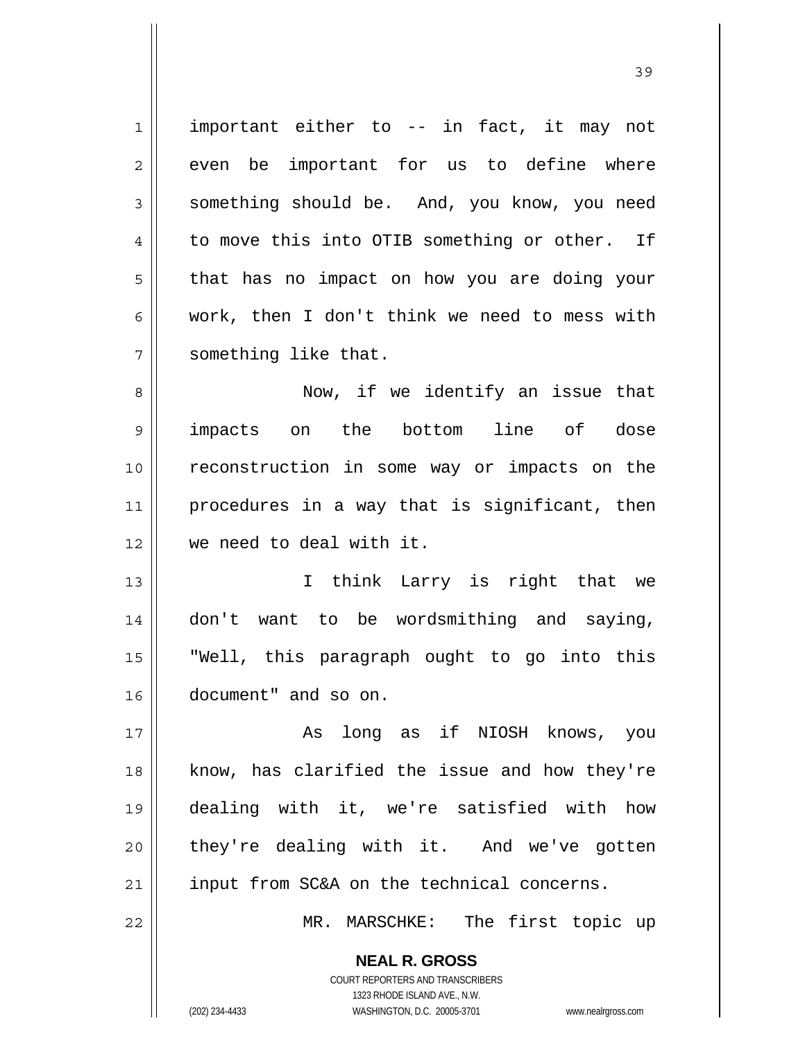1 important either to -- in fact, it may not  $2 \parallel$  even be important for us to define where  $3 \parallel$  something should be. And, you know, you need  $4 \parallel$  to move this into OTIB something or other. If 5 | that has no impact on how you are doing your 6  $\parallel$  work, then I don't think we need to mess with 7 | something like that. 8 Now, if we identify an issue that 9 impacts on the bottom line of dose 10 reconstruction in some way or impacts on the 11 procedures in a way that is significant, then 12 we need to deal with it. 13 || T think Larry is right that we 14 don't want to be wordsmithing and saying, 15 "Well, this paragraph ought to go into this 16 document" and so on. 17 || As long as if NIOSH knows, you 18 || know, has clarified the issue and how they're 19 dealing with it, we're satisfied with how 20 || they're dealing with it. And we've gotten

 $21$  | input from SC&A on the technical concerns.

22 || MR. MARSCHKE: The first topic up

 **NEAL R. GROSS** COURT REPORTERS AND TRANSCRIBERS 1323 RHODE ISLAND AVE., N.W.

(202) 234-4433 WASHINGTON, D.C. 20005-3701 www.nealrgross.com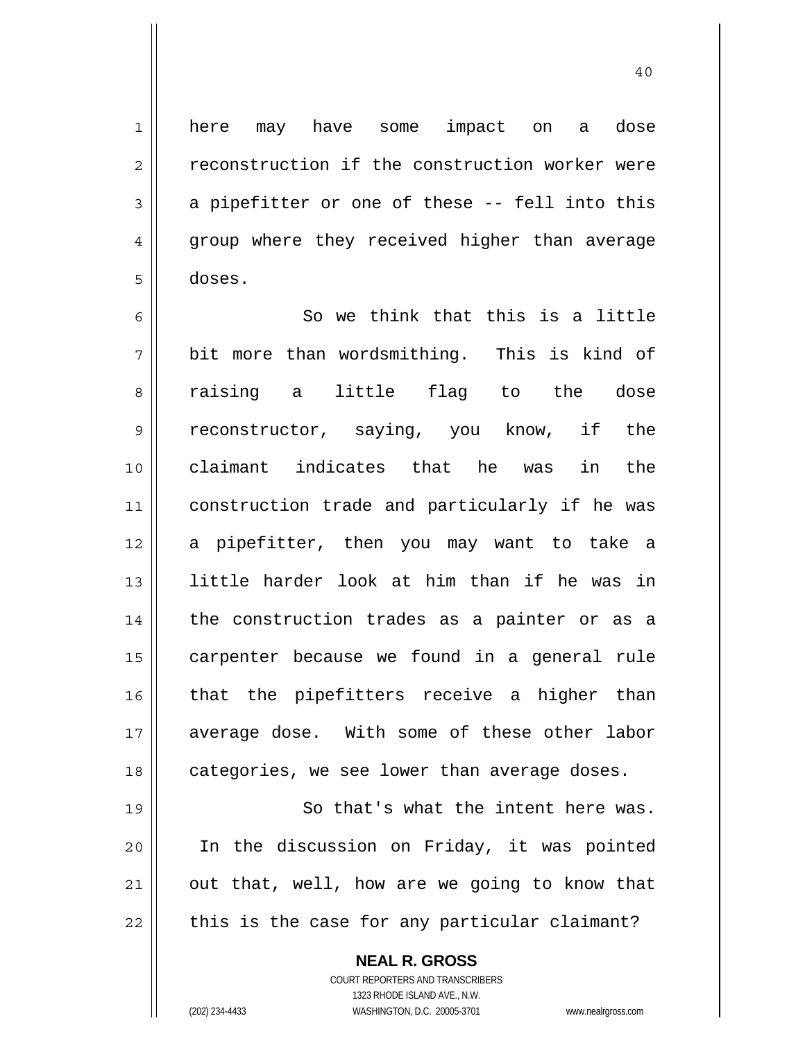1 here may have some impact on a dose 2 | reconstruction if the construction worker were  $3 \parallel$  a pipefitter or one of these -- fell into this 4 group where they received higher than average 5 doses.

40

 $\parallel$  So we think that this is a little bit more than wordsmithing. This is kind of 8 as iittle flag to the dose reconstructor, saying, you know, if the claimant indicates that he was in the construction trade and particularly if he was a pipefitter, then you may want to take a little harder look at him than if he was in 14 || the construction trades as a painter or as a carpenter because we found in a general rule 16 || that the pipefitters receive a higher than 17 average dose. With some of these other labor 18 || categories, we see lower than average doses.

So that's what the intent here was. In the discussion on Friday, it was pointed | out that, well, how are we going to know that | this is the case for any particular claimant?

 **NEAL R. GROSS**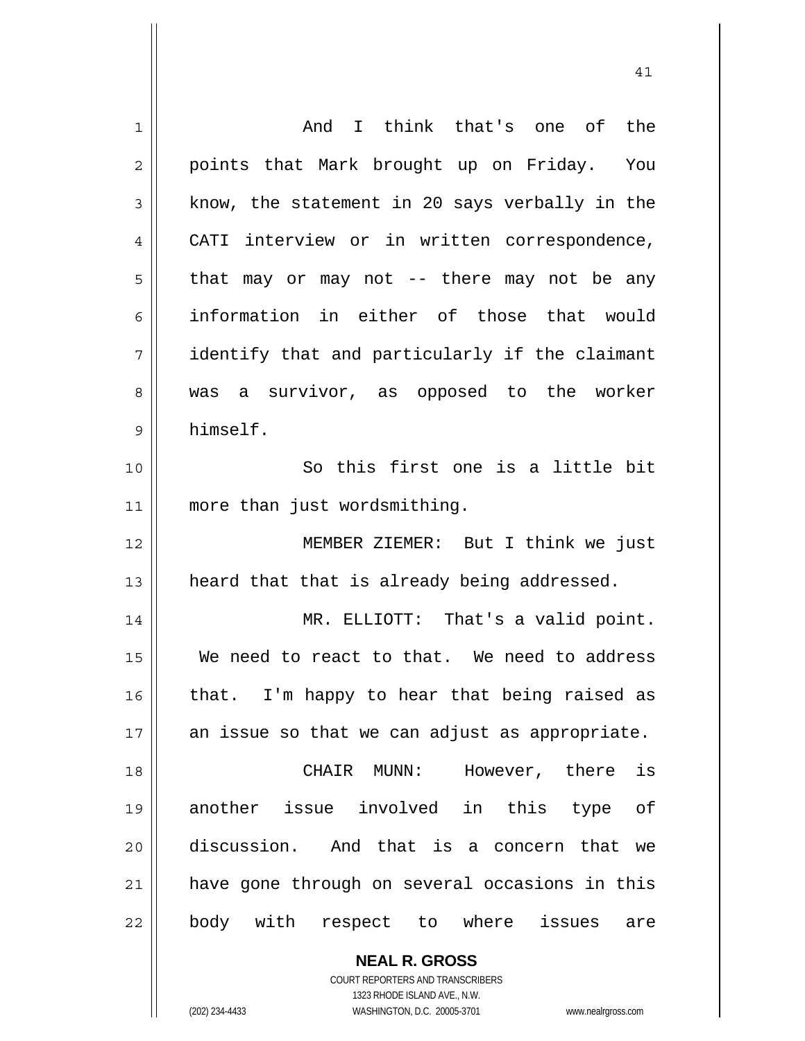| 1            | And I think that's one of the                            |
|--------------|----------------------------------------------------------|
| $\mathbf{2}$ | points that Mark brought up on Friday. You               |
| 3            | know, the statement in 20 says verbally in the           |
| 4            | CATI interview or in written correspondence,             |
| 5            | that may or may not -- there may not be any              |
| 6            | information in either of those that would                |
| 7            | identify that and particularly if the claimant           |
| 8            | was a survivor, as opposed to the worker                 |
| 9            | himself.                                                 |
| 10           | So this first one is a little bit                        |
| 11           | more than just wordsmithing.                             |
| 12           | MEMBER ZIEMER: But I think we just                       |
| 13           | heard that that is already being addressed.              |
| 14           | MR. ELLIOTT: That's a valid point.                       |
| 15           | We need to react to that. We need to address             |
| 16           | that. I'm happy to hear that being raised as             |
| 17           | an issue so that we can adjust as appropriate.           |
| 18           | However, there is<br>CHAIR MUNN:                         |
| 19           | another issue involved in this type of                   |
| 20           | discussion. And that is a concern that we                |
| 21           | have gone through on several occasions in this           |
| 22           | body with respect to where issues are                    |
|              | <b>NEAL R. GROSS</b><br>COURT REPORTERS AND TRANSCRIBERS |

1323 RHODE ISLAND AVE., N.W.

 $\mathop{\textstyle\prod}%$  $\prod$ 

 $\mathbf{I}$ 

(202) 234-4433 WASHINGTON, D.C. 20005-3701 www.nealrgross.com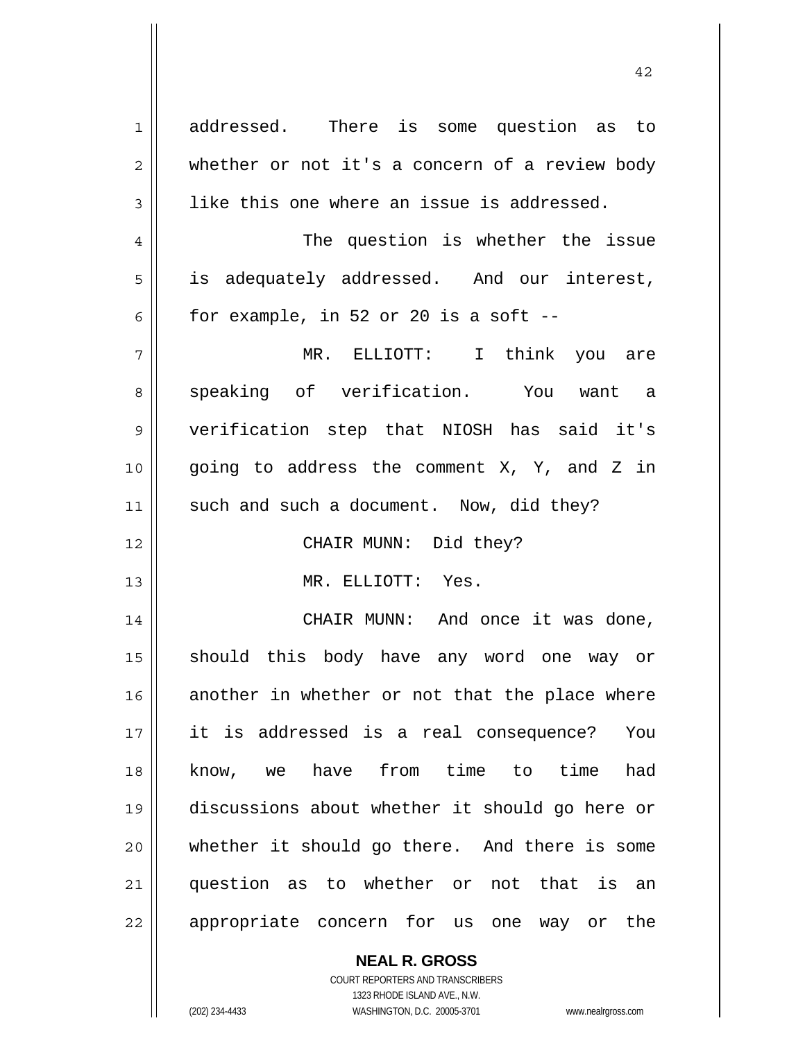| 1  | addressed. There is some question as to            |
|----|----------------------------------------------------|
| 2  | whether or not it's a concern of a review body     |
| 3  | like this one where an issue is addressed.         |
| 4  | The question is whether the issue                  |
| 5  | is adequately addressed. And our interest,         |
| 6  | for example, in 52 or 20 is a soft --              |
| 7  | MR. ELLIOTT: I think you are                       |
| 8  | speaking of verification. You want a               |
| 9  | verification step that NIOSH has said it's         |
| 10 | going to address the comment X, Y, and Z in        |
| 11 | such and such a document. Now, did they?           |
| 12 | CHAIR MUNN: Did they?                              |
| 13 | MR. ELLIOTT: Yes.                                  |
| 14 | CHAIR MUNN: And once it was done,                  |
|    |                                                    |
| 15 | should this body have any word one way or          |
| 16 | another in whether or not that the place where     |
| 17 | it is addressed is a real consequence?<br>You      |
| 18 | have from time to<br>time<br>had<br>know, we       |
| 19 | discussions about whether it should go here or     |
| 20 | whether it should go there. And there is some      |
| 21 |                                                    |
|    | question as to whether or not that is an           |
| 22 | appropriate concern for us<br>the<br>one<br>way or |

 **NEAL R. GROSS** COURT REPORTERS AND TRANSCRIBERS

1323 RHODE ISLAND AVE., N.W.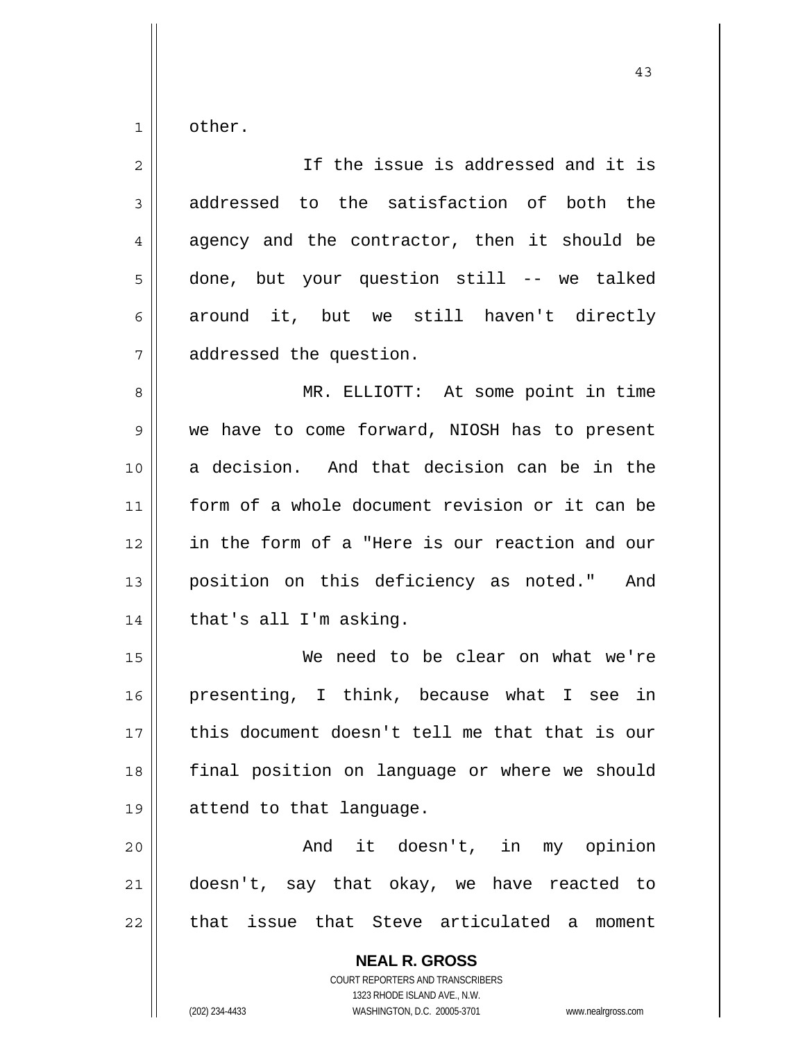$1 \parallel$  other.

| $\overline{2}$ | If the issue is addressed and it is                                                                                                                                    |
|----------------|------------------------------------------------------------------------------------------------------------------------------------------------------------------------|
| 3              | addressed to the satisfaction of both the                                                                                                                              |
| 4              | agency and the contractor, then it should be                                                                                                                           |
| 5              | done, but your question still -- we talked                                                                                                                             |
| 6              | around it, but we still haven't directly                                                                                                                               |
| 7              | addressed the question.                                                                                                                                                |
| 8              | MR. ELLIOTT: At some point in time                                                                                                                                     |
| 9              | we have to come forward, NIOSH has to present                                                                                                                          |
| 10             | a decision. And that decision can be in the                                                                                                                            |
| 11             | form of a whole document revision or it can be                                                                                                                         |
| 12             | in the form of a "Here is our reaction and our                                                                                                                         |
| 13             | position on this deficiency as noted." And                                                                                                                             |
| 14             | that's all I'm asking.                                                                                                                                                 |
| 15             | We need to be clear on what we're                                                                                                                                      |
| 16             | presenting, I think, because what I see in                                                                                                                             |
| 17             | this document doesn't tell me that that is our                                                                                                                         |
| 18             | final position on language or where we should                                                                                                                          |
| 19             | attend to that language.                                                                                                                                               |
| 20             | And it doesn't, in my opinion                                                                                                                                          |
| 21             | doesn't, say that okay, we have reacted to                                                                                                                             |
| 22             | that issue that Steve articulated a moment                                                                                                                             |
|                | <b>NEAL R. GROSS</b><br><b>COURT REPORTERS AND TRANSCRIBERS</b><br>1323 RHODE ISLAND AVE., N.W.<br>(202) 234-4433<br>WASHINGTON, D.C. 20005-3701<br>www.nealrgross.com |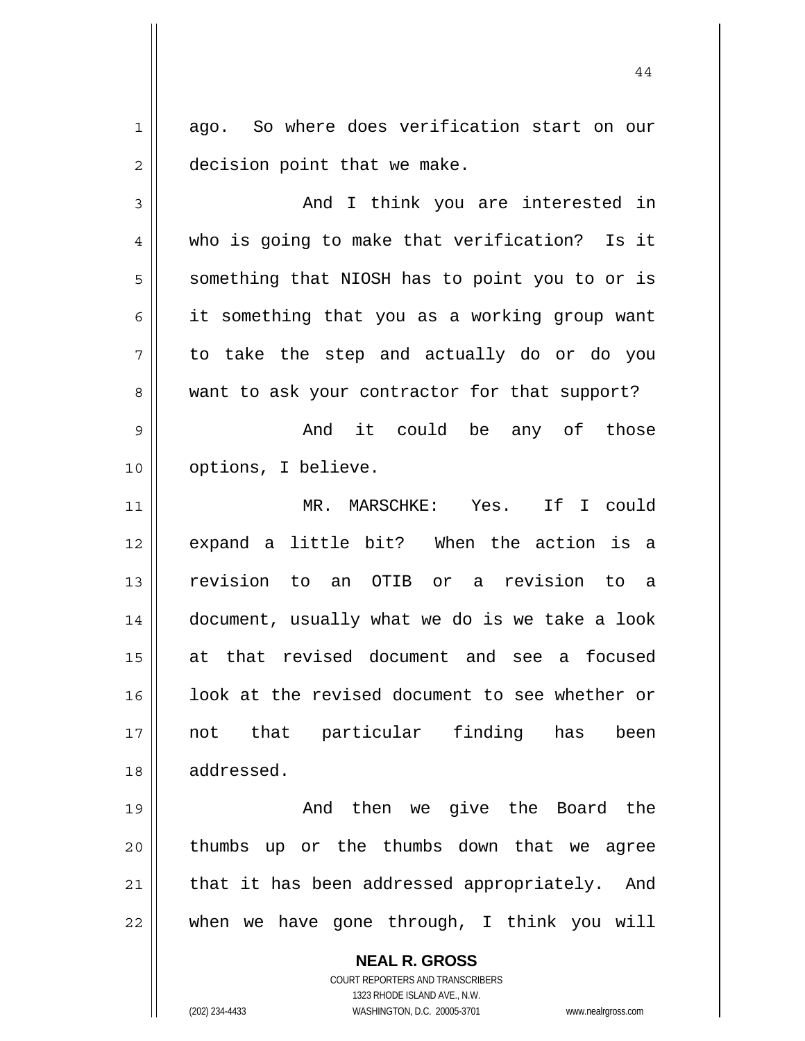1 ago. So where does verification start on our 2 | decision point that we make.

44

3 And I think you are interested in 4 who is going to make that verification? Is it 5 || something that NIOSH has to point you to or is 6 | it something that you as a working group want  $7 \parallel$  to take the step and actually do or do you 8 || want to ask your contractor for that support? 9 And it could be any of those 10 || options, I believe. 11 MR. MARSCHKE: Yes. If I could 12 expand a little bit? When the action is a 13 revision to an OTIB or a revision to a 14 document, usually what we do is we take a look 15 at that revised document and see a focused 16 || look at the revised document to see whether or 17 not that particular finding has been 18 addressed.

And then we give the Board the 20 || thumbs up or the thumbs down that we agree | that it has been addressed appropriately. And || when we have gone through, I think you will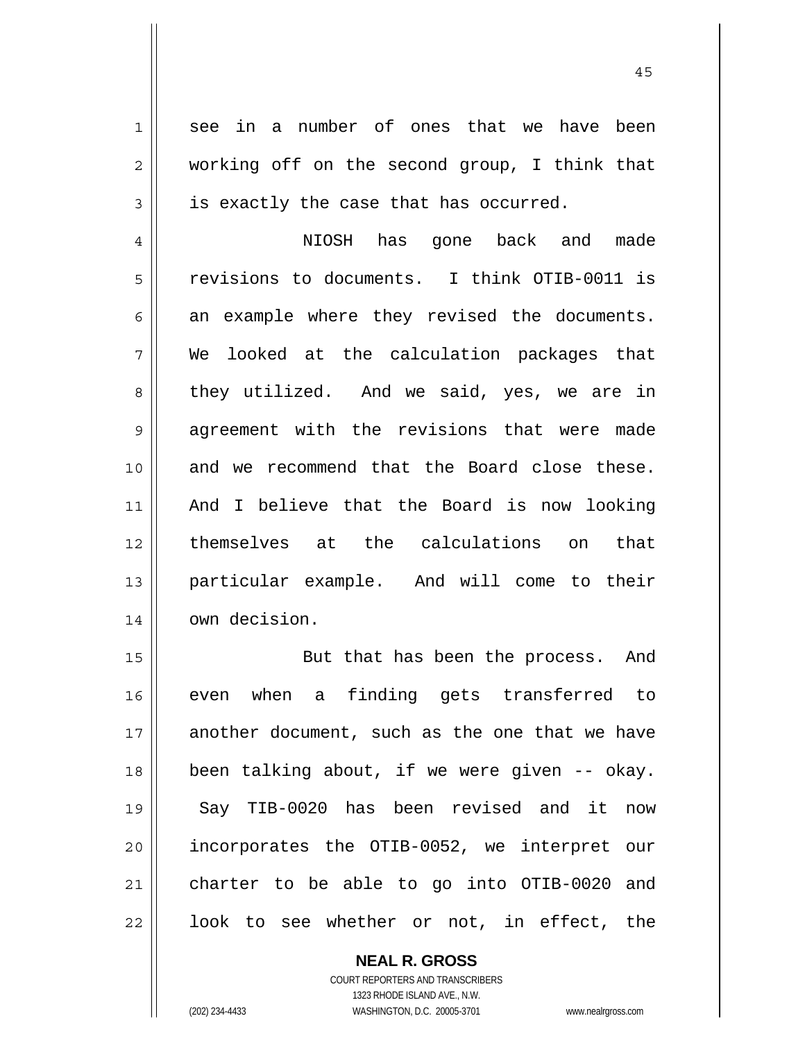1 see in a number of ones that we have been 2 working off on the second group, I think that  $3 \parallel$  is exactly the case that has occurred.

NIOSH has gone back and made revisions to documents. I think OTIB-0011 is  $6 \parallel$  an example where they revised the documents. We looked at the calculation packages that 8 they utilized. And we said, yes, we are in 9 agreement with the revisions that were made and we recommend that the Board close these. And I believe that the Board is now looking themselves at the calculations on that particular example. And will come to their 14 | own decision.

15 || But that has been the process. And even when a finding gets transferred to 17 another document, such as the one that we have  $\parallel$  been talking about, if we were given -- okay. Say TIB-0020 has been revised and it now incorporates the OTIB-0052, we interpret our charter to be able to go into OTIB-0020 and || look to see whether or not, in effect, the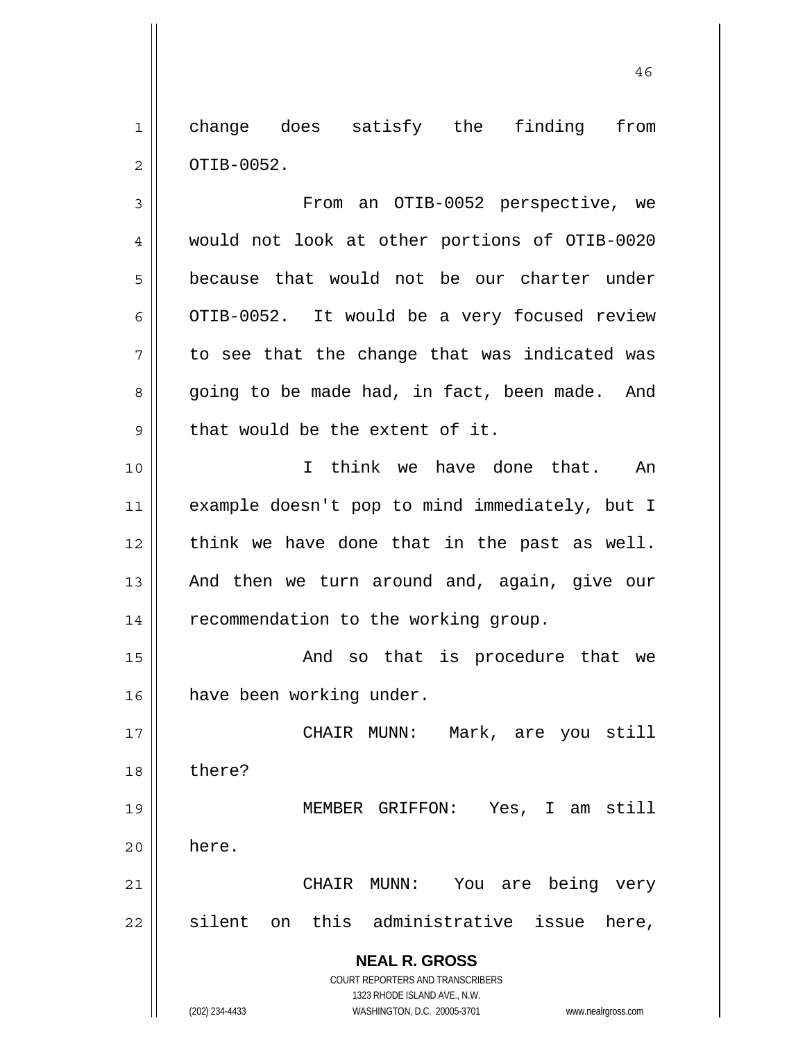1 || change does satisfy the finding from  $2 \parallel$  OTIB-0052.

 **NEAL R. GROSS** 3 From an OTIB-0052 perspective, we 4 would not look at other portions of OTIB-0020 5 because that would not be our charter under  $6 \parallel$  OTIB-0052. It would be a very focused review  $7 \parallel$  to see that the change that was indicated was 8 going to be made had, in fact, been made. And  $9 \parallel$  that would be the extent of it. 10 I think we have done that. An 11 example doesn't pop to mind immediately, but I  $12$  | think we have done that in the past as well. 13  $\parallel$  And then we turn around and, again, give our 14 | recommendation to the working group. 15 And so that is procedure that we 16 | have been working under. 17 CHAIR MUNN: Mark, are you still 18 ll there? 19 MEMBER GRIFFON: Yes, I am still  $20$  here. 21 CHAIR MUNN: You are being very  $22$  silent on this administrative issue here,

> COURT REPORTERS AND TRANSCRIBERS 1323 RHODE ISLAND AVE., N.W.

(202) 234-4433 WASHINGTON, D.C. 20005-3701 www.nealrgross.com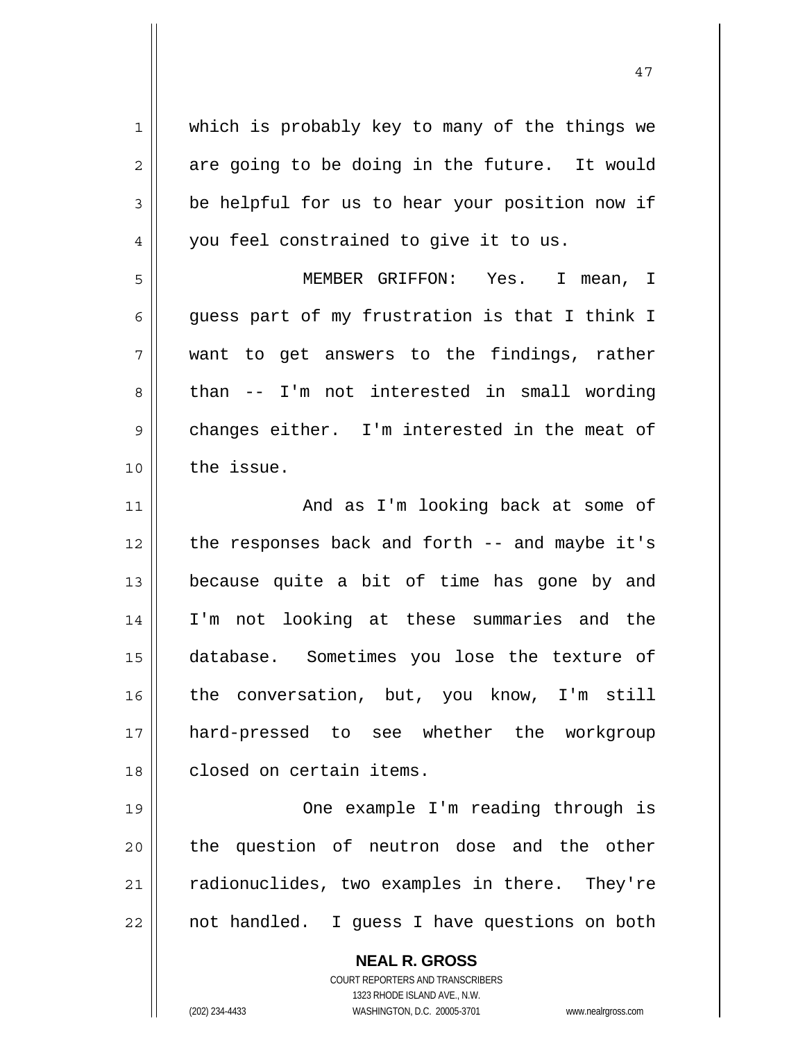| $\mathbf 1$    | which is probably key to many of the things we                      |
|----------------|---------------------------------------------------------------------|
| $\overline{c}$ | are going to be doing in the future. It would                       |
| 3              | be helpful for us to hear your position now if                      |
| 4              | you feel constrained to give it to us.                              |
| 5              | MEMBER GRIFFON: Yes. I mean, I                                      |
| 6              | guess part of my frustration is that I think I                      |
| 7              | want to get answers to the findings, rather                         |
| 8              | than -- I'm not interested in small wording                         |
| 9              | changes either. I'm interested in the meat of                       |
| 10             | the issue.                                                          |
| 11             | And as I'm looking back at some of                                  |
| 12             | the responses back and forth $--$ and maybe it's                    |
| 13             | because quite a bit of time has gone by and                         |
| 14             | I'm not looking at these summaries and the                          |
| 15             | database. Sometimes you lose the texture of                         |
| 16             | the conversation, but, you know, I'm still                          |
| 17             | hard-pressed to see whether the workgroup                           |
| 18             | closed on certain items.                                            |
| 19             | One example I'm reading through is                                  |
| 20             | the question of neutron dose and the other                          |
| 21             | radionuclides, two examples in there. They're                       |
| 22             | not handled. I guess I have questions on both                       |
|                | <b>NEAL R. GROSS</b><br>COURT REPORTERS AND TRANSCRIBERS            |
|                | 1323 RHODE ISLAND AVE., N.W.                                        |
|                | (202) 234-4433<br>WASHINGTON, D.C. 20005-3701<br>www.nealrgross.com |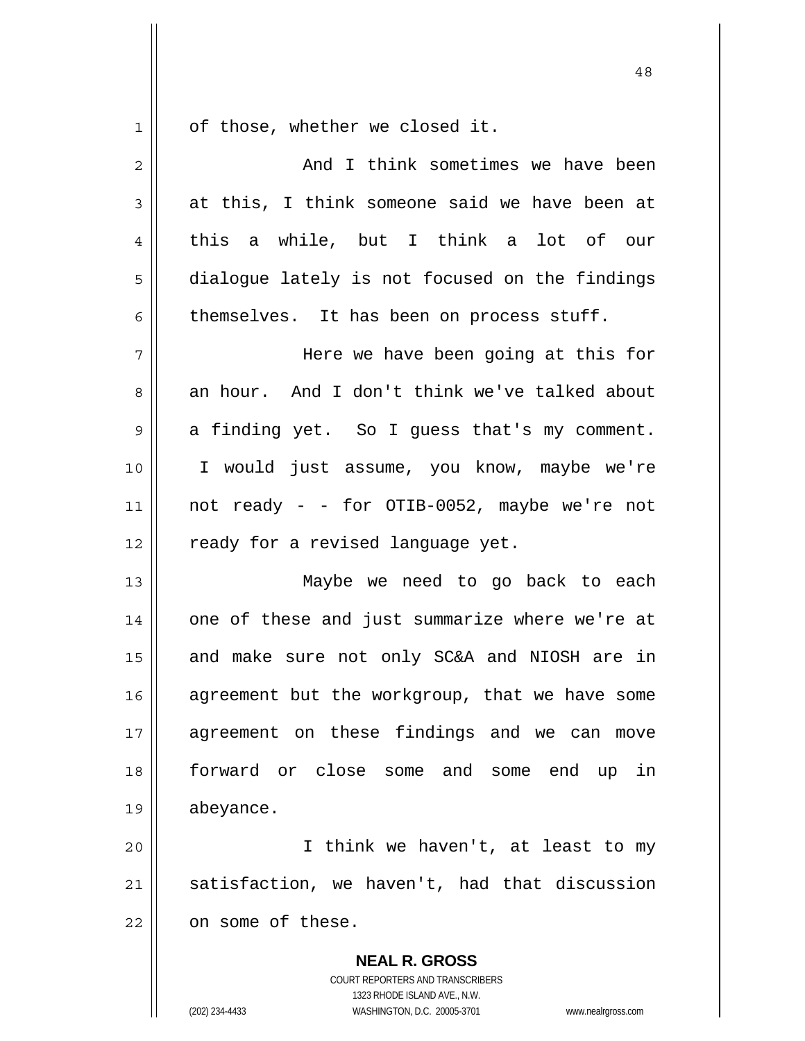$1 \parallel$  of those, whether we closed it.

| 2  | And I think sometimes we have been             |
|----|------------------------------------------------|
| 3  | at this, I think someone said we have been at  |
| 4  | this a while, but I think a lot of our         |
| 5  | dialogue lately is not focused on the findings |
| 6  | themselves. It has been on process stuff.      |
| 7  | Here we have been going at this for            |
| 8  | an hour. And I don't think we've talked about  |
| 9  | a finding yet. So I guess that's my comment.   |
| 10 | I would just assume, you know, maybe we're     |
| 11 | not ready - - for OTIB-0052, maybe we're not   |
| 12 | ready for a revised language yet.              |
| 13 | Maybe we need to go back to each               |
| 14 | one of these and just summarize where we're at |
| 15 | and make sure not only SC&A and NIOSH are in   |
| 16 | agreement but the workgroup, that we have some |
| 17 | agreement on these findings and we can move    |
| 18 | forward or close some and some end up in       |
| 19 | abeyance.                                      |
| 20 | I think we haven't, at least to my             |
| 21 | satisfaction, we haven't, had that discussion  |
| 22 | on some of these.                              |
|    | <b>NEAL R. GROSS</b>                           |

 COURT REPORTERS AND TRANSCRIBERS 1323 RHODE ISLAND AVE., N.W.

(202) 234-4433 WASHINGTON, D.C. 20005-3701 www.nealrgross.com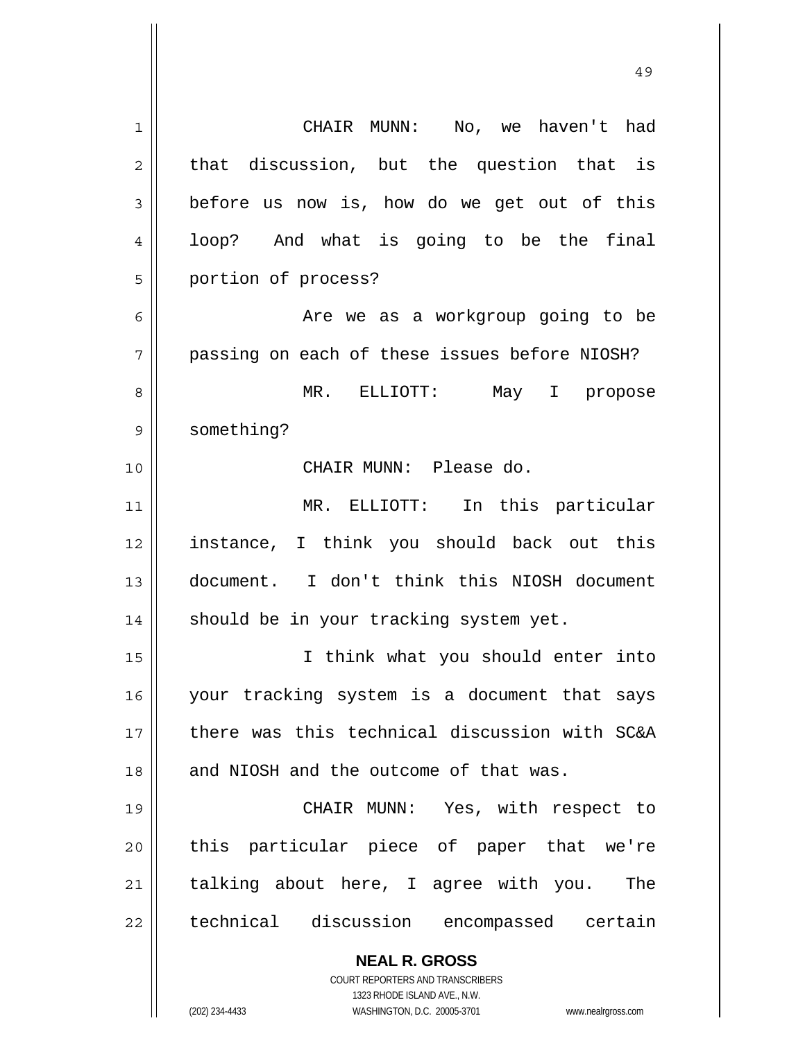**NEAL R. GROSS** COURT REPORTERS AND TRANSCRIBERS 1323 RHODE ISLAND AVE., N.W. 1 CHAIR MUNN: No, we haven't had  $2 \parallel$  that discussion, but the question that is  $3 \parallel$  before us now is, how do we get out of this 4 || loop? And what is going to be the final 5 | portion of process? 6 Are we as a workgroup going to be 7 || passing on each of these issues before NIOSH? 8 MR. ELLIOTT: May I propose 9 | something? 10 CHAIR MUNN: Please do. 11 MR. ELLIOTT: In this particular 12 instance, I think you should back out this 13 document. I don't think this NIOSH document 14 || should be in your tracking system yet. 15 I think what you should enter into 16 your tracking system is a document that says 17 there was this technical discussion with SC&A 18 || and NIOSH and the outcome of that was. 19 CHAIR MUNN: Yes, with respect to 20 this particular piece of paper that we're  $21$  talking about here, I agree with you. The 22 | technical discussion encompassed certain

(202) 234-4433 WASHINGTON, D.C. 20005-3701 www.nealrgross.com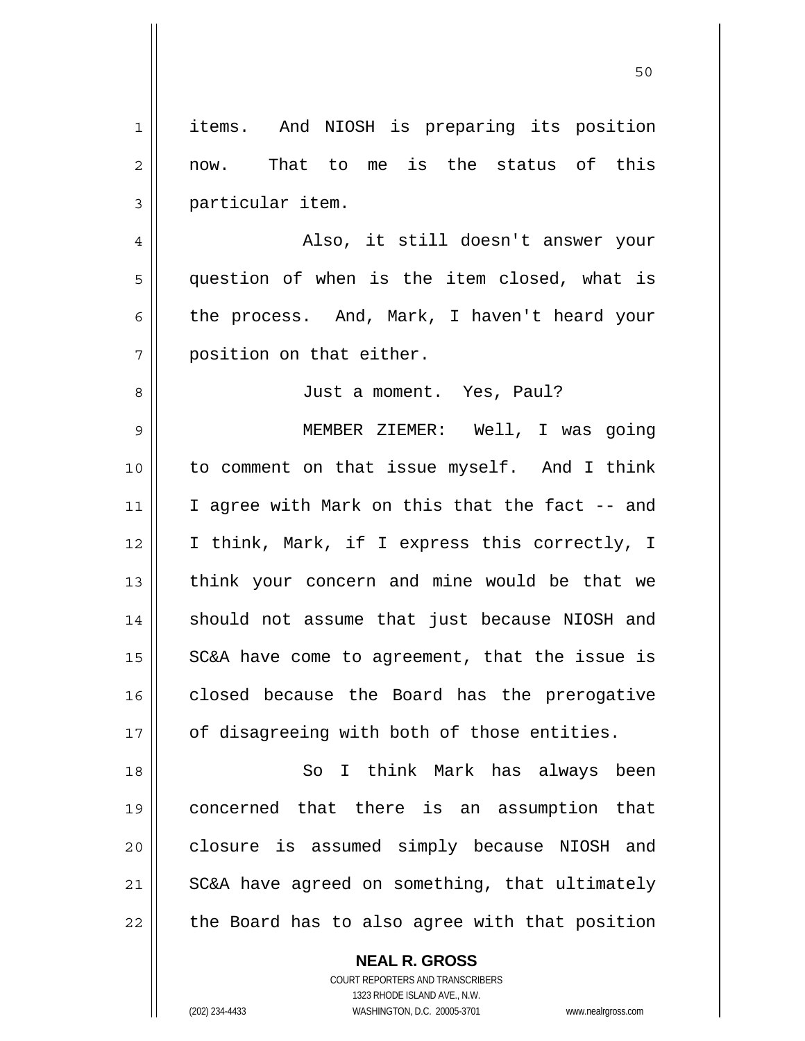| 1  | items. And NIOSH is preparing its position     |
|----|------------------------------------------------|
| 2  | That to me is the status of this<br>now.       |
| 3  | particular item.                               |
| 4  | Also, it still doesn't answer your             |
| 5  | question of when is the item closed, what is   |
| 6  | the process. And, Mark, I haven't heard your   |
| 7  | position on that either.                       |
| 8  | Just a moment. Yes, Paul?                      |
| 9  | MEMBER ZIEMER: Well, I was going               |
| 10 | to comment on that issue myself. And I think   |
| 11 | I agree with Mark on this that the fact -- and |
| 12 | I think, Mark, if I express this correctly, I  |
| 13 | think your concern and mine would be that we   |
| 14 | should not assume that just because NIOSH and  |
| 15 | SC&A have come to agreement, that the issue is |
| 16 | closed because the Board has the prerogative   |
| 17 | of disagreeing with both of those entities.    |
| 18 | I think Mark has always been<br>So             |
| 19 | concerned that there is an assumption that     |
| 20 | closure is assumed simply because NIOSH and    |
| 21 | SC&A have agreed on something, that ultimately |
| 22 | the Board has to also agree with that position |

 **NEAL R. GROSS**

 COURT REPORTERS AND TRANSCRIBERS 1323 RHODE ISLAND AVE., N.W. (202) 234-4433 WASHINGTON, D.C. 20005-3701 www.nealrgross.com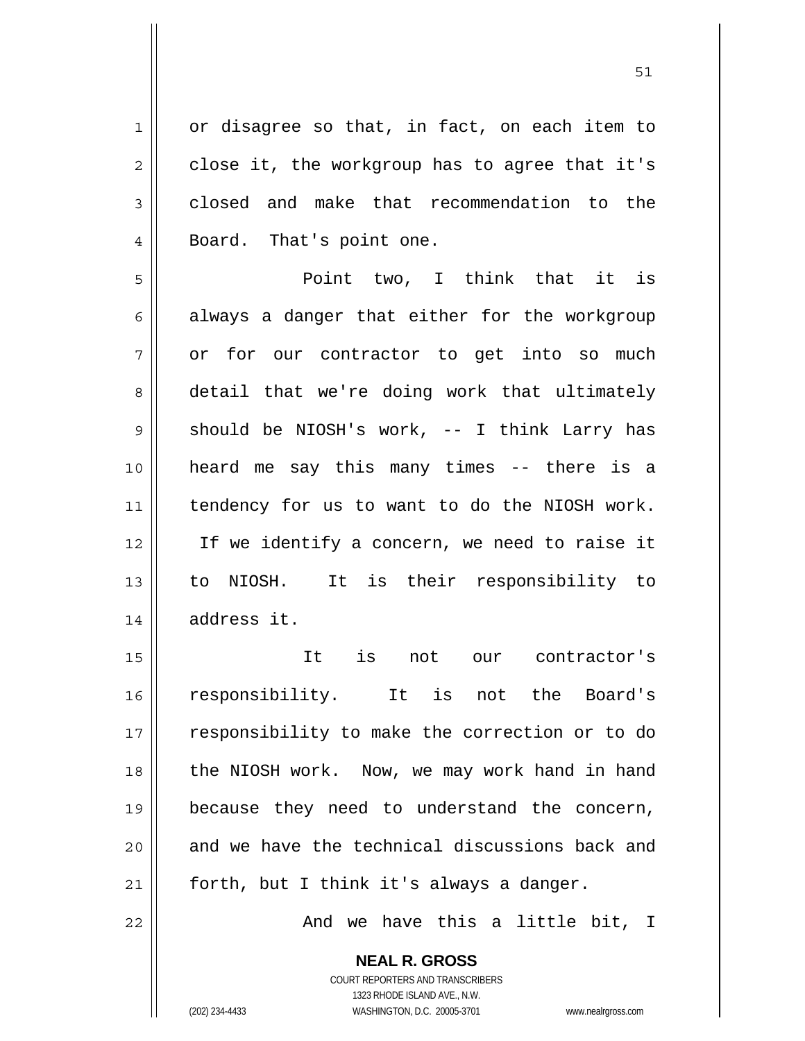$1 \parallel$  or disagree so that, in fact, on each item to  $2 \parallel$  close it, the workgroup has to agree that it's 3 closed and make that recommendation to the 4 || Board. That's point one.

5 Point two, I think that it is  $6 \parallel$  always a danger that either for the workgroup  $7 \parallel$  or for our contractor to get into so much 8 detail that we're doing work that ultimately  $9 \parallel$  should be NIOSH's work, -- I think Larry has 10 heard me say this many times -- there is a 11 || tendency for us to want to do the NIOSH work. 12 || If we identify a concern, we need to raise it 13 to NIOSH. It is their responsibility to 14 address it.

15 It is not our contractor's 16 responsibility. It is not the Board's 17 || responsibility to make the correction or to do 18 || the NIOSH work. Now, we may work hand in hand 19 because they need to understand the concern, 20 and we have the technical discussions back and 21 | forth, but I think it's always a danger.

 $22$  ||  $\sim$  And we have this a little bit, I

 **NEAL R. GROSS** COURT REPORTERS AND TRANSCRIBERS 1323 RHODE ISLAND AVE., N.W.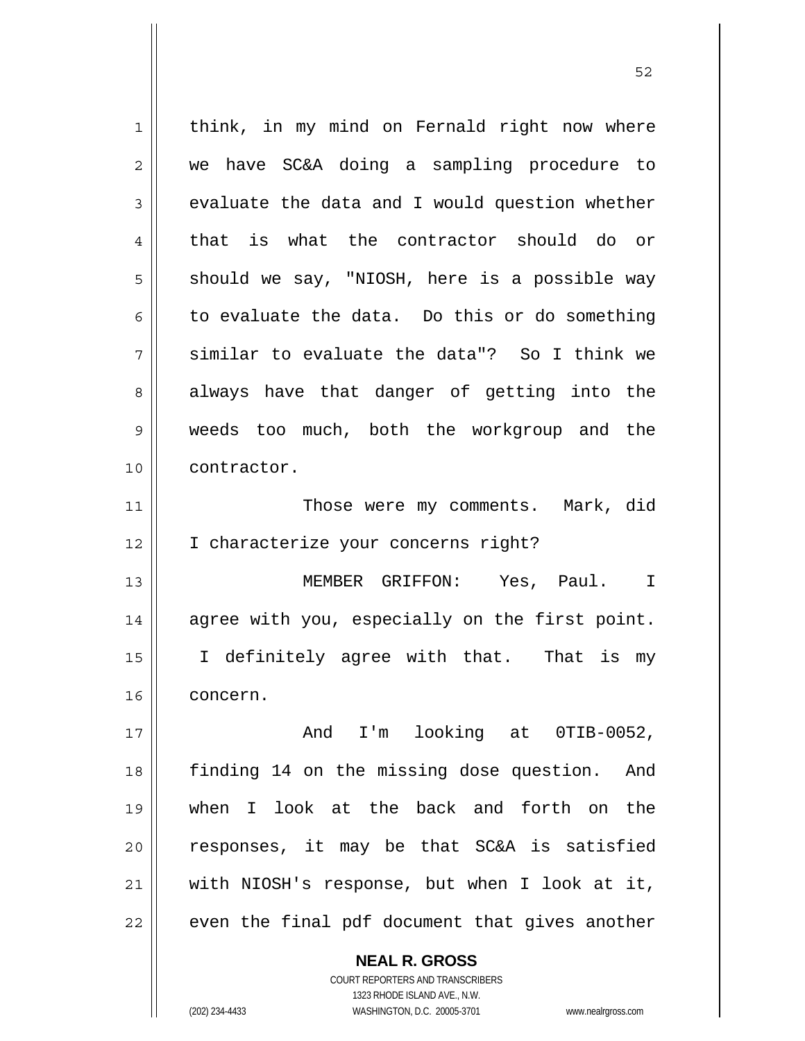1 || think, in my mind on Fernald right now where 2 we have SC&A doing a sampling procedure to  $3 \parallel$  evaluate the data and I would question whether 4 that is what the contractor should do or  $5 \parallel$  should we say, "NIOSH, here is a possible way 6 to evaluate the data. Do this or do something  $7 \parallel$  similar to evaluate the data"? So I think we 8 always have that danger of getting into the 9 weeds too much, both the workgroup and the 10 || contractor. 11 || Those were my comments. Mark, did 12 || I characterize your concerns right? 13 MEMBER GRIFFON: Yes, Paul. I 14 || agree with you, especially on the first point. 15 I definitely agree with that. That is my 16 concern. 17 And I'm looking at 0TIB-0052, 18 || finding 14 on the missing dose question. And 19 when I look at the back and forth on the  $20$  responses, it may be that SC&A is satisfied 21 || with NIOSH's response, but when I look at it,  $22$  | even the final pdf document that gives another

> **NEAL R. GROSS** COURT REPORTERS AND TRANSCRIBERS 1323 RHODE ISLAND AVE., N.W. (202) 234-4433 WASHINGTON, D.C. 20005-3701 www.nealrgross.com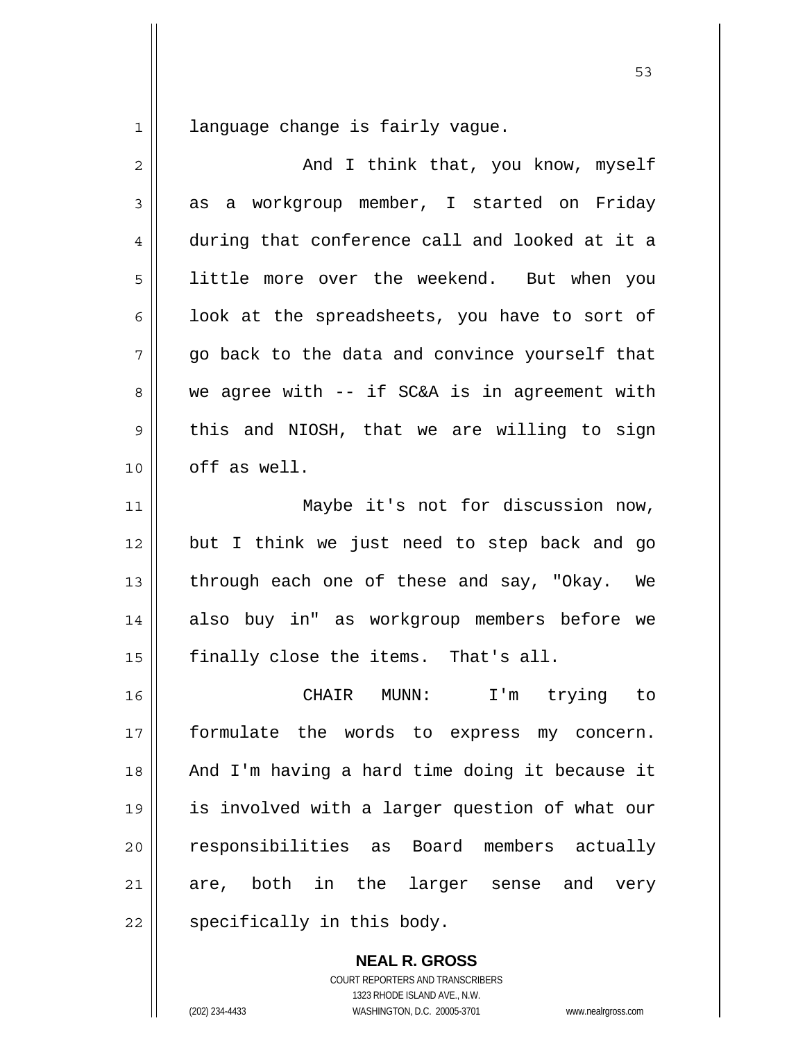language change is fairly vague.

 $\sim$  53

| $\overline{2}$ | And I think that, you know, myself             |
|----------------|------------------------------------------------|
| 3              | as a workgroup member, I started on Friday     |
| 4              | during that conference call and looked at it a |
| 5              | little more over the weekend. But when you     |
| 6              | look at the spreadsheets, you have to sort of  |
| 7              | go back to the data and convince yourself that |
| 8              | we agree with -- if SC&A is in agreement with  |
| 9              | this and NIOSH, that we are willing to sign    |
| 10             | off as well.                                   |
| 11             | Maybe it's not for discussion now,             |
| 12             | but I think we just need to step back and go   |
| 13             | through each one of these and say, "Okay. We   |
| 14             | also buy in" as workgroup members before we    |
| 15             | finally close the items. That's all.           |
| 16             | I'm trying to<br>CHAIR MUNN:                   |
| 17             | formulate the words to express my concern.     |
| 18             | And I'm having a hard time doing it because it |
| 19             | is involved with a larger question of what our |
| 20             | responsibilities as Board members actually     |
| 21             | are, both in the larger sense and very         |
| 22             | specifically in this body.                     |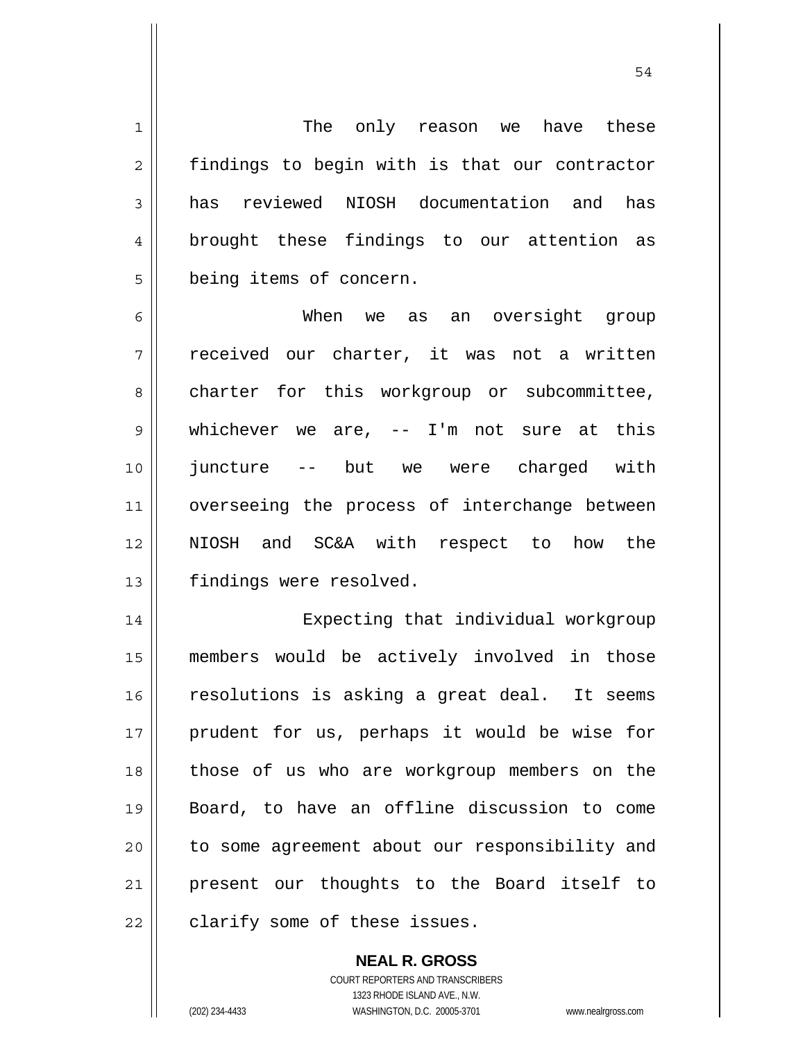1 The only reason we have these 2 || findings to begin with is that our contractor 3 has reviewed NIOSH documentation and has 4 || brought these findings to our attention as 5 being items of concern.

When we as an oversight group received our charter, it was not a written 8 | charter for this workgroup or subcommittee, whichever we are, -- I'm not sure at this juncture -- but we were charged with 11 || overseeing the process of interchange between NIOSH and SC&A with respect to how the 13 | findings were resolved.

14 || Expecting that individual workgroup 15 members would be actively involved in those 16 || resolutions is asking a great deal. It seems 17 || prudent for us, perhaps it would be wise for 18 || those of us who are workgroup members on the 19 Board, to have an offline discussion to come 20 || to some agreement about our responsibility and 21 present our thoughts to the Board itself to  $22$  | clarify some of these issues.

> **NEAL R. GROSS** COURT REPORTERS AND TRANSCRIBERS 1323 RHODE ISLAND AVE., N.W. (202) 234-4433 WASHINGTON, D.C. 20005-3701 www.nealrgross.com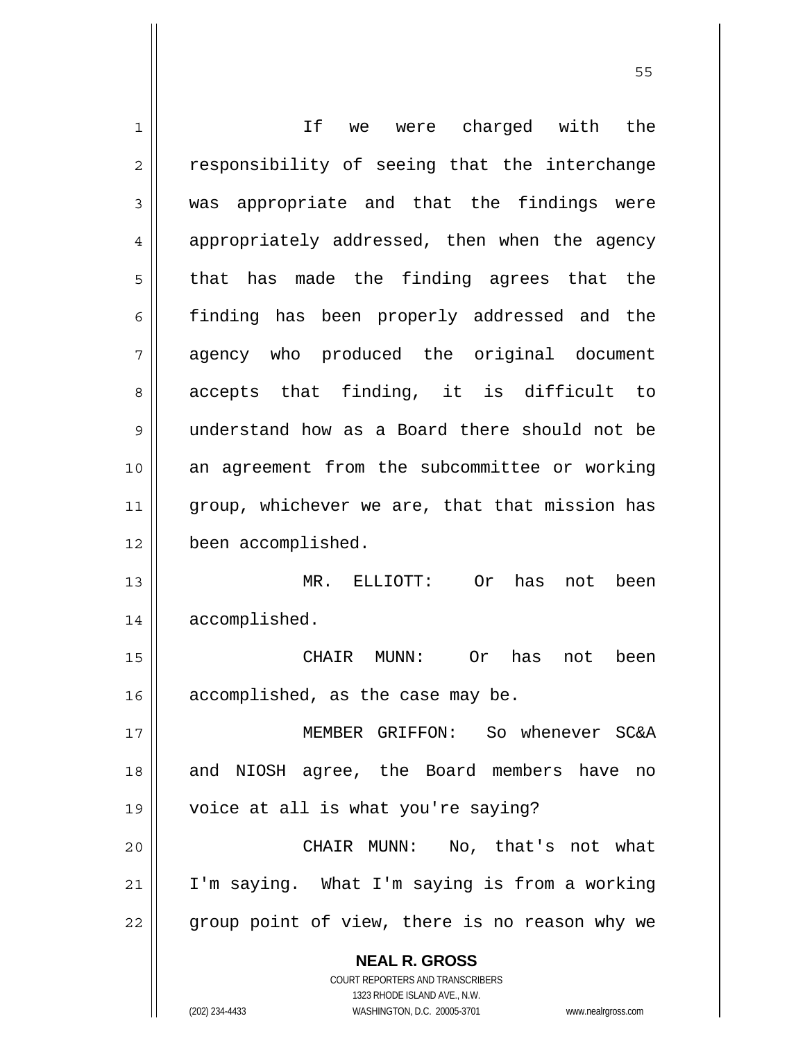| 1  | If<br>we were charged with the                                                                      |
|----|-----------------------------------------------------------------------------------------------------|
| 2  | responsibility of seeing that the interchange                                                       |
| 3  | was appropriate and that the findings were                                                          |
| 4  | appropriately addressed, then when the agency                                                       |
| 5  | that has made the finding agrees that the                                                           |
| 6  | finding has been properly addressed and the                                                         |
| 7  | agency who produced the original document                                                           |
| 8  | accepts that finding, it is difficult to                                                            |
| 9  | understand how as a Board there should not be                                                       |
| 10 | an agreement from the subcommittee or working                                                       |
| 11 | group, whichever we are, that that mission has                                                      |
| 12 | been accomplished.                                                                                  |
| 13 | MR. ELLIOTT:<br>Or<br>has not<br>been                                                               |
| 14 | accomplished.                                                                                       |
| 15 | CHAIR<br>Or<br>has<br>been<br>$MUNN$ :<br>not                                                       |
| 16 | accomplished, as the case may be.                                                                   |
| 17 | MEMBER GRIFFON: So whenever SC&A                                                                    |
| 18 | and NIOSH agree, the Board members have<br>no                                                       |
| 19 | voice at all is what you're saying?                                                                 |
| 20 | CHAIR MUNN: No, that's not what                                                                     |
| 21 | I'm saying. What I'm saying is from a working                                                       |
| 22 | group point of view, there is no reason why we                                                      |
|    | <b>NEAL R. GROSS</b>                                                                                |
|    | <b>COURT REPORTERS AND TRANSCRIBERS</b>                                                             |
|    | 1323 RHODE ISLAND AVE., N.W.<br>(202) 234-4433<br>WASHINGTON, D.C. 20005-3701<br>www.nealrgross.com |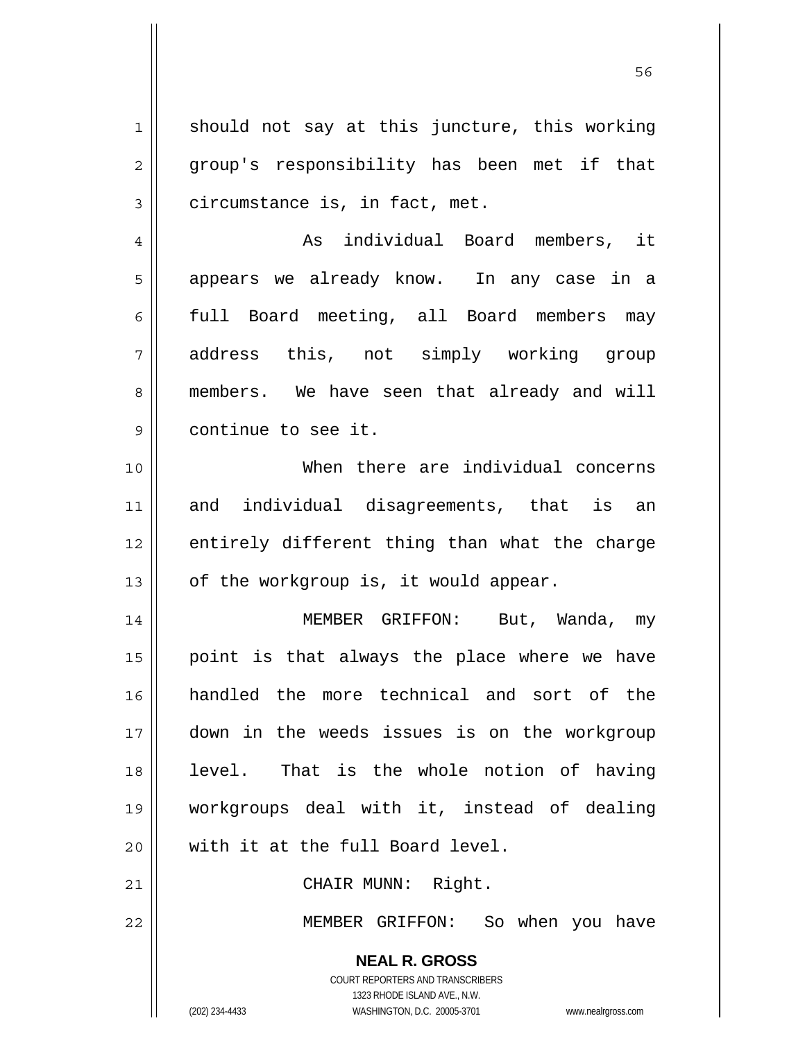**NEAL R. GROSS**  $1 \parallel$  should not say at this juncture, this working 2 group's responsibility has been met if that  $3 \parallel$  circumstance is, in fact, met. 4 || As individual Board members, it 5 || appears we already know. In any case in a 6 full Board meeting, all Board members may 7 address this, not simply working group 8 || members. We have seen that already and will 9 continue to see it. 10 When there are individual concerns 11 and individual disagreements, that is an 12 || entirely different thing than what the charge  $13$  | of the workgroup is, it would appear. 14 MEMBER GRIFFON: But, Wanda, my  $15$  point is that always the place where we have 16 handled the more technical and sort of the 17 down in the weeds issues is on the workgroup 18 level. That is the whole notion of having 19 workgroups deal with it, instead of dealing 20 || with it at the full Board level. 21 | CHAIR MUNN: Right. 22 MEMBER GRIFFON: So when you have

 $56$ 

 COURT REPORTERS AND TRANSCRIBERS 1323 RHODE ISLAND AVE., N.W.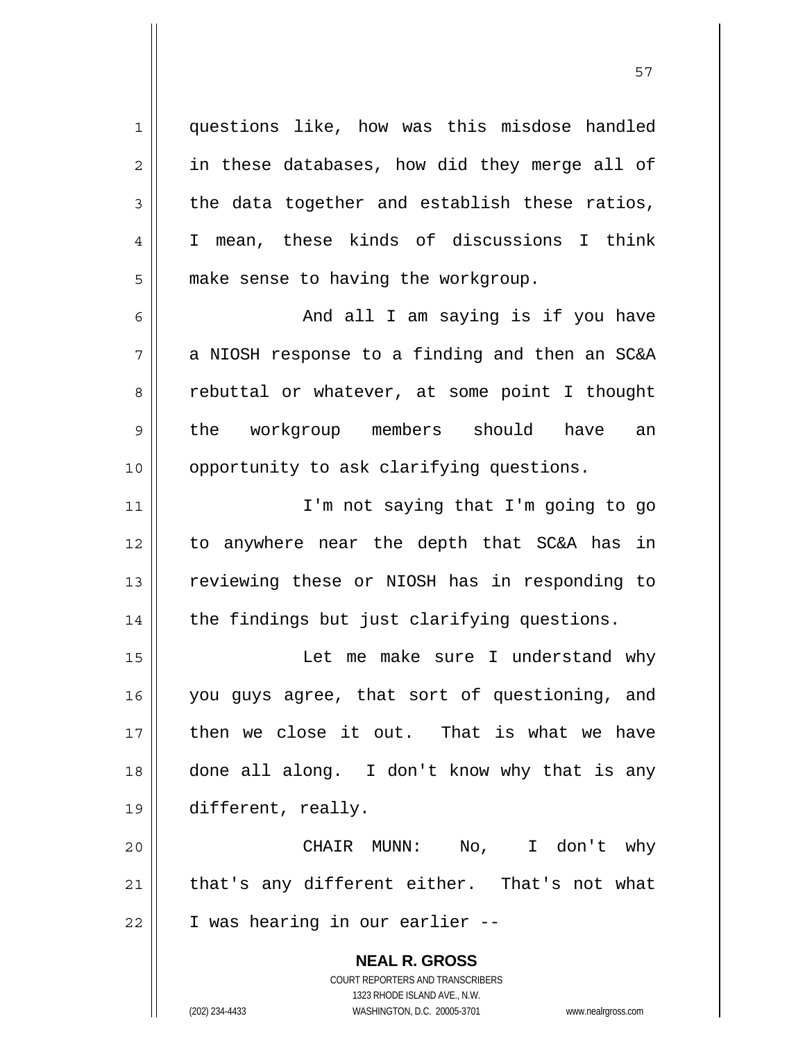1 questions like, how was this misdose handled  $2 \parallel$  in these databases, how did they merge all of  $3 \parallel$  the data together and establish these ratios, 4 I mean, these kinds of discussions I think  $5$  | make sense to having the workgroup.

6 And all I am saying is if you have  $7 \parallel$  a NIOSH response to a finding and then an SC&A 8 rebuttal or whatever, at some point I thought 9 the workgroup members should have an 10 || opportunity to ask clarifying questions.

I'm not saying that I'm going to go to anywhere near the depth that SC&A has in 13 || reviewing these or NIOSH has in responding to | the findings but just clarifying questions.

15 || [15] Let me make sure I understand why 16 || you guys agree, that sort of questioning, and  $17$  | then we close it out. That is what we have 18 done all along. I don't know why that is any 19 different, really.

20 CHAIR MUNN: No, I don't why 21 || that's any different either. That's not what  $22 \parallel$  I was hearing in our earlier --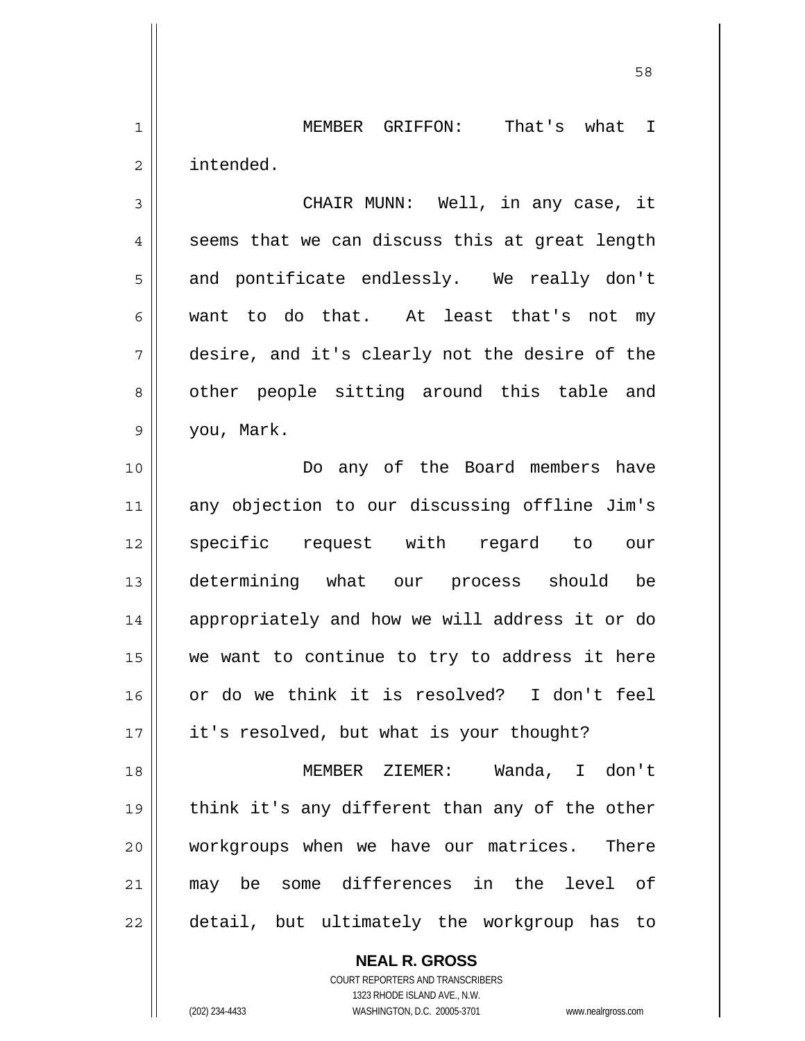1 MEMBER GRIFFON: That's what I 2 intended.

3 CHAIR MUNN: Well, in any case, it  $4 \parallel$  seems that we can discuss this at great length  $5 \parallel$  and pontificate endlessly. We really don't 6 want to do that. At least that's not my 7 desire, and it's clearly not the desire of the 8 || other people sitting around this table and 9 you, Mark.

Do any of the Board members have any objection to our discussing offline Jim's 12 || specific request with regard to our determining what our process should be 14 || appropriately and how we will address it or do we want to continue to try to address it here or do we think it is resolved? I don't feel 17 || it's resolved, but what is your thought?

18 MEMBER ZIEMER: Wanda, I don't 19 || think it's any different than any of the other 20 workgroups when we have our matrices. There 21 may be some differences in the level of 22 || detail, but ultimately the workgroup has to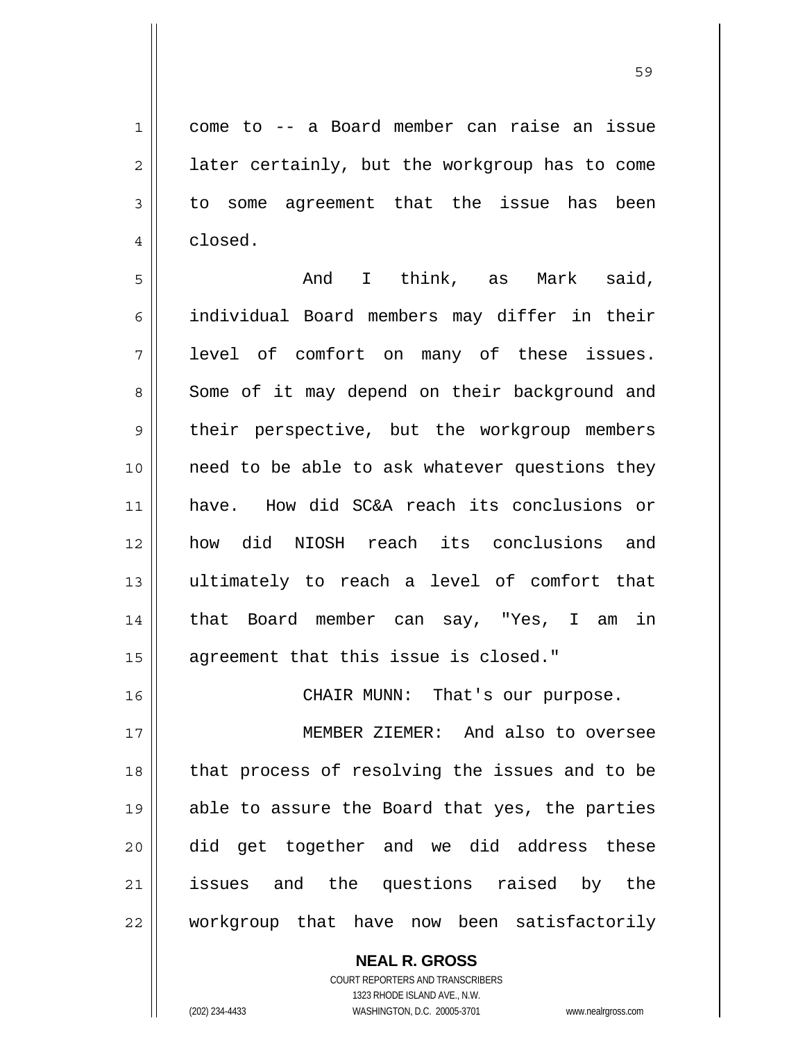1 come to -- a Board member can raise an issue  $2 \parallel$  later certainly, but the workgroup has to come 3 to some agreement that the issue has been 4 | closed.

<u>59 September 2005 September 2005 September 2005 September 2005 September 2005 September 2005 September 2005 S</u>

 $5 \parallel$  and I think, as Mark said, 6 individual Board members may differ in their 7 || level of comfort on many of these issues. 8 Some of it may depend on their background and 9 their perspective, but the workgroup members 10 || need to be able to ask whatever questions they 11 have. How did SC&A reach its conclusions or 12 how did NIOSH reach its conclusions and 13 ultimately to reach a level of comfort that 14 || that Board member can say, "Yes, I am in 15 agreement that this issue is closed."

16 || CHAIR MUNN: That's our purpose.

MEMBER ZIEMER: And also to oversee 18 || that process of resolving the issues and to be able to assure the Board that yes, the parties did get together and we did address these 21 || issues and the questions raised by the workgroup that have now been satisfactorily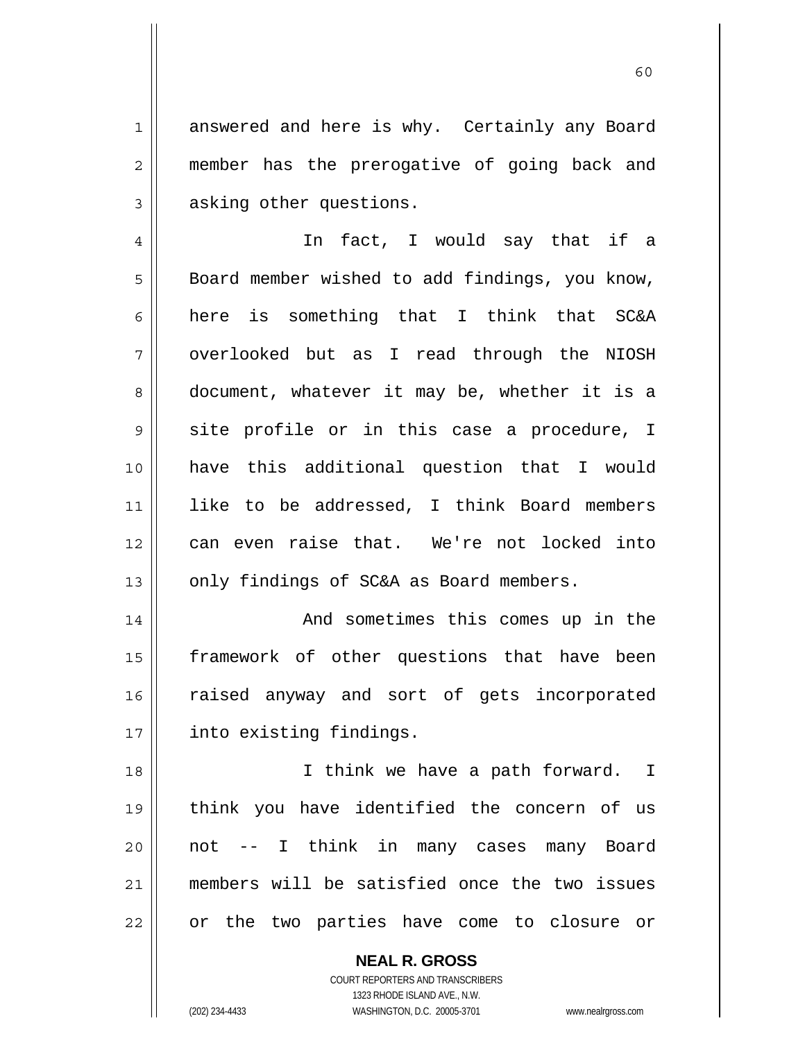1 answered and here is why. Certainly any Board 2 member has the prerogative of going back and 3 asking other questions.

4 || In fact, I would say that if a 5 | Board member wished to add findings, you know, 6 here is something that I think that SC&A 7 || overlooked but as I read through the NIOSH 8 document, whatever it may be, whether it is a  $9 \parallel$  site profile or in this case a procedure, I 10 have this additional question that I would 11 like to be addressed, I think Board members 12 can even raise that. We're not locked into  $13 \parallel$  only findings of SC&A as Board members.

14 || And sometimes this comes up in the 15 framework of other questions that have been 16 || raised anyway and sort of gets incorporated 17 | into existing findings.

18 || I think we have a path forward. I 19 think you have identified the concern of us 20 not -- I think in many cases many Board 21 members will be satisfied once the two issues 22 || or the two parties have come to closure or

> **NEAL R. GROSS** COURT REPORTERS AND TRANSCRIBERS 1323 RHODE ISLAND AVE., N.W.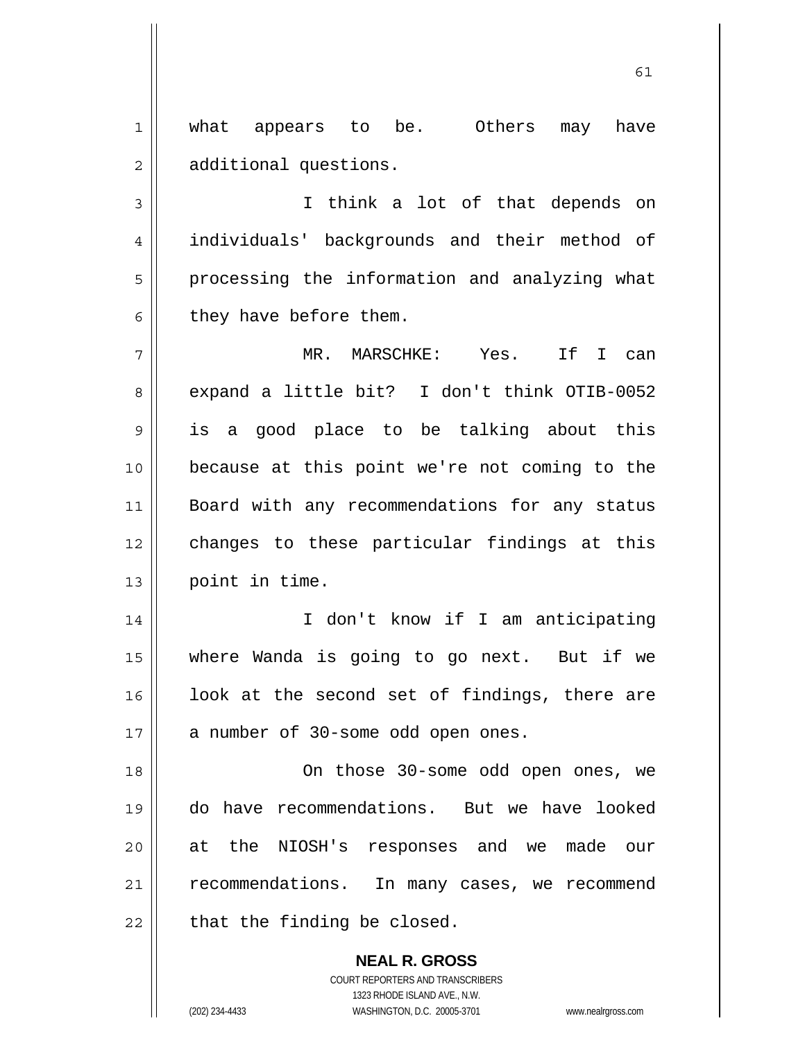1 || what appears to be. Others may have 2 | additional questions.

3 || Think a lot of that depends on 4 || individuals' backgrounds and their method of 5 || processing the information and analyzing what  $6 \parallel$  they have before them.

7 MR. MARSCHKE: Yes. If I can 8 expand a little bit? I don't think OTIB-0052 9|| is a good place to be talking about this 10 || because at this point we're not coming to the 11 || Board with any recommendations for any status 12 changes to these particular findings at this 13 | point in time.

14 I don't know if I am anticipating 15 where Wanda is going to go next. But if we 16 || look at the second set of findings, there are 17 || a number of 30-some odd open ones.

18 || Conthose 30-some odd open ones, we 19 do have recommendations. But we have looked 20 at the NIOSH's responses and we made our 21 | recommendations. In many cases, we recommend  $22$  | that the finding be closed.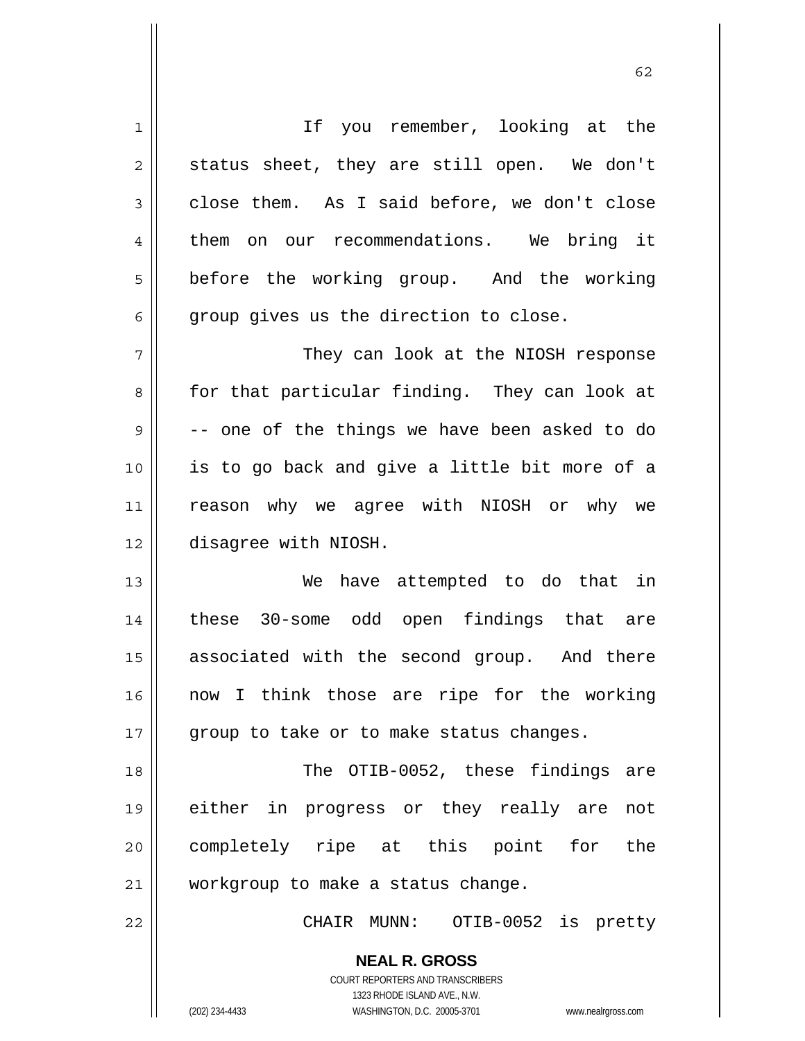| $\mathbf 1$    | If you remember, looking at the                                                          |
|----------------|------------------------------------------------------------------------------------------|
| $\overline{2}$ | status sheet, they are still open. We don't                                              |
| 3              | close them. As I said before, we don't close                                             |
| 4              | them on our recommendations. We bring it                                                 |
| 5              | before the working group. And the working                                                |
| 6              | group gives us the direction to close.                                                   |
| 7              | They can look at the NIOSH response                                                      |
| 8              | for that particular finding. They can look at                                            |
| 9              | -- one of the things we have been asked to do                                            |
| 10             | is to go back and give a little bit more of a                                            |
| 11             | reason why we agree with NIOSH or why we                                                 |
| 12             | disagree with NIOSH.                                                                     |
| 13             | We have attempted to do that in                                                          |
| 14             | these 30-some odd open findings that are                                                 |
| 15             | associated with the second group. And there                                              |
| 16             | now I think those are ripe for the working                                               |
| 17             | group to take or to make status changes.                                                 |
| 18             | The OTIB-0052, these findings are                                                        |
| 19             | either in progress or they really are<br>not                                             |
| 20             | completely ripe at this point for the                                                    |
| 21             | workgroup to make a status change.                                                       |
| 22             | CHAIR MUNN: OTIB-0052 is pretty                                                          |
|                | <b>NEAL R. GROSS</b><br>COURT REPORTERS AND TRANSCRIBERS<br>1323 RHODE ISLAND AVE., N.W. |
|                | (202) 234-4433<br>WASHINGTON, D.C. 20005-3701<br>www.nealrgross.com                      |

 $\sim$  62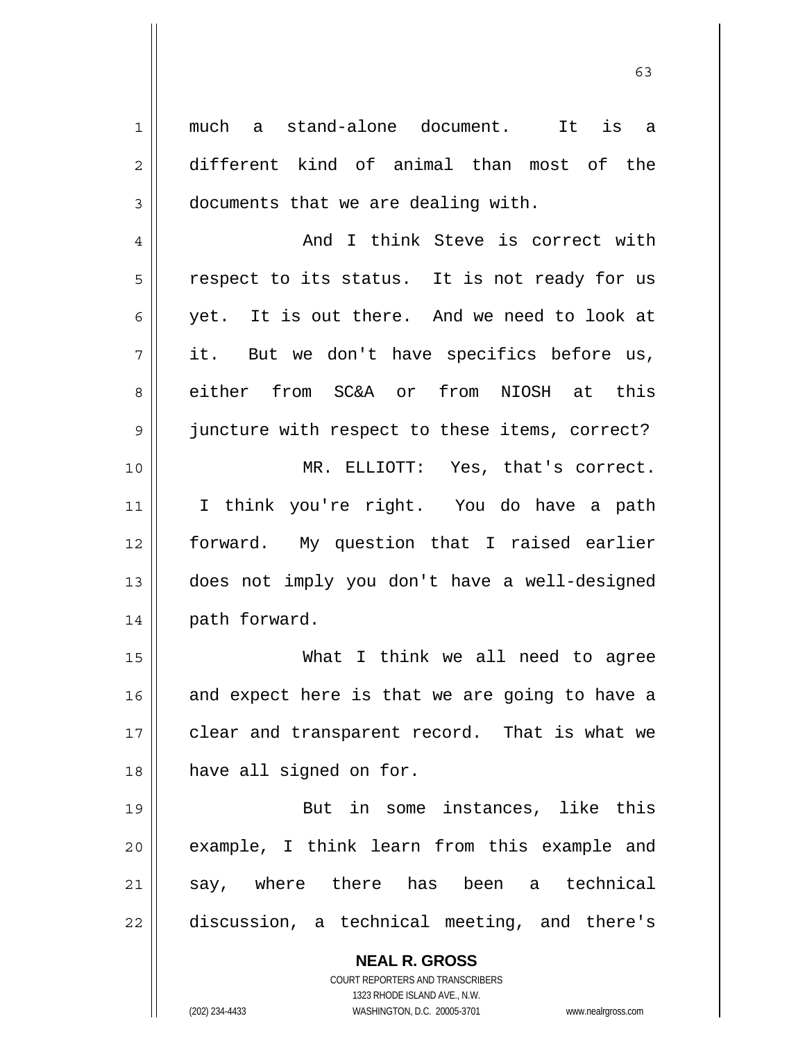**NEAL R. GROSS** COURT REPORTERS AND TRANSCRIBERS 1323 RHODE ISLAND AVE., N.W. 1 much a stand-alone document. It is a 2 different kind of animal than most of the 3 documents that we are dealing with. 4 And I think Steve is correct with  $5 \parallel$  respect to its status. It is not ready for us 6 yet. It is out there. And we need to look at  $7 \parallel$  it. But we don't have specifics before us, 8 either from SC&A or from NIOSH at this 9 | juncture with respect to these items, correct? 10 || MR. ELLIOTT: Yes, that's correct. 11 I think you're right. You do have a path 12 forward. My question that I raised earlier 13 does not imply you don't have a well-designed 14 | path forward. 15 What I think we all need to agree  $16$  and expect here is that we are going to have a 17 || clear and transparent record. That is what we 18 || have all signed on for. 19 || But in some instances, like this 20 || example, I think learn from this example and 21 say, where there has been a technical  $22$  || discussion, a technical meeting, and there's

63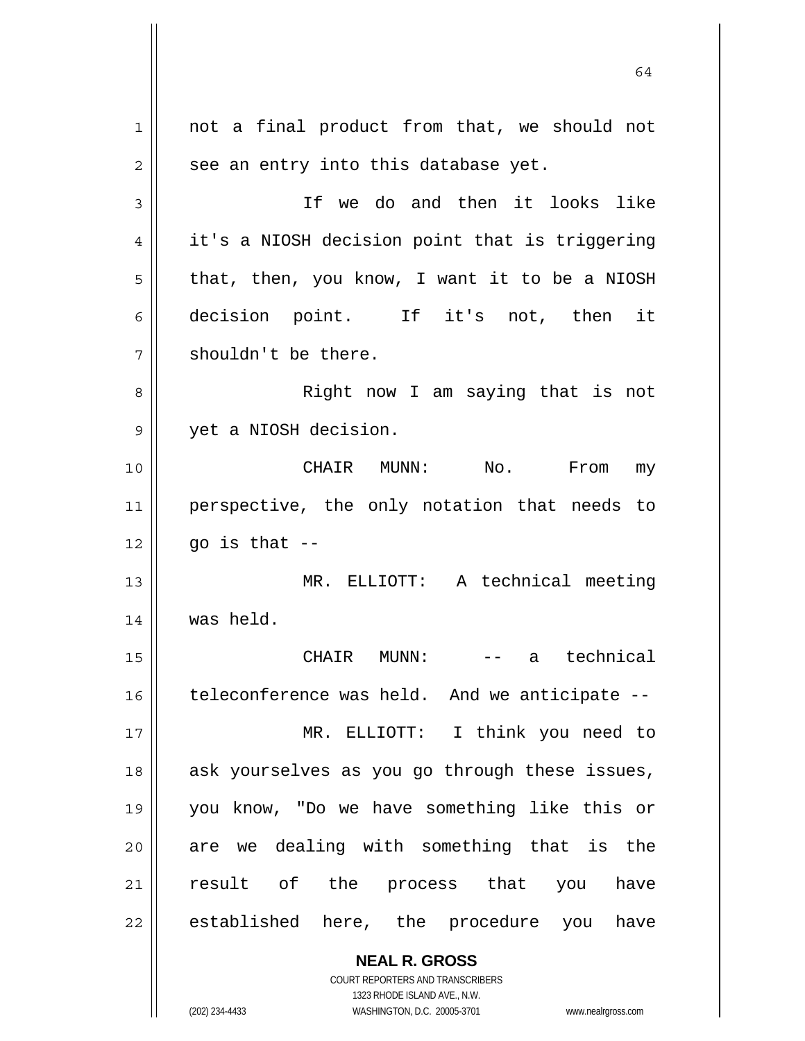**NEAL R. GROSS** COURT REPORTERS AND TRANSCRIBERS 1 || not a final product from that, we should not  $2 \parallel$  see an entry into this database yet. 3 If we do and then it looks like 4 || it's a NIOSH decision point that is triggering  $5 \parallel$  that, then, you know, I want it to be a NIOSH 6 decision point. If it's not, then it 7 || shouldn't be there. 8 || Right now I am saying that is not 9 | yet a NIOSH decision. 10 CHAIR MUNN: No. From my 11 perspective, the only notation that needs to  $12 \parallel$  go is that --13 MR. ELLIOTT: A technical meeting 14 || was held. 15 CHAIR MUNN: -- a technical 16 teleconference was held. And we anticipate --17 MR. ELLIOTT: I think you need to 18 || ask yourselves as you go through these issues, 19 you know, "Do we have something like this or  $20$  are we dealing with something that is the 21 || result of the process that you have 22 || established here, the procedure you have

64

1323 RHODE ISLAND AVE., N.W.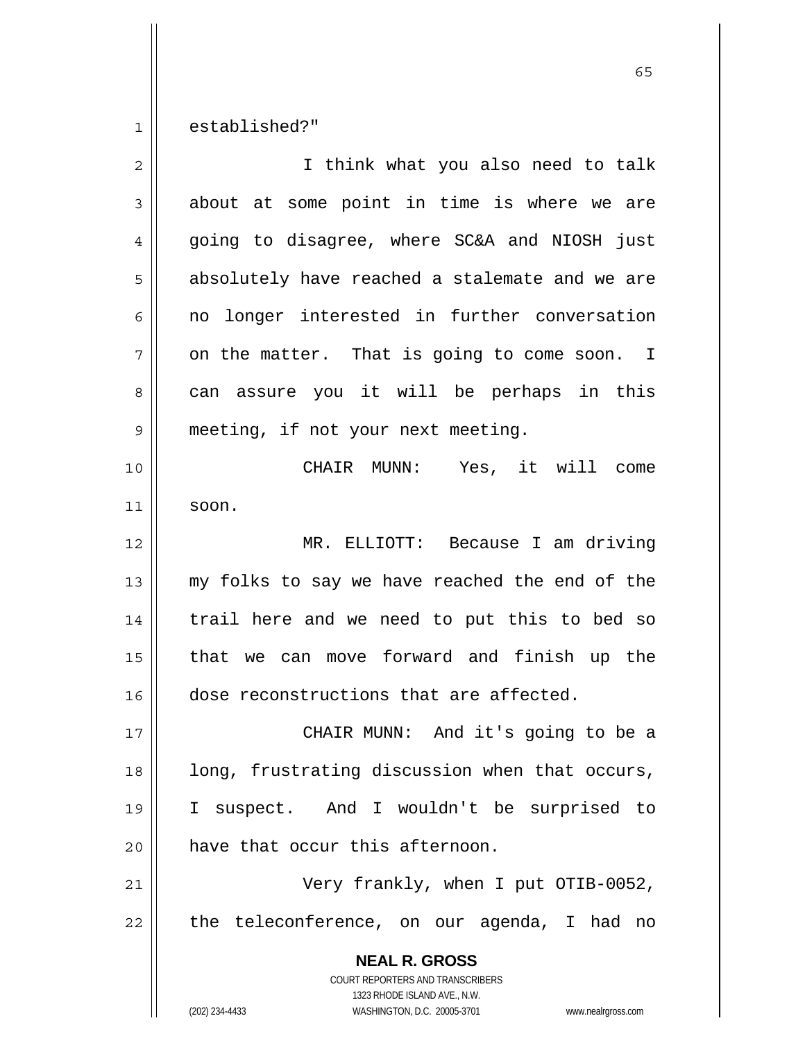established?"

| $\overline{2}$ | I think what you also need to talk                                                                                                                                     |
|----------------|------------------------------------------------------------------------------------------------------------------------------------------------------------------------|
| 3              | about at some point in time is where we are                                                                                                                            |
| 4              | going to disagree, where SC&A and NIOSH just                                                                                                                           |
| 5              | absolutely have reached a stalemate and we are                                                                                                                         |
| 6              | no longer interested in further conversation                                                                                                                           |
| 7              | on the matter. That is going to come soon. I                                                                                                                           |
| 8              | can assure you it will be perhaps in this                                                                                                                              |
| 9              | meeting, if not your next meeting.                                                                                                                                     |
| 10             | CHAIR MUNN: Yes, it will come                                                                                                                                          |
| 11             | soon.                                                                                                                                                                  |
| 12             | MR. ELLIOTT: Because I am driving                                                                                                                                      |
| 13             | my folks to say we have reached the end of the                                                                                                                         |
| 14             | trail here and we need to put this to bed so                                                                                                                           |
| 15             | that we can move forward and finish up the                                                                                                                             |
| 16             | dose reconstructions that are affected.                                                                                                                                |
| 17             | CHAIR MUNN: And it's going to be a                                                                                                                                     |
| 18             | long, frustrating discussion when that occurs,                                                                                                                         |
| 19             | I suspect. And I wouldn't be surprised to                                                                                                                              |
| 20             | have that occur this afternoon.                                                                                                                                        |
| 21             | Very frankly, when I put OTIB-0052,                                                                                                                                    |
| 22             | the teleconference, on our agenda, I had no                                                                                                                            |
|                | <b>NEAL R. GROSS</b><br><b>COURT REPORTERS AND TRANSCRIBERS</b><br>1323 RHODE ISLAND AVE., N.W.<br>(202) 234-4433<br>WASHINGTON, D.C. 20005-3701<br>www.nealrgross.com |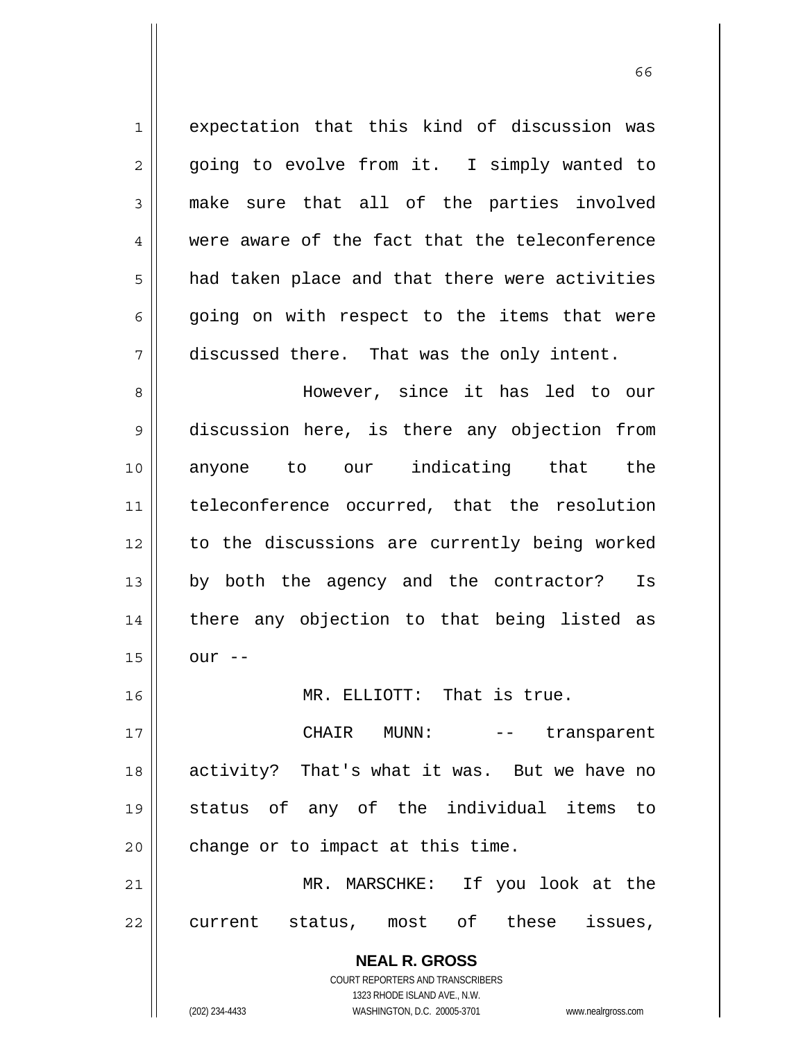**NEAL R. GROSS** 1 expectation that this kind of discussion was 2 || going to evolve from it. I simply wanted to 3 make sure that all of the parties involved 4 were aware of the fact that the teleconference  $5 \parallel$  had taken place and that there were activities  $6 \parallel$  going on with respect to the items that were 7 discussed there. That was the only intent. 8 However, since it has led to our 9 discussion here, is there any objection from 10 anyone to our indicating that the 11 teleconference occurred, that the resolution 12 || to the discussions are currently being worked 13 || by both the agency and the contractor? Is 14 || there any objection to that being listed as  $15$   $\parallel$  our  $-$ 16 MR. ELLIOTT: That is true. 17 CHAIR MUNN: -- transparent 18 activity? That's what it was. But we have no 19 status of any of the individual items to  $20$  | change or to impact at this time. 21 MR. MARSCHKE: If you look at the 22 || current status, most of these issues,

> COURT REPORTERS AND TRANSCRIBERS 1323 RHODE ISLAND AVE., N.W.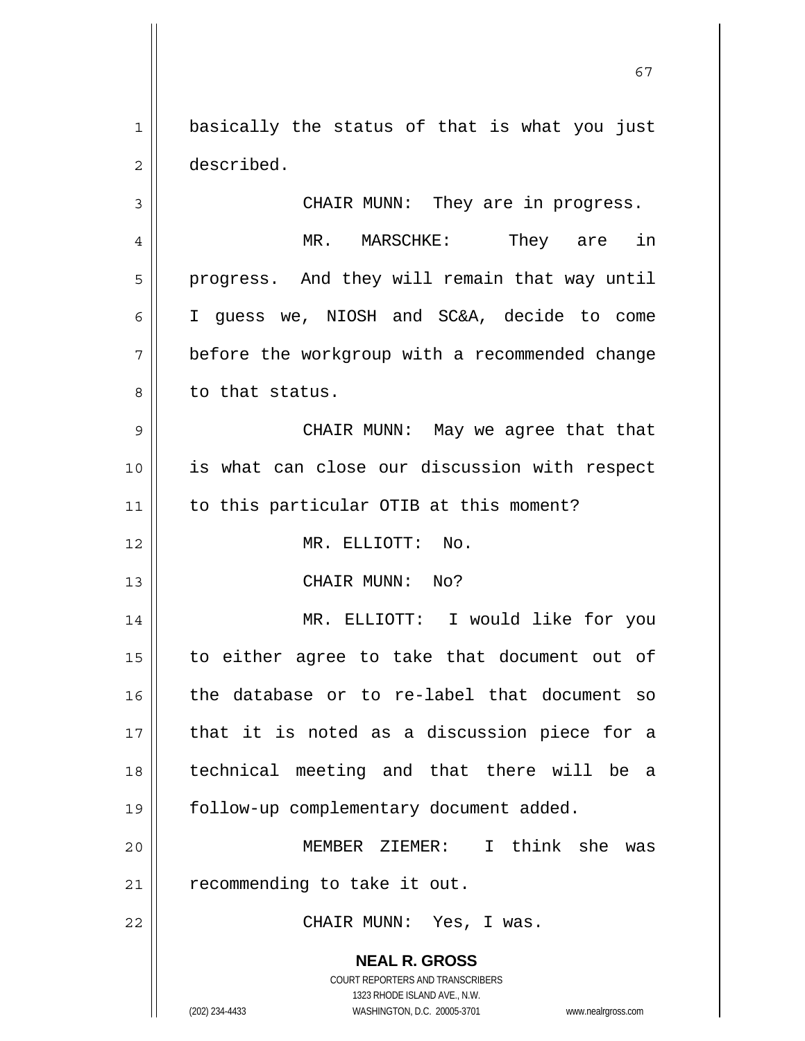1 || basically the status of that is what you just 2 described.

CHAIR MUNN: They are in progress. MR. MARSCHKE: They are in 5 | progress. And they will remain that way until I guess we, NIOSH and SC&A, decide to come before the workgroup with a recommended change 8 | to that status.

9 CHAIR MUNN: May we agree that that 10 || is what can close our discussion with respect 11 | to this particular OTIB at this moment?

12 MR. ELLIOTT: No.

13 || CHAIR MUNN: No?

MR. ELLIOTT: I would like for you to either agree to take that document out of 16 || the database or to re-label that document so 17 || that it is noted as a discussion piece for a technical meeting and that there will be a follow-up complementary document added.

20 MEMBER ZIEMER: I think she was  $21$  | recommending to take it out.

22 CHAIR MUNN: Yes, I was.

 **NEAL R. GROSS** COURT REPORTERS AND TRANSCRIBERS 1323 RHODE ISLAND AVE., N.W.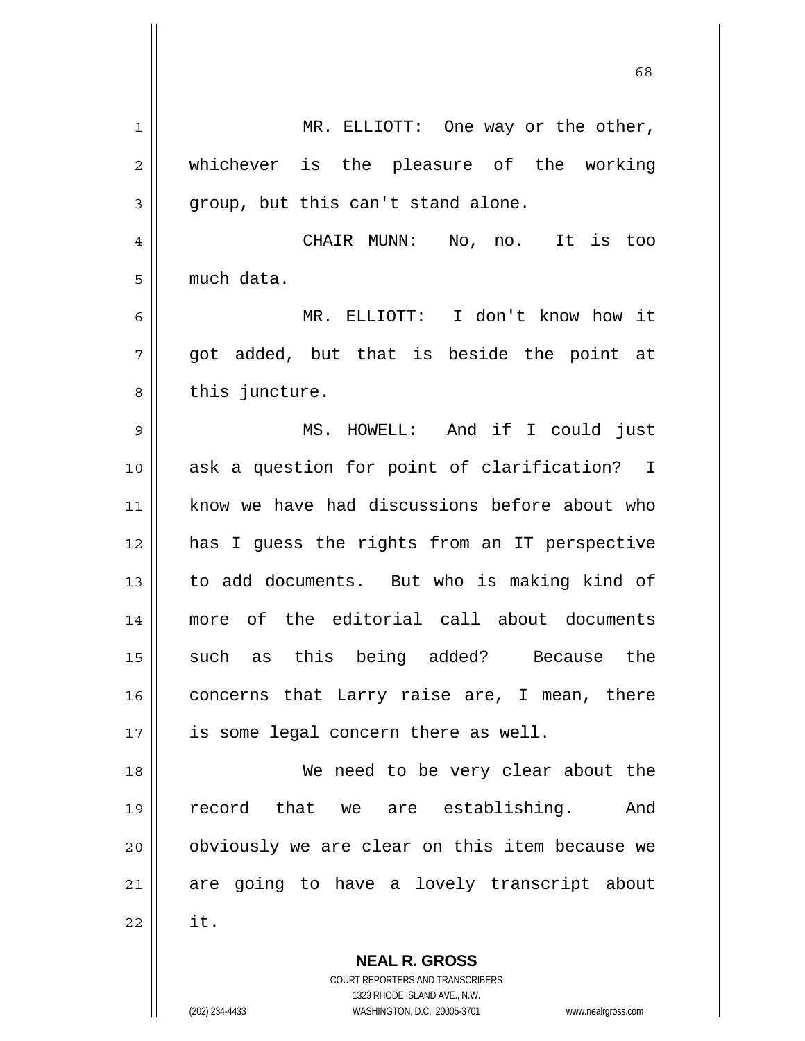1 || MR. ELLIOTT: One way or the other, 2 || whichever is the pleasure of the working  $3 \parallel$  group, but this can't stand alone. 4 CHAIR MUNN: No, no. It is too 5 much data. 6 MR. ELLIOTT: I don't know how it  $7 \parallel$  got added, but that is beside the point at  $8 \parallel$  this juncture. 9 MS. HOWELL: And if I could just 10 ask a question for point of clarification? I 11 || know we have had discussions before about who 12 has I guess the rights from an IT perspective 13 || to add documents. But who is making kind of 14 more of the editorial call about documents 15 || such as this being added? Because the  $16$  concerns that Larry raise are, I mean, there 17 || is some legal concern there as well. 18 || We need to be very clear about the 19 record that we are establishing. And 20 || obviously we are clear on this item because we 21 || are going to have a lovely transcript about  $22$   $\parallel$  it.

> **NEAL R. GROSS** COURT REPORTERS AND TRANSCRIBERS 1323 RHODE ISLAND AVE., N.W.

(202) 234-4433 WASHINGTON, D.C. 20005-3701 www.nealrgross.com

 $\sim$  68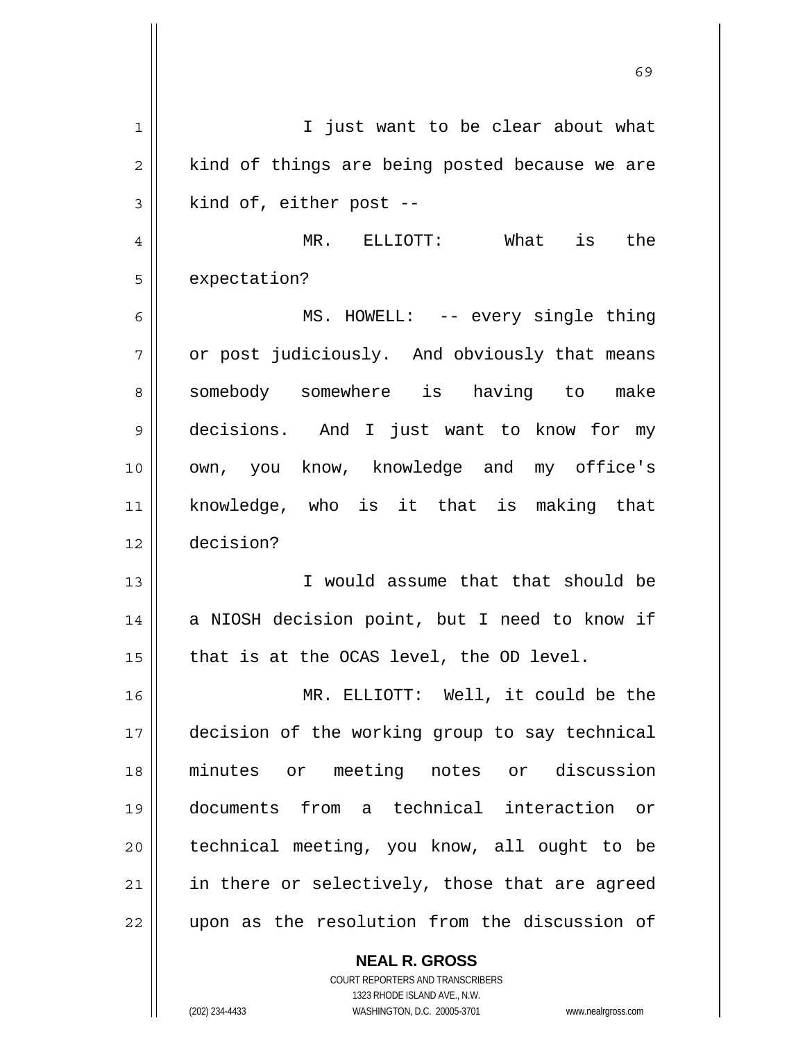| 1              | I just want to be clear about what             |
|----------------|------------------------------------------------|
| 2              | kind of things are being posted because we are |
| 3              | kind of, either post --                        |
| 4              | MR. ELLIOTT: What is the                       |
| 5              | expectation?                                   |
| 6              | MS. HOWELL: -- every single thing              |
| 7              | or post judiciously. And obviously that means  |
| 8              | somebody somewhere is having to make           |
| $\overline{9}$ | decisions. And I just want to know for my      |
| 10             | own, you know, knowledge and my office's       |
| 11             | knowledge, who is it that is making that       |
| 12             | decision?                                      |
| 13             | I would assume that that should be             |
| 14             | a NIOSH decision point, but I need to know if  |
| 15             | that is at the OCAS level, the OD level.       |
| 16             | MR. ELLIOTT: Well, it could be the             |
| 17             | decision of the working group to say technical |
| 18             | minutes or meeting notes or discussion         |
| 19             | documents from a technical interaction or      |
| 20             | technical meeting, you know, all ought to be   |
| 21             | in there or selectively, those that are agreed |
| 22             | upon as the resolution from the discussion of  |
|                |                                                |

 $\sim$  69

 COURT REPORTERS AND TRANSCRIBERS 1323 RHODE ISLAND AVE., N.W. (202) 234-4433 WASHINGTON, D.C. 20005-3701 www.nealrgross.com

 **NEAL R. GROSS**

 $\mathsf{II}$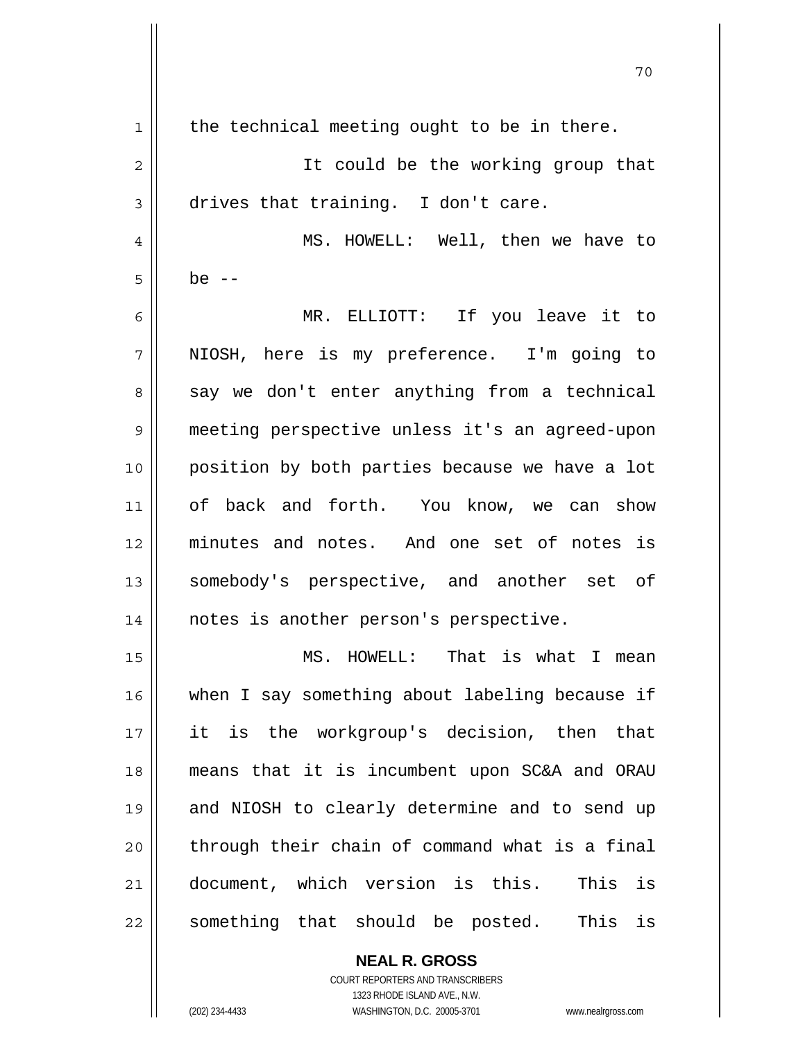| the technical meeting ought to be in there.    |
|------------------------------------------------|
| It could be the working group that             |
| drives that training. I don't care.            |
| MS. HOWELL: Well, then we have to              |
| be $-$                                         |
| MR. ELLIOTT: If you leave it to                |
| NIOSH, here is my preference. I'm going to     |
| say we don't enter anything from a technical   |
| meeting perspective unless it's an agreed-upon |
| position by both parties because we have a lot |
| of back and forth. You know, we can show       |
| minutes and notes. And one set of notes is     |
| somebody's perspective, and another set of     |
| notes is another person's perspective.         |
| MS. HOWELL: That is what I<br>mean             |
| when I say something about labeling because if |
| it is the workgroup's decision, then that      |
| means that it is incumbent upon SC&A and ORAU  |
| and NIOSH to clearly determine and to send up  |
| through their chain of command what is a final |
| document, which version is this. This<br>is    |
| something that should be posted. This is       |
|                                                |

 **NEAL R. GROSS** COURT REPORTERS AND TRANSCRIBERS

1323 RHODE ISLAND AVE., N.W.

(202) 234-4433 WASHINGTON, D.C. 20005-3701 www.nealrgross.com

 $\mathsf{II}$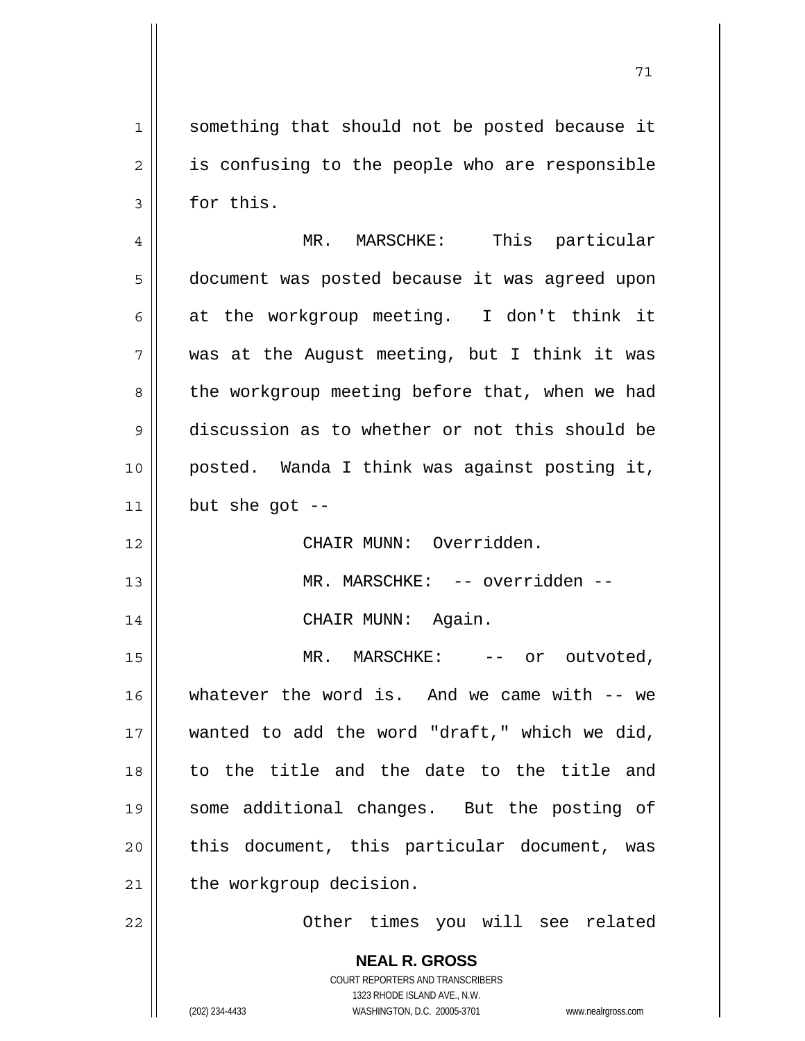**NEAL R. GROSS** 1 || something that should not be posted because it  $2 \parallel$  is confusing to the people who are responsible  $3 \parallel$  for this. MR. MARSCHKE: This particular document was posted because it was agreed upon 6 at the workgroup meeting. I don't think it  $7 \parallel$  was at the August meeting, but I think it was 8 || the workgroup meeting before that, when we had discussion as to whether or not this should be posted. Wanda I think was against posting it, | but she got --CHAIR MUNN: Overridden. MR. MARSCHKE: -- overridden -- CHAIR MUNN: Again. 15 || MR. MARSCHKE: -- or outvoted, whatever the word is. And we came with -- we wanted to add the word "draft," which we did, to the title and the date to the title and some additional changes. But the posting of 20 || this document, this particular document, was | the workgroup decision. Other times you will see related

> COURT REPORTERS AND TRANSCRIBERS 1323 RHODE ISLAND AVE., N.W.

(202) 234-4433 WASHINGTON, D.C. 20005-3701 www.nealrgross.com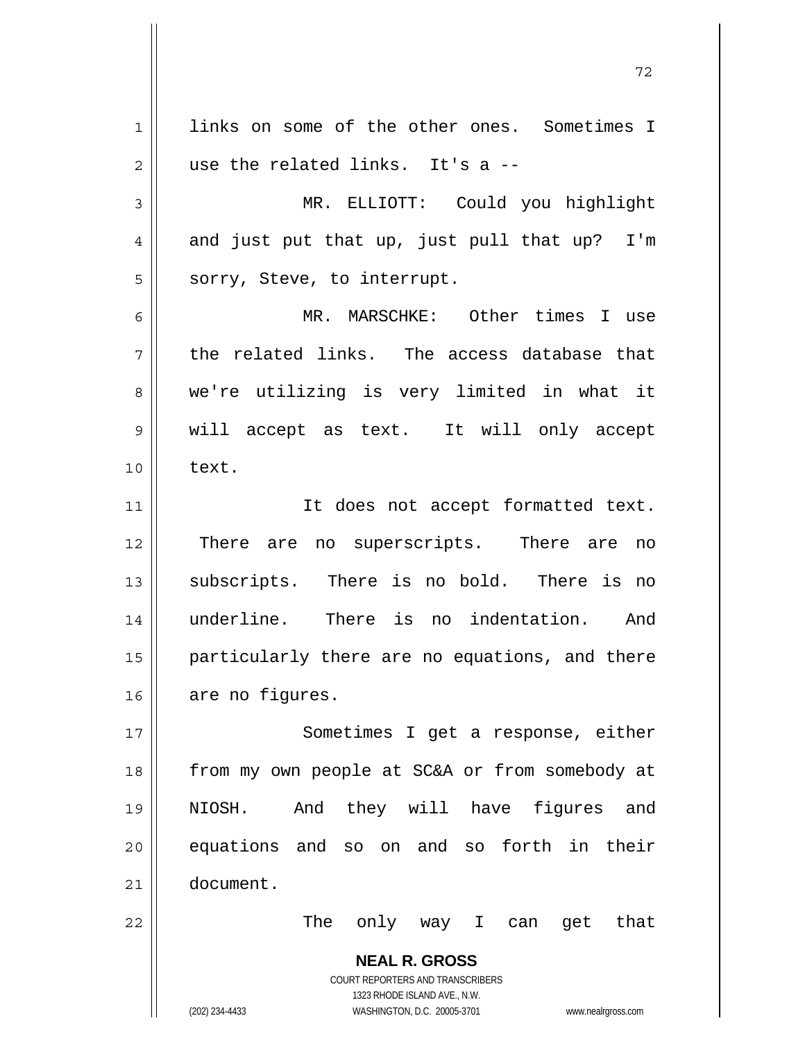**NEAL R. GROSS** COURT REPORTERS AND TRANSCRIBERS 1323 RHODE ISLAND AVE., N.W. (202) 234-4433 WASHINGTON, D.C. 20005-3701 www.nealrgross.com 1 | links on some of the other ones. Sometimes I 2 use the related links. It's a -- 3 MR. ELLIOTT: Could you highlight  $4 \parallel$  and just put that up, just pull that up? I'm  $5 \parallel$  sorry, Steve, to interrupt. 6 MR. MARSCHKE: Other times I use  $7$  the related links. The access database that 8 we're utilizing is very limited in what it 9 will accept as text. It will only accept  $10 \parallel$  text. 11 || It does not accept formatted text. 12 || There are no superscripts. There are no 13 || subscripts. There is no bold. There is no 14 underline. There is no indentation. And 15 || particularly there are no equations, and there 16 are no figures. 17 || Sometimes I get a response, either 18 from my own people at SC&A or from somebody at 19 NIOSH. And they will have figures and 20 equations and so on and so forth in their 21 document. 22 The only way I can get that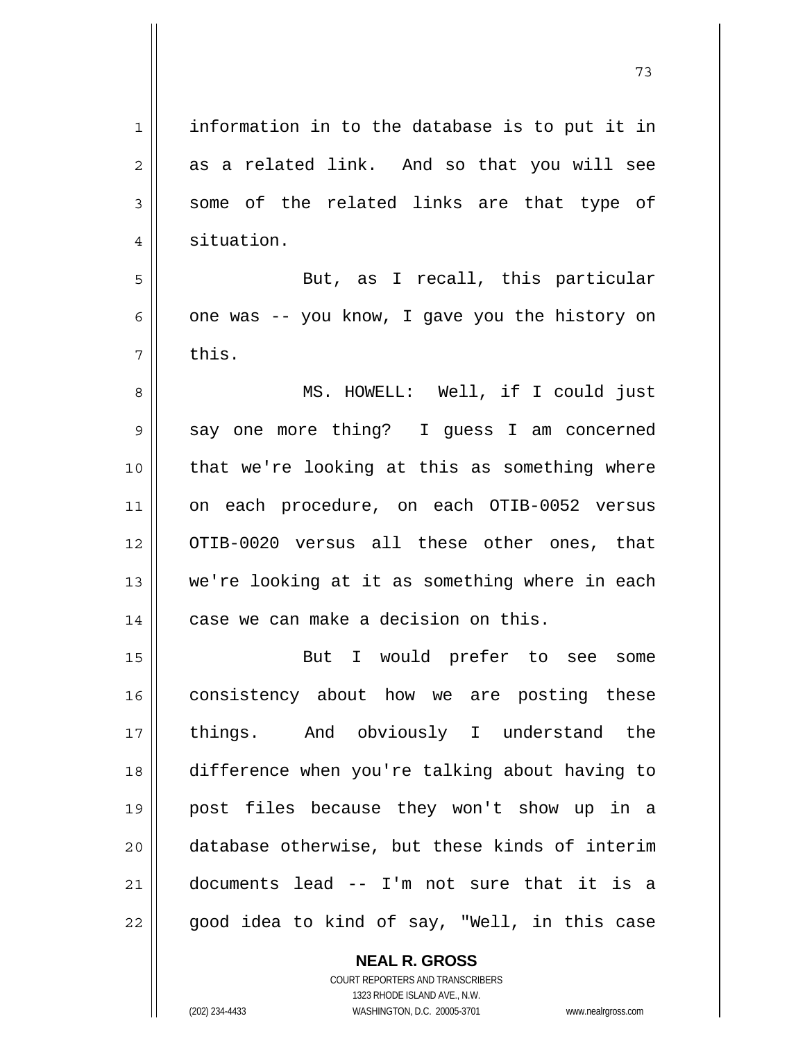1 information in to the database is to put it in  $2 \parallel$  as a related link. And so that you will see  $3 \parallel$  some of the related links are that type of 4 | situation.

5 || But, as I recall, this particular 6  $\parallel$  one was -- you know, I gave you the history on  $7 \parallel$  this.

8 || MS. HOWELL: Well, if I could just 9 || say one more thing? I guess I am concerned 10 that we're looking at this as something where 11 on each procedure, on each OTIB-0052 versus 12 || OTIB-0020 versus all these other ones, that 13 we're looking at it as something where in each 14 || case we can make a decision on this.

15 || But I would prefer to see some 16 || consistency about how we are posting these things. And obviously I understand the difference when you're talking about having to post files because they won't show up in a database otherwise, but these kinds of interim documents lead -- I'm not sure that it is a || good idea to kind of say, "Well, in this case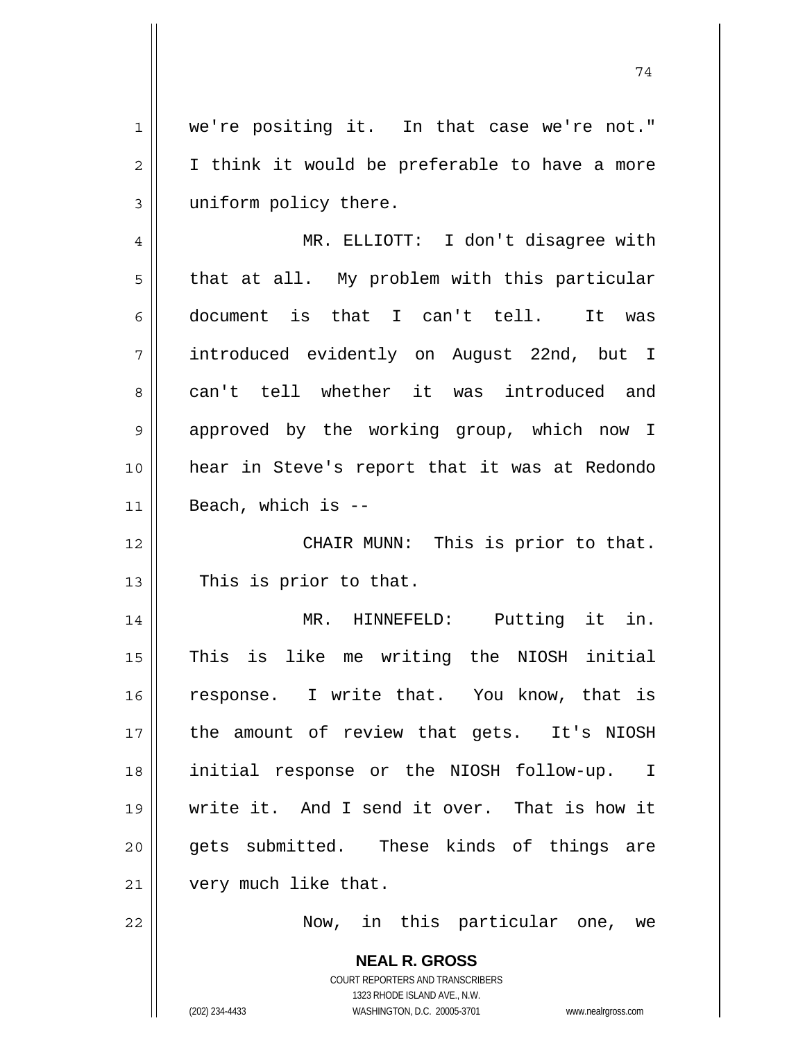1 || we're positing it. In that case we're not."  $2 \parallel$  I think it would be preferable to have a more 3 || uniform policy there.

MR. ELLIOTT: I don't disagree with  $5 \parallel$  that at all. My problem with this particular document is that I can't tell. It was introduced evidently on August 22nd, but I 8 can't tell whether it was introduced and 9 || approved by the working group, which now I hear in Steve's report that it was at Redondo Beach, which is  $-$ 

12 CHAIR MUNN: This is prior to that.  $13$  || This is prior to that.

MR. HINNEFELD: Putting it in. This is like me writing the NIOSH initial response. I write that. You know, that is 17 || the amount of review that gets. It's NIOSH initial response or the NIOSH follow-up. I write it. And I send it over. That is how it 20 || qets submitted. These kinds of things are 21 | very much like that.

22 || Now, in this particular one, we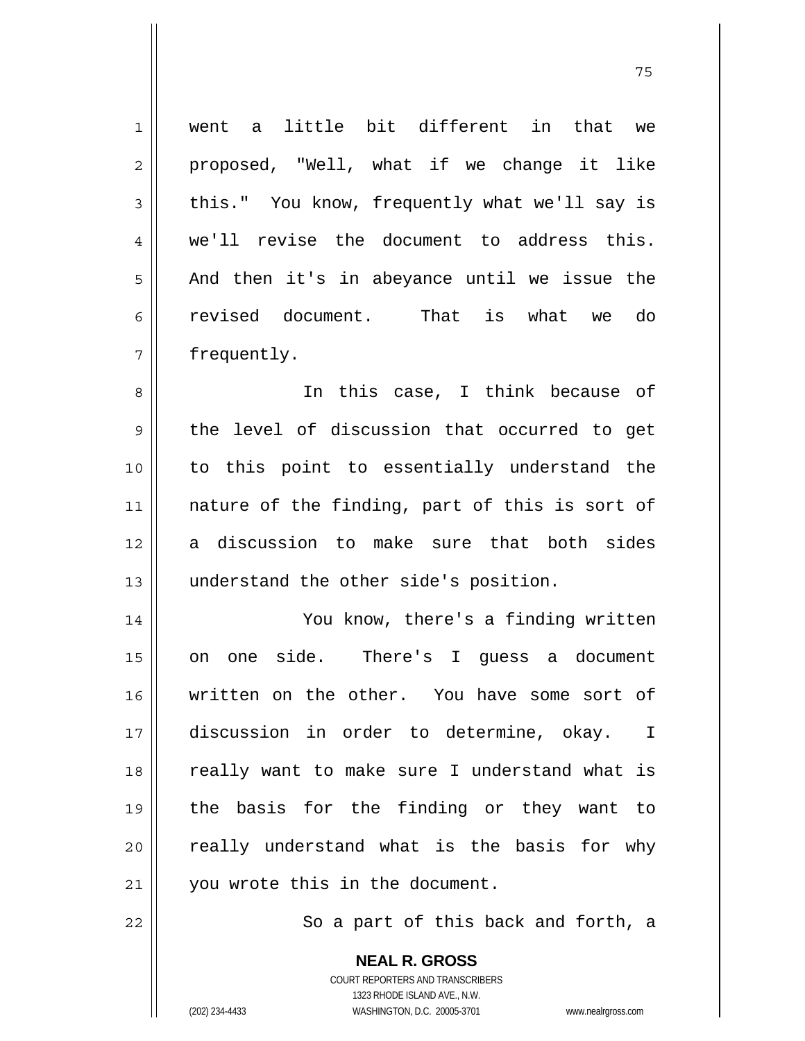1 went a little bit different in that we 2 || proposed, "Well, what if we change it like  $3 \parallel$  this." You know, frequently what we'll say is 4 we'll revise the document to address this.  $5 \parallel$  And then it's in abeyance until we issue the 6 revised document. That is what we do 7 | frequently. 8 || In this case, I think because of  $9$  the level of discussion that occurred to get 10 to this point to essentially understand the 11 nature of the finding, part of this is sort of 12 a discussion to make sure that both sides 13 understand the other side's position. 14 || You know, there's a finding written 15 on one side. There's I guess a document 16 written on the other. You have some sort of 17 discussion in order to determine, okay. I 18 || really want to make sure I understand what is 19 the basis for the finding or they want to 20 || really understand what is the basis for why 21 || you wrote this in the document. 22 || So a part of this back and forth, a

75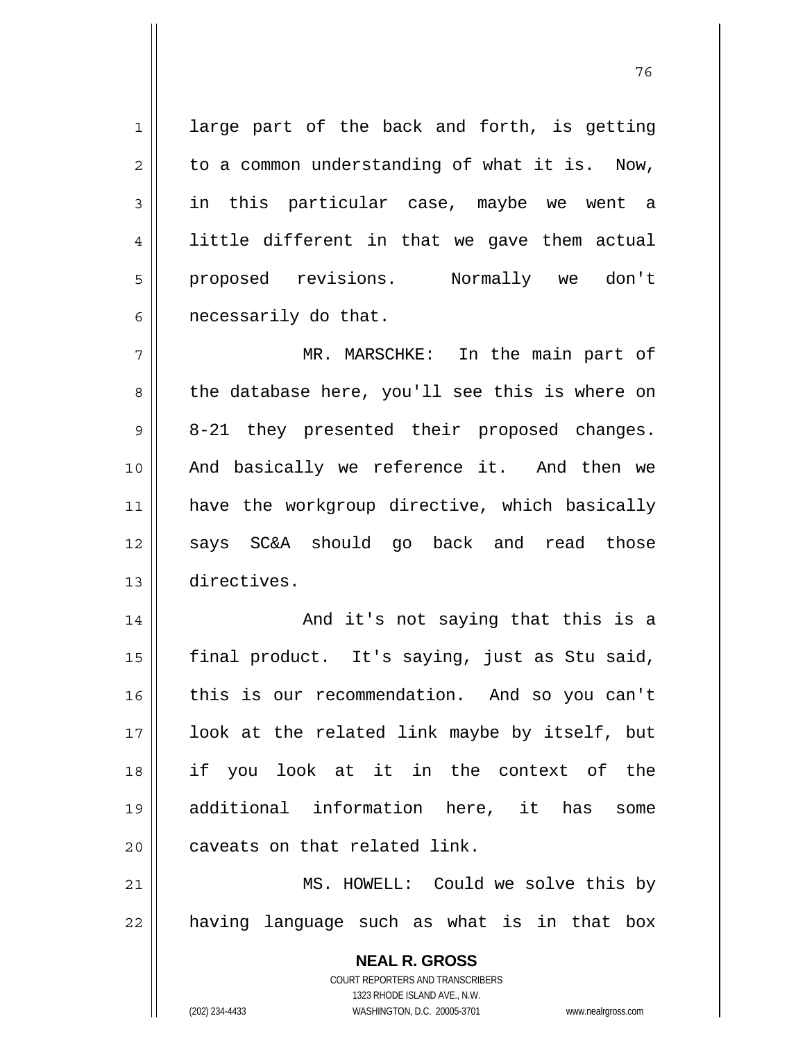$1 \parallel$  large part of the back and forth, is getting  $2 \parallel$  to a common understanding of what it is. Now, 3 in this particular case, maybe we went a 4 || little different in that we gave them actual 5 || proposed revisions. Normally we don't  $6 \parallel$  necessarily do that. 7 MR. MARSCHKE: In the main part of  $8 \parallel$  the database here, you'll see this is where on 9 || 8-21 they presented their proposed changes. 10 And basically we reference it. And then we 11 have the workgroup directive, which basically 12 || says SC&A should go back and read those

14 || And it's not saying that this is a 15 final product. It's saying, just as Stu said, 16 this is our recommendation. And so you can't 17 || look at the related link maybe by itself, but 18 if you look at it in the context of the 19 additional information here, it has some 20 || caveats on that related link.

21 MS. HOWELL: Could we solve this by  $22$  || having language such as what is in that box

> **NEAL R. GROSS** COURT REPORTERS AND TRANSCRIBERS 1323 RHODE ISLAND AVE., N.W. (202) 234-4433 WASHINGTON, D.C. 20005-3701 www.nealrgross.com

13 directives.

и процесс в политическиот производство в село в 176 година в 176 године. В 176 године в 176 године в 176 годин<br>В 176 године в 176 године в 176 године в 176 године в 176 године в 176 године в 176 године в 176 године в 176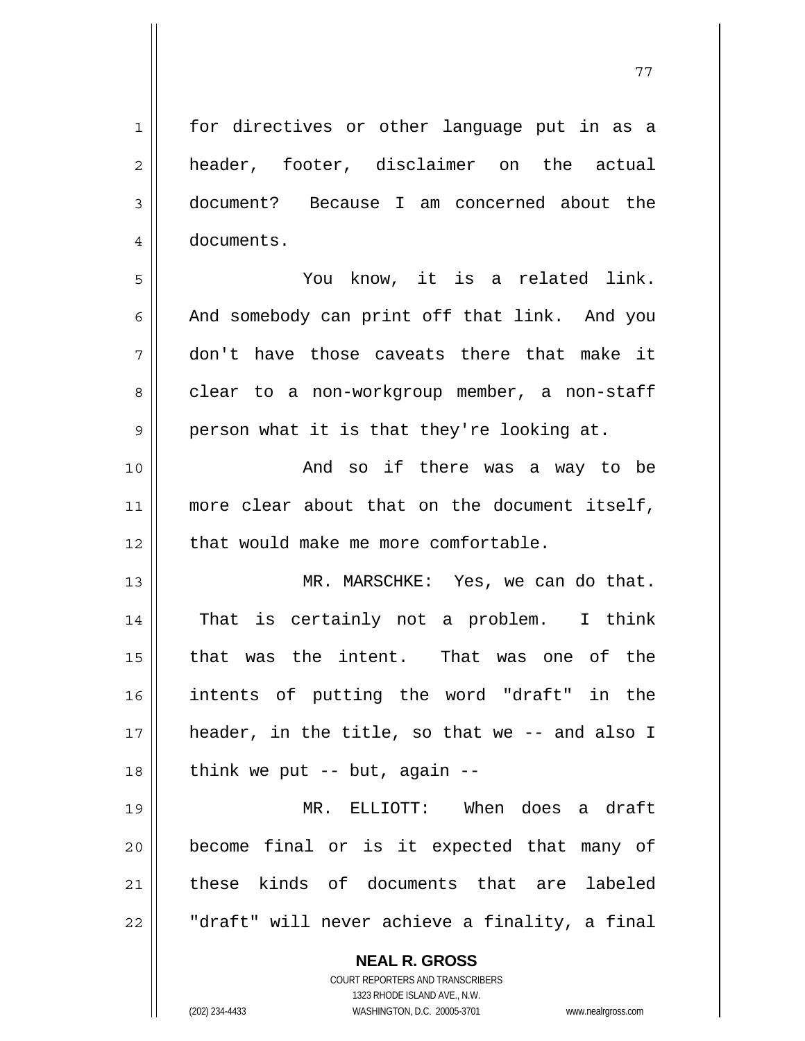| $\mathbf{1}$   | for directives or other language put in as a   |
|----------------|------------------------------------------------|
| $\overline{c}$ | header, footer, disclaimer on the actual       |
| 3              | document? Because I am concerned about the     |
| 4              | documents.                                     |
| 5              | You know, it is a related link.                |
| 6              | And somebody can print off that link. And you  |
| 7              | don't have those caveats there that make it    |
| 8              | clear to a non-workgroup member, a non-staff   |
| 9              | person what it is that they're looking at.     |
| 10             | And so if there was a way to be                |
| 11             | more clear about that on the document itself,  |
| 12             | that would make me more comfortable.           |
| 13             | MR. MARSCHKE: Yes, we can do that.             |
| 14             | That is certainly not a problem. I think       |
| 15             | that was the intent. That was one of the       |
| 16             | intents of putting the word "draft" in the     |
| 17             | header, in the title, so that we -- and also I |
| 18             | think we put $--$ but, again $--$              |
| 19             | MR. ELLIOTT: When does a draft                 |
| 20             | become final or is it expected that many of    |
| 21             | these kinds of documents that are labeled      |
| 22             | "draft" will never achieve a finality, a final |
|                | <b>NEAL R. GROSS</b>                           |

 COURT REPORTERS AND TRANSCRIBERS 1323 RHODE ISLAND AVE., N.W.

 $\mathsf{II}$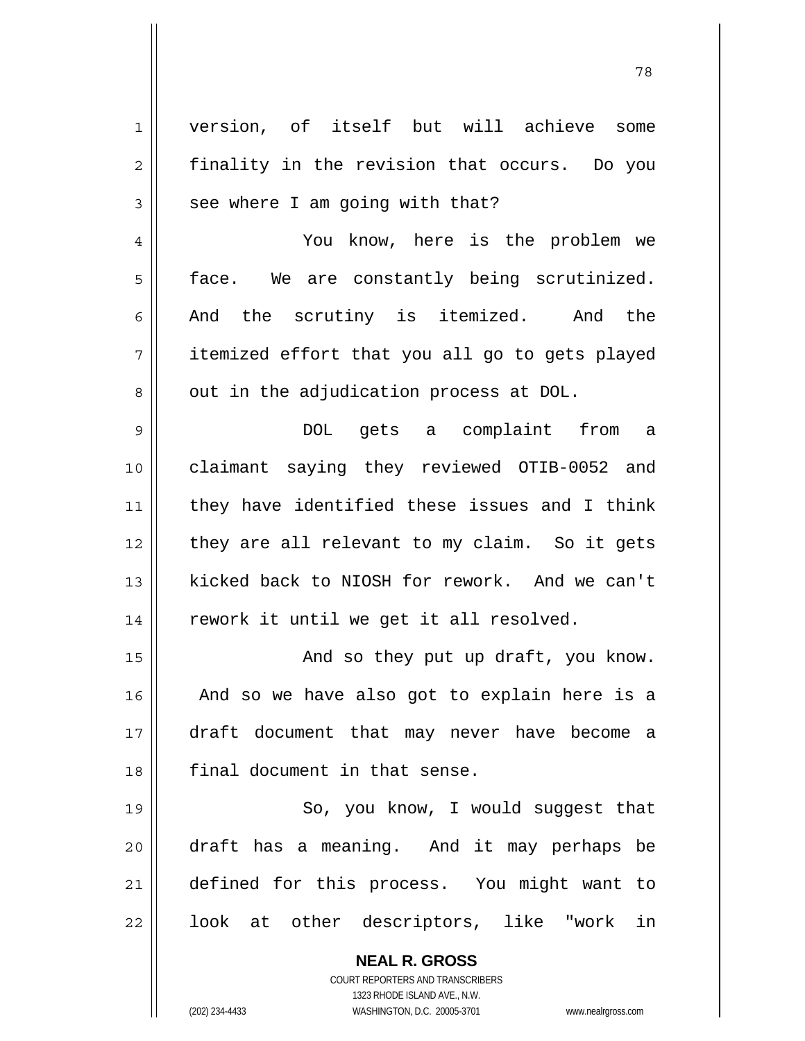| $\mathbf 1$    | version, of itself but will achieve some                 |
|----------------|----------------------------------------------------------|
| $\overline{c}$ | finality in the revision that occurs. Do you             |
| 3              | see where I am going with that?                          |
| $\overline{4}$ | You know, here is the problem we                         |
| 5              | face. We are constantly being scrutinized.               |
| 6              | And the scrutiny is itemized. And the                    |
| 7              | itemized effort that you all go to gets played           |
| 8              | out in the adjudication process at DOL.                  |
| $\mathsf 9$    | DOL gets a complaint from a                              |
| 10             | claimant saying they reviewed OTIB-0052 and              |
| 11             | they have identified these issues and I think            |
| 12             | they are all relevant to my claim. So it gets            |
| 13             | kicked back to NIOSH for rework. And we can't            |
| 14             | rework it until we get it all resolved.                  |
| 15             | And so they put up draft, you know.                      |
| 16             | And so we have also got to explain here is a             |
| 17             | draft document that may never have become a              |
| 18             | final document in that sense.                            |
| 19             | So, you know, I would suggest that                       |
| 20             | draft has a meaning. And it may perhaps be               |
| 21             | defined for this process. You might want to              |
| 22             | look at other descriptors, like "work in                 |
|                | <b>NEAL R. GROSS</b><br>COURT REPORTERS AND TRANSCRIBERS |

1323 RHODE ISLAND AVE., N.W.

(202) 234-4433 WASHINGTON, D.C. 20005-3701 www.nealrgross.com

 $\prod$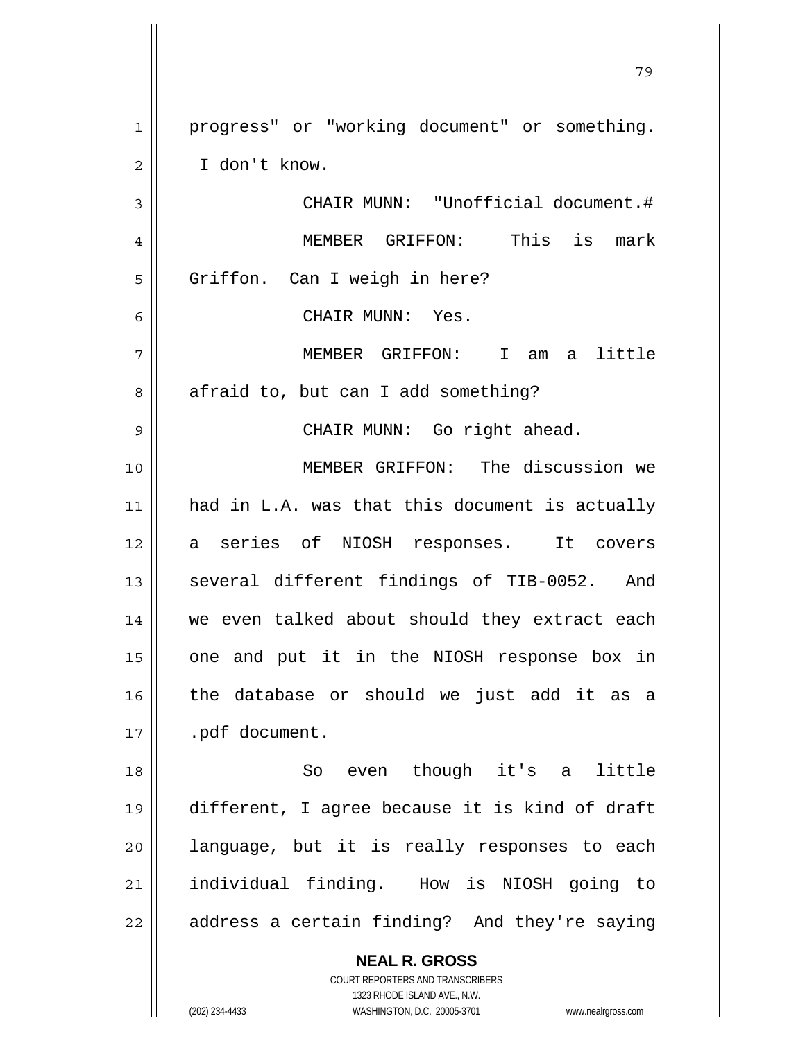**NEAL R. GROSS** 1 || progress" or "working document" or something. 2 I don't know. 3 || CHAIR MUNN: "Unofficial document.# 4 MEMBER GRIFFON: This is mark 5 | Griffon. Can I weigh in here? 6 CHAIR MUNN: Yes. 7 MEMBER GRIFFON: I am a little  $8 \parallel$  afraid to, but can I add something? 9 CHAIR MUNN: Go right ahead. 10 MEMBER GRIFFON: The discussion we  $11$  had in L.A. was that this document is actually 12 a series of NIOSH responses. It covers 13 || several different findings of TIB-0052. And 14 we even talked about should they extract each 15 || one and put it in the NIOSH response box in 16 the database or should we just add it as a 17 | .pdf document. 18 || So even though it's a little 19 different, I agree because it is kind of draft 20 || language, but it is really responses to each 21 individual finding. How is NIOSH going to  $22$  || address a certain finding? And they're saying

ли в село в село во село во село во село во село во село во село во село во село во село во село во село во се<br>2003 — Велико Село во село во село во село во село во село во село во село во село во село во село во село во

 COURT REPORTERS AND TRANSCRIBERS 1323 RHODE ISLAND AVE., N.W.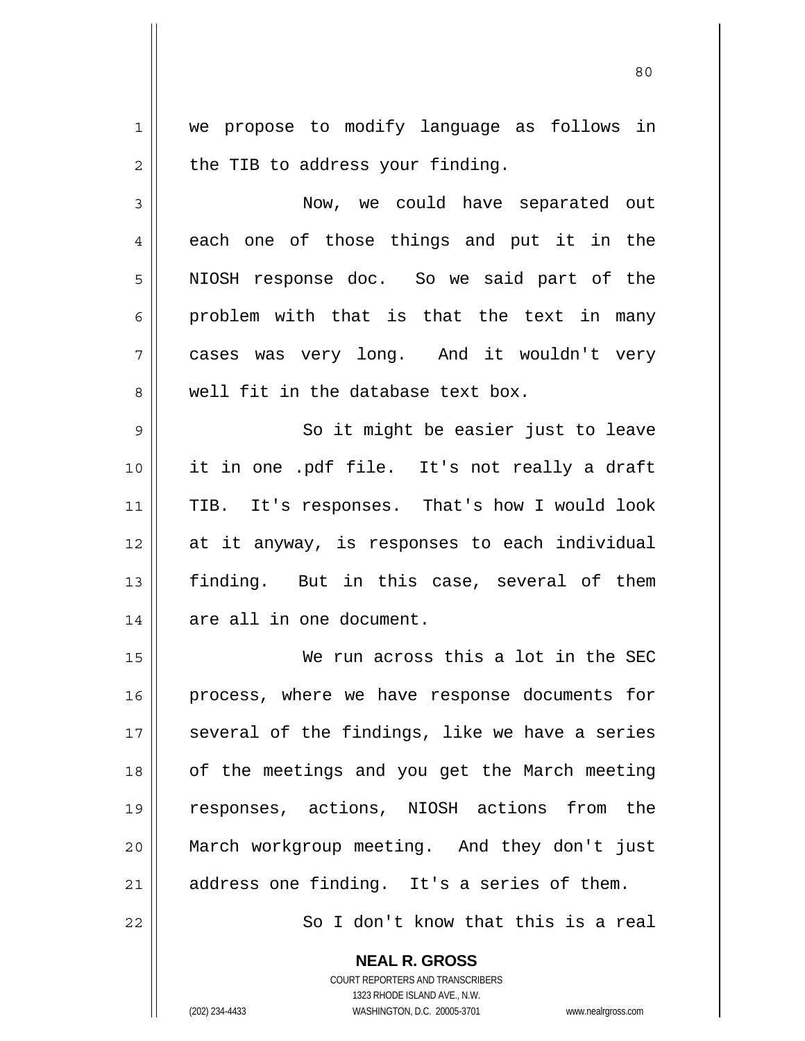1 || we propose to modify language as follows in  $2 \parallel$  the TIB to address your finding.

80

3 Now, we could have separated out 4 each one of those things and put it in the 5 || NIOSH response doc. So we said part of the 6 problem with that is that the text in many 7 cases was very long. And it wouldn't very 8 Well fit in the database text box.

9 || So it might be easier just to leave 10 || it in one .pdf file. It's not really a draft 11 || TIB. It's responses. That's how I would look 12 at it anyway, is responses to each individual 13 || finding. But in this case, several of them 14 || are all in one document.

15 We run across this a lot in the SEC 16 || process, where we have response documents for 17 || several of the findings, like we have a series 18 || of the meetings and you get the March meeting 19 responses, actions, NIOSH actions from the 20 March workgroup meeting. And they don't just  $21$  address one finding. It's a series of them.

22 || So I don't know that this is a real

 **NEAL R. GROSS** COURT REPORTERS AND TRANSCRIBERS

1323 RHODE ISLAND AVE., N.W.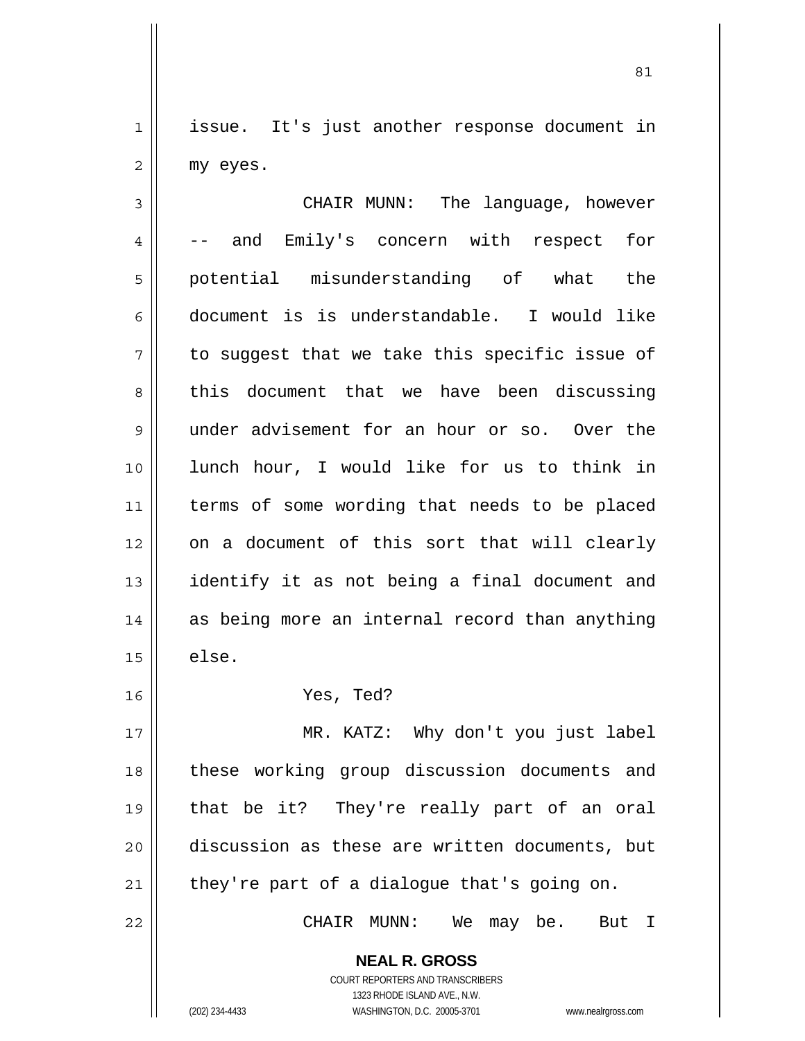1 || issue. It's just another response document in  $2 \parallel$  my eyes.

3 CHAIR MUNN: The language, however 4 -- and Emily's concern with respect for 5 || potential misunderstanding of what the 6 document is is understandable. I would like  $7 \parallel$  to suggest that we take this specific issue of 8 this document that we have been discussing 9 under advisement for an hour or so. Over the 10 lunch hour, I would like for us to think in 11 || terms of some wording that needs to be placed 12 || on a document of this sort that will clearly 13 || identify it as not being a final document and 14 || as being more an internal record than anything  $15$   $\parallel$  else. 16 Yes, Ted? 17 MR. KATZ: Why don't you just label 18 || these working group discussion documents and 19 that be it? They're really part of an oral

21  $\parallel$  they're part of a dialogue that's going on.

22 CHAIR MUNN: We may be. But I

 **NEAL R. GROSS** COURT REPORTERS AND TRANSCRIBERS

20 discussion as these are written documents, but

1323 RHODE ISLAND AVE., N.W.

(202) 234-4433 WASHINGTON, D.C. 20005-3701 www.nealrgross.com

<u>81</u>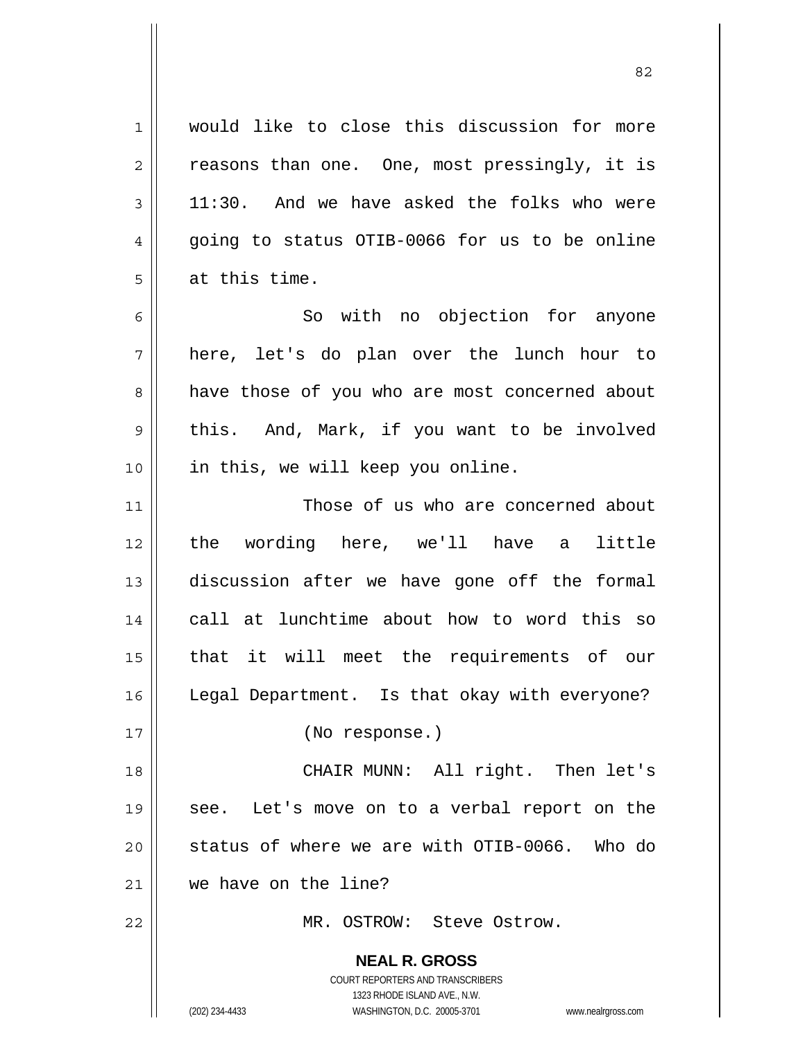**NEAL R. GROSS** COURT REPORTERS AND TRANSCRIBERS 1323 RHODE ISLAND AVE., N.W. (202) 234-4433 WASHINGTON, D.C. 20005-3701 www.nealrgross.com 1 would like to close this discussion for more  $2 \parallel$  reasons than one. One, most pressingly, it is  $3 \parallel$  11:30. And we have asked the folks who were 4 going to status OTIB-0066 for us to be online 5 || at this time. 6 || So with no objection for anyone 7 here, let's do plan over the lunch hour to 8 || have those of you who are most concerned about 9 || this. And, Mark, if you want to be involved 10 || in this, we will keep you online. 11 Those of us who are concerned about 12 || the wording here, we'll have a little 13 discussion after we have gone off the formal 14 || call at lunchtime about how to word this so 15 that it will meet the requirements of our 16 | Legal Department. Is that okay with everyone? 17 || (No response.) 18 || CHAIR MUNN: All right. Then let's 19 || see. Let's move on to a verbal report on the 20 || status of where we are with OTIB-0066. Who do 21 we have on the line? 22 MR. OSTROW: Steve Ostrow.

<u>82</u>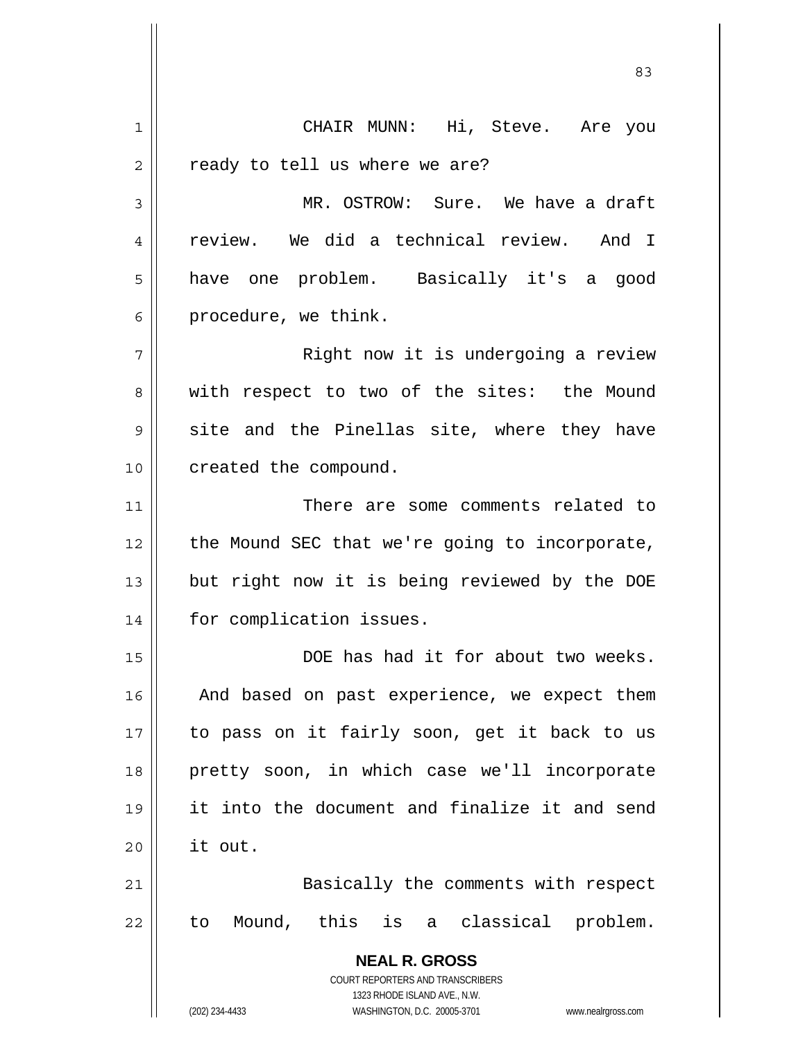**NEAL R. GROSS** COURT REPORTERS AND TRANSCRIBERS 1323 RHODE ISLAND AVE., N.W. (202) 234-4433 WASHINGTON, D.C. 20005-3701 www.nealrgross.com 1 CHAIR MUNN: Hi, Steve. Are you  $2 \parallel$  ready to tell us where we are? 3 MR. OSTROW: Sure. We have a draft 4 review. We did a technical review. And I 5 || have one problem. Basically it's a good  $6 \parallel$  procedure, we think. 7 || Right now it is undergoing a review 8 with respect to two of the sites: the Mound  $9 \parallel$  site and the Pinellas site, where they have 10 | created the compound. 11 || There are some comments related to  $12$  | the Mound SEC that we're going to incorporate, 13 || but right now it is being reviewed by the DOE 14 | for complication issues. 15 DOE has had it for about two weeks. 16 || And based on past experience, we expect them 17 to pass on it fairly soon, get it back to us 18 pretty soon, in which case we'll incorporate 19 it into the document and finalize it and send 20 it out. 21 || Basically the comments with respect  $22$  || to Mound, this is a classical problem.

<u>83</u>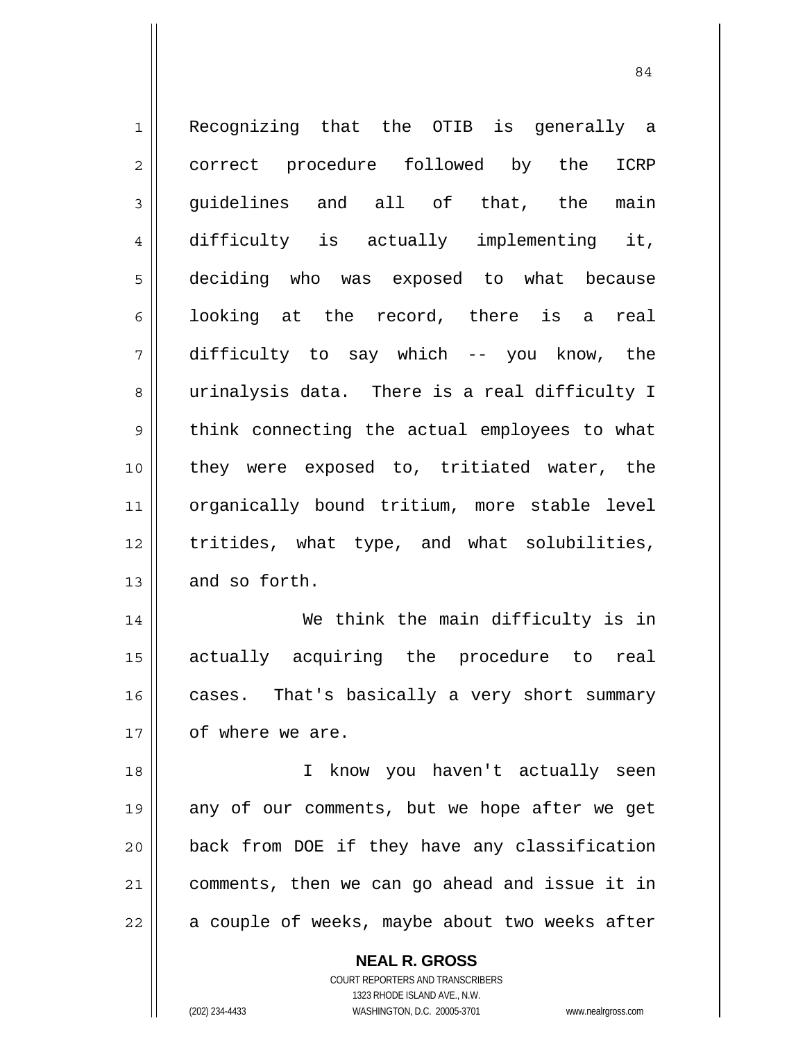1 Recognizing that the OTIB is generally a 2 || correct procedure followed by the ICRP  $3 \parallel$  quidelines and all of that, the main 4 difficulty is actually implementing it, 5 deciding who was exposed to what because  $6 \parallel$  looking at the record, there is a real 7 difficulty to say which -- you know, the 8 urinalysis data. There is a real difficulty I 9 think connecting the actual employees to what 10 || they were exposed to, tritiated water, the 11 organically bound tritium, more stable level 12 || tritides, what type, and what solubilities,  $13$  and so forth. 14 We think the main difficulty is in 15 actually acquiring the procedure to real 16 || cases. That's basically a very short summary 17 | of where we are. 18 I know you haven't actually seen 19 any of our comments, but we hope after we get 20 back from DOE if they have any classification 21 comments, then we can go ahead and issue it in

 $22$  | a couple of weeks, maybe about two weeks after

 **NEAL R. GROSS**

 COURT REPORTERS AND TRANSCRIBERS 1323 RHODE ISLAND AVE., N.W. (202) 234-4433 WASHINGTON, D.C. 20005-3701 www.nealrgross.com

84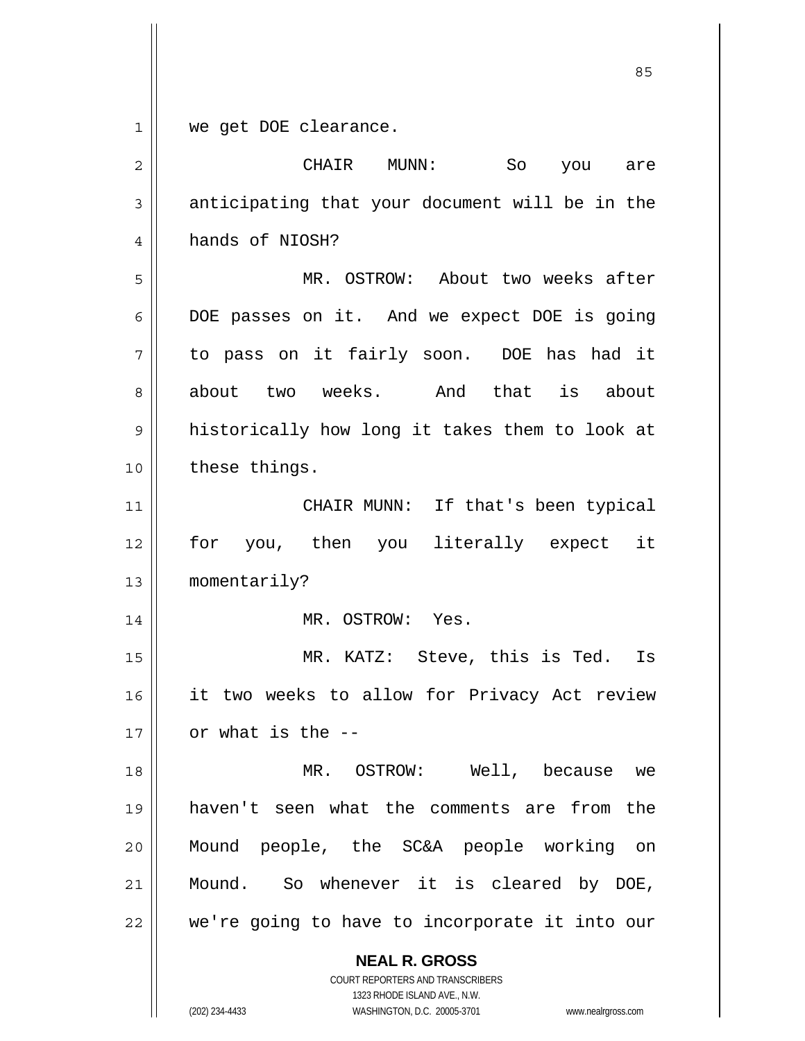1 | we get DOE clearance.

| $\overline{2}$ | CHAIR<br>$MUNN$ :<br>So<br>you<br>are                                                                                                                           |
|----------------|-----------------------------------------------------------------------------------------------------------------------------------------------------------------|
| 3              | anticipating that your document will be in the                                                                                                                  |
| 4              | hands of NIOSH?                                                                                                                                                 |
| 5              | MR. OSTROW: About two weeks after                                                                                                                               |
| 6              | DOE passes on it. And we expect DOE is going                                                                                                                    |
| 7              | to pass on it fairly soon. DOE has had it                                                                                                                       |
| 8              | about two weeks. And that is<br>about                                                                                                                           |
| 9              | historically how long it takes them to look at                                                                                                                  |
| 10             | these things.                                                                                                                                                   |
| 11             | CHAIR MUNN: If that's been typical                                                                                                                              |
| 12             | you, then you literally expect it<br>for                                                                                                                        |
| 13             | momentarily?                                                                                                                                                    |
| 14             | MR. OSTROW: Yes.                                                                                                                                                |
| 15             | MR. KATZ: Steve, this is Ted. Is                                                                                                                                |
| 16             | it two weeks to allow for Privacy Act review                                                                                                                    |
| 17             | or what is the --                                                                                                                                               |
| 18             | MR. OSTROW: Well, because we                                                                                                                                    |
| 19             | haven't seen what the comments are from<br>the                                                                                                                  |
| 20             | Mound people, the SC&A people working on                                                                                                                        |
| 21             | Mound. So whenever it is cleared by DOE,                                                                                                                        |
| 22             | we're going to have to incorporate it into our                                                                                                                  |
|                | <b>NEAL R. GROSS</b><br>COURT REPORTERS AND TRANSCRIBERS<br>1323 RHODE ISLAND AVE., N.W.<br>(202) 234-4433<br>WASHINGTON, D.C. 20005-3701<br>www.nealrgross.com |

<u>85 and 2001 and 2001 and 2001 and 2001 and 2001 and 2001 and 2001 and 2001 and 2001 and 2001 and 2001 and 200</u>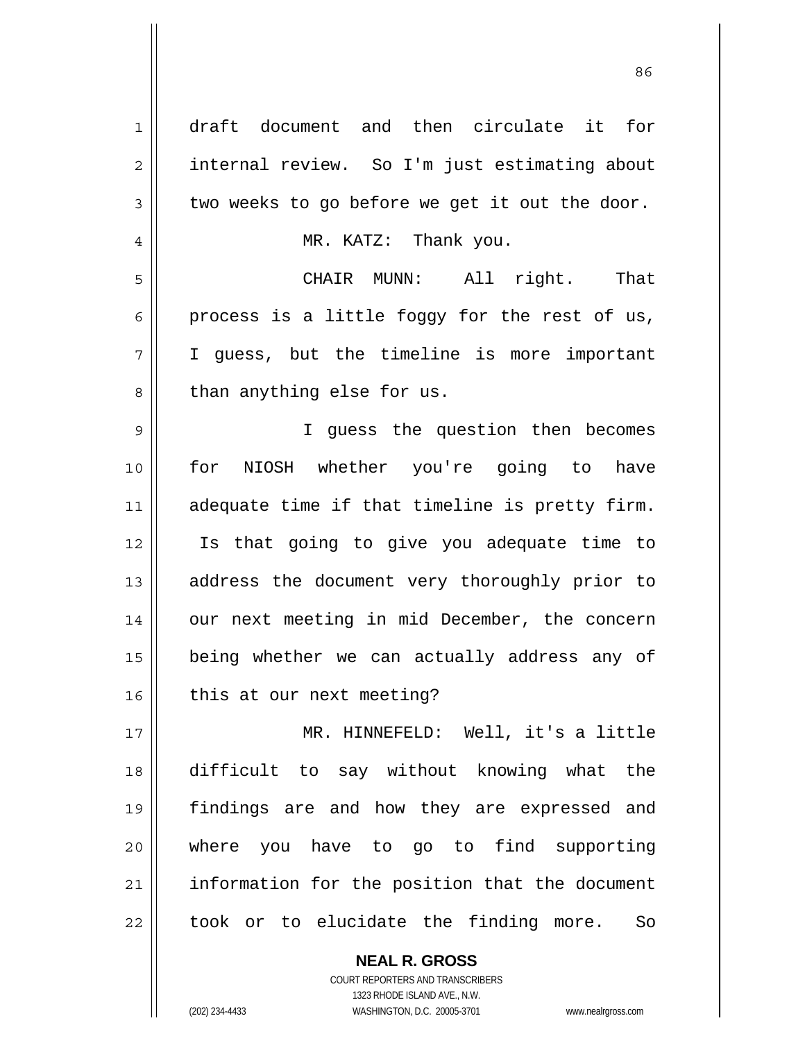| $\mathbf 1$ | draft document and then circulate it for       |
|-------------|------------------------------------------------|
| 2           | internal review. So I'm just estimating about  |
| 3           | two weeks to go before we get it out the door. |
| 4           | MR. KATZ: Thank you.                           |
| 5           | CHAIR MUNN: All right. That                    |
| 6           | process is a little foggy for the rest of us,  |
| 7           | I guess, but the timeline is more important    |
| 8           | than anything else for us.                     |
| 9           | I guess the question then becomes              |
| 10          | for NIOSH whether you're going to have         |
| 11          | adequate time if that timeline is pretty firm. |
| 12          | Is that going to give you adequate time to     |
| 13          | address the document very thoroughly prior to  |
| 14          | our next meeting in mid December, the concern  |
| 15          | being whether we can actually address any of   |
| 16          | this at our next meeting?                      |
| 17          | MR. HINNEFELD: Well, it's a little             |
| 18          | difficult to say without knowing what the      |
| 19          | findings are and how they are expressed and    |
| 20          | where you have to go to find supporting        |
| 21          | information for the position that the document |
| 22          | took or to elucidate the finding more.<br>So   |
|             |                                                |

 COURT REPORTERS AND TRANSCRIBERS 1323 RHODE ISLAND AVE., N.W. (202) 234-4433 WASHINGTON, D.C. 20005-3701 www.nealrgross.com

 **NEAL R. GROSS**

<u>86 and 2001 and 2002 and 2003 and 2003 and 2003 and 2003 and 2003 and 2003 and 2003 and 2003 and 2003 and 200</u>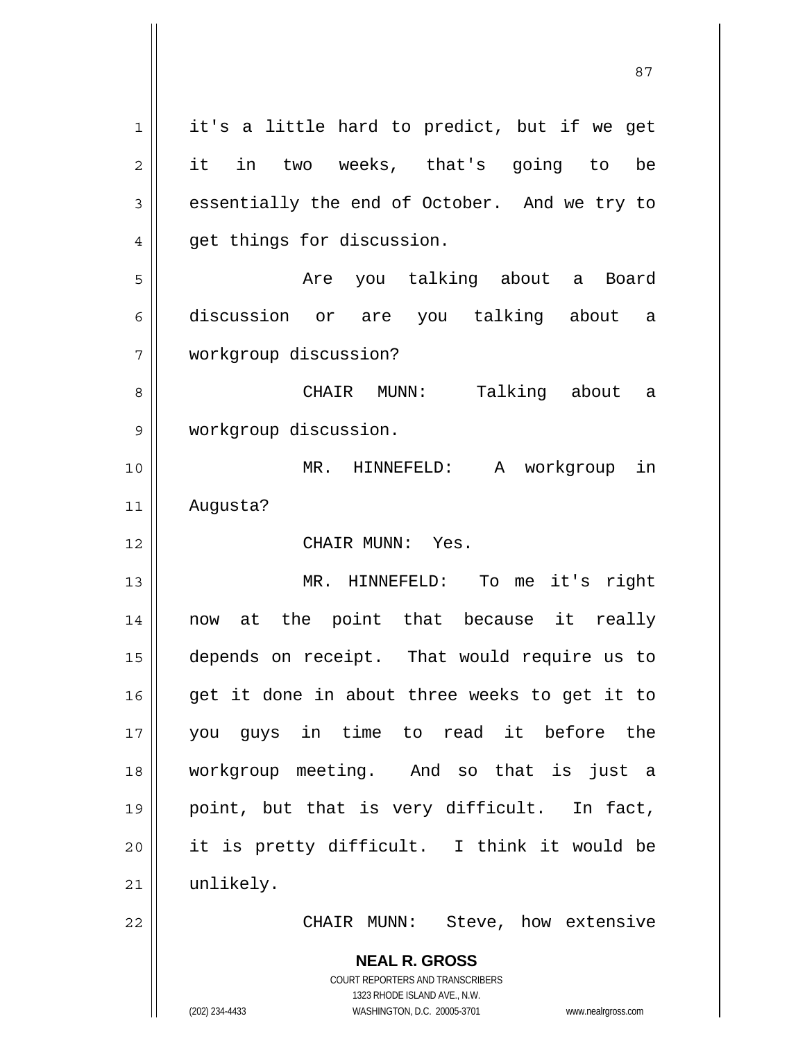**NEAL R. GROSS** COURT REPORTERS AND TRANSCRIBERS 1323 RHODE ISLAND AVE., N.W. (202) 234-4433 WASHINGTON, D.C. 20005-3701 www.nealrgross.com  $1 \parallel$  it's a little hard to predict, but if we get 2 || it in two weeks, that's going to be  $3 \parallel$  essentially the end of October. And we try to  $4 \parallel$  get things for discussion. 5 Are you talking about a Board 6 discussion or are you talking about a 7 workgroup discussion? 8 CHAIR MUNN: Talking about a 9 workgroup discussion. 10 MR. HINNEFELD: A workgroup in 11 Augusta? 12 || CHAIR MUNN: Yes. 13 MR. HINNEFELD: To me it's right 14 now at the point that because it really 15 depends on receipt. That would require us to 16 || get it done in about three weeks to get it to 17 you guys in time to read it before the 18 workgroup meeting. And so that is just a 19 point, but that is very difficult. In fact,  $20$  || it is pretty difficult. I think it would be 21 unlikely. 22 || CHAIR MUNN: Steve, how extensive

<u>87 and 2014 and 2014 and 2014 and 2014 and 2014 and 2014 and 2014 and 2014 and 2014 and 2014 and 2014 and 201</u>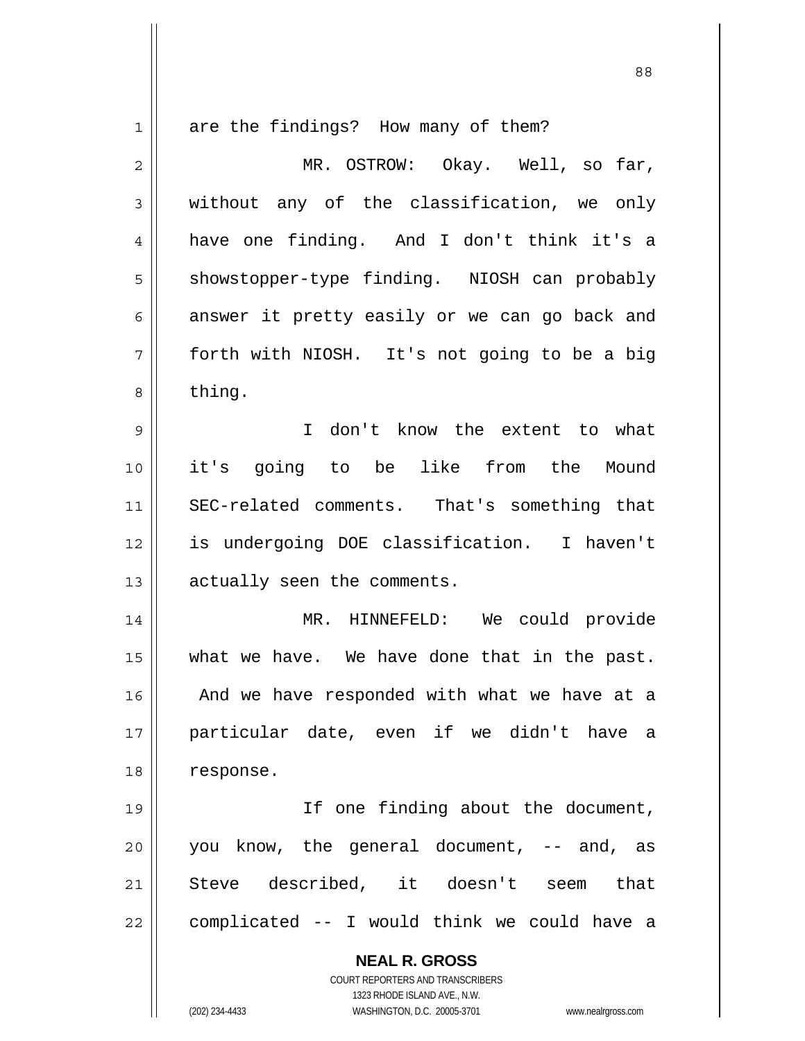**NEAL R. GROSS** COURT REPORTERS AND TRANSCRIBERS 1323 RHODE ISLAND AVE., N.W. 1 are the findings? How many of them? 2 MR. OSTROW: Okay. Well, so far,  $3 \parallel$  without any of the classification, we only 4 have one finding. And I don't think it's a 5 | showstopper-type finding. NIOSH can probably 6 answer it pretty easily or we can go back and  $7 \parallel$  forth with NIOSH. It's not going to be a big  $8 \parallel$  thing. 9 I don't know the extent to what 10 it's going to be like from the Mound 11 SEC-related comments. That's something that 12 is undergoing DOE classification. I haven't 13 || actually seen the comments. 14 MR. HINNEFELD: We could provide 15 what we have. We have done that in the past. 16 || And we have responded with what we have at a 17 particular date, even if we didn't have a 18 | response. 19 If one finding about the document,  $20$  || you know, the general document,  $-$  and, as 21 || Steve described, it doesn't seem that  $22$  || complicated -- I would think we could have a

88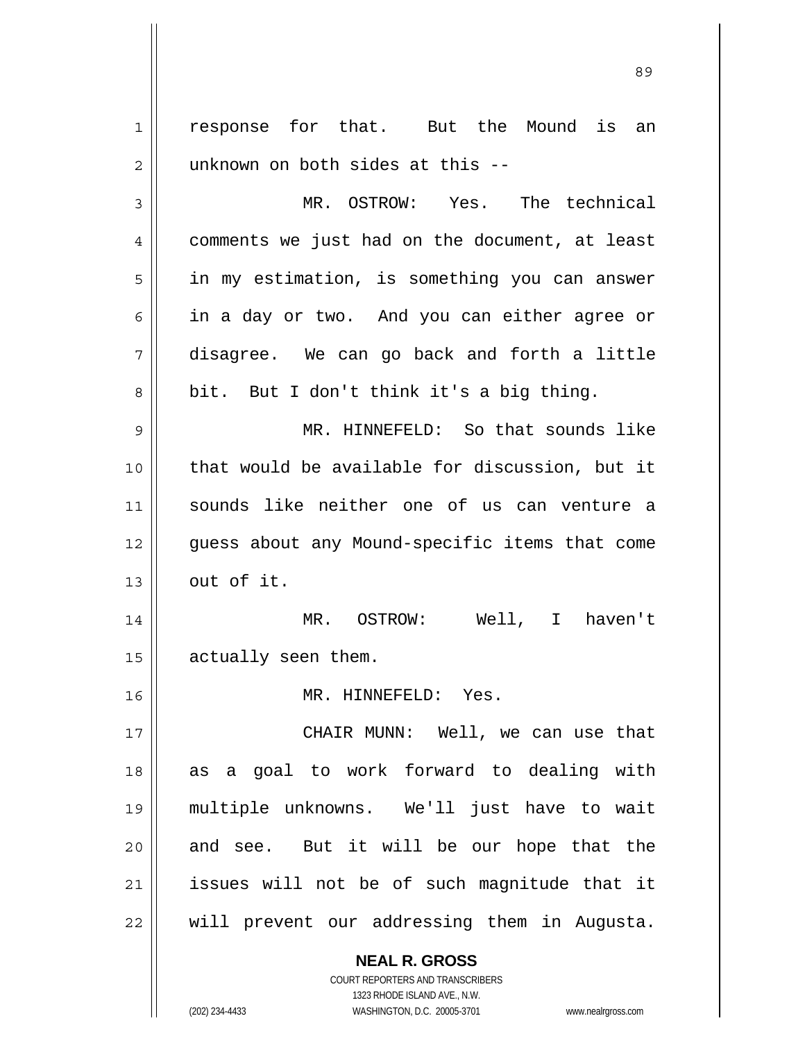**NEAL R. GROSS** 1 | response for that. But the Mound is an 2 | unknown on both sides at this --3 MR. OSTROW: Yes. The technical 4 comments we just had on the document, at least 5 || in my estimation, is something you can answer 6 in a day or two. And you can either agree or 7 disagree. We can go back and forth a little  $8 \parallel$  bit. But I don't think it's a big thing. 9 MR. HINNEFELD: So that sounds like 10 that would be available for discussion, but it 11 sounds like neither one of us can venture a 12 || quess about any Mound-specific items that come  $13$   $\parallel$  out of it. 14 MR. OSTROW: Well, I haven't 15 | actually seen them. 16 MR. HINNEFELD: Yes. 17 CHAIR MUNN: Well, we can use that 18 as a goal to work forward to dealing with 19 multiple unknowns. We'll just have to wait 20 || and see. But it will be our hope that the 21 || issues will not be of such magnitude that it 22 will prevent our addressing them in Augusta.

> COURT REPORTERS AND TRANSCRIBERS 1323 RHODE ISLAND AVE., N.W.

(202) 234-4433 WASHINGTON, D.C. 20005-3701 www.nealrgross.com

<u>89 and 2001 and 2002 and 2003 and 2003 and 2003 and 2003 and 2003 and 2003 and 2003 and 2003 and 2003 and 200</u>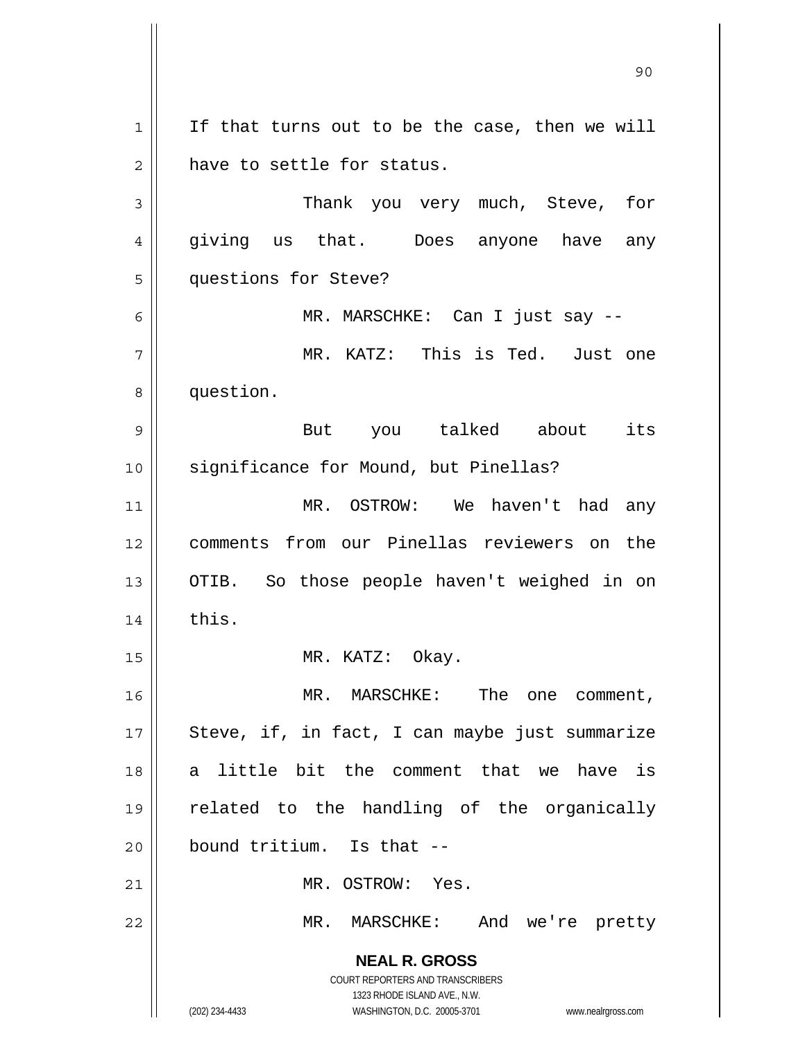**NEAL R. GROSS** COURT REPORTERS AND TRANSCRIBERS 1323 RHODE ISLAND AVE., N.W. (202) 234-4433 WASHINGTON, D.C. 20005-3701 www.nealrgross.com  $1 \parallel$  If that turns out to be the case, then we will  $2 \parallel$  have to settle for status. 3 Thank you very much, Steve, for 4 giving us that. Does anyone have any 5 | questions for Steve? 6 MR. MARSCHKE: Can I just say -- 7 MR. KATZ: This is Ted. Just one 8 | question. 9 But you talked about its 10 || significance for Mound, but Pinellas? 11 MR. OSTROW: We haven't had any 12 comments from our Pinellas reviewers on the 13 || OTIB. So those people haven't weighed in on  $14$   $\parallel$  this. 15 || MR. KATZ: Okay. 16 || MR. MARSCHKE: The one comment,  $17$  || Steve, if, in fact, I can maybe just summarize 18 a little bit the comment that we have is 19 related to the handling of the organically  $20$  | bound tritium. Is that  $-$ 21 || MR. OSTROW: Yes. 22 MR. MARSCHKE: And we're pretty

90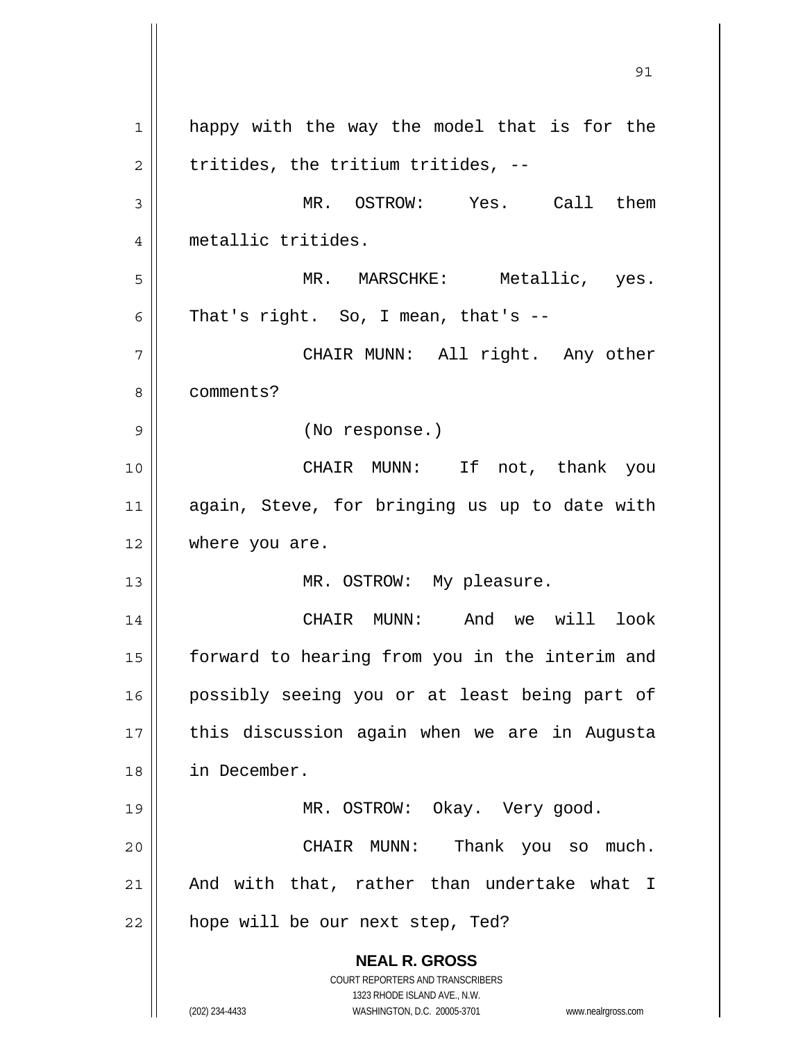**NEAL R. GROSS** COURT REPORTERS AND TRANSCRIBERS 1323 RHODE ISLAND AVE., N.W. (202) 234-4433 WASHINGTON, D.C. 20005-3701 www.nealrgross.com 1 || happy with the way the model that is for the  $2 \parallel$  tritides, the tritium tritides, --3 MR. OSTROW: Yes. Call them 4 metallic tritides. 5 MR. MARSCHKE: Metallic, yes. 6  $\parallel$  That's right. So, I mean, that's --7 CHAIR MUNN: All right. Any other 8 comments? 9 (No response.) 10 CHAIR MUNN: If not, thank you 11 || again, Steve, for bringing us up to date with 12 where you are. 13 || MR. OSTROW: My pleasure. 14 CHAIR MUNN: And we will look 15 forward to hearing from you in the interim and 16 || possibly seeing you or at least being part of 17 || this discussion again when we are in Augusta 18 in December. 19 MR. OSTROW: Okay. Very good. 20 CHAIR MUNN: Thank you so much. 21 || And with that, rather than undertake what I  $22$  | hope will be our next step, Ted?

<u>91</u>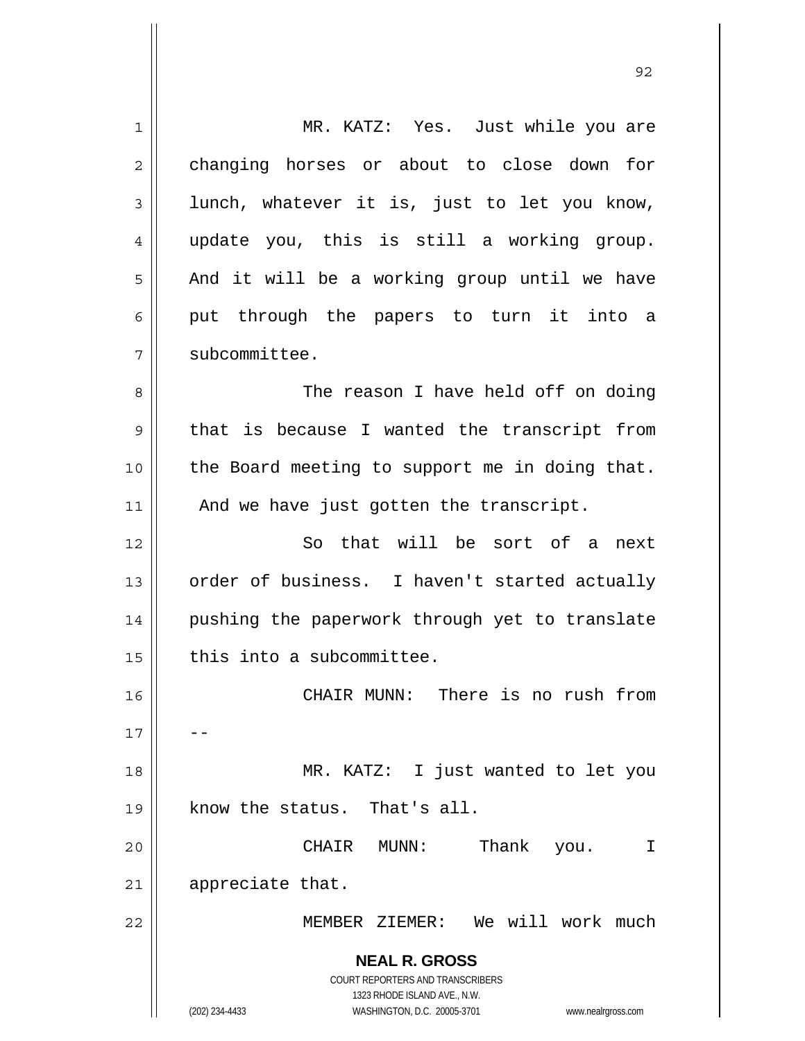| $\mathbf 1$    | MR. KATZ: Yes. Just while you are                                   |
|----------------|---------------------------------------------------------------------|
| $\overline{2}$ | changing horses or about to close down for                          |
| 3              | lunch, whatever it is, just to let you know,                        |
| 4              | update you, this is still a working group.                          |
| 5              | And it will be a working group until we have                        |
| 6              | through the papers to turn it into a<br>put                         |
| 7              | subcommittee.                                                       |
| 8              | The reason I have held off on doing                                 |
| 9              | that is because I wanted the transcript from                        |
| 10             | the Board meeting to support me in doing that.                      |
| 11             | And we have just gotten the transcript.                             |
| 12             | that will be sort of a<br>So<br>next                                |
| 13             | order of business. I haven't started actually                       |
| 14             | pushing the paperwork through yet to translate                      |
| 15             | this into a subcommittee.                                           |
| 16             | CHAIR MUNN: There is no rush from                                   |
| 17             |                                                                     |
| 18             | I just wanted to let you<br>MR. KATZ:                               |
| 19             | know the status. That's all.                                        |
| 20             | MUNN:<br>Thank<br>CHAIR<br>I.<br>you.                               |
| 21             | appreciate that.                                                    |
| 22             | We will work much<br>MEMBER ZIEMER:                                 |
|                | <b>NEAL R. GROSS</b>                                                |
|                | COURT REPORTERS AND TRANSCRIBERS                                    |
|                | 1323 RHODE ISLAND AVE., N.W.                                        |
|                | (202) 234-4433<br>WASHINGTON, D.C. 20005-3701<br>www.nealrgross.com |

 $\mathbf{1}$ 

<u>92 and 2014 and 2014 and 2014 and 2014 and 2014 and 2014 and 2014 and 2014 and 2014 and 2014 and 2014 and 201</u>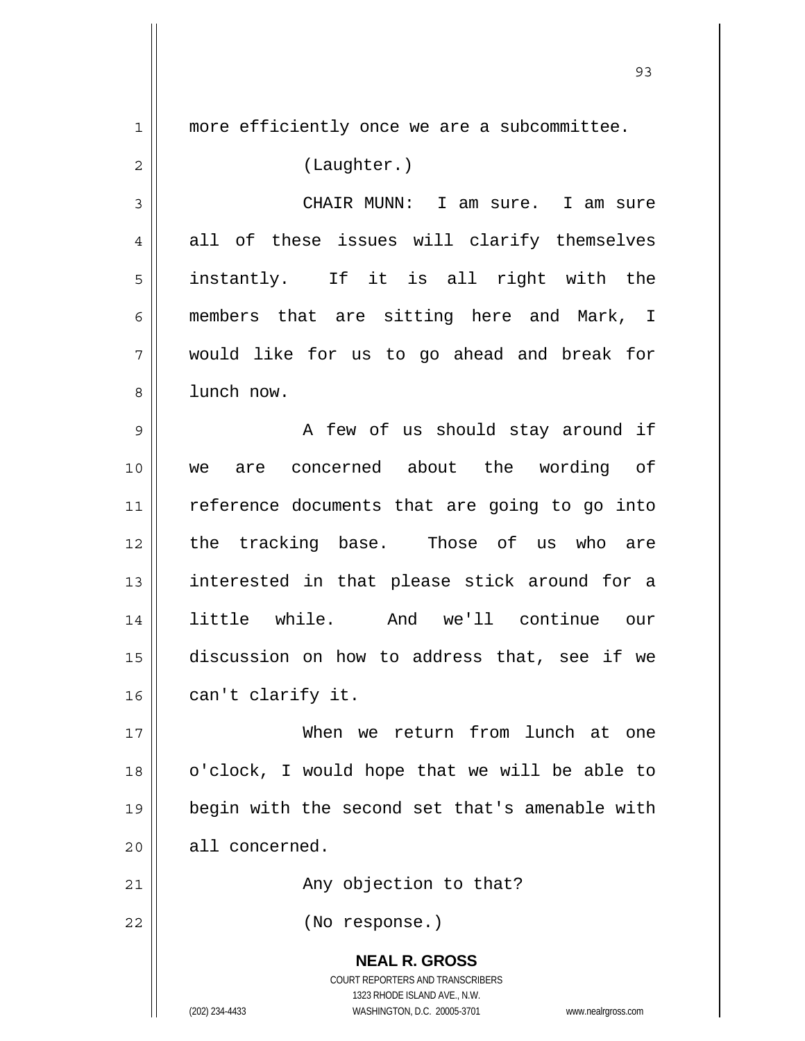**NEAL R. GROSS** COURT REPORTERS AND TRANSCRIBERS 1323 RHODE ISLAND AVE., N.W. 1 || more efficiently once we are a subcommittee. 2 | (Laughter.) 3 CHAIR MUNN: I am sure. I am sure 4 all of these issues will clarify themselves 5 || instantly. If it is all right with the 6 members that are sitting here and Mark, I 7 would like for us to go ahead and break for 8 | lunch now. 9 A few of us should stay around if 10 we are concerned about the wording of 11 || reference documents that are going to go into 12 the tracking base. Those of us who are 13 || interested in that please stick around for a 14 little while. And we'll continue our 15 discussion on how to address that, see if we  $16$  | can't clarify it. 17 When we return from lunch at one  $18$  o'clock, I would hope that we will be able to 19 begin with the second set that's amenable with 20 || all concerned. 21 || Any objection to that? 22 (No response.)

<u>93 and 200 and 200 and 200 and 200 and 200 and 200 and 200 and 200 and 200 and 200 and 200 and 200 and 200 an</u>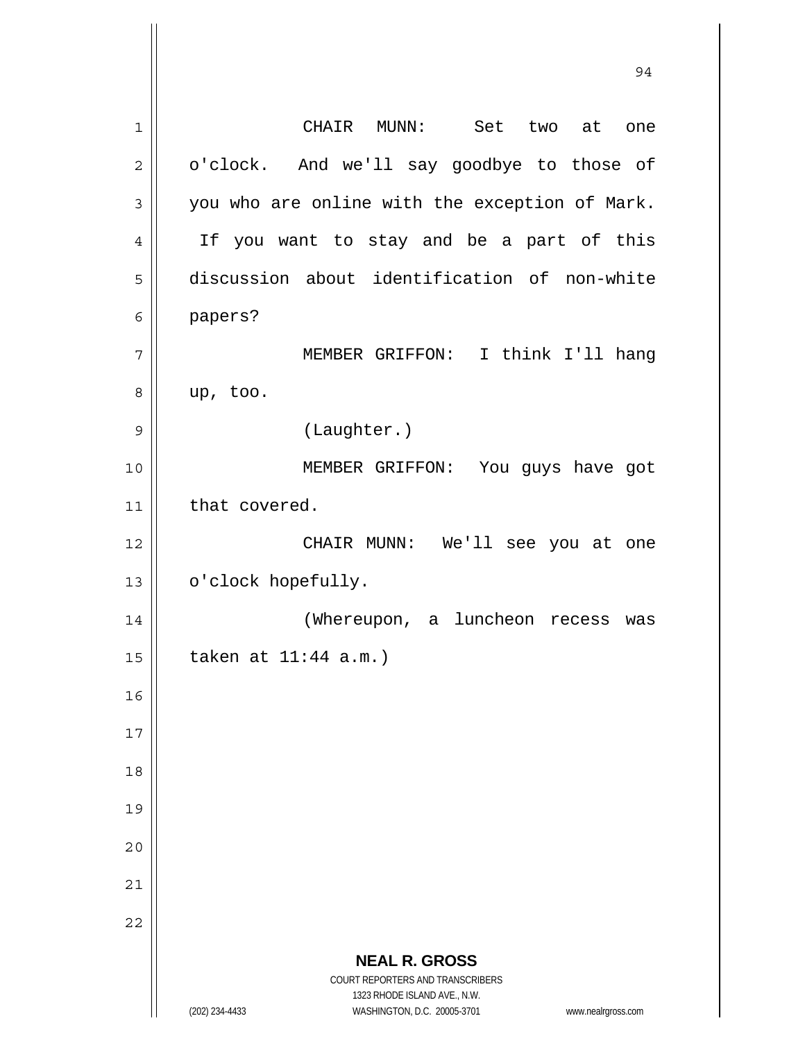**NEAL R. GROSS** COURT REPORTERS AND TRANSCRIBERS 1323 RHODE ISLAND AVE., N.W. (202) 234-4433 WASHINGTON, D.C. 20005-3701 www.nealrgross.com 1 CHAIR MUNN: Set two at one 2 | o'clock. And we'll say goodbye to those of 3 | you who are online with the exception of Mark. 4 || If you want to stay and be a part of this 5 discussion about identification of non-white 6 papers? 7 MEMBER GRIFFON: I think I'll hang  $8 \parallel \quad \text{up}$ , too. 9 || (Laughter.) 10 || MEMBER GRIFFON: You guys have got 11 | that covered. 12 || CHAIR MUNN: We'll see you at one 13 | o'clock hopefully. 14 || (Whereupon, a luncheon recess was  $15$  | taken at  $11:44$  a.m.) 16 17 18 19 20 21 22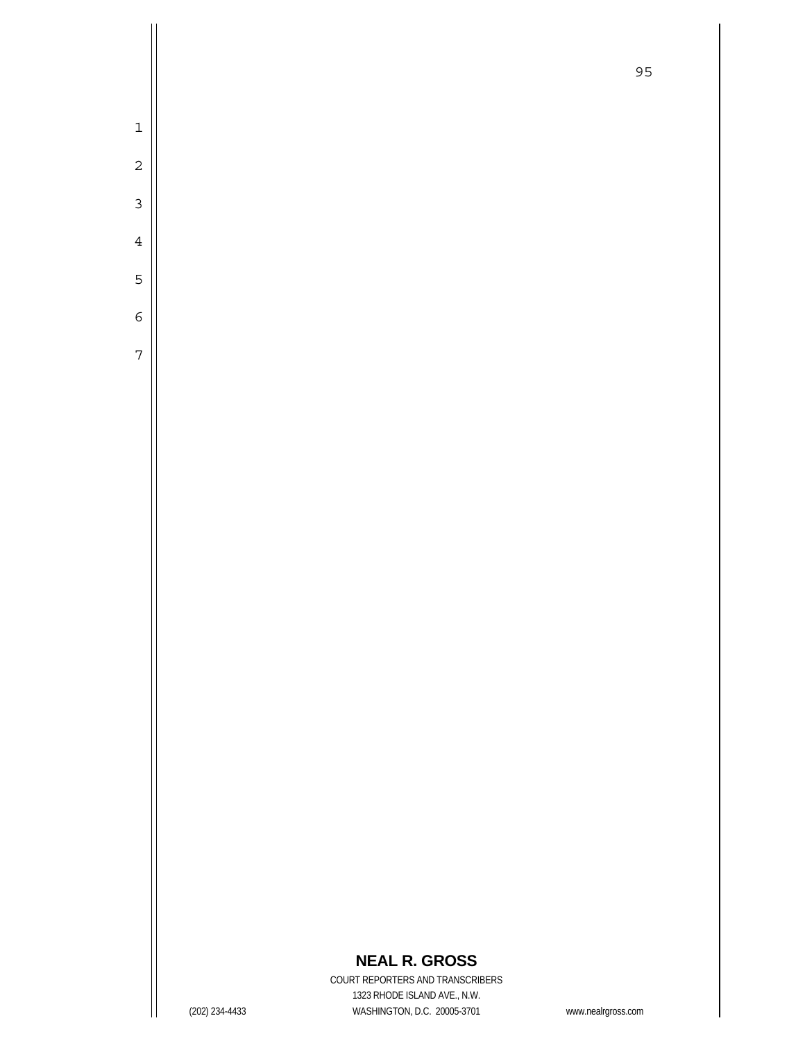7

## **NEAL R. GROSS**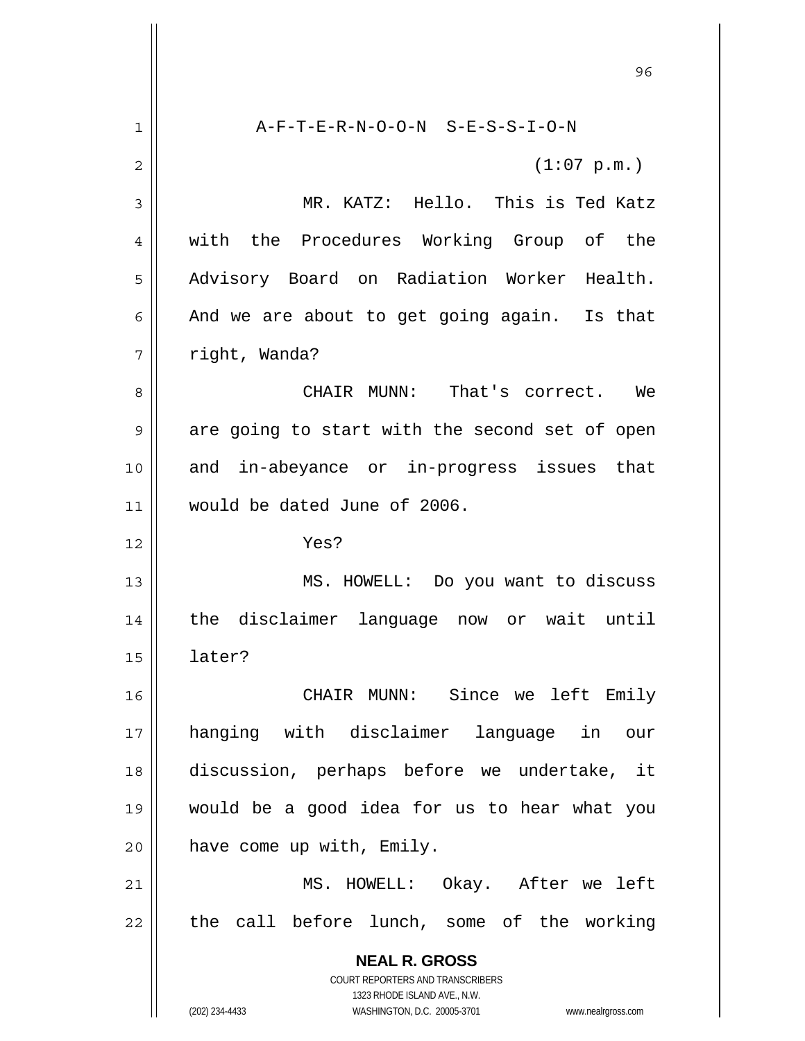**NEAL R. GROSS** COURT REPORTERS AND TRANSCRIBERS 1323 RHODE ISLAND AVE., N.W. (202) 234-4433 WASHINGTON, D.C. 20005-3701 www.nealrgross.com <u>96 - Paul Barbara, poeta e a filosofoa da estado e a filosofoa da estado e a filosofoa da estado e a filosofo</u> 1 A-F-T-E-R-N-O-O-N S-E-S-S-I-O-N  $2 \parallel$  (1:07 p.m.) 3 MR. KATZ: Hello. This is Ted Katz 4 || with the Procedures Working Group of the 5 Advisory Board on Radiation Worker Health.  $6 \parallel$  And we are about to get going again. Is that  $7 \parallel$  right, Wanda? 8 CHAIR MUNN: That's correct. We 9 are going to start with the second set of open 10 || and in-abeyance or in-progress issues that 11 would be dated June of 2006. 12 Yes? 13 || MS. HOWELL: Do you want to discuss 14 the disclaimer language now or wait until  $15$  | later? 16 CHAIR MUNN: Since we left Emily 17 hanging with disclaimer language in our 18 discussion, perhaps before we undertake, it 19 would be a good idea for us to hear what you 20 | have come up with, Emily. 21 MS. HOWELL: Okay. After we left  $22$  || the call before lunch, some of the working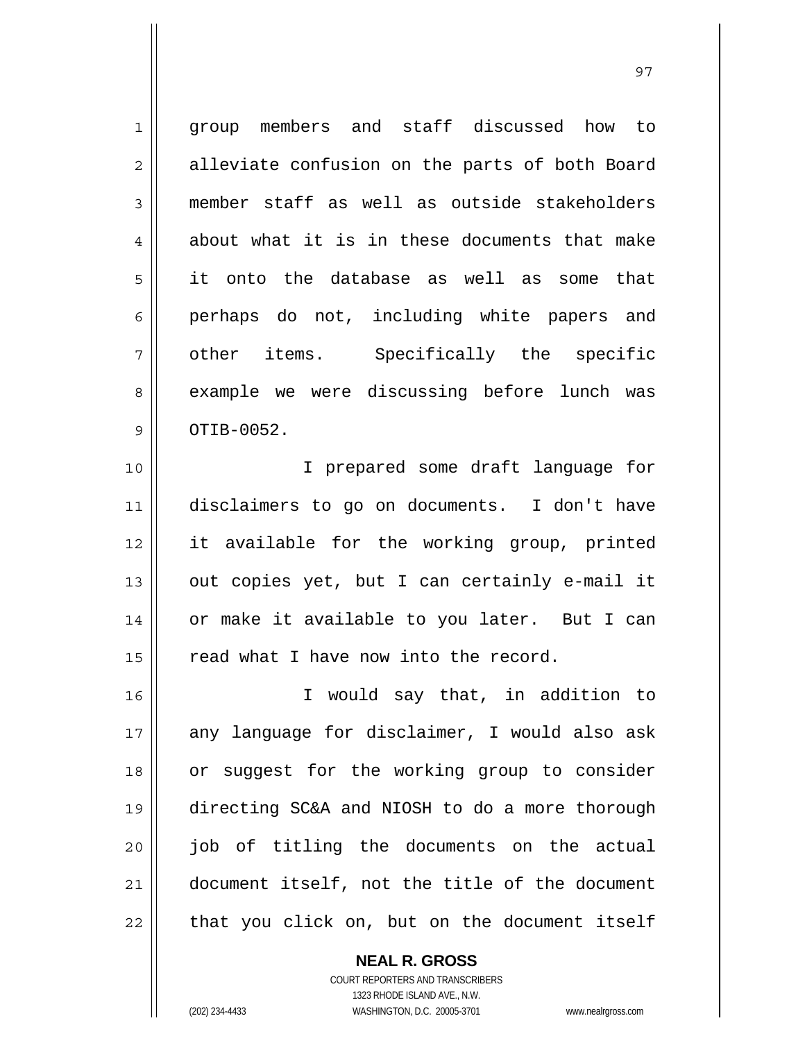1 group members and staff discussed how to 2 || alleviate confusion on the parts of both Board 3 member staff as well as outside stakeholders  $4 \parallel$  about what it is in these documents that make 5 it onto the database as well as some that 6 perhaps do not, including white papers and 7 other items. Specifically the specific 8 || example we were discussing before lunch was  $9 \parallel$  OTIB-0052. 10 I prepared some draft language for

disclaimers to go on documents. I don't have it available for the working group, printed || out copies yet, but I can certainly e-mail it or make it available to you later. But I can | read what I have now into the record.

I would say that, in addition to 17 any language for disclaimer, I would also ask 18 || or suggest for the working group to consider directing SC&A and NIOSH to do a more thorough job of titling the documents on the actual document itself, not the title of the document || that you click on, but on the document itself

> COURT REPORTERS AND TRANSCRIBERS 1323 RHODE ISLAND AVE., N.W. (202) 234-4433 WASHINGTON, D.C. 20005-3701 www.nealrgross.com

 **NEAL R. GROSS**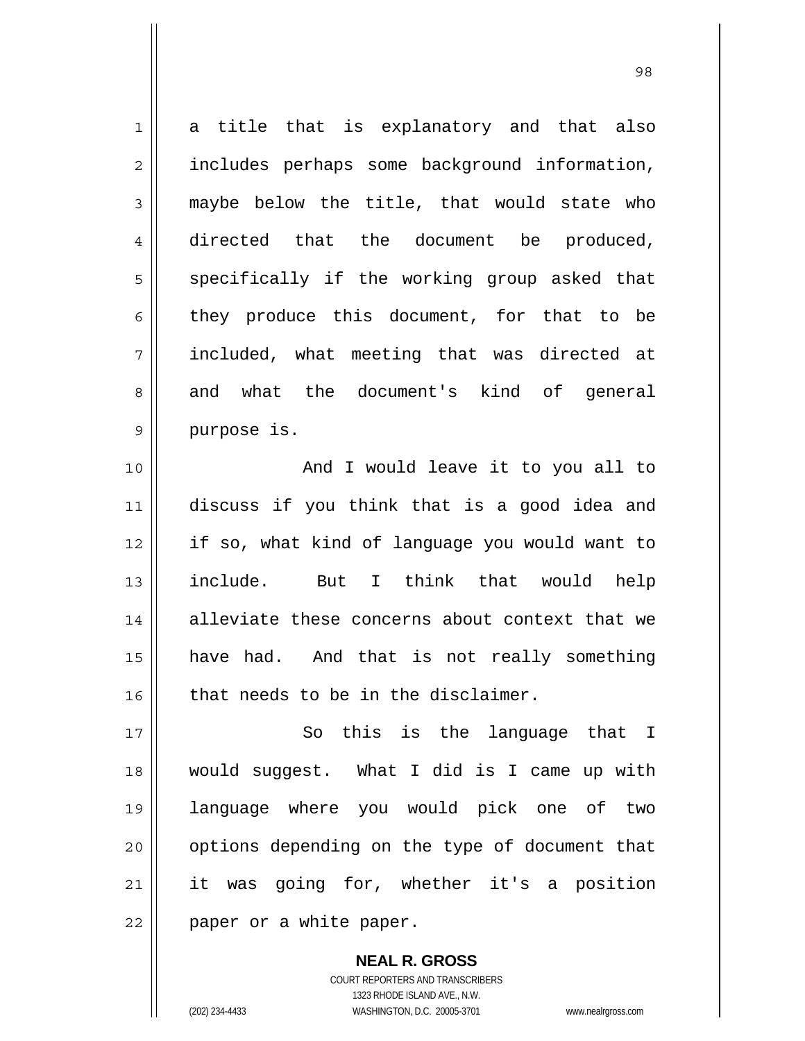1 || a title that is explanatory and that also 2 | includes perhaps some background information,  $3 \parallel$  maybe below the title, that would state who 4 directed that the document be produced,  $5 \parallel$  specifically if the working group asked that  $6$  || they produce this document, for that to be 7 included, what meeting that was directed at 8 and what the document's kind of general 9 || purpose is. 10 || The Sound I would leave it to you all to 11 discuss if you think that is a good idea and 12 if so, what kind of language you would want to 13 include. But I think that would help 14 alleviate these concerns about context that we 15 have had. And that is not really something 16 || that needs to be in the disclaimer. 17 || So this is the language that I 18 would suggest. What I did is I came up with 19 language where you would pick one of two 20 || options depending on the type of document that 21 it was going for, whether it's a position 22 || paper or a white paper.

<u>98 and 200 and 200 and 200 and 200 and 200 and 200 and 200 and 200 and 200 and 200 and 200 and 200 and 200 an</u>

 COURT REPORTERS AND TRANSCRIBERS 1323 RHODE ISLAND AVE., N.W. (202) 234-4433 WASHINGTON, D.C. 20005-3701 www.nealrgross.com

 **NEAL R. GROSS**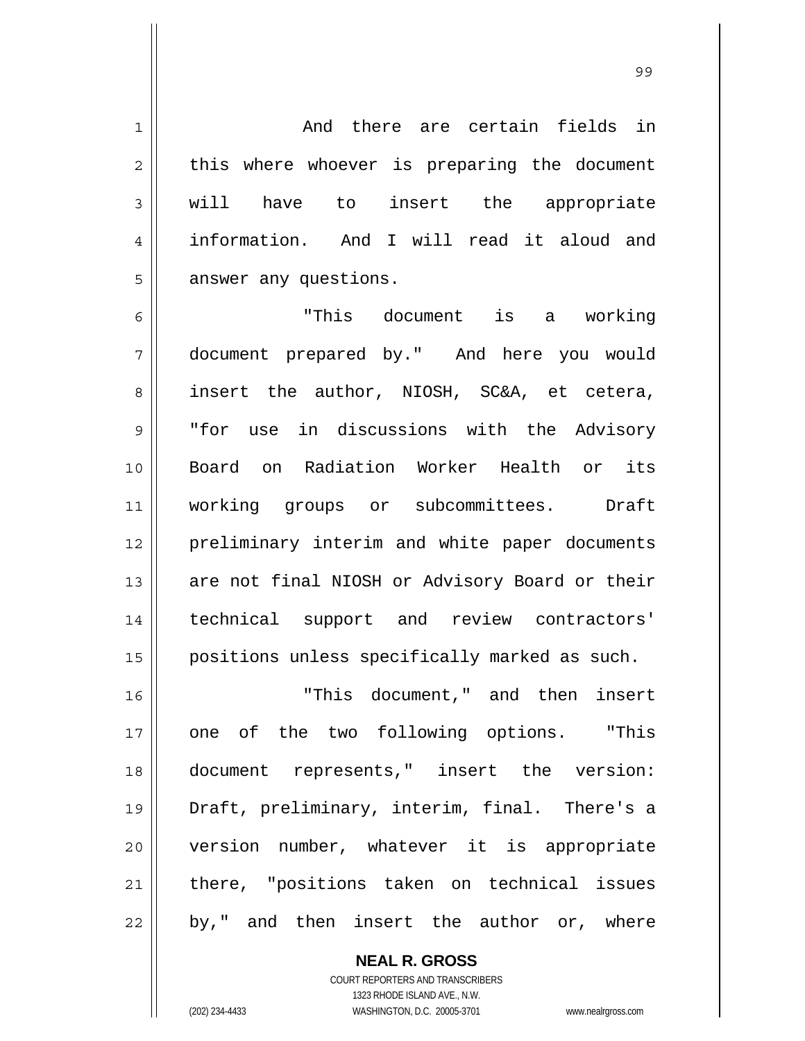99 - Paul Barbara, prima de la provincia de la provincia de la provincia de la provincia de la provincia del p<br>1990 - Paul Barbara, español de la provincia de la provincia de la provincia de la provincia de la provincia d

1 and there are certain fields in  $2 \parallel$  this where whoever is preparing the document 3 will have to insert the appropriate 4 information. And I will read it aloud and 5 | answer any questions.

6 "This document is a working 7 document prepared by." And here you would 8 insert the author, NIOSH, SC&A, et cetera, 9 "for use in discussions with the Advisory 10 Board on Radiation Worker Health or its 11 || working groups or subcommittees. Draft 12 preliminary interim and white paper documents 13 || are not final NIOSH or Advisory Board or their 14 technical support and review contractors' 15 | positions unless specifically marked as such.

"This document," and then insert 17 || one of the two following options. "This document represents," insert the version: Draft, preliminary, interim, final. There's a version number, whatever it is appropriate 21 || there, "positions taken on technical issues || by," and then insert the author or, where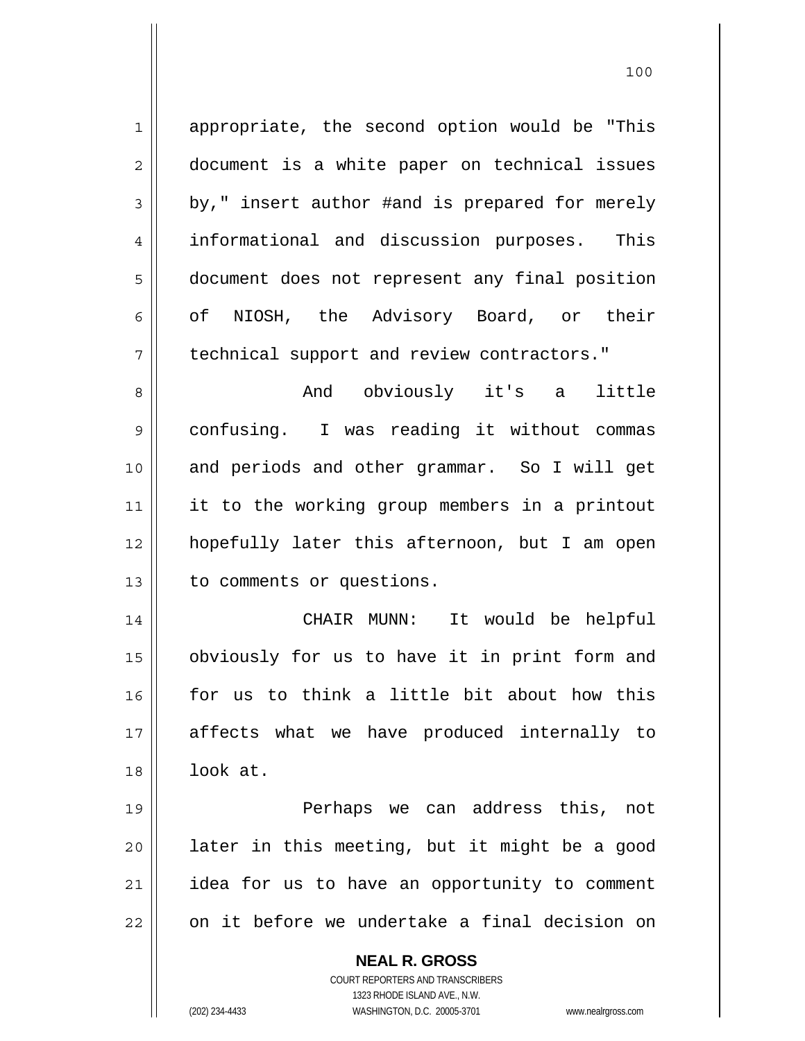1 || appropriate, the second option would be "This 2 || document is a white paper on technical issues  $3 \parallel$  by," insert author #and is prepared for merely 4 informational and discussion purposes. This 5 document does not represent any final position 6 ||  $\circ$ f NIOSH, the Advisory Board, or their 7 | technical support and review contractors." 8 And obviously it's a little 9 confusing. I was reading it without commas 10 and periods and other grammar. So I will get

100

11 it to the working group members in a printout 12 hopefully later this afternoon, but I am open 13 | to comments or questions.

CHAIR MUNN: It would be helpful obviously for us to have it in print form and for us to think a little bit about how this 17 || affects what we have produced internally to look at.

Perhaps we can address this, not || later in this meeting, but it might be a good | idea for us to have an opportunity to comment 22 || on it before we undertake a final decision on

 **NEAL R. GROSS**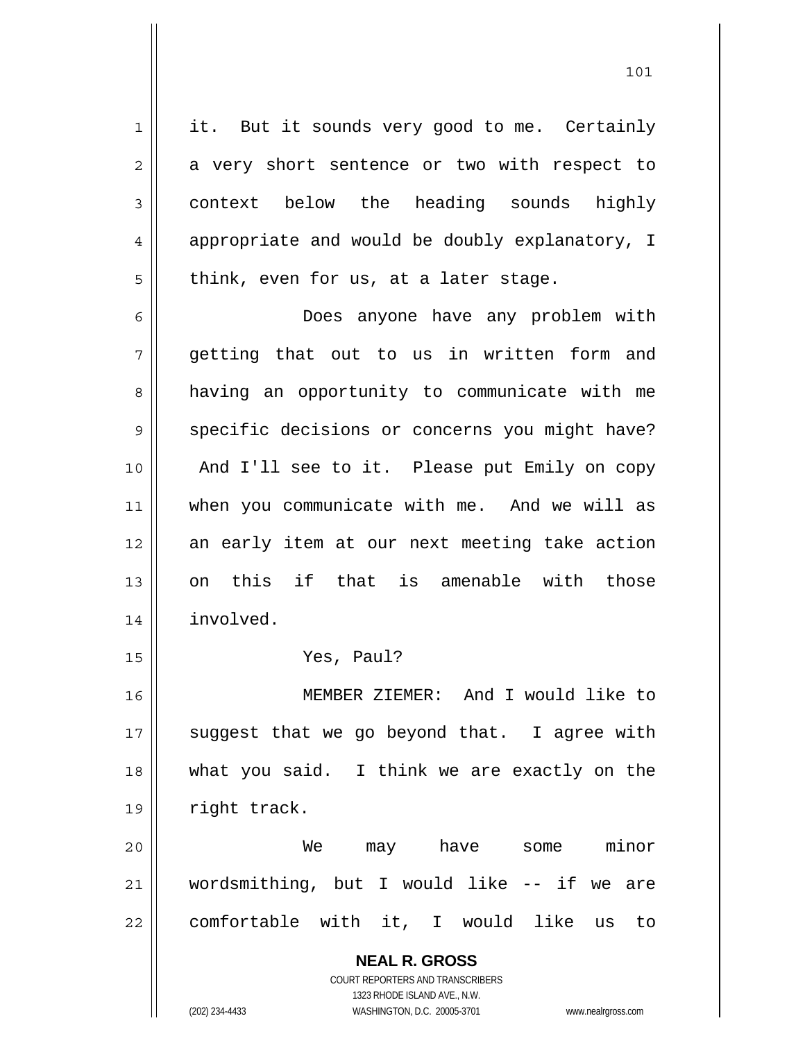$1 \parallel$  it. But it sounds very good to me. Certainly  $2 \parallel$  a very short sentence or two with respect to 3 context below the heading sounds highly 4 || appropriate and would be doubly explanatory, I  $5 \parallel$  think, even for us, at a later stage.

Does anyone have any problem with getting that out to us in written form and 8 a having an opportunity to communicate with me 9 Specific decisions or concerns you might have? And I'll see to it. Please put Emily on copy when you communicate with me. And we will as 12 || an early item at our next meeting take action on this if that is amenable with those involved.

## 15 Yes, Paul?

MEMBER ZIEMER: And I would like to  $\parallel$  suggest that we go beyond that. I agree with what you said. I think we are exactly on the 19 | right track.

20 We may have some minor 21 wordsmithing, but I would like -- if we are 22 || comfortable with it, I would like us to

> **NEAL R. GROSS** COURT REPORTERS AND TRANSCRIBERS

> > 1323 RHODE ISLAND AVE., N.W.

(202) 234-4433 WASHINGTON, D.C. 20005-3701 www.nealrgross.com

101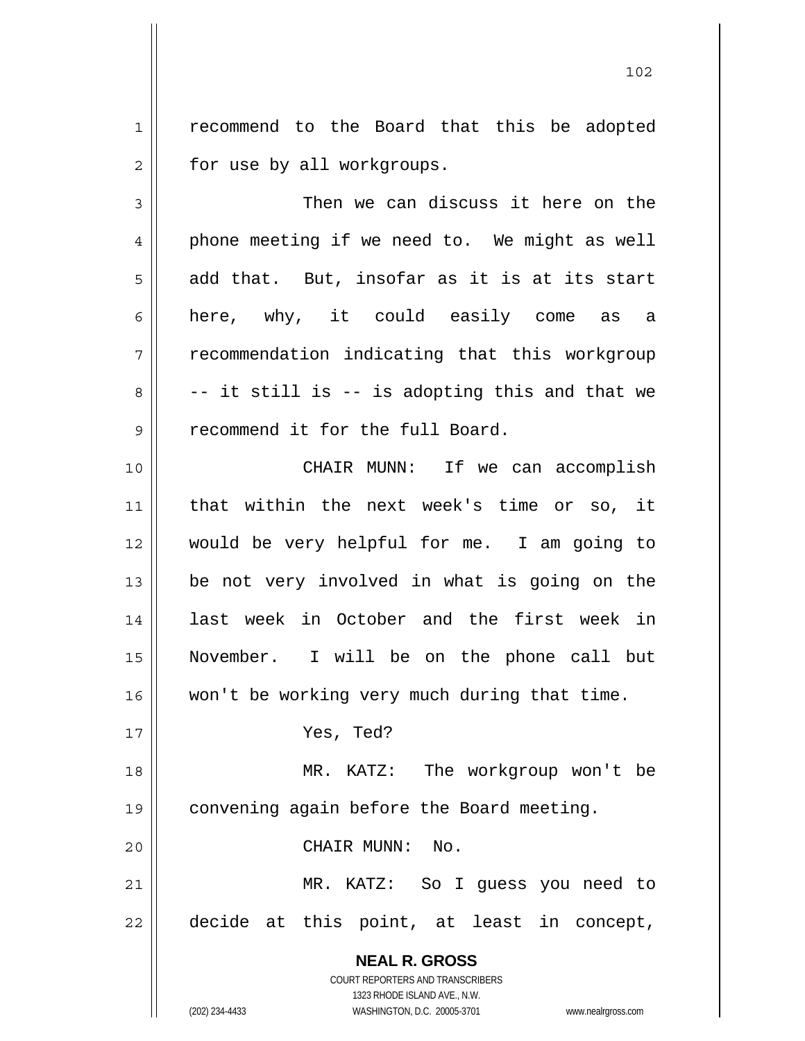1 | recommend to the Board that this be adopted  $2 \parallel$  for use by all workgroups.

3 Then we can discuss it here on the 4 | phone meeting if we need to. We might as well  $5 \parallel$  add that. But, insofar as it is at its start 6 here, why, it could easily come as a 7 The recommendation indicating that this workgroup  $8 \parallel$  -- it still is -- is adopting this and that we 9 | recommend it for the full Board.

CHAIR MUNN: If we can accomplish that within the next week's time or so, it would be very helpful for me. I am going to 13 || be not very involved in what is going on the last week in October and the first week in November. I will be on the phone call but 16 || won't be working very much during that time.

17 Yes, Ted?

18 MR. KATZ: The workgroup won't be 19 convening again before the Board meeting.

20 CHAIR MUNN: No.

21 MR. KATZ: So I guess you need to  $22$  || decide at this point, at least in concept,

> **NEAL R. GROSS** COURT REPORTERS AND TRANSCRIBERS 1323 RHODE ISLAND AVE., N.W.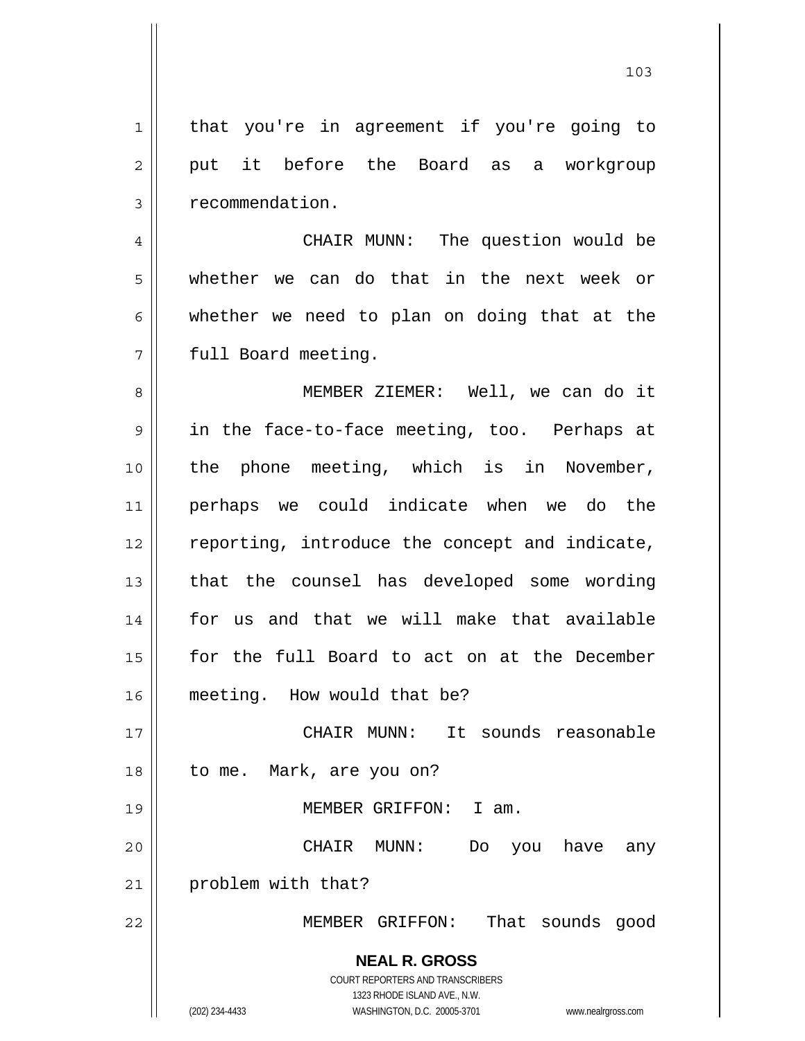1 | that you're in agreement if you're going to 2 put it before the Board as a workgroup 3 | recommendation. 4 CHAIR MUNN: The question would be 5 whether we can do that in the next week or  $6 \parallel$  whether we need to plan on doing that at the 7 || full Board meeting. 8 || MEMBER ZIEMER: Well, we can do it 9 | in the face-to-face meeting, too. Perhaps at 10 the phone meeting, which is in November, 11 perhaps we could indicate when we do the  $12$  | reporting, introduce the concept and indicate,

13 || that the counsel has developed some wording for us and that we will make that available for the full Board to act on at the December meeting. How would that be?

17 CHAIR MUNN: It sounds reasonable 18 || to me. Mark, are you on? 19 MEMBER GRIFFON: I am. 20 CHAIR MUNN: Do you have any 21 | problem with that?

22 MEMBER GRIFFON: That sounds good

 **NEAL R. GROSS** COURT REPORTERS AND TRANSCRIBERS

1323 RHODE ISLAND AVE., N.W.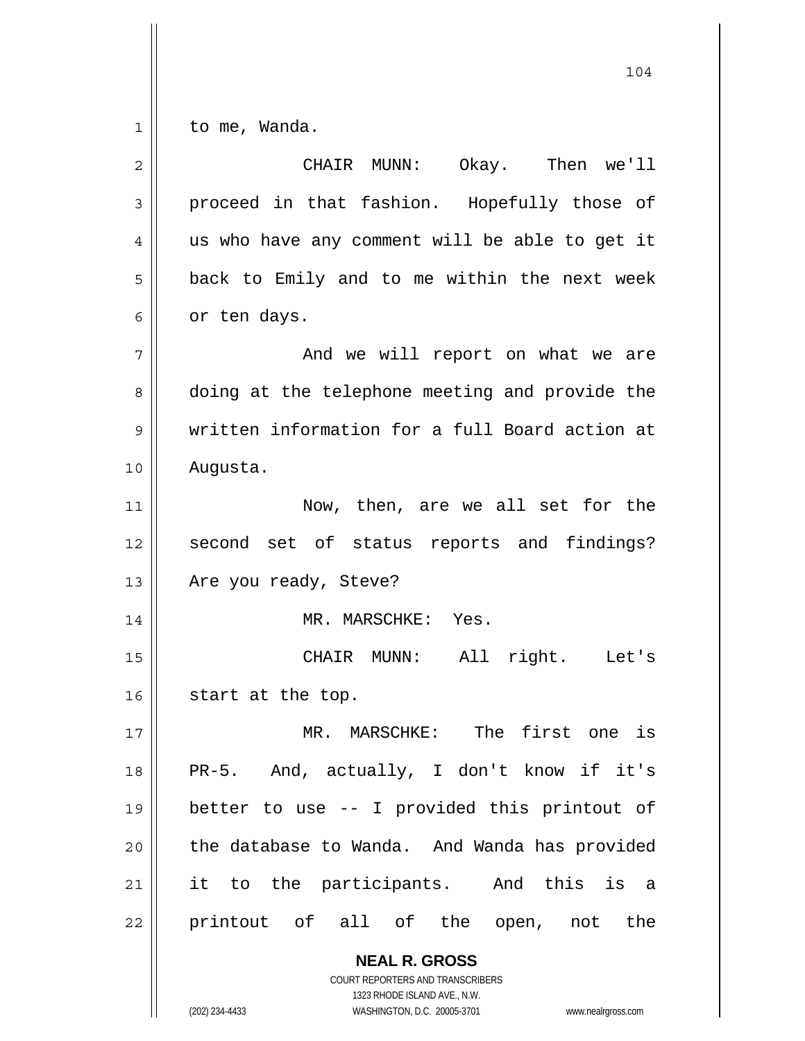$1 \parallel$  to me, Wanda.

| 2  | CHAIR MUNN:<br>Okay. Then we'll                                                                                                                                        |
|----|------------------------------------------------------------------------------------------------------------------------------------------------------------------------|
| 3  | proceed in that fashion. Hopefully those of                                                                                                                            |
| 4  | us who have any comment will be able to get it                                                                                                                         |
| 5  | back to Emily and to me within the next week                                                                                                                           |
| 6  | or ten days.                                                                                                                                                           |
| 7  | And we will report on what we are                                                                                                                                      |
| 8  | doing at the telephone meeting and provide the                                                                                                                         |
| 9  | written information for a full Board action at                                                                                                                         |
| 10 | Augusta.                                                                                                                                                               |
| 11 | Now, then, are we all set for the                                                                                                                                      |
| 12 | second set of status reports and findings?                                                                                                                             |
| 13 | Are you ready, Steve?                                                                                                                                                  |
| 14 | MR. MARSCHKE: Yes.                                                                                                                                                     |
| 15 | CHAIR MUNN: All right. Let's                                                                                                                                           |
| 16 | start at the top.                                                                                                                                                      |
| 17 | The first one is<br>MR.<br>MARSCHKE:                                                                                                                                   |
| 18 | PR-5. And, actually, I don't know if it's                                                                                                                              |
| 19 | better to use -- I provided this printout of                                                                                                                           |
| 20 | the database to Wanda. And Wanda has provided                                                                                                                          |
| 21 | it to the participants. And this is a                                                                                                                                  |
| 22 | printout of all of the open, not the                                                                                                                                   |
|    | <b>NEAL R. GROSS</b><br><b>COURT REPORTERS AND TRANSCRIBERS</b><br>1323 RHODE ISLAND AVE., N.W.<br>(202) 234-4433<br>WASHINGTON, D.C. 20005-3701<br>www.nealrgross.com |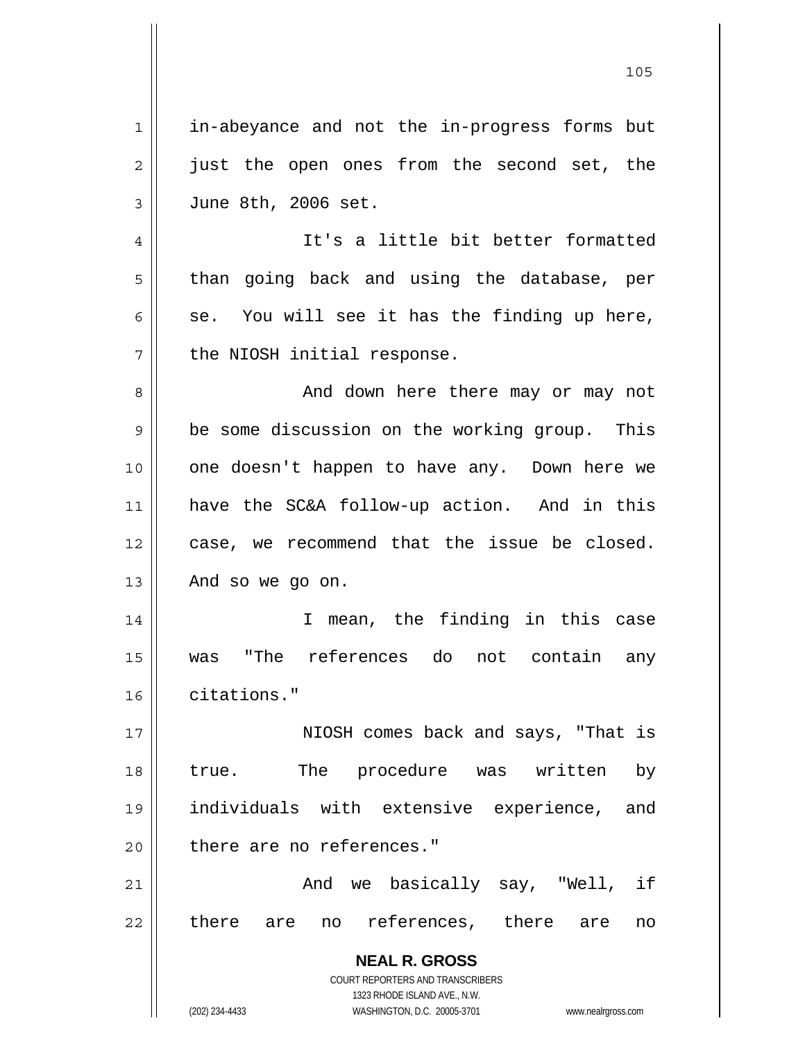**NEAL R. GROSS** COURT REPORTERS AND TRANSCRIBERS 1323 RHODE ISLAND AVE., N.W. 1 || in-abeyance and not the in-progress forms but 2 || just the open ones from the second set, the  $3 \parallel$  June 8th, 2006 set. 4 It's a little bit better formatted 5 || than going back and using the database, per 6  $\parallel$  se. You will see it has the finding up here,  $7$  | the NIOSH initial response. 8 And down here there may or may not  $9 \parallel$  be some discussion on the working group. This 10 one doesn't happen to have any. Down here we 11 have the SC&A follow-up action. And in this 12 || case, we recommend that the issue be closed.  $13 \parallel$  And so we go on. 14 || I mean, the finding in this case 15 was "The references do not contain any 16 citations." 17 || NIOSH comes back and says, "That is 18 true. The procedure was written by 19 individuals with extensive experience, and 20 | there are no references." 21 And we basically say, "Well, if 22 || there are no references, there are no

(202) 234-4433 WASHINGTON, D.C. 20005-3701 www.nealrgross.com

105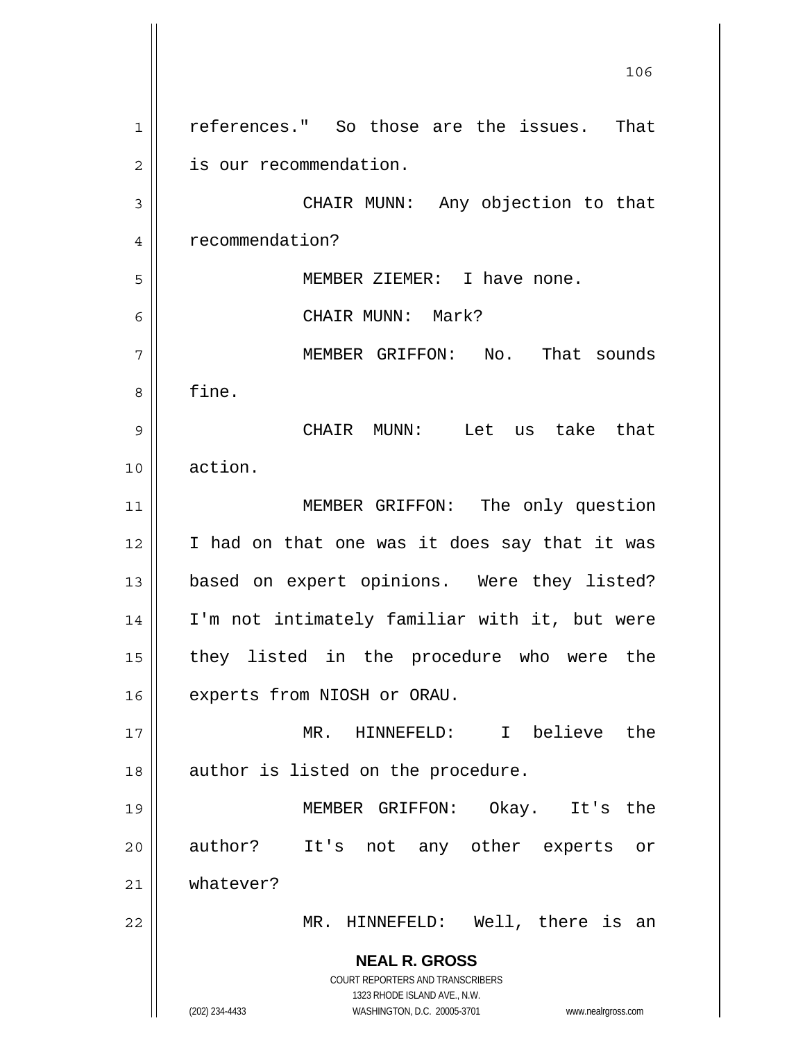**NEAL R. GROSS** COURT REPORTERS AND TRANSCRIBERS 1323 RHODE ISLAND AVE., N.W. (202) 234-4433 WASHINGTON, D.C. 20005-3701 www.nealrgross.com <u>106</u> 1 || references." So those are the issues. That 2 | is our recommendation. 3 CHAIR MUNN: Any objection to that 4 | recommendation? 5 MEMBER ZIEMER: I have none. 6 CHAIR MUNN: Mark? 7 MEMBER GRIFFON: No. That sounds 8 | fine. 9 CHAIR MUNN: Let us take that 10 action. 11 || MEMBER GRIFFON: The only question  $12$  | I had on that one was it does say that it was 13 based on expert opinions. Were they listed? 14 I'm not intimately familiar with it, but were 15 they listed in the procedure who were the 16 | experts from NIOSH or ORAU. 17 || MR. HINNEFELD: I believe the  $18$  || author is listed on the procedure. 19 MEMBER GRIFFON: Okay. It's the 20 || author? It's not any other experts or 21 whatever? 22 MR. HINNEFELD: Well, there is an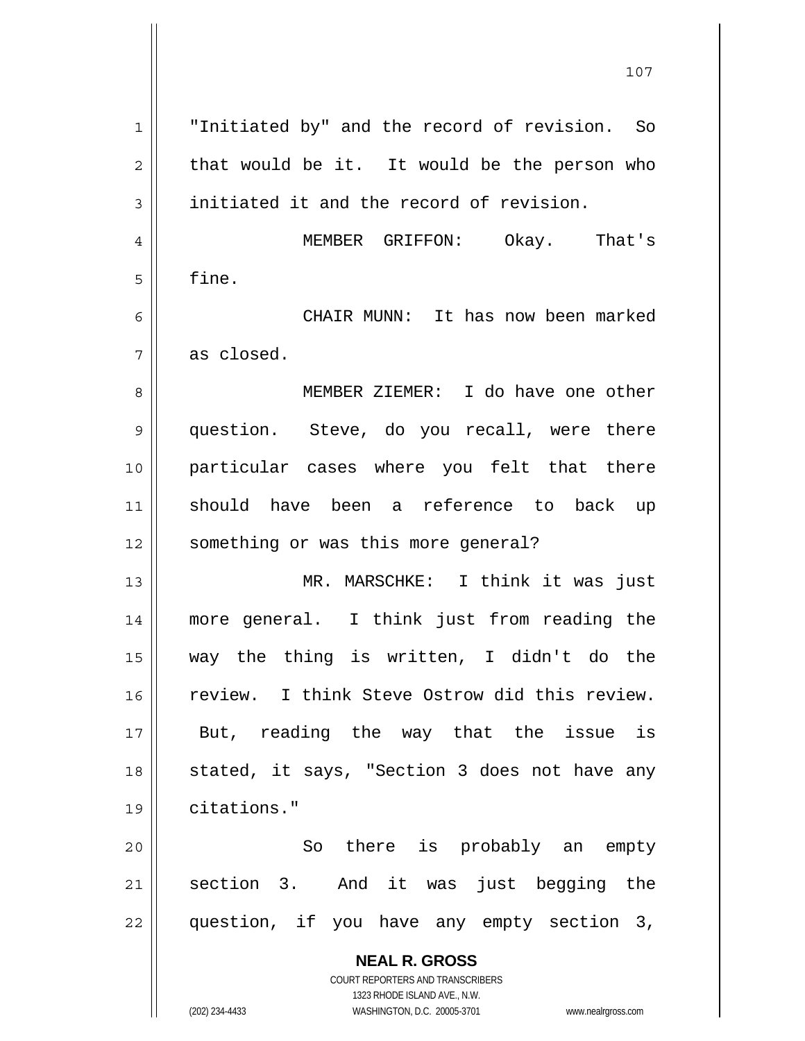| $\mathbf{1}$   | "Initiated by" and the record of revision. So                       |
|----------------|---------------------------------------------------------------------|
| $\overline{c}$ | that would be it. It would be the person who                        |
| 3              | initiated it and the record of revision.                            |
| 4              | MEMBER GRIFFON: Okay. That's                                        |
| 5              | fine.                                                               |
| 6              | CHAIR MUNN: It has now been marked                                  |
| 7              | as closed.                                                          |
| 8              | MEMBER ZIEMER: I do have one other                                  |
| 9              | question. Steve, do you recall, were there                          |
| 10             | particular cases where you felt that there                          |
| 11             | should have been a reference to back up                             |
| 12             | something or was this more general?                                 |
| 13             | MR. MARSCHKE: I think it was just                                   |
| 14             | more general. I think just from reading the                         |
| 15             | way the thing is written, I didn't do the                           |
| 16             | review. I think Steve Ostrow did this review.                       |
| 17             | But, reading the way that the issue is                              |
| 18             | stated, it says, "Section 3 does not have any                       |
| 19             | citations."                                                         |
| 20             | So there is probably an empty                                       |
| 21             | section 3. And it was just begging the                              |
| 22             | question, if you have any empty section 3,                          |
|                |                                                                     |
|                | <b>NEAL R. GROSS</b><br>COURT REPORTERS AND TRANSCRIBERS            |
|                | 1323 RHODE ISLAND AVE., N.W.                                        |
|                | WASHINGTON, D.C. 20005-3701<br>(202) 234-4433<br>www.nealrgross.com |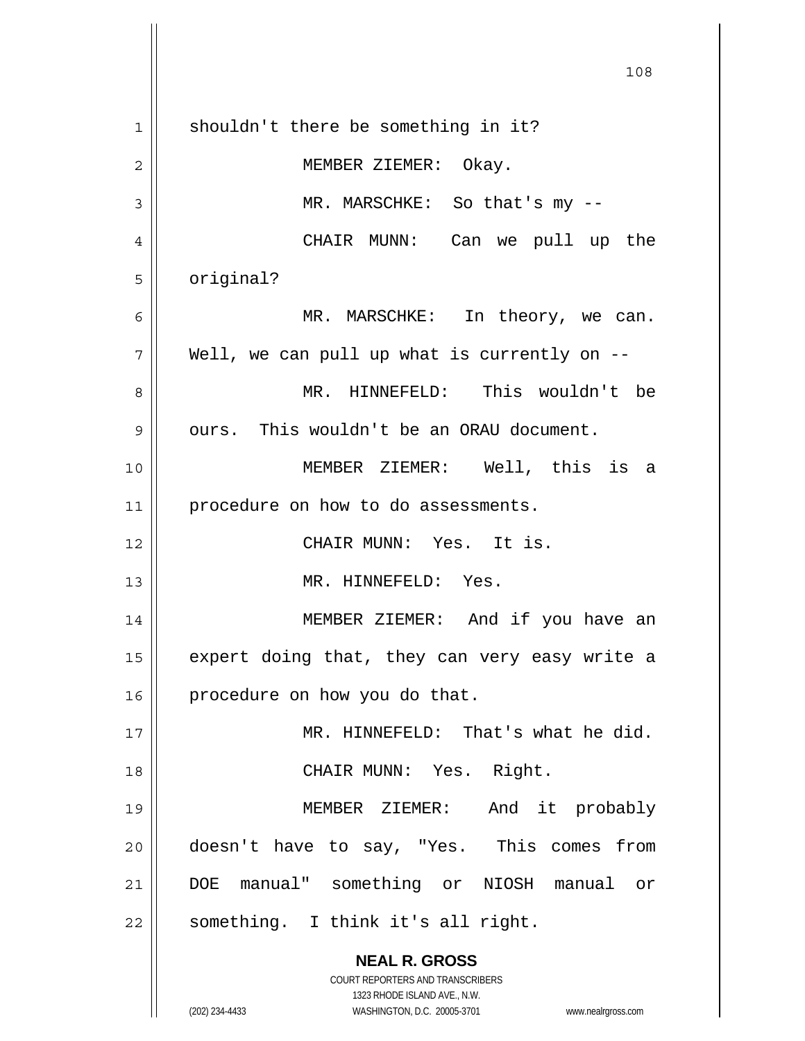|    | 108                                                                 |
|----|---------------------------------------------------------------------|
| 1  | shouldn't there be something in it?                                 |
| 2  | MEMBER ZIEMER: Okay.                                                |
| 3  | MR. MARSCHKE: So that's my --                                       |
| 4  | CHAIR MUNN: Can we pull up the                                      |
| 5  | original?                                                           |
| 6  | MR. MARSCHKE: In theory, we can.                                    |
| 7  | Well, we can pull up what is currently on --                        |
| 8  | MR. HINNEFELD: This wouldn't be                                     |
| 9  | ours. This wouldn't be an ORAU document.                            |
| 10 | MEMBER ZIEMER: Well, this is a                                      |
| 11 | procedure on how to do assessments.                                 |
| 12 | CHAIR MUNN: Yes. It is.                                             |
| 13 | MR. HINNEFELD: Yes.                                                 |
| 14 | MEMBER ZIEMER: And if you have an                                   |
| 15 | expert doing that, they can very easy write a                       |
| 16 | procedure on how you do that.                                       |
| 17 | MR. HINNEFELD: That's what he did.                                  |
| 18 | CHAIR MUNN: Yes. Right.                                             |
| 19 | And it probably<br>MEMBER ZIEMER:                                   |
| 20 | doesn't have to say, "Yes. This comes from                          |
| 21 | DOE manual" something or NIOSH manual or                            |
| 22 | something. I think it's all right.                                  |
|    | <b>NEAL R. GROSS</b>                                                |
|    | COURT REPORTERS AND TRANSCRIBERS<br>1323 RHODE ISLAND AVE., N.W.    |
|    | (202) 234-4433<br>WASHINGTON, D.C. 20005-3701<br>www.nealrgross.com |

 $\mathsf{I}$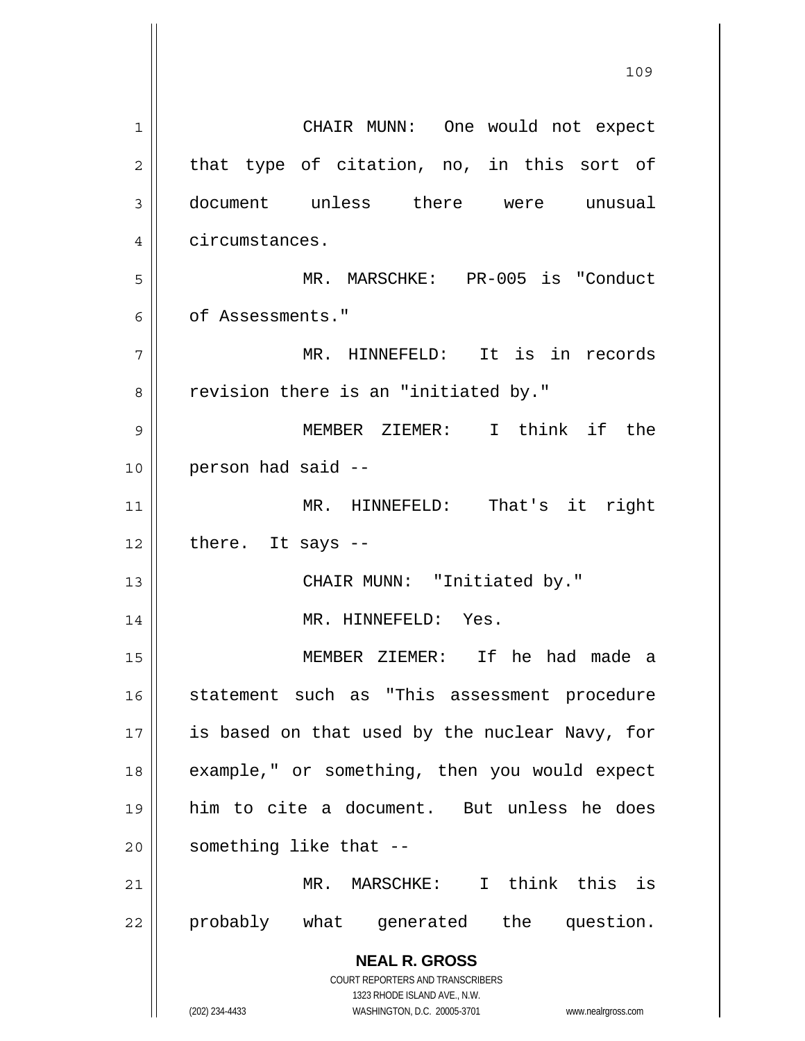**NEAL R. GROSS** COURT REPORTERS AND TRANSCRIBERS 1323 RHODE ISLAND AVE., N.W. (202) 234-4433 WASHINGTON, D.C. 20005-3701 www.nealrgross.com 109 1 || CHAIR MUNN: One would not expect  $2 \parallel$  that type of citation, no, in this sort of 3 document unless there were unusual 4 | circumstances. 5 MR. MARSCHKE: PR-005 is "Conduct 6 | of Assessments." 7 MR. HINNEFELD: It is in records 8 | revision there is an "initiated by." 9 MEMBER ZIEMER: I think if the 10 person had said -- 11 || MR. HINNEFELD: That's it right  $12$  | there. It says  $-$ 13 || CHAIR MUNN: "Initiated by." 14 || MR. HINNEFELD: Yes. 15 MEMBER ZIEMER: If he had made a 16 || statement such as "This assessment procedure  $17$  || is based on that used by the nuclear Navy, for 18 || example," or something, then you would expect 19 him to cite a document. But unless he does  $20$  || something like that  $-$ 21 MR. MARSCHKE: I think this is 22 || probably what generated the question.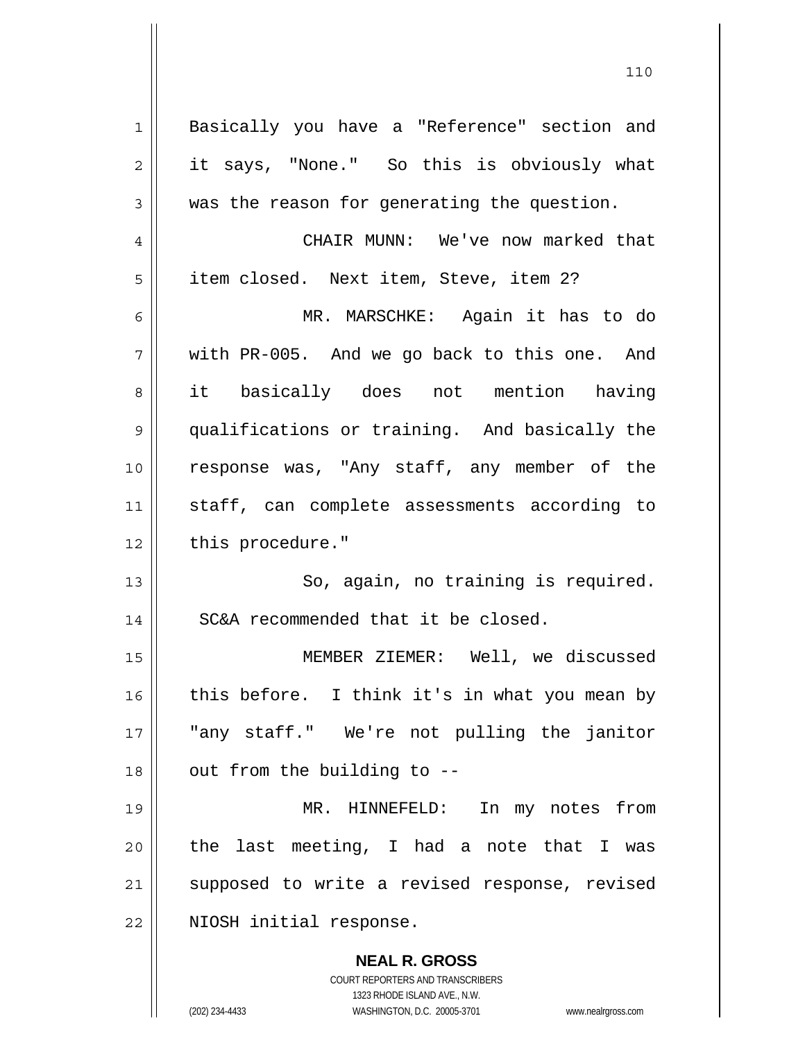| 1  | Basically you have a "Reference" section and  |
|----|-----------------------------------------------|
| 2  | it says, "None." So this is obviously what    |
| 3  | was the reason for generating the question.   |
| 4  | CHAIR MUNN: We've now marked that             |
| 5  | item closed. Next item, Steve, item 2?        |
| 6  | MR. MARSCHKE: Again it has to do              |
| 7  | with PR-005. And we go back to this one. And  |
| 8  | it basically does not mention having          |
| 9  | qualifications or training. And basically the |
| 10 | response was, "Any staff, any member of the   |
| 11 | staff, can complete assessments according to  |
| 12 | this procedure."                              |
| 13 | So, again, no training is required.           |
| 14 | SC&A recommended that it be closed.           |
| 15 | MEMBER ZIEMER: Well, we discussed             |
| 16 | this before. I think it's in what you mean by |
| 17 | "any staff." We're not pulling the janitor    |
| 18 | out from the building to --                   |
| 19 | MR. HINNEFELD: In my notes from               |
| 20 | the last meeting, I had a note that I was     |
| 21 | supposed to write a revised response, revised |
| 22 | NIOSH initial response.                       |
|    | <b>NEAL R. GROSS</b>                          |

 COURT REPORTERS AND TRANSCRIBERS 1323 RHODE ISLAND AVE., N.W.

 $\prod$ 

(202) 234-4433 WASHINGTON, D.C. 20005-3701 www.nealrgross.com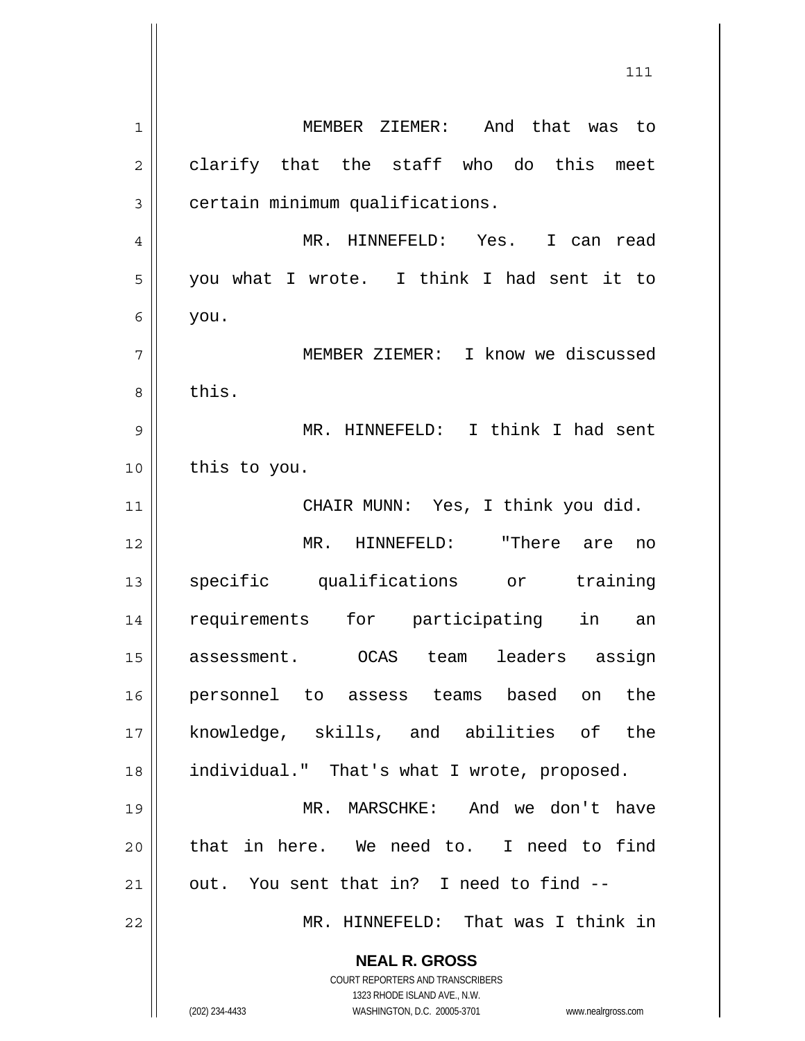**NEAL R. GROSS** COURT REPORTERS AND TRANSCRIBERS 1 MEMBER ZIEMER: And that was to 2 || clarify that the staff who do this meet  $3 \parallel$  certain minimum qualifications. 4 MR. HINNEFELD: Yes. I can read 5 you what I wrote. I think I had sent it to  $6 \parallel$  you. 7 MEMBER ZIEMER: I know we discussed  $8 \parallel$  this. 9 MR. HINNEFELD: I think I had sent  $10$  | this to you. 11 || CHAIR MUNN: Yes, I think you did. 12 MR. HINNEFELD: "There are no 13 || specific qualifications or training 14 requirements for participating in an 15 assessment. OCAS team leaders assign 16 personnel to assess teams based on the 17 knowledge, skills, and abilities of the 18 individual." That's what I wrote, proposed. 19 MR. MARSCHKE: And we don't have 20 || that in here. We need to. I need to find  $21 \parallel$  out. You sent that in? I need to find  $-$ 22 MR. HINNEFELD: That was I think in

1323 RHODE ISLAND AVE., N.W.

(202) 234-4433 WASHINGTON, D.C. 20005-3701 www.nealrgross.com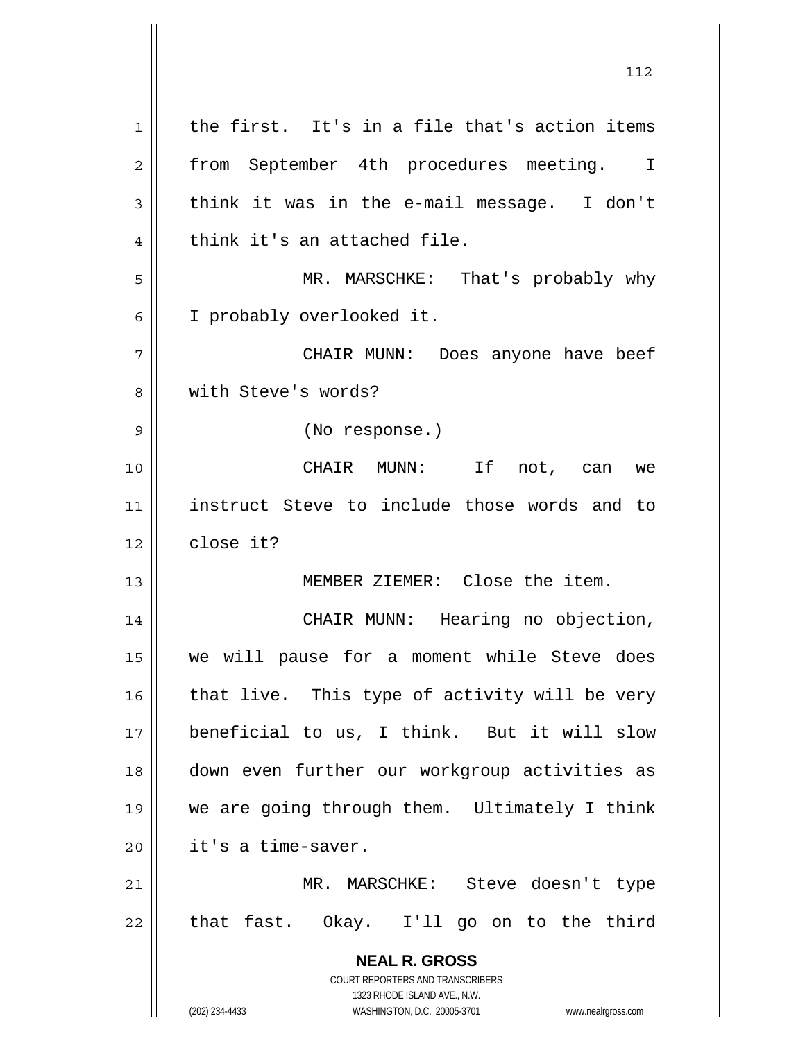**NEAL R. GROSS** COURT REPORTERS AND TRANSCRIBERS 1323 RHODE ISLAND AVE., N.W. (202) 234-4433 WASHINGTON, D.C. 20005-3701 www.nealrgross.com the first. It's in a file that's action items 2 || from September 4th procedures meeting. I  $3 \parallel$  think it was in the e-mail message. I don't  $\parallel$  think it's an attached file. MR. MARSCHKE: That's probably why I probably overlooked it. CHAIR MUNN: Does anyone have beef 8 With Steve's words? (No response.) CHAIR MUNN: If not, can we 11 || instruct Steve to include those words and to  $\parallel$  close it? MEMBER ZIEMER: Close the item. 14 || CHAIR MUNN: Hearing no objection, we will pause for a moment while Steve does  $\parallel$  that live. This type of activity will be very beneficial to us, I think. But it will slow down even further our workgroup activities as we are going through them. Ultimately I think 20 | it's a time-saver. MR. MARSCHKE: Steve doesn't type || that fast. Okay. I'll go on to the third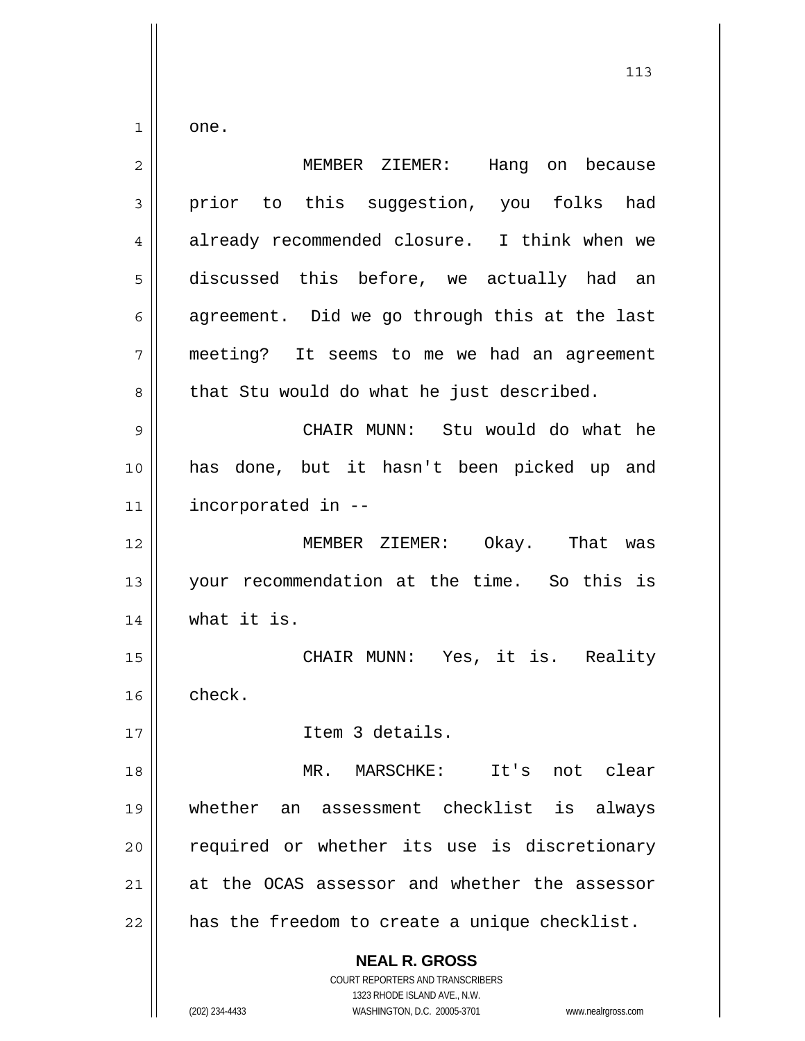$1 \parallel$  one.

| $\overline{2}$ | MEMBER ZIEMER:<br>Hang on because                                                                                                                               |
|----------------|-----------------------------------------------------------------------------------------------------------------------------------------------------------------|
| 3              | prior to this suggestion, you folks had                                                                                                                         |
| 4              | already recommended closure. I think when we                                                                                                                    |
| 5              | discussed this before, we actually had an                                                                                                                       |
| 6              | agreement. Did we go through this at the last                                                                                                                   |
| 7              | meeting? It seems to me we had an agreement                                                                                                                     |
| 8              | that Stu would do what he just described.                                                                                                                       |
| 9              | CHAIR MUNN: Stu would do what he                                                                                                                                |
| 10             | has done, but it hasn't been picked up and                                                                                                                      |
| 11             | incorporated in --                                                                                                                                              |
| 12             | MEMBER ZIEMER: Okay. That was                                                                                                                                   |
| 13             | your recommendation at the time. So this is                                                                                                                     |
| 14             | what it is.                                                                                                                                                     |
| 15             | CHAIR MUNN: Yes, it is. Reality                                                                                                                                 |
| 16             | check.                                                                                                                                                          |
| $17$           | Item 3 details.                                                                                                                                                 |
| 18             | MR. MARSCHKE: It's not clear                                                                                                                                    |
| 19             | whether an assessment checklist is always                                                                                                                       |
| 20             | required or whether its use is discretionary                                                                                                                    |
| 21             | at the OCAS assessor and whether the assessor                                                                                                                   |
| 22             | has the freedom to create a unique checklist.                                                                                                                   |
|                | <b>NEAL R. GROSS</b><br>COURT REPORTERS AND TRANSCRIBERS<br>1323 RHODE ISLAND AVE., N.W.<br>WASHINGTON, D.C. 20005-3701<br>(202) 234-4433<br>www.nealrgross.com |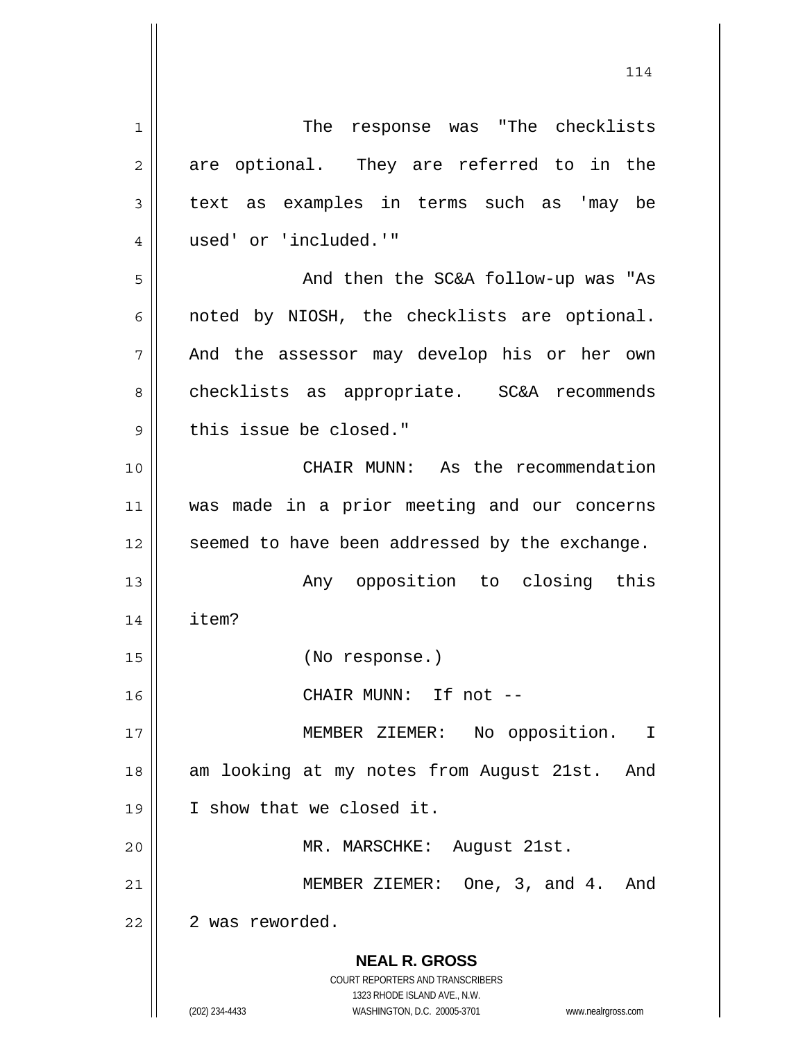**NEAL R. GROSS** COURT REPORTERS AND TRANSCRIBERS 1323 RHODE ISLAND AVE., N.W. (202) 234-4433 WASHINGTON, D.C. 20005-3701 www.nealrgross.com 1 || The response was "The checklists  $2 \parallel$  are optional. They are referred to in the 3 text as examples in terms such as 'may be 4 used' or 'included.'" 5 And then the SC&A follow-up was "As  $6 \parallel$  noted by NIOSH, the checklists are optional. 7 and the assessor may develop his or her own 8 checklists as appropriate. SC&A recommends  $9$  || this issue be closed." 10 CHAIR MUNN: As the recommendation 11 was made in a prior meeting and our concerns 12 | seemed to have been addressed by the exchange. 13 || The Communist Communist Communist Constants Any opposition to closing this 14 item? 15 (No response.) 16 CHAIR MUNN: If not -- 17 || MEMBER ZIEMER: No opposition. I 18 || am looking at my notes from August 21st. And 19 I show that we closed it. 20 MR. MARSCHKE: August 21st. 21 MEMBER ZIEMER: One, 3, and 4. And  $22 \parallel 2$  was reworded.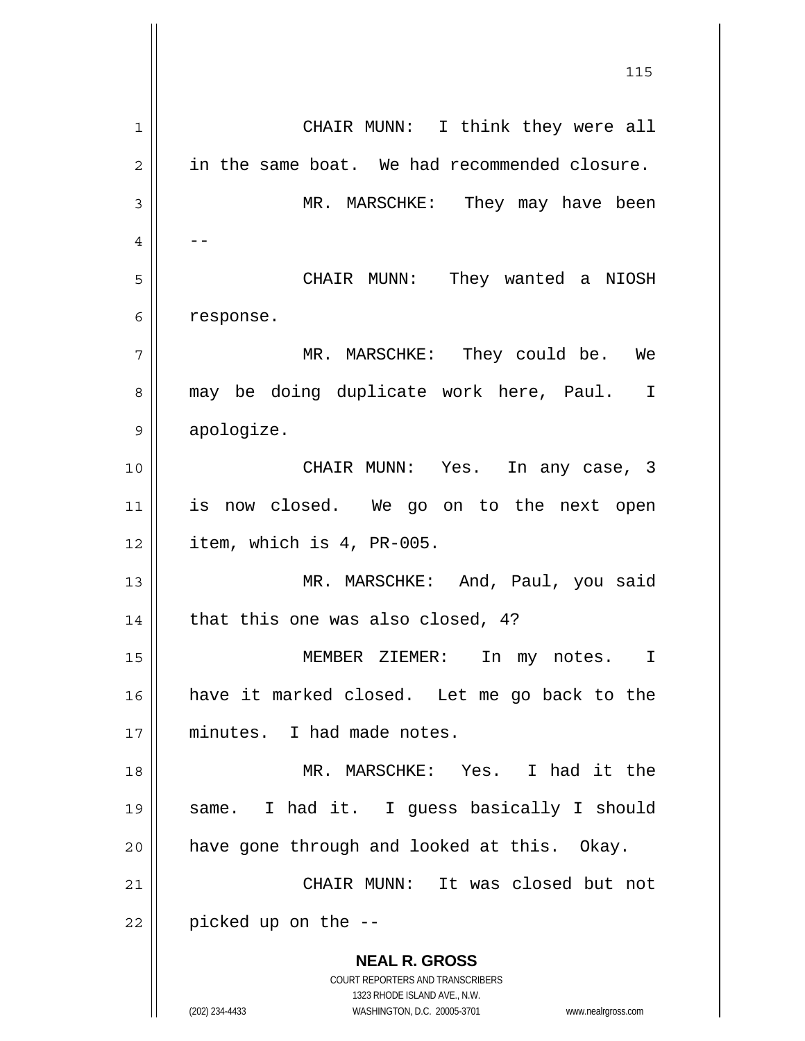**NEAL R. GROSS** COURT REPORTERS AND TRANSCRIBERS 1323 RHODE ISLAND AVE., N.W. <u>115</u> 1 | CHAIR MUNN: I think they were all 2 | in the same boat. We had recommended closure. 3 MR. MARSCHKE: They may have been  $4 \parallel - -$ 5 CHAIR MUNN: They wanted a NIOSH 6 | response. 7 MR. MARSCHKE: They could be. We 8 || may be doing duplicate work here, Paul. I 9 | apologize. 10 CHAIR MUNN: Yes. In any case, 3 11 || is now closed. We go on to the next open  $12$  | item, which is 4, PR-005. 13 || MR. MARSCHKE: And, Paul, you said  $14$  | that this one was also closed, 4? 15 MEMBER ZIEMER: In my notes. I 16 have it marked closed. Let me go back to the 17 minutes. I had made notes. 18 MR. MARSCHKE: Yes. I had it the 19 same. I had it. I guess basically I should  $20$  || have gone through and looked at this. Okay. 21 CHAIR MUNN: It was closed but not  $22$  | picked up on the  $-$ 

(202) 234-4433 WASHINGTON, D.C. 20005-3701 www.nealrgross.com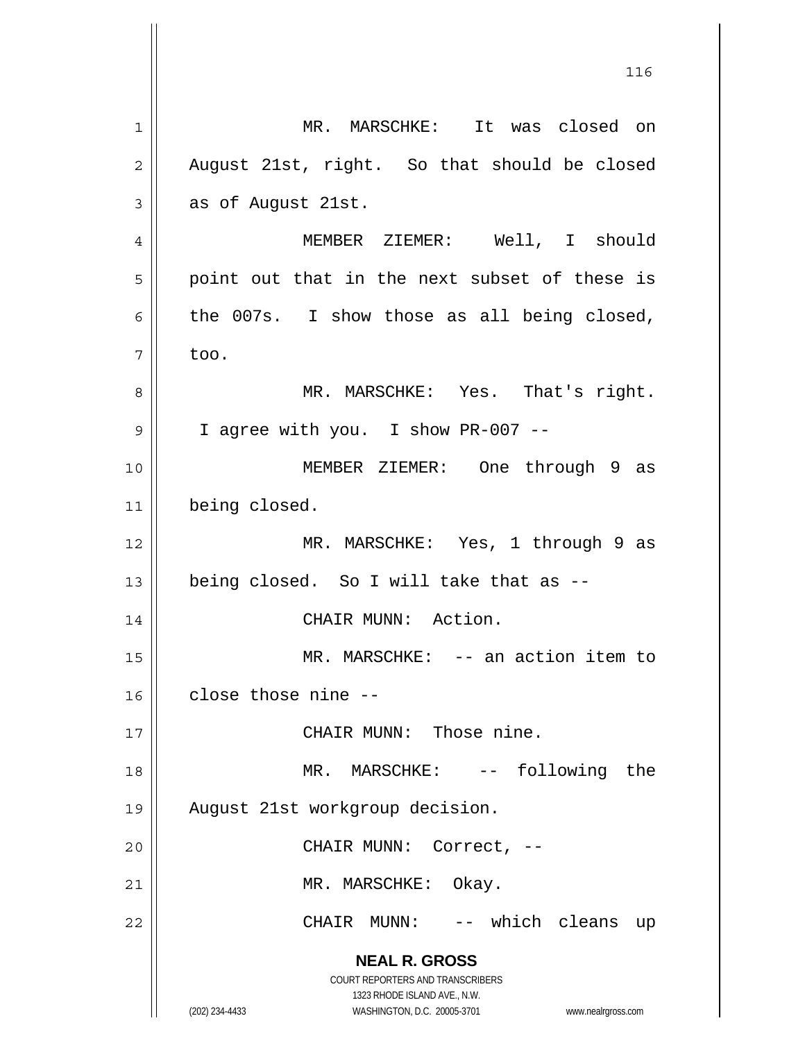**NEAL R. GROSS** COURT REPORTERS AND TRANSCRIBERS 1323 RHODE ISLAND AVE., N.W. (202) 234-4433 WASHINGTON, D.C. 20005-3701 www.nealrgross.com <u>116</u> 1 || MR. MARSCHKE: It was closed on  $2 \parallel$  August 21st, right. So that should be closed  $3 \parallel$  as of August 21st. 4 MEMBER ZIEMER: Well, I should  $5 \parallel$  point out that in the next subset of these is  $6 \parallel$  the 007s. I show those as all being closed,  $7 \parallel$  too. 8 MR. MARSCHKE: Yes. That's right.  $9 \parallel$  I agree with you. I show PR-007 --10 MEMBER ZIEMER: One through 9 as 11 being closed. 12 || MR. MARSCHKE: Yes, 1 through 9 as 13  $\parallel$  being closed. So I will take that as --14 || CHAIR MUNN: Action. 15 MR. MARSCHKE: -- an action item to 16 close those nine --17 || CHAIR MUNN: Those nine. 18 || MR. MARSCHKE: -- following the 19 August 21st workgroup decision. 20 CHAIR MUNN: Correct, -- 21 || MR. MARSCHKE: Okay. 22 CHAIR MUNN: -- which cleans up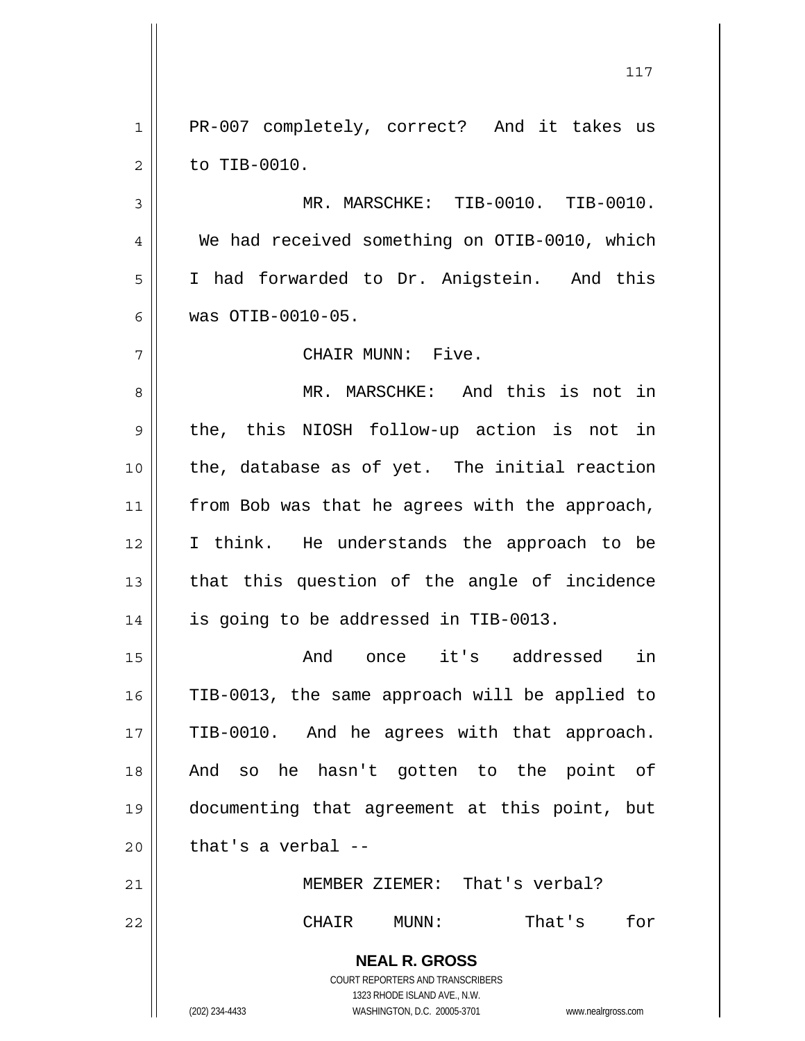1 || PR-007 completely, correct? And it takes us  $2 \parallel$  to TIB-0010.

3 || MR. MARSCHKE: TIB-0010. TIB-0010. 4 We had received something on OTIB-0010, which 5 I had forwarded to Dr. Anigstein. And this 6 was OTIB-0010-05.

7 CHAIR MUNN: Five.

8 MR. MARSCHKE: And this is not in  $9 \parallel$  the, this NIOSH follow-up action is not in 10 || the, database as of yet. The initial reaction  $11$  from Bob was that he agrees with the approach, 12 I think. He understands the approach to be  $13$  || that this question of the angle of incidence 14 | is going to be addressed in TIB-0013.

And once it's addressed in 16 || TIB-0013, the same approach will be applied to 17 || TIB-0010. And he agrees with that approach. And so he hasn't gotten to the point of documenting that agreement at this point, but | that's a verbal --

21 || MEMBER ZIEMER: That's verbal?

22 CHAIR MUNN: That's for

 **NEAL R. GROSS**

 COURT REPORTERS AND TRANSCRIBERS 1323 RHODE ISLAND AVE., N.W. (202) 234-4433 WASHINGTON, D.C. 20005-3701 www.nealrgross.com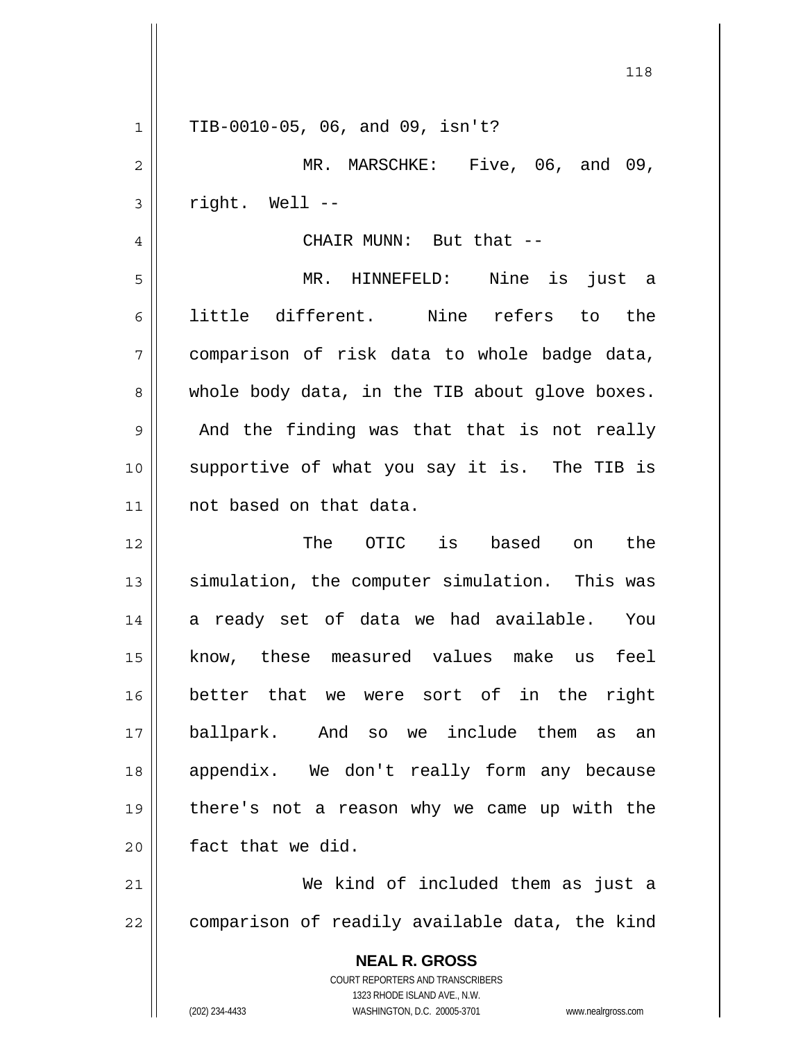|             | 118                                                                                                                                     |
|-------------|-----------------------------------------------------------------------------------------------------------------------------------------|
| $\mathbf 1$ | TIB-0010-05, 06, and 09, isn't?                                                                                                         |
| 2           | MR. MARSCHKE: Five, 06, and 09,                                                                                                         |
| 3           | right. Well --                                                                                                                          |
| 4           | CHAIR MUNN: But that --                                                                                                                 |
| 5           | MR. HINNEFELD: Nine is just a                                                                                                           |
| 6           | little different. Nine refers to the                                                                                                    |
| 7           | comparison of risk data to whole badge data,                                                                                            |
| 8           | whole body data, in the TIB about glove boxes.                                                                                          |
| 9           | And the finding was that that is not really                                                                                             |
| 10          | supportive of what you say it is. The TIB is                                                                                            |
| 11          | not based on that data.                                                                                                                 |
| 12          | The OTIC is based on the                                                                                                                |
| 13          | simulation, the computer simulation. This was                                                                                           |
| 14          | a ready set of data we had available. You                                                                                               |
| $15$        | know, these measured values make us<br>feel                                                                                             |
| 16          | better that we were sort of in the right                                                                                                |
| 17          | ballpark. And so we include them as an                                                                                                  |
| 18          | appendix. We don't really form any because                                                                                              |
| 19          | there's not a reason why we came up with the                                                                                            |
| 20          | fact that we did.                                                                                                                       |
| 21          | We kind of included them as just a                                                                                                      |
| 22          | comparison of readily available data, the kind                                                                                          |
|             | <b>NEAL R. GROSS</b>                                                                                                                    |
|             | COURT REPORTERS AND TRANSCRIBERS<br>1323 RHODE ISLAND AVE., N.W.<br>(202) 234-4433<br>WASHINGTON, D.C. 20005-3701<br>www.nealrgross.com |
|             |                                                                                                                                         |

 $\mathbf{\mathcal{L}}$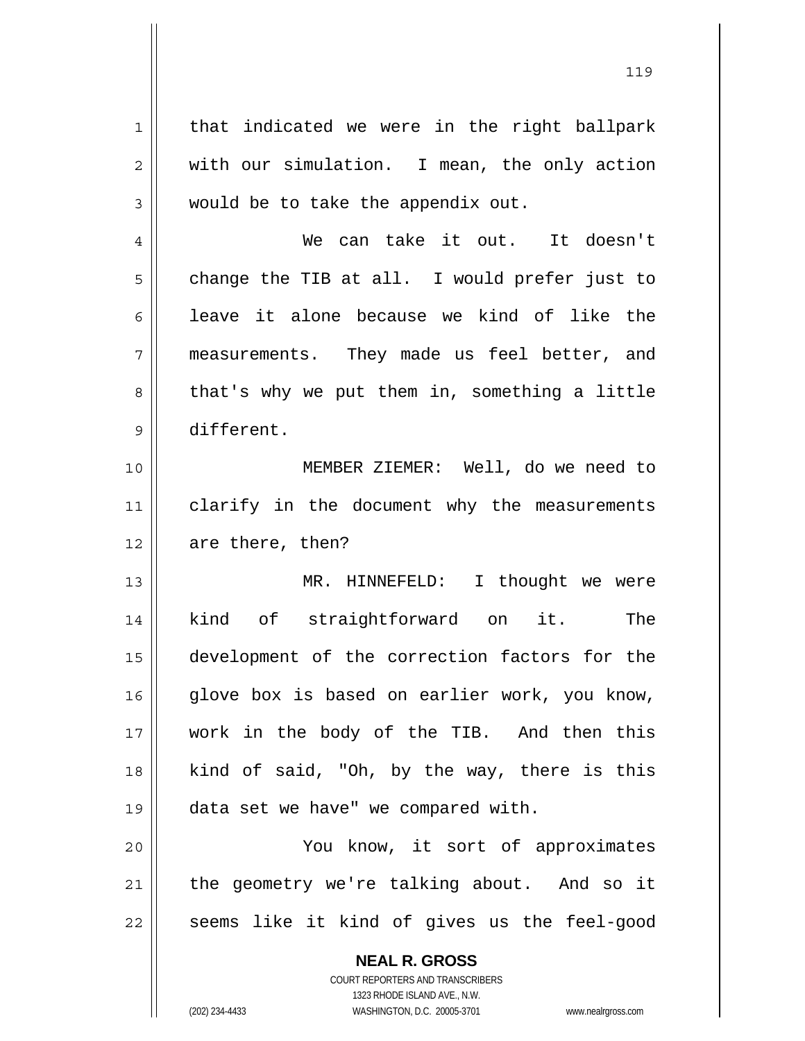$1$  that indicated we were in the right ballpark  $2 \parallel$  with our simulation. I mean, the only action 3 would be to take the appendix out. 4 || We can take it out. It doesn't  $5 \parallel$  change the TIB at all. I would prefer just to 6 || leave it alone because we kind of like the 7 measurements. They made us feel better, and  $8 \parallel$  that's why we put them in, something a little 9 different. 10 MEMBER ZIEMER: Well, do we need to 11 || clarify in the document why the measurements 12 || are there, then? 13 MR. HINNEFELD: I thought we were

kind of straightforward on it. The development of the correction factors for the 16 glove box is based on earlier work, you know, work in the body of the TIB. And then this 18 || kind of said, "Oh, by the way, there is this data set we have" we compared with.

20 You know, it sort of approximates  $21$  the geometry we're talking about. And so it  $22$  || seems like it kind of gives us the feel-good

> **NEAL R. GROSS** COURT REPORTERS AND TRANSCRIBERS 1323 RHODE ISLAND AVE., N.W. (202) 234-4433 WASHINGTON, D.C. 20005-3701 www.nealrgross.com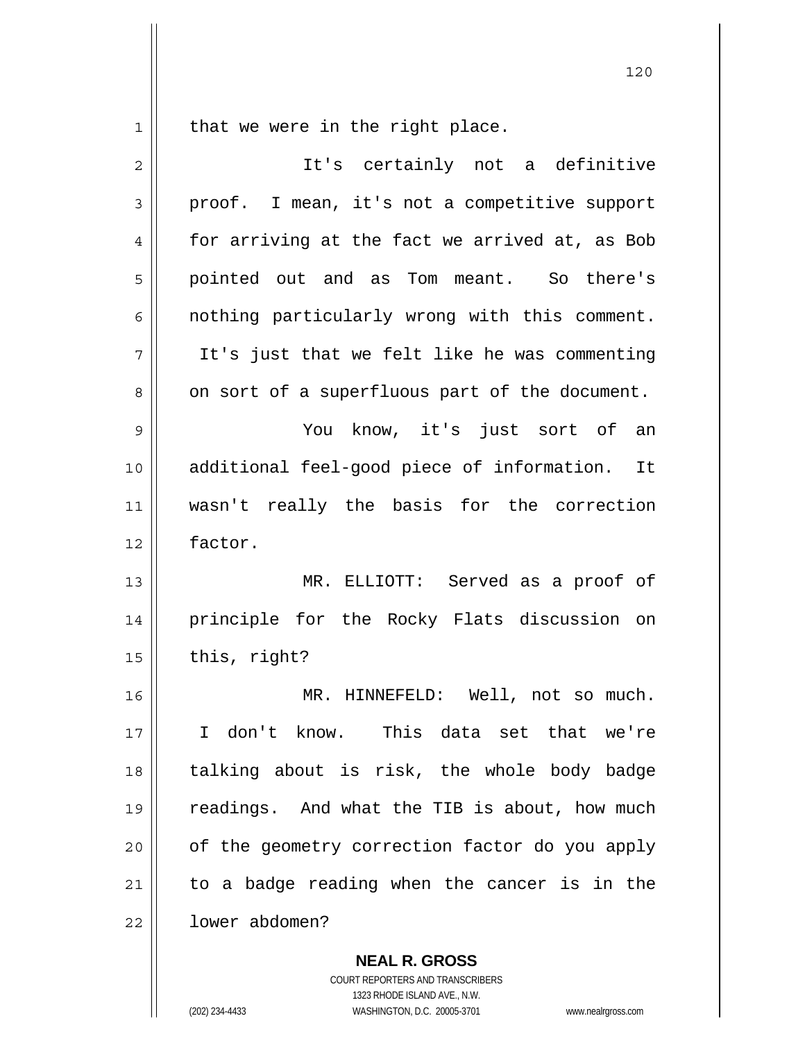that we were in the right place.

| $\overline{2}$ | It's certainly not a definitive                |
|----------------|------------------------------------------------|
| 3              | proof. I mean, it's not a competitive support  |
| 4              | for arriving at the fact we arrived at, as Bob |
| 5              | pointed out and as Tom meant. So there's       |
| 6              | nothing particularly wrong with this comment.  |
| 7              | It's just that we felt like he was commenting  |
| 8              | on sort of a superfluous part of the document. |
| 9              | You know, it's just sort of an                 |
| 10             | additional feel-good piece of information. It  |
| 11             | wasn't really the basis for the correction     |
| 12             | factor.                                        |
| 13             | MR. ELLIOTT: Served as a proof of              |
| 14             | principle for the Rocky Flats discussion on    |
| 15             | this, right?                                   |
| 16             | MR. HINNEFELD: Well, not so much.              |
| 17             | I don't know. This data set that we're         |
| 18             | talking about is risk, the whole body badge    |
| 19             | readings. And what the TIB is about, how much  |
| 20             | of the geometry correction factor do you apply |
| 21             | to a badge reading when the cancer is in the   |
| 22             | lower abdomen?                                 |

 **NEAL R. GROSS** COURT REPORTERS AND TRANSCRIBERS 1323 RHODE ISLAND AVE., N.W. (202) 234-4433 WASHINGTON, D.C. 20005-3701 www.nealrgross.com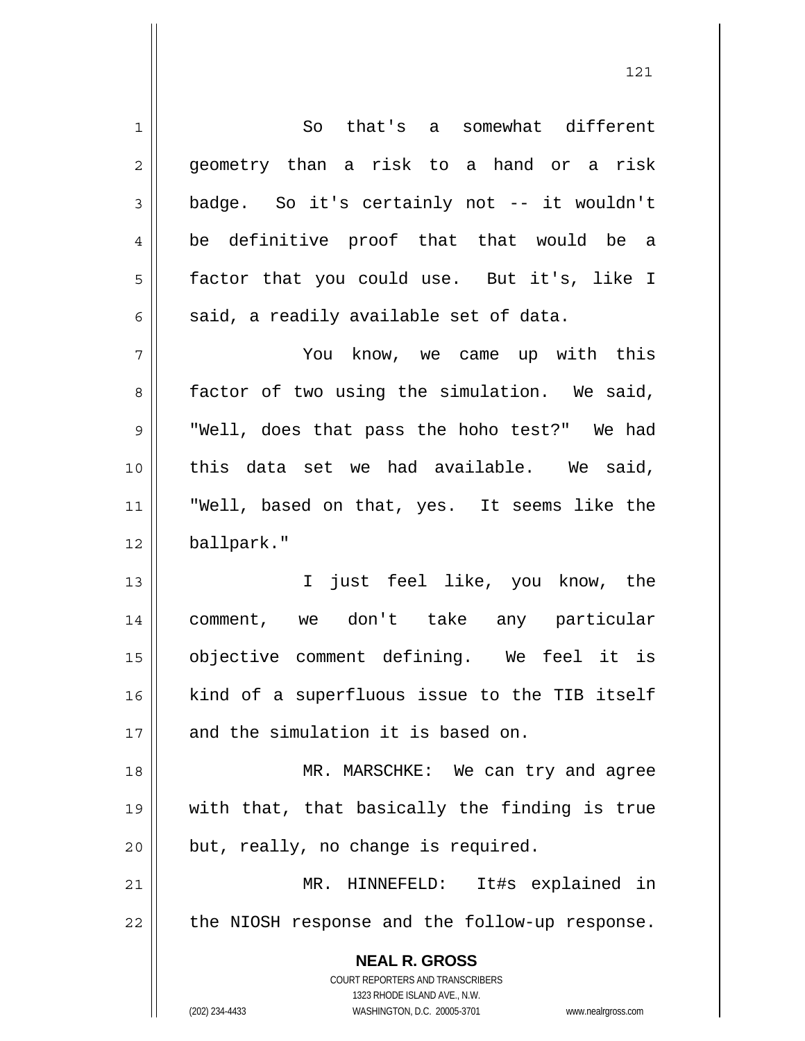**NEAL R. GROSS** COURT REPORTERS AND TRANSCRIBERS 1323 RHODE ISLAND AVE., N.W. (202) 234-4433 WASHINGTON, D.C. 20005-3701 www.nealrgross.com 1 So that's a somewhat different 2 || geometry than a risk to a hand or a risk badge. So it's certainly not -- it wouldn't be definitive proof that that would be a 5 || factor that you could use. But it's, like I  $6 \parallel$  said, a readily available set of data. You know, we came up with this  $8 \parallel$  factor of two using the simulation. We said, "Well, does that pass the hoho test?" We had this data set we had available. We said, "Well, based on that, yes. It seems like the ballpark." I just feel like, you know, the comment, we don't take any particular objective comment defining. We feel it is kind of a superfluous issue to the TIB itself 17 || and the simulation it is based on. MR. MARSCHKE: We can try and agree with that, that basically the finding is true || but, really, no change is required. MR. HINNEFELD: It#s explained in || the NIOSH response and the follow-up response.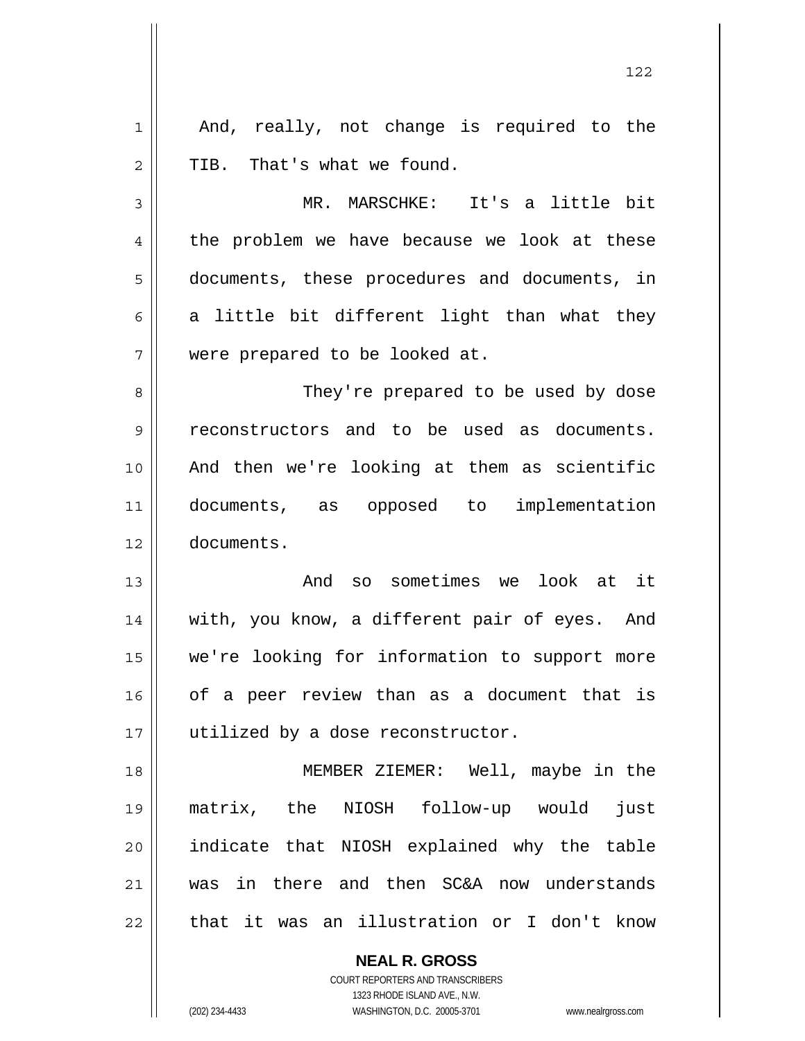| 1  | And, really, not change is required to the    |
|----|-----------------------------------------------|
| 2  | TIB. That's what we found.                    |
| 3  | MR. MARSCHKE: It's a little bit               |
| 4  | the problem we have because we look at these  |
| 5  | documents, these procedures and documents, in |
| 6  | a little bit different light than what they   |
| 7  | were prepared to be looked at.                |
| 8  | They're prepared to be used by dose           |
| 9  | reconstructors and to be used as documents.   |
| 10 | And then we're looking at them as scientific  |
| 11 | documents, as opposed to implementation       |
| 12 | documents.                                    |
| 13 | And so sometimes we look at it                |
| 14 | with, you know, a different pair of eyes. And |
| 15 | we're looking for information to support more |
| 16 | of a peer review than as a document that is   |
| 17 | utilized by a dose reconstructor.             |
| 18 | MEMBER ZIEMER: Well, maybe in the             |
| 19 | matrix, the NIOSH follow-up would just        |
| 20 | indicate that NIOSH explained why the table   |
| 21 | was in there and then SC&A now understands    |
| 22 | that it was an illustration or I don't know   |
|    |                                               |

 **NEAL R. GROSS** COURT REPORTERS AND TRANSCRIBERS

1323 RHODE ISLAND AVE., N.W.

 $\mathsf{I}$ 

(202) 234-4433 WASHINGTON, D.C. 20005-3701 www.nealrgross.com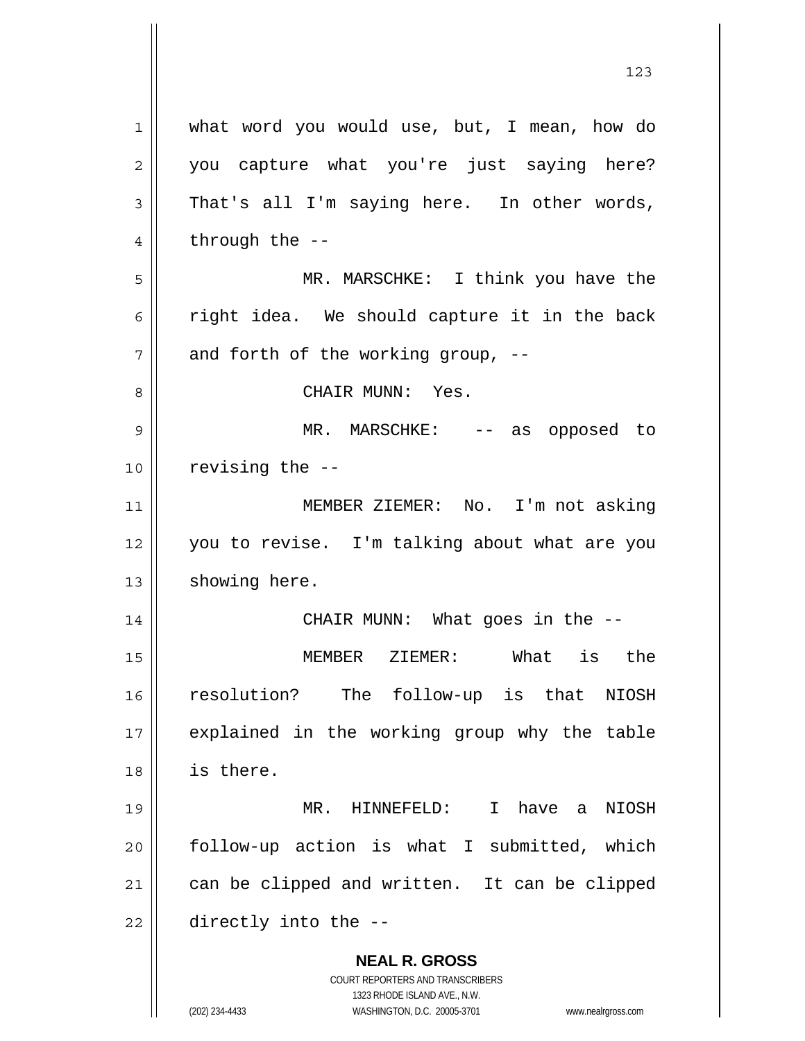| $\mathbf 1$    | what word you would use, but, I mean, how do                                                        |
|----------------|-----------------------------------------------------------------------------------------------------|
| $\overline{2}$ | you capture what you're just saying here?                                                           |
| 3              | That's all I'm saying here. In other words,                                                         |
| 4              | through the --                                                                                      |
| 5              | MR. MARSCHKE: I think you have the                                                                  |
| 6              | right idea. We should capture it in the back                                                        |
| 7              | and forth of the working group, --                                                                  |
| 8              | CHAIR MUNN: Yes.                                                                                    |
| 9              | MR. MARSCHKE: -- as opposed to                                                                      |
| 10             | revising the --                                                                                     |
| 11             | MEMBER ZIEMER: No. I'm not asking                                                                   |
| 12             | you to revise. I'm talking about what are you                                                       |
| 13             | showing here.                                                                                       |
| 14             | CHAIR MUNN: What goes in the --                                                                     |
| 15             | MEMBER ZIEMER: What is the                                                                          |
| 16             | resolution? The follow-up is that NIOSH                                                             |
| 17             | explained in the working group why the table                                                        |
| 18             | is there.                                                                                           |
| 19             | MR. HINNEFELD:<br>have a<br>$\mathbf I$<br>NIOSH                                                    |
| 20             | follow-up action is what I submitted, which                                                         |
| 21             | can be clipped and written. It can be clipped                                                       |
| 22             | directly into the --                                                                                |
|                |                                                                                                     |
|                | <b>NEAL R. GROSS</b><br><b>COURT REPORTERS AND TRANSCRIBERS</b>                                     |
|                | 1323 RHODE ISLAND AVE., N.W.<br>(202) 234-4433<br>WASHINGTON, D.C. 20005-3701<br>www.nealrgross.com |
|                |                                                                                                     |

 $\mathsf{I}$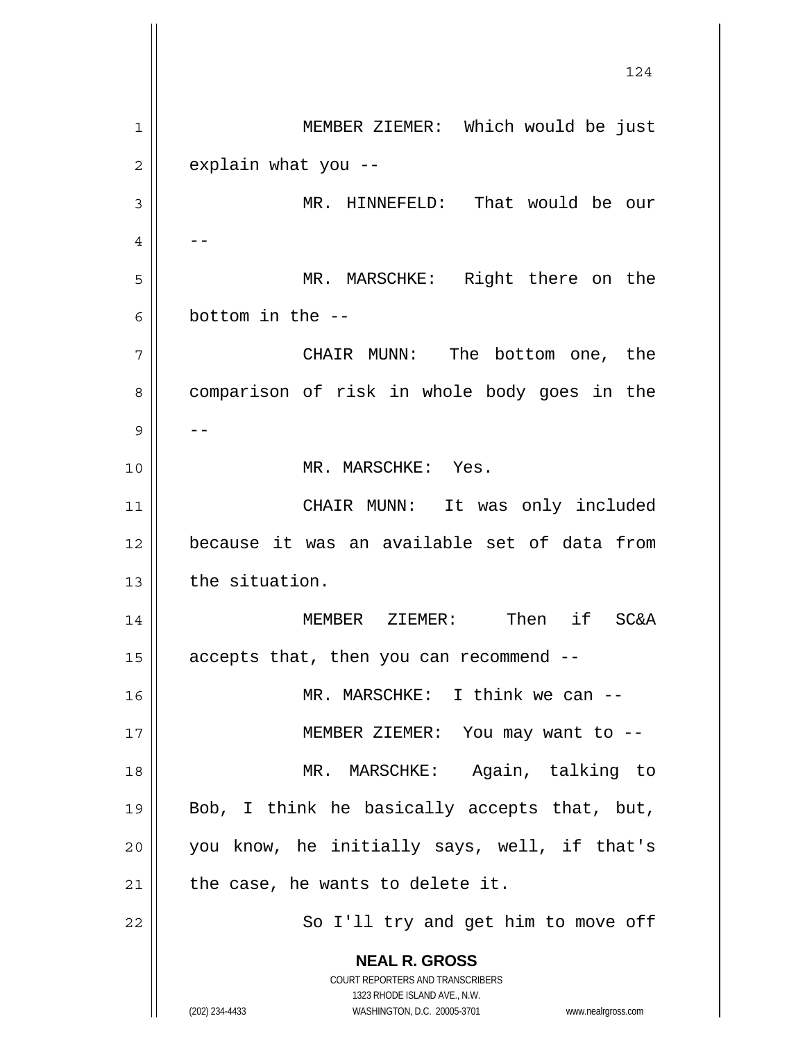**NEAL R. GROSS** COURT REPORTERS AND TRANSCRIBERS 1323 RHODE ISLAND AVE., N.W. (202) 234-4433 WASHINGTON, D.C. 20005-3701 www.nealrgross.com 124 1 || MEMBER ZIEMER: Which would be just  $2 \parallel$  explain what you --3 MR. HINNEFELD: That would be our  $4 \parallel - -$ 5 MR. MARSCHKE: Right there on the 6 bottom in the -- 7 CHAIR MUNN: The bottom one, the 8 comparison of risk in whole body goes in the 9 -- 10 MR. MARSCHKE: Yes. 11 CHAIR MUNN: It was only included 12 because it was an available set of data from  $13$   $\parallel$  the situation. 14 MEMBER ZIEMER: Then if SC&A  $15$  accepts that, then you can recommend  $-$ 16 MR. MARSCHKE: I think we can -- 17 || MEMBER ZIEMER: You may want to --18 MR. MARSCHKE: Again, talking to 19 || Bob, I think he basically accepts that, but, 20 you know, he initially says, well, if that's  $21$  the case, he wants to delete it. 22 || So I'll try and get him to move off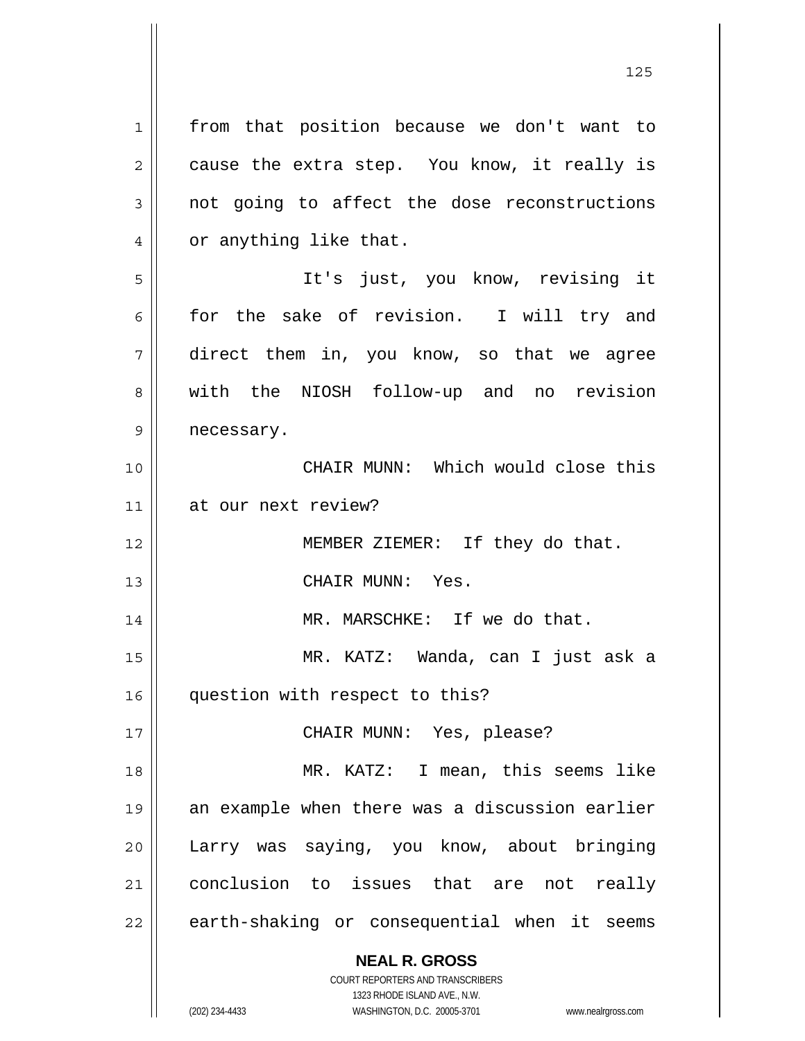**NEAL R. GROSS** 1 || from that position because we don't want to  $2 \parallel$  cause the extra step. You know, it really is  $3 \parallel$  not going to affect the dose reconstructions 4 | or anything like that. 5 It's just, you know, revising it  $6 \parallel$  for the sake of revision. I will try and 7 direct them in, you know, so that we agree 8 with the NIOSH follow-up and no revision 9 || necessary. 10 CHAIR MUNN: Which would close this 11 at our next review? 12 || MEMBER ZIEMER: If they do that. 13 CHAIR MUNN: Yes. 14 || MR. MARSCHKE: If we do that. 15 MR. KATZ: Wanda, can I just ask a 16 | question with respect to this? 17 CHAIR MUNN: Yes, please? 18 MR. KATZ: I mean, this seems like 19 an example when there was a discussion earlier 20 Larry was saying, you know, about bringing 21 conclusion to issues that are not really  $22$  || earth-shaking or consequential when it seems

<u>125</u>

 1323 RHODE ISLAND AVE., N.W. (202) 234-4433 WASHINGTON, D.C. 20005-3701 www.nealrgross.com

COURT REPORTERS AND TRANSCRIBERS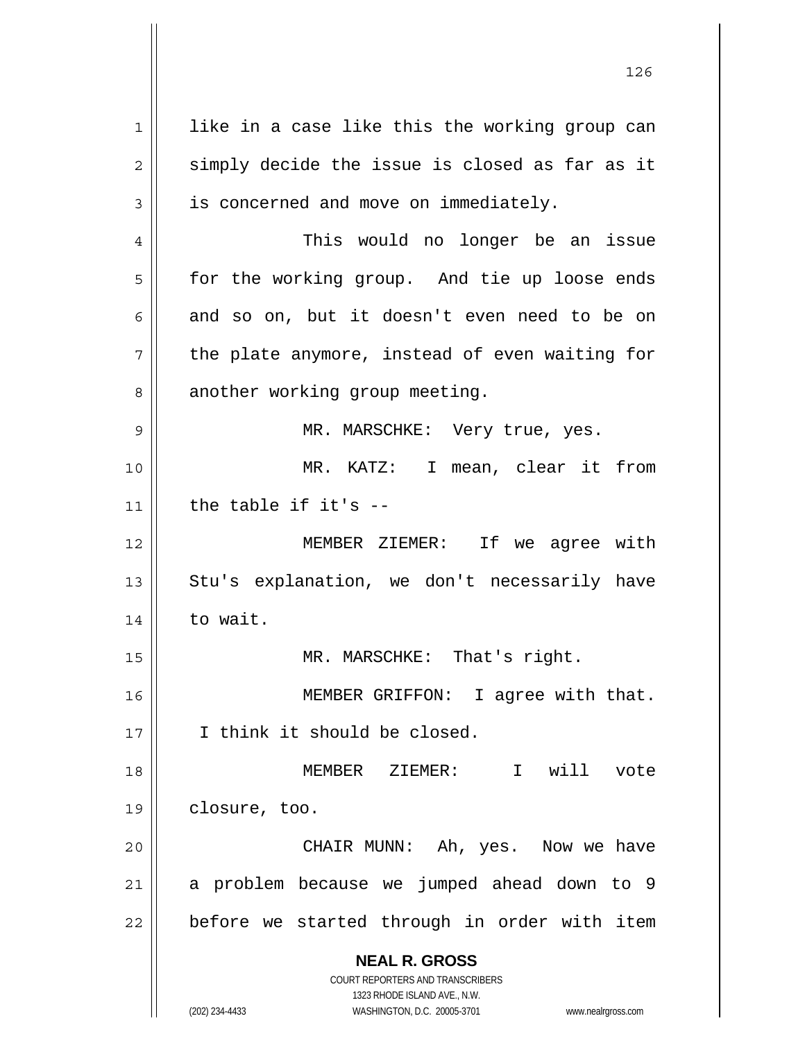**NEAL R. GROSS** COURT REPORTERS AND TRANSCRIBERS 1323 RHODE ISLAND AVE., N.W. (202) 234-4433 WASHINGTON, D.C. 20005-3701 www.nealrgross.com  $1 \parallel$  like in a case like this the working group can  $2 \parallel$  simply decide the issue is closed as far as it  $3 \parallel$  is concerned and move on immediately. 4 This would no longer be an issue 5 | for the working group. And tie up loose ends  $6 \parallel$  and so on, but it doesn't even need to be on  $7 \parallel$  the plate anymore, instead of even waiting for 8 | another working group meeting. 9 MR. MARSCHKE: Very true, yes. 10 || MR. KATZ: I mean, clear it from 11  $\parallel$  the table if it's --12 MEMBER ZIEMER: If we agree with  $13$  || Stu's explanation, we don't necessarily have  $14$  | to wait. 15 || MR. MARSCHKE: That's right. 16 MEMBER GRIFFON: I agree with that. 17 || I think it should be closed. 18 MEMBER ZIEMER: I will vote  $19 \parallel$  closure, too. 20 CHAIR MUNN: Ah, yes. Now we have  $21$  a problem because we jumped ahead down to 9  $22$  | before we started through in order with item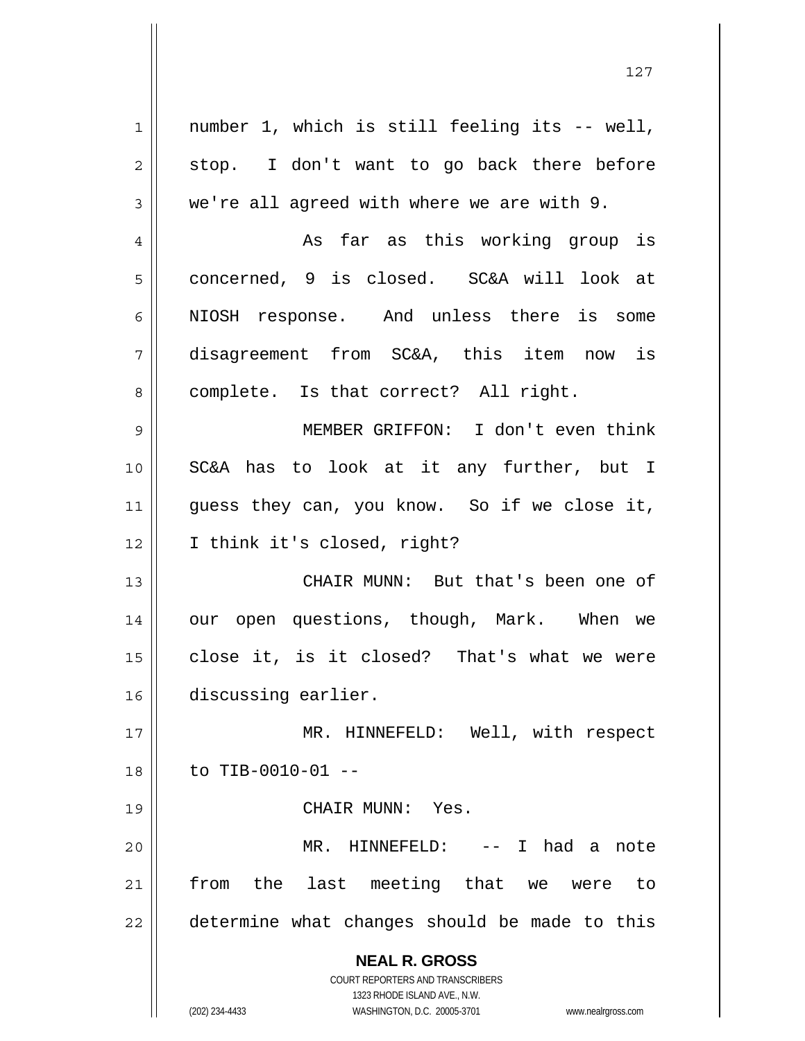**NEAL R. GROSS** COURT REPORTERS AND TRANSCRIBERS 1323 RHODE ISLAND AVE., N.W. (202) 234-4433 WASHINGTON, D.C. 20005-3701 www.nealrgross.com 1 || number 1, which is still feeling its -- well,  $2 \parallel$  stop. I don't want to go back there before  $3 \parallel$  we're all agreed with where we are with 9. As far as this working group is concerned, 9 is closed. SC&A will look at NIOSH response. And unless there is some disagreement from SC&A, this item now is 8 || complete. Is that correct? All right. MEMBER GRIFFON: I don't even think SC&A has to look at it any further, but I 11 || guess they can, you know. So if we close it, I think it's closed, right? CHAIR MUNN: But that's been one of 14 || our open questions, though, Mark. When we close it, is it closed? That's what we were discussing earlier. MR. HINNEFELD: Well, with respect to TIB-0010-01 -- CHAIR MUNN: Yes. MR. HINNEFELD: -- I had a note from the last meeting that we were to | determine what changes should be made to this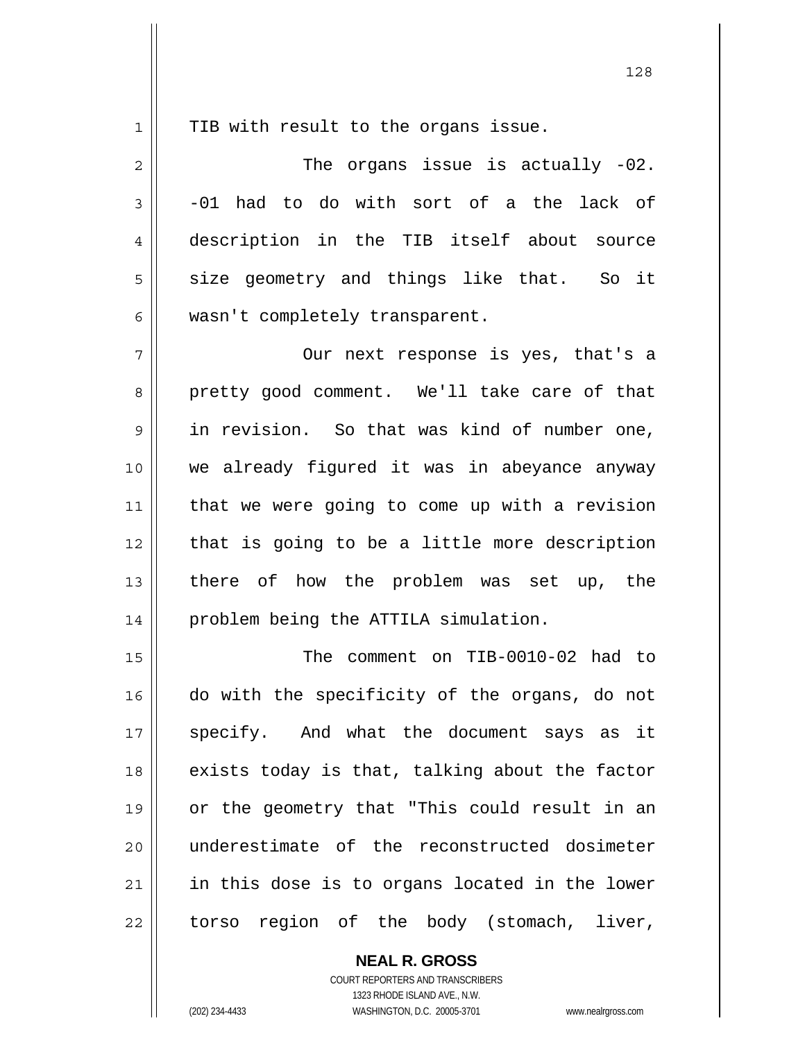TIB with result to the organs issue.

| $\overline{2}$ | The organs issue is actually $-02$ .           |
|----------------|------------------------------------------------|
| 3              | -01 had to do with sort of a the lack of       |
| 4              | description in the TIB itself about source     |
| 5              | size geometry and things like that. So it      |
| 6              | wasn't completely transparent.                 |
| 7              | Our next response is yes, that's a             |
| 8              | pretty good comment. We'll take care of that   |
| 9              | in revision. So that was kind of number one,   |
| 10             | we already figured it was in abeyance anyway   |
| 11             | that we were going to come up with a revision  |
| 12             | that is going to be a little more description  |
| 13             | there of how the problem was set up, the       |
| 14             | problem being the ATTILA simulation.           |
| 15             | The comment on TIB-0010-02 had to              |
| 16             | do with the specificity of the organs, do not  |
| 17             | And what the document says as it<br>specify.   |
| 18             | exists today is that, talking about the factor |
| 19             | or the geometry that "This could result in an  |
| 20             | underestimate of the reconstructed dosimeter   |
| 21             | in this dose is to organs located in the lower |
| 22             | torso region of the body (stomach, liver,      |

 **NEAL R. GROSS** COURT REPORTERS AND TRANSCRIBERS

 1323 RHODE ISLAND AVE., N.W. (202) 234-4433 WASHINGTON, D.C. 20005-3701 www.nealrgross.com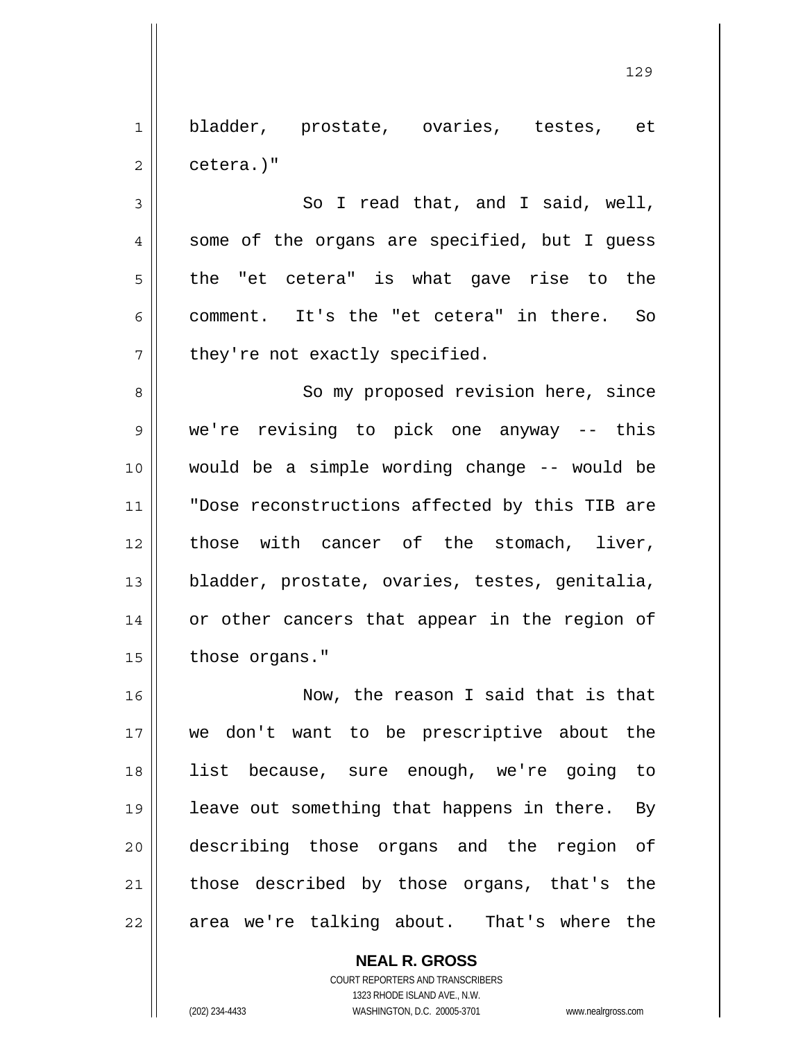1 bladder, prostate, ovaries, testes, et 2 | cetera.)"

 $3 \parallel$  So I read that, and I said, well, 4 || some of the organs are specified, but I guess  $5 \parallel$  the "et cetera" is what gave rise to the 6 comment. It's the "et cetera" in there. So  $7$  || they're not exactly specified.

8 || So my proposed revision here, since 9 we're revising to pick one anyway -- this 10 would be a simple wording change -- would be 11 || "Dose reconstructions affected by this TIB are 12 || those with cancer of the stomach, liver, 13 bladder, prostate, ovaries, testes, genitalia, 14 || or other cancers that appear in the region of  $15$  | those organs."

Now, the reason I said that is that we don't want to be prescriptive about the list because, sure enough, we're going to 19 || leave out something that happens in there. By 20 describing those organs and the region of | those described by those organs, that's the area we're talking about. That's where the

## **NEAL R. GROSS**

 COURT REPORTERS AND TRANSCRIBERS 1323 RHODE ISLAND AVE., N.W. (202) 234-4433 WASHINGTON, D.C. 20005-3701 www.nealrgross.com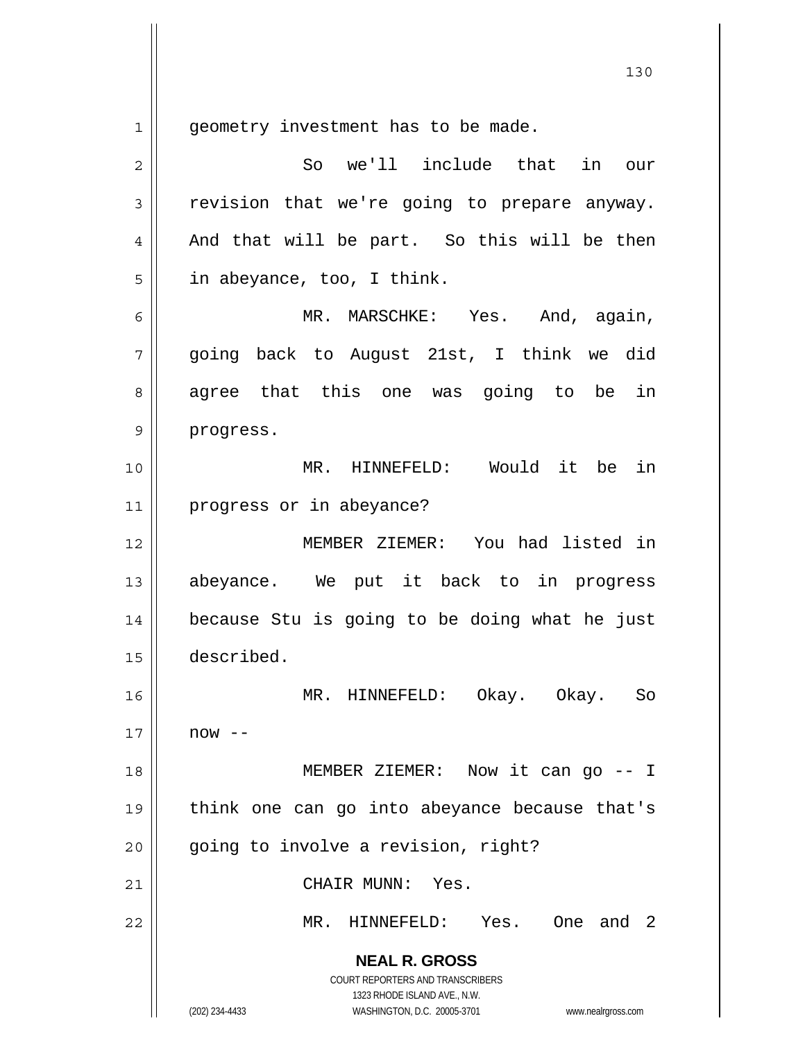$1 \parallel$  geometry investment has to be made.

| 2  | So we'll include that in our                                                                                                                                    |
|----|-----------------------------------------------------------------------------------------------------------------------------------------------------------------|
| 3  | revision that we're going to prepare anyway.                                                                                                                    |
| 4  | And that will be part. So this will be then                                                                                                                     |
| 5  | in abeyance, too, I think.                                                                                                                                      |
| 6  | MR. MARSCHKE: Yes. And, again,                                                                                                                                  |
| 7  | going back to August 21st, I think we did                                                                                                                       |
| 8  | agree that this one was going to be<br>in                                                                                                                       |
| 9  | progress.                                                                                                                                                       |
| 10 | Would it be<br>MR. HINNEFELD:<br>in                                                                                                                             |
| 11 | progress or in abeyance?                                                                                                                                        |
| 12 | MEMBER ZIEMER: You had listed in                                                                                                                                |
| 13 | abeyance. We put it back to in progress                                                                                                                         |
| 14 | because Stu is going to be doing what he just                                                                                                                   |
| 15 | described.                                                                                                                                                      |
| 16 | Okay. Okay.<br>MR. HINNEFELD:<br>So                                                                                                                             |
| 17 | now                                                                                                                                                             |
| 18 | MEMBER ZIEMER: Now it can go -- I                                                                                                                               |
| 19 | think one can go into abeyance because that's                                                                                                                   |
| 20 | going to involve a revision, right?                                                                                                                             |
| 21 | CHAIR MUNN: Yes.                                                                                                                                                |
| 22 | MR.<br>HINNEFELD:<br>Yes. One and 2                                                                                                                             |
|    | <b>NEAL R. GROSS</b><br>COURT REPORTERS AND TRANSCRIBERS<br>1323 RHODE ISLAND AVE., N.W.<br>(202) 234-4433<br>WASHINGTON, D.C. 20005-3701<br>www.nealrgross.com |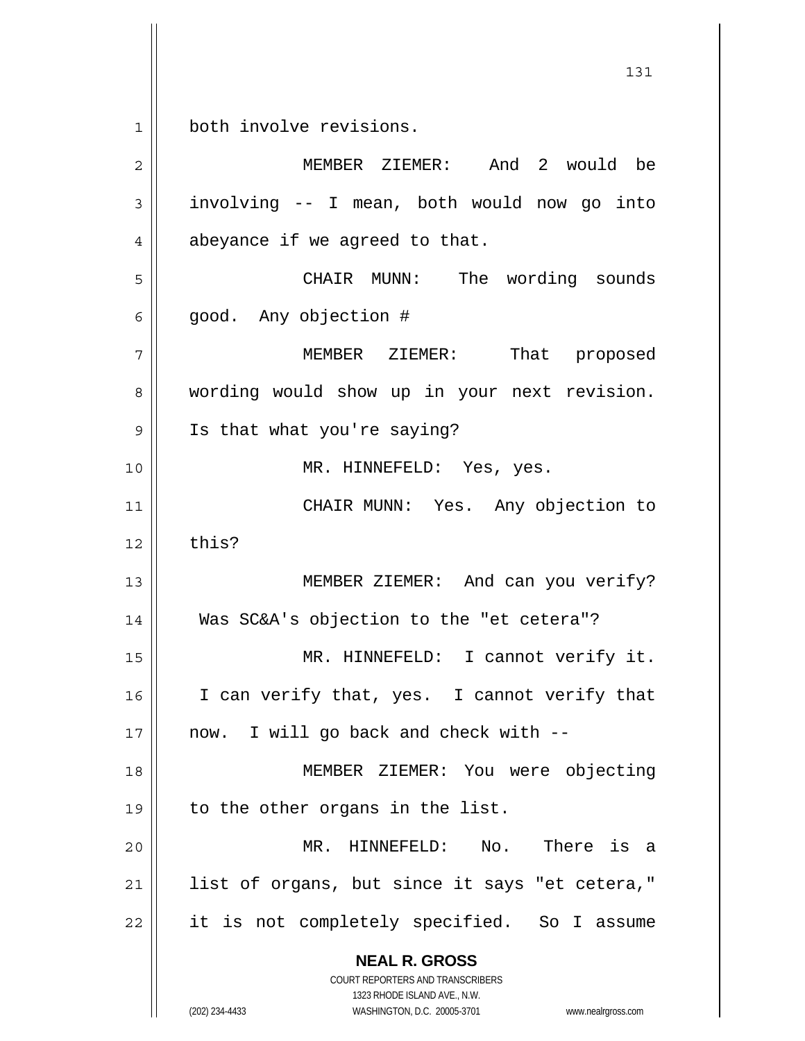1 both involve revisions.

| $\overline{2}$ | MEMBER ZIEMER: And 2 would be                                                                                                                                   |
|----------------|-----------------------------------------------------------------------------------------------------------------------------------------------------------------|
| 3              | involving -- I mean, both would now go into                                                                                                                     |
| 4              | abeyance if we agreed to that.                                                                                                                                  |
| 5              | CHAIR MUNN: The wording sounds                                                                                                                                  |
| 6              | good. Any objection #                                                                                                                                           |
| 7              | That proposed<br>MEMBER ZIEMER:                                                                                                                                 |
| 8              | wording would show up in your next revision.                                                                                                                    |
| 9              | Is that what you're saying?                                                                                                                                     |
| 10             | MR. HINNEFELD: Yes, yes.                                                                                                                                        |
| 11             | CHAIR MUNN: Yes. Any objection to                                                                                                                               |
| 12             | this?                                                                                                                                                           |
| 13             | MEMBER ZIEMER: And can you verify?                                                                                                                              |
| 14             | Was SC&A's objection to the "et cetera"?                                                                                                                        |
| 15             | MR. HINNEFELD: I cannot verify it.                                                                                                                              |
| 16             | I can verify that, yes. I cannot verify that                                                                                                                    |
| 17             | now. I will go back and check with --                                                                                                                           |
| 18             | MEMBER ZIEMER: You were objecting                                                                                                                               |
| 19             | to the other organs in the list.                                                                                                                                |
| 20             | No. There is a<br>MR. HINNEFELD:                                                                                                                                |
| 21             | list of organs, but since it says "et cetera,"                                                                                                                  |
| 22             | it is not completely specified. So I assume                                                                                                                     |
|                | <b>NEAL R. GROSS</b><br>COURT REPORTERS AND TRANSCRIBERS<br>1323 RHODE ISLAND AVE., N.W.<br>(202) 234-4433<br>WASHINGTON, D.C. 20005-3701<br>www.nealrgross.com |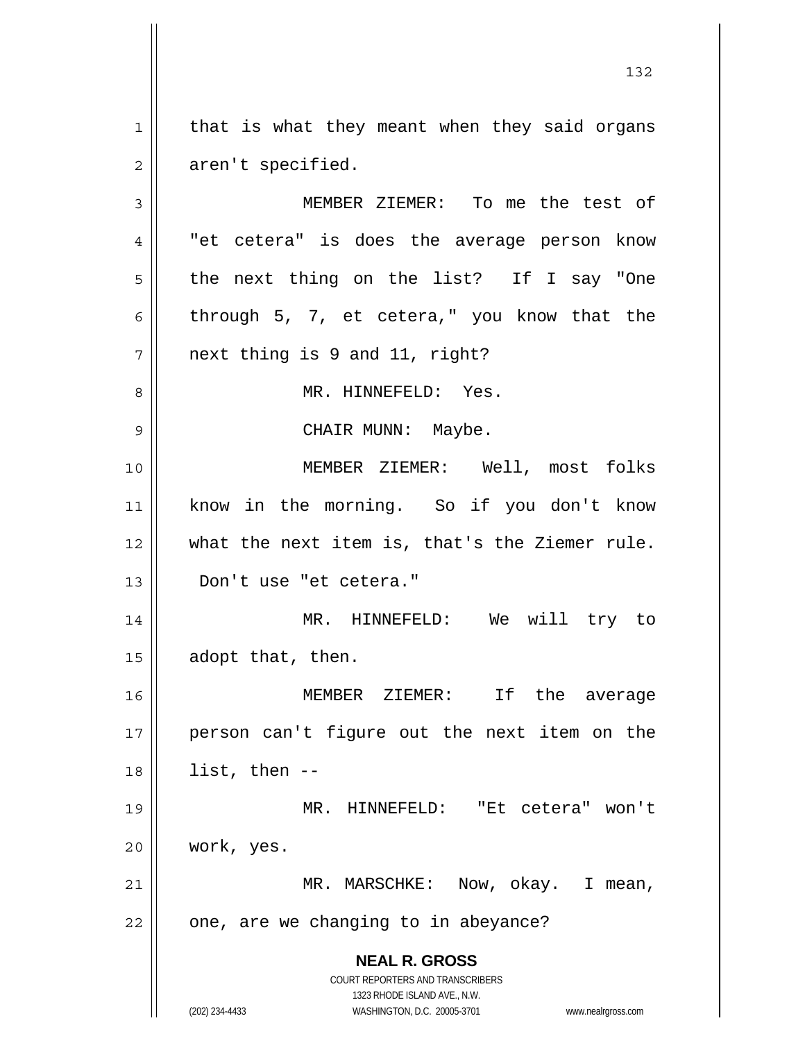$1$  that is what they meant when they said organs  $2 \parallel$  aren't specified.

 **NEAL R. GROSS** COURT REPORTERS AND TRANSCRIBERS 1323 RHODE ISLAND AVE., N.W. (202) 234-4433 WASHINGTON, D.C. 20005-3701 www.nealrgross.com 3 MEMBER ZIEMER: To me the test of 4 || "et cetera" is does the average person know  $5 \parallel$  the next thing on the list? If I say "One 6 through 5, 7, et cetera," you know that the 7 || next thing is 9 and 11, right? 8 MR. HINNEFELD: Yes. 9 CHAIR MUNN: Maybe. 10 MEMBER ZIEMER: Well, most folks 11 know in the morning. So if you don't know 12 what the next item is, that's the Ziemer rule. 13 Don't use "et cetera." 14 MR. HINNEFELD: We will try to 15 | adopt that, then. 16 MEMBER ZIEMER: If the average 17 person can't figure out the next item on the  $18$  || list, then  $-$ 19 MR. HINNEFELD: "Et cetera" won't 20 work, yes. 21 | MR. MARSCHKE: Now, okay. I mean,  $22$  |  $\degree$  one, are we changing to in abeyance?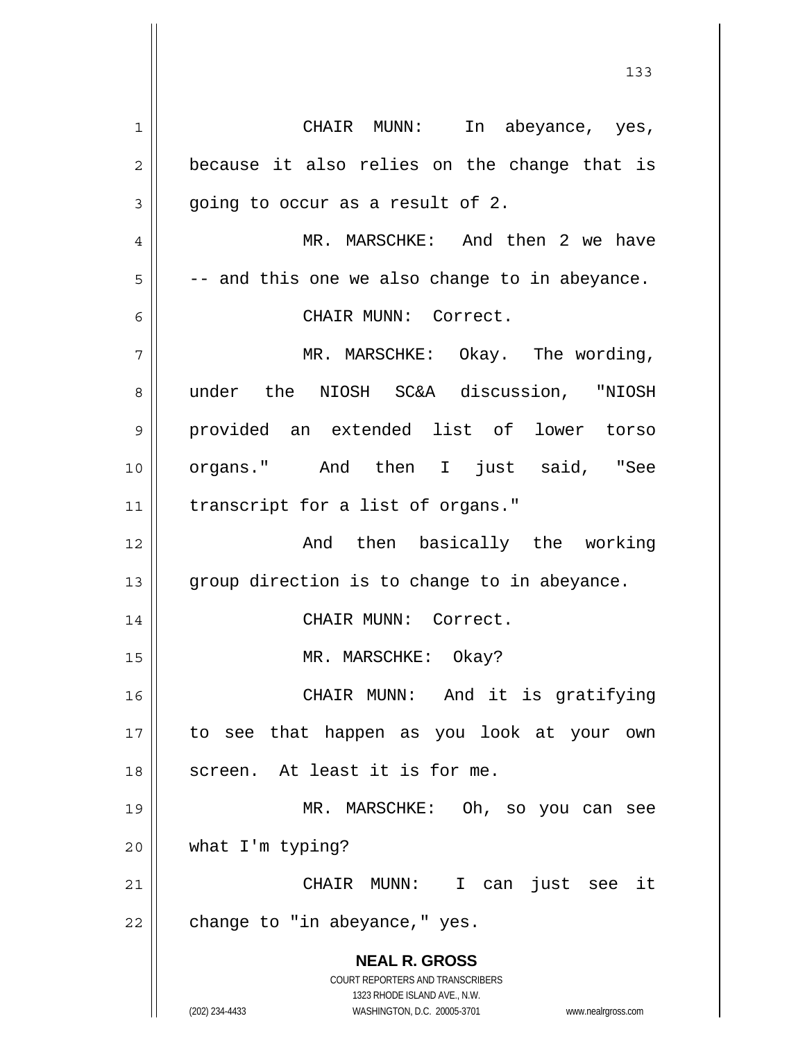**NEAL R. GROSS** COURT REPORTERS AND TRANSCRIBERS 1323 RHODE ISLAND AVE., N.W. (202) 234-4433 WASHINGTON, D.C. 20005-3701 www.nealrgross.com 1 CHAIR MUNN: In abeyance, yes,  $2 \parallel$  because it also relies on the change that is  $3 \parallel$  going to occur as a result of 2. 4 MR. MARSCHKE: And then 2 we have  $5 \parallel$  -- and this one we also change to in abeyance. 6 CHAIR MUNN: Correct. 7 MR. MARSCHKE: Okay. The wording, 8 under the NIOSH SC&A discussion, "NIOSH 9 provided an extended list of lower torso 10 || organs." And then I just said, "See 11 || transcript for a list of organs." 12 And then basically the working 13 || group direction is to change to in abeyance. 14 || CHAIR MUNN: Correct. 15 || MR. MARSCHKE: Okay? 16 CHAIR MUNN: And it is gratifying 17 to see that happen as you look at your own 18 || screen. At least it is for me. 19 MR. MARSCHKE: Oh, so you can see 20 what I'm typing? 21 CHAIR MUNN: I can just see it  $22$  | change to "in abeyance," yes.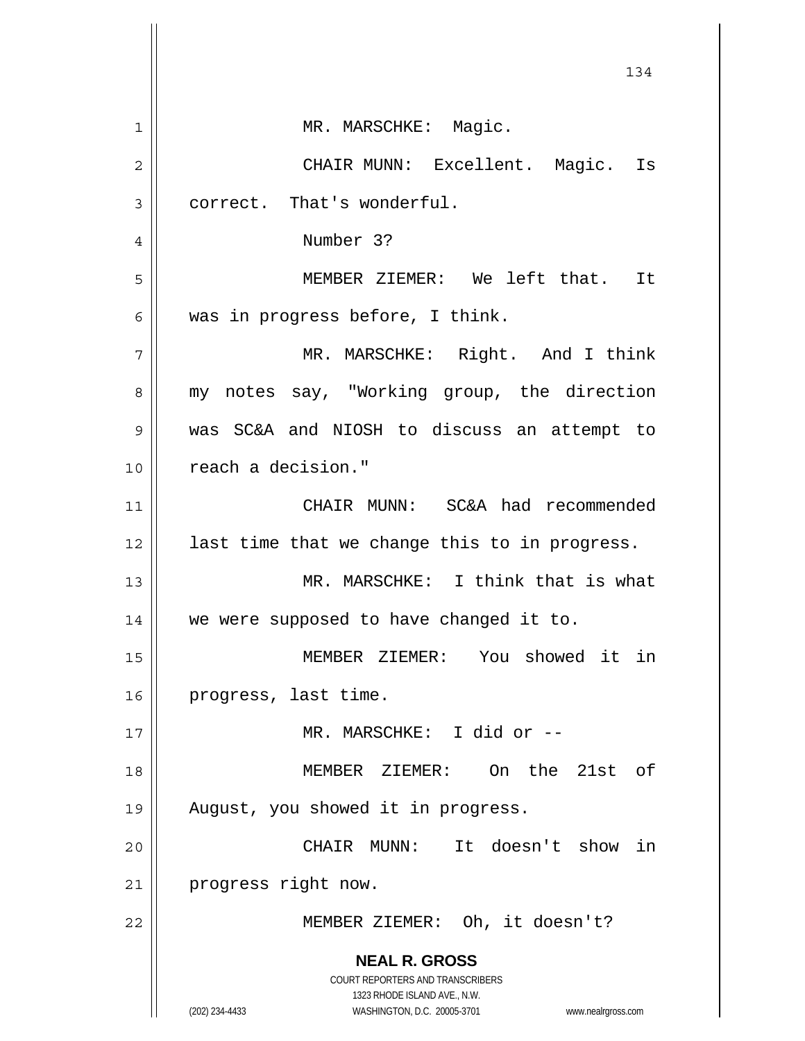**NEAL R. GROSS** COURT REPORTERS AND TRANSCRIBERS 1323 RHODE ISLAND AVE., N.W. (202) 234-4433 WASHINGTON, D.C. 20005-3701 www.nealrgross.com 134 1 || MR. MARSCHKE: Magic. 2 CHAIR MUNN: Excellent. Magic. Is 3 | correct. That's wonderful. 4 Number 3? 5 MEMBER ZIEMER: We left that. It  $6$  || was in progress before, I think. 7 | MR. MARSCHKE: Right. And I think 8 my notes say, "Working group, the direction 9 was SC&A and NIOSH to discuss an attempt to 10 | reach a decision." 11 CHAIR MUNN: SC&A had recommended  $12$  | last time that we change this to in progress. 13 MR. MARSCHKE: I think that is what 14 we were supposed to have changed it to. 15 MEMBER ZIEMER: You showed it in 16 | progress, last time. 17 MR. MARSCHKE: I did or -- 18 MEMBER ZIEMER: On the 21st of 19 || August, you showed it in progress. 20 CHAIR MUNN: It doesn't show in 21 | progress right now. 22 MEMBER ZIEMER: Oh, it doesn't?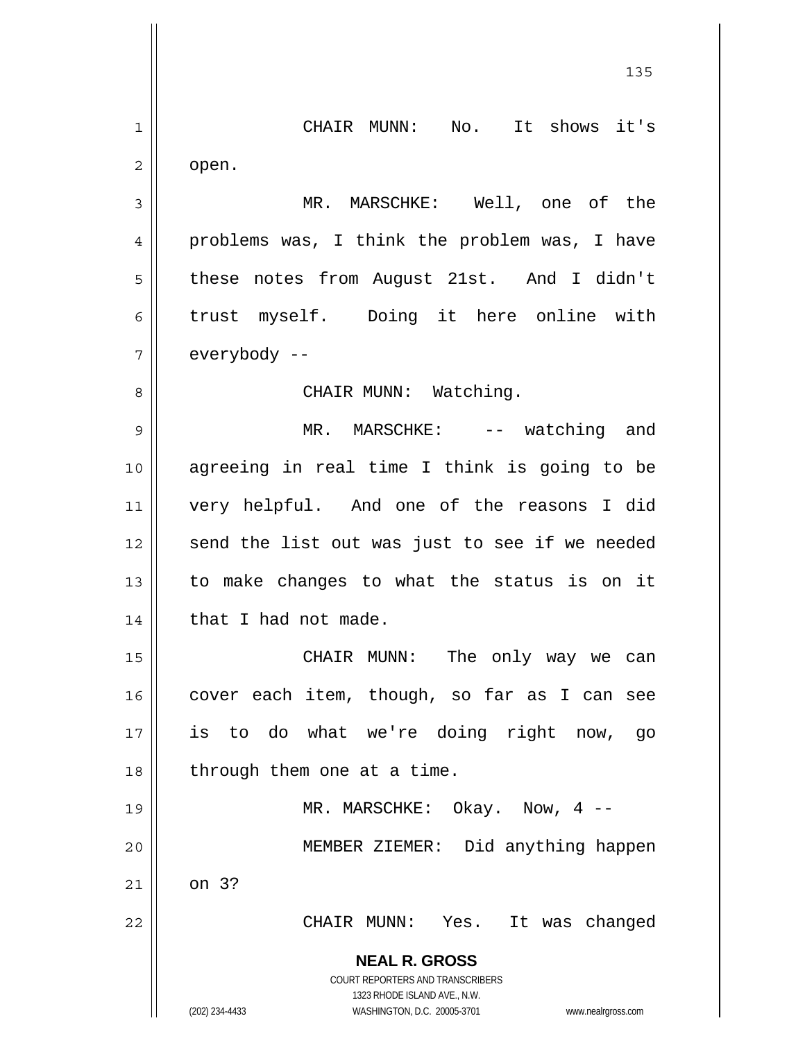**NEAL R. GROSS** COURT REPORTERS AND TRANSCRIBERS 1323 RHODE ISLAND AVE., N.W. (202) 234-4433 WASHINGTON, D.C. 20005-3701 www.nealrgross.com <u>135</u> 1 CHAIR MUNN: No. It shows it's  $2 \parallel$  open. 3 MR. MARSCHKE: Well, one of the 4 || problems was, I think the problem was, I have 5 | these notes from August 21st. And I didn't 6 trust myself. Doing it here online with  $7 \parallel$  everybody --8 CHAIR MUNN: Watching. 9 MR. MARSCHKE: -- watching and 10 agreeing in real time I think is going to be 11 very helpful. And one of the reasons I did 12 || send the list out was just to see if we needed  $13$  to make changes to what the status is on it  $14$  | that I had not made. 15 CHAIR MUNN: The only way we can 16 || cover each item, though, so far as I can see 17 is to do what we're doing right now, go  $18$  | through them one at a time. 19 MR. MARSCHKE: Okay. Now, 4 -- 20 MEMBER ZIEMER: Did anything happen  $21 \parallel$  on 3? 22 CHAIR MUNN: Yes. It was changed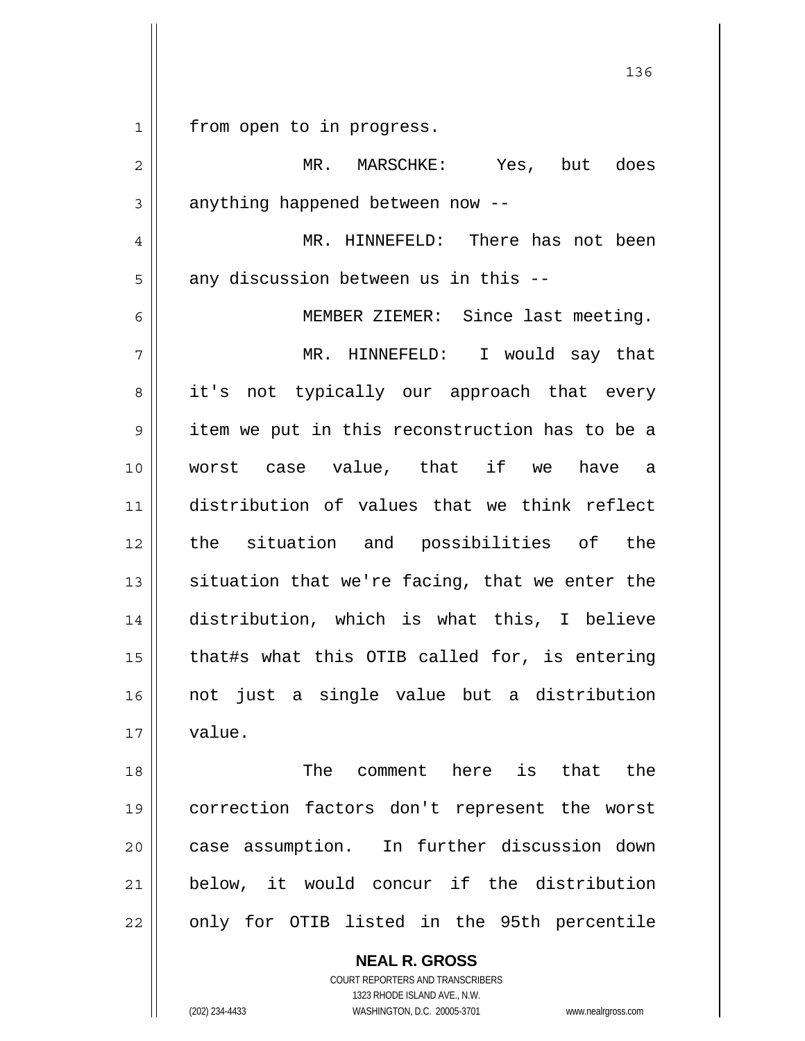1 || from open to in progress.

MR. MARSCHKE: Yes, but does | anything happened between now  $-$ -MR. HINNEFELD: There has not been | any discussion between us in this --MEMBER ZIEMER: Since last meeting. MR. HINNEFELD: I would say that 8 || it's not typically our approach that every  $9 \parallel$  item we put in this reconstruction has to be a worst case value, that if we have a distribution of values that we think reflect the situation and possibilities of the  $\parallel$  situation that we're facing, that we enter the distribution, which is what this, I believe  $\parallel$  that#s what this OTIB called for, is entering not just a single value but a distribution  $17 \parallel$  value.

The comment here is that the correction factors don't represent the worst 20 || case assumption. In further discussion down below, it would concur if the distribution || only for OTIB listed in the 95th percentile

> **NEAL R. GROSS** COURT REPORTERS AND TRANSCRIBERS 1323 RHODE ISLAND AVE., N.W. (202) 234-4433 WASHINGTON, D.C. 20005-3701 www.nealrgross.com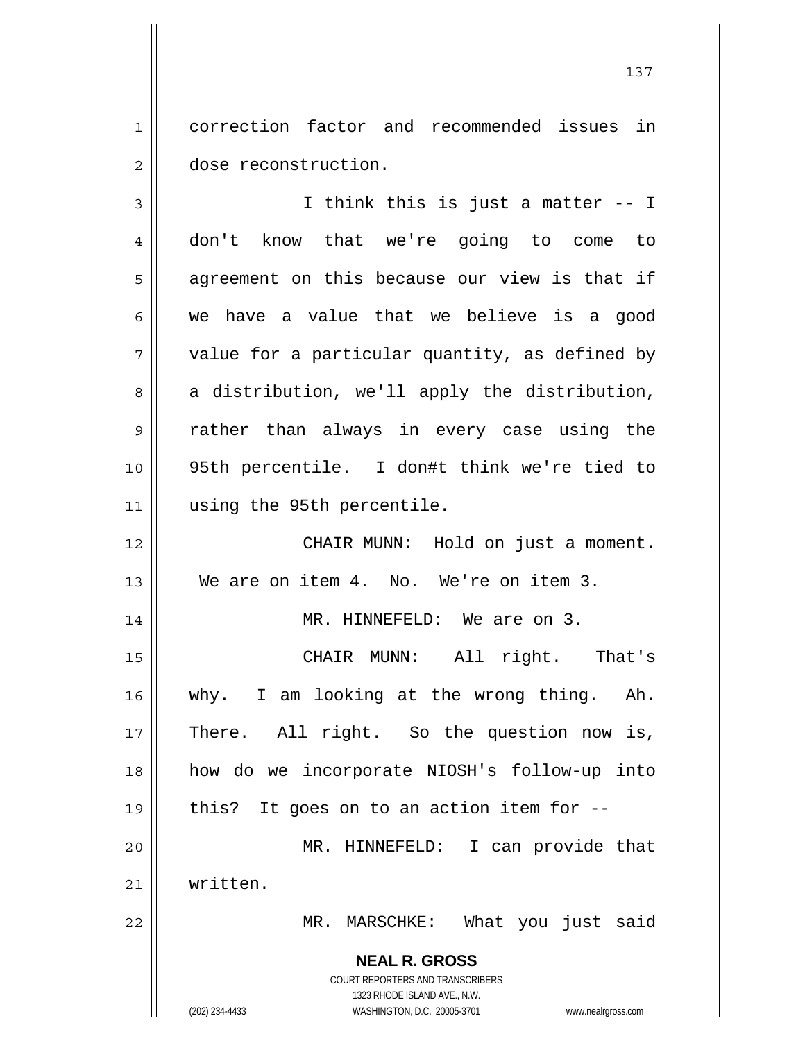correction factor and recommended issues in dose reconstruction.

I think this is just a matter -- I don't know that we're going to come to  $5 \parallel$  agreement on this because our view is that if we have a value that we believe is a good | value for a particular quantity, as defined by  $8 \parallel$  a distribution, we'll apply the distribution, 9 || rather than always in every case using the 95th percentile. I don#t think we're tied to using the 95th percentile. CHAIR MUNN: Hold on just a moment. We are on item 4. No. We're on item 3. 14 || MR. HINNEFELD: We are on 3. CHAIR MUNN: All right. That's why. I am looking at the wrong thing. Ah.

17 || There. All right. So the question now is, how do we incorporate NIOSH's follow-up into  $\parallel$  this? It goes on to an action item for --

MR. HINNEFELD: I can provide that written.

MR. MARSCHKE: What you just said

 **NEAL R. GROSS** COURT REPORTERS AND TRANSCRIBERS

1323 RHODE ISLAND AVE., N.W.

(202) 234-4433 WASHINGTON, D.C. 20005-3701 www.nealrgross.com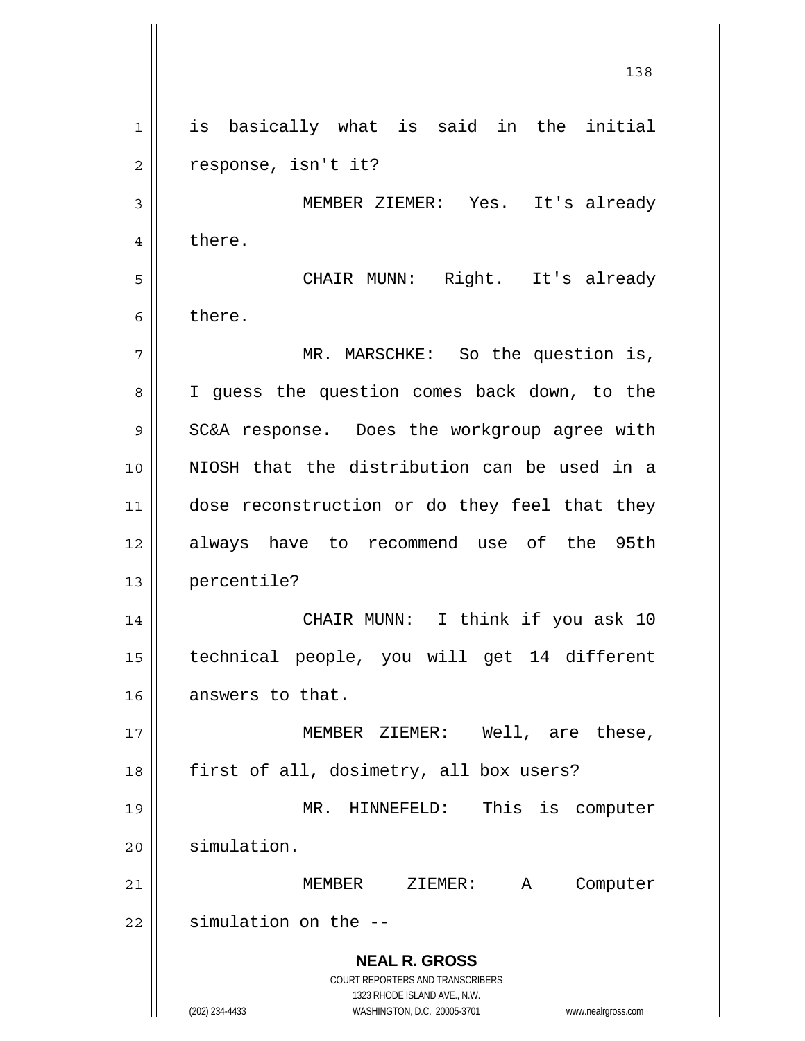**NEAL R. GROSS** COURT REPORTERS AND TRANSCRIBERS 1323 RHODE ISLAND AVE., N.W. (202) 234-4433 WASHINGTON, D.C. 20005-3701 www.nealrgross.com 138 1| is basically what is said in the initial 2 | response, isn't it? 3 MEMBER ZIEMER: Yes. It's already 4 | there. 5 CHAIR MUNN: Right. It's already  $6 \parallel$  there. 7 || MR. MARSCHKE: So the question is, 8 || I guess the question comes back down, to the 9 || SC&A response. Does the workgroup agree with 10 NIOSH that the distribution can be used in a 11 || dose reconstruction or do they feel that they 12 always have to recommend use of the 95th 13 percentile? 14 CHAIR MUNN: I think if you ask 10 15 technical people, you will get 14 different 16 answers to that. 17 || MEMBER ZIEMER: Well, are these, 18 || first of all, dosimetry, all box users? 19 MR. HINNEFELD: This is computer 20 || simulation. 21 MEMBER ZIEMER: A Computer  $22$   $\parallel$  simulation on the --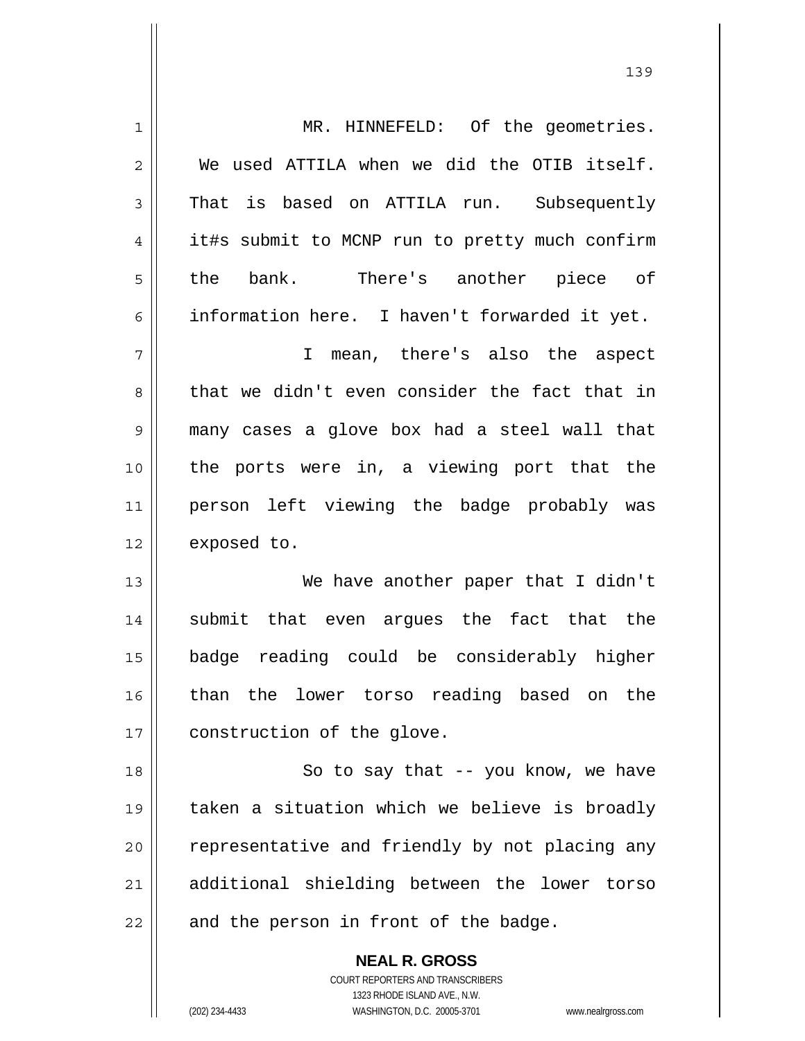| MR. HINNEFELD: Of the geometries.              |
|------------------------------------------------|
| We used ATTILA when we did the OTIB itself.    |
| That is based on ATTILA run. Subsequently      |
| it#s submit to MCNP run to pretty much confirm |
| the bank. There's another piece of             |
| information here. I haven't forwarded it yet.  |
| I mean, there's also the aspect                |
| that we didn't even consider the fact that in  |
| many cases a glove box had a steel wall that   |
| the ports were in, a viewing port that the     |
| person left viewing the badge probably was     |
| exposed to.                                    |
| We have another paper that I didn't            |
| submit that even argues the fact that the      |
| badge reading could be considerably higher     |
| than the lower torso reading based on the      |
| construction of the glove.                     |
| So to say that -- you know, we have            |
| taken a situation which we believe is broadly  |
| representative and friendly by not placing any |
| additional shielding between the lower torso   |
| and the person in front of the badge.          |
|                                                |

 **NEAL R. GROSS** COURT REPORTERS AND TRANSCRIBERS 1323 RHODE ISLAND AVE., N.W.

(202) 234-4433 WASHINGTON, D.C. 20005-3701 www.nealrgross.com

 $\mathsf{II}$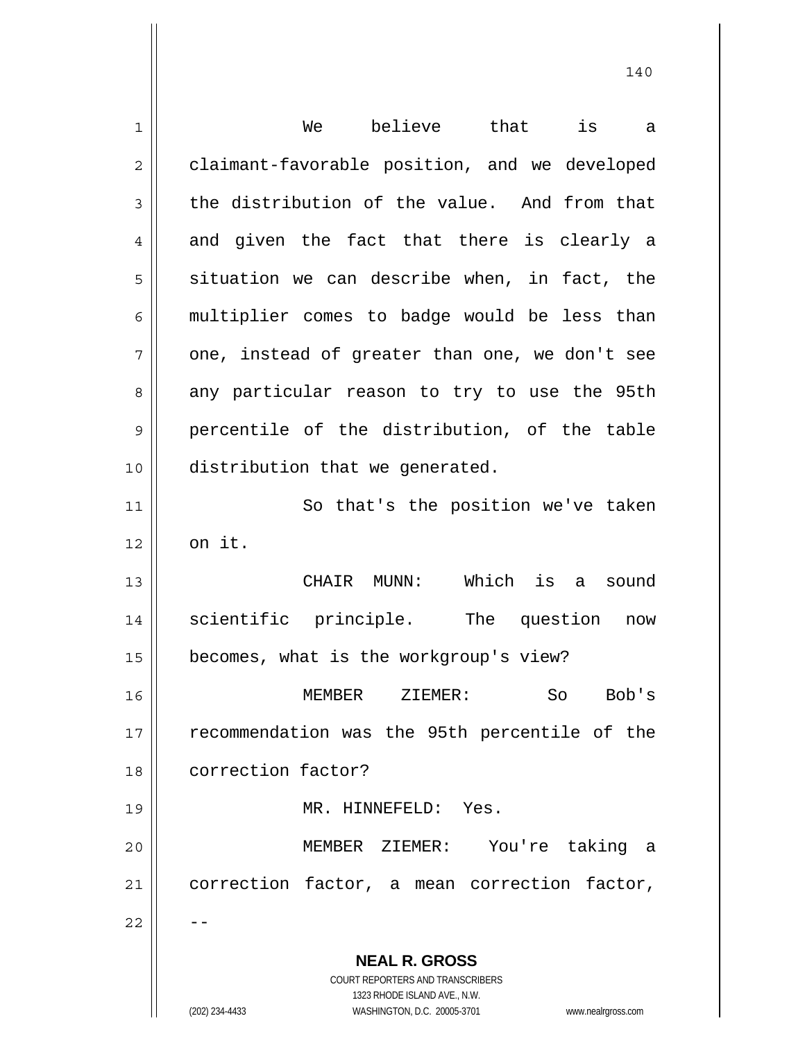**NEAL R. GROSS** COURT REPORTERS AND TRANSCRIBERS 1323 RHODE ISLAND AVE., N.W. (202) 234-4433 WASHINGTON, D.C. 20005-3701 www.nealrgross.com 1 We believe that is a 2 | claimant-favorable position, and we developed  $3 \parallel$  the distribution of the value. And from that  $4 \parallel$  and given the fact that there is clearly a  $5 \parallel$  situation we can describe when, in fact, the 6 multiplier comes to badge would be less than  $7 \parallel$  one, instead of greater than one, we don't see 8 any particular reason to try to use the 95th 9 percentile of the distribution, of the table 10 distribution that we generated. 11 || So that's the position we've taken  $12 \parallel$  on it. 13 CHAIR MUNN: Which is a sound 14 || scientific principle. The question now 15 becomes, what is the workgroup's view? 16 MEMBER ZIEMER: So Bob's 17 || recommendation was the 95th percentile of the 18 || correction factor? 19 MR. HINNEFELD: Yes. 20 MEMBER ZIEMER: You're taking a 21 correction factor, a mean correction factor,  $22$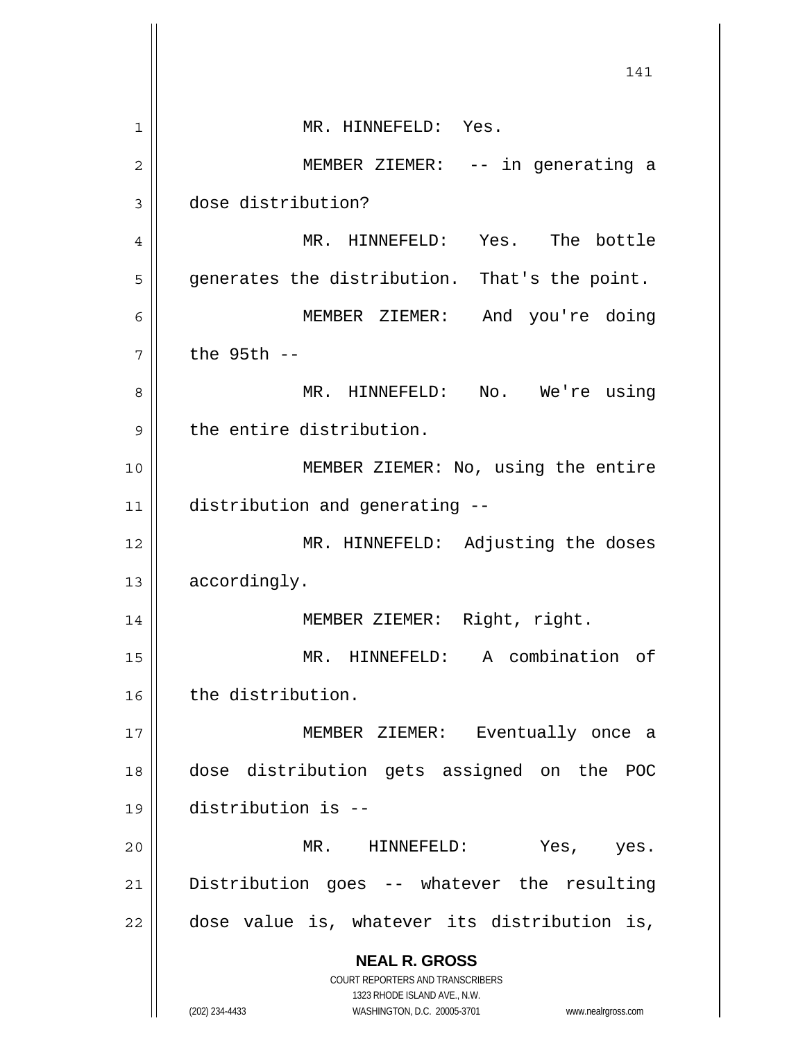|    | 141                                                                                                 |
|----|-----------------------------------------------------------------------------------------------------|
| 1  | MR. HINNEFELD: Yes.                                                                                 |
| 2  | MEMBER ZIEMER: -- in generating a                                                                   |
| 3  | dose distribution?                                                                                  |
| 4  | MR. HINNEFELD: Yes. The bottle                                                                      |
| 5  | generates the distribution. That's the point.                                                       |
| 6  | MEMBER ZIEMER: And you're doing                                                                     |
| 7  | the $95th$ --                                                                                       |
| 8  | MR. HINNEFELD: No. We're using                                                                      |
| 9  | the entire distribution.                                                                            |
| 10 | MEMBER ZIEMER: No, using the entire                                                                 |
| 11 | distribution and generating --                                                                      |
| 12 | MR. HINNEFELD: Adjusting the doses                                                                  |
| 13 | accordingly.                                                                                        |
| 14 | MEMBER ZIEMER: Right, right.                                                                        |
| 15 | MR. HINNEFELD: A combination of                                                                     |
| 16 | the distribution.                                                                                   |
| 17 | MEMBER ZIEMER:<br>Eventually once a                                                                 |
| 18 | dose distribution gets assigned on the POC                                                          |
| 19 | distribution is --                                                                                  |
| 20 | MR. HINNEFELD:<br>Yes, yes.                                                                         |
| 21 | Distribution goes -- whatever the resulting                                                         |
| 22 | dose value is, whatever its distribution is,                                                        |
|    | <b>NEAL R. GROSS</b><br>COURT REPORTERS AND TRANSCRIBERS                                            |
|    | 1323 RHODE ISLAND AVE., N.W.<br>(202) 234-4433<br>WASHINGTON, D.C. 20005-3701<br>www.nealrgross.com |
|    |                                                                                                     |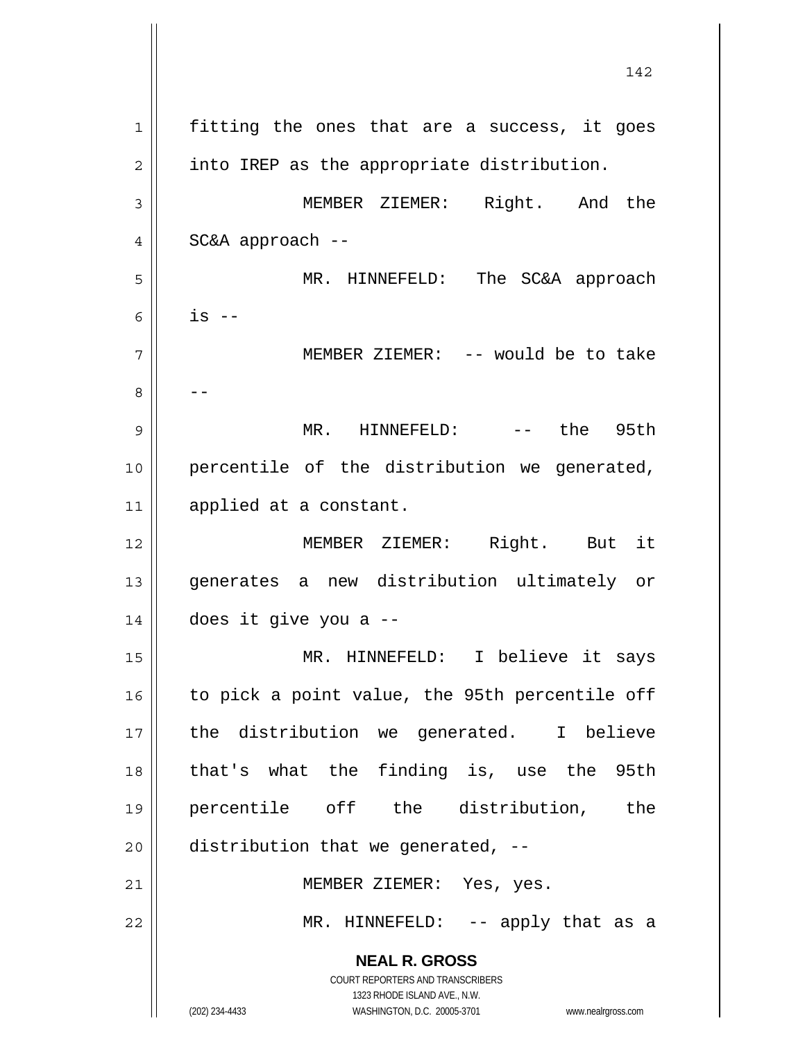**NEAL R. GROSS** COURT REPORTERS AND TRANSCRIBERS 1323 RHODE ISLAND AVE., N.W. (202) 234-4433 WASHINGTON, D.C. 20005-3701 www.nealrgross.com  $1 \parallel$  fitting the ones that are a success, it goes  $2 \parallel$  into IREP as the appropriate distribution. 3 MEMBER ZIEMER: Right. And the  $4 \parallel$  SC&A approach --5 MR. HINNEFELD: The SC&A approach  $6 \parallel$  is  $-$ 7 MEMBER ZIEMER: -- would be to take  $8 \parallel - -$ 9 MR. HINNEFELD: -- the 95th 10 || percentile of the distribution we generated, 11 applied at a constant. 12 MEMBER ZIEMER: Right. But it 13 generates a new distribution ultimately or 14 does it give you a -- 15 MR. HINNEFELD: I believe it says 16 || to pick a point value, the 95th percentile off 17 || the distribution we generated. I believe 18 that's what the finding is, use the 95th 19 percentile off the distribution, the 20  $\parallel$  distribution that we generated,  $-$ 21 MEMBER ZIEMER: Yes, yes. 22 MR. HINNEFELD: -- apply that as a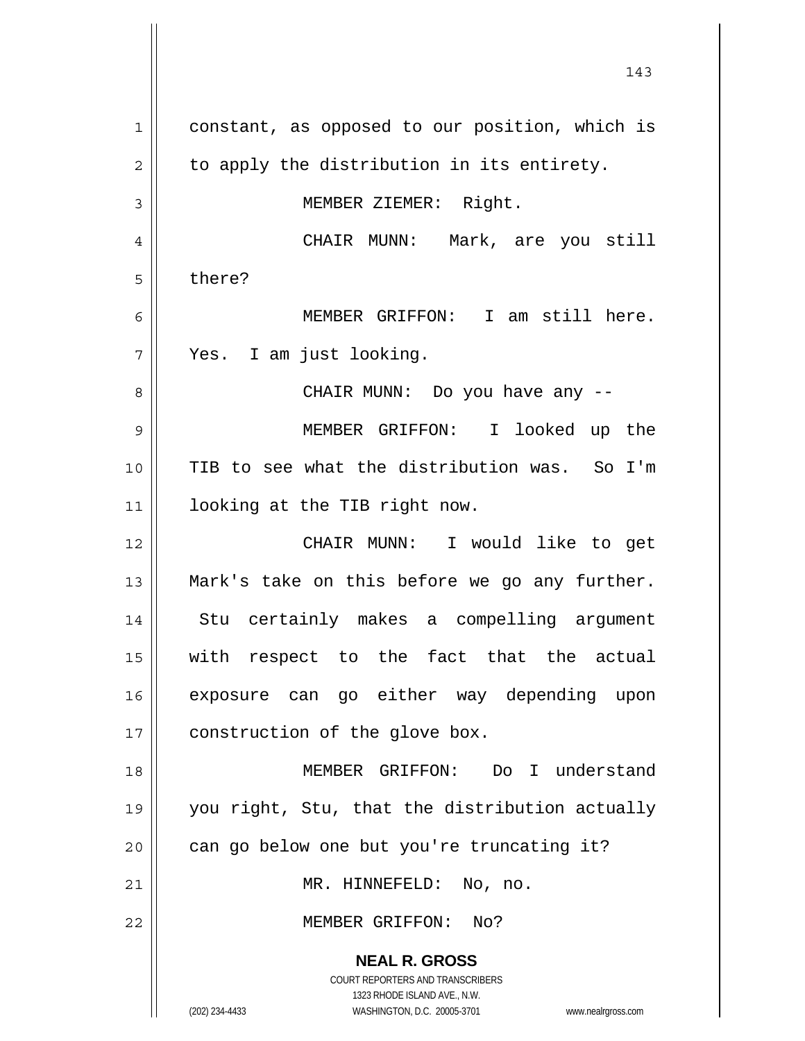**NEAL R. GROSS** COURT REPORTERS AND TRANSCRIBERS 1323 RHODE ISLAND AVE., N.W. 1 | constant, as opposed to our position, which is  $2 \parallel$  to apply the distribution in its entirety. 3 || MEMBER ZIEMER: Right. 4 CHAIR MUNN: Mark, are you still 5 bere? 6 MEMBER GRIFFON: I am still here. 7 Yes. I am just looking. 8 CHAIR MUNN: Do you have any -- 9 MEMBER GRIFFON: I looked up the 10 TIB to see what the distribution was. So I'm 11 || looking at the TIB right now. 12 CHAIR MUNN: I would like to get 13 || Mark's take on this before we go any further. 14 || Stu certainly makes a compelling argument 15 with respect to the fact that the actual 16 exposure can go either way depending upon 17 | construction of the glove box. 18 MEMBER GRIFFON: Do I understand 19 you right, Stu, that the distribution actually  $20$  | can go below one but you're truncating it? 21 || MR. HINNEFELD: No, no. 22 MEMBER GRIFFON: No?

143

(202) 234-4433 WASHINGTON, D.C. 20005-3701 www.nealrgross.com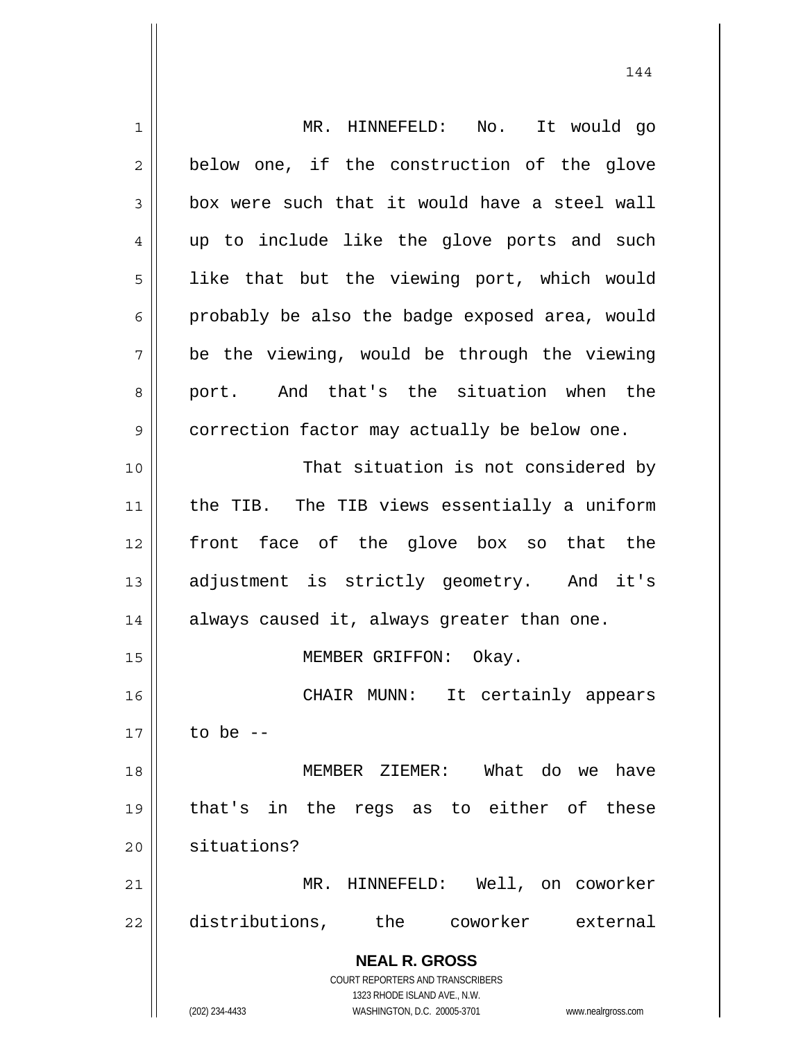| 1              | MR. HINNEFELD: No. It would go                                      |
|----------------|---------------------------------------------------------------------|
| $\overline{2}$ | below one, if the construction of the glove                         |
| 3              | box were such that it would have a steel wall                       |
| 4              | up to include like the glove ports and such                         |
| 5              | like that but the viewing port, which would                         |
| 6              | probably be also the badge exposed area, would                      |
| 7              | be the viewing, would be through the viewing                        |
| 8              | port. And that's the situation when the                             |
| 9              | correction factor may actually be below one.                        |
| 10             | That situation is not considered by                                 |
| 11             | the TIB. The TIB views essentially a uniform                        |
| 12             | front face of the glove box so that the                             |
| 13             | adjustment is strictly geometry. And it's                           |
| 14             | always caused it, always greater than one.                          |
| 15             | MEMBER GRIFFON:<br>Okay.                                            |
| 16             | CHAIR MUNN:<br>It certainly appears                                 |
| 17             | to be $-$                                                           |
| 18             | MEMBER ZIEMER: What do we<br>have                                   |
| 19             | that's in the regs as to either of these                            |
| 20             | situations?                                                         |
| 21             | MR. HINNEFELD: Well, on coworker                                    |
| 22             | distributions,<br>the coworker external                             |
|                | <b>NEAL R. GROSS</b>                                                |
|                | <b>COURT REPORTERS AND TRANSCRIBERS</b>                             |
|                | 1323 RHODE ISLAND AVE., N.W.                                        |
|                | WASHINGTON, D.C. 20005-3701<br>(202) 234-4433<br>www.nealrgross.com |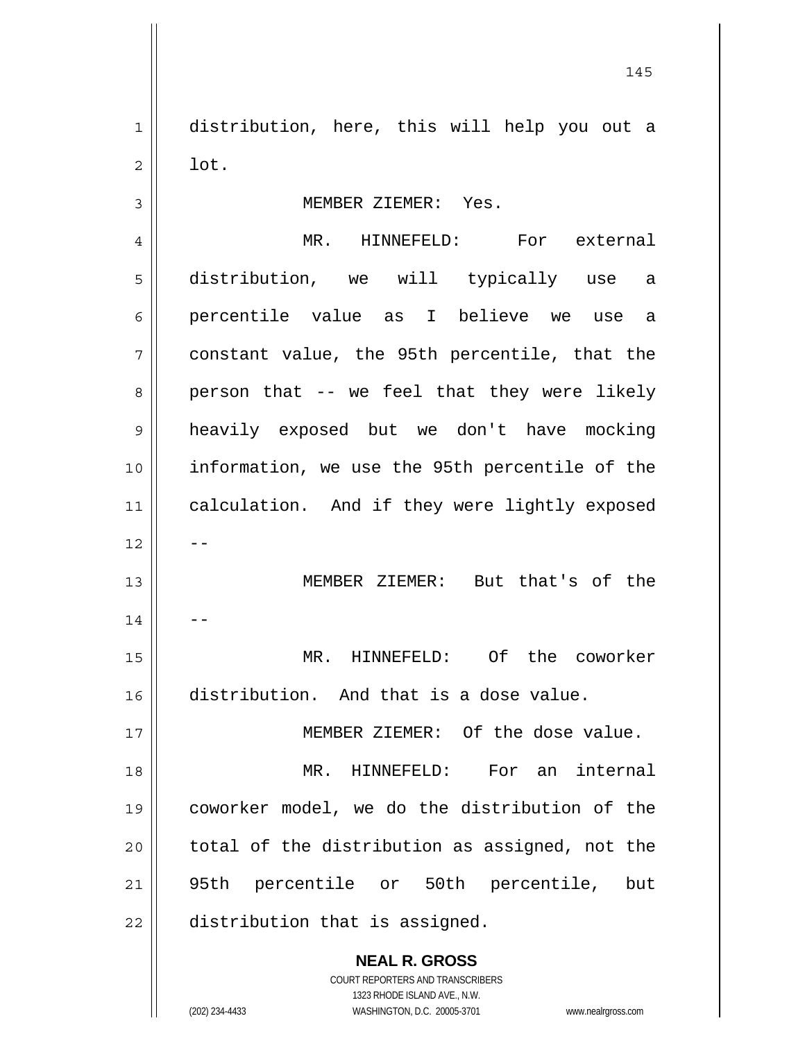1 distribution, here, this will help you out a  $2 \parallel$  lot.

3 || MEMBER ZIEMER: Yes.

MR. HINNEFELD: For external distribution, we will typically use a percentile value as I believe we use a constant value, the 95th percentile, that the  $8 \parallel$  person that -- we feel that they were likely heavily exposed but we don't have mocking information, we use the 95th percentile of the 11 || calculation. And if they were lightly exposed  $12$ MEMBER ZIEMER: But that's of the  $14$ MR. HINNEFELD: Of the coworker 16 distribution. And that is a dose value. 17 || MEMBER ZIEMER: Of the dose value. MR. HINNEFELD: For an internal coworker model, we do the distribution of the || total of the distribution as assigned, not the 95th percentile or 50th percentile, but | distribution that is assigned.

> **NEAL R. GROSS** COURT REPORTERS AND TRANSCRIBERS

> > 1323 RHODE ISLAND AVE., N.W.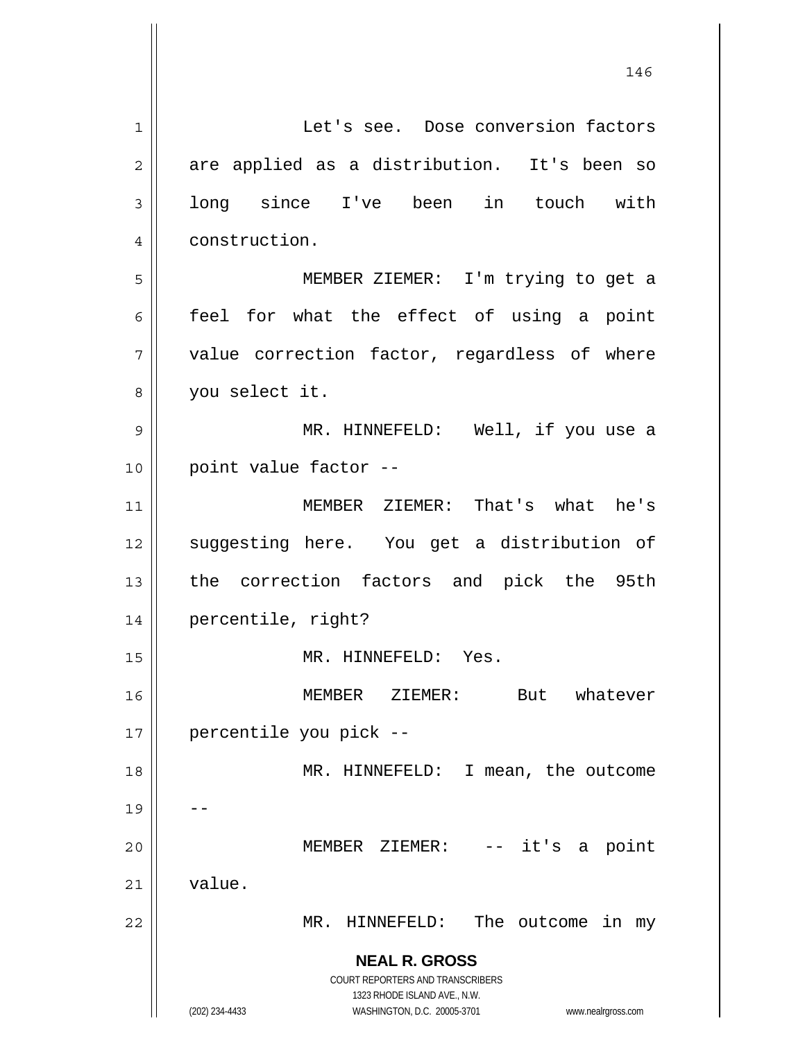**NEAL R. GROSS** COURT REPORTERS AND TRANSCRIBERS 1323 RHODE ISLAND AVE., N.W. (202) 234-4433 WASHINGTON, D.C. 20005-3701 www.nealrgross.com 1 | Let's see. Dose conversion factors  $2 \parallel$  are applied as a distribution. It's been so 3 | long since I've been in touch with 4 | construction. 5 MEMBER ZIEMER: I'm trying to get a  $6 \parallel$  feel for what the effect of using a point 7 value correction factor, regardless of where 8 | you select it. 9 MR. HINNEFELD: Well, if you use a 10 || point value factor --11 MEMBER ZIEMER: That's what he's 12 || suggesting here. You get a distribution of 13 the correction factors and pick the 95th 14 percentile, right? 15 || MR. HINNEFELD: Yes. 16 MEMBER ZIEMER: But whatever 17 || percentile you pick --18 || MR. HINNEFELD: I mean, the outcome 19 20 MEMBER ZIEMER: -- it's a point  $21$  value. 22 || MR. HINNEFELD: The outcome in my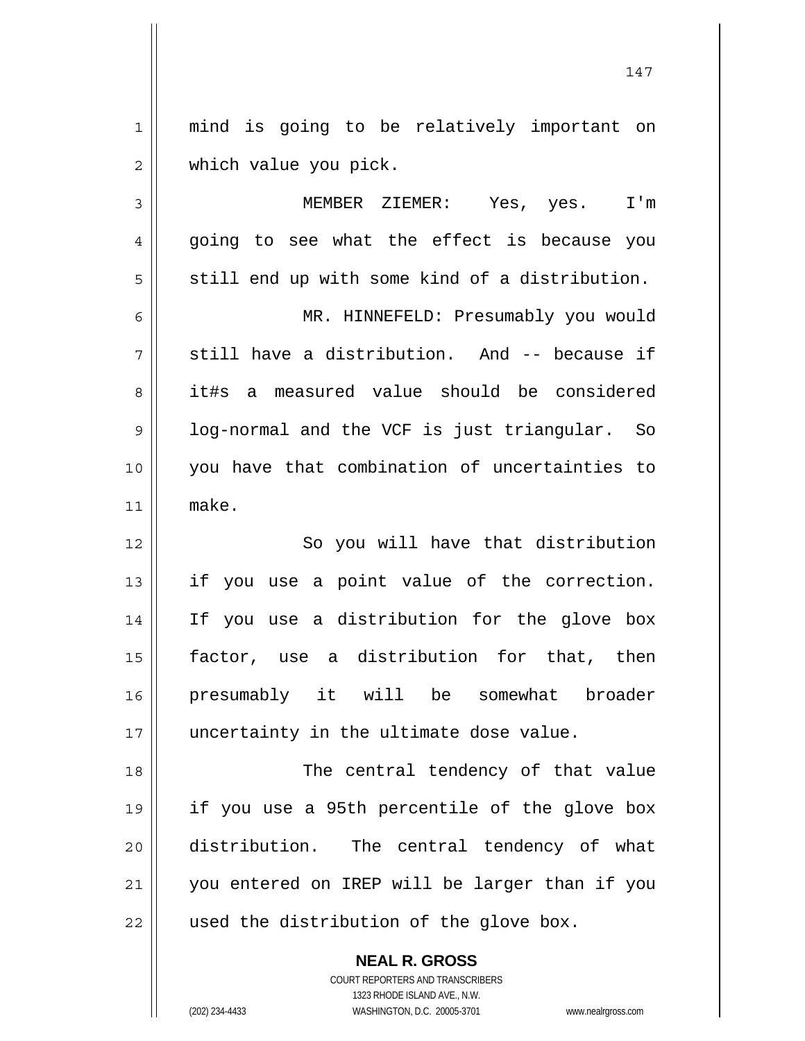1 || mind is going to be relatively important on 2 | which value you pick.

3 MEMBER ZIEMER: Yes, yes. I'm  $4 \parallel$  going to see what the effect is because you  $5 \parallel$  still end up with some kind of a distribution. 6 MR. HINNEFELD: Presumably you would  $7$  still have a distribution. And -- because if 8 it#s a measured value should be considered 9 || log-normal and the VCF is just triangular. So 10 you have that combination of uncertainties to  $11 \parallel$  make. 12 || So you will have that distribution 13 || if you use a point value of the correction.

If you use a distribution for the glove box factor, use a distribution for that, then presumably it will be somewhat broader 17 || uncertainty in the ultimate dose value.

18 || The central tendency of that value if you use a 95th percentile of the glove box distribution. The central tendency of what you entered on IREP will be larger than if you || used the distribution of the glove box.

> **NEAL R. GROSS** COURT REPORTERS AND TRANSCRIBERS 1323 RHODE ISLAND AVE., N.W. (202) 234-4433 WASHINGTON, D.C. 20005-3701 www.nealrgross.com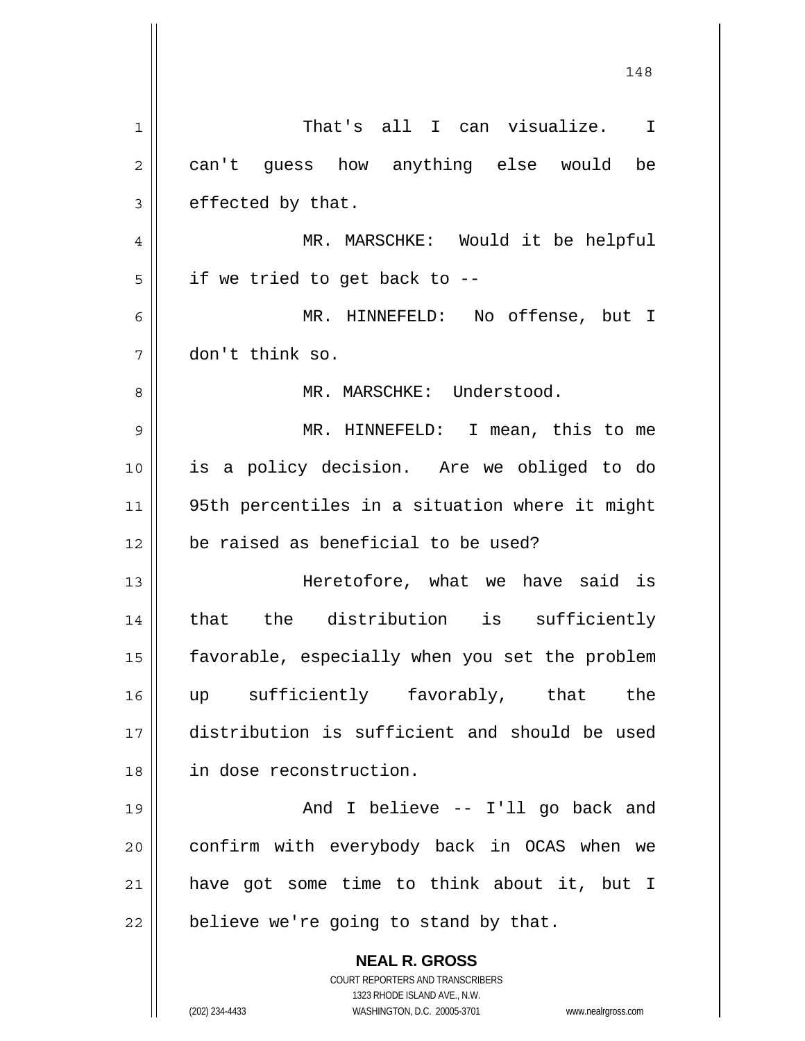|    | 148                                                                 |
|----|---------------------------------------------------------------------|
| 1  | That's all I can visualize. I                                       |
| 2  | can't guess how anything else would be                              |
| 3  | effected by that.                                                   |
| 4  | MR. MARSCHKE: Would it be helpful                                   |
| 5  | if we tried to get back to --                                       |
| 6  | MR. HINNEFELD: No offense, but I                                    |
| 7  | don't think so.                                                     |
| 8  | MR. MARSCHKE: Understood.                                           |
| 9  | MR. HINNEFELD: I mean, this to me                                   |
| 10 | is a policy decision. Are we obliged to do                          |
| 11 | 95th percentiles in a situation where it might                      |
| 12 | be raised as beneficial to be used?                                 |
| 13 | Heretofore, what we have said is                                    |
| 14 | that the distribution is sufficiently                               |
| 15 | favorable, especially when you set the problem                      |
| 16 | up sufficiently favorably, that<br>the                              |
| 17 | distribution is sufficient and should be used                       |
| 18 | in dose reconstruction.                                             |
| 19 | And I believe -- I'll go back and                                   |
| 20 | confirm with everybody back in OCAS when we                         |
| 21 | have got some time to think about it, but I                         |
| 22 | believe we're going to stand by that.                               |
|    | <b>NEAL R. GROSS</b>                                                |
|    | COURT REPORTERS AND TRANSCRIBERS<br>1323 RHODE ISLAND AVE., N.W.    |
|    | (202) 234-4433<br>WASHINGTON, D.C. 20005-3701<br>www.nealrgross.com |

 $\mathsf{l}$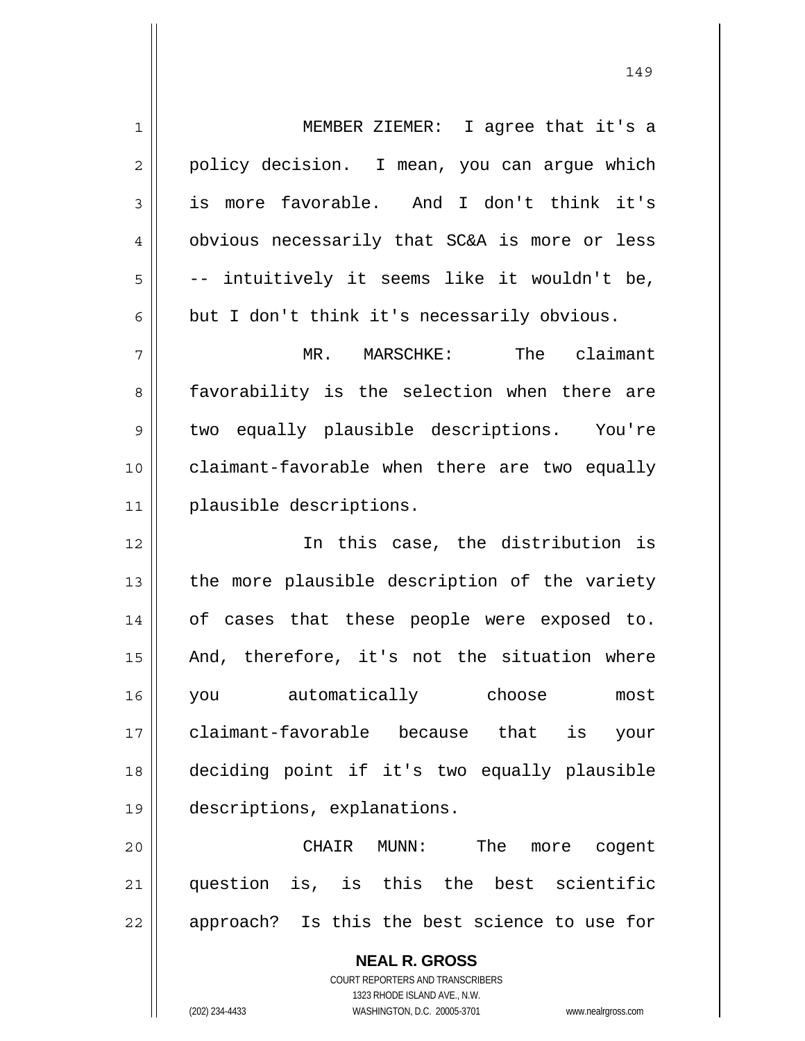| $\mathbf 1$ | MEMBER ZIEMER: I agree that it's a            |
|-------------|-----------------------------------------------|
| 2           | policy decision. I mean, you can argue which  |
| 3           | is more favorable. And I don't think it's     |
| 4           | obvious necessarily that SC&A is more or less |
| 5           | -- intuitively it seems like it wouldn't be,  |
| 6           | but I don't think it's necessarily obvious.   |
| 7           | MR. MARSCHKE:<br>The claimant                 |
| 8           | favorability is the selection when there are  |
| 9           | two equally plausible descriptions. You're    |
| 10          | claimant-favorable when there are two equally |
| 11          | plausible descriptions.                       |
| 12          | In this case, the distribution is             |
| 13          | the more plausible description of the variety |
| 14          | of cases that these people were exposed to.   |
| 15          | And, therefore, it's not the situation where  |
| 16          | you automatically choose most                 |
| 17          | claimant-favorable because that is<br>your    |
| 18          | deciding point if it's two equally plausible  |
| 19          | descriptions, explanations.                   |
| 20          | CHAIR<br>MUNN: The<br>more cogent             |
| 21          | question is, is this the best scientific      |
| 22          | approach? Is this the best science to use for |
|             | <b>NEAL R. GROSS</b>                          |

 COURT REPORTERS AND TRANSCRIBERS 1323 RHODE ISLAND AVE., N.W.

 $\mathsf{II}$ 

(202) 234-4433 WASHINGTON, D.C. 20005-3701 www.nealrgross.com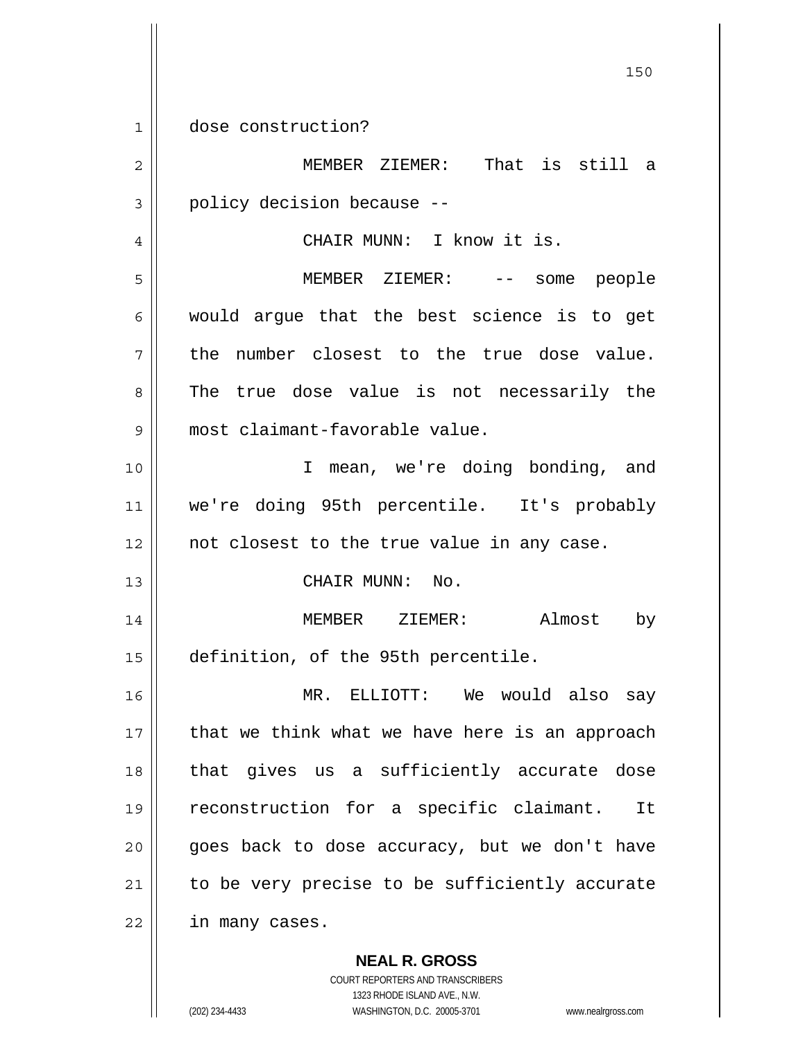**NEAL R. GROSS** 1 dose construction? 2 MEMBER ZIEMER: That is still a 3 || policy decision because --4 CHAIR MUNN: I know it is. 5 MEMBER ZIEMER: -- some people  $6 \parallel$  would argue that the best science is to get  $7 \parallel$  the number closest to the true dose value. 8 The true dose value is not necessarily the 9 most claimant-favorable value. 10 || T mean, we're doing bonding, and 11 we're doing 95th percentile. It's probably  $12$  | not closest to the true value in any case. 13 || CHAIR MUNN: No. 14 MEMBER ZIEMER: Almost by 15 definition, of the 95th percentile. 16 MR. ELLIOTT: We would also say  $17$  | that we think what we have here is an approach 18 || that gives us a sufficiently accurate dose 19 reconstruction for a specific claimant. It 20 || goes back to dose accuracy, but we don't have  $21$  to be very precise to be sufficiently accurate 22 | in many cases.

> COURT REPORTERS AND TRANSCRIBERS 1323 RHODE ISLAND AVE., N.W.

(202) 234-4433 WASHINGTON, D.C. 20005-3701 www.nealrgross.com

<u>150</u>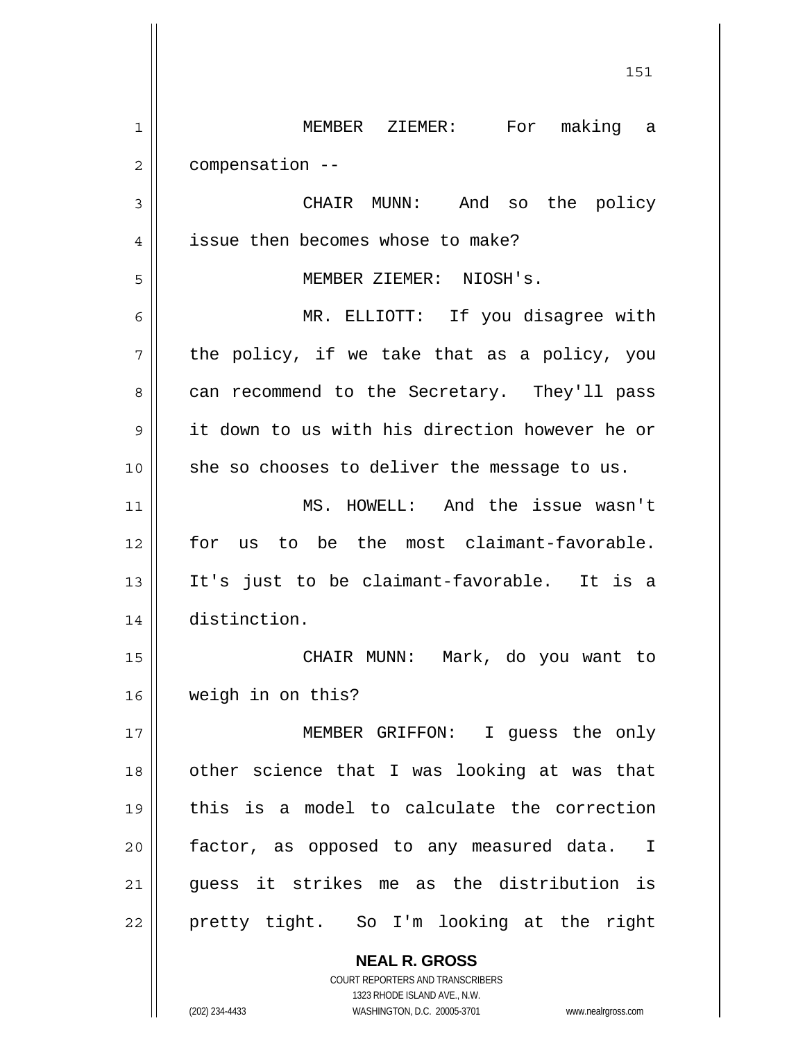151 1 MEMBER ZIEMER: For making a  $2 \parallel$  compensation  $-$ 3 | CHAIR MUNN: And so the policy 4 | issue then becomes whose to make? 5 MEMBER ZIEMER: NIOSH's. 6 MR. ELLIOTT: If you disagree with  $7 \parallel$  the policy, if we take that as a policy, you 8 can recommend to the Secretary. They'll pass 9 it down to us with his direction however he or 10 || she so chooses to deliver the message to us. 11 MS. HOWELL: And the issue wasn't 12 || for us to be the most claimant-favorable. 13 It's just to be claimant-favorable. It is a 14 distinction. 15 CHAIR MUNN: Mark, do you want to 16 weigh in on this? 17 MEMBER GRIFFON: I guess the only 18 || other science that I was looking at was that 19 this is a model to calculate the correction 20 || factor, as opposed to any measured data. I 21 quess it strikes me as the distribution is 22 || pretty tight. So I'm looking at the right

> **NEAL R. GROSS** COURT REPORTERS AND TRANSCRIBERS 1323 RHODE ISLAND AVE., N.W.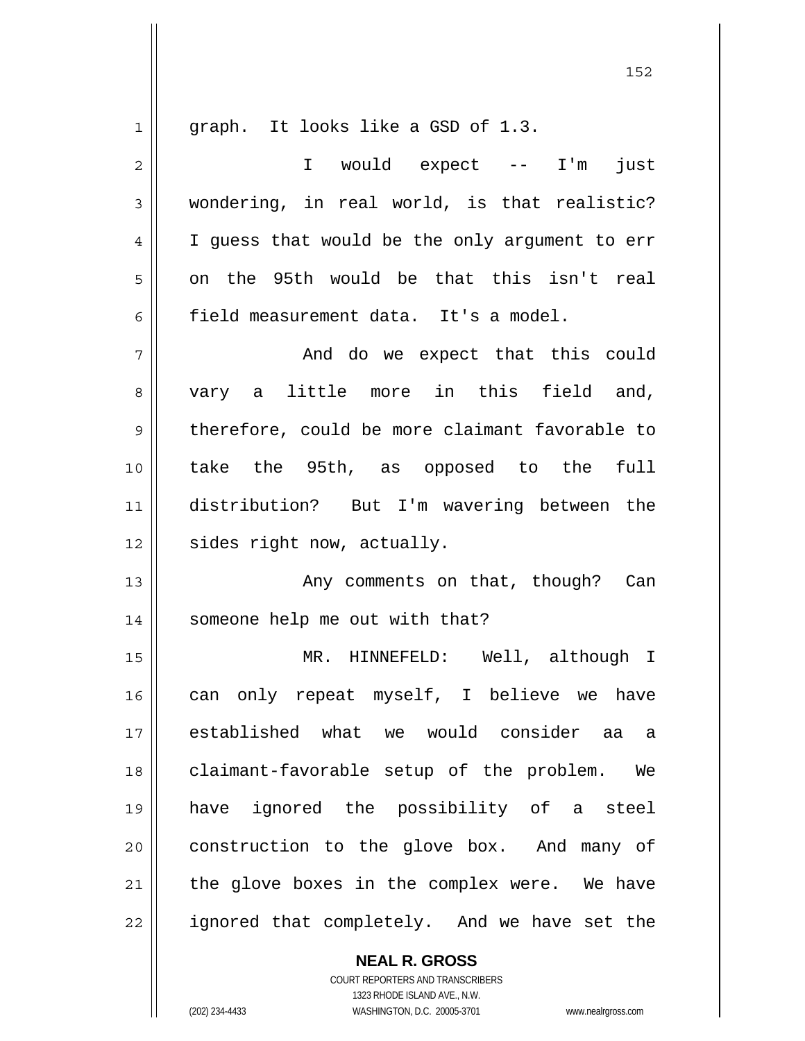1 || graph. It looks like a GSD of 1.3. 2 || I would expect -- I'm just 3 wondering, in real world, is that realistic? 4 || I guess that would be the only argument to err  $5 \parallel$  on the 95th would be that this isn't real 6 field measurement data. It's a model. 7 And do we expect that this could 8 vary a little more in this field and, 9 therefore, could be more claimant favorable to 10 take the 95th, as opposed to the full 11 distribution? But I'm wavering between the 12 || sides right now, actually. 13 || Any comments on that, though? Can 14 | someone help me out with that? 15 MR. HINNEFELD: Well, although I 16 can only repeat myself, I believe we have 17 established what we would consider aa a 18 || claimant-favorable setup of the problem. We 19 have ignored the possibility of a steel 20 || construction to the glove box. And many of  $21$  | the glove boxes in the complex were. We have  $22$  || ignored that completely. And we have set the

152

 COURT REPORTERS AND TRANSCRIBERS 1323 RHODE ISLAND AVE., N.W. (202) 234-4433 WASHINGTON, D.C. 20005-3701 www.nealrgross.com

 **NEAL R. GROSS**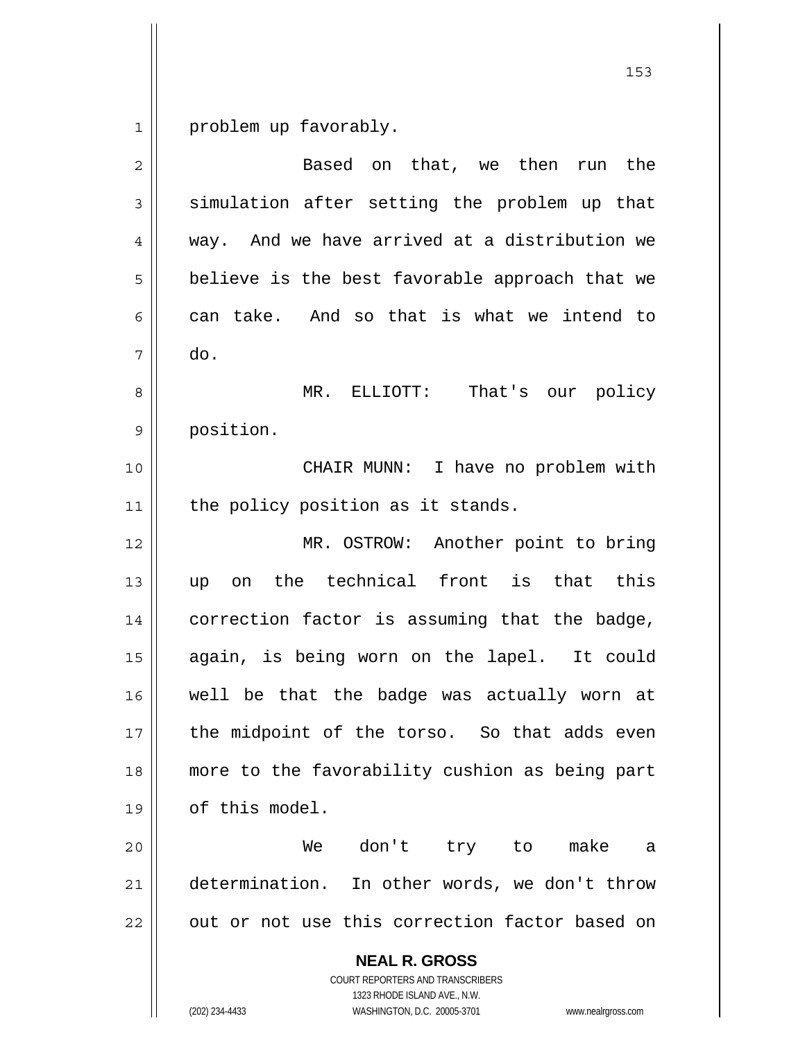$1 \parallel$  problem up favorably.

| 2  | Based on that, we then run the                           |
|----|----------------------------------------------------------|
| 3  | simulation after setting the problem up that             |
| 4  | way. And we have arrived at a distribution we            |
| 5  | believe is the best favorable approach that we           |
| 6  | can take. And so that is what we intend to               |
| 7  | do.                                                      |
| 8  | MR. ELLIOTT:<br>That's our policy                        |
| 9  | position.                                                |
| 10 | CHAIR MUNN: I have no problem with                       |
| 11 | the policy position as it stands.                        |
| 12 | MR. OSTROW: Another point to bring                       |
| 13 | on the technical front<br>is that this<br>up             |
| 14 | correction factor is assuming that the badge,            |
| 15 | again, is being worn on the lapel. It could              |
| 16 | well be that the badge was actually worn at              |
| 17 | the midpoint of the torso. So that adds even             |
| 18 | more to the favorability cushion as being part           |
| 19 | of this model.                                           |
| 20 | don't try to<br>We<br>make<br>а                          |
| 21 | determination. In other words, we don't throw            |
| 22 | out or not use this correction factor based on           |
|    | <b>NEAL R. GROSS</b><br>COURT REPORTERS AND TRANSCRIBERS |

1323 RHODE ISLAND AVE., N.W.

 $\overline{\phantom{a}}$  $\prod_{i=1}^{n}$ 

(202) 234-4433 WASHINGTON, D.C. 20005-3701 www.nealrgross.com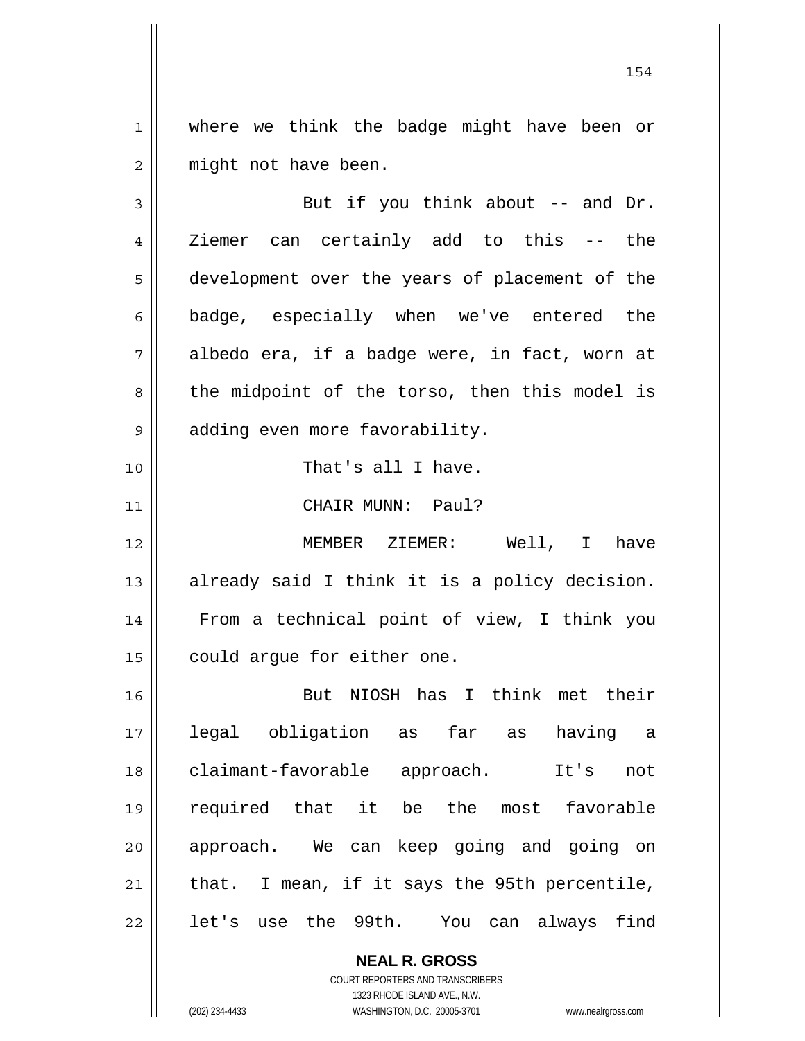1 || where we think the badge might have been or 2 || might not have been.

 $3 \parallel$  But if you think about -- and Dr. 4 Ziemer can certainly add to this -- the 5 development over the years of placement of the 6 badge, especially when we've entered the  $7 \parallel$  albedo era, if a badge were, in fact, worn at 8 || the midpoint of the torso, then this model is 9 | adding even more favorability. 10 || That's all I have. 11 || CHAIR MUNN: Paul? 12 MEMBER ZIEMER: Well, I have  $13$  already said I think it is a policy decision. 14 From a technical point of view, I think you  $15$  | could argue for either one. 16 But NIOSH has I think met their 17 legal obligation as far as having a 18 claimant-favorable approach. It's not 19 required that it be the most favorable 20 || approach. We can keep going and going on 21  $\parallel$  that. I mean, if it says the 95th percentile,  $22$  || let's use the 99th. You can always find

> **NEAL R. GROSS** COURT REPORTERS AND TRANSCRIBERS

> > 1323 RHODE ISLAND AVE., N.W.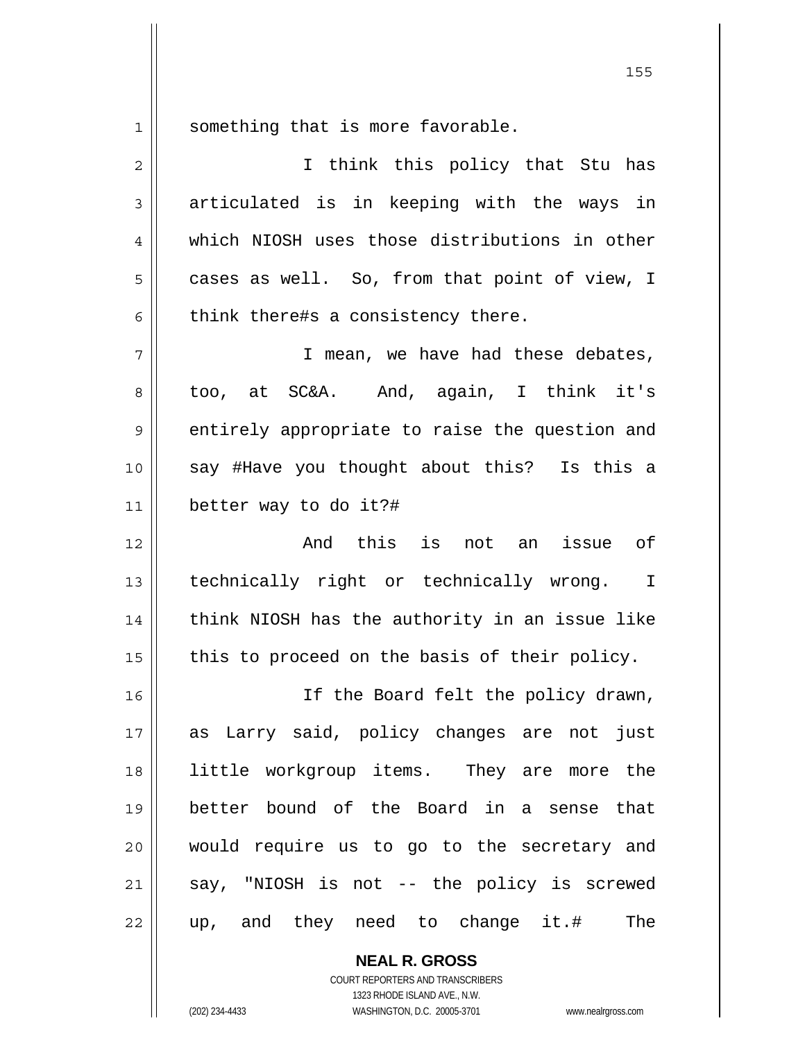something that is more favorable.

| $\overline{a}$ | I think this policy that Stu has               |
|----------------|------------------------------------------------|
| 3              | articulated is in keeping with the ways in     |
| 4              | which NIOSH uses those distributions in other  |
| 5              | cases as well. So, from that point of view, I  |
| 6              | think there#s a consistency there.             |
| 7              | I mean, we have had these debates,             |
| 8              | too, at SC&A. And, again, I think it's         |
| 9              | entirely appropriate to raise the question and |
| 10             | say #Have you thought about this? Is this a    |
| 11             | better way to do it?#                          |
| 12             | And this is<br>not an<br>issue of              |
| 13             | technically right or technically wrong. I      |
| 14             | think NIOSH has the authority in an issue like |
| 15             | this to proceed on the basis of their policy.  |
| 16             | If the Board felt the policy drawn,            |
| 17             | Larry said, policy changes are not just<br>as  |
| 18             | little workgroup items. They are more the      |
| 19             | better bound of the Board in a sense that      |
| 20             | would require us to go to the secretary and    |
| 21             | say, "NIOSH is not -- the policy is screwed    |
| 22             | up, and they need to change it.# The           |

 **NEAL R. GROSS** COURT REPORTERS AND TRANSCRIBERS

1323 RHODE ISLAND AVE., N.W.

(202) 234-4433 WASHINGTON, D.C. 20005-3701 www.nealrgross.com

<u>155 میں اس کی استعمال کرتا ہے۔ اس کی اس کی اس کی اس کی اس کی اس کی اس کی اس کی اس کی اس کی اس کی اس کی اس کی</u>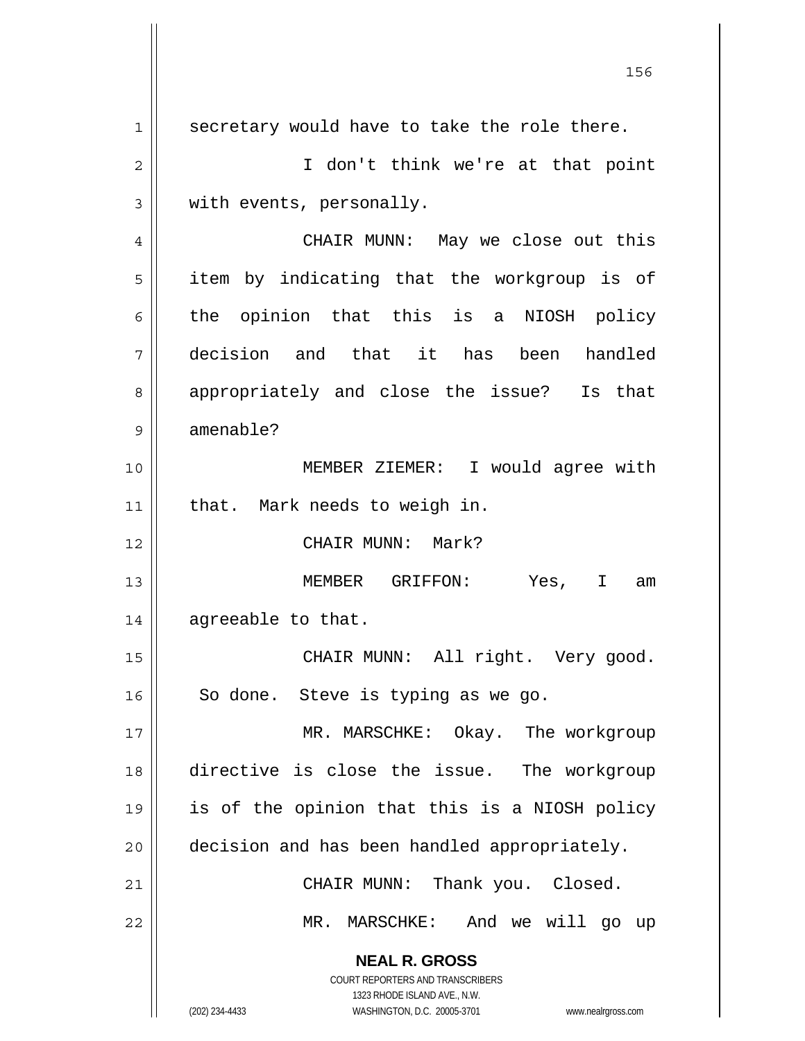**NEAL R. GROSS** COURT REPORTERS AND TRANSCRIBERS 1323 RHODE ISLAND AVE., N.W.  $1 \parallel$  secretary would have to take the role there. 2 || I don't think we're at that point 3 | with events, personally. 4 CHAIR MUNN: May we close out this  $5$  item by indicating that the workgroup is of  $6$  the opinion that this is a NIOSH policy 7 decision and that it has been handled 8 appropriately and close the issue? Is that 9 || amenable? 10 MEMBER ZIEMER: I would agree with 11 || that. Mark needs to weigh in. 12 CHAIR MUNN: Mark? 13 MEMBER GRIFFON: Yes, I am 14 | agreeable to that. 15 || CHAIR MUNN: All right. Very good. 16 || So done. Steve is typing as we go. 17 || MR. MARSCHKE: Okay. The workgroup 18 directive is close the issue. The workgroup 19 is of the opinion that this is a NIOSH policy 20  $\parallel$  decision and has been handled appropriately. 21 || CHAIR MUNN: Thank you. Closed. 22 MR. MARSCHKE: And we will go up

<u>156 - Animal Stephen Barbara, amerikan pendadaran pengaran pengaran pengaran pengaran pengaran pengaran penga</u>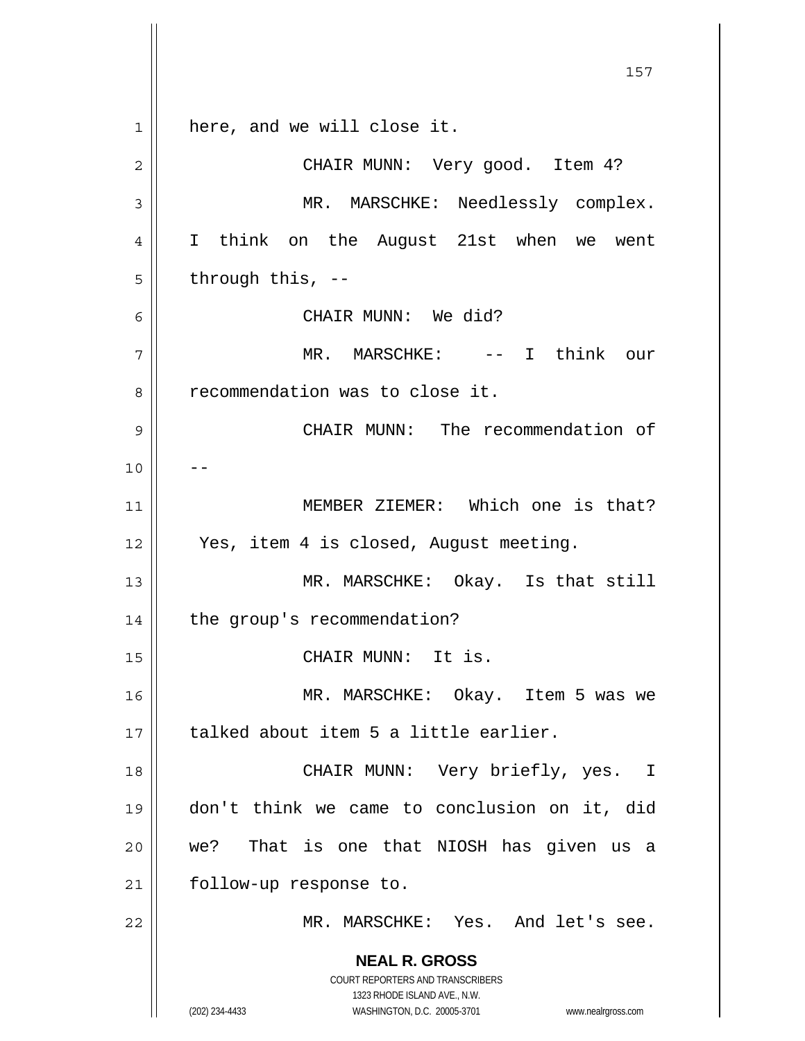**NEAL R. GROSS** COURT REPORTERS AND TRANSCRIBERS 1323 RHODE ISLAND AVE., N.W. (202) 234-4433 WASHINGTON, D.C. 20005-3701 www.nealrgross.com 157 1 || here, and we will close it. 2 CHAIR MUNN: Very good. Item 4? 3 MR. MARSCHKE: Needlessly complex. 4 I think on the August 21st when we went  $5 \parallel$  through this, --6 CHAIR MUNN: We did? 7 MR. MARSCHKE: -- I think our 8 || recommendation was to close it. 9 CHAIR MUNN: The recommendation of  $10$  ||  $-$ 11 || MEMBER ZIEMER: Which one is that? 12 Yes, item 4 is closed, August meeting. 13 || MR. MARSCHKE: Okay. Is that still 14 | the group's recommendation? 15 || CHAIR MUNN: It is. 16 MR. MARSCHKE: Okay. Item 5 was we  $17$  || talked about item 5 a little earlier. 18 CHAIR MUNN: Very briefly, yes. I 19 don't think we came to conclusion on it, did 20 we? That is one that NIOSH has given us a 21 | follow-up response to. 22 MR. MARSCHKE: Yes. And let's see.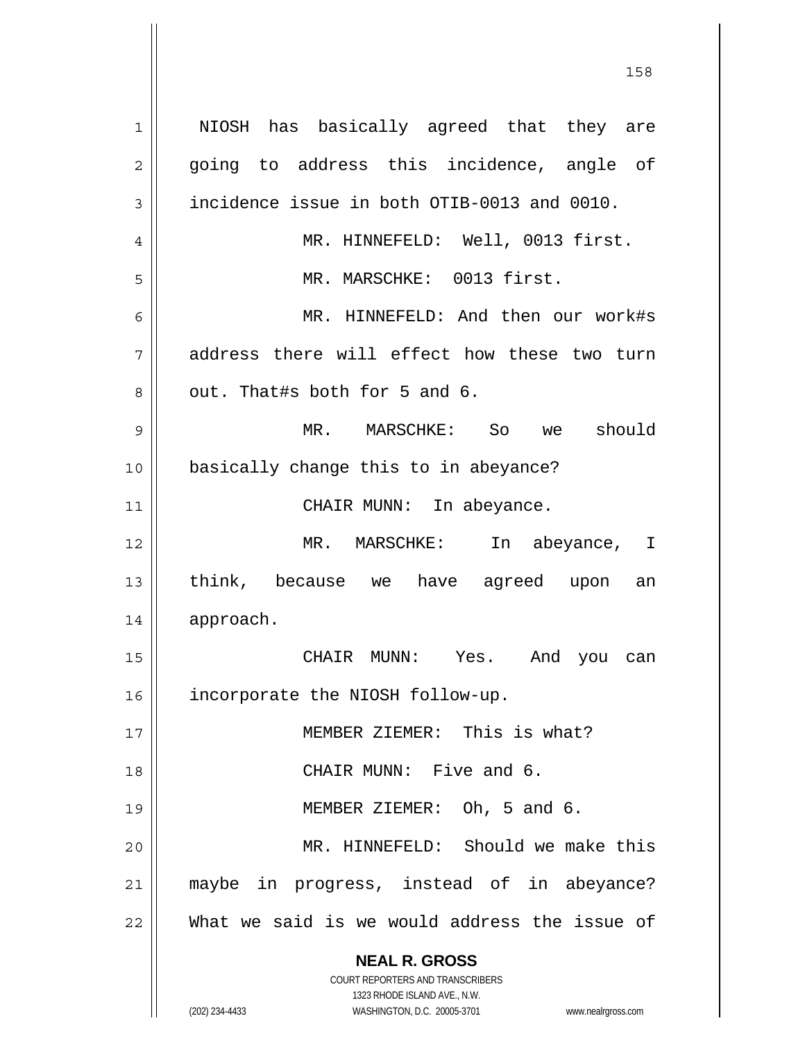**NEAL R. GROSS** COURT REPORTERS AND TRANSCRIBERS 1323 RHODE ISLAND AVE., N.W. 1 || NIOSH has basically agreed that they are 2 || going to address this incidence, angle of 3 domination issue in both OTIB-0013 and 0010. 4 || MR. HINNEFELD: Well, 0013 first. 5 MR. MARSCHKE: 0013 first. 6 MR. HINNEFELD: And then our work#s 7 address there will effect how these two turn  $8 \parallel$  out. That#s both for 5 and 6. 9 MR. MARSCHKE: So we should 10 basically change this to in abeyance? 11 || CHAIR MUNN: In abeyance. 12 MR. MARSCHKE: In abeyance, I 13 || think, because we have agreed upon an 14 approach. 15 CHAIR MUNN: Yes. And you can 16 | incorporate the NIOSH follow-up. 17 MEMBER ZIEMER: This is what? 18 CHAIR MUNN: Five and 6. 19 MEMBER ZIEMER: Oh, 5 and 6. 20 MR. HINNEFELD: Should we make this 21 maybe in progress, instead of in abeyance?  $22$  What we said is we would address the issue of

158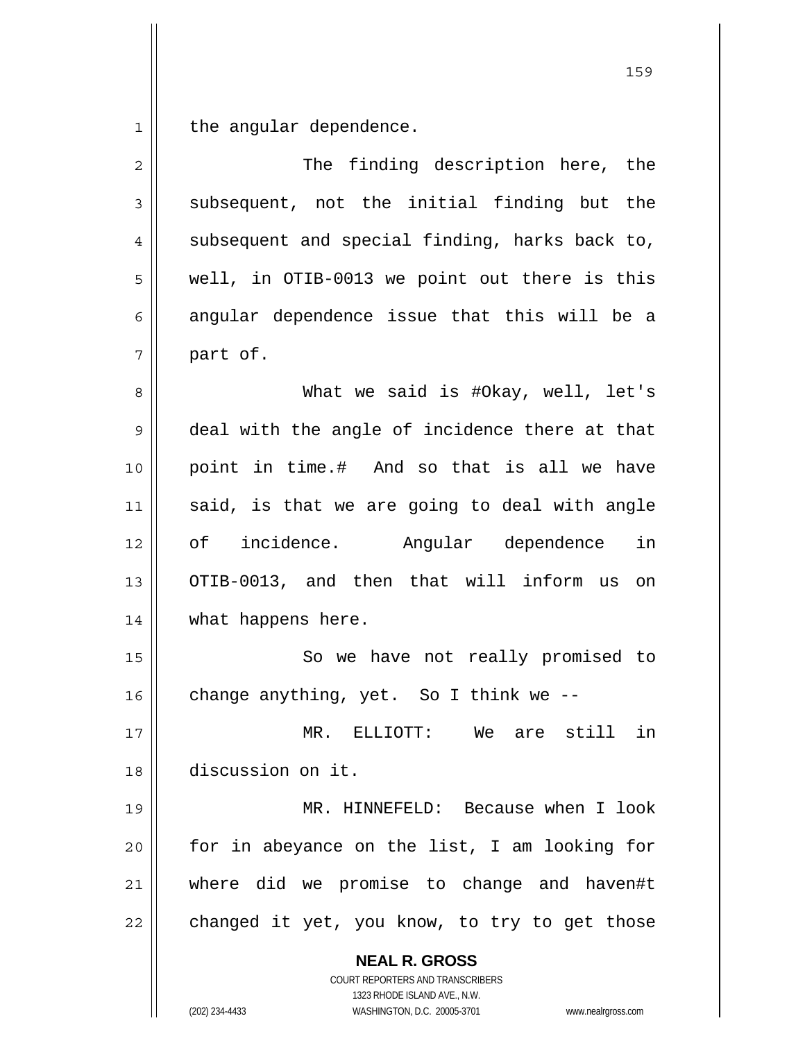$1 \parallel$  the angular dependence.

| $\overline{2}$ | The finding description here, the                                                                                                                               |
|----------------|-----------------------------------------------------------------------------------------------------------------------------------------------------------------|
| 3              | subsequent, not the initial finding but the                                                                                                                     |
| 4              | subsequent and special finding, harks back to,                                                                                                                  |
| 5              | well, in OTIB-0013 we point out there is this                                                                                                                   |
| 6              | angular dependence issue that this will be a                                                                                                                    |
| 7              | part of.                                                                                                                                                        |
| 8              | What we said is #Okay, well, let's                                                                                                                              |
| $\mathsf 9$    | deal with the angle of incidence there at that                                                                                                                  |
| 10             | point in time.# And so that is all we have                                                                                                                      |
| 11             | said, is that we are going to deal with angle                                                                                                                   |
| 12             | of incidence. Angular dependence<br>in                                                                                                                          |
| 13             | OTIB-0013, and then that will inform us on                                                                                                                      |
| 14             | what happens here.                                                                                                                                              |
| 15             | So we have not really promised to                                                                                                                               |
| 16             | change anything, yet. So I think we --                                                                                                                          |
| 17             | We are still<br>MR. ELLIOTT:<br>in                                                                                                                              |
| 18             | discussion on it.                                                                                                                                               |
| 19             | MR. HINNEFELD: Because when I look                                                                                                                              |
| 20             | for in abeyance on the list, I am looking for                                                                                                                   |
| 21             | where did we promise to change and haven#t                                                                                                                      |
| 22             | changed it yet, you know, to try to get those                                                                                                                   |
|                | <b>NEAL R. GROSS</b><br>COURT REPORTERS AND TRANSCRIBERS<br>1323 RHODE ISLAND AVE., N.W.<br>(202) 234-4433<br>WASHINGTON, D.C. 20005-3701<br>www.nealrgross.com |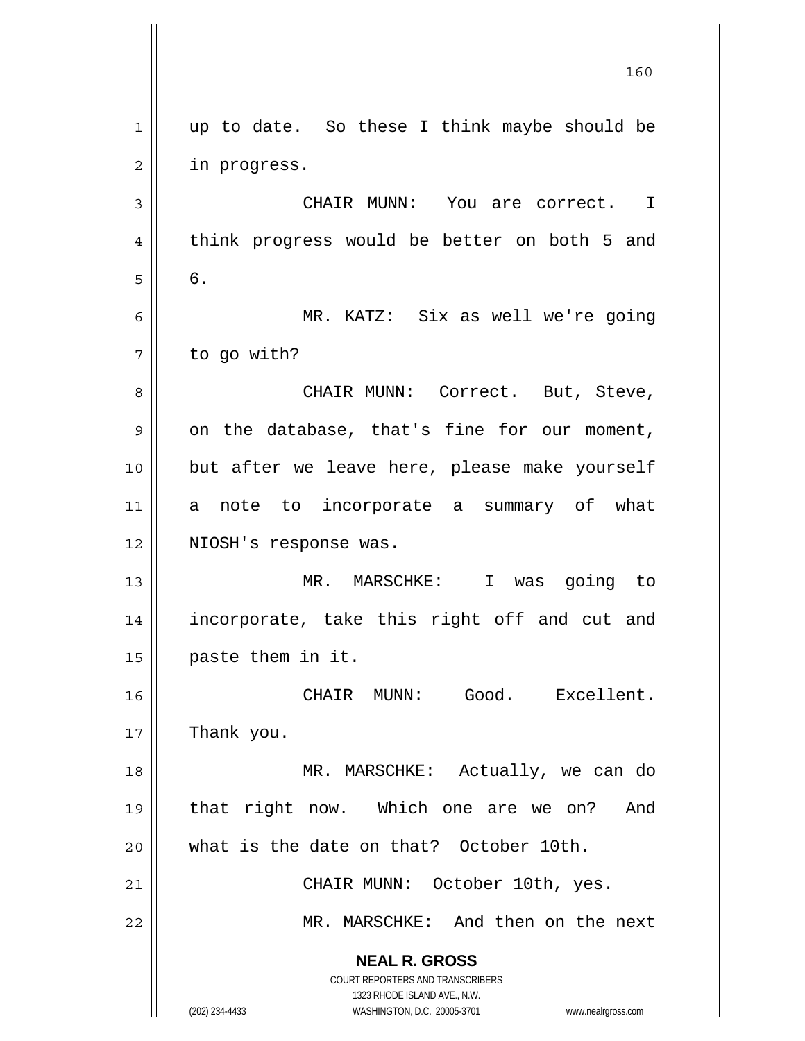**NEAL R. GROSS** COURT REPORTERS AND TRANSCRIBERS 1323 RHODE ISLAND AVE., N.W. (202) 234-4433 WASHINGTON, D.C. 20005-3701 www.nealrgross.com 160 1 || up to date. So these I think maybe should be 2 | in progress. 3 CHAIR MUNN: You are correct. I 4 || think progress would be better on both 5 and  $5 \parallel 6$ . 6 MR. KATZ: Six as well we're going  $7 \parallel$  to go with? 8 CHAIR MUNN: Correct. But, Steve,  $9 \parallel$  on the database, that's fine for our moment, 10 || but after we leave here, please make yourself 11 a note to incorporate a summary of what 12 || NIOSH's response was. 13 MR. MARSCHKE: I was going to 14 incorporate, take this right off and cut and 15 paste them in it. 16 || CHAIR MUNN: Good. Excellent.  $17$  | Thank you. 18 || MR. MARSCHKE: Actually, we can do 19 that right now. Which one are we on? And 20 what is the date on that? October 10th. 21 | CHAIR MUNN: October 10th, yes. 22 MR. MARSCHKE: And then on the next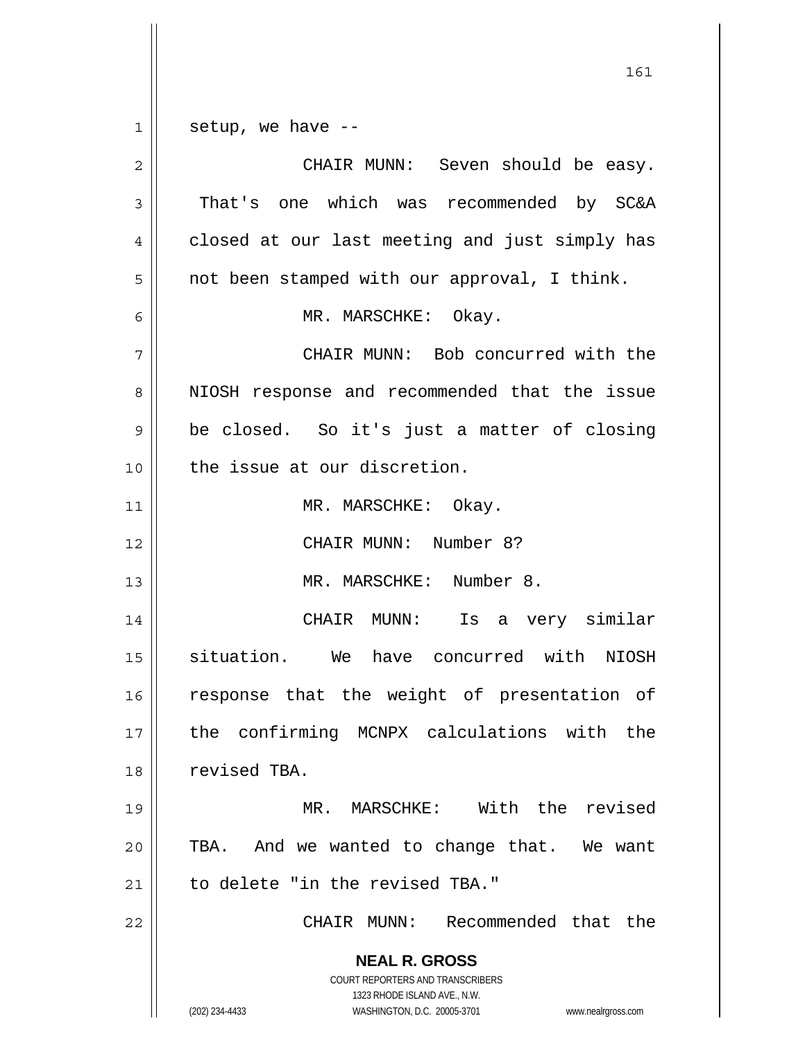$1 \parallel$  setup, we have --

| 2              | CHAIR MUNN: Seven should be easy.                                                                                                                                      |
|----------------|------------------------------------------------------------------------------------------------------------------------------------------------------------------------|
| 3              | That's one which was recommended by SC&A                                                                                                                               |
| $\overline{4}$ | closed at our last meeting and just simply has                                                                                                                         |
| 5              | not been stamped with our approval, I think.                                                                                                                           |
| 6              | MR. MARSCHKE: Okay.                                                                                                                                                    |
| 7              | CHAIR MUNN: Bob concurred with the                                                                                                                                     |
| 8              | NIOSH response and recommended that the issue                                                                                                                          |
| 9              | be closed. So it's just a matter of closing                                                                                                                            |
| 10             | the issue at our discretion.                                                                                                                                           |
| 11             | MR. MARSCHKE: Okay.                                                                                                                                                    |
| 12             | CHAIR MUNN: Number 8?                                                                                                                                                  |
| 13             | MR. MARSCHKE: Number 8.                                                                                                                                                |
| 14             | CHAIR MUNN: Is a very similar                                                                                                                                          |
| 15             | situation. We have concurred with NIOSH                                                                                                                                |
| 16             | response that the weight of presentation of                                                                                                                            |
| $17$           | the confirming MCNPX calculations with the                                                                                                                             |
| 18             | revised TBA.                                                                                                                                                           |
| 19             | MR. MARSCHKE: With the revised                                                                                                                                         |
| 20             | TBA. And we wanted to change that. We want                                                                                                                             |
| 21             | to delete "in the revised TBA."                                                                                                                                        |
| 22             | CHAIR MUNN: Recommended that the                                                                                                                                       |
|                | <b>NEAL R. GROSS</b><br><b>COURT REPORTERS AND TRANSCRIBERS</b><br>1323 RHODE ISLAND AVE., N.W.<br>(202) 234-4433<br>WASHINGTON, D.C. 20005-3701<br>www.nealrgross.com |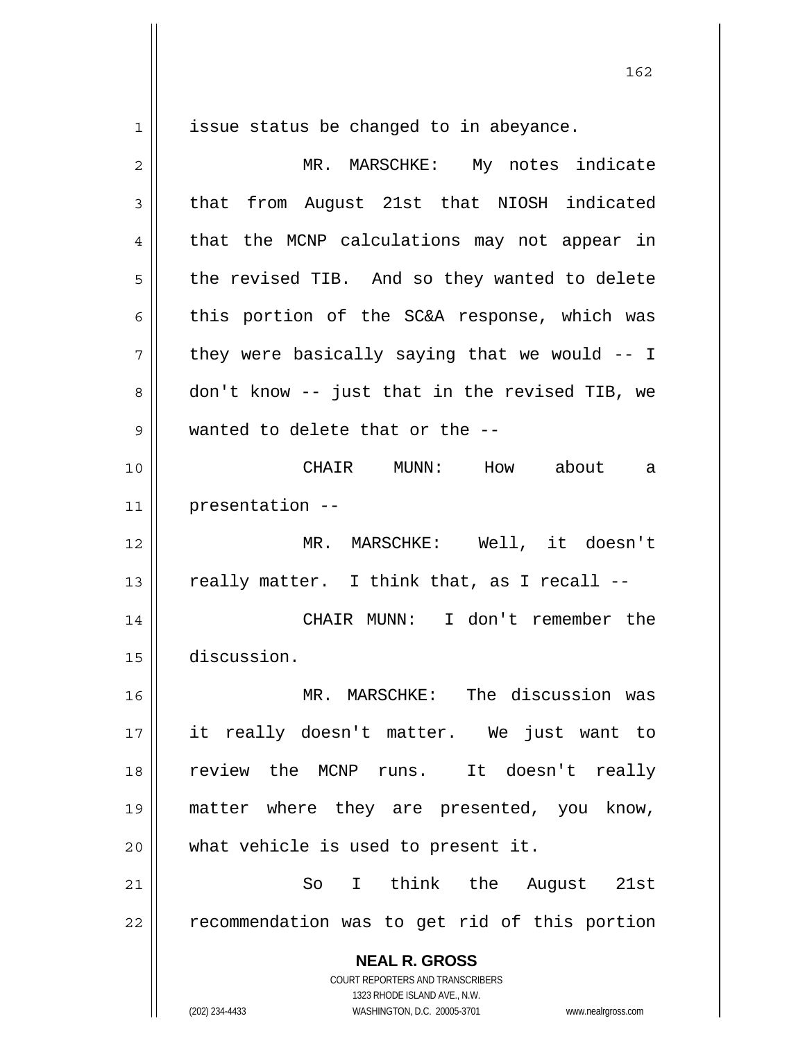issue status be changed to in abeyance.

| $\overline{2}$ | MR. MARSCHKE: My notes indicate                                                                     |
|----------------|-----------------------------------------------------------------------------------------------------|
| 3              | from August 21st that NIOSH indicated<br>that                                                       |
| 4              | that the MCNP calculations may not appear in                                                        |
| 5              | the revised TIB. And so they wanted to delete                                                       |
| 6              | this portion of the SC&A response, which was                                                        |
| 7              | they were basically saying that we would -- I                                                       |
| 8              | don't know -- just that in the revised TIB, we                                                      |
| 9              | wanted to delete that or the --                                                                     |
| 10             | CHAIR MUNN: How<br>about<br>a                                                                       |
| 11             | presentation --                                                                                     |
| 12             | MR. MARSCHKE: Well, it doesn't                                                                      |
| 13             | really matter. I think that, as I recall --                                                         |
| 14             | CHAIR MUNN: I don't remember the                                                                    |
| 15             | discussion.                                                                                         |
| 16             | MR. MARSCHKE: The discussion was                                                                    |
| 17             | it really doesn't matter. We just want to                                                           |
| 18             | review the MCNP runs. It doesn't really                                                             |
| 19             | matter where they are presented, you know,                                                          |
| 20             | what vehicle is used to present it.                                                                 |
| 21             | I think<br>the<br>So<br>August<br>21st                                                              |
| 22             | recommendation was to get rid of this portion                                                       |
|                | <b>NEAL R. GROSS</b><br>COURT REPORTERS AND TRANSCRIBERS                                            |
|                | 1323 RHODE ISLAND AVE., N.W.<br>(202) 234-4433<br>WASHINGTON, D.C. 20005-3701<br>www.nealrgross.com |

<u>162</u>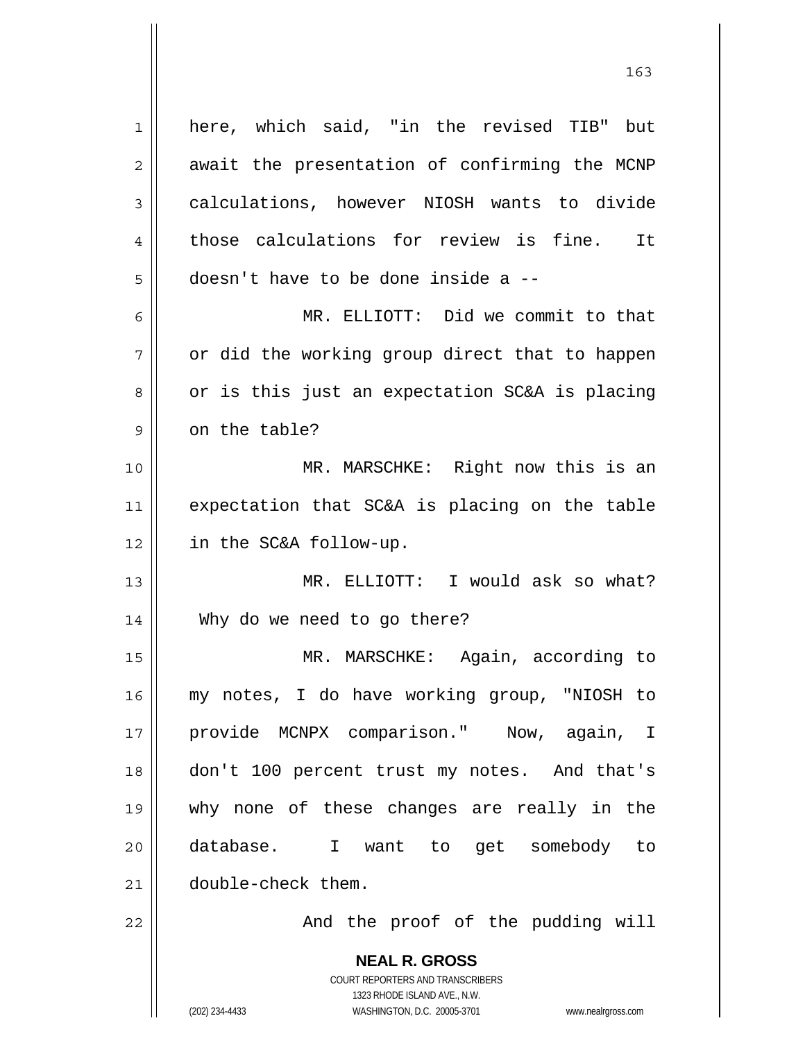**NEAL R. GROSS** COURT REPORTERS AND TRANSCRIBERS 1 || here, which said, "in the revised TIB" but  $2 \parallel$  await the presentation of confirming the MCNP 3 calculations, however NIOSH wants to divide  $4 \parallel$  those calculations for review is fine. It  $5 \parallel$  doesn't have to be done inside a --6 MR. ELLIOTT: Did we commit to that  $7 \parallel$  or did the working group direct that to happen  $8 \parallel$  or is this just an expectation SC&A is placing  $9 \parallel$  on the table? 10 MR. MARSCHKE: Right now this is an 11 expectation that SC&A is placing on the table 12 in the SC&A follow-up. 13 MR. ELLIOTT: I would ask so what? 14 Why do we need to go there? 15 MR. MARSCHKE: Again, according to 16 my notes, I do have working group, "NIOSH to 17 provide MCNPX comparison." Now, again, I 18 don't 100 percent trust my notes. And that's 19 why none of these changes are really in the 20 database. I want to get somebody to 21 double-check them. 22 || The proof of the pudding will

1323 RHODE ISLAND AVE., N.W.

(202) 234-4433 WASHINGTON, D.C. 20005-3701 www.nealrgross.com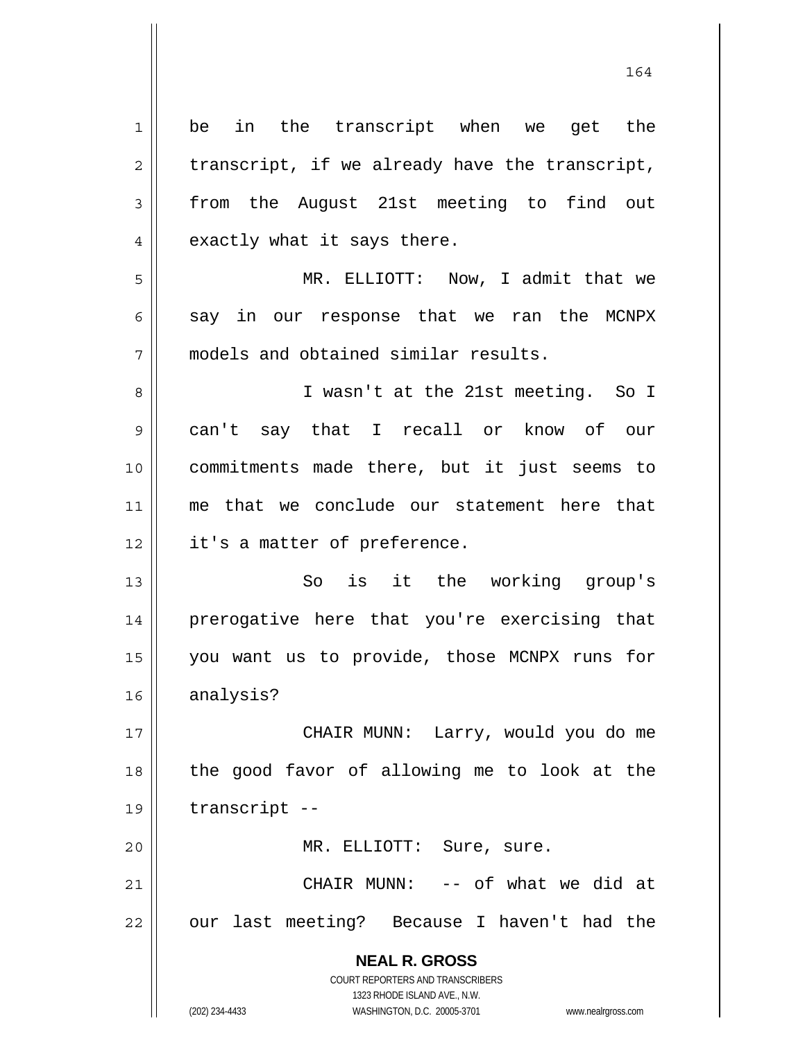**NEAL R. GROSS** COURT REPORTERS AND TRANSCRIBERS 1323 RHODE ISLAND AVE., N.W. 1 | be in the transcript when we get the  $2 \parallel$  transcript, if we already have the transcript, 3 from the August 21st meeting to find out  $4 \parallel$  exactly what it says there. 5 MR. ELLIOTT: Now, I admit that we  $6 \parallel$  say in our response that we ran the MCNPX 7 models and obtained similar results. 8 || I wasn't at the 21st meeting. So I 9 can't say that I recall or know of our 10 commitments made there, but it just seems to 11 me that we conclude our statement here that 12 || it's a matter of preference. 13 So is it the working group's 14 prerogative here that you're exercising that 15 you want us to provide, those MCNPX runs for 16 analysis? 17 CHAIR MUNN: Larry, would you do me  $18$  || the good favor of allowing me to look at the  $19 \parallel$  transcript --20 MR. ELLIOTT: Sure, sure. 21 CHAIR MUNN: -- of what we did at 22 || our last meeting? Because I haven't had the

164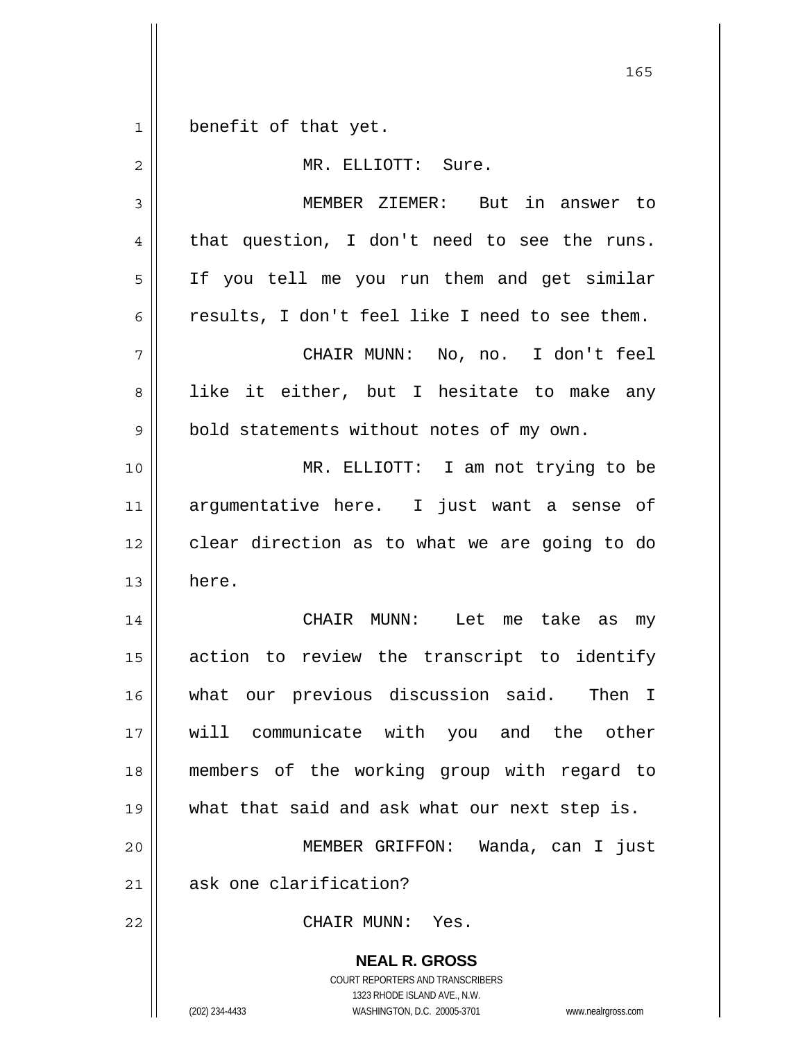$1 \parallel$  benefit of that yet.

| $\overline{2}$ | MR. ELLIOTT: Sure.                                                                                                                                              |
|----------------|-----------------------------------------------------------------------------------------------------------------------------------------------------------------|
| 3              | MEMBER ZIEMER: But in answer to                                                                                                                                 |
| 4              | that question, I don't need to see the runs.                                                                                                                    |
| 5              | If you tell me you run them and get similar                                                                                                                     |
| 6              | results, I don't feel like I need to see them.                                                                                                                  |
| 7              | CHAIR MUNN: No, no. I don't feel                                                                                                                                |
| 8              | like it either, but I hesitate to make any                                                                                                                      |
| 9              | bold statements without notes of my own.                                                                                                                        |
| 10             | MR. ELLIOTT: I am not trying to be                                                                                                                              |
| 11             | argumentative here. I just want a sense of                                                                                                                      |
| 12             | clear direction as to what we are going to do                                                                                                                   |
| 13             | here.                                                                                                                                                           |
| 14             | CHAIR MUNN: Let me take as my                                                                                                                                   |
| 15             | action to review the transcript to identify                                                                                                                     |
| 16             | what our previous discussion said. Then I                                                                                                                       |
| $17$           | will communicate with you and the other                                                                                                                         |
| 18             | members of the working group with regard to                                                                                                                     |
| 19             | what that said and ask what our next step is.                                                                                                                   |
| 20             | MEMBER GRIFFON: Wanda, can I just                                                                                                                               |
| 21             | ask one clarification?                                                                                                                                          |
| 22             | CHAIR MUNN: Yes.                                                                                                                                                |
|                | <b>NEAL R. GROSS</b><br>COURT REPORTERS AND TRANSCRIBERS<br>1323 RHODE ISLAND AVE., N.W.<br>(202) 234-4433<br>WASHINGTON, D.C. 20005-3701<br>www.nealrgross.com |

<u>165</u>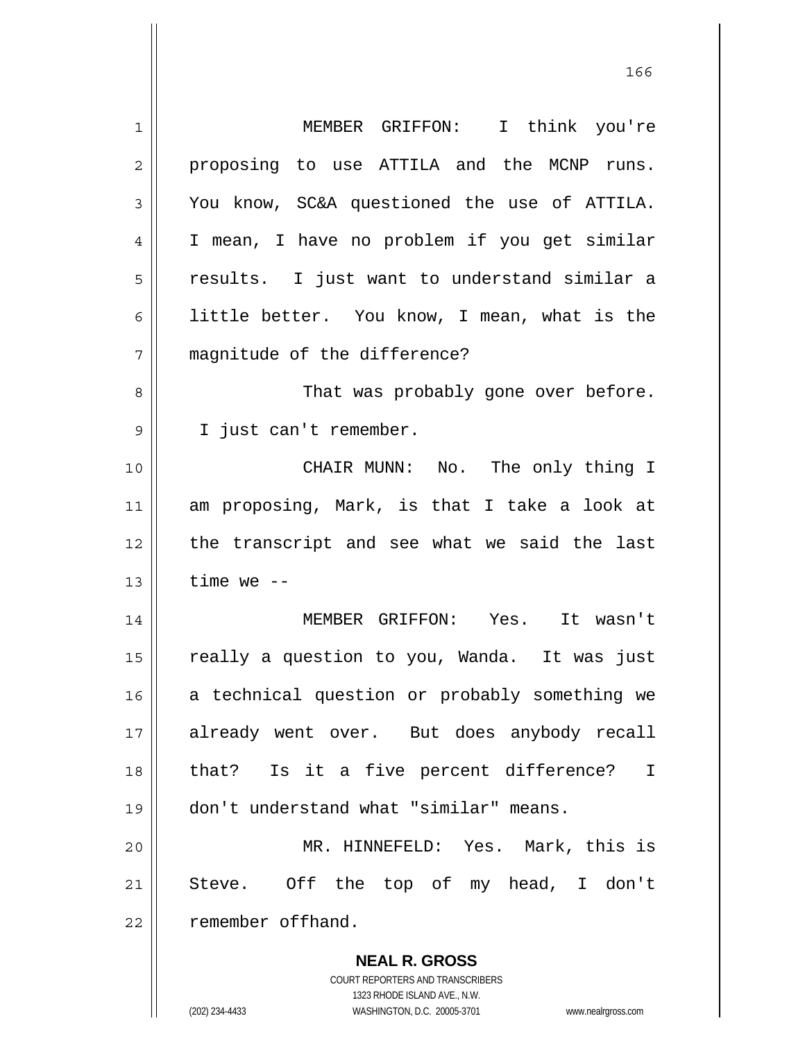**NEAL R. GROSS** COURT REPORTERS AND TRANSCRIBERS 1 MEMBER GRIFFON: I think you're 2 || proposing to use ATTILA and the MCNP runs. 3 | You know, SC&A questioned the use of ATTILA. 4 I mean, I have no problem if you get similar 5 || results. I just want to understand similar a 6  $\parallel$  little better. You know, I mean, what is the 7 magnitude of the difference? 8 That was probably gone over before. 9 || I just can't remember. 10 CHAIR MUNN: No. The only thing I 11 am proposing, Mark, is that I take a look at 12 || the transcript and see what we said the last  $13$   $\parallel$  time we --14 MEMBER GRIFFON: Yes. It wasn't 15 || really a question to you, Wanda. It was just 16 a technical question or probably something we 17 already went over. But does anybody recall 18 || that? Is it a five percent difference? I 19 don't understand what "similar" means. 20 MR. HINNEFELD: Yes. Mark, this is 21 Steve. Off the top of my head, I don't 22 | remember offhand.

1323 RHODE ISLAND AVE., N.W.

(202) 234-4433 WASHINGTON, D.C. 20005-3701 www.nealrgross.com

<u>166</u>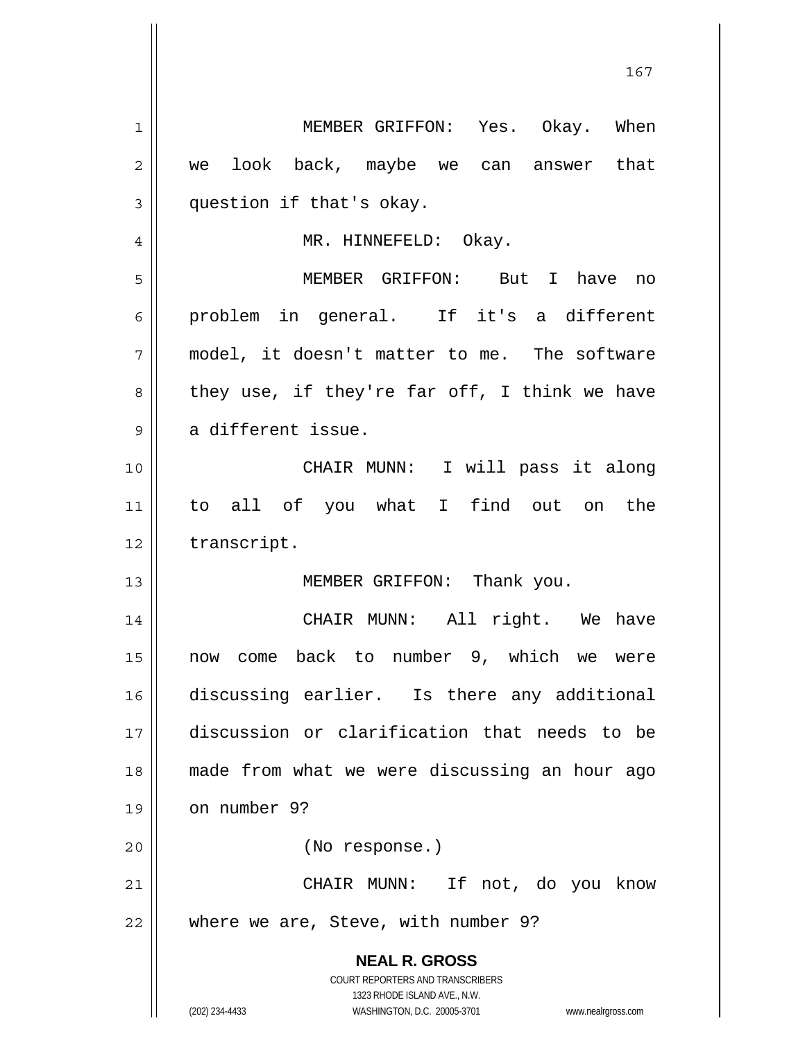**NEAL R. GROSS** COURT REPORTERS AND TRANSCRIBERS 1323 RHODE ISLAND AVE., N.W. (202) 234-4433 WASHINGTON, D.C. 20005-3701 www.nealrgross.com MEMBER GRIFFON: Yes. Okay. When 2 we look back, maybe we can answer that 3 || question if that's okay. MR. HINNEFELD: Okay. MEMBER GRIFFON: But I have no problem in general. If it's a different model, it doesn't matter to me. The software  $8 \parallel$  they use, if they're far off, I think we have 9 a different issue. CHAIR MUNN: I will pass it along to all of you what I find out on the 12 | transcript. 13 || **MEMBER GRIFFON:** Thank you. CHAIR MUNN: All right. We have now come back to number 9, which we were discussing earlier. Is there any additional discussion or clarification that needs to be made from what we were discussing an hour ago on number 9? (No response.) CHAIR MUNN: If not, do you know  $\parallel$  where we are, Steve, with number 9?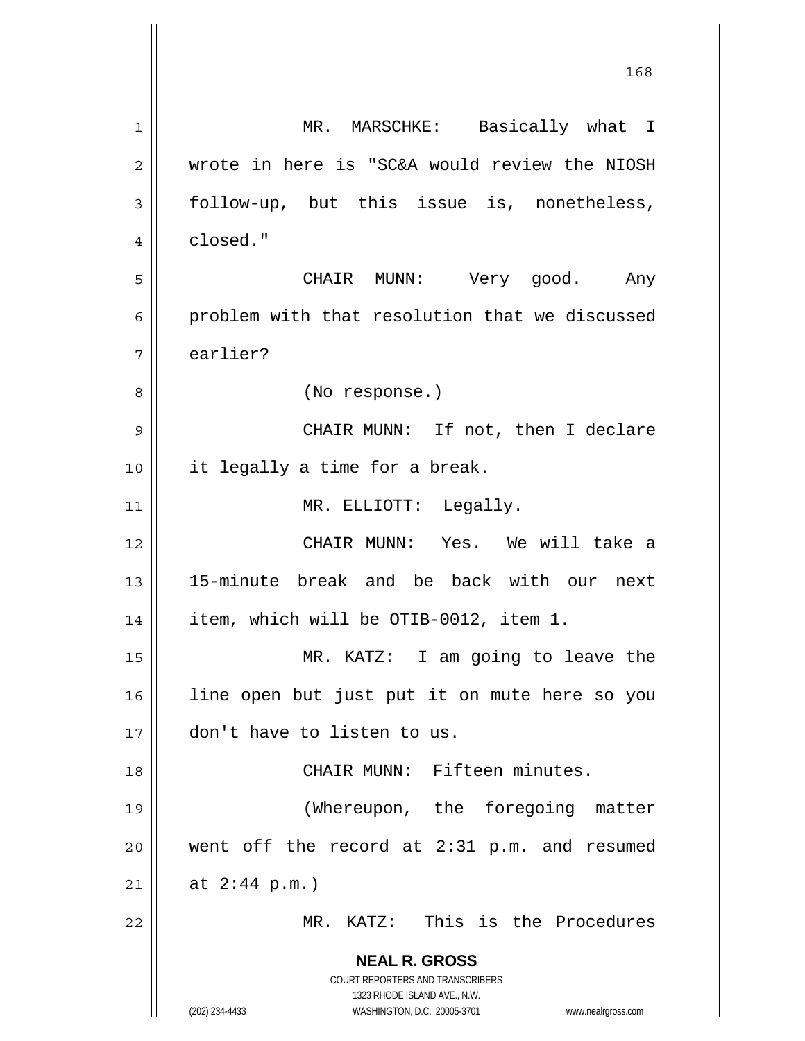|    | 168                                                                                                 |
|----|-----------------------------------------------------------------------------------------------------|
| 1  | MR. MARSCHKE: Basically what I                                                                      |
| 2  | wrote in here is "SC&A would review the NIOSH                                                       |
| 3  | follow-up, but this issue is, nonetheless,                                                          |
| 4  | closed."                                                                                            |
| 5  | CHAIR MUNN: Very good. Any                                                                          |
| 6  | problem with that resolution that we discussed                                                      |
| 7  | earlier?                                                                                            |
| 8  | (No response.)                                                                                      |
| 9  | CHAIR MUNN: If not, then I declare                                                                  |
| 10 | it legally a time for a break.                                                                      |
| 11 | MR. ELLIOTT: Legally.                                                                               |
| 12 | CHAIR MUNN: Yes. We will take a                                                                     |
| 13 | 15-minute break and be back with our next                                                           |
| 14 | item, which will be OTIB-0012, item 1.                                                              |
| 15 | MR. KATZ: I am going to leave the                                                                   |
| 16 | line open but just put it on mute here so you                                                       |
| 17 | don't have to listen to us.                                                                         |
| 18 | CHAIR MUNN: Fifteen minutes.                                                                        |
| 19 | (Whereupon, the foregoing matter                                                                    |
| 20 | went off the record at 2:31 p.m. and resumed                                                        |
| 21 | at $2:44$ p.m.)                                                                                     |
| 22 | MR. KATZ: This is the Procedures                                                                    |
|    | <b>NEAL R. GROSS</b><br>COURT REPORTERS AND TRANSCRIBERS                                            |
|    | 1323 RHODE ISLAND AVE., N.W.<br>(202) 234-4433<br>WASHINGTON, D.C. 20005-3701<br>www.nealrgross.com |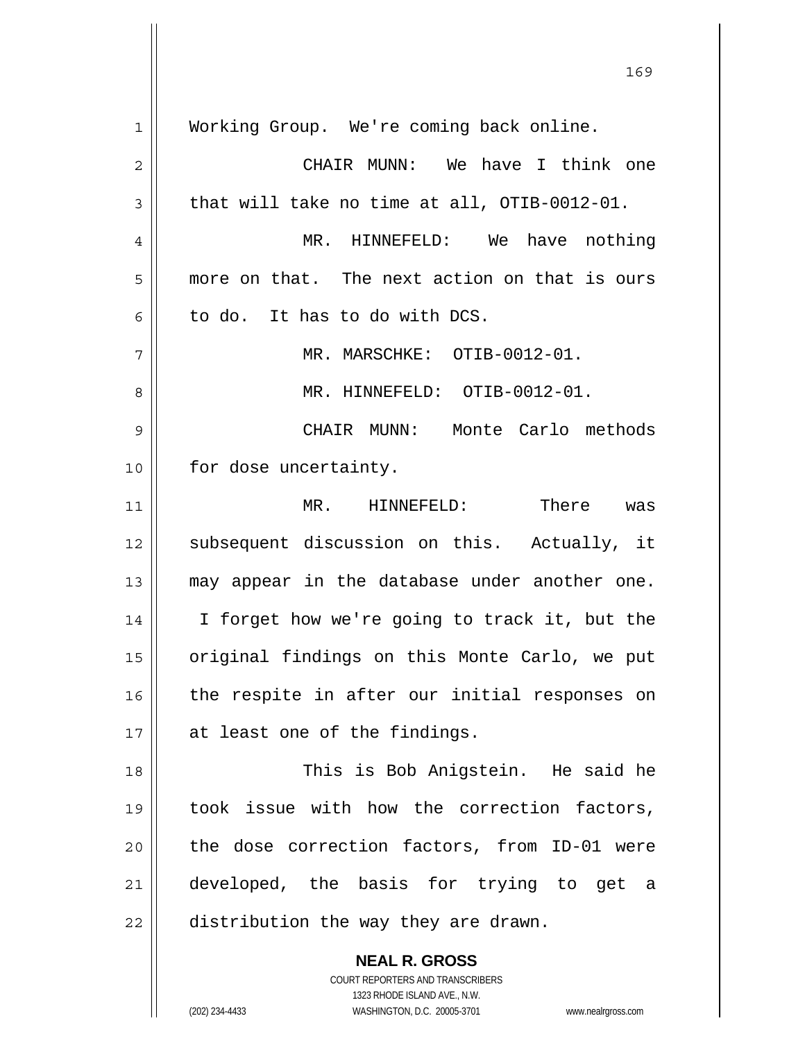**NEAL R. GROSS** 169 1 | Working Group. We're coming back online. 2 CHAIR MUNN: We have I think one  $3 \parallel$  that will take no time at all, OTIB-0012-01. 4 MR. HINNEFELD: We have nothing  $5 \parallel$  more on that. The next action on that is ours  $6 \parallel$  to do. It has to do with DCS. 7 MR. MARSCHKE: OTIB-0012-01. 8 MR. HINNEFELD: OTIB-0012-01. 9 CHAIR MUNN: Monte Carlo methods 10 || for dose uncertainty. 11 MR. HINNEFELD: There was 12 || subsequent discussion on this. Actually, it 13 || may appear in the database under another one. 14 || I forget how we're going to track it, but the 15 | original findings on this Monte Carlo, we put 16 || the respite in after our initial responses on  $17 \parallel$  at least one of the findings. 18 || This is Bob Anigstein. He said he 19 took issue with how the correction factors, 20 || the dose correction factors, from ID-01 were 21 developed, the basis for trying to get a  $22$  | distribution the way they are drawn.

> COURT REPORTERS AND TRANSCRIBERS 1323 RHODE ISLAND AVE., N.W.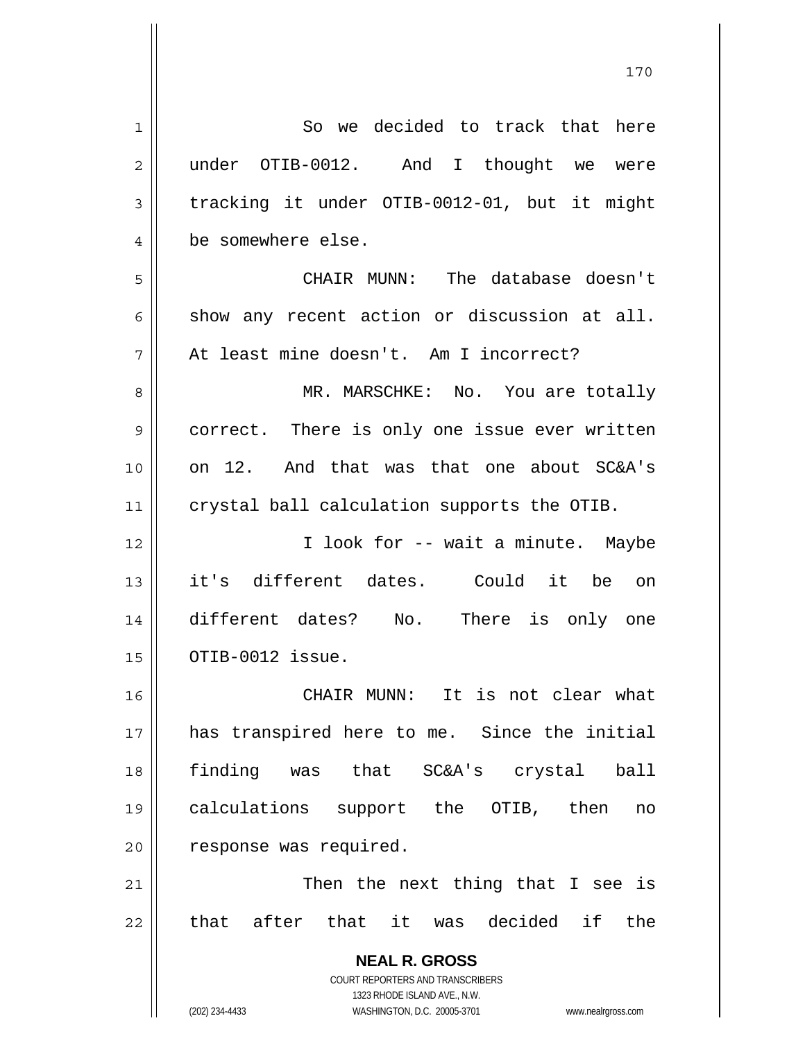**NEAL R. GROSS** COURT REPORTERS AND TRANSCRIBERS 1323 RHODE ISLAND AVE., N.W. 1 So we decided to track that here 2 || under OTIB-0012. And I thought we were  $3 \parallel$  tracking it under OTIB-0012-01, but it might 4 || be somewhere else. 5 CHAIR MUNN: The database doesn't  $6 \parallel$  show any recent action or discussion at all. 7 || At least mine doesn't. Am I incorrect? 8 || MR. MARSCHKE: No. You are totally 9 || correct. There is only one issue ever written 10 on 12. And that was that one about SC&A's 11 || crystal ball calculation supports the OTIB. 12 || T look for -- wait a minute. Maybe 13 it's different dates. Could it be on 14 different dates? No. There is only one  $15$  |  $OTIB-0012$  issue. 16 CHAIR MUNN: It is not clear what 17 has transpired here to me. Since the initial 18 finding was that SC&A's crystal ball 19 calculations support the OTIB, then no 20 | response was required. 21 || Then the next thing that I see is  $22$   $\parallel$  that after that it was decided if the

170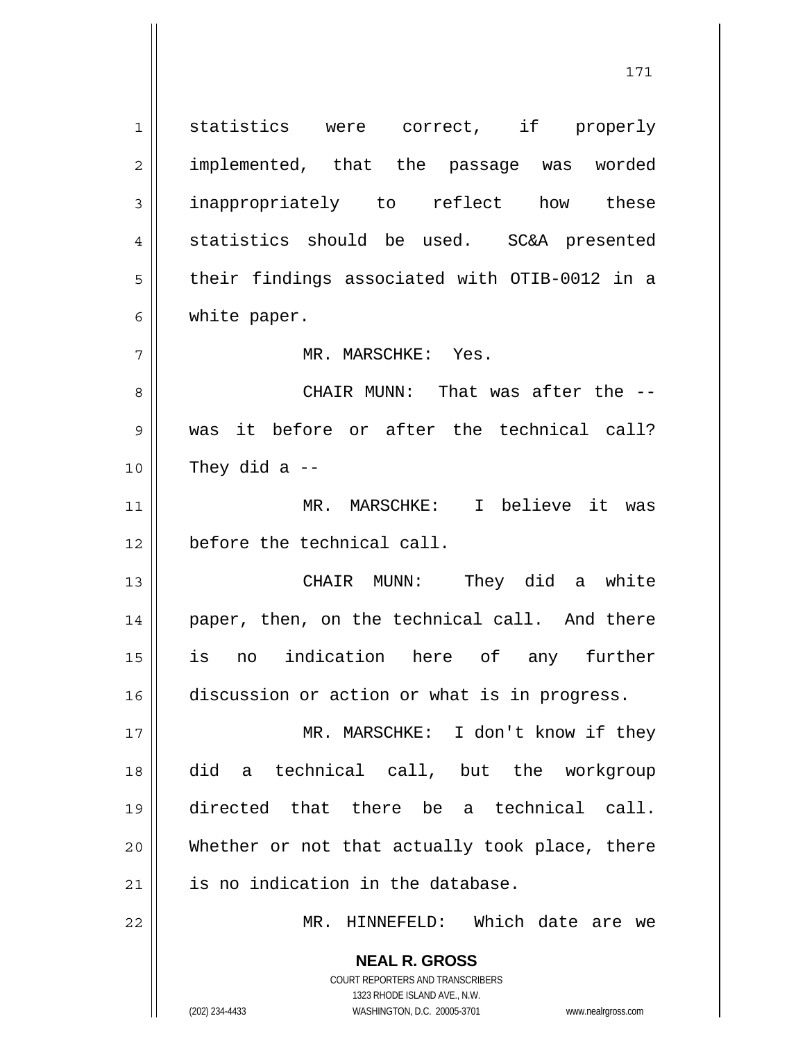**NEAL R. GROSS** 1 || statistics were correct, if properly 2 || implemented, that the passage was worded 3 inappropriately to reflect how these  $4 \parallel$  statistics should be used. SC&A presented 5 || their findings associated with OTIB-0012 in a white paper. MR. MARSCHKE: Yes. CHAIR MUNN: That was after the -- was it before or after the technical call? | They did a  $-$ MR. MARSCHKE: I believe it was before the technical call. CHAIR MUNN: They did a white 14 || paper, then, on the technical call. And there is no indication here of any further 16 discussion or action or what is in progress. MR. MARSCHKE: I don't know if they did a technical call, but the workgroup directed that there be a technical call. 20 Whether or not that actually took place, there is no indication in the database. MR. HINNEFELD: Which date are we

171

 COURT REPORTERS AND TRANSCRIBERS 1323 RHODE ISLAND AVE., N.W.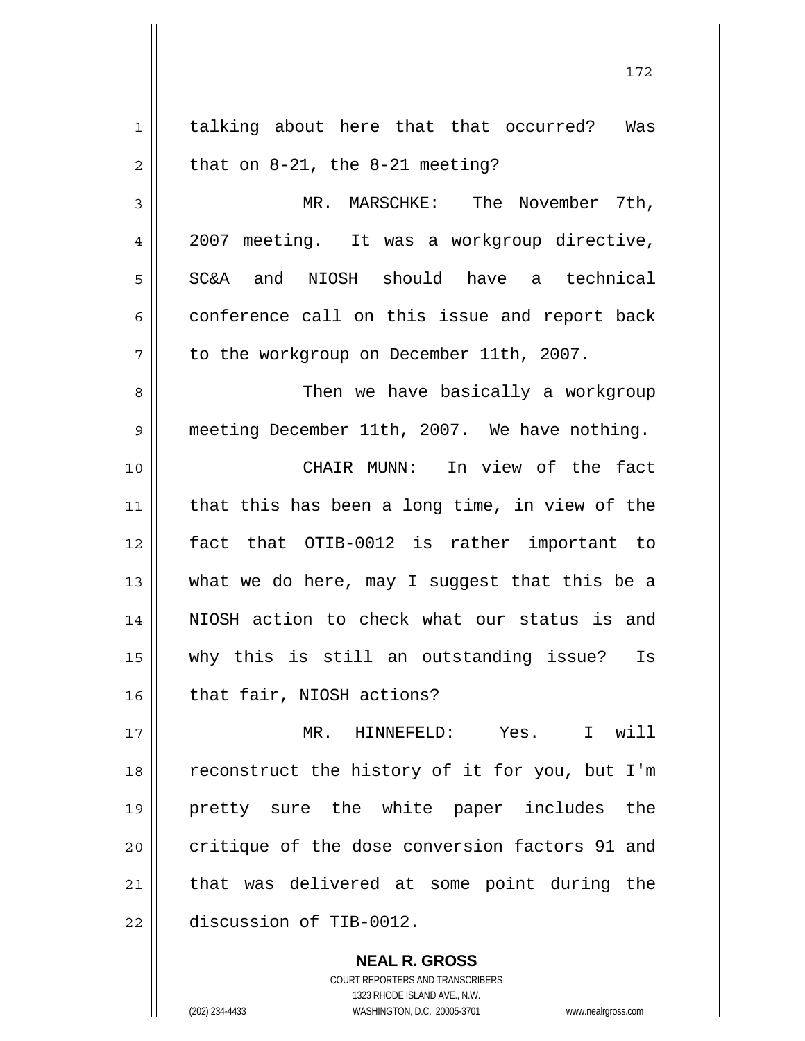1 talking about here that that occurred? Was  $2 \parallel$  that on 8-21, the 8-21 meeting? 3 | MR. MARSCHKE: The November 7th, 4 || 2007 meeting. It was a workgroup directive, 5 SC&A and NIOSH should have a technical  $6 \parallel$  conference call on this issue and report back 7 | to the workgroup on December 11th, 2007. 8 Then we have basically a workgroup 9 | meeting December 11th, 2007. We have nothing. 10 CHAIR MUNN: In view of the fact 11 that this has been a long time, in view of the 12 fact that OTIB-0012 is rather important to 13  $\parallel$  what we do here, may I suggest that this be a 14 NIOSH action to check what our status is and 15 why this is still an outstanding issue? Is 16 || that fair, NIOSH actions? 17 MR. HINNEFELD: Yes. I will 18 || reconstruct the history of it for you, but I'm 19 pretty sure the white paper includes the 20 || critique of the dose conversion factors 91 and 21 || that was delivered at some point during the 22 discussion of TIB-0012.

172

 **NEAL R. GROSS** COURT REPORTERS AND TRANSCRIBERS 1323 RHODE ISLAND AVE., N.W. (202) 234-4433 WASHINGTON, D.C. 20005-3701 www.nealrgross.com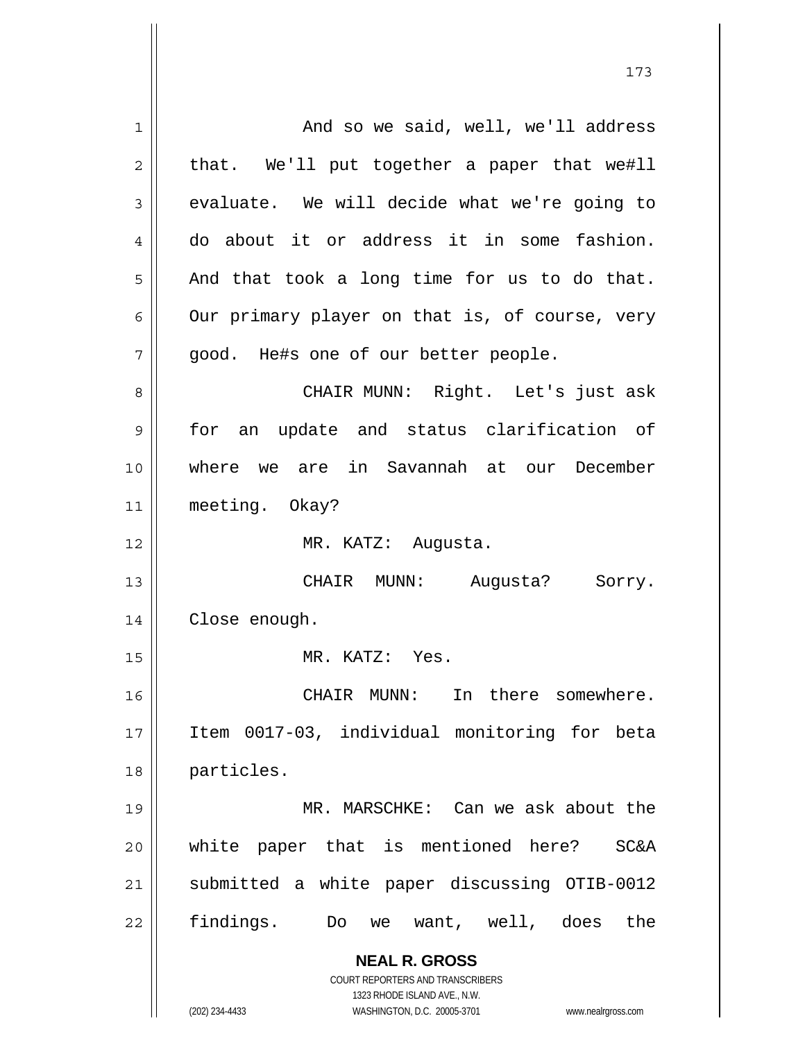**NEAL R. GROSS** COURT REPORTERS AND TRANSCRIBERS 1323 RHODE ISLAND AVE., N.W. (202) 234-4433 WASHINGTON, D.C. 20005-3701 www.nealrgross.com 1 | And so we said, well, we'll address  $2 \parallel$  that. We'll put together a paper that we#ll  $3 \parallel$  evaluate. We will decide what we're going to 4 do about it or address it in some fashion.  $5 \parallel$  And that took a long time for us to do that.  $6 \parallel$  Our primary player on that is, of course, very 7 || good. He#s one of our better people. 8 CHAIR MUNN: Right. Let's just ask 9 || for an update and status clarification of 10 where we are in Savannah at our December 11 meeting. Okay? 12 MR. KATZ: Augusta. 13 || CHAIR MUNN: Augusta? Sorry. 14 | Close enough. 15 MR. KATZ: Yes. 16 CHAIR MUNN: In there somewhere. 17 Item 0017-03, individual monitoring for beta 18 particles. 19 MR. MARSCHKE: Can we ask about the 20 white paper that is mentioned here? SC&A 21 || submitted a white paper discussing OTIB-0012  $22$  || findings. Do we want, well, does the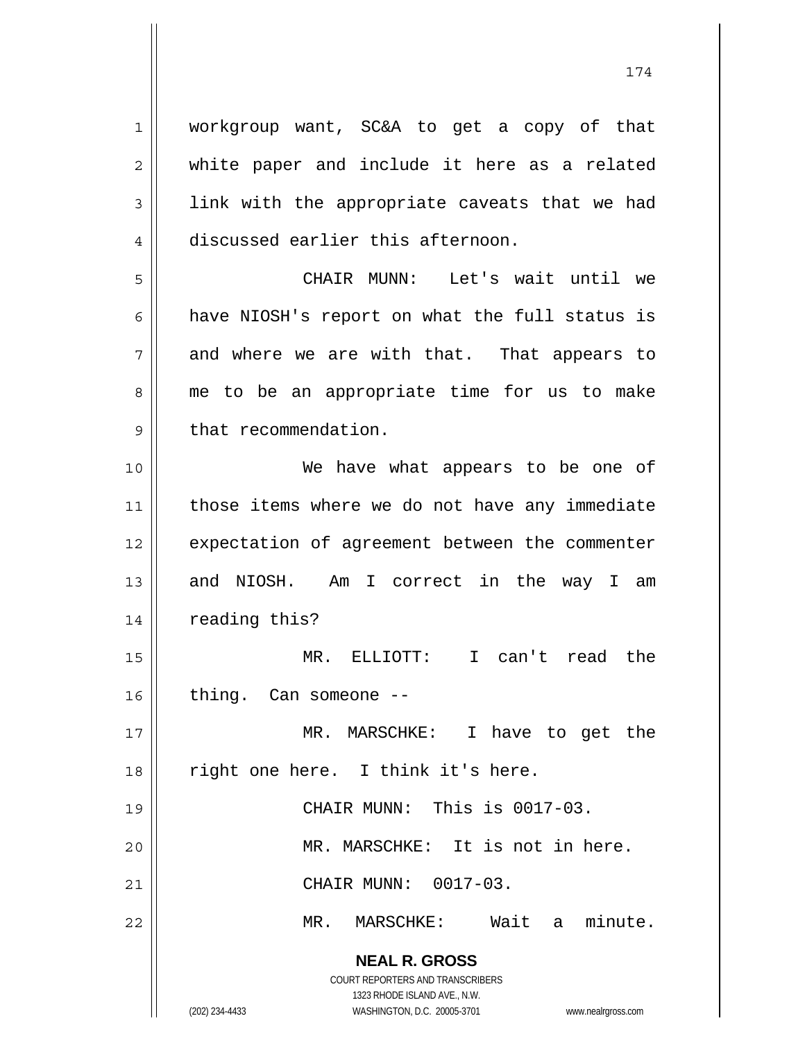**NEAL R. GROSS** COURT REPORTERS AND TRANSCRIBERS 1323 RHODE ISLAND AVE., N.W. 1 || workgroup want, SC&A to get a copy of that 2 white paper and include it here as a related  $3$  ||  $\cdot$  link with the appropriate caveats that we had 4 discussed earlier this afternoon. 5 CHAIR MUNN: Let's wait until we  $6$  have NIOSH's report on what the full status is  $7 \parallel$  and where we are with that. That appears to 8 me to be an appropriate time for us to make 9 | that recommendation. 10 || We have what appears to be one of 11 || those items where we do not have any immediate 12 || expectation of agreement between the commenter 13 || and NIOSH. Am I correct in the way I am 14 | reading this? 15 MR. ELLIOTT: I can't read the  $16$  | thing. Can someone  $-$ 17 MR. MARSCHKE: I have to get the 18 || right one here. I think it's here. 19 CHAIR MUNN: This is 0017-03. 20 MR. MARSCHKE: It is not in here. 21 CHAIR MUNN: 0017-03. 22 MR. MARSCHKE: Wait a minute.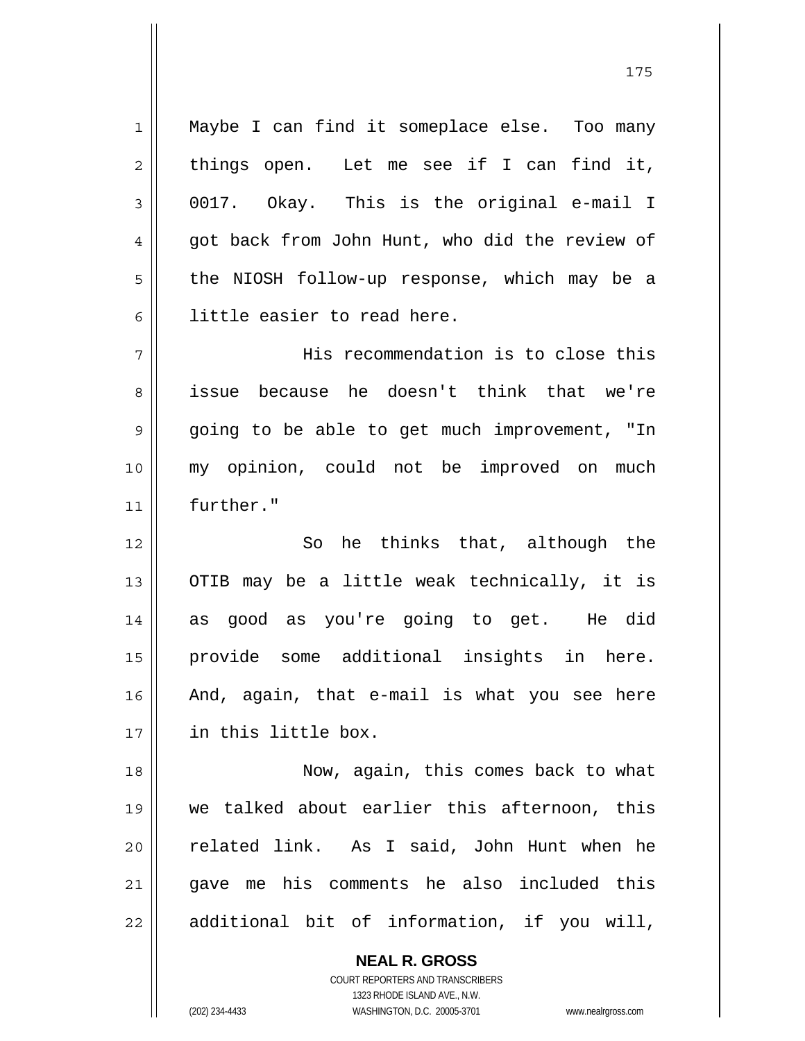1 || Maybe I can find it someplace else. Too many  $2 \parallel$  things open. Let me see if I can find it,  $3 \parallel$  0017. Okay. This is the original e-mail I 4 got back from John Hunt, who did the review of 5 || the NIOSH follow-up response, which may be a 6 little easier to read here. 7 His recommendation is to close this 8 issue because he doesn't think that we're 9 || going to be able to get much improvement, "In 10 my opinion, could not be improved on much 11 further." 12 || So he thinks that, although the 13  $\parallel$  OTIB may be a little weak technically, it is 14 as good as you're going to get. He did 15 provide some additional insights in here. 16  $\parallel$  And, again, that e-mail is what you see here 17 in this little box. 18 || Now, again, this comes back to what 19 we talked about earlier this afternoon, this 20 || related link. As I said, John Hunt when he 21 gave me his comments he also included this  $22$  additional bit of information, if you will,

175

 **NEAL R. GROSS** COURT REPORTERS AND TRANSCRIBERS 1323 RHODE ISLAND AVE., N.W. (202) 234-4433 WASHINGTON, D.C. 20005-3701 www.nealrgross.com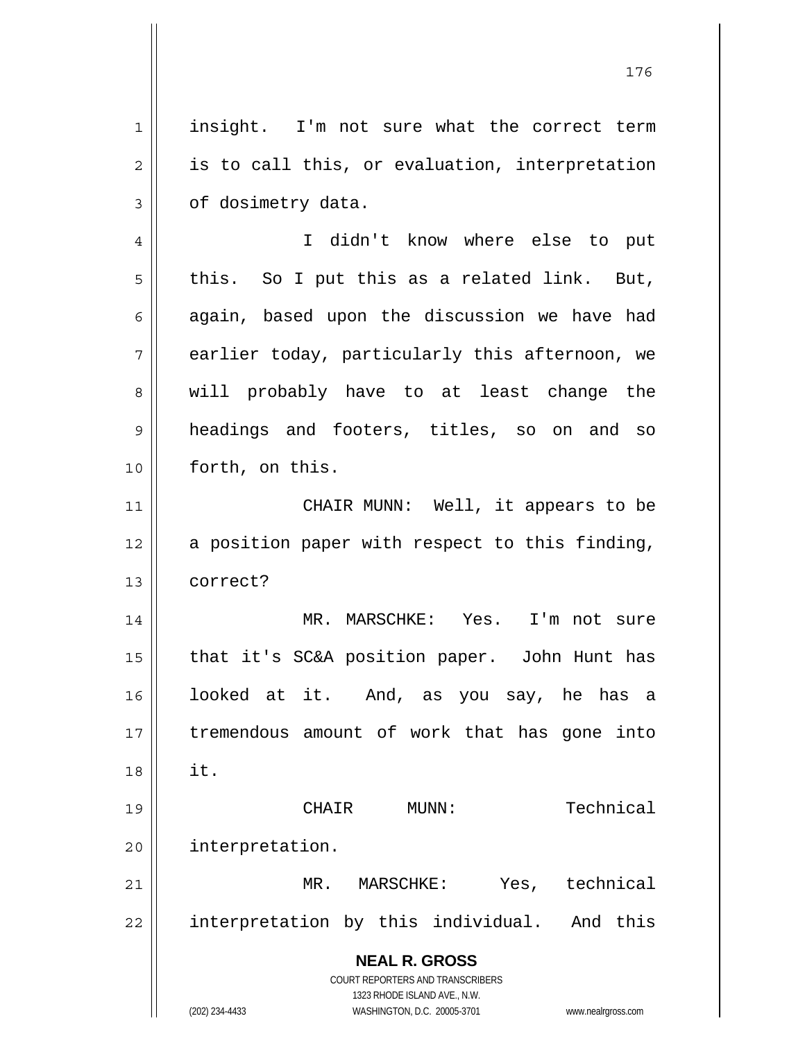**NEAL R. GROSS** COURT REPORTERS AND TRANSCRIBERS 1323 RHODE ISLAND AVE., N.W. (202) 234-4433 WASHINGTON, D.C. 20005-3701 www.nealrgross.com 1 || insight. I'm not sure what the correct term  $2 \parallel$  is to call this, or evaluation, interpretation 3 | of dosimetry data. 4 || I didn't know where else to put  $5 \parallel$  this. So I put this as a related link. But,  $6 \parallel$  again, based upon the discussion we have had  $7 \parallel$  earlier today, particularly this afternoon, we 8 || will probably have to at least change the 9 headings and footers, titles, so on and so 10 || forth, on this. 11 || CHAIR MUNN: Well, it appears to be  $12$  || a position paper with respect to this finding, 13 correct? 14 MR. MARSCHKE: Yes. I'm not sure 15 that it's SC&A position paper. John Hunt has 16 looked at it. And, as you say, he has a 17 tremendous amount of work that has gone into 18 it. 19 CHAIR MUNN: Technical 20 | interpretation. 21 MR. MARSCHKE: Yes, technical  $22$  || interpretation by this individual. And this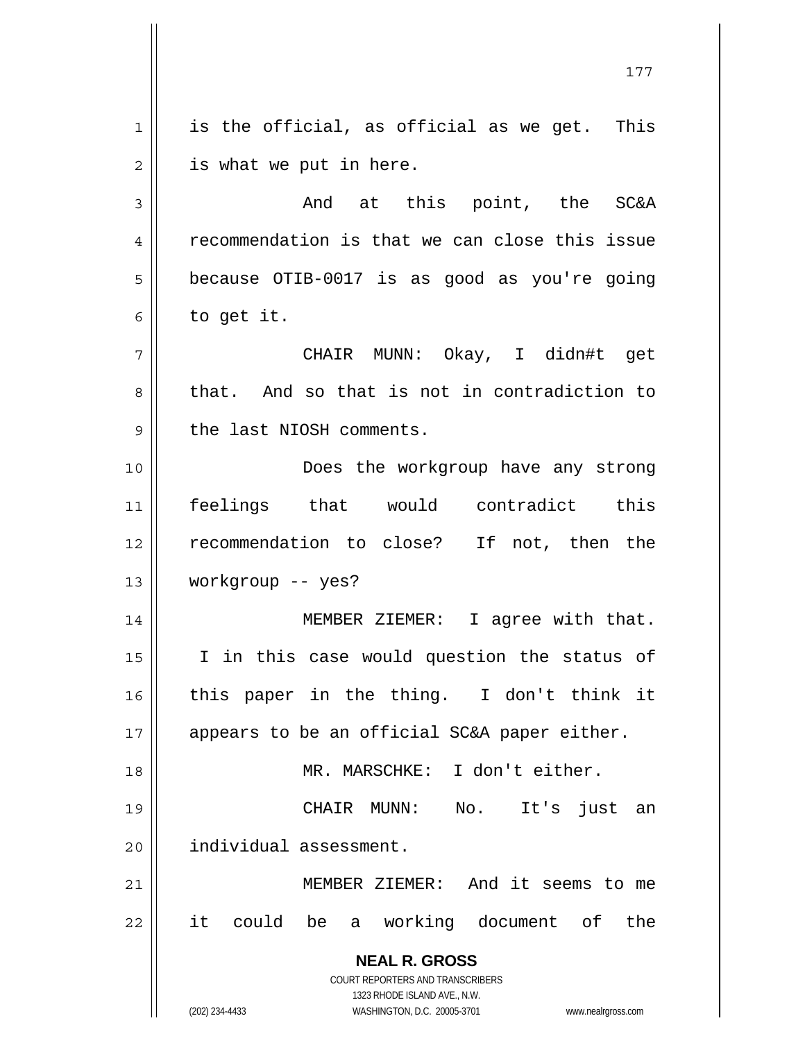**NEAL R. GROSS** COURT REPORTERS AND TRANSCRIBERS 1323 RHODE ISLAND AVE., N.W.  $1 \parallel$  is the official, as official as we get. This  $2 \parallel$  is what we put in here. 3 || The SC&A at this point, the SC&A 4 | recommendation is that we can close this issue  $5 \parallel$  because OTIB-0017 is as good as you're going  $6 \parallel$  to get it. 7 CHAIR MUNN: Okay, I didn#t get 8 that. And so that is not in contradiction to 9 | the last NIOSH comments. 10 || Does the workgroup have any strong 11 feelings that would contradict this 12 recommendation to close? If not, then the 13 workgroup -- yes? 14 MEMBER ZIEMER: I agree with that. 15 || I in this case would question the status of 16 this paper in the thing. I don't think it  $17$  || appears to be an official SC&A paper either. 18 MR. MARSCHKE: I don't either. 19 CHAIR MUNN: No. It's just an 20 | individual assessment. 21 MEMBER ZIEMER: And it seems to me  $22$  it could be a working document of the

177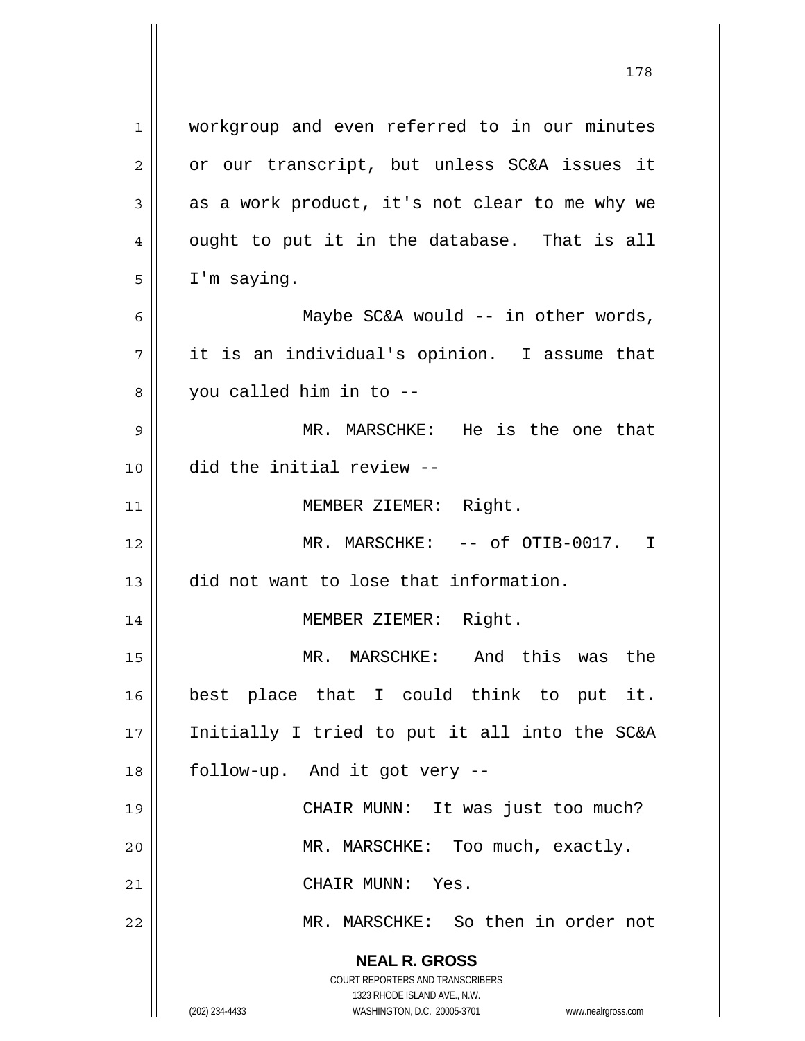| $\mathbf 1$    | workgroup and even referred to in our minutes                                                       |
|----------------|-----------------------------------------------------------------------------------------------------|
| $\overline{2}$ | or our transcript, but unless SC&A issues it                                                        |
| 3              | as a work product, it's not clear to me why we                                                      |
| 4              | ought to put it in the database. That is all                                                        |
| 5              | I'm saying.                                                                                         |
| 6              | Maybe SC&A would $--$ in other words,                                                               |
| 7              | it is an individual's opinion. I assume that                                                        |
| 8              | you called him in to --                                                                             |
| 9              | MR. MARSCHKE: He is the one that                                                                    |
| 10             | did the initial review --                                                                           |
| 11             | MEMBER ZIEMER: Right.                                                                               |
| 12             | MR. MARSCHKE: -- of OTIB-0017. I                                                                    |
| 13             | did not want to lose that information.                                                              |
| 14             | MEMBER ZIEMER: Right.                                                                               |
| 15             | MR. MARSCHKE: And this was the                                                                      |
| 16             | best place that I could think to put it.                                                            |
| 17             | Initially I tried to put it all into the SC&A                                                       |
| 18             | follow-up. And it got very --                                                                       |
| 19             | CHAIR MUNN: It was just too much?                                                                   |
| 20             | MR. MARSCHKE: Too much, exactly.                                                                    |
| 21             | CHAIR MUNN: Yes.                                                                                    |
| 22             | MR. MARSCHKE: So then in order not                                                                  |
|                | <b>NEAL R. GROSS</b>                                                                                |
|                | <b>COURT REPORTERS AND TRANSCRIBERS</b>                                                             |
|                | 1323 RHODE ISLAND AVE., N.W.<br>(202) 234-4433<br>WASHINGTON, D.C. 20005-3701<br>www.nealrgross.com |
|                |                                                                                                     |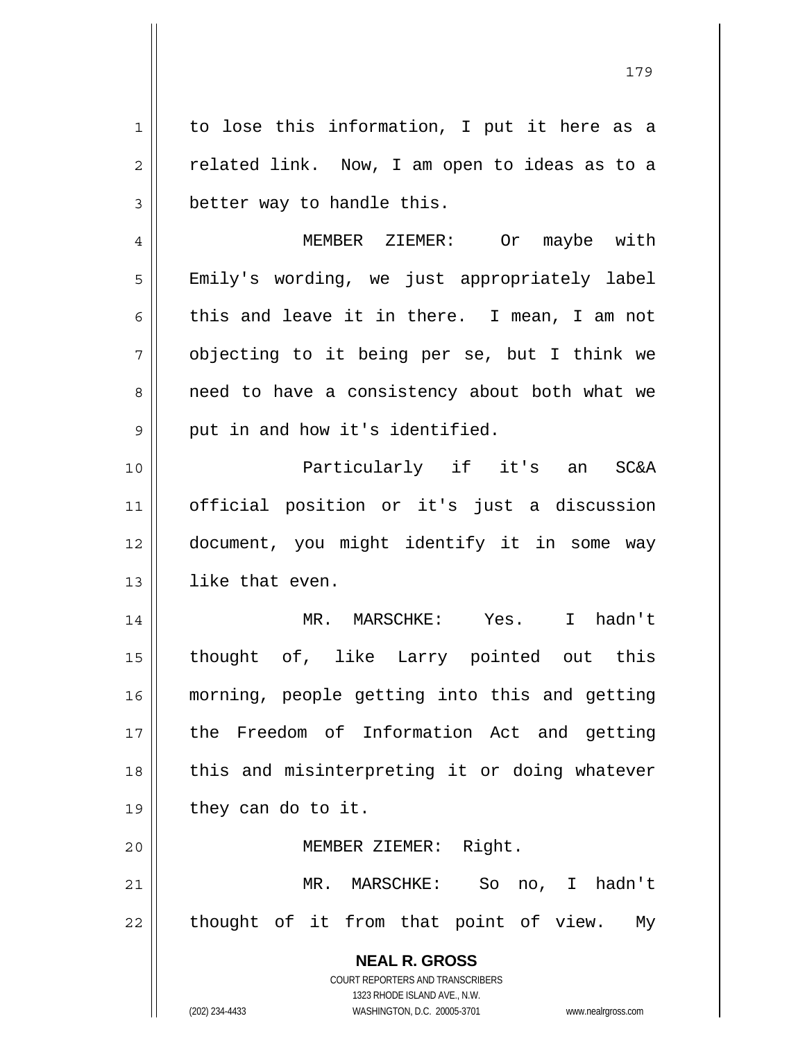**NEAL R. GROSS** COURT REPORTERS AND TRANSCRIBERS 1323 RHODE ISLAND AVE., N.W. 1 || to lose this information, I put it here as a  $2 \parallel$  related link. Now, I am open to ideas as to a  $3 \parallel$  better way to handle this. 4 MEMBER ZIEMER: Or maybe with 5 | Emily's wording, we just appropriately label 6  $\parallel$  this and leave it in there. I mean, I am not 7 objecting to it being per se, but I think we 8 || need to have a consistency about both what we  $9 \parallel$  put in and how it's identified. 10 Particularly if it's an SC&A 11 official position or it's just a discussion 12 document, you might identify it in some way 13 || like that even. 14 MR. MARSCHKE: Yes. I hadn't 15 thought of, like Larry pointed out this 16 morning, people getting into this and getting 17 the Freedom of Information Act and getting 18 || this and misinterpreting it or doing whatever  $19 \parallel$  they can do to it. 20 || **MEMBER ZIEMER:** Right. 21 MR. MARSCHKE: So no, I hadn't  $22$  || thought of it from that point of view. My

(202) 234-4433 WASHINGTON, D.C. 20005-3701 www.nealrgross.com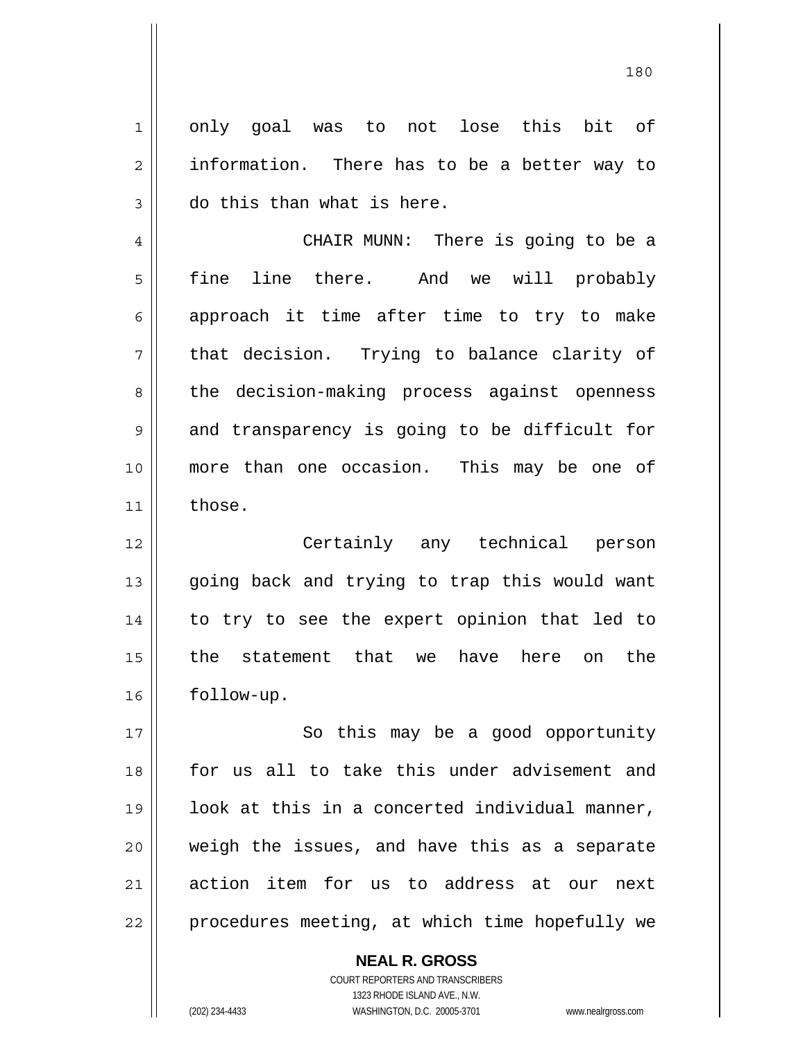1| only goal was to not lose this bit of  $2 \parallel$  information. There has to be a better way to 3 || do this than what is here.

4 CHAIR MUNN: There is going to be a 5 fine line there. And we will probably  $6 \parallel$  approach it time after time to try to make  $7 \parallel$  that decision. Trying to balance clarity of 8 || the decision-making process against openness  $9 \parallel$  and transparency is going to be difficult for 10 more than one occasion. This may be one of  $11$  those.

12 Certainly any technical person 13 || going back and trying to trap this would want 14 || to try to see the expert opinion that led to 15 the statement that we have here on the 16 follow-up.

17 || So this may be a good opportunity 18 for us all to take this under advisement and 19 || look at this in a concerted individual manner, 20 weigh the issues, and have this as a separate 21 action item for us to address at our next 22 || procedures meeting, at which time hopefully we

> COURT REPORTERS AND TRANSCRIBERS 1323 RHODE ISLAND AVE., N.W. (202) 234-4433 WASHINGTON, D.C. 20005-3701 www.nealrgross.com

 **NEAL R. GROSS**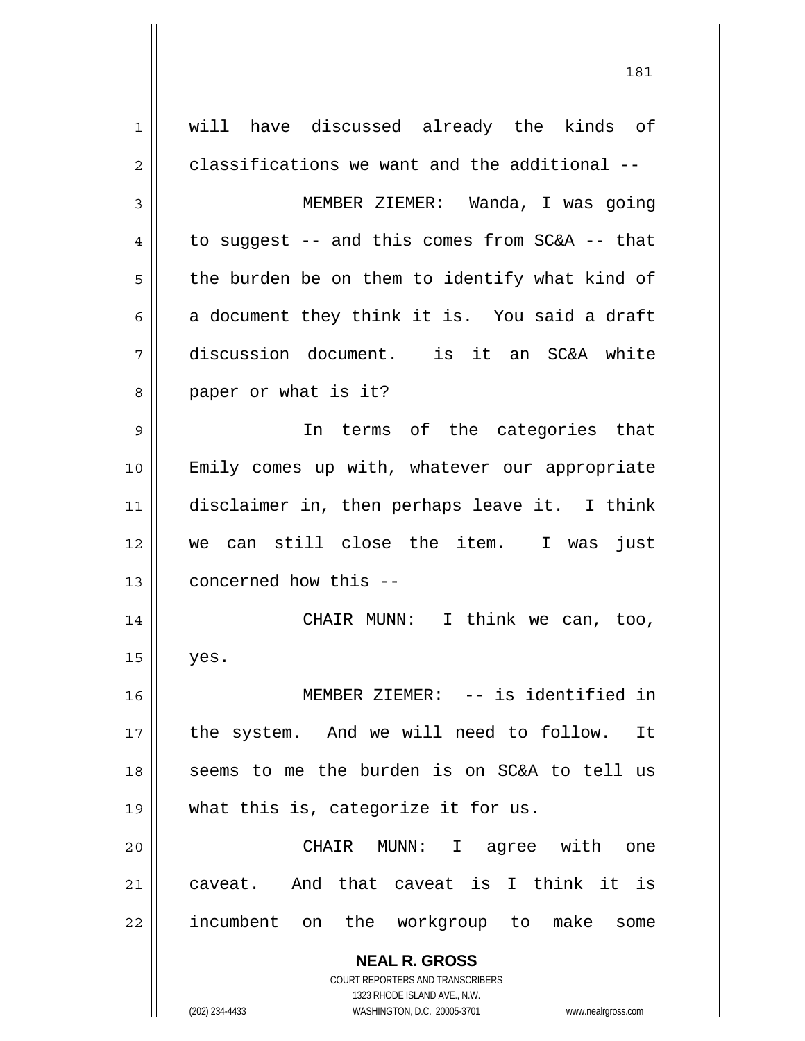**NEAL R. GROSS** COURT REPORTERS AND TRANSCRIBERS 1323 RHODE ISLAND AVE., N.W. 1 || will have discussed already the kinds of  $2 \parallel$  classifications we want and the additional --3 MEMBER ZIEMER: Wanda, I was going  $4 \parallel$  to suggest -- and this comes from SC&A -- that  $5 \parallel$  the burden be on them to identify what kind of 6 a document they think it is. You said a draft 7 discussion document. is it an SC&A white 8 || paper or what is it? 9 In terms of the categories that 10 Emily comes up with, whatever our appropriate 11 disclaimer in, then perhaps leave it. I think 12 we can still close the item. I was just 13 concerned how this -- 14 CHAIR MUNN: I think we can, too,  $15 \parallel$  yes. 16 MEMBER ZIEMER: -- is identified in 17 the system. And we will need to follow. It 18 || seems to me the burden is on SC&A to tell us 19 what this is, categorize it for us. 20 CHAIR MUNN: I agree with one 21 caveat. And that caveat is I think it is 22 || incumbent on the workgroup to make some

181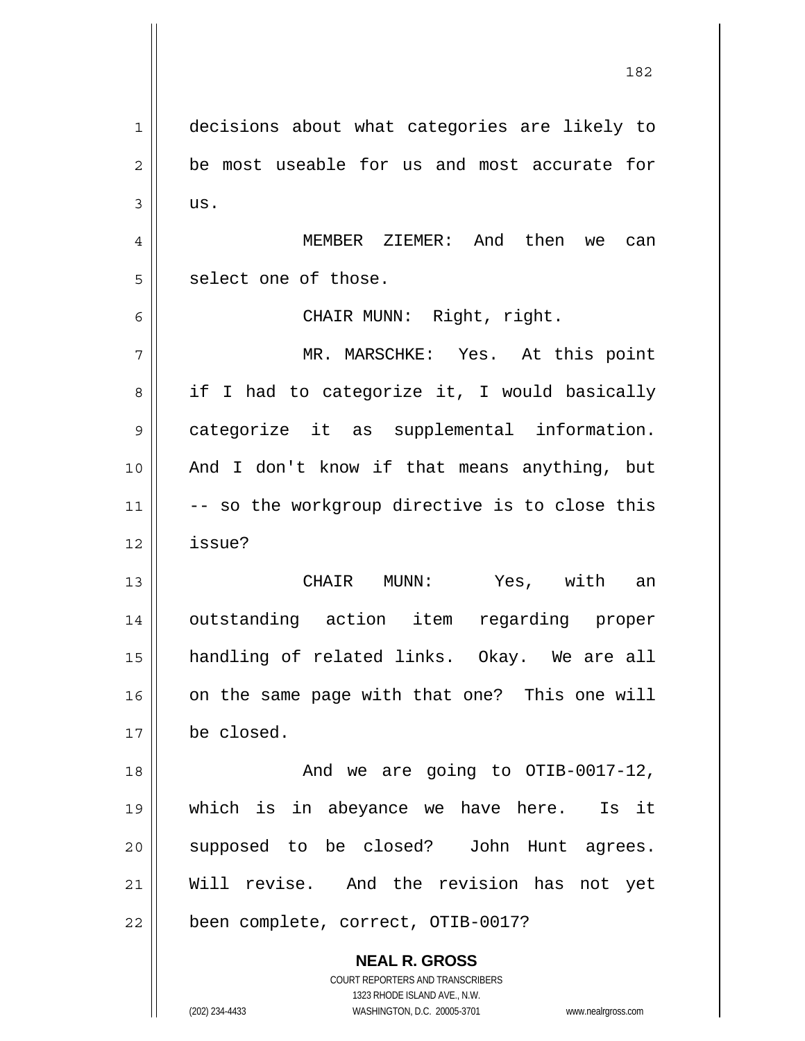**NEAL R. GROSS** COURT REPORTERS AND TRANSCRIBERS 1 decisions about what categories are likely to 2 be most useable for us and most accurate for  $3 \parallel$  us. 4 MEMBER ZIEMER: And then we can  $5$  select one of those. 6 CHAIR MUNN: Right, right. 7 || MR. MARSCHKE: Yes. At this point 8 || if I had to categorize it, I would basically 9 categorize it as supplemental information. 10 || And I don't know if that means anything, but  $11$   $\vert$  -- so the workgroup directive is to close this 12 issue? 13 || CHAIR MUNN: Yes, with an 14 outstanding action item regarding proper 15 handling of related links. Okay. We are all 16 || on the same page with that one? This one will 17 be closed. 18 And we are going to OTIB-0017-12, 19 which is in abeyance we have here. Is it 20 || supposed to be closed? John Hunt agrees. 21 Will revise. And the revision has not yet 22 | been complete, correct, OTIB-0017?

182

1323 RHODE ISLAND AVE., N.W.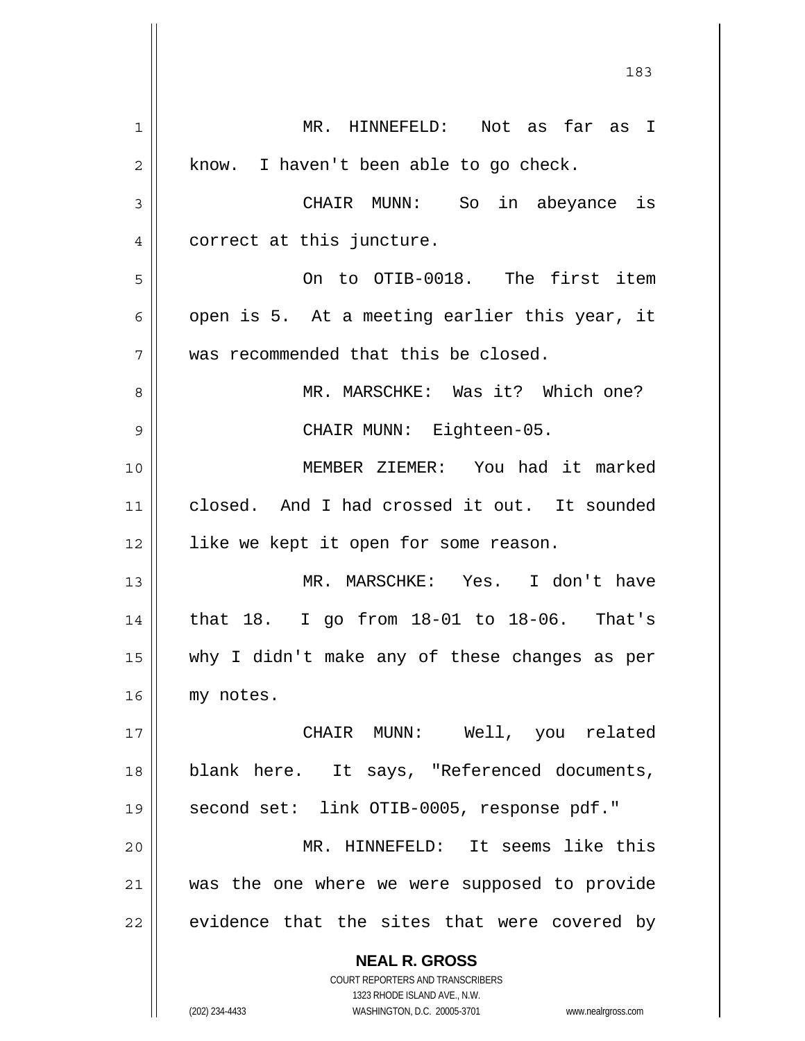**NEAL R. GROSS** COURT REPORTERS AND TRANSCRIBERS 1323 RHODE ISLAND AVE., N.W. 1 MR. HINNEFELD: Not as far as I  $2 \parallel$  know. I haven't been able to go check. 3 CHAIR MUNN: So in abeyance is 4 | correct at this juncture. 5 On to OTIB-0018. The first item 6 || open is 5. At a meeting earlier this year, it 7 || was recommended that this be closed. 8 || MR. MARSCHKE: Was it? Which one? 9 || CHAIR MUNN: Eighteen-05. 10 MEMBER ZIEMER: You had it marked 11 closed. And I had crossed it out. It sounded 12 || like we kept it open for some reason. 13 MR. MARSCHKE: Yes. I don't have 14 that 18. I go from 18-01 to 18-06. That's 15 why I didn't make any of these changes as per 16 my notes. 17 CHAIR MUNN: Well, you related 18 blank here. It says, "Referenced documents, 19 second set: link OTIB-0005, response pdf." 20 MR. HINNEFELD: It seems like this 21 was the one where we were supposed to provide  $22$  || evidence that the sites that were covered by

183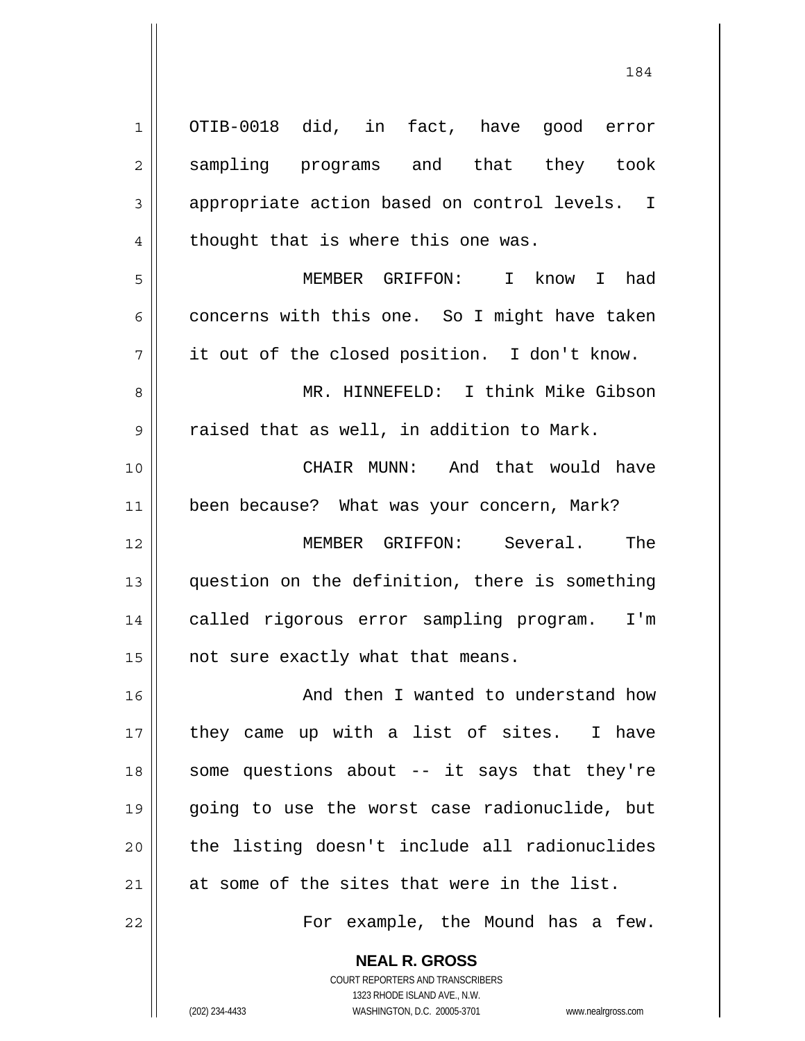1 OTIB-0018 did, in fact, have good error 2 sampling programs and that they took 3 || appropriate action based on control levels. I  $4 \parallel$  thought that is where this one was. 5 MEMBER GRIFFON: I know I had 6 concerns with this one. So I might have taken  $7 \parallel$  it out of the closed position. I don't know. 8 MR. HINNEFELD: I think Mike Gibson  $9 \parallel$  raised that as well, in addition to Mark. 10 CHAIR MUNN: And that would have 11 been because? What was your concern, Mark? 12 MEMBER GRIFFON: Several. The 13 question on the definition, there is something 14 called rigorous error sampling program. I'm 15 || not sure exactly what that means. 16 || And then I wanted to understand how 17 they came up with a list of sites. I have 18 || some questions about -- it says that they're 19 going to use the worst case radionuclide, but 20 || the listing doesn't include all radionuclides 21  $\parallel$  at some of the sites that were in the list. 22 For example, the Mound has a few.

> **NEAL R. GROSS** COURT REPORTERS AND TRANSCRIBERS 1323 RHODE ISLAND AVE., N.W.

(202) 234-4433 WASHINGTON, D.C. 20005-3701 www.nealrgross.com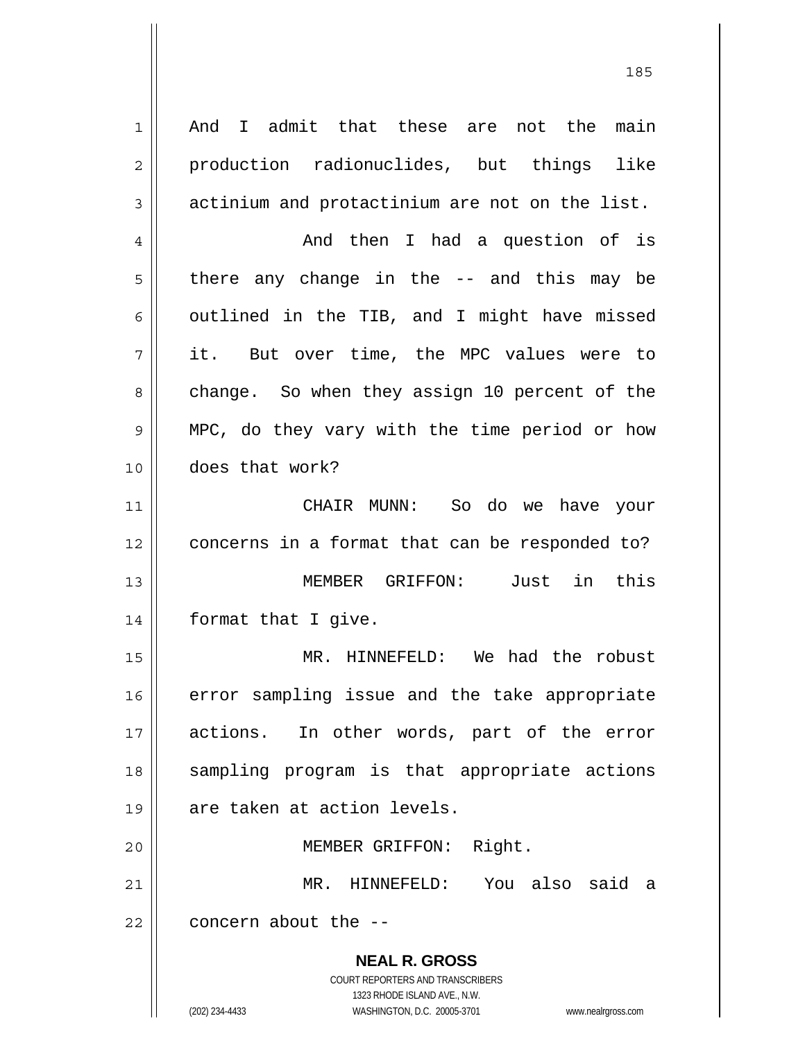**NEAL R. GROSS** 1 || And I admit that these are not the main 2 || production radionuclides, but things like  $3 \parallel$  actinium and protactinium are not on the list. 4 And then I had a question of is  $5 \parallel$  there any change in the -- and this may be  $6 \parallel$  outlined in the TIB, and I might have missed  $7 \parallel$  it. But over time, the MPC values were to 8 change. So when they assign 10 percent of the 9 MPC, do they vary with the time period or how 10 does that work? 11 CHAIR MUNN: So do we have your 12 concerns in a format that can be responded to? 13 MEMBER GRIFFON: Just in this 14 || format that I give. 15 MR. HINNEFELD: We had the robust 16 error sampling issue and the take appropriate 17 actions. In other words, part of the error 18 || sampling program is that appropriate actions 19 are taken at action levels. 20 || MEMBER GRIFFON: Right. 21 MR. HINNEFELD: You also said a  $22$  | concern about the  $-$ 

> COURT REPORTERS AND TRANSCRIBERS 1323 RHODE ISLAND AVE., N.W.

(202) 234-4433 WASHINGTON, D.C. 20005-3701 www.nealrgross.com

<u>185</u>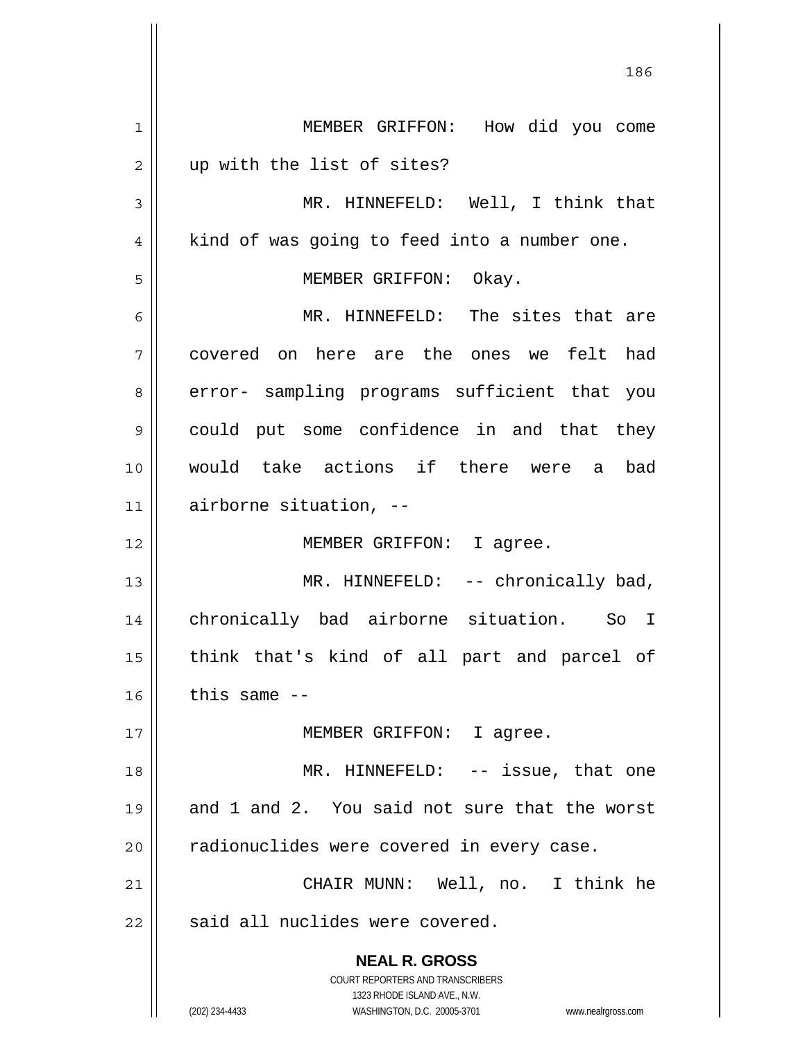**NEAL R. GROSS** COURT REPORTERS AND TRANSCRIBERS 1323 RHODE ISLAND AVE., N.W. (202) 234-4433 WASHINGTON, D.C. 20005-3701 www.nealrgross.com 1 MEMBER GRIFFON: How did you come 2 || up with the list of sites? 3 MR. HINNEFELD: Well, I think that 4 || kind of was going to feed into a number one. 5 || MEMBER GRIFFON: Okay. 6 MR. HINNEFELD: The sites that are 7 covered on here are the ones we felt had 8 error- sampling programs sufficient that you 9 could put some confidence in and that they 10 would take actions if there were a bad 11 airborne situation, -- 12 || MEMBER GRIFFON: I agree. 13 || MR. HINNEFELD: -- chronically bad, 14 chronically bad airborne situation. So I 15 || think that's kind of all part and parcel of  $16$  this same  $-$ 17 || MEMBER GRIFFON: I agree. 18 || MR. HINNEFELD: -- issue, that one 19 and 1 and 2. You said not sure that the worst 20 || radionuclides were covered in every case. 21 CHAIR MUNN: Well, no. I think he  $22$   $\parallel$  said all nuclides were covered.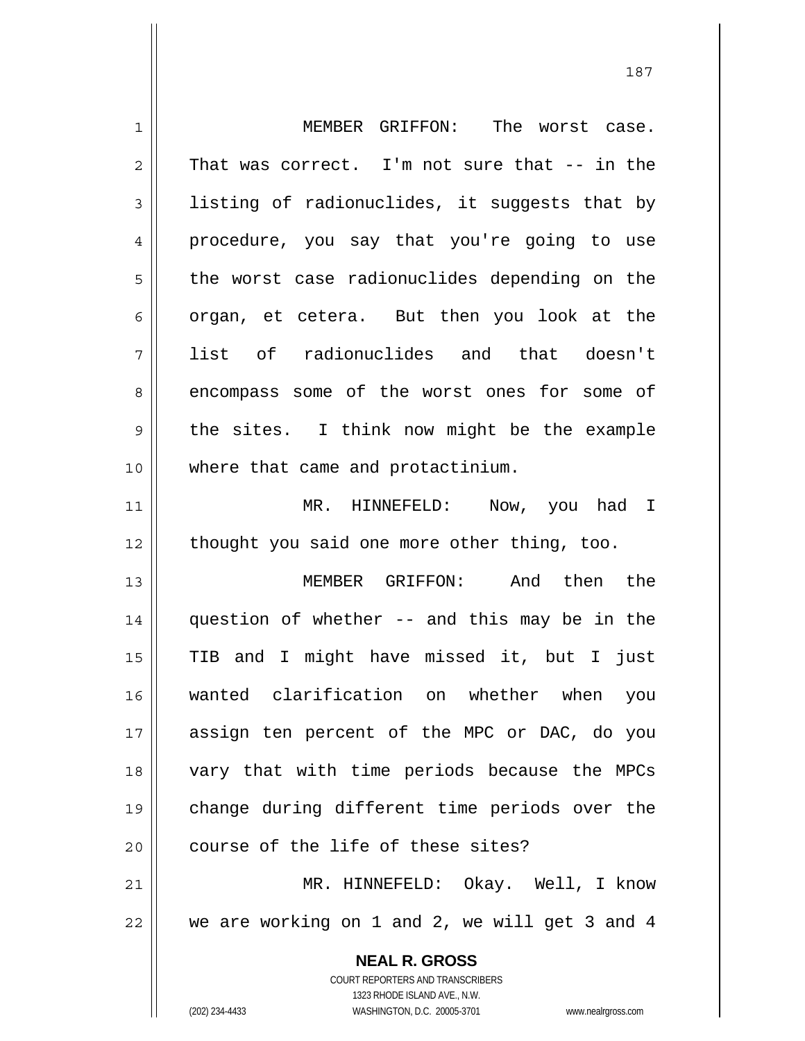| $\mathbf 1$    | MEMBER GRIFFON: The worst case.                                                                     |
|----------------|-----------------------------------------------------------------------------------------------------|
| $\overline{2}$ | That was correct. I'm not sure that -- in the                                                       |
| 3              | listing of radionuclides, it suggests that by                                                       |
| $\overline{4}$ | procedure, you say that you're going to use                                                         |
| 5              | the worst case radionuclides depending on the                                                       |
| 6              | organ, et cetera. But then you look at the                                                          |
| 7              | list of radionuclides and that doesn't                                                              |
| 8              | encompass some of the worst ones for some of                                                        |
| $\mathsf 9$    | the sites. I think now might be the example                                                         |
| 10             | where that came and protactinium.                                                                   |
| 11             | MR. HINNEFELD:<br>Now, you had I                                                                    |
| 12             | thought you said one more other thing, too.                                                         |
|                |                                                                                                     |
| 13             | MEMBER GRIFFON: And then the                                                                        |
| 14             | question of whether -- and this may be in the                                                       |
| 15             | TIB and I might have missed it, but I just                                                          |
| 16             | wanted clarification on whether when you                                                            |
| 17             | assign ten percent of the MPC or DAC, do you                                                        |
| 18             | vary that with time periods because the MPCs                                                        |
| 19             | change during different time periods over the                                                       |
| 20             | course of the life of these sites?                                                                  |
| 21             | MR. HINNEFELD: Okay. Well, I know                                                                   |
| 22             | we are working on 1 and 2, we will get 3 and 4                                                      |
|                | <b>NEAL R. GROSS</b>                                                                                |
|                | COURT REPORTERS AND TRANSCRIBERS                                                                    |
|                | 1323 RHODE ISLAND AVE., N.W.<br>WASHINGTON, D.C. 20005-3701<br>(202) 234-4433<br>www.nealrgross.com |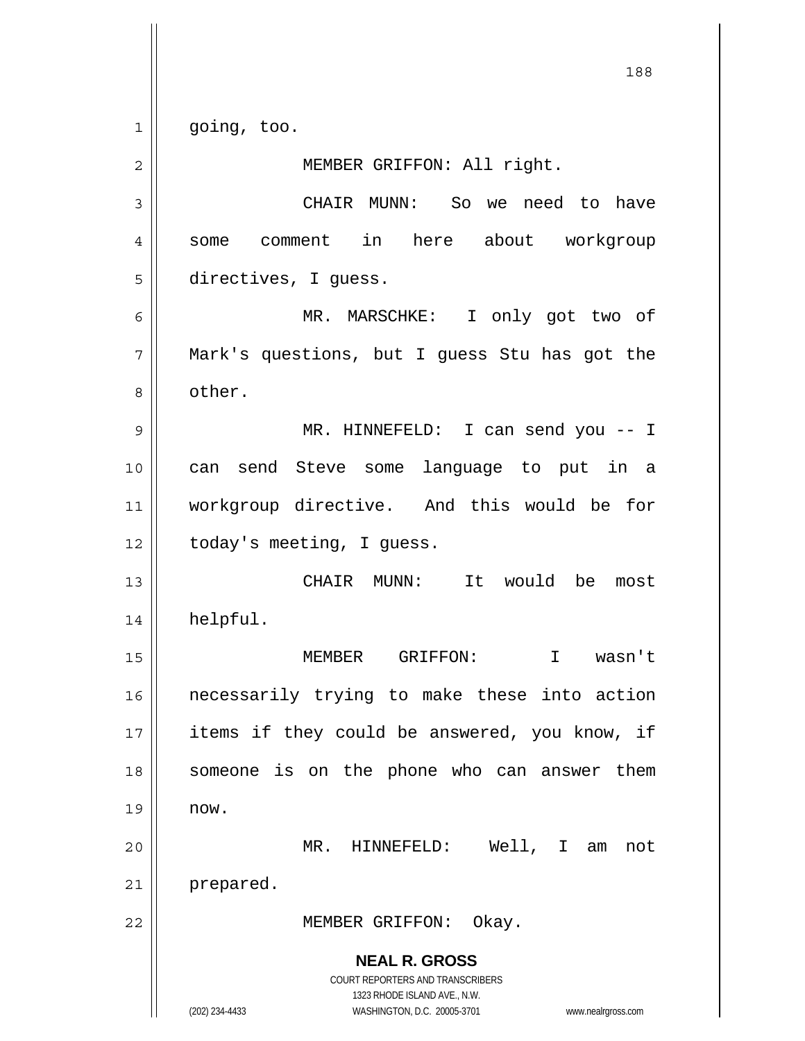**NEAL R. GROSS** COURT REPORTERS AND TRANSCRIBERS 1323 RHODE ISLAND AVE., N.W.  $1 \parallel$  going, too. 2 || MEMBER GRIFFON: All right. 3 CHAIR MUNN: So we need to have 4 some comment in here about workgroup 5 directives, I guess. 6 MR. MARSCHKE: I only got two of 7 Mark's questions, but I guess Stu has got the 8 b other. 9 MR. HINNEFELD: I can send you -- I 10 can send Steve some language to put in a 11 workgroup directive. And this would be for 12 | today's meeting, I guess. 13 CHAIR MUNN: It would be most 14 helpful. 15 MEMBER GRIFFON: I wasn't 16 necessarily trying to make these into action 17 || items if they could be answered, you know, if 18 || someone is on the phone who can answer them 19 now. 20 MR. HINNEFELD: Well, I am not 21 prepared. 22 || MEMBER GRIFFON: Okay.

188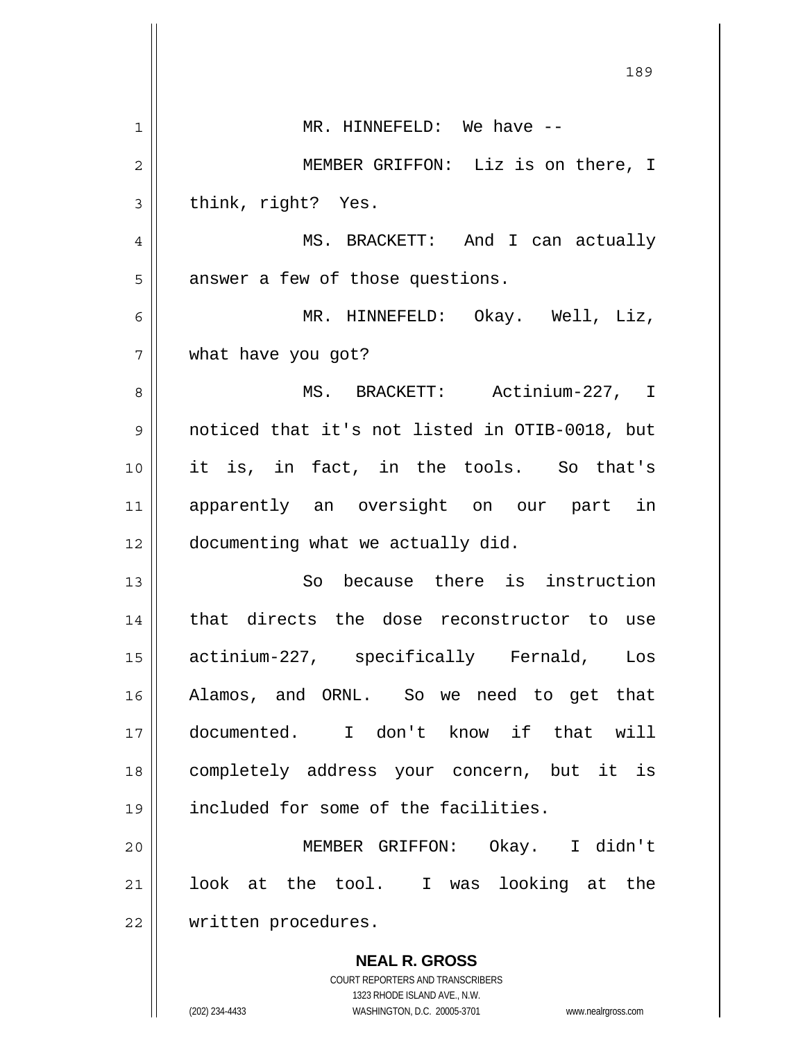|    | 189                                            |
|----|------------------------------------------------|
| 1  | MR. HINNEFELD: We have --                      |
| 2  | MEMBER GRIFFON: Liz is on there, I             |
| 3  | think, right? Yes.                             |
| 4  | MS. BRACKETT: And I can actually               |
| 5  | answer a few of those questions.               |
| 6  | MR. HINNEFELD: Okay. Well, Liz,                |
| 7  | what have you got?                             |
| 8  | MS. BRACKETT: Actinium-227, I                  |
| 9  | noticed that it's not listed in OTIB-0018, but |
| 10 | it is, in fact, in the tools. So that's        |
| 11 | apparently an oversight on our part in         |
| 12 | documenting what we actually did.              |
| 13 | So because there is instruction                |
| 14 | that directs the dose reconstructor to use     |
| 15 | actinium-227, specifically Fernald,<br>Los     |
| 16 | Alamos, and ORNL. So we need to get that       |
| 17 | documented. I don't know if that will          |
| 18 | completely address your concern, but it is     |
| 19 | included for some of the facilities.           |
| 20 | MEMBER GRIFFON: Okay. I didn't                 |
| 21 | look at the tool. I was looking at the         |
| 22 | written procedures.                            |
|    | <b>NEAL R. GROSS</b>                           |

 COURT REPORTERS AND TRANSCRIBERS 1323 RHODE ISLAND AVE., N.W.

 $\prod$ 

 $\mathbf{\mathcal{L}}$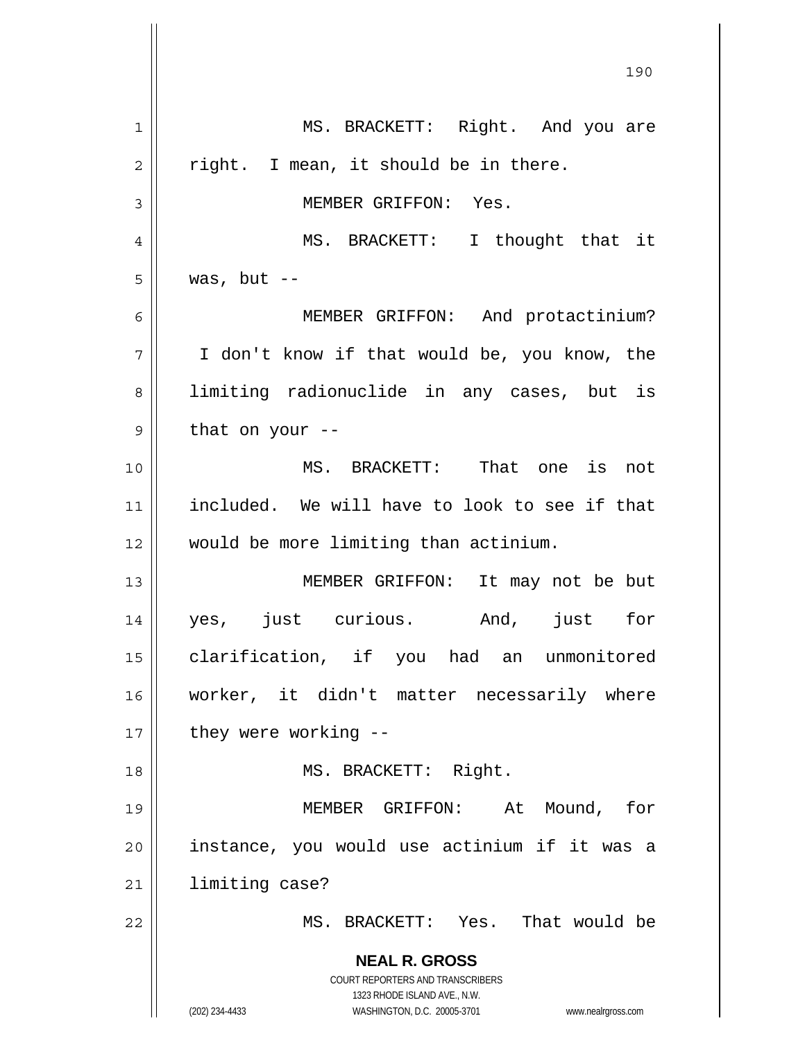|             | 190                                                                 |
|-------------|---------------------------------------------------------------------|
| $\mathbf 1$ | MS. BRACKETT: Right. And you are                                    |
| 2           | right. I mean, it should be in there.                               |
| 3           | MEMBER GRIFFON: Yes.                                                |
| 4           | MS. BRACKETT: I thought that it                                     |
| 5           | was, but $--$                                                       |
| 6           | MEMBER GRIFFON: And protactinium?                                   |
| 7           | I don't know if that would be, you know, the                        |
| 8           | limiting radionuclide in any cases, but is                          |
| 9           | that on your $-$                                                    |
| 10          | MS. BRACKETT: That one is not                                       |
| 11          | included. We will have to look to see if that                       |
| 12          | would be more limiting than actinium.                               |
| 13          | MEMBER GRIFFON: It may not be but                                   |
| 14          | yes, just curious. And, just for                                    |
| 15          | clarification, if you had an unmonitored                            |
| 16          | worker, it didn't matter necessarily where                          |
| 17          | they were working --                                                |
| 18          | MS. BRACKETT: Right.                                                |
| 19          | MEMBER GRIFFON: At Mound,<br>for                                    |
| 20          | instance, you would use actinium if it was a                        |
| 21          | limiting case?                                                      |
| 22          | MS. BRACKETT: Yes. That would be                                    |
|             | <b>NEAL R. GROSS</b><br>COURT REPORTERS AND TRANSCRIBERS            |
|             | 1323 RHODE ISLAND AVE., N.W.                                        |
|             | (202) 234-4433<br>WASHINGTON, D.C. 20005-3701<br>www.nealrgross.com |

 $\mathsf{I}$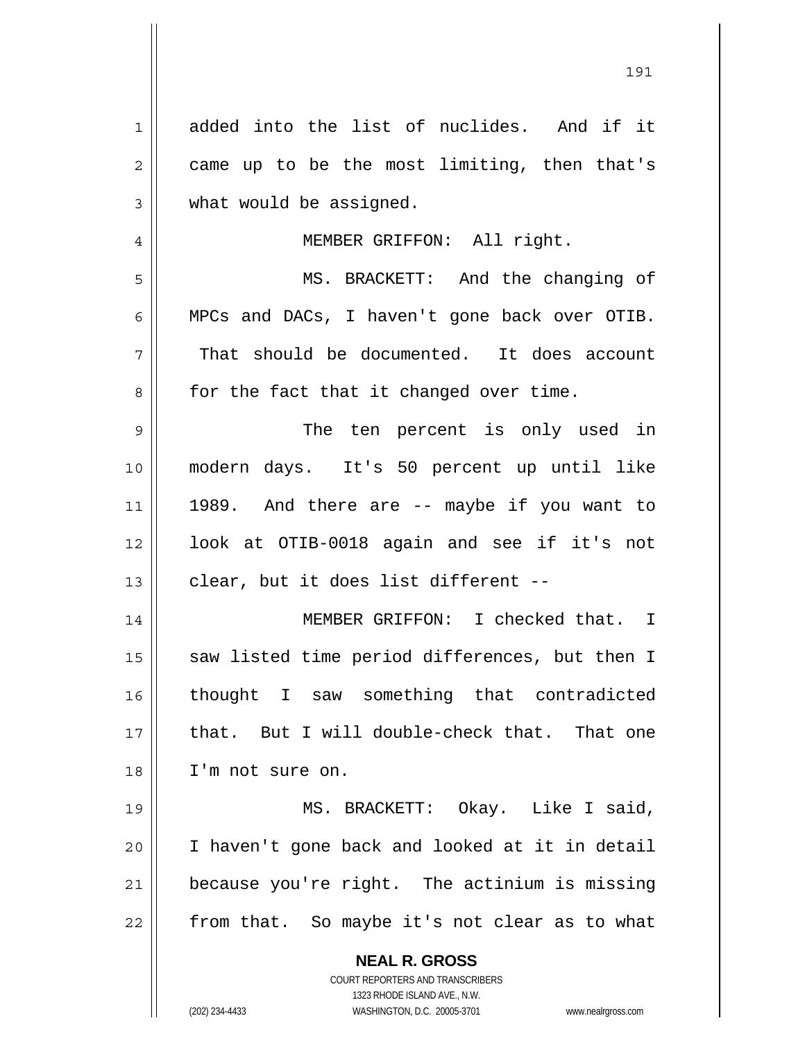| $\mathbf{1}$ | added into the list of nuclides. And if it                                                          |
|--------------|-----------------------------------------------------------------------------------------------------|
| 2            | came up to be the most limiting, then that's                                                        |
| $\mathsf 3$  | what would be assigned.                                                                             |
| 4            | MEMBER GRIFFON: All right.                                                                          |
| 5            | MS. BRACKETT: And the changing of                                                                   |
| 6            | MPCs and DACs, I haven't gone back over OTIB.                                                       |
| 7            | That should be documented. It does account                                                          |
| 8            | for the fact that it changed over time.                                                             |
| 9            | The ten percent is only used in                                                                     |
|              |                                                                                                     |
| 10           | modern days. It's 50 percent up until like                                                          |
| 11           | 1989. And there are -- maybe if you want to                                                         |
| 12           | look at OTIB-0018 again and see if it's not                                                         |
| 13           | clear, but it does list different --                                                                |
| 14           | MEMBER GRIFFON: I checked that. I                                                                   |
| 15           | saw listed time period differences, but then I                                                      |
| 16           | thought I saw something that contradicted                                                           |
| 17           | that. But I will double-check that. That one                                                        |
| 18           | I'm not sure on.                                                                                    |
| 19           | MS. BRACKETT: Okay. Like I said,                                                                    |
| 20           | I haven't gone back and looked at it in detail                                                      |
| 21           | because you're right. The actinium is missing                                                       |
| 22           | from that. So maybe it's not clear as to what                                                       |
|              | <b>NEAL R. GROSS</b>                                                                                |
|              | COURT REPORTERS AND TRANSCRIBERS                                                                    |
|              | 1323 RHODE ISLAND AVE., N.W.<br>(202) 234-4433<br>WASHINGTON, D.C. 20005-3701<br>www.nealrgross.com |
|              |                                                                                                     |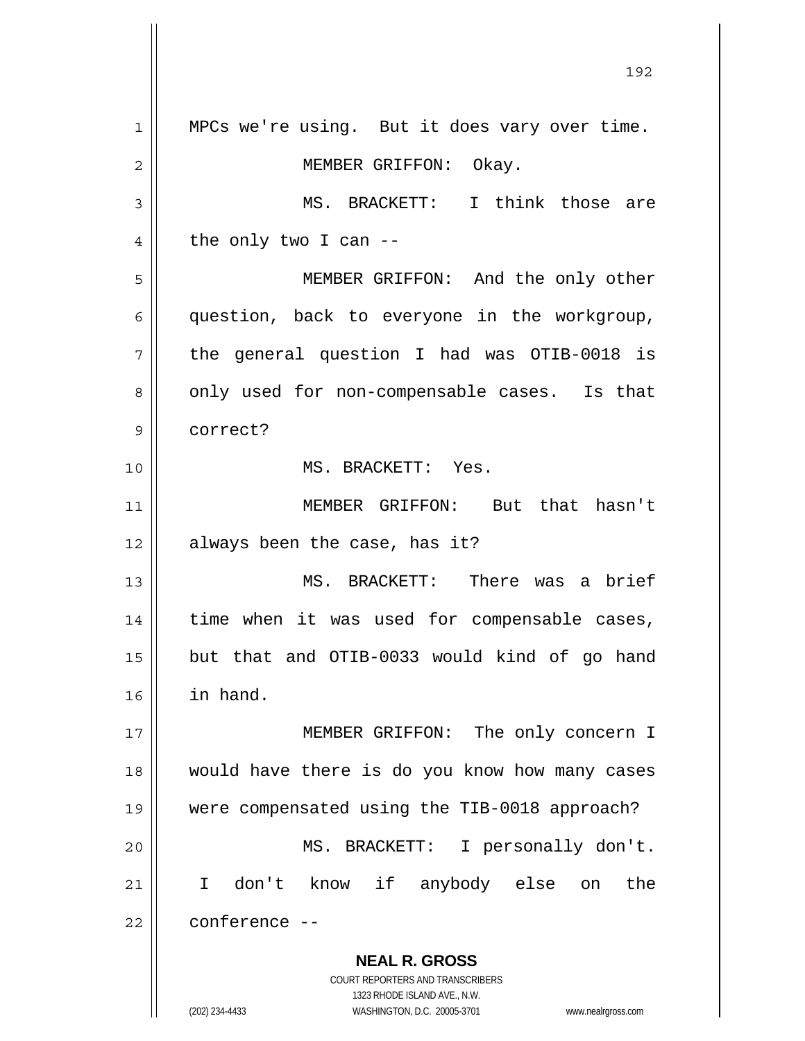**NEAL R. GROSS** COURT REPORTERS AND TRANSCRIBERS 1323 RHODE ISLAND AVE., N.W. 1 || MPCs we're using. But it does vary over time. 2 || MEMBER GRIFFON: Okay. 3 MS. BRACKETT: I think those are  $4 \parallel$  the only two I can --5 MEMBER GRIFFON: And the only other 6 question, back to everyone in the workgroup,  $7 \parallel$  the general question I had was OTIB-0018 is 8 || only used for non-compensable cases. Is that 9 correct? 10 MS. BRACKETT: Yes. 11 MEMBER GRIFFON: But that hasn't  $12$  | always been the case, has it? 13 MS. BRACKETT: There was a brief 14 || time when it was used for compensable cases, 15 || but that and OTIB-0033 would kind of go hand 16 in hand. 17 MEMBER GRIFFON: The only concern I 18 would have there is do you know how many cases 19 were compensated using the TIB-0018 approach? 20 MS. BRACKETT: I personally don't. 21 I don't know if anybody else on the 22 conference --

192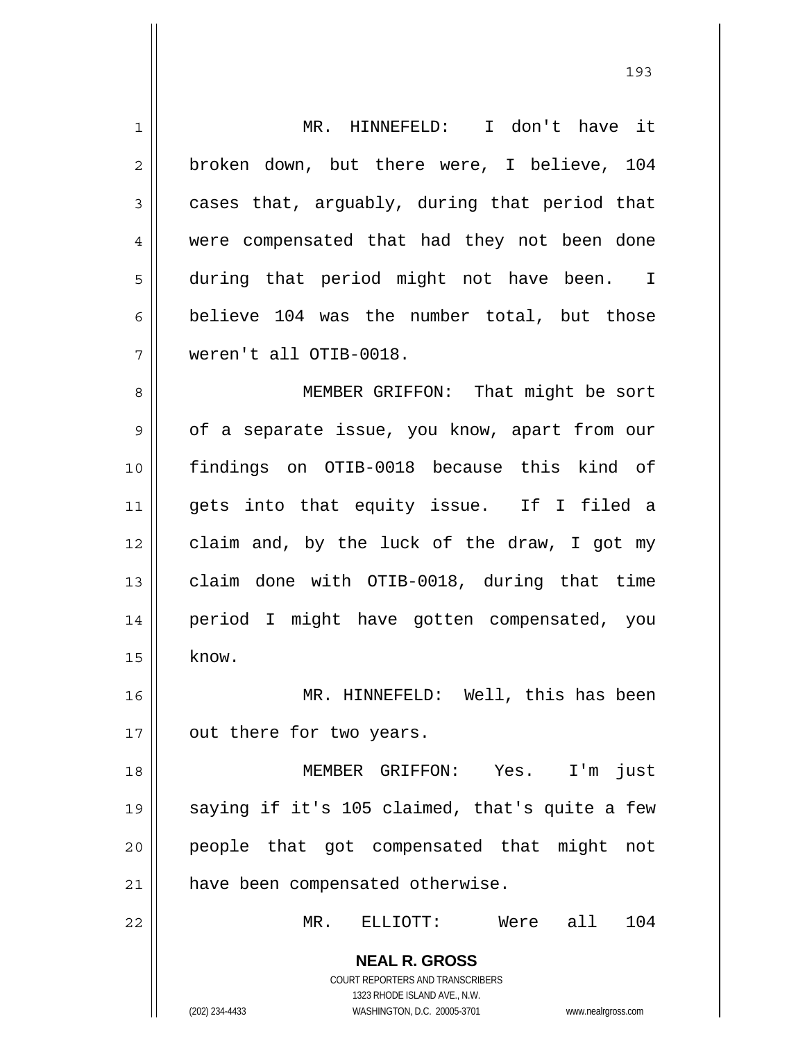| 1              | MR. HINNEFELD: I don't have it                                                                      |
|----------------|-----------------------------------------------------------------------------------------------------|
| $\overline{2}$ | broken down, but there were, I believe, 104                                                         |
| 3              | cases that, arguably, during that period that                                                       |
| 4              | were compensated that had they not been done                                                        |
| 5              | during that period might not have been. I                                                           |
| 6              | believe 104 was the number total, but those                                                         |
| 7              | weren't all OTIB-0018.                                                                              |
| 8              | MEMBER GRIFFON: That might be sort                                                                  |
| $\mathsf 9$    | of a separate issue, you know, apart from our                                                       |
| 10             | findings on OTIB-0018 because this kind of                                                          |
| 11             | gets into that equity issue. If I filed a                                                           |
| 12             | claim and, by the luck of the draw, I got my                                                        |
| 13             | claim done with OTIB-0018, during that time                                                         |
| 14             | period I might have gotten compensated, you                                                         |
| 15             | know.                                                                                               |
| 16             | MR. HINNEFELD: Well, this has been                                                                  |
| 17             | out there for two years.                                                                            |
| 18             | MEMBER GRIFFON: Yes.<br>just<br>I'm                                                                 |
| 19             | saying if it's 105 claimed, that's quite a few                                                      |
| 20             | people that got compensated that might<br>not                                                       |
| 21             | have been compensated otherwise.                                                                    |
| 22             | 104<br>MR.<br>ELLIOTT:<br>Were all                                                                  |
|                | <b>NEAL R. GROSS</b>                                                                                |
|                | <b>COURT REPORTERS AND TRANSCRIBERS</b>                                                             |
|                | 1323 RHODE ISLAND AVE., N.W.<br>(202) 234-4433<br>WASHINGTON, D.C. 20005-3701<br>www.nealrgross.com |
|                |                                                                                                     |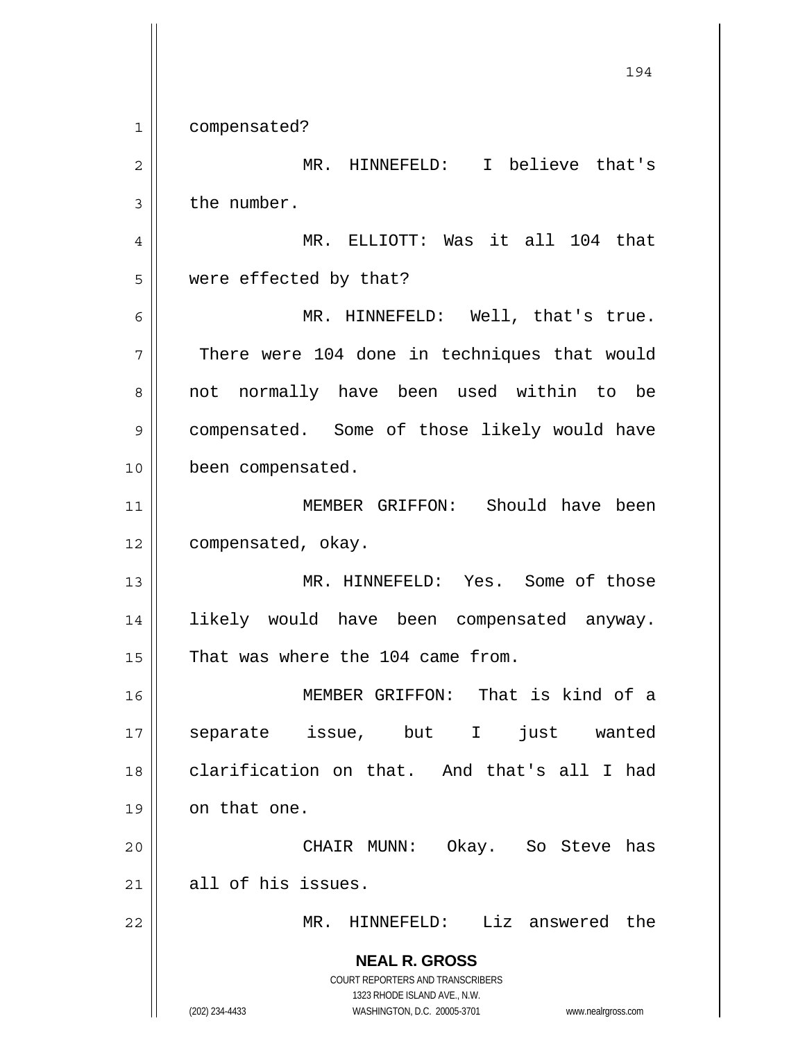**NEAL R. GROSS** COURT REPORTERS AND TRANSCRIBERS 1323 RHODE ISLAND AVE., N.W. (202) 234-4433 WASHINGTON, D.C. 20005-3701 www.nealrgross.com 194 1 | compensated? 2 MR. HINNEFELD: I believe that's  $3 \parallel$  the number. 4 MR. ELLIOTT: Was it all 104 that 5 were effected by that? 6 MR. HINNEFELD: Well, that's true.  $7$  There were 104 done in techniques that would 8 || not normally have been used within to be 9 | compensated. Some of those likely would have 10 | been compensated. 11 MEMBER GRIFFON: Should have been 12 | compensated, okay. 13 || MR. HINNEFELD: Yes. Some of those 14 likely would have been compensated anyway. 15 | That was where the 104 came from. 16 MEMBER GRIFFON: That is kind of a 17 separate issue, but I just wanted 18 clarification on that. And that's all I had  $19$  on that one. 20 CHAIR MUNN: Okay. So Steve has  $21$  all of his issues. 22 MR. HINNEFELD: Liz answered the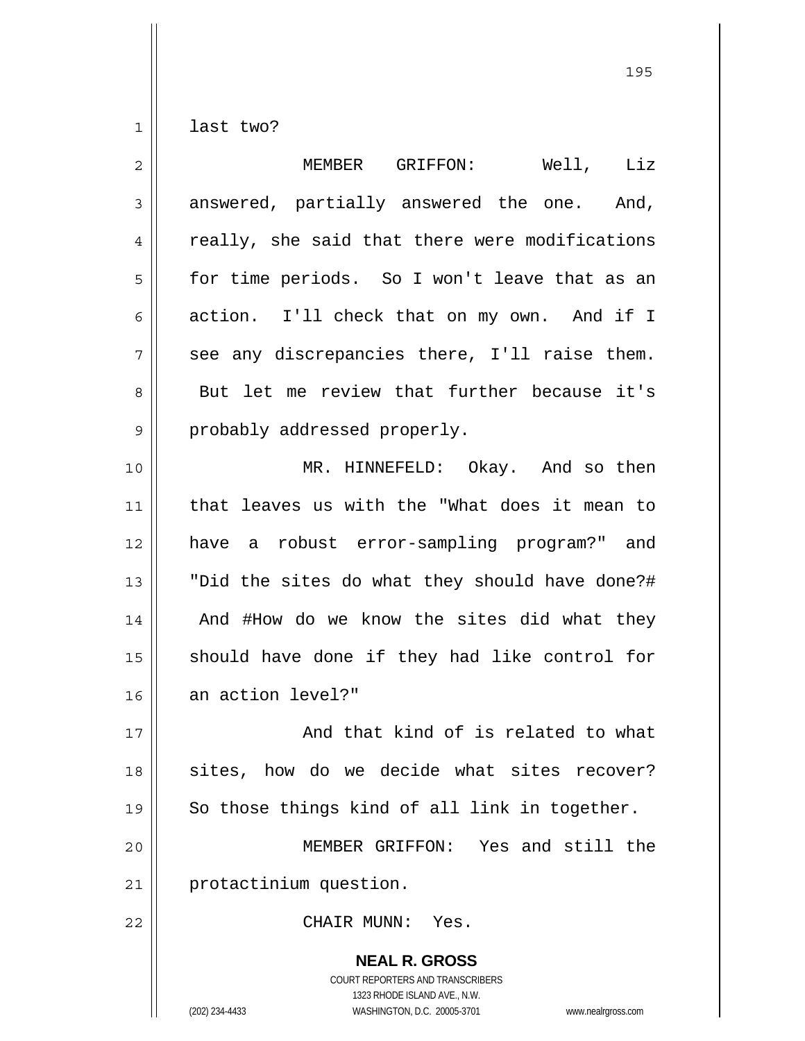$1 \parallel$  last two?

| $\overline{2}$ | Well, Liz<br>MEMBER GRIFFON:                                                                                                                                    |
|----------------|-----------------------------------------------------------------------------------------------------------------------------------------------------------------|
| 3              | answered, partially answered the one. And,                                                                                                                      |
| 4              | really, she said that there were modifications                                                                                                                  |
| 5              | for time periods. So I won't leave that as an                                                                                                                   |
| 6              | action. I'll check that on my own. And if I                                                                                                                     |
| 7              | see any discrepancies there, I'll raise them.                                                                                                                   |
| 8              | But let me review that further because it's                                                                                                                     |
| 9              | probably addressed properly.                                                                                                                                    |
| 10             | MR. HINNEFELD: Okay. And so then                                                                                                                                |
| 11             | that leaves us with the "What does it mean to                                                                                                                   |
| 12             | have a robust error-sampling program?" and                                                                                                                      |
| 13             | "Did the sites do what they should have done?#                                                                                                                  |
| 14             | And #How do we know the sites did what they                                                                                                                     |
| 15             | should have done if they had like control for                                                                                                                   |
| 16             | an action level?"                                                                                                                                               |
| 17             | And that kind of is related to what                                                                                                                             |
| 18             | sites, how do we decide what sites recover?                                                                                                                     |
| 19             | So those things kind of all link in together.                                                                                                                   |
| 20             | MEMBER GRIFFON: Yes and still the                                                                                                                               |
| 21             | protactinium question.                                                                                                                                          |
| 22             | CHAIR MUNN: Yes.                                                                                                                                                |
|                | <b>NEAL R. GROSS</b><br>COURT REPORTERS AND TRANSCRIBERS<br>1323 RHODE ISLAND AVE., N.W.<br>WASHINGTON, D.C. 20005-3701<br>(202) 234-4433<br>www.nealrgross.com |

<u>195</u>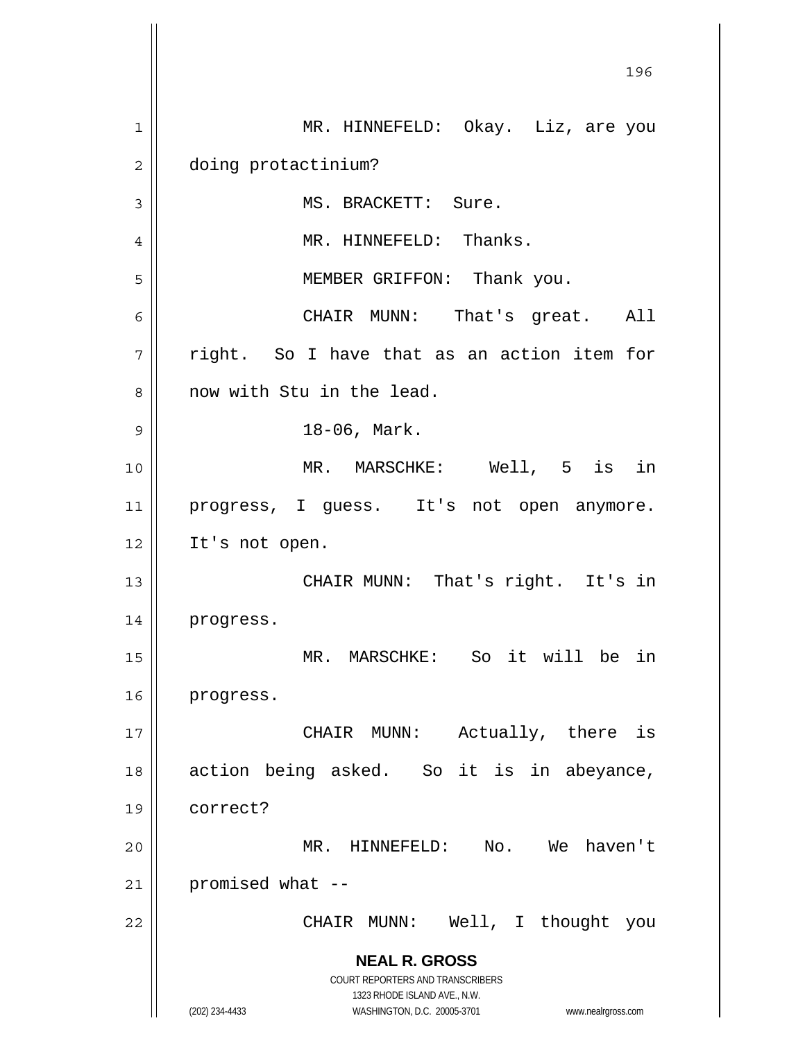**NEAL R. GROSS** COURT REPORTERS AND TRANSCRIBERS 1323 RHODE ISLAND AVE., N.W. (202) 234-4433 WASHINGTON, D.C. 20005-3701 www.nealrgross.com <u>1962 - Johann Amerikaanse konstantine (</u> 1 || MR. HINNEFELD: Okay. Liz, are you 2 doing protactinium? 3 || MS. BRACKETT: Sure. 4 MR. HINNEFELD: Thanks. 5 || MEMBER GRIFFON: Thank you. 6 CHAIR MUNN: That's great. All  $7 \parallel$  right. So I have that as an action item for 8 || now with Stu in the lead. 9 18-06, Mark. 10 MR. MARSCHKE: Well, 5 is in 11 progress, I guess. It's not open anymore. 12 | It's not open. 13 || CHAIR MUNN: That's right. It's in 14 | progress. 15 MR. MARSCHKE: So it will be in 16 progress. 17 || CHAIR MUNN: Actually, there is 18 action being asked. So it is in abeyance, 19 correct? 20 MR. HINNEFELD: No. We haven't  $21$  | promised what  $-$ 22 CHAIR MUNN: Well, I thought you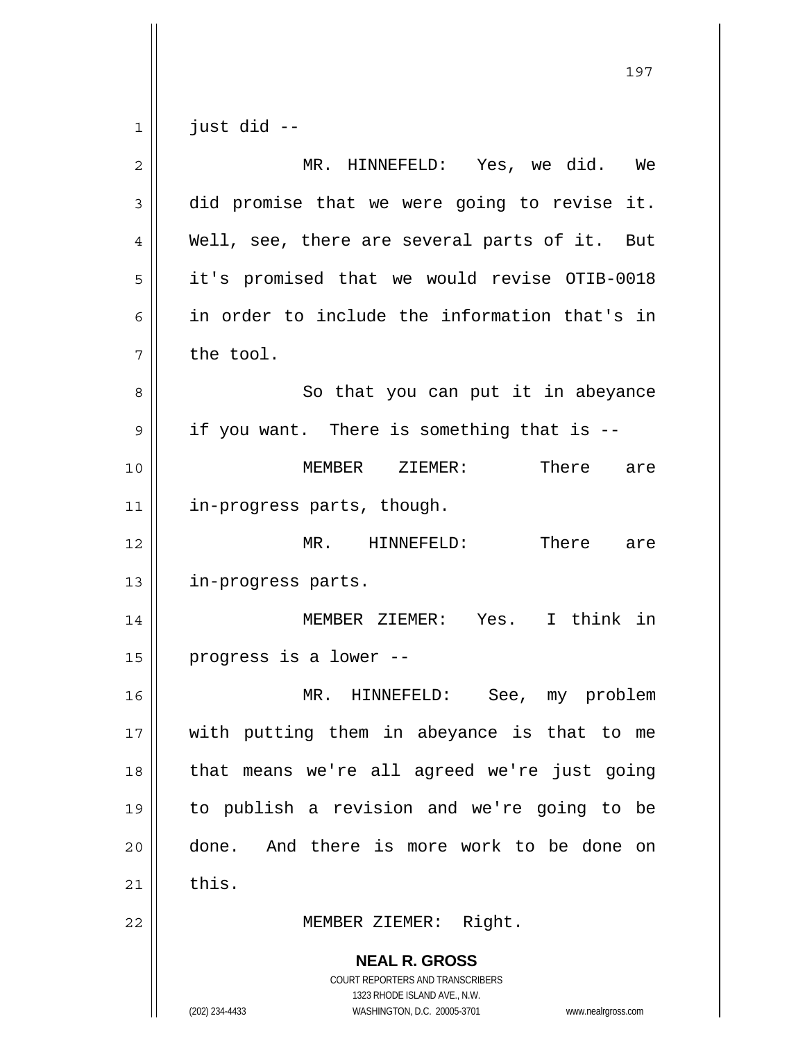**NEAL R. GROSS** COURT REPORTERS AND TRANSCRIBERS 1323 RHODE ISLAND AVE., N.W. (202) 234-4433 WASHINGTON, D.C. 20005-3701 www.nealrgross.com 197  $1 \parallel$  just did --2 MR. HINNEFELD: Yes, we did. We  $3 \parallel$  did promise that we were going to revise it. 4 || Well, see, there are several parts of it. But 5 | it's promised that we would revise OTIB-0018 6 in order to include the information that's in  $7 \parallel$  the tool. 8 || So that you can put it in abeyance  $9 \parallel$  if you want. There is something that is --10 MEMBER ZIEMER: There are 11 in-progress parts, though. 12 MR. HINNEFELD: There are 13 in-progress parts. 14 || MEMBER ZIEMER: Yes. I think in 15 | progress is a lower --16 MR. HINNEFELD: See, my problem 17 with putting them in abeyance is that to me 18 || that means we're all agreed we're just going 19 to publish a revision and we're going to be 20 done. And there is more work to be done on  $21$  this. 22 || MEMBER ZIEMER: Right.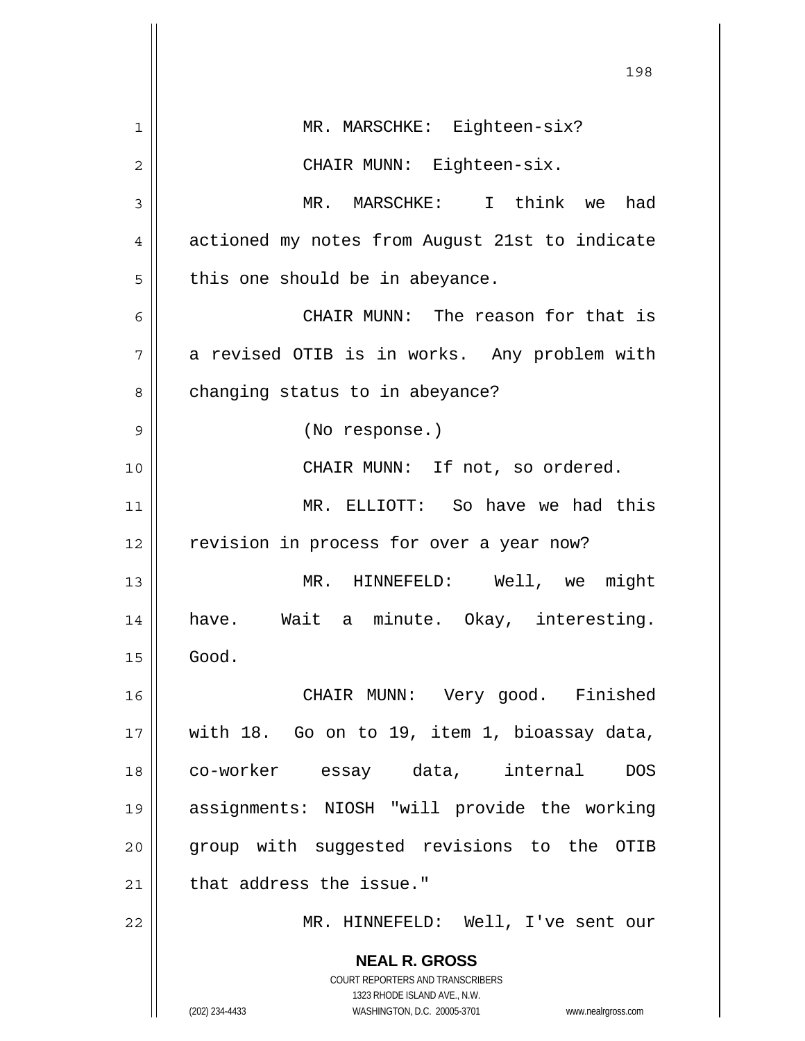|                | 198                                                                                                                                                             |
|----------------|-----------------------------------------------------------------------------------------------------------------------------------------------------------------|
| 1              | MR. MARSCHKE: Eighteen-six?                                                                                                                                     |
| $\overline{2}$ | CHAIR MUNN: Eighteen-six.                                                                                                                                       |
| 3              | MR. MARSCHKE: I think we<br>had                                                                                                                                 |
| 4              | actioned my notes from August 21st to indicate                                                                                                                  |
| 5              | this one should be in abeyance.                                                                                                                                 |
| 6              | CHAIR MUNN: The reason for that is                                                                                                                              |
| 7              | a revised OTIB is in works. Any problem with                                                                                                                    |
| 8              | changing status to in abeyance?                                                                                                                                 |
| 9              | (No response.)                                                                                                                                                  |
| 10             | CHAIR MUNN: If not, so ordered.                                                                                                                                 |
| 11             | MR. ELLIOTT: So have we had this                                                                                                                                |
| 12             | revision in process for over a year now?                                                                                                                        |
| 13             | MR. HINNEFELD: Well, we might                                                                                                                                   |
| 14             | have. Wait a minute. Okay, interesting.                                                                                                                         |
| 15             | Good.                                                                                                                                                           |
| 16             | CHAIR MUNN: Very good. Finished                                                                                                                                 |
| 17             | with 18. Go on to 19, item 1, bioassay data,                                                                                                                    |
| 18             | co-worker essay data, internal<br><b>DOS</b>                                                                                                                    |
| 19             | assignments: NIOSH "will provide the working                                                                                                                    |
| 20             | group with suggested revisions to the OTIB                                                                                                                      |
| 21             | that address the issue."                                                                                                                                        |
| 22             | MR. HINNEFELD: Well, I've sent our                                                                                                                              |
|                | <b>NEAL R. GROSS</b><br>COURT REPORTERS AND TRANSCRIBERS<br>1323 RHODE ISLAND AVE., N.W.<br>(202) 234-4433<br>WASHINGTON, D.C. 20005-3701<br>www.nealrgross.com |

 $\overline{\phantom{a}}$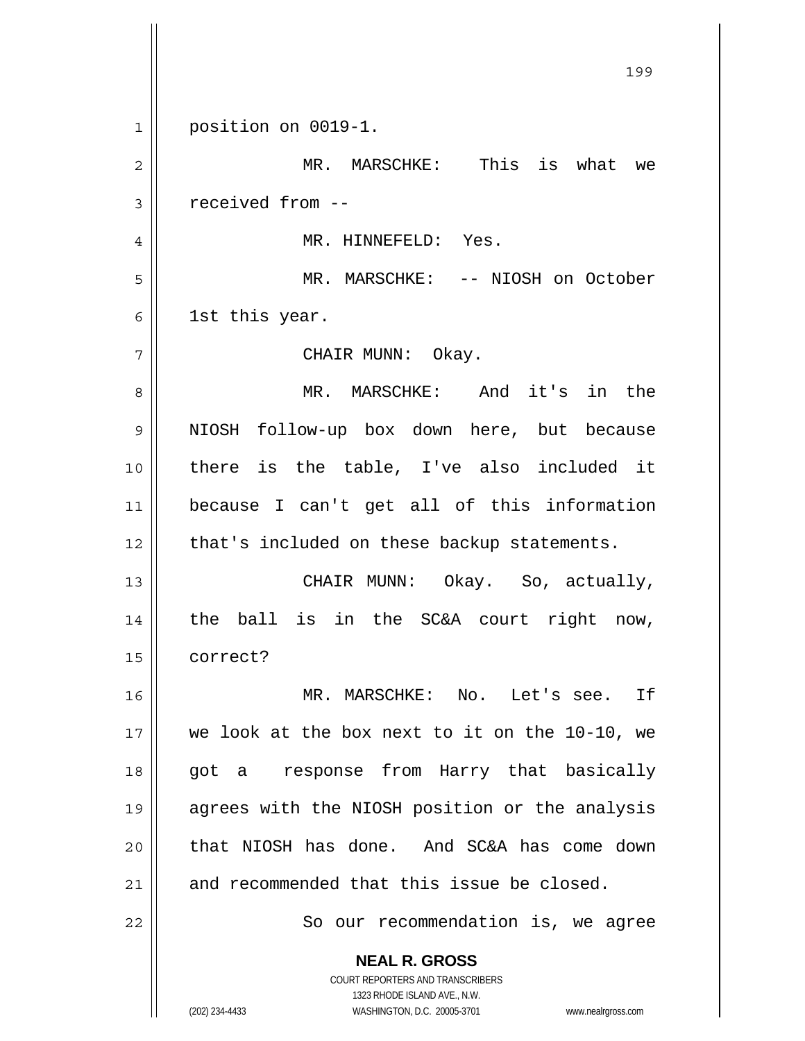|    | 199                                                                                                 |
|----|-----------------------------------------------------------------------------------------------------|
| 1  | position on 0019-1.                                                                                 |
| 2  | MR. MARSCHKE: This is what we                                                                       |
| 3  | received from --                                                                                    |
| 4  | MR. HINNEFELD: Yes.                                                                                 |
| 5  | MR. MARSCHKE: -- NIOSH on October                                                                   |
| 6  | 1st this year.                                                                                      |
| 7  | CHAIR MUNN: Okay.                                                                                   |
| 8  | MR. MARSCHKE: And it's in the                                                                       |
| 9  | NIOSH follow-up box down here, but because                                                          |
| 10 | there is the table, I've also included it                                                           |
| 11 | because I can't get all of this information                                                         |
| 12 | that's included on these backup statements.                                                         |
| 13 | CHAIR MUNN: Okay. So, actually,                                                                     |
| 14 | ball is in the SC&A court right now,<br>the                                                         |
| 15 | correct?                                                                                            |
| 16 | MR. MARSCHKE: No. Let's see. If                                                                     |
| 17 | we look at the box next to it on the 10-10, we                                                      |
| 18 | response from Harry that basically<br>got a                                                         |
| 19 | agrees with the NIOSH position or the analysis                                                      |
| 20 | that NIOSH has done. And SC&A has come down                                                         |
| 21 | and recommended that this issue be closed.                                                          |
| 22 | So our recommendation is, we agree                                                                  |
|    | <b>NEAL R. GROSS</b><br>COURT REPORTERS AND TRANSCRIBERS                                            |
|    | 1323 RHODE ISLAND AVE., N.W.<br>(202) 234-4433<br>WASHINGTON, D.C. 20005-3701<br>www.nealrgross.com |
|    |                                                                                                     |

 $\overline{\phantom{a}}$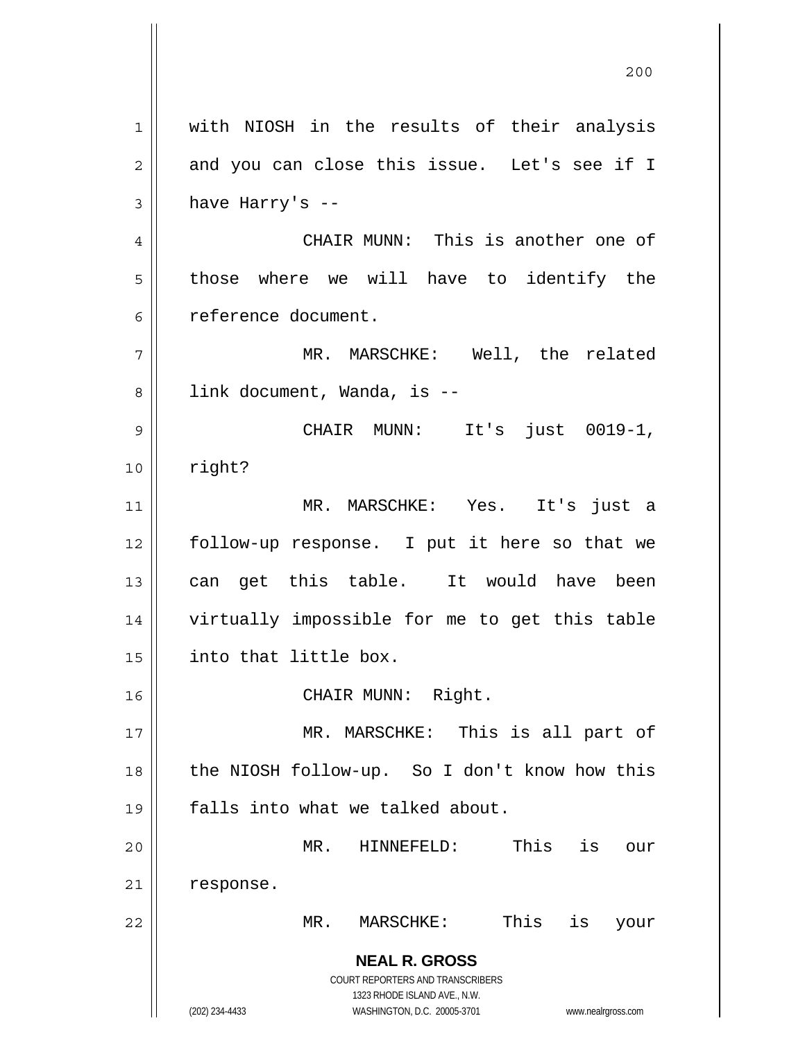**NEAL R. GROSS** COURT REPORTERS AND TRANSCRIBERS 1323 RHODE ISLAND AVE., N.W. (202) 234-4433 WASHINGTON, D.C. 20005-3701 www.nealrgross.com 1 || with NIOSH in the results of their analysis  $2 \parallel$  and you can close this issue. Let's see if I  $3 \parallel$  have Harry's --4 CHAIR MUNN: This is another one of  $5 \parallel$  those where we will have to identify the 6 | reference document. 7 || MR. MARSCHKE: Well, the related  $8$  || link document, Wanda, is  $-$ 9 CHAIR MUNN: It's just 0019-1,  $10$   $\parallel$  right? 11 MR. MARSCHKE: Yes. It's just a 12 || follow-up response. I put it here so that we  $13$  can get this table. It would have been 14 virtually impossible for me to get this table 15 | into that little box. 16 CHAIR MUNN: Right. 17 || MR. MARSCHKE: This is all part of 18 || the NIOSH follow-up. So I don't know how this 19 || falls into what we talked about. 20 MR. HINNEFELD: This is our 21 | response. 22 MR. MARSCHKE: This is your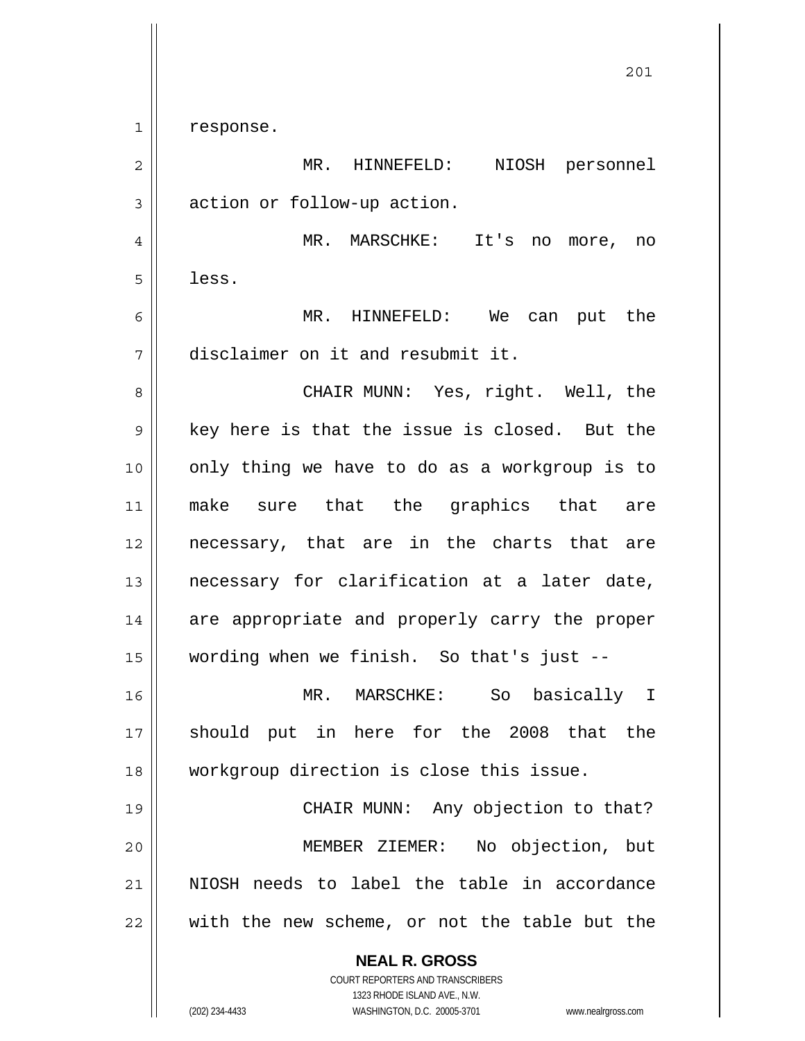1 || response.

MR. HINNEFELD: NIOSH personnel  $3 \parallel$  action or follow-up action. MR. MARSCHKE: It's no more, no less. MR. HINNEFELD: We can put the disclaimer on it and resubmit it. CHAIR MUNN: Yes, right. Well, the  $9 \parallel$  key here is that the issue is closed. But the 10 || only thing we have to do as a workgroup is to make sure that the graphics that are necessary, that are in the charts that are necessary for clarification at a later date, 14 || are appropriate and properly carry the proper wording when we finish. So that's just -- MR. MARSCHKE: So basically I should put in here for the 2008 that the workgroup direction is close this issue. 19 || CHAIR MUNN: Any objection to that? MEMBER ZIEMER: No objection, but NIOSH needs to label the table in accordance  $\parallel$  with the new scheme, or not the table but the

> **NEAL R. GROSS** COURT REPORTERS AND TRANSCRIBERS 1323 RHODE ISLAND AVE., N.W.

(202) 234-4433 WASHINGTON, D.C. 20005-3701 www.nealrgross.com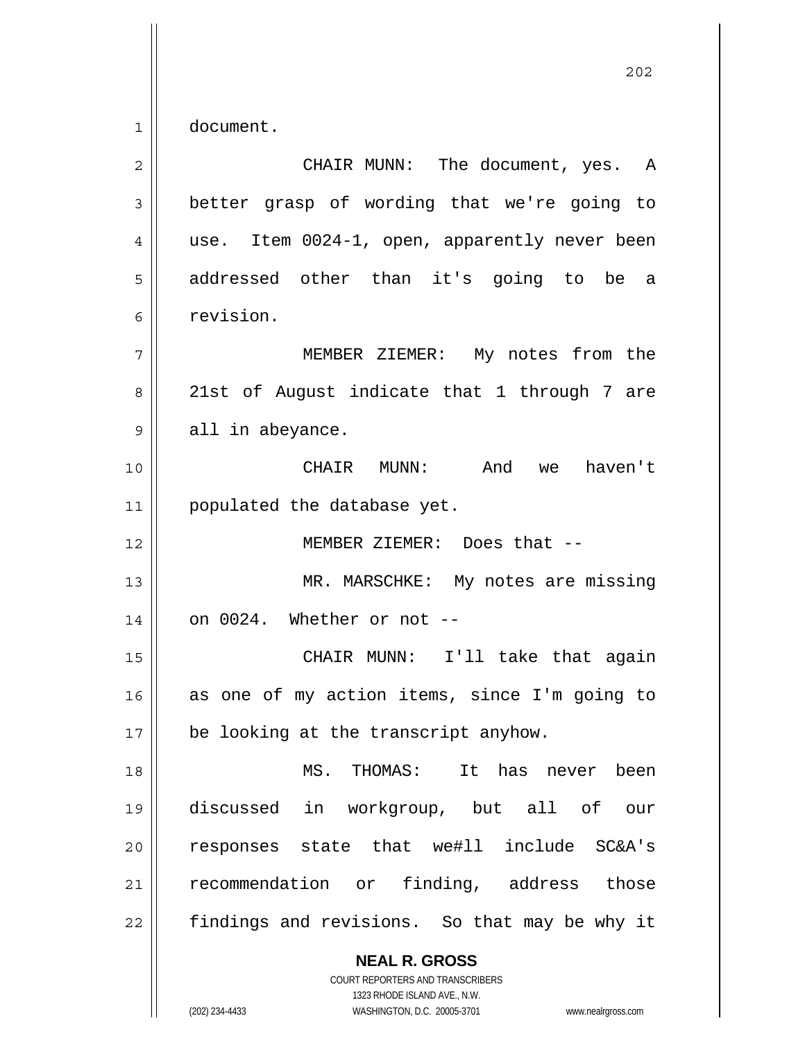1 document.

| $\overline{2}$ | CHAIR MUNN: The document, yes. A                         |
|----------------|----------------------------------------------------------|
| 3              | better grasp of wording that we're going to              |
| 4              | use. Item 0024-1, open, apparently never been            |
| 5              | addressed other than it's going to be a                  |
| 6              | revision.                                                |
| 7              | MEMBER ZIEMER: My notes from the                         |
| 8              | 21st of August indicate that 1 through 7 are             |
| 9              | all in abeyance.                                         |
| 10             | CHAIR MUNN: And we<br>haven't                            |
| 11             | populated the database yet.                              |
| 12             | MEMBER ZIEMER: Does that --                              |
| 13             | MR. MARSCHKE: My notes are missing                       |
| 14             | on 0024. Whether or not --                               |
| 15             | CHAIR MUNN: I'll take that again                         |
| 16             | as one of my action items, since I'm going to            |
| 17             | be looking at the transcript anyhow.                     |
| 18             | MS. THOMAS: It has never been                            |
| 19             | discussed in workgroup, but all of<br>our                |
| 20             | responses state that we#11 include SC&A's                |
| 21             | recommendation or finding, address those                 |
| 22             | findings and revisions. So that may be why it            |
|                | <b>NEAL R. GROSS</b><br>COURT REPORTERS AND TRANSCRIBERS |

 $\mathop{\text{||}}$ 

 1323 RHODE ISLAND AVE., N.W. (202) 234-4433 WASHINGTON, D.C. 20005-3701 www.nealrgross.com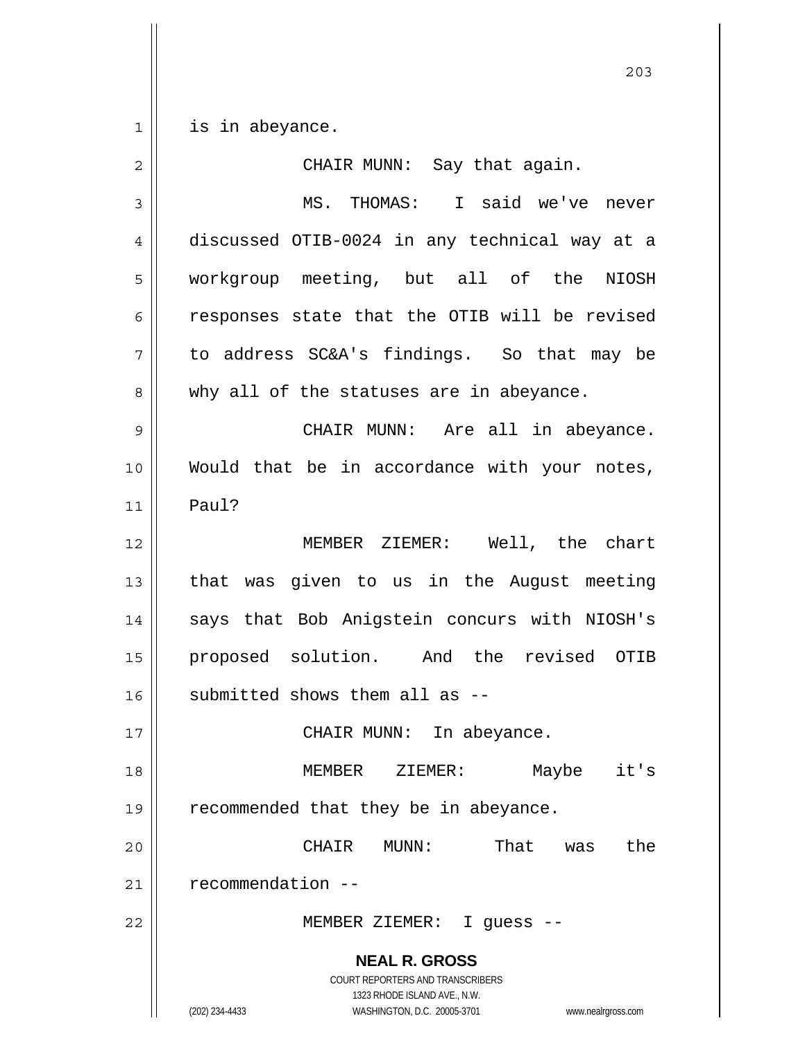$1 \parallel$  is in abeyance.

| $\overline{2}$ | CHAIR MUNN: Say that again.                                                                                                                                     |
|----------------|-----------------------------------------------------------------------------------------------------------------------------------------------------------------|
| 3              | MS. THOMAS: I said we've never                                                                                                                                  |
| 4              | discussed OTIB-0024 in any technical way at a                                                                                                                   |
| 5              | workgroup meeting, but all of the<br>NIOSH                                                                                                                      |
| 6              | responses state that the OTIB will be revised                                                                                                                   |
| 7              | to address SC&A's findings. So that may be                                                                                                                      |
| 8              | why all of the statuses are in abeyance.                                                                                                                        |
| 9              | CHAIR MUNN: Are all in abeyance.                                                                                                                                |
| 10             | Would that be in accordance with your notes,                                                                                                                    |
| 11             | Paul?                                                                                                                                                           |
| 12             | MEMBER ZIEMER: Well, the chart                                                                                                                                  |
| 13             | was given to us in the August meeting<br>that                                                                                                                   |
| 14             | says that Bob Anigstein concurs with NIOSH's                                                                                                                    |
| 15             | proposed solution. And the revised OTIB                                                                                                                         |
| 16             | submitted shows them all as --                                                                                                                                  |
| 17             | CHAIR MUNN: In abeyance.                                                                                                                                        |
| 18             | Maybe it's<br>MEMBER ZIEMER:                                                                                                                                    |
| 19             | recommended that they be in abeyance.                                                                                                                           |
| 20             | That<br>CHAIR<br>MUNN:<br>the<br>was                                                                                                                            |
| 21             | recommendation --                                                                                                                                               |
| 22             | MEMBER ZIEMER:<br>I guess --                                                                                                                                    |
|                | <b>NEAL R. GROSS</b><br>COURT REPORTERS AND TRANSCRIBERS<br>1323 RHODE ISLAND AVE., N.W.<br>(202) 234-4433<br>WASHINGTON, D.C. 20005-3701<br>www.nealrgross.com |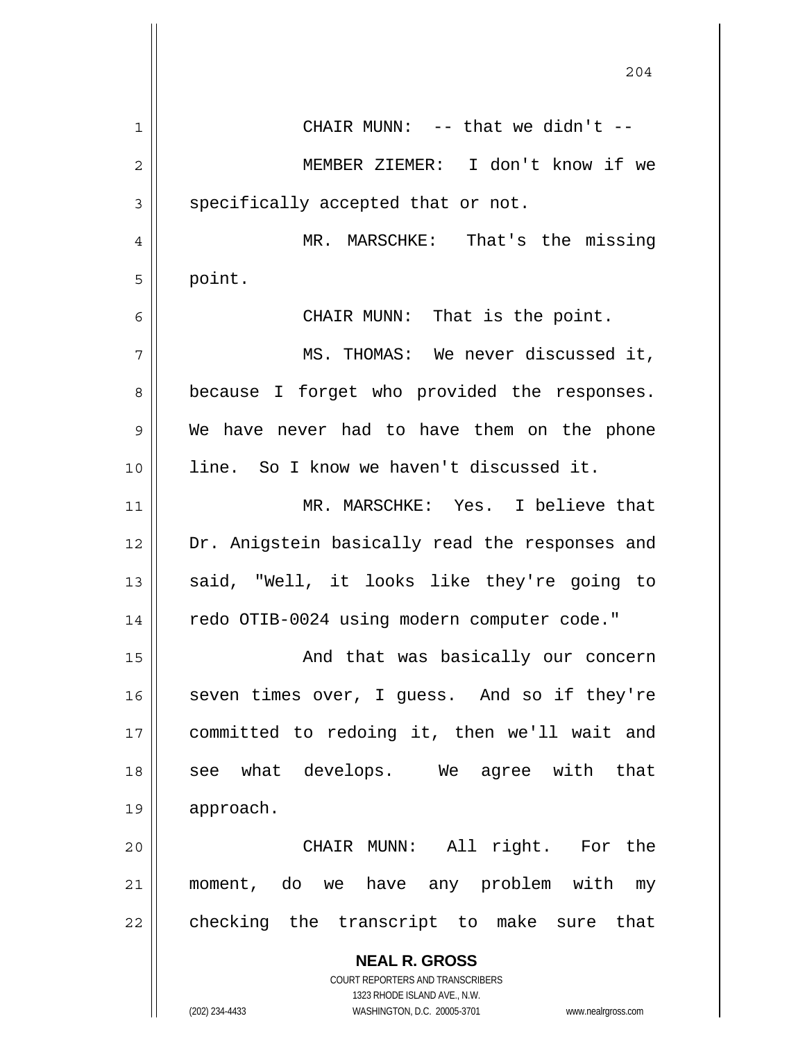|                | 204                                                                                                 |
|----------------|-----------------------------------------------------------------------------------------------------|
| $\mathbf 1$    | CHAIR MUNN: $--$ that we didn't $--$                                                                |
| $\overline{c}$ | MEMBER ZIEMER: I don't know if we                                                                   |
| 3              | specifically accepted that or not.                                                                  |
| 4              | MR. MARSCHKE: That's the missing                                                                    |
| 5              | point.                                                                                              |
| 6              | CHAIR MUNN: That is the point.                                                                      |
| 7              | MS. THOMAS: We never discussed it,                                                                  |
| 8              | because I forget who provided the responses.                                                        |
| 9              | We have never had to have them on the phone                                                         |
| 10             | line. So I know we haven't discussed it.                                                            |
| 11             | MR. MARSCHKE: Yes. I believe that                                                                   |
| 12             | Dr. Anigstein basically read the responses and                                                      |
| 13             | said, "Well, it looks like they're going to                                                         |
| 14             | redo OTIB-0024 using modern computer code."                                                         |
| 15             | And that was basically our concern                                                                  |
| 16             | seven times over, I guess. And so if they're                                                        |
| 17             | committed to redoing it, then we'll wait and                                                        |
| 18             | see what develops. We agree with that                                                               |
| 19             | approach.                                                                                           |
| 20             | CHAIR MUNN: All right. For the                                                                      |
| 21             | moment, do we have any problem with my                                                              |
| 22             | checking the transcript to make sure that                                                           |
|                | <b>NEAL R. GROSS</b>                                                                                |
|                | COURT REPORTERS AND TRANSCRIBERS                                                                    |
|                | 1323 RHODE ISLAND AVE., N.W.<br>(202) 234-4433<br>WASHINGTON, D.C. 20005-3701<br>www.nealrgross.com |

 $\overline{\phantom{a}}$ 

 $\mathsf{I}$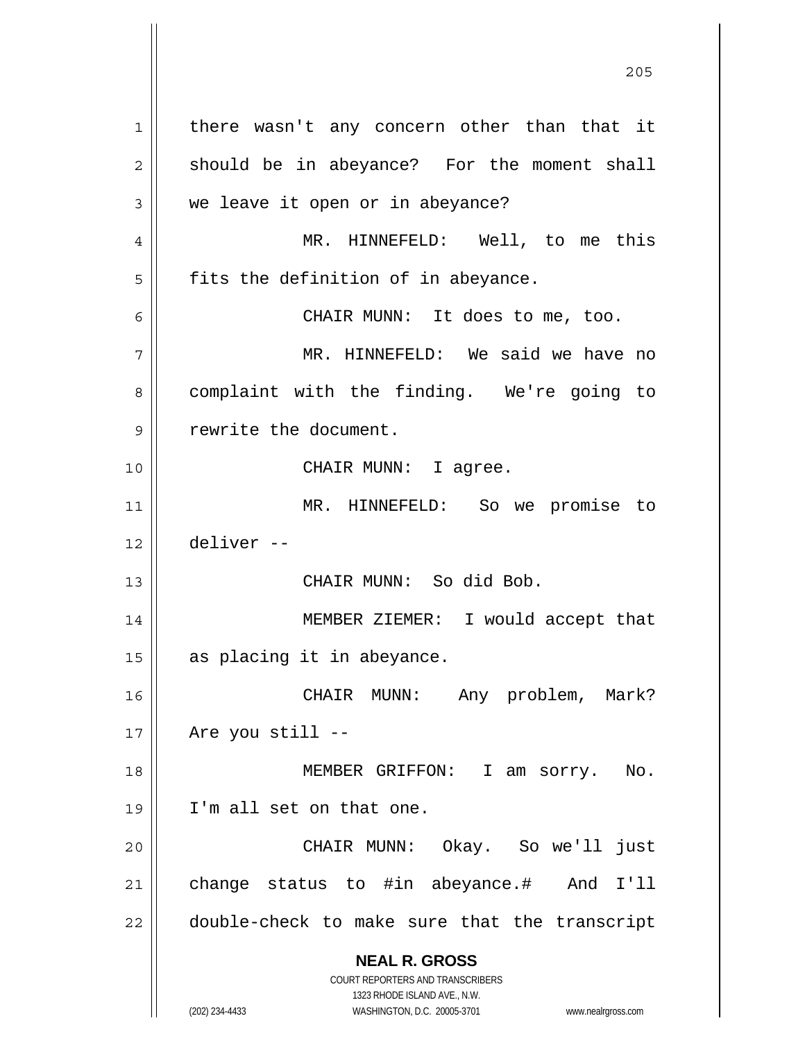**NEAL R. GROSS** COURT REPORTERS AND TRANSCRIBERS 1323 RHODE ISLAND AVE., N.W. (202) 234-4433 WASHINGTON, D.C. 20005-3701 www.nealrgross.com 1 | there wasn't any concern other than that it  $2 \parallel$  should be in abeyance? For the moment shall 3 || we leave it open or in abeyance? 4 || MR. HINNEFELD: Well, to me this  $5 \parallel$  fits the definition of in abeyance. 6 CHAIR MUNN: It does to me, too. 7 MR. HINNEFELD: We said we have no 8 complaint with the finding. We're going to 9 | rewrite the document. 10 || CHAIR MUNN: I agree. 11 MR. HINNEFELD: So we promise to  $12$   $\parallel$  deliver --13 CHAIR MUNN: So did Bob. 14 || MEMBER ZIEMER: I would accept that  $15$  as placing it in abeyance. 16 CHAIR MUNN: Any problem, Mark?  $17 \parallel$  Are you still --18 MEMBER GRIFFON: I am sorry. No. 19 I'm all set on that one. 20 CHAIR MUNN: Okay. So we'll just 21 change status to #in abeyance.# And I'll 22 | double-check to make sure that the transcript

<u>205</u>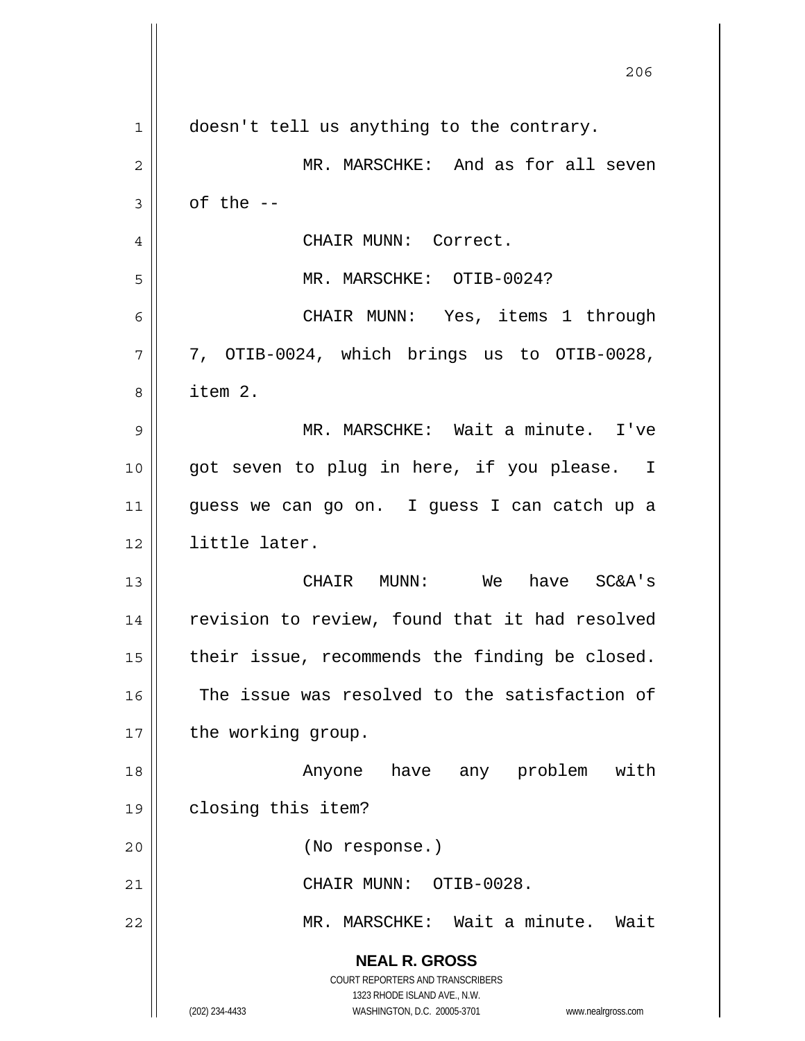|    | 206                                                                                                                                                                    |
|----|------------------------------------------------------------------------------------------------------------------------------------------------------------------------|
| 1  | doesn't tell us anything to the contrary.                                                                                                                              |
| 2  | MR. MARSCHKE: And as for all seven                                                                                                                                     |
| 3  | of the $-$                                                                                                                                                             |
| 4  | CHAIR MUNN: Correct.                                                                                                                                                   |
| 5  | MR. MARSCHKE: OTIB-0024?                                                                                                                                               |
| 6  | CHAIR MUNN: Yes, items 1 through                                                                                                                                       |
| 7  | 7, OTIB-0024, which brings us to OTIB-0028,                                                                                                                            |
| 8  | item 2.                                                                                                                                                                |
| 9  | MR. MARSCHKE: Wait a minute. I've                                                                                                                                      |
| 10 | got seven to plug in here, if you please. I                                                                                                                            |
| 11 | guess we can go on. I guess I can catch up a                                                                                                                           |
| 12 | little later.                                                                                                                                                          |
| 13 | CHAIR MUNN: We have SC&A's                                                                                                                                             |
| 14 | revision to review, found that it had resolved                                                                                                                         |
| 15 | their issue, recommends the finding be closed.                                                                                                                         |
| 16 | The issue was resolved to the satisfaction of                                                                                                                          |
| 17 | the working group.                                                                                                                                                     |
| 18 | Anyone have any problem with                                                                                                                                           |
| 19 | closing this item?                                                                                                                                                     |
| 20 | (No response.)                                                                                                                                                         |
| 21 | CHAIR MUNN: OTIB-0028.                                                                                                                                                 |
| 22 | MR. MARSCHKE: Wait a minute. Wait                                                                                                                                      |
|    | <b>NEAL R. GROSS</b><br><b>COURT REPORTERS AND TRANSCRIBERS</b><br>1323 RHODE ISLAND AVE., N.W.<br>(202) 234-4433<br>WASHINGTON, D.C. 20005-3701<br>www.nealrgross.com |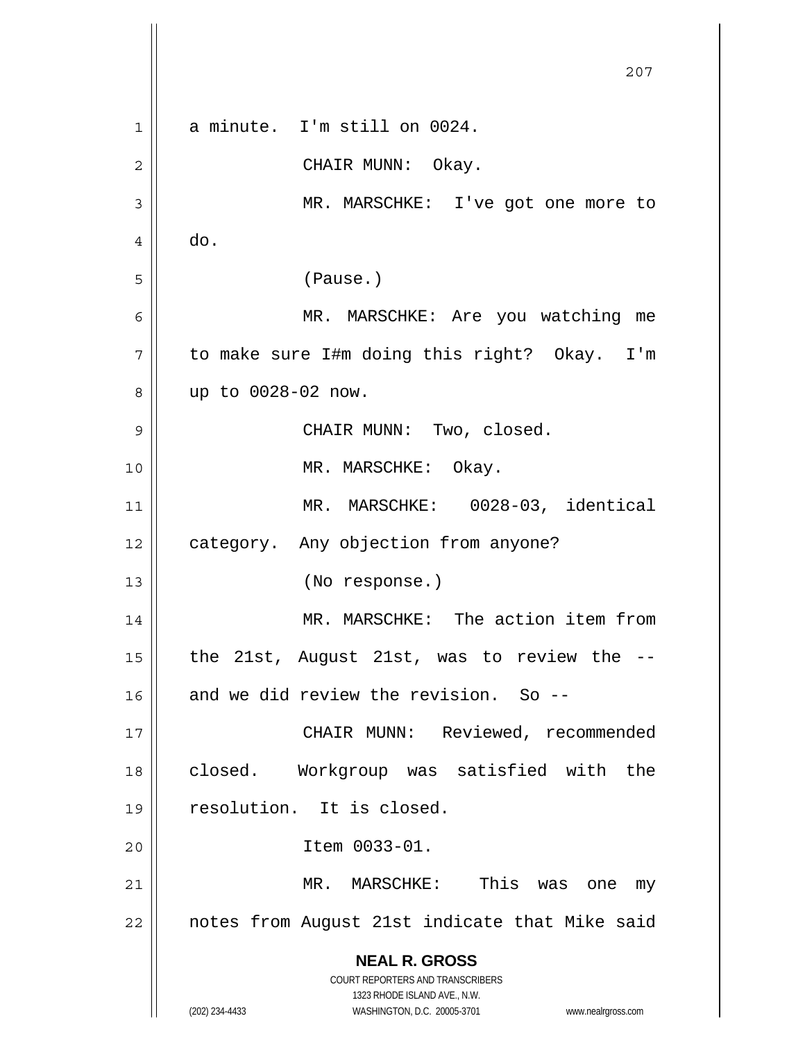**NEAL R. GROSS** COURT REPORTERS AND TRANSCRIBERS 1323 RHODE ISLAND AVE., N.W. (202) 234-4433 WASHINGTON, D.C. 20005-3701 www.nealrgross.com <u>207</u> 1 a minute. I'm still on 0024. 2 CHAIR MUNN: Okay. 3 || MR. MARSCHKE: I've got one more to  $4 \parallel$  do. 5 (Pause.) 6 MR. MARSCHKE: Are you watching me  $7 \parallel$  to make sure I#m doing this right? Okay. I'm 8 up to 0028-02 now. 9 CHAIR MUNN: Two, closed. 10 || MR. MARSCHKE: Okay. 11 MR. MARSCHKE: 0028-03, identical 12 | category. Any objection from anyone? 13 (No response.) 14 || MR. MARSCHKE: The action item from 15  $\parallel$  the 21st, August 21st, was to review the  $-$ - $16$  and we did review the revision. So --17 CHAIR MUNN: Reviewed, recommended 18 closed. Workgroup was satisfied with the 19 resolution. It is closed. 20 Item 0033-01. 21 || MR. MARSCHKE: This was one my 22 | notes from August 21st indicate that Mike said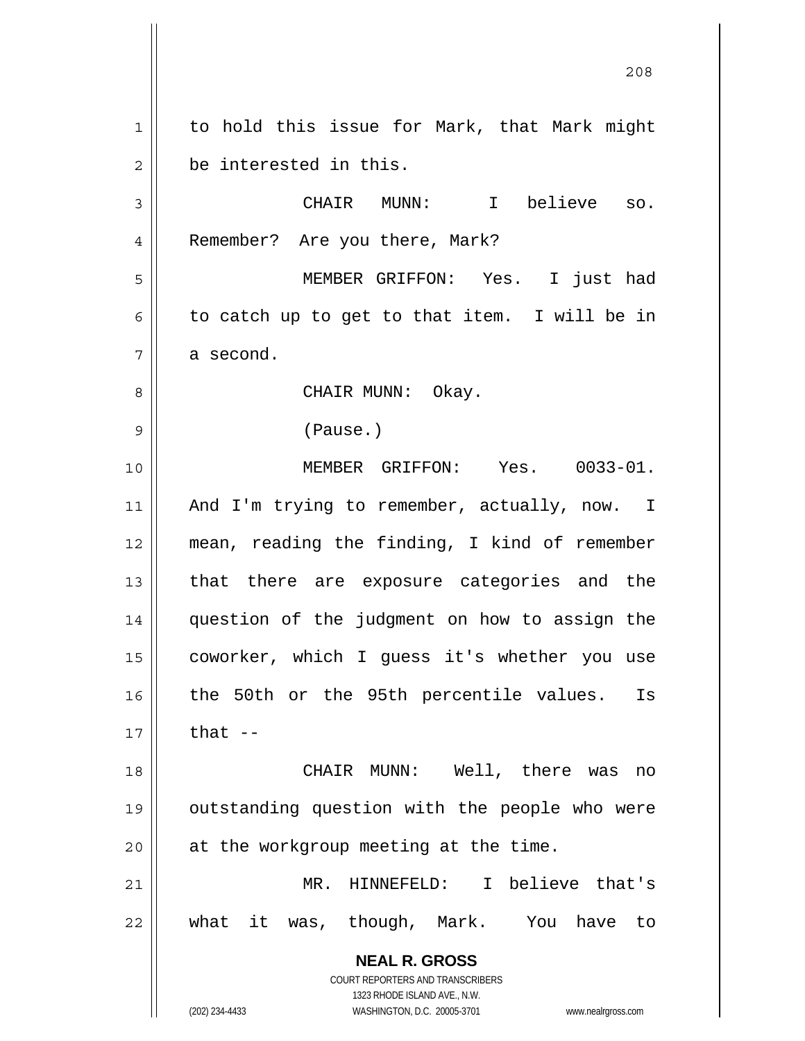**NEAL R. GROSS** COURT REPORTERS AND TRANSCRIBERS 1323 RHODE ISLAND AVE., N.W. (202) 234-4433 WASHINGTON, D.C. 20005-3701 www.nealrgross.com 1 || to hold this issue for Mark, that Mark might 2 be interested in this. 3 CHAIR MUNN: I believe so. 4 || Remember? Are you there, Mark? 5 MEMBER GRIFFON: Yes. I just had  $6 \parallel$  to catch up to get to that item. I will be in  $7 \parallel$  a second. 8 CHAIR MUNN: Okay. 9 (Pause.) 10 MEMBER GRIFFON: Yes. 0033-01. 11 || And I'm trying to remember, actually, now. I 12 mean, reading the finding, I kind of remember 13 || that there are exposure categories and the 14 question of the judgment on how to assign the 15 coworker, which I guess it's whether you use 16 || the 50th or the 95th percentile values. Is  $17 \parallel$  that  $-$ 18 CHAIR MUNN: Well, there was no 19 || outstanding question with the people who were  $20$  || at the workgroup meeting at the time. 21 MR. HINNEFELD: I believe that's 22 || what it was, though, Mark. You have to

<u>208</u>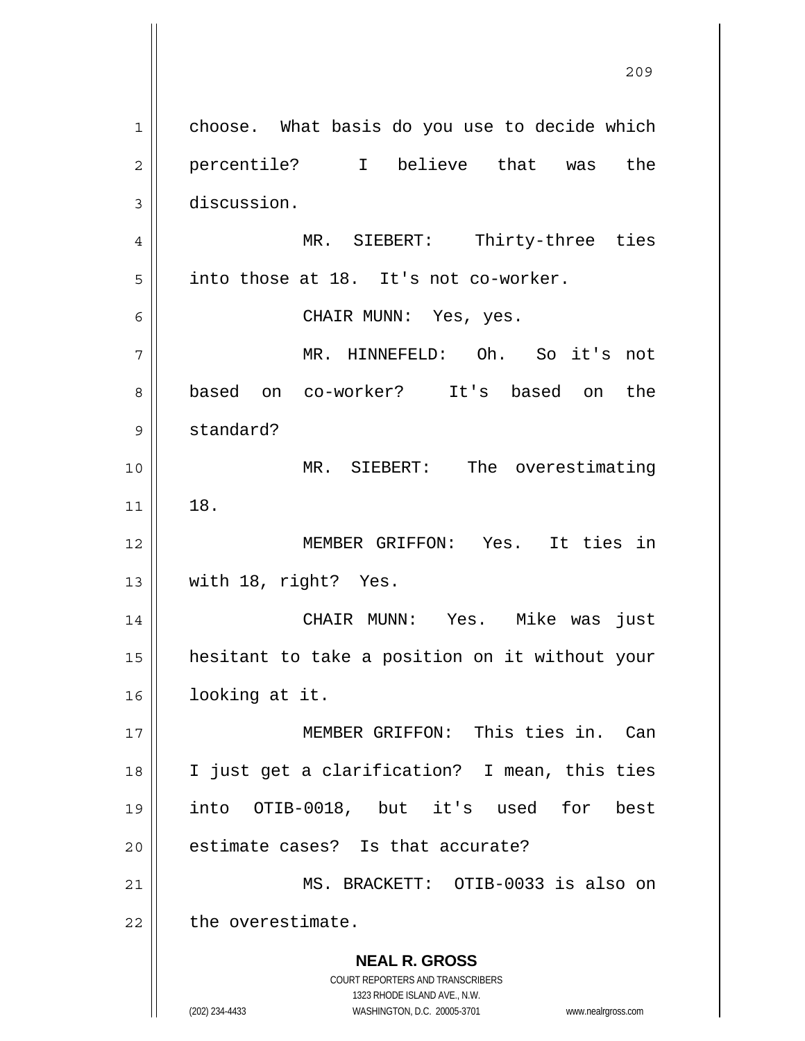**NEAL R. GROSS** COURT REPORTERS AND TRANSCRIBERS 1323 RHODE ISLAND AVE., N.W. (202) 234-4433 WASHINGTON, D.C. 20005-3701 www.nealrgross.com 1 | choose. What basis do you use to decide which 2 || percentile? I believe that was the 3 discussion. 4 MR. SIEBERT: Thirty-three ties  $5 \parallel$  into those at 18. It's not co-worker. 6 CHAIR MUNN: Yes, yes. 7 MR. HINNEFELD: Oh. So it's not 8 based on co-worker? It's based on the 9 || standard? 10 MR. SIEBERT: The overestimating  $11$   $18$ . 12 || MEMBER GRIFFON: Yes. It ties in 13 || with 18, right? Yes. 14 CHAIR MUNN: Yes. Mike was just 15 hesitant to take a position on it without your 16 looking at it. 17 MEMBER GRIFFON: This ties in. Can 18 I just get a clarification? I mean, this ties 19 into OTIB-0018, but it's used for best 20 estimate cases? Is that accurate? 21 || MS. BRACKETT: OTIB-0033 is also on  $22$   $\parallel$  the overestimate.

<u>209</u>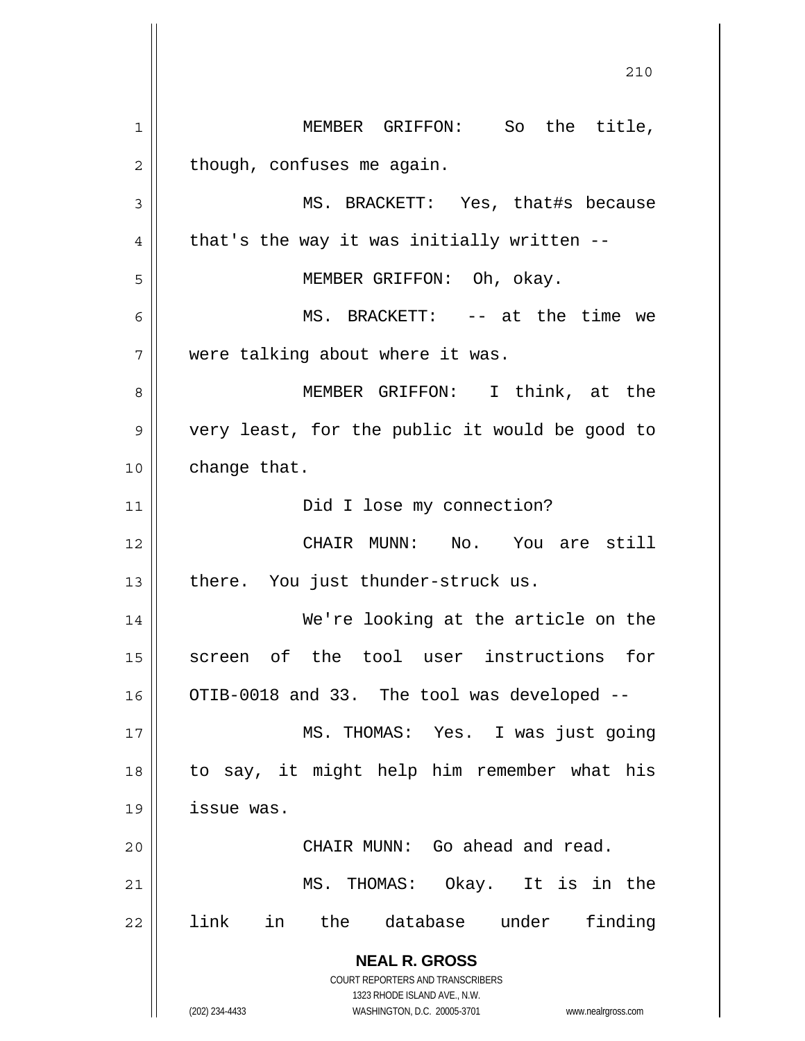**NEAL R. GROSS** COURT REPORTERS AND TRANSCRIBERS 1323 RHODE ISLAND AVE., N.W. (202) 234-4433 WASHINGTON, D.C. 20005-3701 www.nealrgross.com <u>210</u> 1 || MEMBER GRIFFON: So the title,  $2 \parallel$  though, confuses me again. 3 || MS. BRACKETT: Yes, that#s because  $4 \parallel$  that's the way it was initially written --5 || MEMBER GRIFFON: Oh, okay. 6 MS. BRACKETT: -- at the time we 7 || were talking about where it was. 8 MEMBER GRIFFON: I think, at the 9 || very least, for the public it would be good to 10 | change that. 11 || Did I lose my connection? 12 CHAIR MUNN: No. You are still  $13$  || there. You just thunder-struck us. 14 We're looking at the article on the 15 screen of the tool user instructions for  $16$  | OTIB-0018 and 33. The tool was developed  $-$ 17 || MS. THOMAS: Yes. I was just going 18 to say, it might help him remember what his 19 issue was. 20 || CHAIR MUNN: Go ahead and read. 21 || MS. THOMAS: Okay. It is in the 22 || link in the database under finding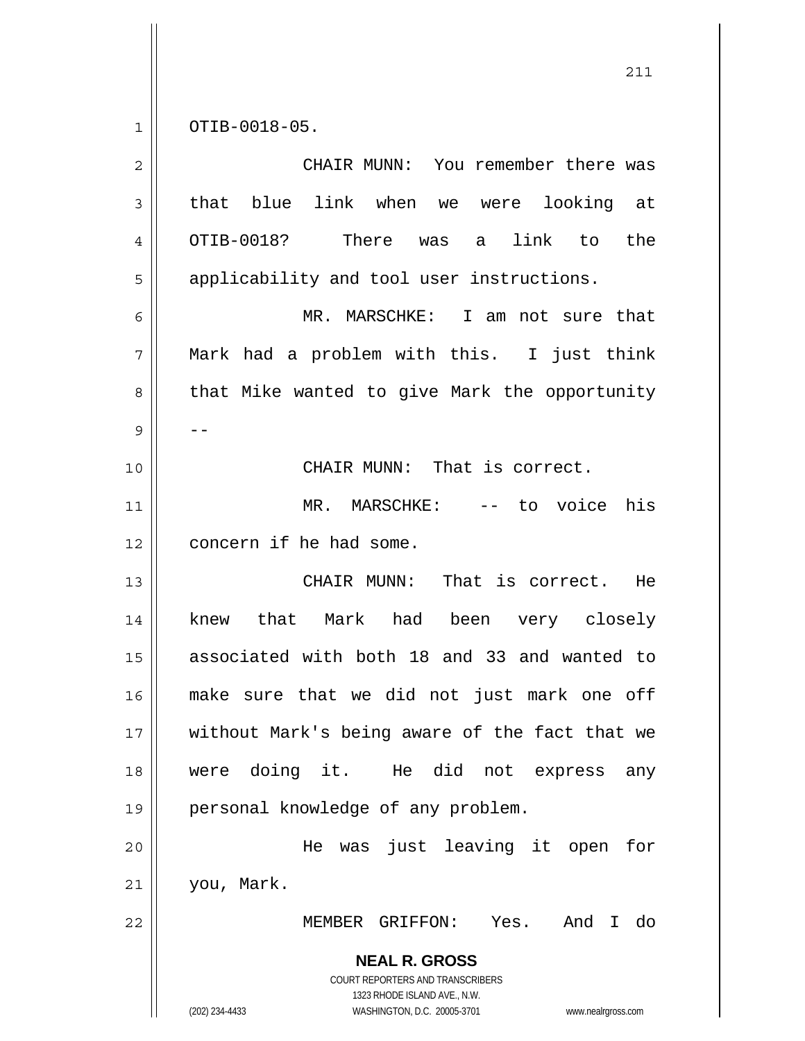$1 \parallel$  OTIB-0018-05.

| $\overline{2}$ | CHAIR MUNN: You remember there was                                                                                                                                     |
|----------------|------------------------------------------------------------------------------------------------------------------------------------------------------------------------|
| $\mathfrak{Z}$ | blue link when we were looking at<br>that                                                                                                                              |
| 4              | OTIB-0018? There was a<br>link to<br>the                                                                                                                               |
| 5              | applicability and tool user instructions.                                                                                                                              |
| 6              | MR. MARSCHKE: I am not sure that                                                                                                                                       |
| 7              | Mark had a problem with this. I just think                                                                                                                             |
| 8              | that Mike wanted to give Mark the opportunity                                                                                                                          |
| 9              |                                                                                                                                                                        |
| 10             | CHAIR MUNN: That is correct.                                                                                                                                           |
| 11             | MR. MARSCHKE:<br>-- to voice his                                                                                                                                       |
| 12             | concern if he had some.                                                                                                                                                |
| 13             | That is correct. He<br>CHAIR MUNN:                                                                                                                                     |
| 14             | knew that Mark had been very closely                                                                                                                                   |
| 15             | associated with both 18 and 33 and wanted to                                                                                                                           |
| 16             | make sure that we did not just mark one off                                                                                                                            |
| 17             | without Mark's being aware of the fact that we                                                                                                                         |
| 18             | were doing it. He did<br>not express<br>any                                                                                                                            |
| 19             | personal knowledge of any problem.                                                                                                                                     |
| 20             | was just leaving it open<br>for<br>He                                                                                                                                  |
| 21             | you, Mark.                                                                                                                                                             |
| 22             | Yes. And I do<br>MEMBER GRIFFON:                                                                                                                                       |
|                | <b>NEAL R. GROSS</b><br><b>COURT REPORTERS AND TRANSCRIBERS</b><br>1323 RHODE ISLAND AVE., N.W.<br>(202) 234-4433<br>WASHINGTON, D.C. 20005-3701<br>www.nealrgross.com |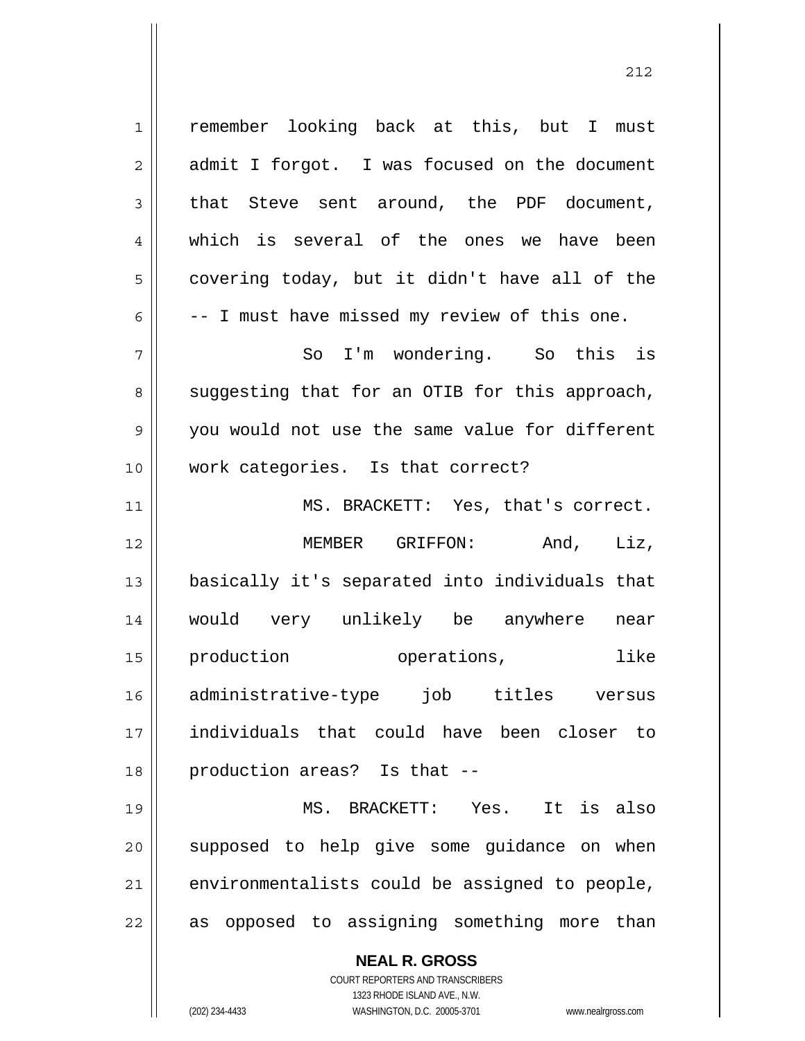**NEAL R. GROSS** 1 remember looking back at this, but I must  $2 \parallel$  admit I forgot. I was focused on the document  $3 \parallel$  that Steve sent around, the PDF document, 4 which is several of the ones we have been  $5 \parallel$  covering today, but it didn't have all of the 6  $\vert$  -- I must have missed my review of this one. 7 || So I'm wondering. So this is  $8 \parallel$  suggesting that for an OTIB for this approach, 9 you would not use the same value for different 10 || work categories. Is that correct? 11 || MS. BRACKETT: Yes, that's correct. 12 MEMBER GRIFFON: And, Liz, 13 basically it's separated into individuals that 14 would very unlikely be anywhere near 15 production operations, like 16 administrative-type job titles versus 17 individuals that could have been closer to 18 production areas? Is that -- 19 MS. BRACKETT: Yes. It is also 20 || supposed to help give some guidance on when  $21$  environmentalists could be assigned to people,  $22$  || as opposed to assigning something more than

> COURT REPORTERS AND TRANSCRIBERS 1323 RHODE ISLAND AVE., N.W.

(202) 234-4433 WASHINGTON, D.C. 20005-3701 www.nealrgross.com

<u>212</u>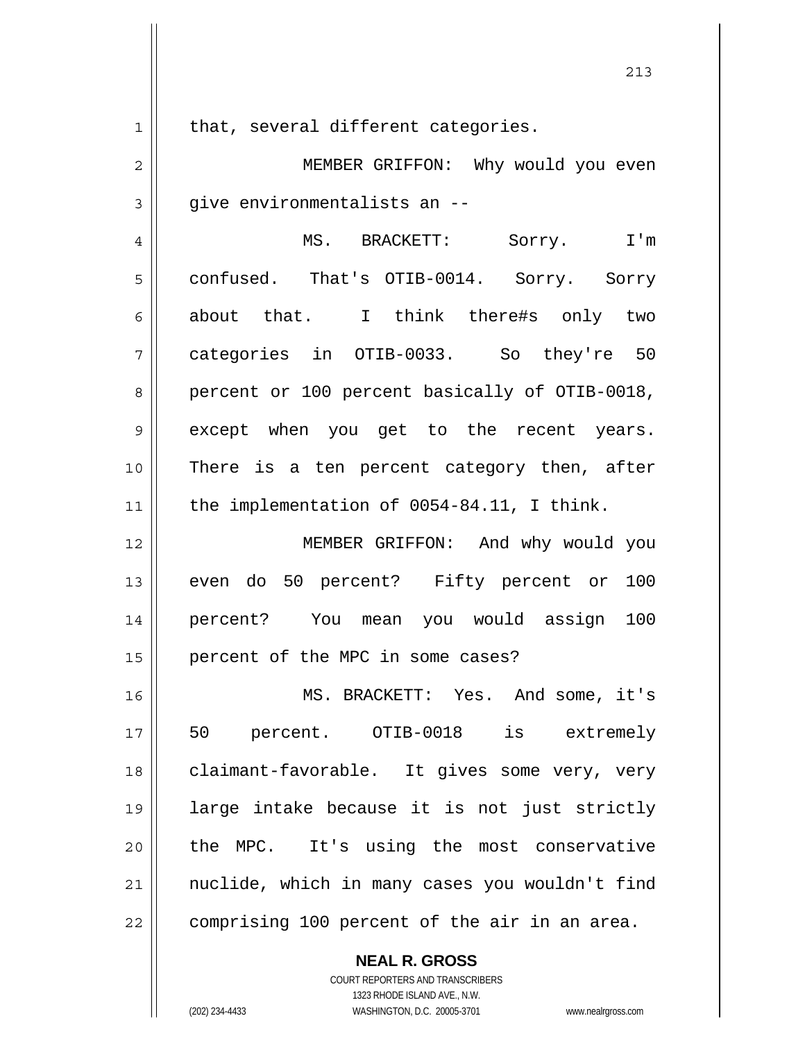$1$  that, several different categories.

213

2 MEMBER GRIFFON: Why would you even  $3$  || give environmentalists an  $-$ 4 MS. BRACKETT: Sorry. I'm 5 | confused. That's OTIB-0014. Sorry. Sorry 6 about that. I think there#s only two 7 categories in OTIB-0033. So they're 50 8 percent or 100 percent basically of OTIB-0018, 9 except when you get to the recent years. 10 There is a ten percent category then, after 11 | the implementation of 0054-84.11, I think. 12 MEMBER GRIFFON: And why would you 13 || even do 50 percent? Fifty percent or 100

14 percent? You mean you would assign 100 15 || percent of the MPC in some cases?

16 MS. BRACKETT: Yes. And some, it's 17 50 percent. OTIB-0018 is extremely 18 || claimant-favorable. It gives some very, very 19 large intake because it is not just strictly 20 || the MPC. It's using the most conservative 21 || nuclide, which in many cases you wouldn't find  $22$  | comprising 100 percent of the air in an area.

 **NEAL R. GROSS**

 COURT REPORTERS AND TRANSCRIBERS 1323 RHODE ISLAND AVE., N.W. (202) 234-4433 WASHINGTON, D.C. 20005-3701 www.nealrgross.com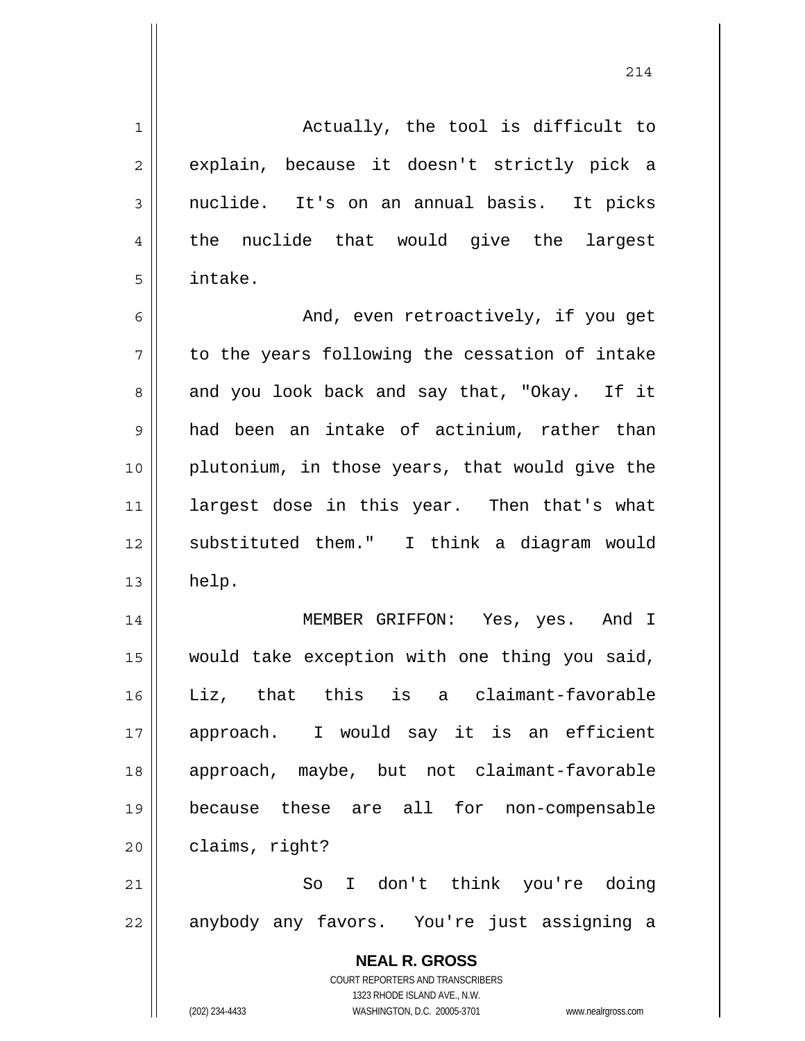1 Actually, the tool is difficult to 2 || explain, because it doesn't strictly pick a 3 nuclide. It's on an annual basis. It picks  $4 \parallel$  the nuclide that would give the largest 5 intake.

6 And, even retroactively, if you get  $7 \parallel$  to the years following the cessation of intake  $8 \parallel$  and you look back and say that, "Okay. If it  $9 \parallel$  had been an intake of actinium, rather than 10 || plutonium, in those years, that would give the 11 largest dose in this year. Then that's what 12 || substituted them." I think a diagram would  $13 \parallel$  help.

MEMBER GRIFFON: Yes, yes. And I would take exception with one thing you said, Liz, that this is a claimant-favorable approach. I would say it is an efficient approach, maybe, but not claimant-favorable because these are all for non-compensable 20 | claims, right?

21 So I don't think you're doing 22 || anybody any favors. You're just assigning a

> **NEAL R. GROSS** COURT REPORTERS AND TRANSCRIBERS 1323 RHODE ISLAND AVE., N.W. (202) 234-4433 WASHINGTON, D.C. 20005-3701 www.nealrgross.com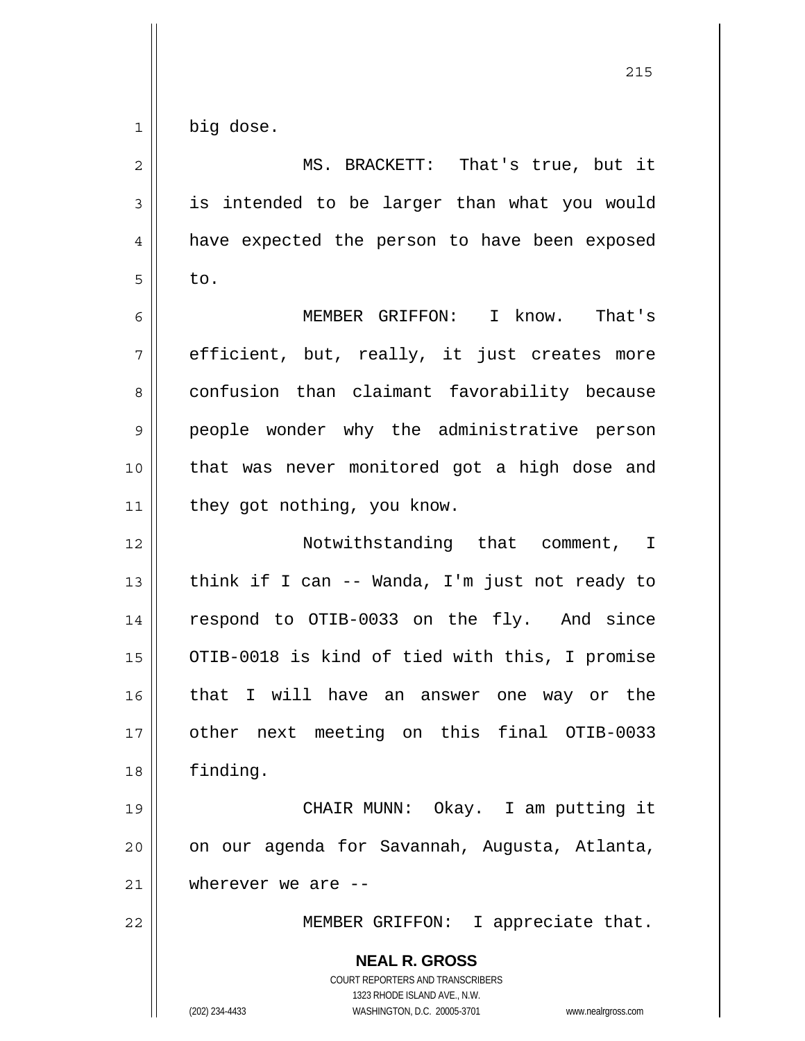$1 \parallel$  big dose.

| $\overline{2}$ | MS. BRACKETT: That's true, but it                                                                                                                                      |
|----------------|------------------------------------------------------------------------------------------------------------------------------------------------------------------------|
| 3              | is intended to be larger than what you would                                                                                                                           |
| 4              | have expected the person to have been exposed                                                                                                                          |
| 5              | to.                                                                                                                                                                    |
| 6              | MEMBER GRIFFON: I know. That's                                                                                                                                         |
| 7              | efficient, but, really, it just creates more                                                                                                                           |
| 8              | confusion than claimant favorability because                                                                                                                           |
| 9              | people wonder why the administrative person                                                                                                                            |
| 10             | that was never monitored got a high dose and                                                                                                                           |
| 11             | they got nothing, you know.                                                                                                                                            |
| 12             | Notwithstanding that comment, I                                                                                                                                        |
| 13             | think if I can -- Wanda, I'm just not ready to                                                                                                                         |
| 14             | respond to OTIB-0033 on the fly. And since                                                                                                                             |
| 15             | OTIB-0018 is kind of tied with this, I promise                                                                                                                         |
| 16             | that I will have an answer one way or the                                                                                                                              |
| 17             | other next meeting on this final OTIB-0033                                                                                                                             |
| 18             | finding.                                                                                                                                                               |
| 19             | CHAIR MUNN: Okay. I am putting it                                                                                                                                      |
| 20             | on our agenda for Savannah, Augusta, Atlanta,                                                                                                                          |
| 21             | wherever we are $-$ -                                                                                                                                                  |
| 22             | MEMBER GRIFFON: I appreciate that.                                                                                                                                     |
|                | <b>NEAL R. GROSS</b><br><b>COURT REPORTERS AND TRANSCRIBERS</b><br>1323 RHODE ISLAND AVE., N.W.<br>(202) 234-4433<br>WASHINGTON, D.C. 20005-3701<br>www.nealrgross.com |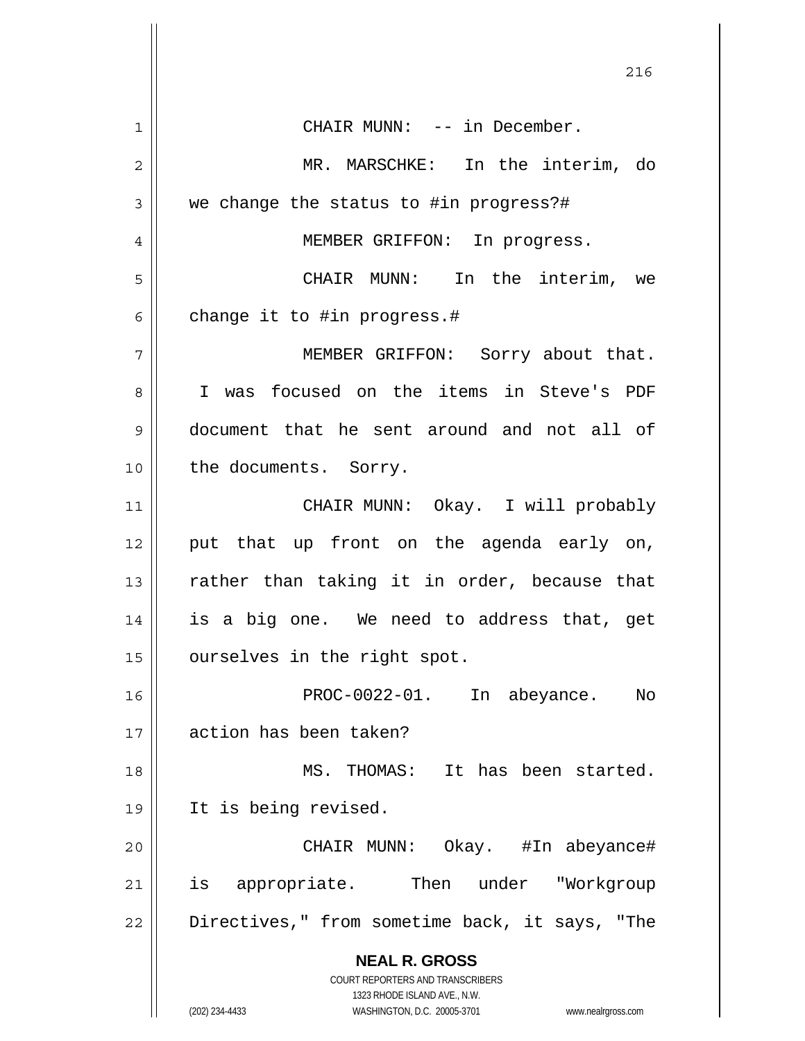**NEAL R. GROSS** COURT REPORTERS AND TRANSCRIBERS 1323 RHODE ISLAND AVE., N.W. (202) 234-4433 WASHINGTON, D.C. 20005-3701 www.nealrgross.com <u>216</u> 1 | CHAIR MUNN: -- in December. 2 MR. MARSCHKE: In the interim, do 3 we change the status to #in progress?# 4 || MEMBER GRIFFON: In progress. 5 CHAIR MUNN: In the interim, we 6  $\vert$  change it to #in progress.# 7 || MEMBER GRIFFON: Sorry about that. 8 I was focused on the items in Steve's PDF 9 document that he sent around and not all of 10 || the documents. Sorry. 11 CHAIR MUNN: Okay. I will probably  $12$  || put that up front on the agenda early on,  $13$  rather than taking it in order, because that 14 is a big one. We need to address that, get 15 | ourselves in the right spot. 16 PROC-0022-01. In abeyance. No 17 action has been taken? 18 MS. THOMAS: It has been started. 19 It is being revised. 20 CHAIR MUNN: Okay. #In abeyance# 21 is appropriate. Then under "Workgroup 22 | Directives," from sometime back, it says, "The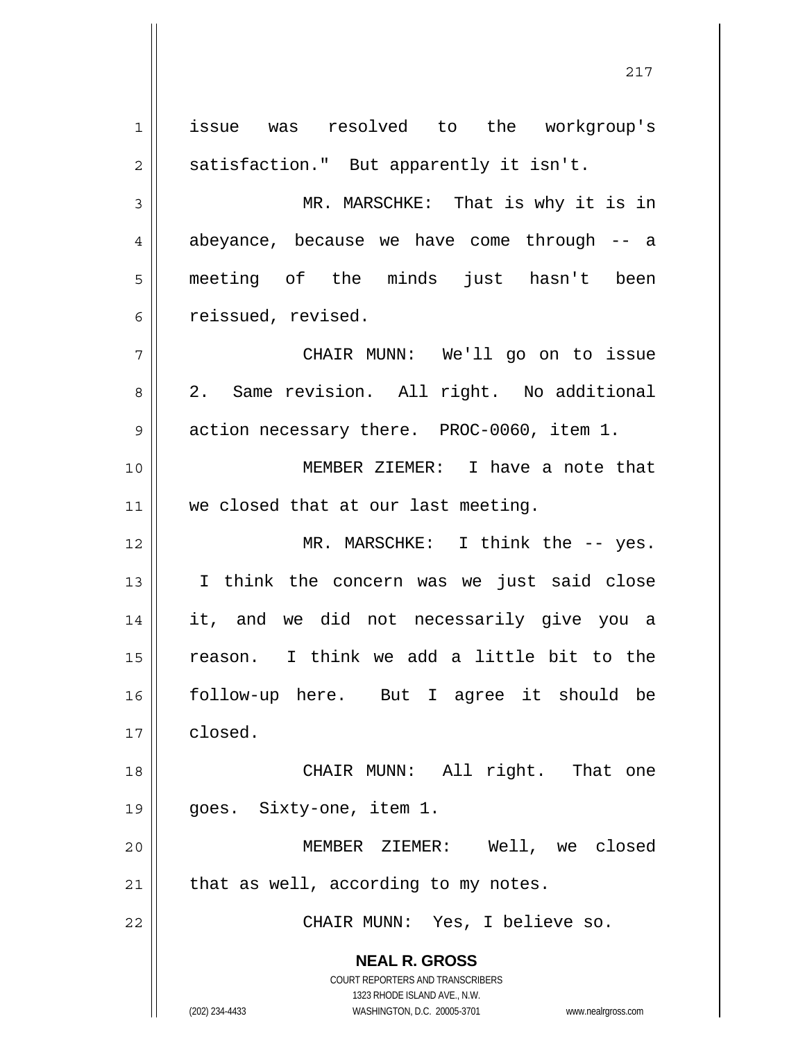**NEAL R. GROSS** COURT REPORTERS AND TRANSCRIBERS 1323 RHODE ISLAND AVE., N.W. (202) 234-4433 WASHINGTON, D.C. 20005-3701 www.nealrgross.com 1 issue was resolved to the workgroup's  $2 \parallel$  satisfaction." But apparently it isn't. 3 MR. MARSCHKE: That is why it is in 4 || abeyance, because we have come through -- a 5 meeting of the minds just hasn't been 6 | reissued, revised. 7 CHAIR MUNN: We'll go on to issue 8 | 2. Same revision. All right. No additional 9 || action necessary there. PROC-0060, item 1. 10 MEMBER ZIEMER: I have a note that 11 || we closed that at our last meeting. 12 || MR. MARSCHKE: I think the -- yes. 13 || I think the concern was we just said close 14 it, and we did not necessarily give you a 15 || reason. I think we add a little bit to the 16 follow-up here. But I agree it should be 17 closed. 18 || CHAIR MUNN: All right. That one 19 goes. Sixty-one, item 1. 20 MEMBER ZIEMER: Well, we closed  $21$  | that as well, according to my notes. 22 CHAIR MUNN: Yes, I believe so.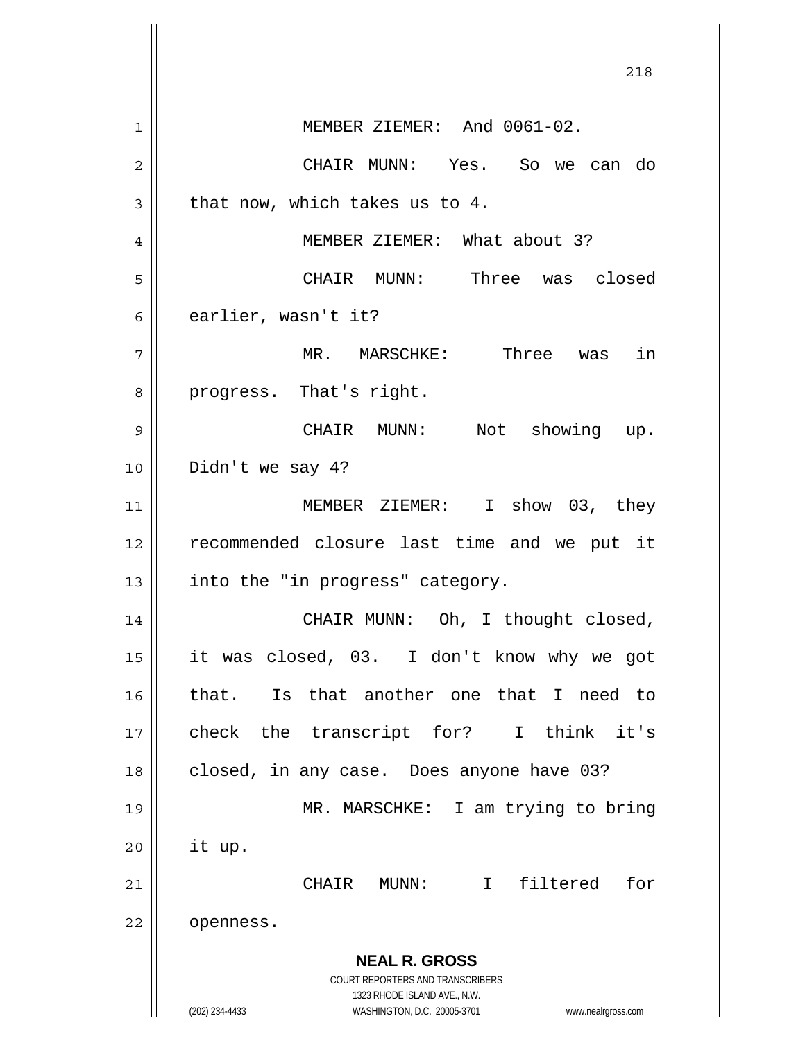**NEAL R. GROSS** COURT REPORTERS AND TRANSCRIBERS 1323 RHODE ISLAND AVE., N.W. (202) 234-4433 WASHINGTON, D.C. 20005-3701 www.nealrgross.com <u>218</u> 1 MEMBER ZIEMER: And 0061-02. 2 CHAIR MUNN: Yes. So we can do  $3 \parallel$  that now, which takes us to 4. 4 || MEMBER ZIEMER: What about 3? 5 CHAIR MUNN: Three was closed  $6 \parallel$  earlier, wasn't it? 7 MR. MARSCHKE: Three was in 8 || progress. That's right. 9 CHAIR MUNN: Not showing up.  $10$  | Didn't we say 4? 11 || MEMBER ZIEMER: I show 03, they 12 || recommended closure last time and we put it  $13$  | into the "in progress" category. 14 || CHAIR MUNN: Oh, I thought closed, 15 it was closed, 03. I don't know why we got 16 that. Is that another one that I need to 17 check the transcript for? I think it's 18 | closed, in any case. Does anyone have 03? 19 MR. MARSCHKE: I am trying to bring  $20$  || it up. 21 CHAIR MUNN: I filtered for 22 | openness.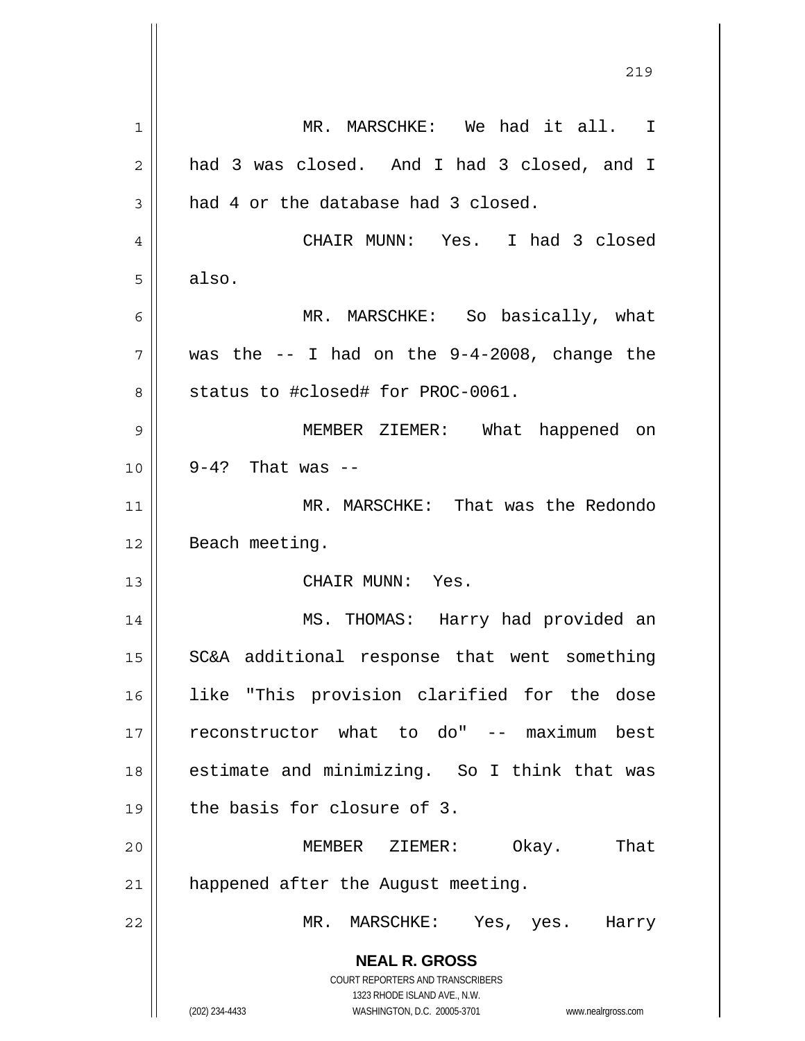|    | 219                                                                 |
|----|---------------------------------------------------------------------|
| 1  | MR. MARSCHKE: We had it all. I                                      |
| 2  | had 3 was closed. And I had 3 closed, and I                         |
| 3  | had 4 or the database had 3 closed.                                 |
| 4  | CHAIR MUNN: Yes. I had 3 closed                                     |
| 5  | also.                                                               |
| 6  | MR. MARSCHKE: So basically, what                                    |
| 7  | was the $--$ I had on the $9-4-2008$ , change the                   |
| 8  | status to #closed# for PROC-0061.                                   |
| 9  | MEMBER ZIEMER: What happened on                                     |
| 10 | $9-4?$ That was $-$                                                 |
| 11 | MR. MARSCHKE: That was the Redondo                                  |
| 12 | Beach meeting.                                                      |
| 13 | CHAIR MUNN: Yes.                                                    |
| 14 | MS. THOMAS: Harry had provided an                                   |
| 15 | SC&A additional response that went something                        |
| 16 | like "This provision clarified for the dose                         |
| 17 | reconstructor what to do" -- maximum best                           |
| 18 | estimate and minimizing. So I think that was                        |
| 19 | the basis for closure of 3.                                         |
| 20 | Okay.<br>That<br>MEMBER ZIEMER:                                     |
| 21 | happened after the August meeting.                                  |
| 22 | MR. MARSCHKE: Yes, yes. Harry                                       |
|    | <b>NEAL R. GROSS</b>                                                |
|    | COURT REPORTERS AND TRANSCRIBERS<br>1323 RHODE ISLAND AVE., N.W.    |
|    | (202) 234-4433<br>WASHINGTON, D.C. 20005-3701<br>www.nealrgross.com |

 $\overline{\phantom{a}}$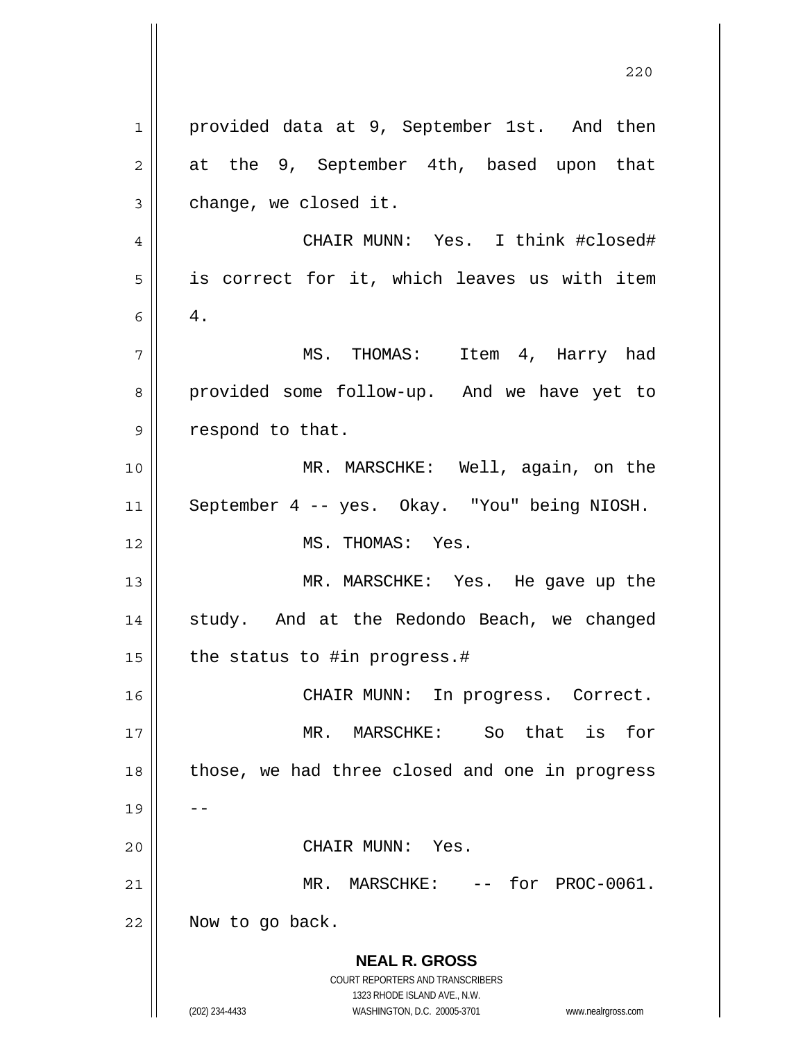**NEAL R. GROSS** COURT REPORTERS AND TRANSCRIBERS 1323 RHODE ISLAND AVE., N.W. (202) 234-4433 WASHINGTON, D.C. 20005-3701 www.nealrgross.com 1 provided data at 9, September 1st. And then 2 at the 9, September 4th, based upon that  $3 \parallel$  change, we closed it. 4 CHAIR MUNN: Yes. I think #closed#  $5 \parallel$  is correct for it, which leaves us with item  $6 \parallel 4$ . 7 MS. THOMAS: Item 4, Harry had 8 provided some follow-up. And we have yet to 9 || respond to that. 10 MR. MARSCHKE: Well, again, on the 11 September 4 -- yes. Okay. "You" being NIOSH. 12 MS. THOMAS: Yes. 13 || MR. MARSCHKE: Yes. He gave up the 14 || study. And at the Redondo Beach, we changed 15  $\parallel$  the status to #in progress.# 16 || CHAIR MUNN: In progress. Correct. 17 MR. MARSCHKE: So that is for 18 || those, we had three closed and one in progress  $19 \parallel -$ 20 || CHAIR MUNN: Yes. 21  $\parallel$  MR. MARSCHKE:  $\parallel$  -- for PROC-0061. 22 | Now to go back.

<u>220</u>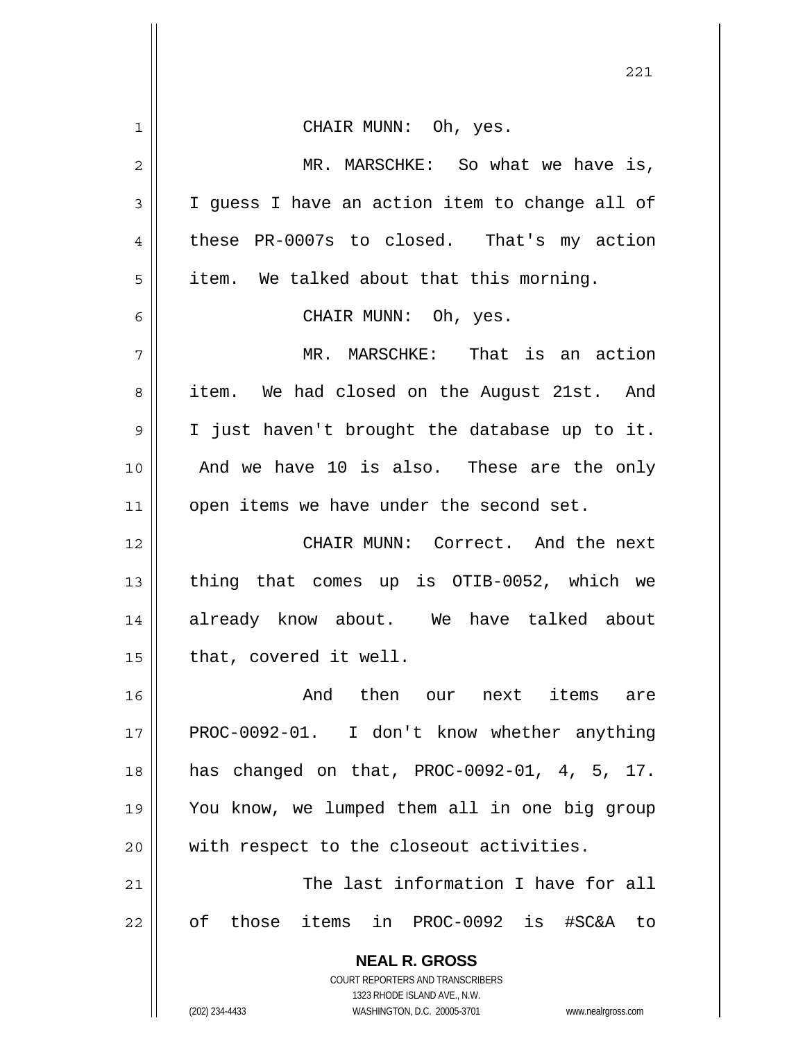|    | 221                                                                                                 |
|----|-----------------------------------------------------------------------------------------------------|
| 1  | CHAIR MUNN: Oh, yes.                                                                                |
| 2  | MR. MARSCHKE: So what we have is,                                                                   |
| 3  | I guess I have an action item to change all of                                                      |
| 4  | these PR-0007s to closed. That's my action                                                          |
| 5  | item. We talked about that this morning.                                                            |
| 6  | CHAIR MUNN: Oh, yes.                                                                                |
| 7  | MR. MARSCHKE: That is an action                                                                     |
| 8  | item. We had closed on the August 21st. And                                                         |
| 9  | I just haven't brought the database up to it.                                                       |
| 10 | And we have 10 is also. These are the only                                                          |
| 11 | open items we have under the second set.                                                            |
| 12 | CHAIR MUNN: Correct. And the next                                                                   |
| 13 | thing that comes up is OTIB-0052, which we                                                          |
| 14 | already know about. We have talked about                                                            |
| 15 | that, covered it well.                                                                              |
| 16 | And then our next items are                                                                         |
| 17 | PROC-0092-01. I don't know whether anything                                                         |
| 18 | has changed on that, PROC-0092-01, 4, 5, 17.                                                        |
| 19 | You know, we lumped them all in one big group                                                       |
| 20 | with respect to the closeout activities.                                                            |
| 21 | The last information I have for all                                                                 |
| 22 | of those items in PROC-0092 is<br>#SC&A to                                                          |
|    | <b>NEAL R. GROSS</b>                                                                                |
|    | COURT REPORTERS AND TRANSCRIBERS                                                                    |
|    | 1323 RHODE ISLAND AVE., N.W.<br>(202) 234-4433<br>WASHINGTON, D.C. 20005-3701<br>www.nealrgross.com |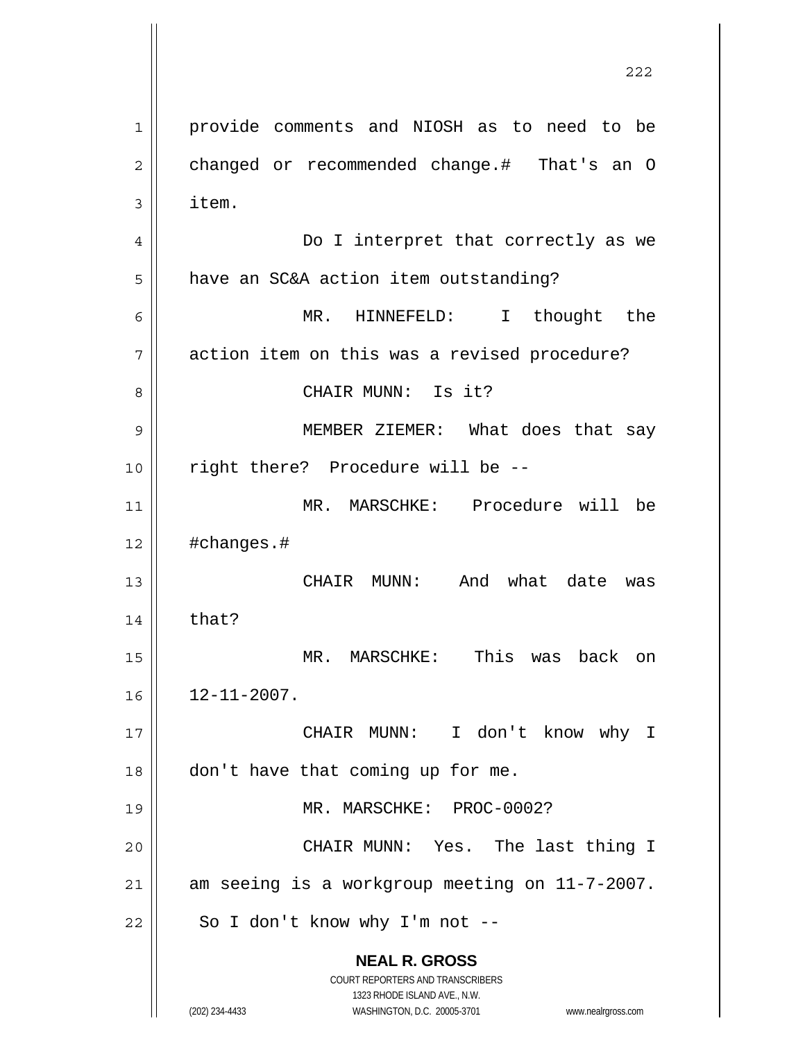**NEAL R. GROSS** COURT REPORTERS AND TRANSCRIBERS 1323 RHODE ISLAND AVE., N.W. (202) 234-4433 WASHINGTON, D.C. 20005-3701 www.nealrgross.com <u>222</u> 1 | provide comments and NIOSH as to need to be 2 || changed or recommended change.# That's an O  $3 \parallel$  item. 4 Do I interpret that correctly as we  $5 \parallel$  have an SC&A action item outstanding? 6 MR. HINNEFELD: I thought the 7 || action item on this was a revised procedure? 8 CHAIR MUNN: Is it? 9 MEMBER ZIEMER: What does that say 10 || right there? Procedure will be --11 MR. MARSCHKE: Procedure will be  $12$  |  $\#$ changes.# 13 CHAIR MUNN: And what date was  $14$  | that? 15 MR. MARSCHKE: This was back on  $16$  | 12-11-2007. 17 CHAIR MUNN: I don't know why I 18 || don't have that coming up for me. 19 || MR. MARSCHKE: PROC-0002? 20 CHAIR MUNN: Yes. The last thing I  $21$  am seeing is a workgroup meeting on  $11-7-2007$ .  $22$  | So I don't know why I'm not --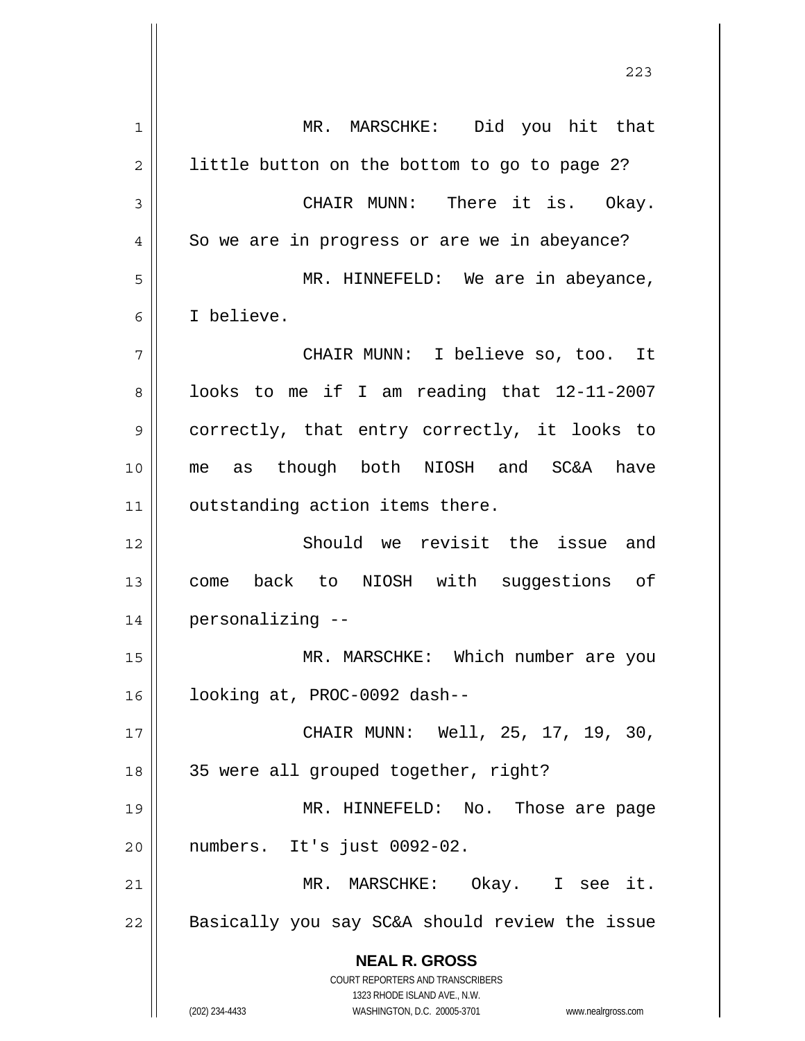**NEAL R. GROSS** COURT REPORTERS AND TRANSCRIBERS 1323 RHODE ISLAND AVE., N.W. (202) 234-4433 WASHINGTON, D.C. 20005-3701 www.nealrgross.com 1 || MR. MARSCHKE: Did you hit that  $2 \parallel$  little button on the bottom to go to page 2? 3 CHAIR MUNN: There it is. Okay. 4 So we are in progress or are we in abeyance? 5 MR. HINNEFELD: We are in abeyance, 6 I believe. 7 CHAIR MUNN: I believe so, too. It  $8 \parallel$  looks to me if I am reading that 12-11-2007 9 correctly, that entry correctly, it looks to 10 me as though both NIOSH and SC&A have 11 || outstanding action items there. 12 Should we revisit the issue and 13 come back to NIOSH with suggestions of 14 personalizing -- 15 || MR. MARSCHKE: Which number are you 16 looking at, PROC-0092 dash-- 17 CHAIR MUNN: Well, 25, 17, 19, 30, 18 || 35 were all grouped together, right? 19 MR. HINNEFELD: No. Those are page 20 numbers. It's just 0092-02. 21 MR. MARSCHKE: Okay. I see it.  $22$  | Basically you say SC&A should review the issue

<u>223</u>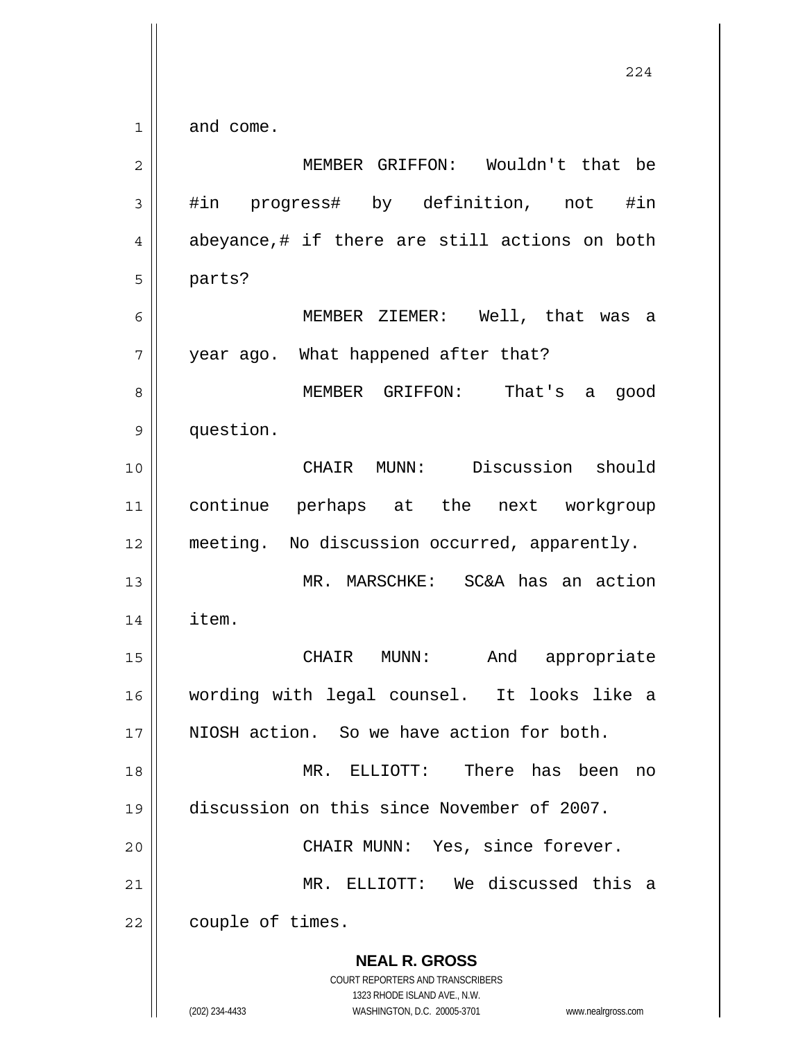$1 \parallel$  and come.

| $\overline{2}$ | MEMBER GRIFFON: Wouldn't that be                                                                                                                                |
|----------------|-----------------------------------------------------------------------------------------------------------------------------------------------------------------|
| 3              | #in progress# by definition, not #in                                                                                                                            |
| 4              | abeyance,# if there are still actions on both                                                                                                                   |
| 5              | parts?                                                                                                                                                          |
| 6              | MEMBER ZIEMER: Well, that was a                                                                                                                                 |
| 7              | year ago. What happened after that?                                                                                                                             |
| 8              | MEMBER GRIFFON: That's a<br>good                                                                                                                                |
| 9              | question.                                                                                                                                                       |
| 10             | CHAIR MUNN: Discussion should                                                                                                                                   |
| 11             | continue perhaps at the next workgroup                                                                                                                          |
| 12             | meeting. No discussion occurred, apparently.                                                                                                                    |
| 13             | MR. MARSCHKE: SC&A has an action                                                                                                                                |
| 14             | item.                                                                                                                                                           |
| 15             | And appropriate<br>CHAIR MUNN:                                                                                                                                  |
| 16             | wording with legal counsel. It looks like a                                                                                                                     |
| 17             | NIOSH action. So we have action for both.                                                                                                                       |
| 18             | There has been<br>MR. ELLIOTT:<br>no                                                                                                                            |
| 19             | discussion on this since November of 2007.                                                                                                                      |
| 20             | CHAIR MUNN: Yes, since forever.                                                                                                                                 |
| 21             | MR. ELLIOTT: We discussed this a                                                                                                                                |
| 22             | couple of times.                                                                                                                                                |
|                | <b>NEAL R. GROSS</b><br>COURT REPORTERS AND TRANSCRIBERS<br>1323 RHODE ISLAND AVE., N.W.<br>(202) 234-4433<br>WASHINGTON, D.C. 20005-3701<br>www.nealrgross.com |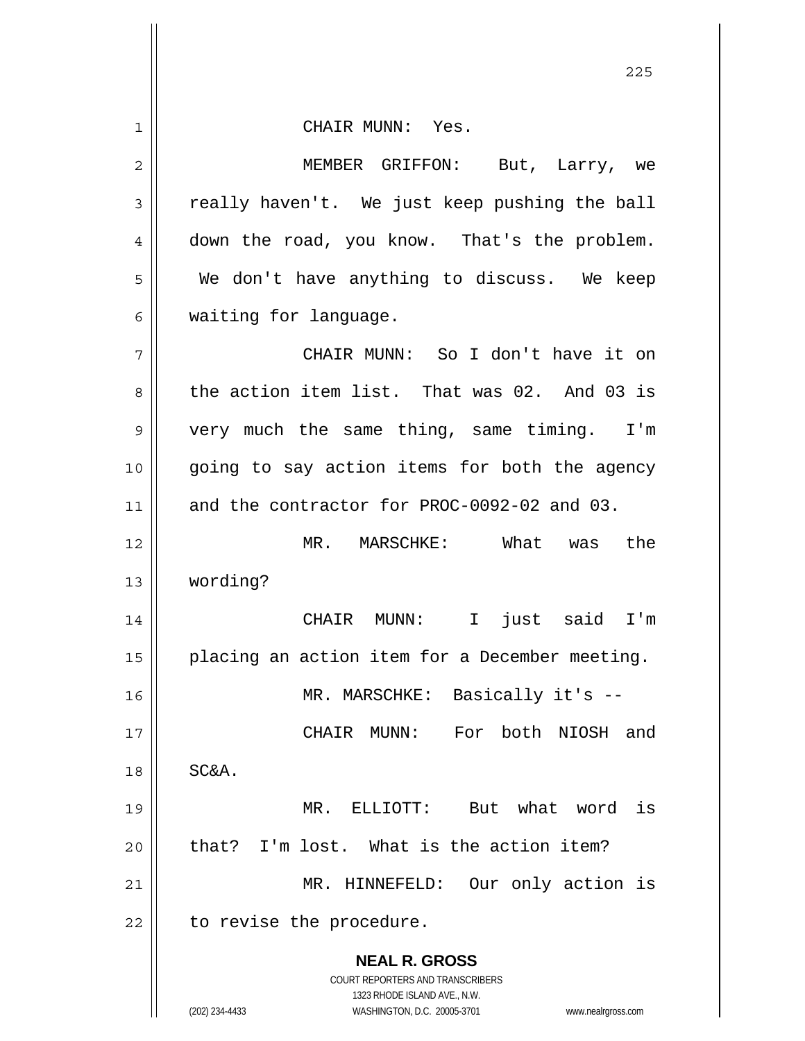**NEAL R. GROSS** COURT REPORTERS AND TRANSCRIBERS 1323 RHODE ISLAND AVE., N.W. 1 || CHAIR MUNN: Yes. 2 MEMBER GRIFFON: But, Larry, we  $3 \parallel$  really haven't. We just keep pushing the ball 4 down the road, you know. That's the problem. 5 We don't have anything to discuss. We keep 6 waiting for language. 7 CHAIR MUNN: So I don't have it on 8 the action item list. That was 02. And 03 is 9 very much the same thing, same timing. I'm 10 || going to say action items for both the agency 11 and the contractor for PROC-0092-02 and 03. 12 MR. MARSCHKE: What was the 13 wording? 14 CHAIR MUNN: I just said I'm 15 | placing an action item for a December meeting. 16 MR. MARSCHKE: Basically it's -- 17 || CHAIR MUNN: For both NIOSH and  $18$   $\parallel$  SC&A. 19 MR. ELLIOTT: But what word is  $20$  || that? I'm lost. What is the action item? 21 || MR. HINNEFELD: Our only action is  $22$  | to revise the procedure.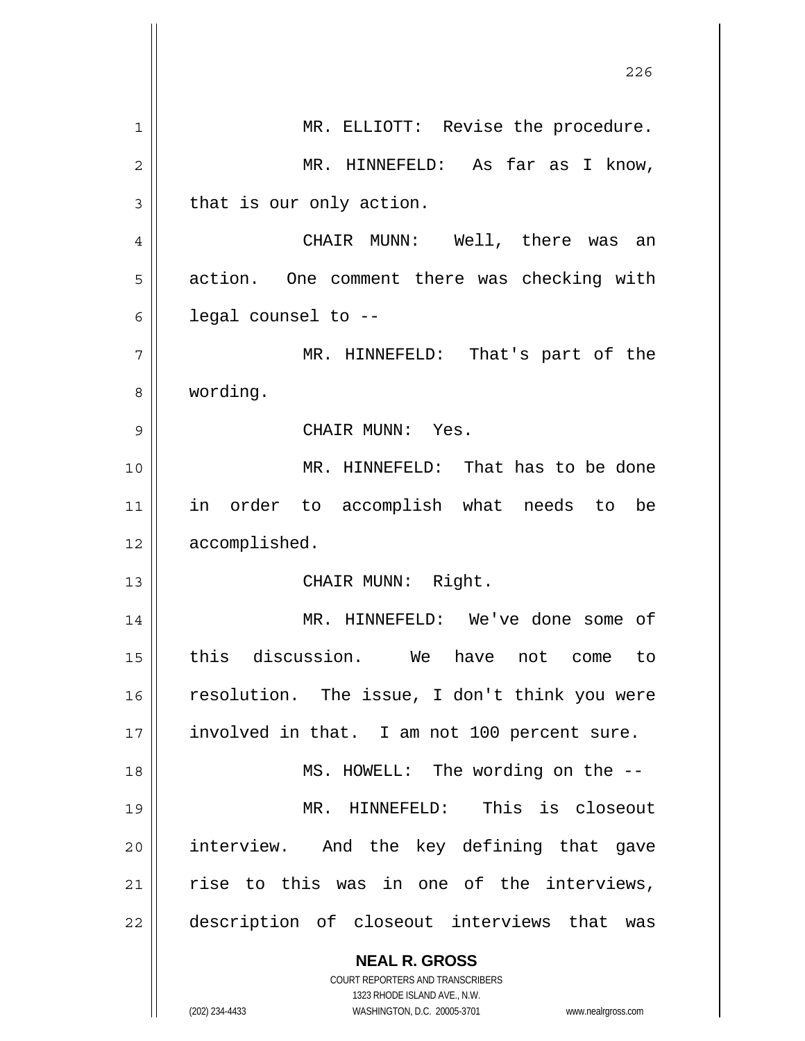|    | 226                                                                 |
|----|---------------------------------------------------------------------|
| 1  | MR. ELLIOTT: Revise the procedure.                                  |
| 2  | MR. HINNEFELD: As far as I know,                                    |
| 3  | that is our only action.                                            |
| 4  | CHAIR MUNN: Well, there was an                                      |
| 5  | action. One comment there was checking with                         |
| 6  | legal counsel to --                                                 |
| 7  | MR. HINNEFELD: That's part of the                                   |
| 8  | wording.                                                            |
| 9  | CHAIR MUNN: Yes.                                                    |
| 10 | MR. HINNEFELD: That has to be done                                  |
| 11 | in order to accomplish what needs to be                             |
| 12 | accomplished.                                                       |
| 13 | CHAIR MUNN: Right.                                                  |
| 14 | MR. HINNEFELD: We've done some of                                   |
| 15 | this discussion. We have not come to                                |
| 16 | resolution. The issue, I don't think you were                       |
| 17 | involved in that. I am not 100 percent sure.                        |
| 18 | MS. HOWELL: The wording on the --                                   |
| 19 | MR. HINNEFELD: This is closeout                                     |
| 20 | interview. And the key defining that gave                           |
| 21 | rise to this was in one of the interviews,                          |
| 22 | description of closeout interviews that was                         |
|    | <b>NEAL R. GROSS</b>                                                |
|    | COURT REPORTERS AND TRANSCRIBERS<br>1323 RHODE ISLAND AVE., N.W.    |
|    | (202) 234-4433<br>WASHINGTON, D.C. 20005-3701<br>www.nealrgross.com |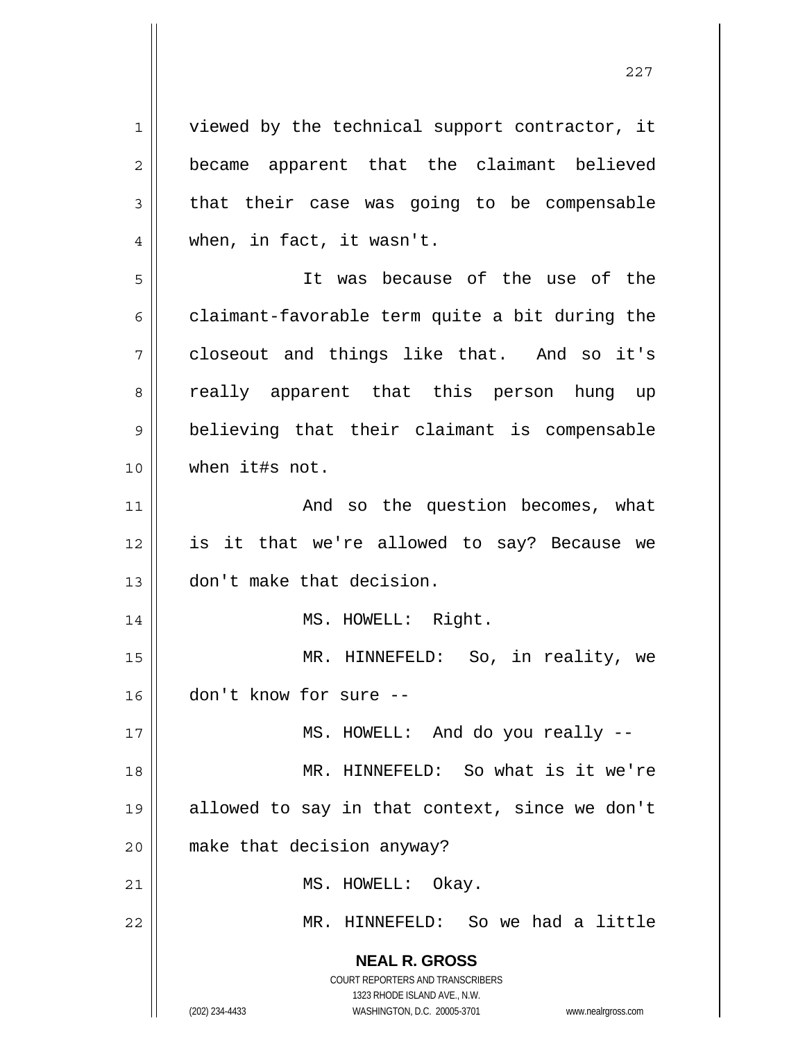**NEAL R. GROSS** COURT REPORTERS AND TRANSCRIBERS 1323 RHODE ISLAND AVE., N.W. 1 || viewed by the technical support contractor, it 2 || became apparent that the claimant believed  $3 \parallel$  that their case was going to be compensable 4 | when, in fact, it wasn't. 5 It was because of the use of the  $6 \parallel$  claimant-favorable term quite a bit during the 7 closeout and things like that. And so it's 8 || really apparent that this person hung up 9 || believing that their claimant is compensable 10 when it#s not. 11 || The And so the question becomes, what 12 is it that we're allowed to say? Because we 13 don't make that decision. 14 || MS. HOWELL: Right. 15 MR. HINNEFELD: So, in reality, we 16 don't know for sure -- 17 || MS. HOWELL: And do you really --18 MR. HINNEFELD: So what is it we're 19 allowed to say in that context, since we don't 20 make that decision anyway? 21 || MS. HOWELL: Okay. 22 || MR. HINNEFELD: So we had a little

(202) 234-4433 WASHINGTON, D.C. 20005-3701 www.nealrgross.com

<u>227</u>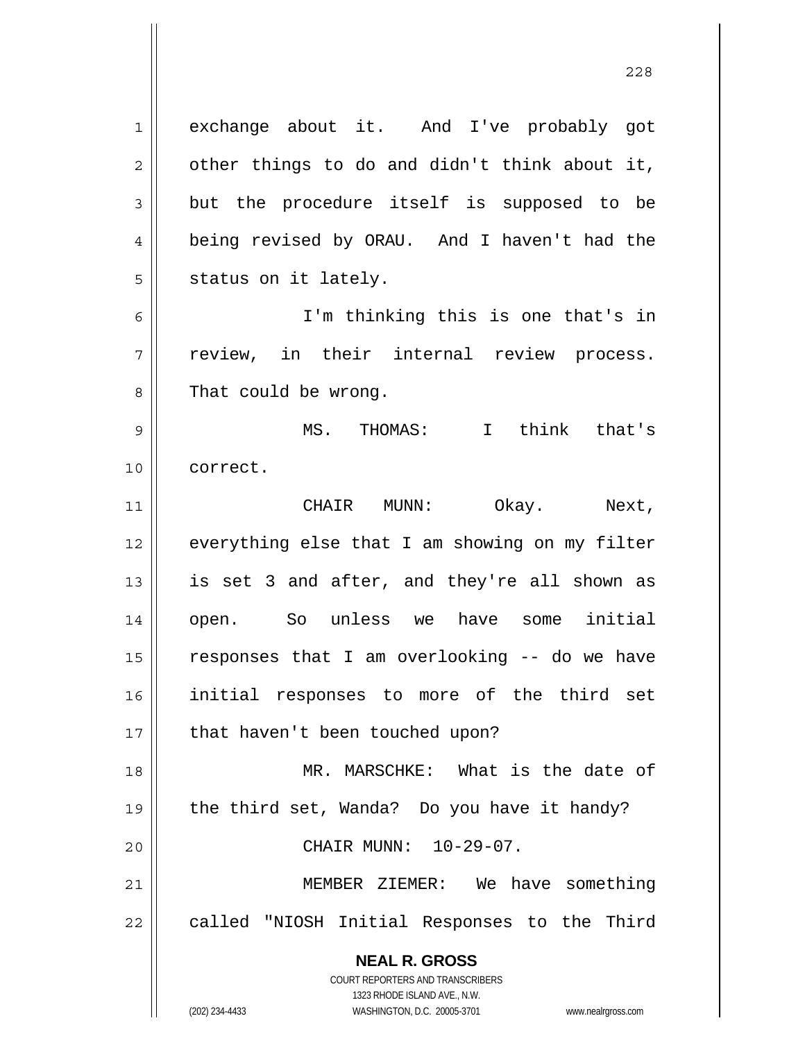**NEAL R. GROSS** COURT REPORTERS AND TRANSCRIBERS 1 exchange about it. And I've probably got  $2 \parallel$  other things to do and didn't think about it,  $3 \parallel$  but the procedure itself is supposed to be 4 | being revised by ORAU. And I haven't had the  $5 \parallel$  status on it lately. 6 I'm thinking this is one that's in 7 || review, in their internal review process.  $8 \parallel$  That could be wrong. 9 MS. THOMAS: I think that's 10 correct. 11 CHAIR MUNN: Okay. Next,  $12$  | everything else that I am showing on my filter 13  $\parallel$  is set 3 and after, and they're all shown as 14 open. So unless we have some initial 15  $\parallel$  responses that I am overlooking -- do we have 16 initial responses to more of the third set  $17$  | that haven't been touched upon? 18 MR. MARSCHKE: What is the date of 19 || the third set, Wanda? Do you have it handy? 20 CHAIR MUNN: 10-29-07. 21 MEMBER ZIEMER: We have something  $22$  || called "NIOSH Initial Responses to the Third

1323 RHODE ISLAND AVE., N.W.

(202) 234-4433 WASHINGTON, D.C. 20005-3701 www.nealrgross.com

<u>228</u>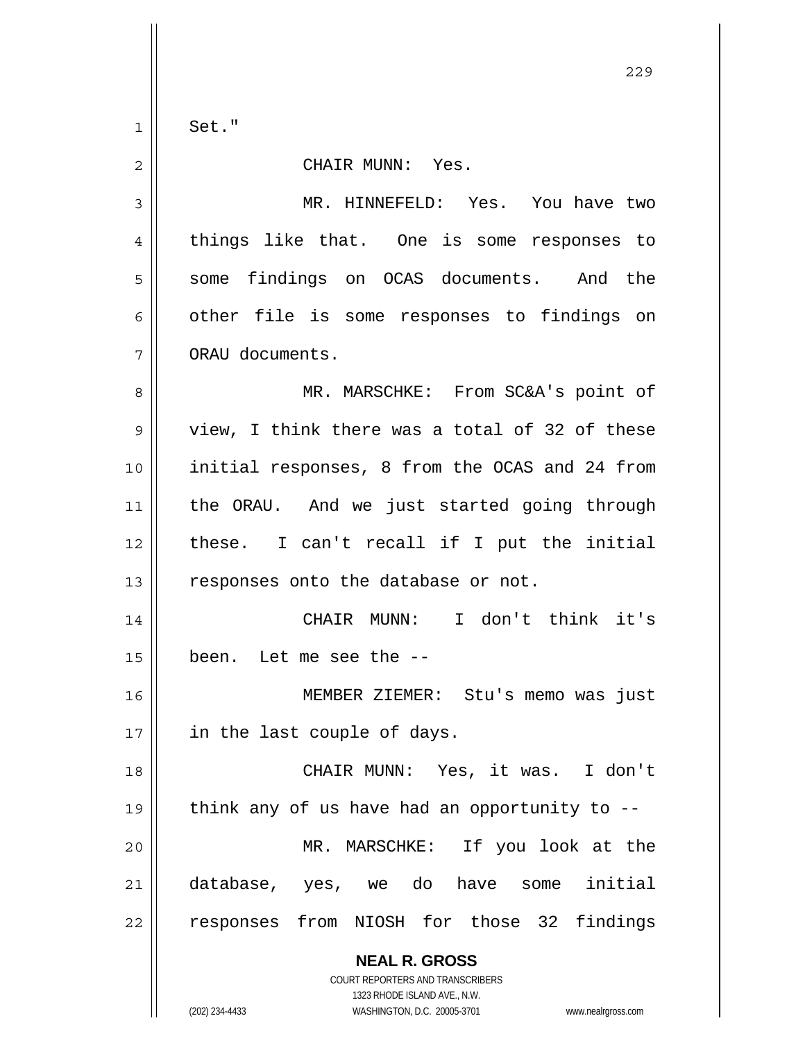$1 \parallel$  Set."

## **NEAL R. GROSS** 2 CHAIR MUNN: Yes. 3 MR. HINNEFELD: Yes. You have two 4 || things like that. One is some responses to 5 || some findings on OCAS documents. And the  $6 \parallel$  other file is some responses to findings on 7 ORAU documents. 8 || MR. MARSCHKE: From SC&A's point of  $9 \parallel$  view, I think there was a total of 32 of these 10 || initial responses, 8 from the OCAS and 24 from 11 || the ORAU. And we just started going through  $12$  || these. I can't recall if I put the initial 13 || responses onto the database or not. 14 CHAIR MUNN: I don't think it's  $15$  | been. Let me see the  $-$ 16 MEMBER ZIEMER: Stu's memo was just  $17 \parallel$  in the last couple of days. 18 CHAIR MUNN: Yes, it was. I don't 19  $\parallel$  think any of us have had an opportunity to --20 MR. MARSCHKE: If you look at the 21 database, yes, we do have some initial 22 || responses from NIOSH for those 32 findings

 COURT REPORTERS AND TRANSCRIBERS 1323 RHODE ISLAND AVE., N.W.

(202) 234-4433 WASHINGTON, D.C. 20005-3701 www.nealrgross.com

<u>229</u>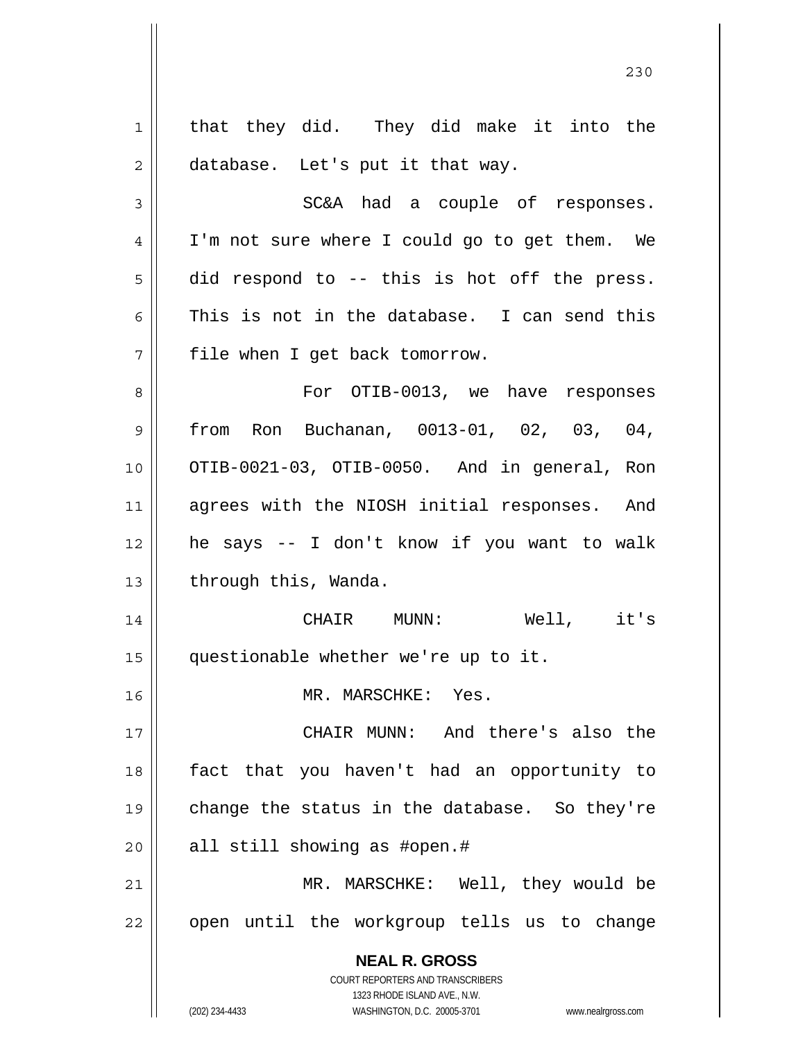**NEAL R. GROSS** COURT REPORTERS AND TRANSCRIBERS 1323 RHODE ISLAND AVE., N.W. (202) 234-4433 WASHINGTON, D.C. 20005-3701 www.nealrgross.com 1 | that they did. They did make it into the  $2 \parallel$  database. Let's put it that way.  $3 \parallel$  SC&A had a couple of responses. 4 | I'm not sure where I could go to get them. We  $5 \parallel$  did respond to -- this is hot off the press. 6 This is not in the database. I can send this 7 | file when I get back tomorrow. 8 For OTIB-0013, we have responses 9 from Ron Buchanan, 0013-01, 02, 03, 04, 10 || OTIB-0021-03, OTIB-0050. And in general, Ron 11 || agrees with the NIOSH initial responses. And 12 he says -- I don't know if you want to walk 13 | through this, Wanda. 14 CHAIR MUNN: Well, it's 15 | questionable whether we're up to it. 16 MR. MARSCHKE: Yes. 17 CHAIR MUNN: And there's also the 18 fact that you haven't had an opportunity to 19 change the status in the database. So they're  $20$  | all still showing as #open.# 21 MR. MARSCHKE: Well, they would be  $22$  || open until the workgroup tells us to change

<u>230</u>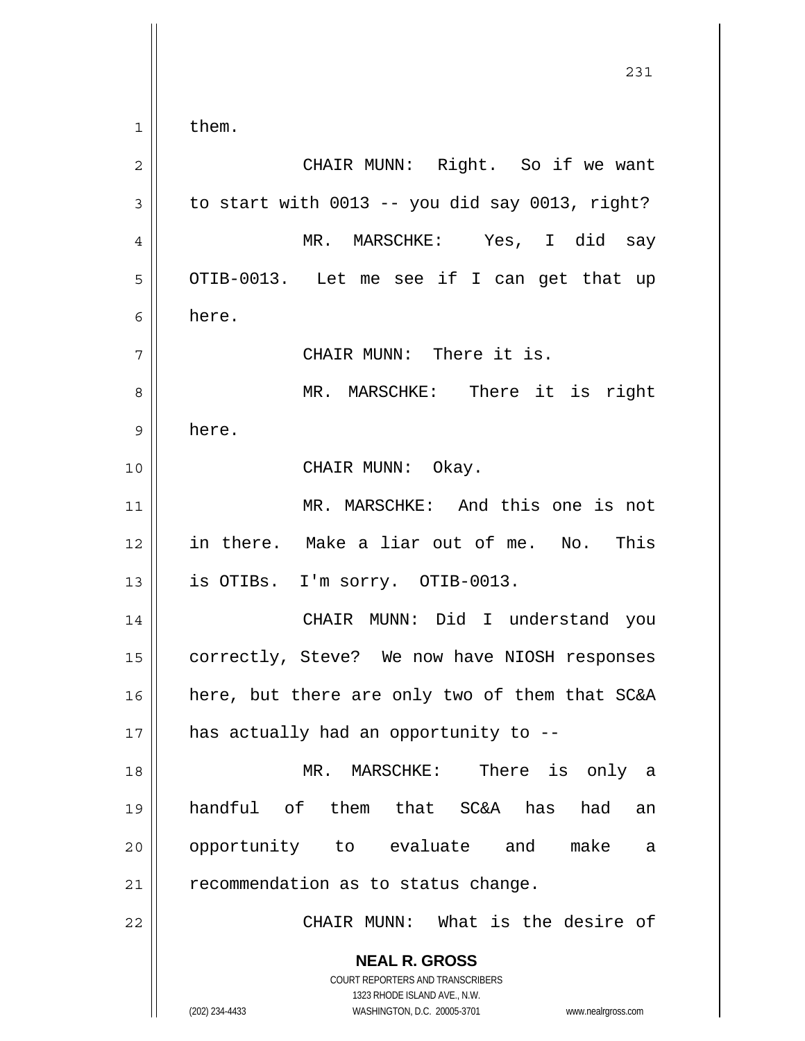**NEAL R. GROSS** COURT REPORTERS AND TRANSCRIBERS 1323 RHODE ISLAND AVE., N.W. 231  $1 \parallel$  them. 2 CHAIR MUNN: Right. So if we want  $3 \parallel$  to start with 0013 -- you did say 0013, right? 4 MR. MARSCHKE: Yes, I did say  $5 \parallel$  OTIB-0013. Let me see if I can get that up  $6 \parallel$  here. 7 CHAIR MUNN: There it is. 8 MR. MARSCHKE: There it is right 9 here. 10 || CHAIR MUNN: Okay. 11 MR. MARSCHKE: And this one is not 12 in there. Make a liar out of me. No. This  $13$  | is OTIBs. I'm sorry. OTIB-0013. 14 CHAIR MUNN: Did I understand you 15 | correctly, Steve? We now have NIOSH responses 16 || here, but there are only two of them that SC&A  $17$  | has actually had an opportunity to  $-$ -18 MR. MARSCHKE: There is only a 19 handful of them that SC&A has had an 20 || opportunity to evaluate and make a  $21$  | recommendation as to status change. 22 CHAIR MUNN: What is the desire of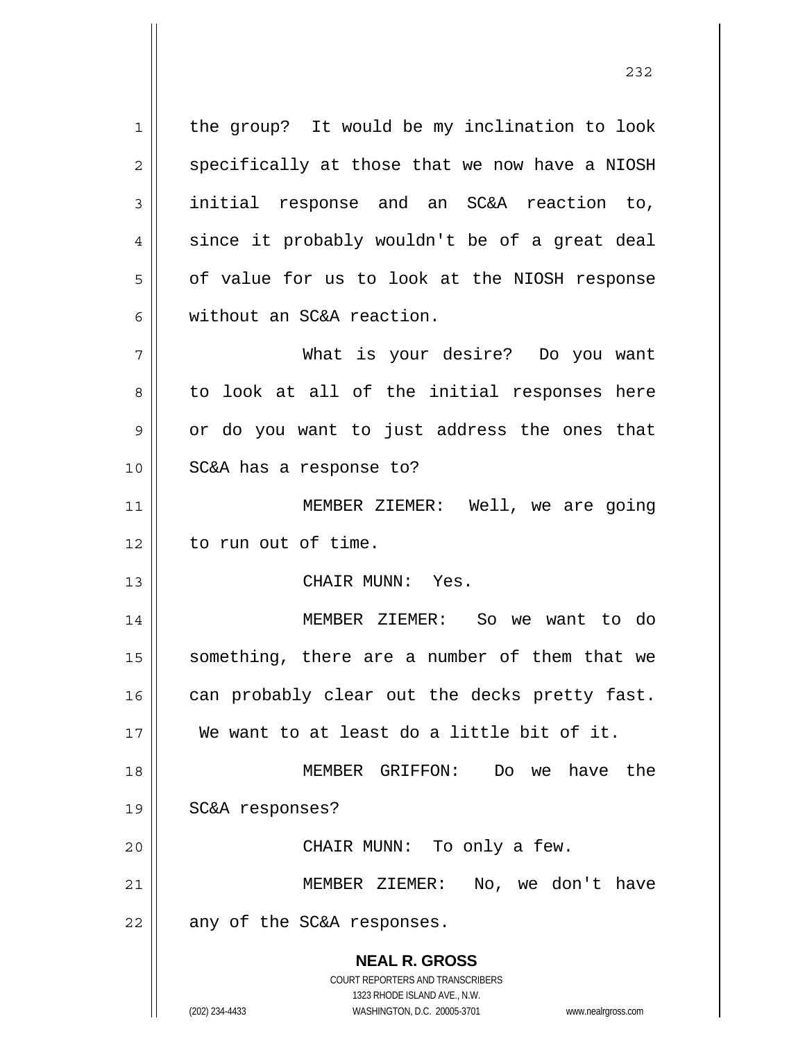**NEAL R. GROSS** COURT REPORTERS AND TRANSCRIBERS 1323 RHODE ISLAND AVE., N.W.  $1 \parallel$  the group? It would be my inclination to look  $2 \parallel$  specifically at those that we now have a NIOSH 3 initial response and an SC&A reaction to, 4 || since it probably wouldn't be of a great deal  $5 \parallel$  of value for us to look at the NIOSH response 6 without an SC&A reaction. 7 What is your desire? Do you want  $8 \parallel$  to look at all of the initial responses here  $9 \parallel$  or do you want to just address the ones that 10 SC&A has a response to? 11 || MEMBER ZIEMER: Well, we are going 12 | to run out of time. 13 CHAIR MUNN: Yes. 14 MEMBER ZIEMER: So we want to do 15 || something, there are a number of them that we  $16$  can probably clear out the decks pretty fast. 17 We want to at least do a little bit of it. 18 MEMBER GRIFFON: Do we have the 19 SC&A responses? 20 CHAIR MUNN: To only a few. 21 || MEMBER ZIEMER: No, we don't have  $22$  || any of the SC&A responses.

(202) 234-4433 WASHINGTON, D.C. 20005-3701 www.nealrgross.com

<u>232</u>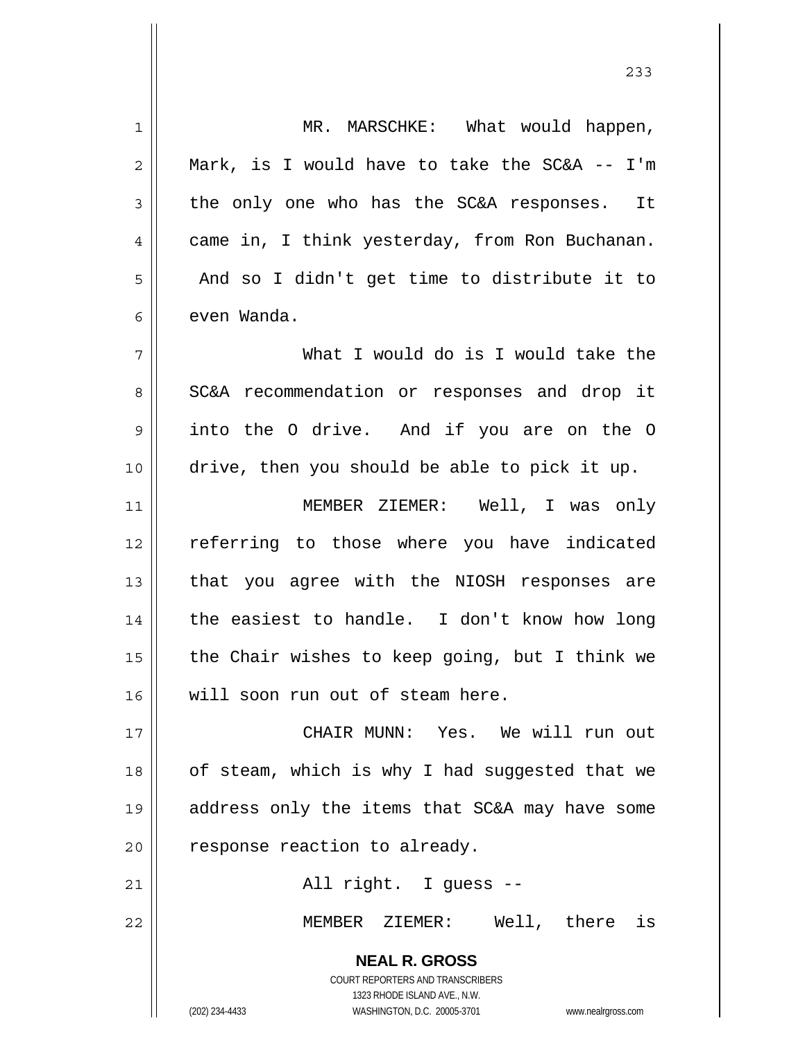**NEAL R. GROSS** COURT REPORTERS AND TRANSCRIBERS 1323 RHODE ISLAND AVE., N.W. (202) 234-4433 WASHINGTON, D.C. 20005-3701 www.nealrgross.com 1 || MR. MARSCHKE: What would happen,  $2 \parallel$  Mark, is I would have to take the SC&A -- I'm  $3 \parallel$  the only one who has the SC&A responses. It 4 came in, I think yesterday, from Ron Buchanan.  $5 \parallel$  And so I didn't get time to distribute it to 6 l even Wanda. 7 What I would do is I would take the 8 || SC&A recommendation or responses and drop it 9 into the O drive. And if you are on the O 10 drive, then you should be able to pick it up. 11 MEMBER ZIEMER: Well, I was only 12 || referring to those where you have indicated 13 || that you agree with the NIOSH responses are 14 || the easiest to handle. I don't know how long 15  $\parallel$  the Chair wishes to keep going, but I think we 16 || will soon run out of steam here. 17 CHAIR MUNN: Yes. We will run out 18 || of steam, which is why I had suggested that we 19 address only the items that SC&A may have some  $20$  | response reaction to already. 21 All right. I guess -- 22 || MEMBER ZIEMER: Well, there is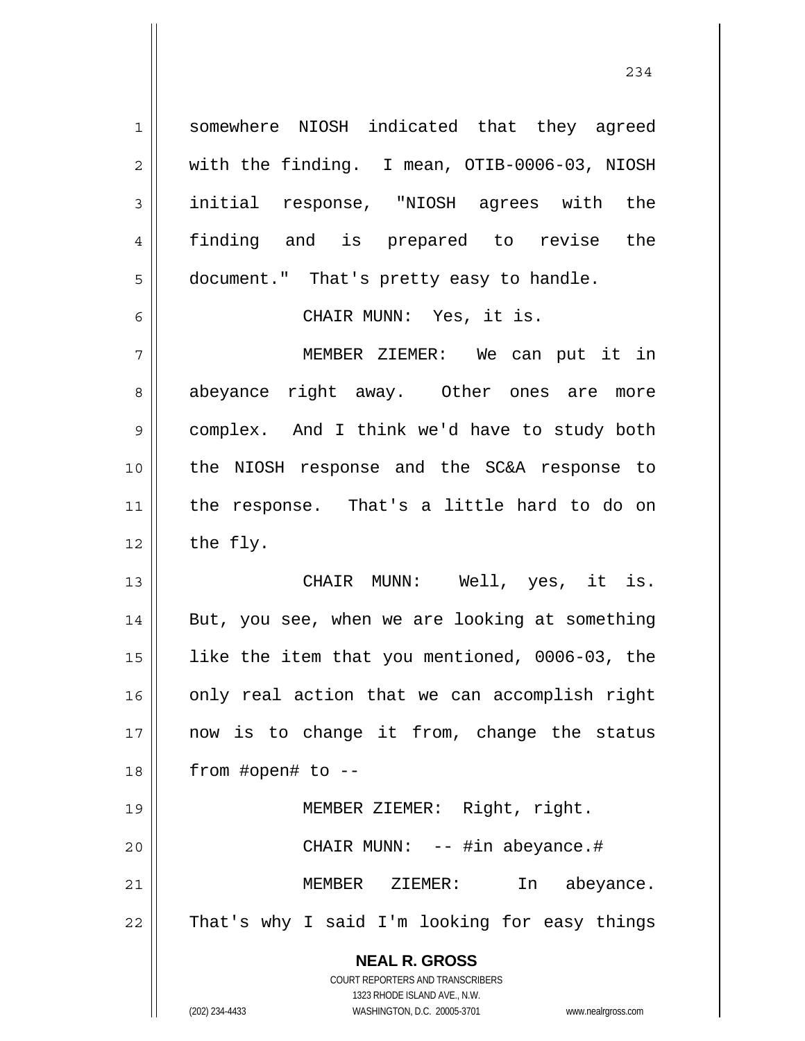**NEAL R. GROSS** COURT REPORTERS AND TRANSCRIBERS 1 Somewhere NIOSH indicated that they agreed 2 With the finding. I mean, OTIB-0006-03, NIOSH initial response, "NIOSH agrees with the finding and is prepared to revise the 5 | document." That's pretty easy to handle. CHAIR MUNN: Yes, it is. MEMBER ZIEMER: We can put it in 8 abeyance right away. Other ones are more 9 || complex. And I think we'd have to study both the NIOSH response and the SC&A response to the response. That's a little hard to do on | the fly. CHAIR MUNN: Well, yes, it is. 14 || But, you see, when we are looking at something like the item that you mentioned, 0006-03, the only real action that we can accomplish right 17 || now is to change it from, change the status | from #open# to --MEMBER ZIEMER: Right, right. CHAIR MUNN: -- #in abeyance.# MEMBER ZIEMER: In abeyance. | That's why I said I'm looking for easy things

234

1323 RHODE ISLAND AVE., N.W.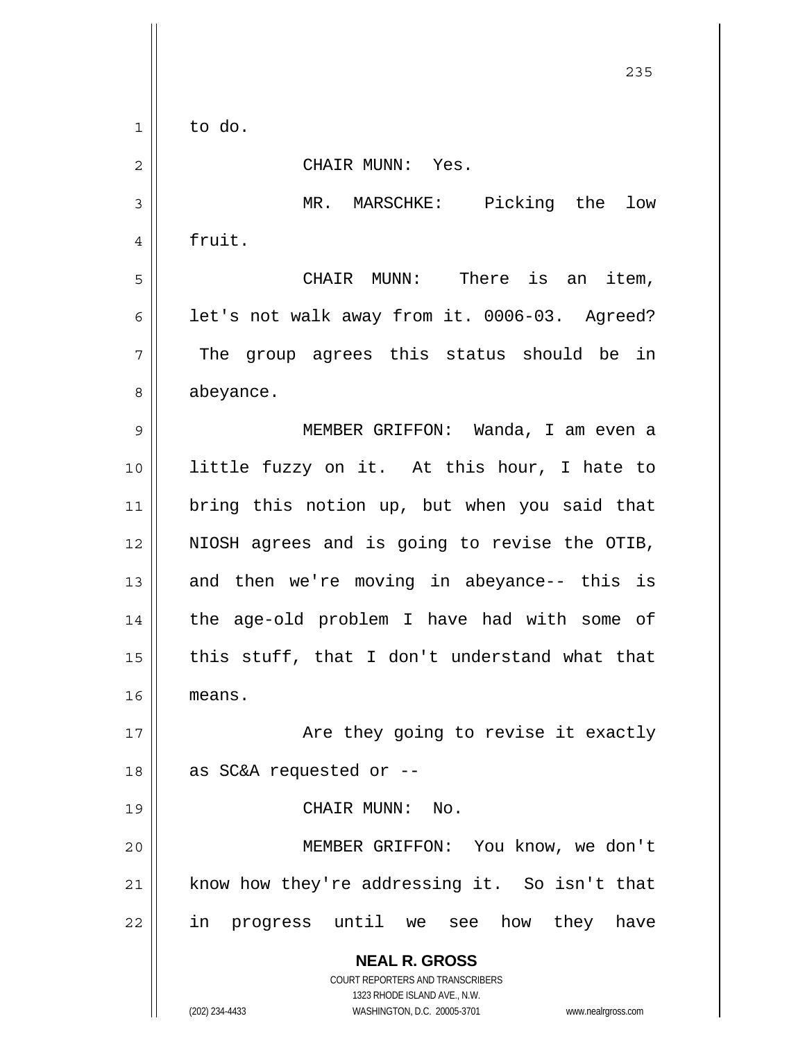**NEAL R. GROSS** COURT REPORTERS AND TRANSCRIBERS 1323 RHODE ISLAND AVE., N.W. (202) 234-4433 WASHINGTON, D.C. 20005-3701 www.nealrgross.com <u>235</u>  $1 \parallel$  to do. 2 CHAIR MUNN: Yes. 3 MR. MARSCHKE: Picking the low 4 | fruit. 5 CHAIR MUNN: There is an item, 6  $\vert$  let's not walk away from it. 0006-03. Agreed? 7 The group agrees this status should be in 8 | abeyance. 9 MEMBER GRIFFON: Wanda, I am even a 10 little fuzzy on it. At this hour, I hate to 11 bring this notion up, but when you said that 12 || NIOSH agrees and is going to revise the OTIB,  $13$  and then we're moving in abeyance-- this is 14 || the age-old problem I have had with some of 15  $\parallel$  this stuff, that I don't understand what that 16 means. 17 || Are they going to revise it exactly  $18$  || as SC&A requested or  $-$ -19 CHAIR MUNN: No. 20 MEMBER GRIFFON: You know, we don't  $21$  know how they're addressing it. So isn't that 22 || in progress until we see how they have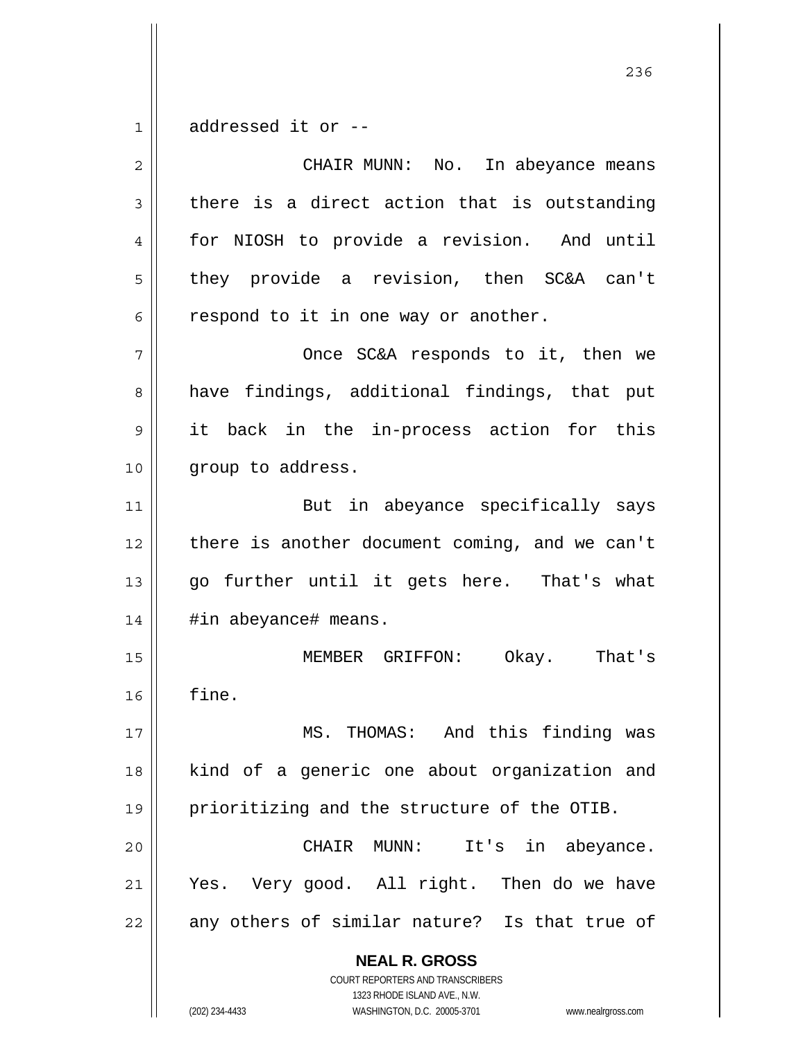$1 \parallel$  addressed it or --

| $\overline{2}$ | CHAIR MUNN: No. In abeyance means                                                                                                                               |
|----------------|-----------------------------------------------------------------------------------------------------------------------------------------------------------------|
| 3              | there is a direct action that is outstanding                                                                                                                    |
| 4              | for NIOSH to provide a revision. And until                                                                                                                      |
| 5              | they provide a revision, then SC&A can't                                                                                                                        |
| 6              | respond to it in one way or another.                                                                                                                            |
| 7              | Once SC&A responds to it, then we                                                                                                                               |
| 8              | have findings, additional findings, that put                                                                                                                    |
| 9              | it back in the in-process action for this                                                                                                                       |
| 10             | group to address.                                                                                                                                               |
| 11             | But in abeyance specifically says                                                                                                                               |
| 12             | there is another document coming, and we can't                                                                                                                  |
| 13             | go further until it gets here. That's what                                                                                                                      |
| 14             | #in abeyance# means.                                                                                                                                            |
| 15             | MEMBER GRIFFON: Okay. That's                                                                                                                                    |
| 16             | fine.                                                                                                                                                           |
| 17             | MS. THOMAS: And this finding was                                                                                                                                |
| 18             | kind of a generic one about organization and                                                                                                                    |
| 19             | prioritizing and the structure of the OTIB.                                                                                                                     |
| 20             | CHAIR MUNN:<br>It's in abeyance.                                                                                                                                |
| 21             | Yes. Very good. All right. Then do we have                                                                                                                      |
| 22             | any others of similar nature? Is that true of                                                                                                                   |
|                | <b>NEAL R. GROSS</b><br>COURT REPORTERS AND TRANSCRIBERS<br>1323 RHODE ISLAND AVE., N.W.<br>WASHINGTON, D.C. 20005-3701<br>(202) 234-4433<br>www.nealrgross.com |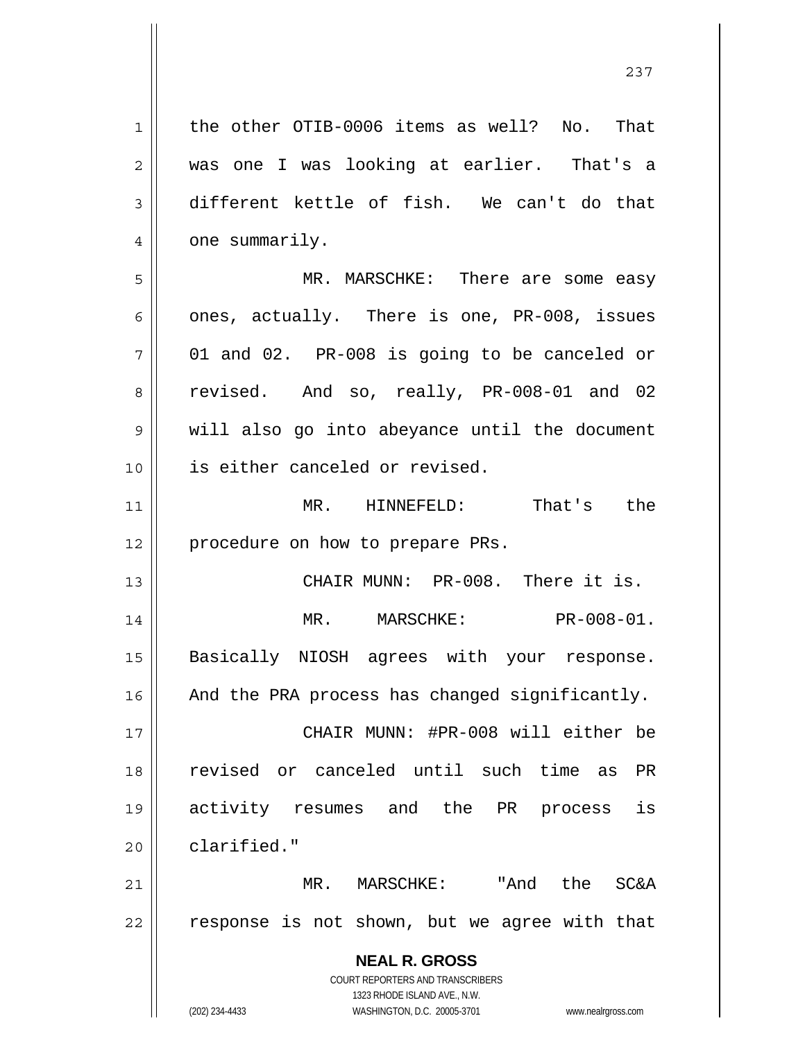**NEAL R. GROSS** COURT REPORTERS AND TRANSCRIBERS 1323 RHODE ISLAND AVE., N.W. 1 || the other OTIB-0006 items as well? No. That 2 || was one I was looking at earlier. That's a 3 different kettle of fish. We can't do that  $4 \parallel$  one summarily. 5 MR. MARSCHKE: There are some easy  $6 \parallel$  ones, actually. There is one, PR-008, issues  $7 \parallel$  01 and 02. PR-008 is going to be canceled or 8 revised. And so, really, PR-008-01 and 02 9 will also go into abeyance until the document 10 is either canceled or revised. 11 MR. HINNEFELD: That's the 12 | procedure on how to prepare PRs. 13 CHAIR MUNN: PR-008. There it is. 14 MR. MARSCHKE: PR-008-01. 15 Basically NIOSH agrees with your response.  $16$  | And the PRA process has changed significantly. 17 || CHAIR MUNN: #PR-008 will either be 18 revised or canceled until such time as PR 19 activity resumes and the PR process is 20 clarified." 21 MR. MARSCHKE: "And the SC&A 22 || response is not shown, but we agree with that

(202) 234-4433 WASHINGTON, D.C. 20005-3701 www.nealrgross.com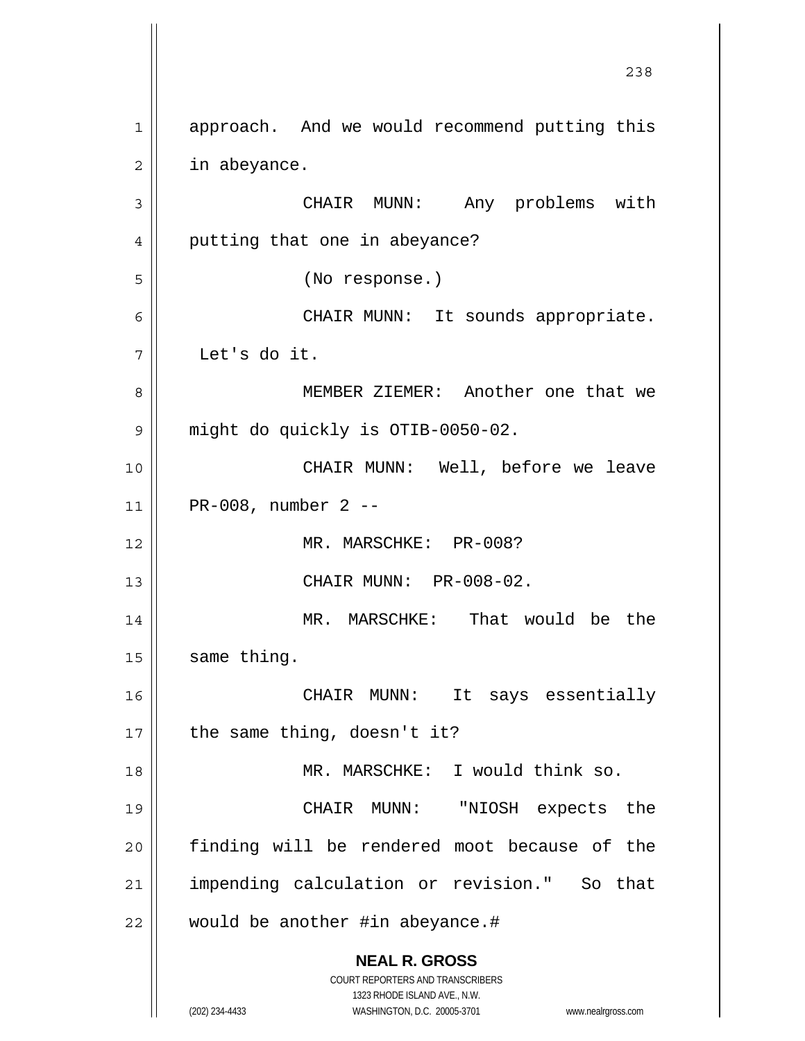**NEAL R. GROSS** COURT REPORTERS AND TRANSCRIBERS 1323 RHODE ISLAND AVE., N.W. (202) 234-4433 WASHINGTON, D.C. 20005-3701 www.nealrgross.com <u>238</u> 1 approach. And we would recommend putting this  $2 \parallel$  in abeyance. 3 CHAIR MUNN: Any problems with 4 || putting that one in abeyance? 5 (No response.) 6 CHAIR MUNN: It sounds appropriate. 7 Let's do it. 8 MEMBER ZIEMER: Another one that we 9 might do quickly is OTIB-0050-02. 10 CHAIR MUNN: Well, before we leave 11 PR-008, number 2 -- 12 MR. MARSCHKE: PR-008? 13 CHAIR MUNN: PR-008-02. 14 MR. MARSCHKE: That would be the  $15$  same thing. 16 || CHAIR MUNN: It says essentially  $17 \parallel$  the same thing, doesn't it? 18 MR. MARSCHKE: I would think so. 19 CHAIR MUNN: "NIOSH expects the 20 finding will be rendered moot because of the 21 || impending calculation or revision." So that  $22$  | would be another #in abeyance.#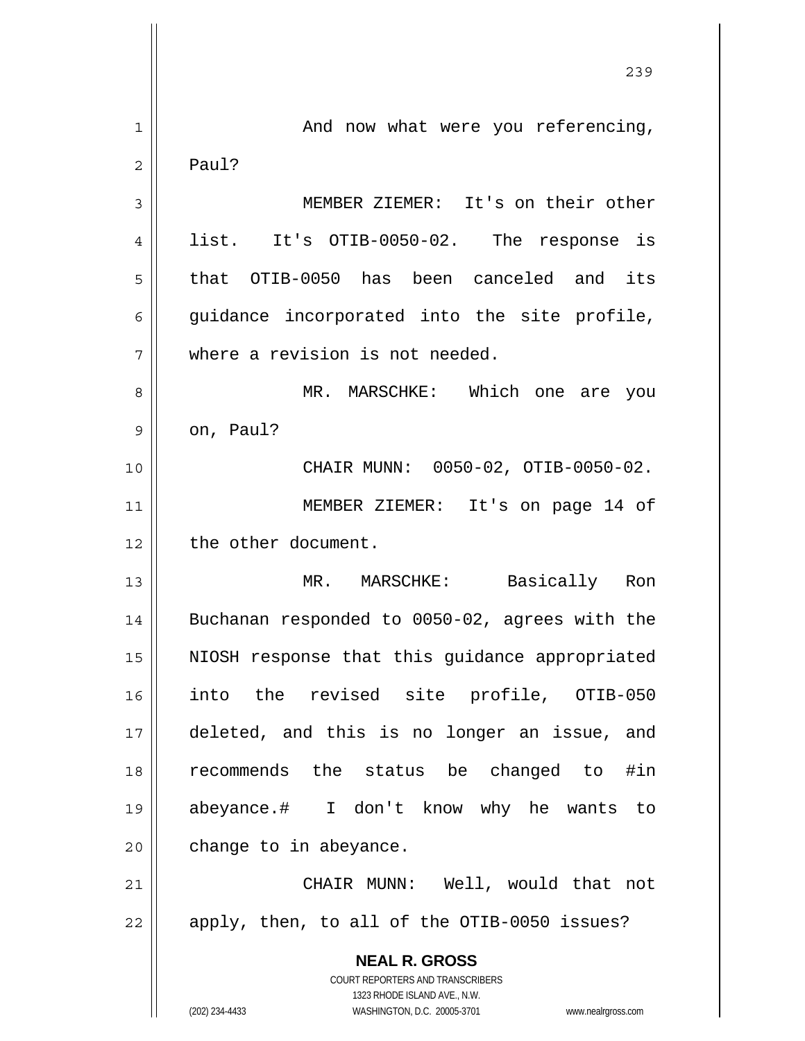|    | 239                                                                 |
|----|---------------------------------------------------------------------|
| 1  | And now what were you referencing,                                  |
| 2  | Paul?                                                               |
| 3  | MEMBER ZIEMER: It's on their other                                  |
| 4  | list. It's OTIB-0050-02. The response is                            |
| 5  | that OTIB-0050 has been canceled and its                            |
| 6  | guidance incorporated into the site profile,                        |
| 7  | where a revision is not needed.                                     |
| 8  | MR. MARSCHKE: Which one are you                                     |
| 9  | on, Paul?                                                           |
| 10 | CHAIR MUNN: 0050-02, OTIB-0050-02.                                  |
| 11 | MEMBER ZIEMER: It's on page 14 of                                   |
| 12 | the other document.                                                 |
| 13 | MR. MARSCHKE: Basically Ron                                         |
| 14 | Buchanan responded to 0050-02, agrees with the                      |
| 15 | NIOSH response that this guidance appropriated                      |
| 16 | into the revised site profile, OTIB-050                             |
| 17 | deleted, and this is no longer an issue, and                        |
| 18 | recommends the status be changed to<br>#in                          |
| 19 | abeyance.# I don't know why he wants to                             |
| 20 | change to in abeyance.                                              |
| 21 | CHAIR MUNN: Well, would that not                                    |
| 22 | apply, then, to all of the OTIB-0050 issues?                        |
|    | <b>NEAL R. GROSS</b>                                                |
|    | COURT REPORTERS AND TRANSCRIBERS<br>1323 RHODE ISLAND AVE., N.W.    |
|    | (202) 234-4433<br>WASHINGTON, D.C. 20005-3701<br>www.nealrgross.com |

 $\overline{\phantom{a}}$ 

 $\mathbf{\mathcal{L}}$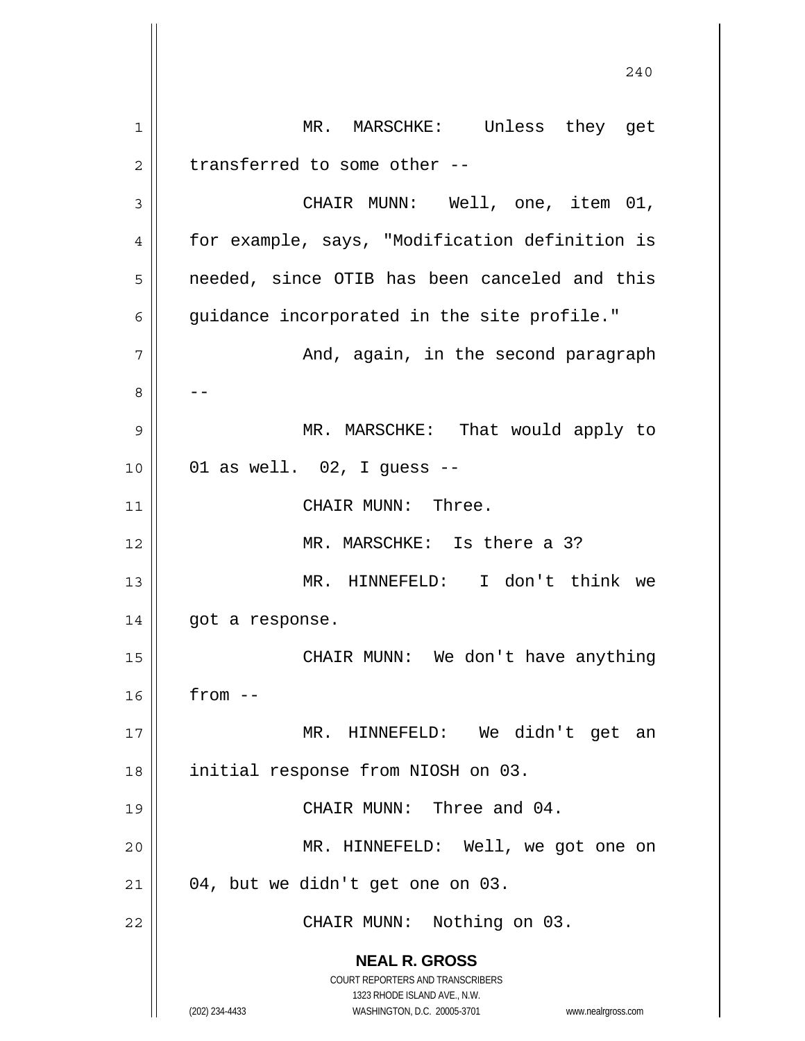**NEAL R. GROSS** COURT REPORTERS AND TRANSCRIBERS 1323 RHODE ISLAND AVE., N.W. (202) 234-4433 WASHINGTON, D.C. 20005-3701 www.nealrgross.com 1 MR. MARSCHKE: Unless they get  $2 \parallel$  transferred to some other  $-$ 3 || CHAIR MUNN: Well, one, item 01, 4 || for example, says, "Modification definition is 5 || needed, since OTIB has been canceled and this 6 || guidance incorporated in the site profile." 7 | And, again, in the second paragraph  $8 \parallel - -$ 9 MR. MARSCHKE: That would apply to  $10 \parallel 01$  as well. 02, I guess --11 || CHAIR MUNN: Three. 12 MR. MARSCHKE: Is there a 3? 13 MR. HINNEFELD: I don't think we 14 | got a response. 15 || CHAIR MUNN: We don't have anything 16 from -- 17 MR. HINNEFELD: We didn't get an 18 | initial response from NIOSH on 03. 19 CHAIR MUNN: Three and 04. 20 || MR. HINNEFELD: Well, we got one on  $21 \parallel 04$ , but we didn't get one on 03. 22 || CHAIR MUNN: Nothing on 03.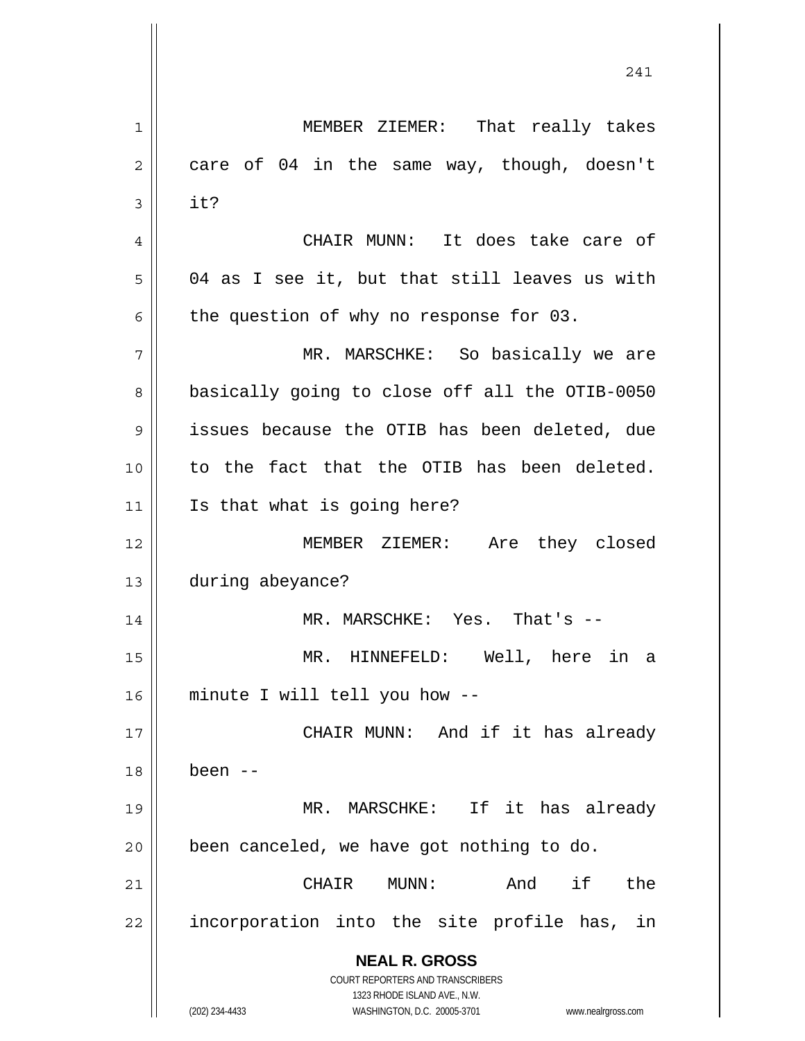**NEAL R. GROSS** COURT REPORTERS AND TRANSCRIBERS 1323 RHODE ISLAND AVE., N.W. (202) 234-4433 WASHINGTON, D.C. 20005-3701 www.nealrgross.com 1 | MEMBER ZIEMER: That really takes  $2 \parallel$  care of 04 in the same way, though, doesn't  $3 \parallel$  it? CHAIR MUNN: It does take care of  $5 \parallel$  04 as I see it, but that still leaves us with | the question of why no response for 03. MR. MARSCHKE: So basically we are 8 || basically going to close off all the OTIB-0050 9 || issues because the OTIB has been deleted, due to the fact that the OTIB has been deleted. | Is that what is going here? MEMBER ZIEMER: Are they closed during abeyance? MR. MARSCHKE: Yes. That's -- MR. HINNEFELD: Well, here in a minute I will tell you how -- CHAIR MUNN: And if it has already been -- MR. MARSCHKE: If it has already | been canceled, we have got nothing to do. CHAIR MUNN: And if the || incorporation into the site profile has, in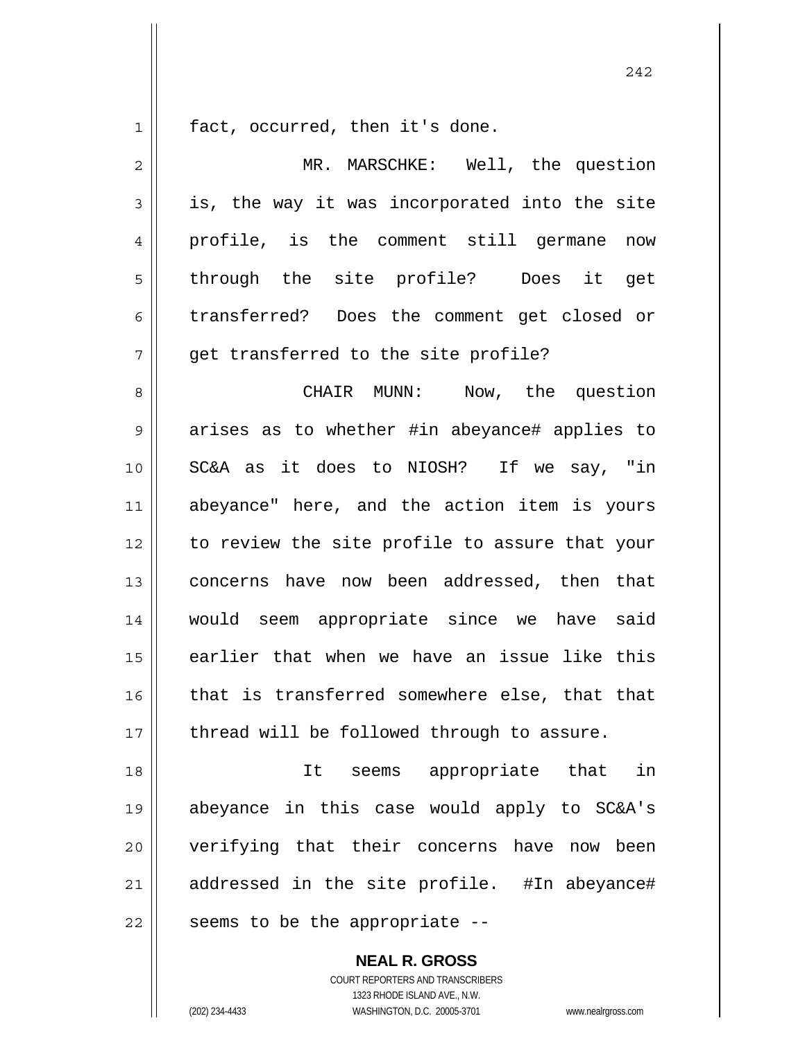$1 \parallel$  fact, occurred, then it's done.

| $\overline{c}$ | MR. MARSCHKE: Well, the question               |
|----------------|------------------------------------------------|
|                |                                                |
| $\mathfrak{Z}$ | is, the way it was incorporated into the site  |
| $\overline{4}$ | profile, is the comment still germane<br>now   |
| 5              | through the site profile? Does it get          |
| 6              | transferred? Does the comment get closed or    |
| 7              | get transferred to the site profile?           |
| 8              | CHAIR MUNN: Now, the question                  |
| 9              | arises as to whether #in abeyance# applies to  |
| 10             | SC&A as it does to NIOSH? If we say, "in       |
| 11             | abeyance" here, and the action item is yours   |
| 12             | to review the site profile to assure that your |
| 13             | concerns have now been addressed, then that    |
| 14             | would seem appropriate since we have said      |
| 15             | earlier that when we have an issue like this   |
| 16             | that is transferred somewhere else, that that  |
| 17             | thread will be followed through to assure.     |
| 18             | in<br>seems appropriate that<br>It             |
| 19             | abeyance in this case would apply to SC&A's    |
| 20             | verifying that their concerns have now been    |
| 21             | addressed in the site profile. #In abeyance#   |
| 22             | seems to be the appropriate --                 |

 **NEAL R. GROSS**

 COURT REPORTERS AND TRANSCRIBERS 1323 RHODE ISLAND AVE., N.W. (202) 234-4433 WASHINGTON, D.C. 20005-3701 www.nealrgross.com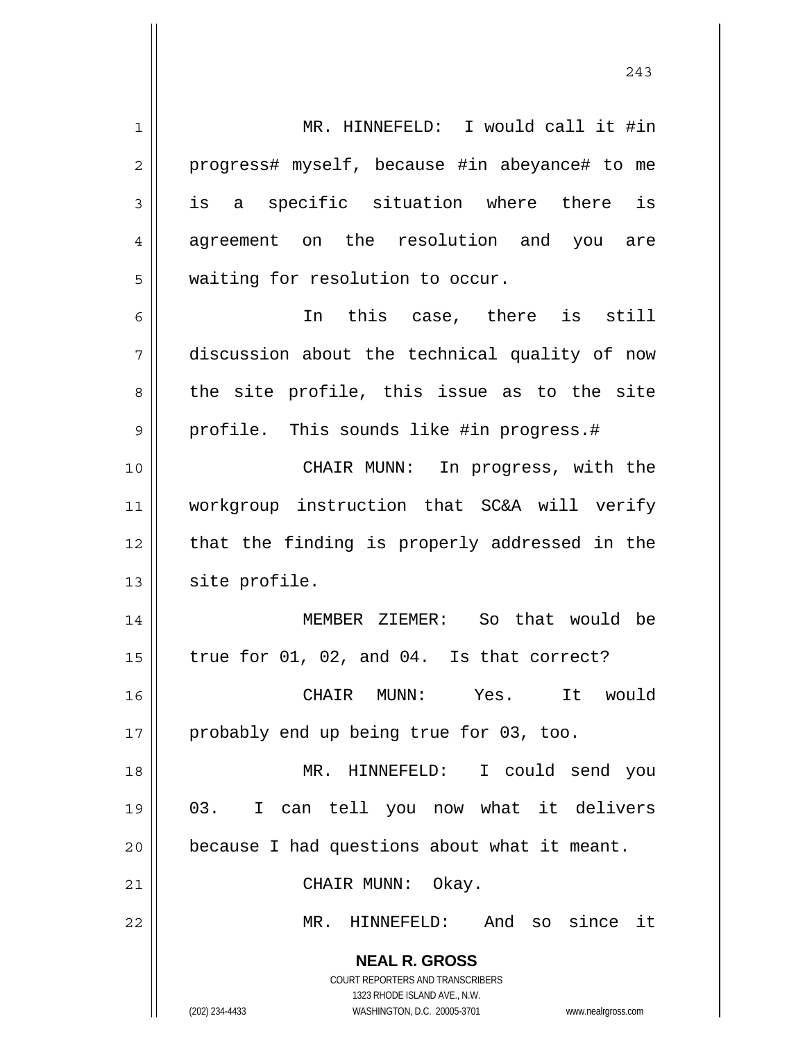**NEAL R. GROSS** COURT REPORTERS AND TRANSCRIBERS 1323 RHODE ISLAND AVE., N.W. (202) 234-4433 WASHINGTON, D.C. 20005-3701 www.nealrgross.com 1 MR. HINNEFELD: I would call it #in 2 || progress# myself, because #in abeyance# to me 3 || is a specific situation where there is 4 agreement on the resolution and you are 5 | waiting for resolution to occur. 6 In this case, there is still 7 discussion about the technical quality of now  $8 \parallel$  the site profile, this issue as to the site 9 || profile. This sounds like #in progress.# 10 || CHAIR MUNN: In progress, with the 11 workgroup instruction that SC&A will verify  $12$  || that the finding is properly addressed in the  $13$  site profile. 14 MEMBER ZIEMER: So that would be 15  $\vert$  true for 01, 02, and 04. Is that correct? 16 CHAIR MUNN: Yes. It would 17 || probably end up being true for 03, too. 18 MR. HINNEFELD: I could send you 19 03. I can tell you now what it delivers  $20$  | because I had questions about what it meant. 21 || CHAIR MUNN: Okay. 22 MR. HINNEFELD: And so since it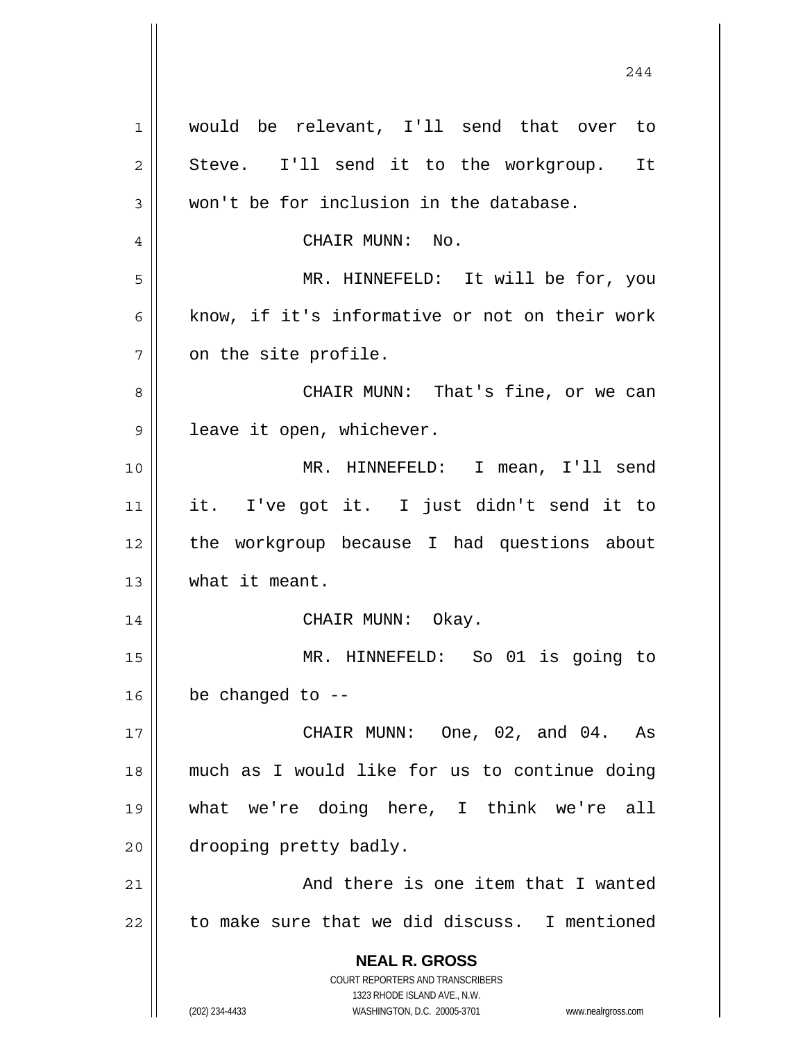| 1  | would be relevant, I'll send that over to                                                           |
|----|-----------------------------------------------------------------------------------------------------|
| 2  | Steve. I'll send it to the workgroup. It                                                            |
| 3  | won't be for inclusion in the database.                                                             |
| 4  | CHAIR MUNN: No.                                                                                     |
| 5  | MR. HINNEFELD: It will be for, you                                                                  |
| 6  | know, if it's informative or not on their work                                                      |
| 7  | on the site profile.                                                                                |
| 8  | CHAIR MUNN: That's fine, or we can                                                                  |
| 9  | leave it open, whichever.                                                                           |
| 10 | MR. HINNEFELD: I mean, I'll send                                                                    |
| 11 | it. I've got it. I just didn't send it to                                                           |
| 12 | the workgroup because I had questions about                                                         |
| 13 | what it meant.                                                                                      |
| 14 | CHAIR MUNN: Okay.                                                                                   |
| 15 | MR. HINNEFELD: So 01 is going to                                                                    |
| 16 | be changed to $-$ -                                                                                 |
| 17 | CHAIR MUNN: One, 02, and 04.<br>As                                                                  |
| 18 | much as I would like for us to continue doing                                                       |
| 19 | what we're doing here, I think we're all                                                            |
| 20 | drooping pretty badly.                                                                              |
| 21 | And there is one item that I wanted                                                                 |
| 22 | to make sure that we did discuss. I mentioned                                                       |
|    | <b>NEAL R. GROSS</b>                                                                                |
|    | COURT REPORTERS AND TRANSCRIBERS                                                                    |
|    | 1323 RHODE ISLAND AVE., N.W.<br>(202) 234-4433<br>WASHINGTON, D.C. 20005-3701<br>www.nealrgross.com |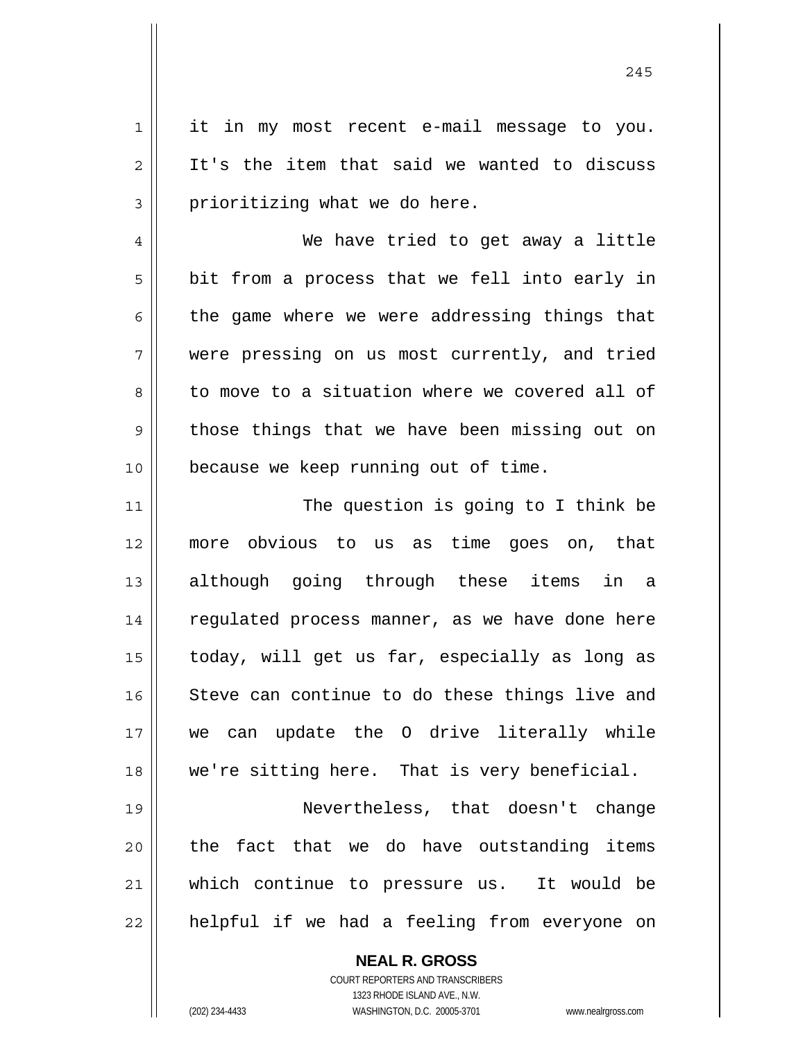1 it in my most recent e-mail message to you.  $2 \parallel$  It's the item that said we wanted to discuss  $3 \parallel$  prioritizing what we do here.

4 We have tried to get away a little  $5 \parallel$  bit from a process that we fell into early in  $6 \parallel$  the game where we were addressing things that 7 were pressing on us most currently, and tried 8 to move to a situation where we covered all of  $9 \parallel$  those things that we have been missing out on 10 because we keep running out of time.

11 || The question is going to I think be 12 more obvious to us as time goes on, that 13 || although going through these items in a 14 || regulated process manner, as we have done here 15 today, will get us far, especially as long as 16 Steve can continue to do these things live and 17 we can update the O drive literally while 18 we're sitting here. That is very beneficial.

Nevertheless, that doesn't change || the fact that we do have outstanding items which continue to pressure us. It would be || helpful if we had a feeling from everyone on

> **NEAL R. GROSS** COURT REPORTERS AND TRANSCRIBERS 1323 RHODE ISLAND AVE., N.W. (202) 234-4433 WASHINGTON, D.C. 20005-3701 www.nealrgross.com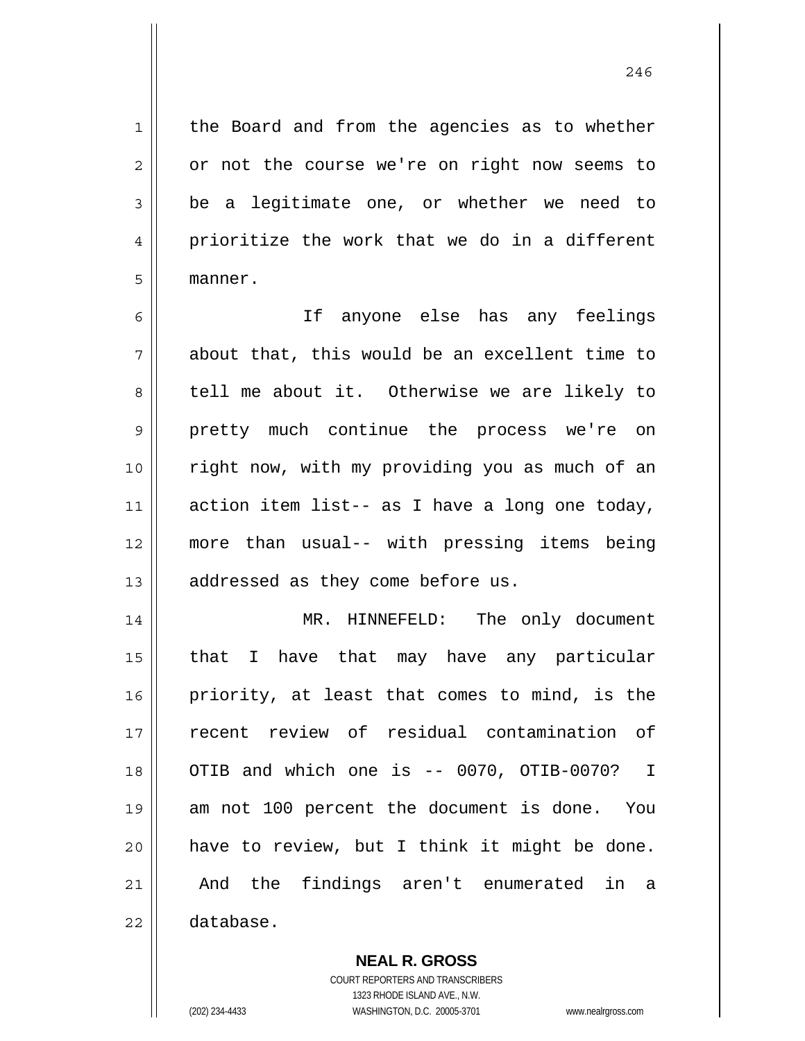246

1 | the Board and from the agencies as to whether  $2 \parallel$  or not the course we're on right now seems to  $3 \parallel$  be a legitimate one, or whether we need to 4 prioritize the work that we do in a different 5 manner.

If anyone else has any feelings about that, this would be an excellent time to 8 tell me about it. Otherwise we are likely to pretty much continue the process we're on 10 || right now, with my providing you as much of an  $\parallel$  action item list-- as I have a long one today, more than usual-- with pressing items being  $\parallel$  addressed as they come before us.

14 MR. HINNEFELD: The only document 15 that I have that may have any particular 16 || priority, at least that comes to mind, is the 17 || recent review of residual contamination of 18 || OTIB and which one is -- 0070, OTIB-0070? I 19 am not 100 percent the document is done. You 20 have to review, but I think it might be done. 21 || And the findings aren't enumerated in a 22 database.

> **NEAL R. GROSS** COURT REPORTERS AND TRANSCRIBERS 1323 RHODE ISLAND AVE., N.W. (202) 234-4433 WASHINGTON, D.C. 20005-3701 www.nealrgross.com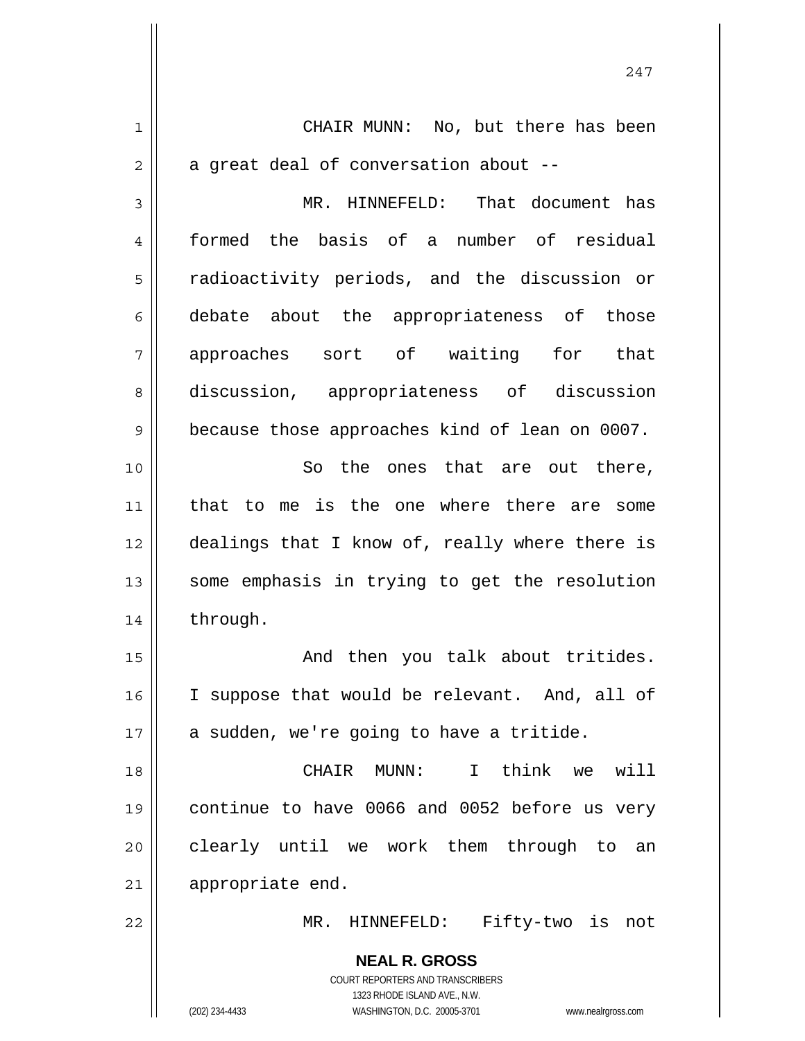**NEAL R. GROSS** COURT REPORTERS AND TRANSCRIBERS 1323 RHODE ISLAND AVE., N.W. 1 CHAIR MUNN: No, but there has been  $2 \parallel$  a great deal of conversation about --3 MR. HINNEFELD: That document has 4 formed the basis of a number of residual 5 || radioactivity periods, and the discussion or 6 debate about the appropriateness of those 7 approaches sort of waiting for that 8 discussion, appropriateness of discussion 9 | because those approaches kind of lean on 0007. 10 || So the ones that are out there, 11 that to me is the one where there are some 12 dealings that I know of, really where there is 13 || some emphasis in trying to get the resolution 14 through. 15 || The Moviet Chen you talk about tritides. 16 || I suppose that would be relevant. And, all of  $17$  a sudden, we're going to have a tritide. 18 CHAIR MUNN: I think we will 19 continue to have 0066 and 0052 before us very 20 clearly until we work them through to an 21 | appropriate end. 22 MR. HINNEFELD: Fifty-two is not

247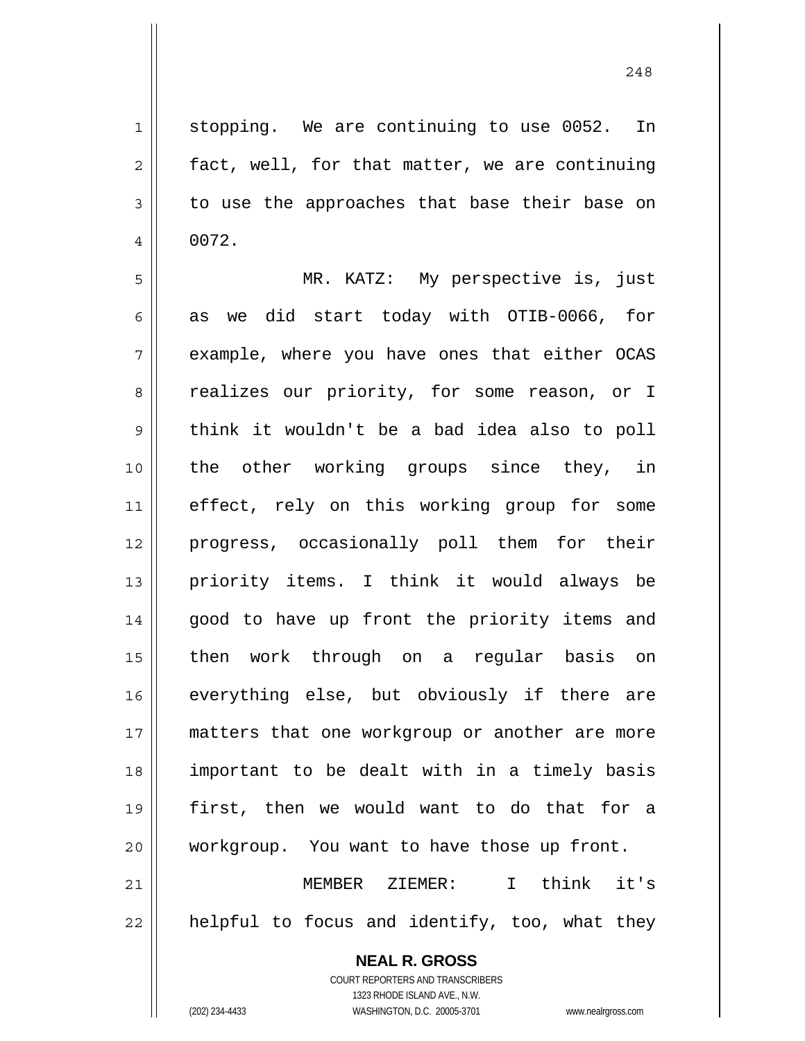1 || stopping. We are continuing to use 0052. In  $2 \parallel$  fact, well, for that matter, we are continuing  $3 \parallel$  to use the approaches that base their base on  $4 \parallel 0072.$ 

MR. KATZ: My perspective is, just  $6 \parallel$  as we did start today with OTIB-0066, for 7 || example, where you have ones that either OCAS 8 || realizes our priority, for some reason, or I think it wouldn't be a bad idea also to poll the other working groups since they, in effect, rely on this working group for some progress, occasionally poll them for their priority items. I think it would always be 14 || good to have up front the priority items and then work through on a regular basis on everything else, but obviously if there are 17 || matters that one workgroup or another are more important to be dealt with in a timely basis first, then we would want to do that for a workgroup. You want to have those up front. MEMBER ZIEMER: I think it's | helpful to focus and identify, too, what they

## **NEAL R. GROSS**

 COURT REPORTERS AND TRANSCRIBERS 1323 RHODE ISLAND AVE., N.W. (202) 234-4433 WASHINGTON, D.C. 20005-3701 www.nealrgross.com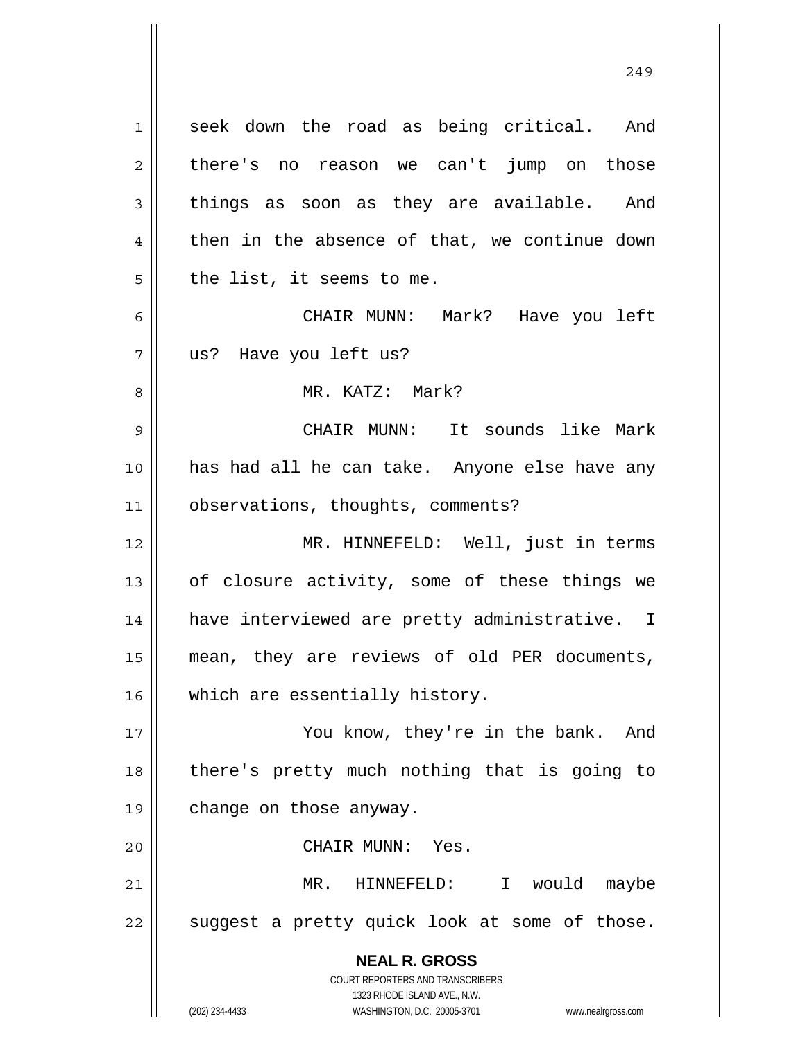1 seek down the road as being critical. And  $2 \parallel$  there's no reason we can't jump on those  $3 \parallel$  things as soon as they are available. And  $4 \parallel$  then in the absence of that, we continue down | the list, it seems to me. CHAIR MUNN: Mark? Have you left us? Have you left us? MR. KATZ: Mark? CHAIR MUNN: It sounds like Mark has had all he can take. Anyone else have any 11 | observations, thoughts, comments? MR. HINNEFELD: Well, just in terms  $\parallel$  of closure activity, some of these things we have interviewed are pretty administrative. I mean, they are reviews of old PER documents, 16 | which are essentially history.

17 You know, they're in the bank. And 18 there's pretty much nothing that is going to 19 | change on those anyway.

20 CHAIR MUNN: Yes.

21 MR. HINNEFELD: I would maybe 22 || suggest a pretty quick look at some of those.

> **NEAL R. GROSS** COURT REPORTERS AND TRANSCRIBERS 1323 RHODE ISLAND AVE., N.W.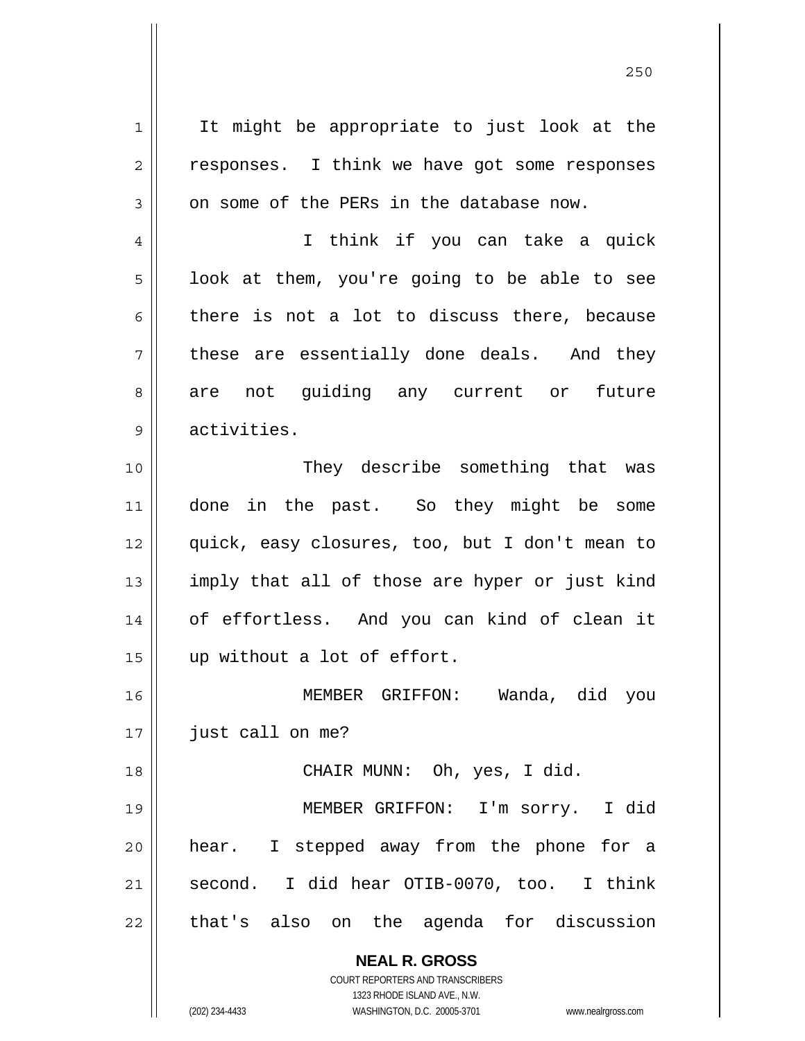**NEAL R. GROSS** 1 || It might be appropriate to just look at the 2 || responses. I think we have got some responses  $3 \parallel$  on some of the PERs in the database now. 4 I think if you can take a quick  $5 \parallel$  look at them, you're going to be able to see 6 there is not a lot to discuss there, because  $7 \parallel$  these are essentially done deals. And they 8 are not guiding any current or future 9 activities. 10 || They describe something that was 11 done in the past. So they might be some 12 quick, easy closures, too, but I don't mean to  $13$  || imply that all of those are hyper or just kind 14 of effortless. And you can kind of clean it 15 up without a lot of effort. 16 MEMBER GRIFFON: Wanda, did you 17 || just call on me? 18 CHAIR MUNN: Oh, yes, I did. 19 MEMBER GRIFFON: I'm sorry. I did 20 hear. I stepped away from the phone for a  $21$  second. I did hear OTIB-0070, too. I think 22 || that's also on the agenda for discussion

1323 RHODE ISLAND AVE., N.W.

COURT REPORTERS AND TRANSCRIBERS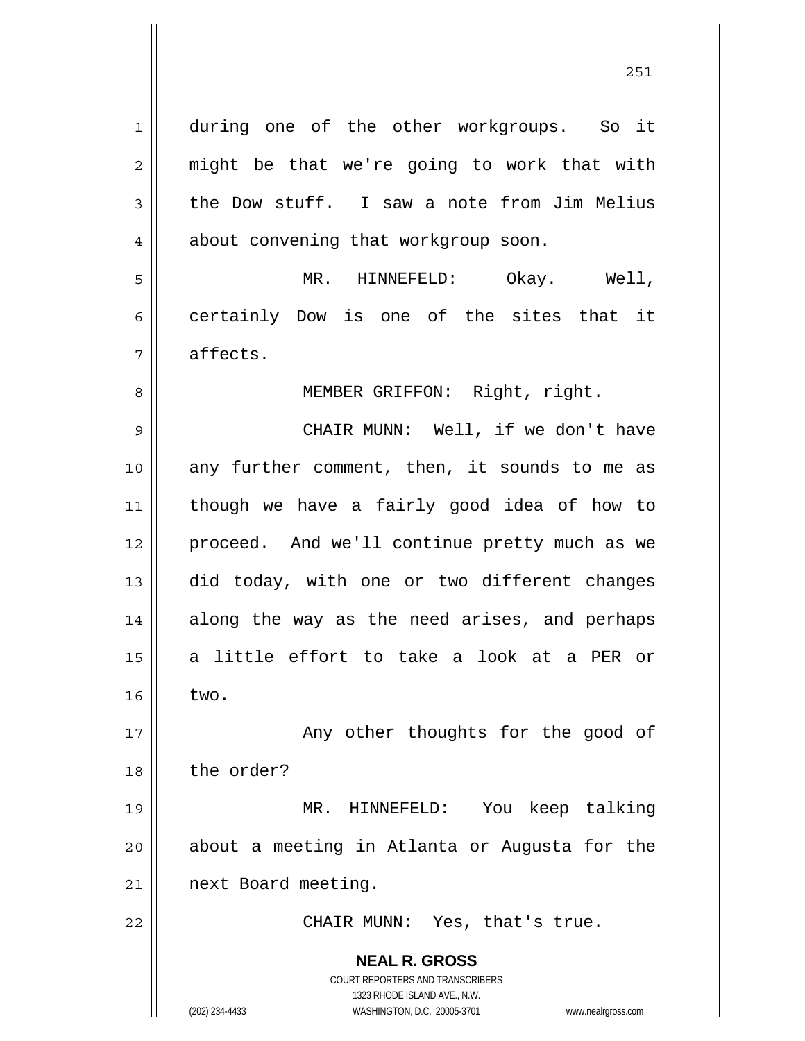**NEAL R. GROSS** COURT REPORTERS AND TRANSCRIBERS 1323 RHODE ISLAND AVE., N.W. (202) 234-4433 WASHINGTON, D.C. 20005-3701 www.nealrgross.com 1 during one of the other workgroups. So it  $2 \parallel$  might be that we're going to work that with  $3 \parallel$  the Dow stuff. I saw a note from Jim Melius 4 | about convening that workgroup soon. 5 MR. HINNEFELD: Okay. Well, 6 certainly Dow is one of the sites that it  $7 \parallel$  affects. 8 || MEMBER GRIFFON: Right, right. 9 CHAIR MUNN: Well, if we don't have  $10$  any further comment, then, it sounds to me as 11 though we have a fairly good idea of how to 12 proceed. And we'll continue pretty much as we 13 || did today, with one or two different changes 14 along the way as the need arises, and perhaps 15 a little effort to take a look at a PER or  $16 \parallel$  two. 17 || Any other thoughts for the good of 18 || the order? 19 MR. HINNEFELD: You keep talking 20 || about a meeting in Atlanta or Augusta for the 21 | next Board meeting. 22 CHAIR MUNN: Yes, that's true.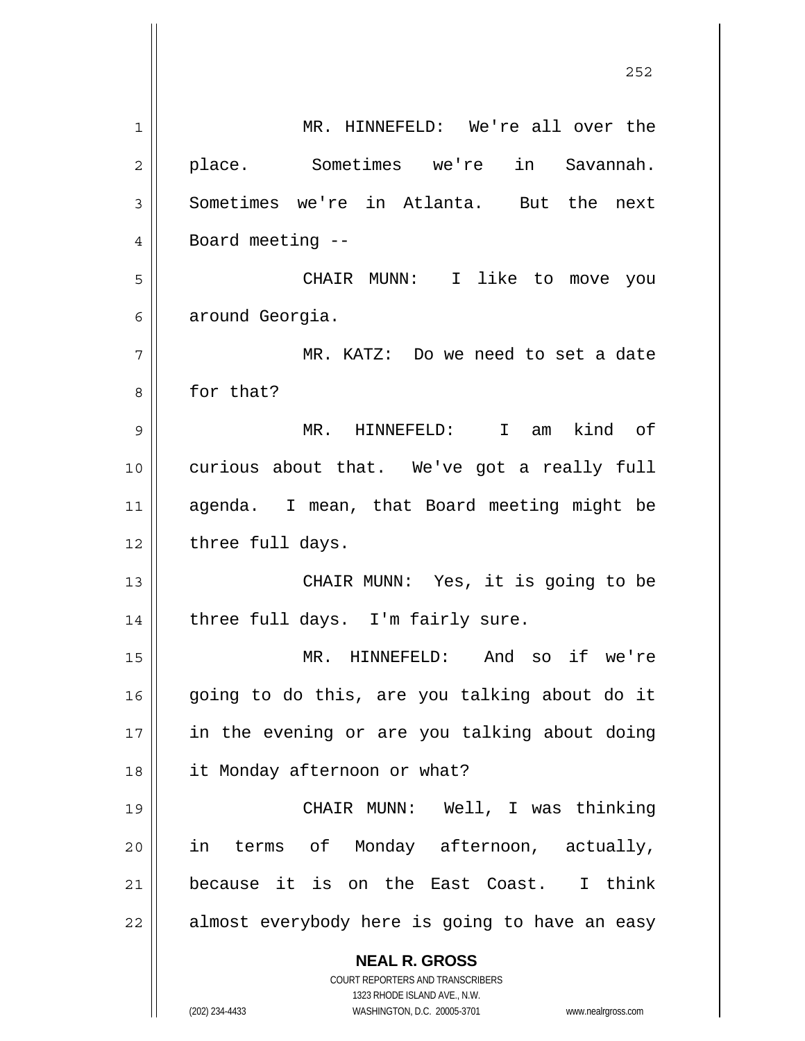**NEAL R. GROSS** COURT REPORTERS AND TRANSCRIBERS 1323 RHODE ISLAND AVE., N.W. (202) 234-4433 WASHINGTON, D.C. 20005-3701 www.nealrgross.com 1 || MR. HINNEFELD: We're all over the 2 place. Sometimes we're in Savannah. 3 Sometimes we're in Atlanta. But the next 4 || Board meeting --5 CHAIR MUNN: I like to move you 6 | around Georgia. 7 MR. KATZ: Do we need to set a date 8 **b** for that? 9 MR. HINNEFELD: I am kind of 10 curious about that. We've got a really full 11 agenda. I mean, that Board meeting might be  $12$  | three full days. 13 || CHAIR MUNN: Yes, it is going to be  $14$  || three full days. I'm fairly sure. 15 MR. HINNEFELD: And so if we're 16 going to do this, are you talking about do it 17 || in the evening or are you talking about doing 18 | it Monday afternoon or what? 19 CHAIR MUNN: Well, I was thinking 20 in terms of Monday afternoon, actually, 21 because it is on the East Coast. I think  $22$  || almost everybody here is going to have an easy

<u>252</u>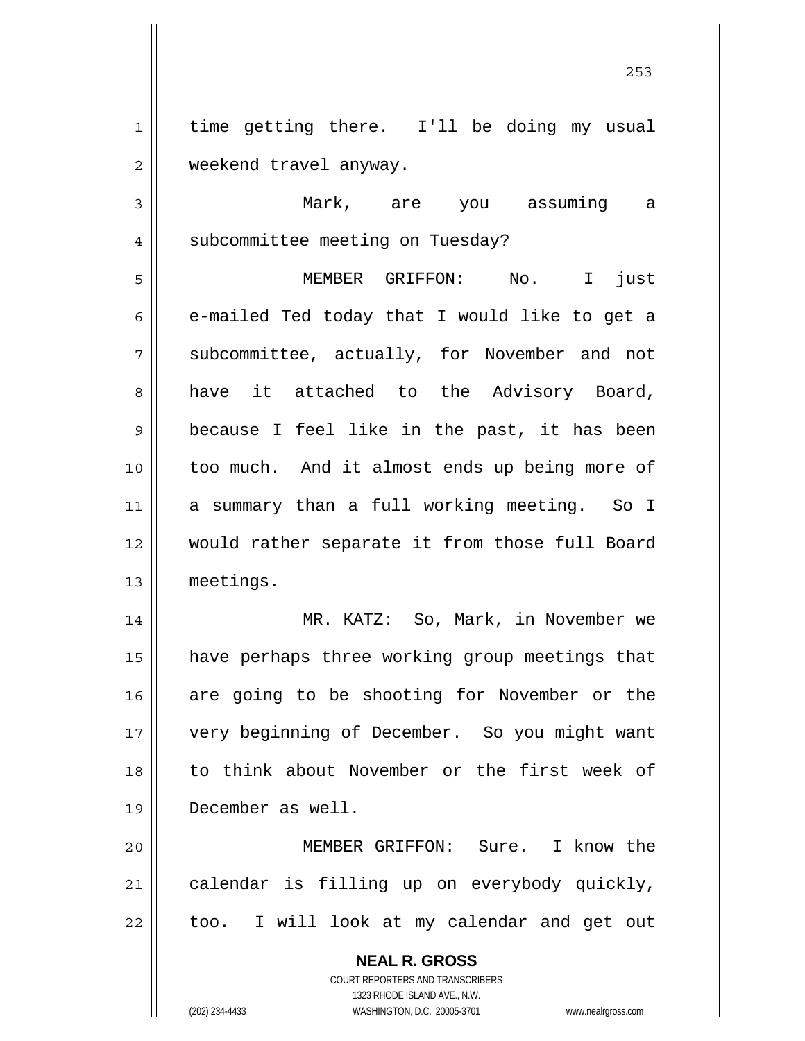1 || time getting there. I'll be doing my usual 2 | weekend travel anyway.

<u>253</u>

3 Mark, are you assuming a 4 | subcommittee meeting on Tuesday?

5 MEMBER GRIFFON: No. I just 6 e-mailed Ted today that I would like to get a 7 Subcommittee, actually, for November and not 8 || have it attached to the Advisory Board, 9 because I feel like in the past, it has been 10 || too much. And it almost ends up being more of 11 a summary than a full working meeting. So I 12 would rather separate it from those full Board 13 meetings.

MR. KATZ: So, Mark, in November we have perhaps three working group meetings that 16 are going to be shooting for November or the 17 || very beginning of December. So you might want to think about November or the first week of December as well.

20 MEMBER GRIFFON: Sure. I know the 21 || calendar is filling up on everybody quickly,  $22$  | too. I will look at my calendar and get out

> **NEAL R. GROSS** COURT REPORTERS AND TRANSCRIBERS 1323 RHODE ISLAND AVE., N.W. (202) 234-4433 WASHINGTON, D.C. 20005-3701 www.nealrgross.com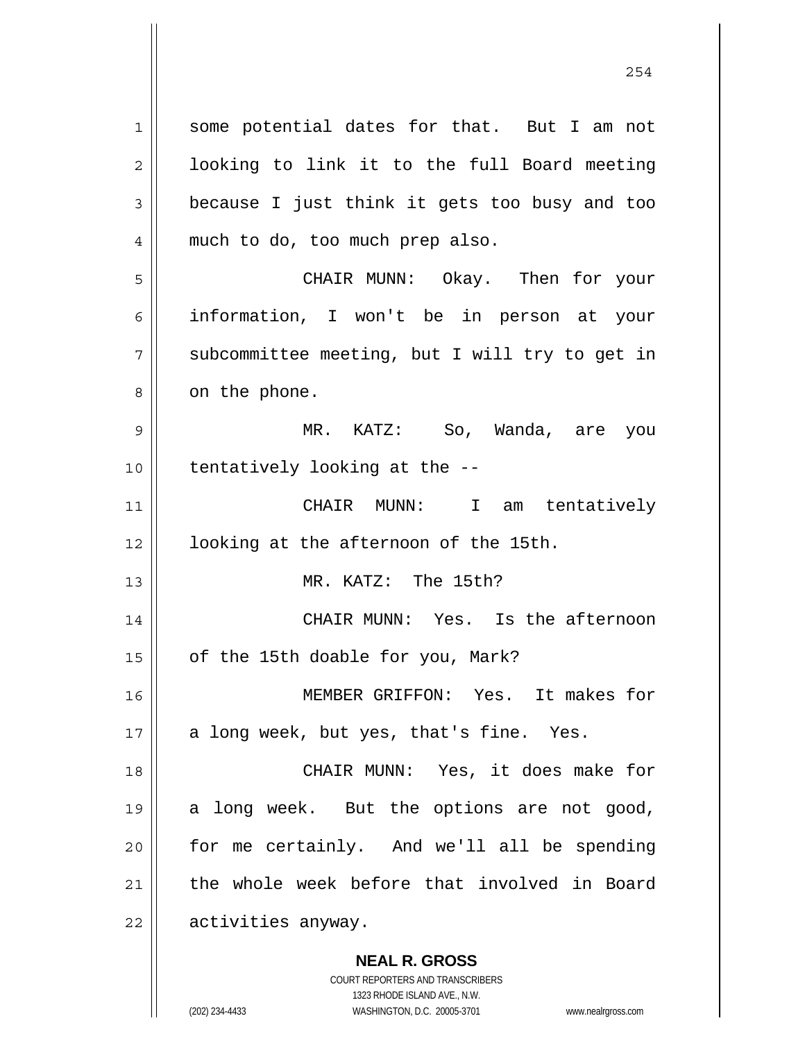1 || some potential dates for that. But I am not  $2 \parallel$  looking to link it to the full Board meeting  $3 \parallel$  because I just think it gets too busy and too 4 || much to do, too much prep also. 5 CHAIR MUNN: Okay. Then for your 6 information, I won't be in person at your 7 subcommittee meeting, but I will try to get in  $8 \parallel$  on the phone. 9 MR. KATZ: So, Wanda, are you  $10$  || tentatively looking at the  $-$ -11 CHAIR MUNN: I am tentatively 12 || looking at the afternoon of the 15th. 13 || MR. KATZ: The 15th? 14 || CHAIR MUNN: Yes. Is the afternoon 15 | of the 15th doable for you, Mark? 16 MEMBER GRIFFON: Yes. It makes for  $17 \parallel$  a long week, but yes, that's fine. Yes. 18 CHAIR MUNN: Yes, it does make for 19 a long week. But the options are not good, 20 for me certainly. And we'll all be spending 21 the whole week before that involved in Board 22 | activities anyway.

> **NEAL R. GROSS** COURT REPORTERS AND TRANSCRIBERS

> > 1323 RHODE ISLAND AVE., N.W.

(202) 234-4433 WASHINGTON, D.C. 20005-3701 www.nealrgross.com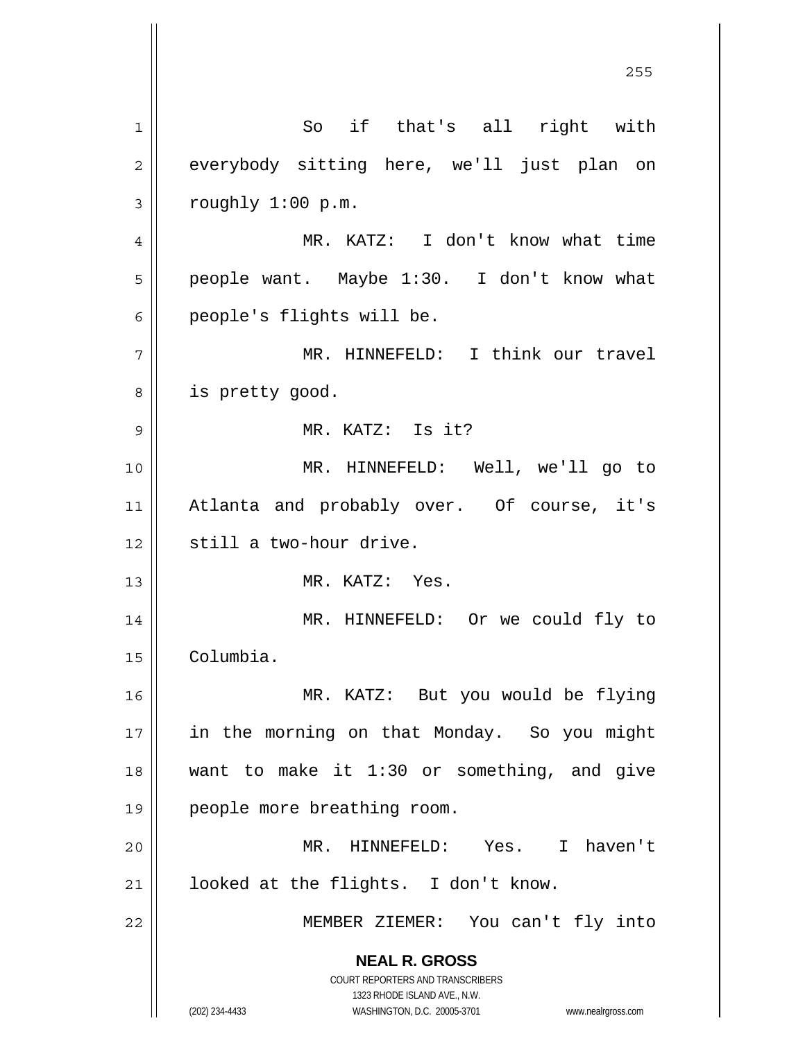**NEAL R. GROSS** COURT REPORTERS AND TRANSCRIBERS 1323 RHODE ISLAND AVE., N.W. (202) 234-4433 WASHINGTON, D.C. 20005-3701 www.nealrgross.com 1 || So if that's all right with 2 everybody sitting here, we'll just plan on  $3 \parallel$  roughly 1:00 p.m. 4 MR. KATZ: I don't know what time 5 || people want. Maybe 1:30. I don't know what  $6 \parallel$  people's flights will be. 7 MR. HINNEFELD: I think our travel 8 || is pretty good. 9 MR. KATZ: Is it? 10 MR. HINNEFELD: Well, we'll go to 11 Atlanta and probably over. Of course, it's 12 || still a two-hour drive. 13 MR. KATZ: Yes. 14 MR. HINNEFELD: Or we could fly to 15 Columbia. 16 MR. KATZ: But you would be flying 17 || in the morning on that Monday. So you might 18 want to make it 1:30 or something, and give 19 || people more breathing room. 20 MR. HINNEFELD: Yes. I haven't 21 || looked at the flights. I don't know. 22 MEMBER ZIEMER: You can't fly into

<u>255</u>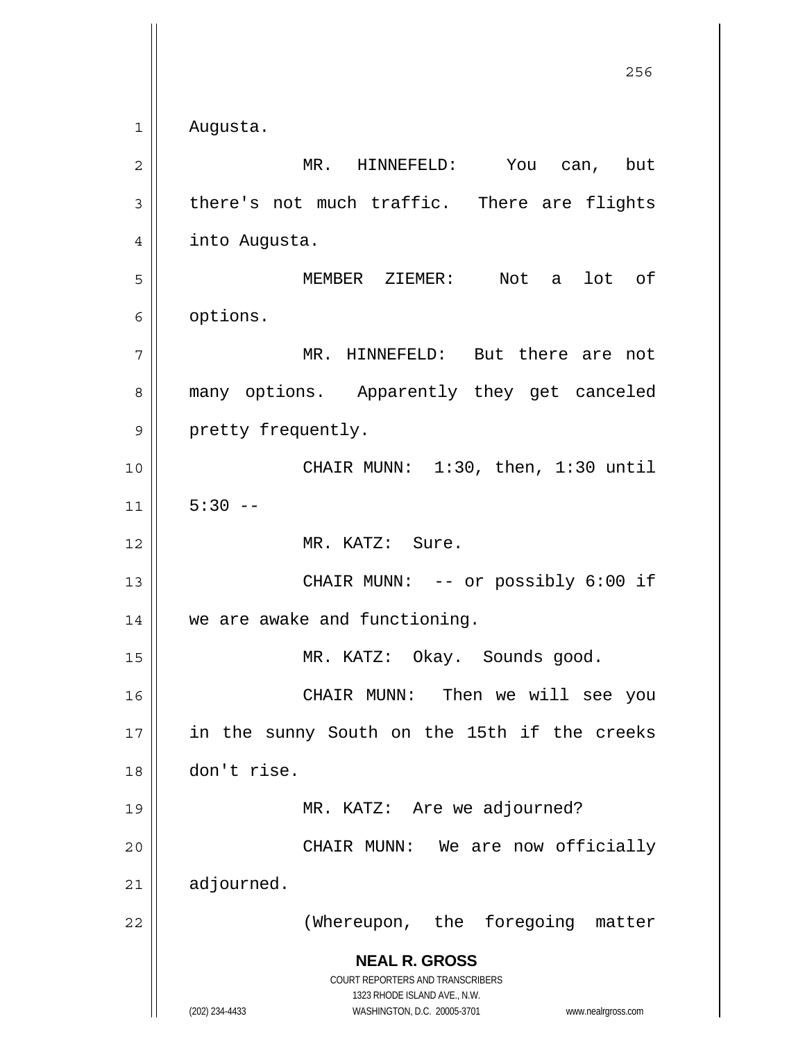**NEAL R. GROSS** COURT REPORTERS AND TRANSCRIBERS 1323 RHODE ISLAND AVE., N.W. (202) 234-4433 WASHINGTON, D.C. 20005-3701 www.nealrgross.com <u>256 میں اس کا 17 مئی میں اس کا 17 مئی میں اس کا 17 مئی میں اس کا 17 مئی میں اس کا 17 مئی میں اس کا 256 مئی می</u> 1 | Augusta. 2 MR. HINNEFELD: You can, but  $3 \parallel$  there's not much traffic. There are flights 4 | into Augusta. 5 MEMBER ZIEMER: Not a lot of 6 | options. 7 MR. HINNEFELD: But there are not 8 || many options. Apparently they get canceled 9 || pretty frequently. 10 CHAIR MUNN: 1:30, then, 1:30 until  $11$  5:30 --12 MR. KATZ: Sure. 13 || CHAIR MUNN: -- or possibly 6:00 if 14 | we are awake and functioning. 15 MR. KATZ: Okay. Sounds good. 16 || CHAIR MUNN: Then we will see you 17 || in the sunny South on the 15th if the creeks 18 don't rise. 19 || MR. KATZ: Are we adjourned? 20 CHAIR MUNN: We are now officially  $21$  adjourned. 22 || (Whereupon, the foregoing matter